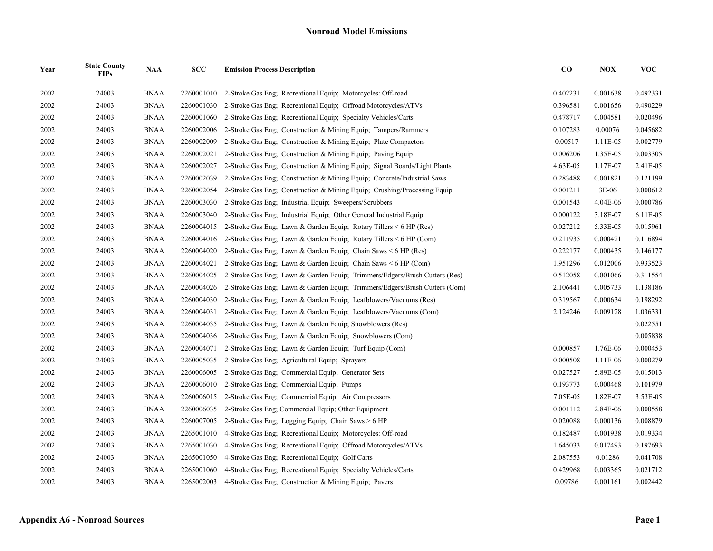| Year | <b>State County</b><br><b>FIPs</b> | <b>NAA</b>  | SCC        | <b>Emission Process Description</b>                                        | $\bf CO$ | <b>NOX</b> | <b>VOC</b> |
|------|------------------------------------|-------------|------------|----------------------------------------------------------------------------|----------|------------|------------|
| 2002 | 24003                              | <b>BNAA</b> | 2260001010 | 2-Stroke Gas Eng; Recreational Equip; Motorcycles: Off-road                | 0.402231 | 0.001638   | 0.492331   |
| 2002 | 24003                              | <b>BNAA</b> | 2260001030 | 2-Stroke Gas Eng: Recreational Equip: Offroad Motorcycles/ATVs             | 0.396581 | 0.001656   | 0.490229   |
| 2002 | 24003                              | <b>BNAA</b> | 2260001060 | 2-Stroke Gas Eng: Recreational Equip: Specialty Vehicles/Carts             | 0.478717 | 0.004581   | 0.020496   |
| 2002 | 24003                              | <b>BNAA</b> | 2260002006 | 2-Stroke Gas Eng; Construction & Mining Equip; Tampers/Rammers             | 0.107283 | 0.00076    | 0.045682   |
| 2002 | 24003                              | <b>BNAA</b> | 2260002009 | 2-Stroke Gas Eng; Construction & Mining Equip; Plate Compactors            | 0.00517  | 1.11E-05   | 0.002779   |
| 2002 | 24003                              | <b>BNAA</b> | 2260002021 | 2-Stroke Gas Eng: Construction & Mining Equip: Paving Equip                | 0.006206 | 1.35E-05   | 0.003305   |
| 2002 | 24003                              | <b>BNAA</b> | 2260002027 | 2-Stroke Gas Eng: Construction & Mining Equip; Signal Boards/Light Plants  | 4.63E-05 | 1.17E-07   | 2.41E-05   |
| 2002 | 24003                              | <b>BNAA</b> | 2260002039 | 2-Stroke Gas Eng; Construction & Mining Equip; Concrete/Industrial Saws    | 0.283488 | 0.001821   | 0.121199   |
| 2002 | 24003                              | <b>BNAA</b> | 2260002054 | 2-Stroke Gas Eng; Construction & Mining Equip; Crushing/Processing Equip   | 0.001211 | $3E-06$    | 0.000612   |
| 2002 | 24003                              | <b>BNAA</b> | 2260003030 | 2-Stroke Gas Eng; Industrial Equip; Sweepers/Scrubbers                     | 0.001543 | 4.04E-06   | 0.000786   |
| 2002 | 24003                              | <b>BNAA</b> | 2260003040 | 2-Stroke Gas Eng; Industrial Equip; Other General Industrial Equip         | 0.000122 | 3.18E-07   | 6.11E-05   |
| 2002 | 24003                              | <b>BNAA</b> | 2260004015 | 2-Stroke Gas Eng; Lawn & Garden Equip; Rotary Tillers $\leq 6$ HP (Res)    | 0.027212 | 5.33E-05   | 0.015961   |
| 2002 | 24003                              | <b>BNAA</b> | 2260004016 | 2-Stroke Gas Eng; Lawn & Garden Equip; Rotary Tillers < 6 HP (Com)         | 0.211935 | 0.000421   | 0.116894   |
| 2002 | 24003                              | <b>BNAA</b> | 2260004020 | 2-Stroke Gas Eng; Lawn & Garden Equip; Chain Saws $\leq 6$ HP (Res)        | 0.222177 | 0.000435   | 0.146177   |
| 2002 | 24003                              | <b>BNAA</b> | 2260004021 | 2-Stroke Gas Eng; Lawn & Garden Equip; Chain Saws $\leq 6$ HP (Com)        | 1.951296 | 0.012006   | 0.933523   |
| 2002 | 24003                              | <b>BNAA</b> | 2260004025 | 2-Stroke Gas Eng; Lawn & Garden Equip; Trimmers/Edgers/Brush Cutters (Res) | 0.512058 | 0.001066   | 0.311554   |
| 2002 | 24003                              | <b>BNAA</b> | 2260004026 | 2-Stroke Gas Eng; Lawn & Garden Equip; Trimmers/Edgers/Brush Cutters (Com) | 2.106441 | 0.005733   | 1.138186   |
| 2002 | 24003                              | <b>BNAA</b> | 2260004030 | 2-Stroke Gas Eng; Lawn & Garden Equip; Leafblowers/Vacuums (Res)           | 0.319567 | 0.000634   | 0.198292   |
| 2002 | 24003                              | <b>BNAA</b> | 2260004031 | 2-Stroke Gas Eng; Lawn & Garden Equip; Leafblowers/Vacuums (Com)           | 2.124246 | 0.009128   | 1.036331   |
| 2002 | 24003                              | <b>BNAA</b> | 2260004035 | 2-Stroke Gas Eng; Lawn & Garden Equip; Snowblowers (Res)                   |          |            | 0.022551   |
| 2002 | 24003                              | <b>BNAA</b> | 2260004036 | 2-Stroke Gas Eng: Lawn & Garden Equip: Snowblowers (Com)                   |          |            | 0.005838   |
| 2002 | 24003                              | <b>BNAA</b> | 2260004071 | 2-Stroke Gas Eng; Lawn & Garden Equip; Turf Equip (Com)                    | 0.000857 | 1.76E-06   | 0.000453   |
| 2002 | 24003                              | <b>BNAA</b> | 2260005035 | 2-Stroke Gas Eng; Agricultural Equip; Sprayers                             | 0.000508 | 1.11E-06   | 0.000279   |
| 2002 | 24003                              | <b>BNAA</b> | 2260006005 | 2-Stroke Gas Eng; Commercial Equip; Generator Sets                         | 0.027527 | 5.89E-05   | 0.015013   |
| 2002 | 24003                              | <b>BNAA</b> | 2260006010 | 2-Stroke Gas Eng; Commercial Equip; Pumps                                  | 0.193773 | 0.000468   | 0.101979   |
| 2002 | 24003                              | <b>BNAA</b> | 2260006015 | 2-Stroke Gas Eng; Commercial Equip; Air Compressors                        | 7.05E-05 | 1.82E-07   | 3.53E-05   |
| 2002 | 24003                              | <b>BNAA</b> | 2260006035 | 2-Stroke Gas Eng; Commercial Equip; Other Equipment                        | 0.001112 | 2.84E-06   | 0.000558   |
| 2002 | 24003                              | <b>BNAA</b> | 2260007005 | 2-Stroke Gas Eng; Logging Equip; Chain Saws > 6 HP                         | 0.020088 | 0.000136   | 0.008879   |
| 2002 | 24003                              | <b>BNAA</b> | 2265001010 | 4-Stroke Gas Eng; Recreational Equip; Motorcycles: Off-road                | 0.182487 | 0.001938   | 0.019334   |
| 2002 | 24003                              | <b>BNAA</b> | 2265001030 | 4-Stroke Gas Eng; Recreational Equip; Offroad Motorcycles/ATVs             | 1.645033 | 0.017493   | 0.197693   |
| 2002 | 24003                              | <b>BNAA</b> | 2265001050 | 4-Stroke Gas Eng; Recreational Equip; Golf Carts                           | 2.087553 | 0.01286    | 0.041708   |
| 2002 | 24003                              | <b>BNAA</b> | 2265001060 | 4-Stroke Gas Eng; Recreational Equip; Specialty Vehicles/Carts             | 0.429968 | 0.003365   | 0.021712   |
| 2002 | 24003                              | <b>BNAA</b> | 2265002003 | 4-Stroke Gas Eng: Construction & Mining Equip: Pavers                      | 0.09786  | 0.001161   | 0.002442   |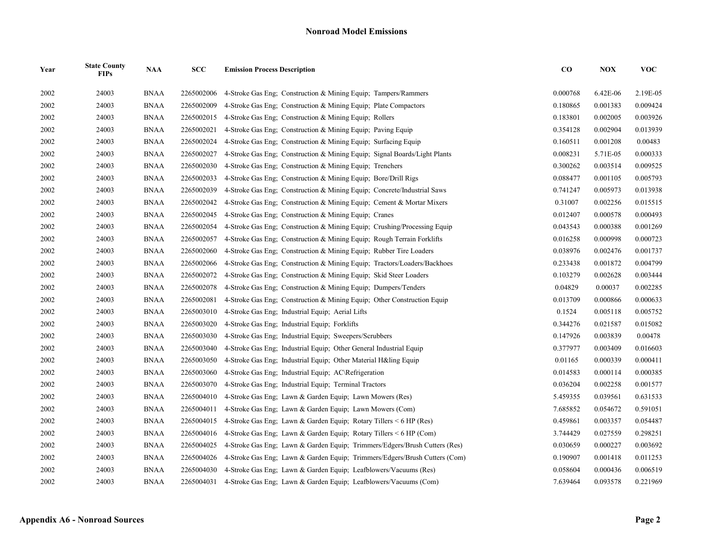| Year | <b>State County</b><br><b>FIPs</b> | <b>NAA</b>  | SCC        | <b>Emission Process Description</b>                                        | $\bf CO$ | <b>NOX</b> | <b>VOC</b> |
|------|------------------------------------|-------------|------------|----------------------------------------------------------------------------|----------|------------|------------|
| 2002 | 24003                              | <b>BNAA</b> | 2265002006 | 4-Stroke Gas Eng: Construction & Mining Equip: Tampers/Rammers             | 0.000768 | 6.42E-06   | 2.19E-05   |
| 2002 | 24003                              | <b>BNAA</b> | 2265002009 | 4-Stroke Gas Eng; Construction & Mining Equip; Plate Compactors            | 0.180865 | 0.001383   | 0.009424   |
| 2002 | 24003                              | <b>BNAA</b> | 2265002015 | 4-Stroke Gas Eng: Construction & Mining Equip: Rollers                     | 0.183801 | 0.002005   | 0.003926   |
| 2002 | 24003                              | <b>BNAA</b> | 2265002021 | 4-Stroke Gas Eng; Construction & Mining Equip; Paving Equip                | 0.354128 | 0.002904   | 0.013939   |
| 2002 | 24003                              | <b>BNAA</b> | 2265002024 | 4-Stroke Gas Eng; Construction & Mining Equip; Surfacing Equip             | 0.160511 | 0.001208   | 0.00483    |
| 2002 | 24003                              | <b>BNAA</b> | 2265002027 | 4-Stroke Gas Eng; Construction & Mining Equip; Signal Boards/Light Plants  | 0.008231 | 5.71E-05   | 0.000333   |
| 2002 | 24003                              | <b>BNAA</b> | 2265002030 | 4-Stroke Gas Eng; Construction & Mining Equip; Trenchers                   | 0.300262 | 0.003514   | 0.009525   |
| 2002 | 24003                              | <b>BNAA</b> | 2265002033 | 4-Stroke Gas Eng; Construction & Mining Equip; Bore/Drill Rigs             | 0.088477 | 0.001105   | 0.005793   |
| 2002 | 24003                              | <b>BNAA</b> | 2265002039 | 4-Stroke Gas Eng; Construction & Mining Equip; Concrete/Industrial Saws    | 0.741247 | 0.005973   | 0.013938   |
| 2002 | 24003                              | <b>BNAA</b> | 2265002042 | 4-Stroke Gas Eng; Construction & Mining Equip; Cement & Mortar Mixers      | 0.31007  | 0.002256   | 0.015515   |
| 2002 | 24003                              | <b>BNAA</b> | 2265002045 | 4-Stroke Gas Eng: Construction & Mining Equip: Cranes                      | 0.012407 | 0.000578   | 0.000493   |
| 2002 | 24003                              | <b>BNAA</b> | 2265002054 | 4-Stroke Gas Eng; Construction & Mining Equip; Crushing/Processing Equip   | 0.043543 | 0.000388   | 0.001269   |
| 2002 | 24003                              | <b>BNAA</b> | 2265002057 | 4-Stroke Gas Eng; Construction & Mining Equip; Rough Terrain Forklifts     | 0.016258 | 0.000998   | 0.000723   |
| 2002 | 24003                              | <b>BNAA</b> | 2265002060 | 4-Stroke Gas Eng. Construction & Mining Equip: Rubber Tire Loaders         | 0.038976 | 0.002476   | 0.001737   |
| 2002 | 24003                              | <b>BNAA</b> | 2265002066 | 4-Stroke Gas Eng; Construction & Mining Equip; Tractors/Loaders/Backhoes   | 0.233438 | 0.001872   | 0.004799   |
| 2002 | 24003                              | <b>BNAA</b> | 2265002072 | 4-Stroke Gas Eng; Construction & Mining Equip; Skid Steer Loaders          | 0.103279 | 0.002628   | 0.003444   |
| 2002 | 24003                              | <b>BNAA</b> | 2265002078 | 4-Stroke Gas Eng: Construction & Mining Equip: Dumpers/Tenders             | 0.04829  | 0.00037    | 0.002285   |
| 2002 | 24003                              | <b>BNAA</b> | 2265002081 | 4-Stroke Gas Eng; Construction & Mining Equip; Other Construction Equip    | 0.013709 | 0.000866   | 0.000633   |
| 2002 | 24003                              | <b>BNAA</b> | 2265003010 | 4-Stroke Gas Eng; Industrial Equip; Aerial Lifts                           | 0.1524   | 0.005118   | 0.005752   |
| 2002 | 24003                              | <b>BNAA</b> | 2265003020 | 4-Stroke Gas Eng; Industrial Equip; Forklifts                              | 0.344276 | 0.021587   | 0.015082   |
| 2002 | 24003                              | <b>BNAA</b> | 2265003030 | 4-Stroke Gas Eng; Industrial Equip; Sweepers/Scrubbers                     | 0.147926 | 0.003839   | 0.00478    |
| 2002 | 24003                              | <b>BNAA</b> | 2265003040 | 4-Stroke Gas Eng: Industrial Equip: Other General Industrial Equip         | 0.377977 | 0.003409   | 0.016603   |
| 2002 | 24003                              | <b>BNAA</b> | 2265003050 | 4-Stroke Gas Eng; Industrial Equip; Other Material H&ling Equip            | 0.01165  | 0.000339   | 0.000411   |
| 2002 | 24003                              | <b>BNAA</b> | 2265003060 | 4-Stroke Gas Eng; Industrial Equip; AC\Refrigeration                       | 0.014583 | 0.000114   | 0.000385   |
| 2002 | 24003                              | <b>BNAA</b> | 2265003070 | 4-Stroke Gas Eng; Industrial Equip; Terminal Tractors                      | 0.036204 | 0.002258   | 0.001577   |
| 2002 | 24003                              | <b>BNAA</b> | 2265004010 | 4-Stroke Gas Eng; Lawn & Garden Equip; Lawn Mowers (Res)                   | 5.459355 | 0.039561   | 0.631533   |
| 2002 | 24003                              | <b>BNAA</b> | 2265004011 | 4-Stroke Gas Eng; Lawn & Garden Equip; Lawn Mowers (Com)                   | 7.685852 | 0.054672   | 0.591051   |
| 2002 | 24003                              | <b>BNAA</b> | 2265004015 | 4-Stroke Gas Eng; Lawn & Garden Equip; Rotary Tillers < 6 HP (Res)         | 0.459861 | 0.003357   | 0.054487   |
| 2002 | 24003                              | <b>BNAA</b> | 2265004016 | 4-Stroke Gas Eng; Lawn & Garden Equip; Rotary Tillers $\leq 6$ HP (Com)    | 3.744429 | 0.027559   | 0.298251   |
| 2002 | 24003                              | <b>BNAA</b> | 2265004025 | 4-Stroke Gas Eng; Lawn & Garden Equip; Trimmers/Edgers/Brush Cutters (Res) | 0.030659 | 0.000227   | 0.003692   |
| 2002 | 24003                              | <b>BNAA</b> | 2265004026 | 4-Stroke Gas Eng, Lawn & Garden Equip; Trimmers/Edgers/Brush Cutters (Com) | 0.190907 | 0.001418   | 0.011253   |
| 2002 | 24003                              | <b>BNAA</b> | 2265004030 | 4-Stroke Gas Eng; Lawn & Garden Equip; Leafblowers/Vacuums (Res)           | 0.058604 | 0.000436   | 0.006519   |
| 2002 | 24003                              | <b>BNAA</b> | 2265004031 | 4-Stroke Gas Eng; Lawn & Garden Equip; Leafblowers/Vacuums (Com)           | 7.639464 | 0.093578   | 0.221969   |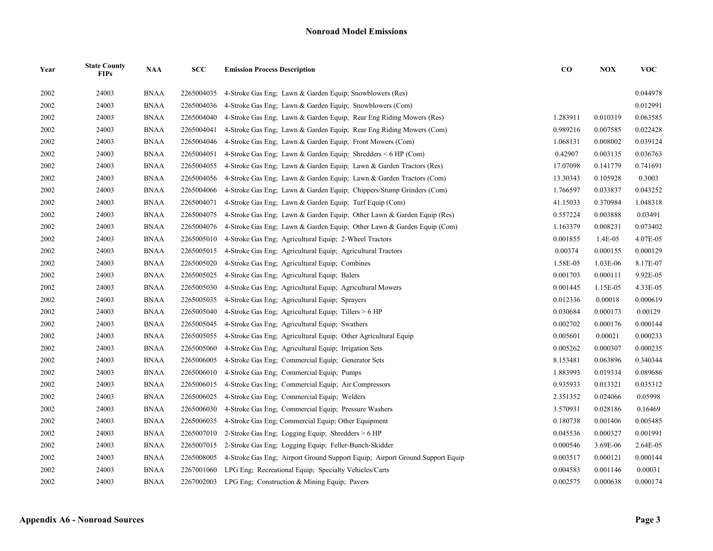| Year | <b>State County</b><br><b>FIPs</b> | <b>NAA</b>  | SCC        | <b>Emission Process Description</b>                                          | $\bf{CO}$ | <b>NOX</b> | <b>VOC</b> |
|------|------------------------------------|-------------|------------|------------------------------------------------------------------------------|-----------|------------|------------|
| 2002 | 24003                              | <b>BNAA</b> | 2265004035 | 4-Stroke Gas Eng: Lawn & Garden Equip: Snowblowers (Res)                     |           |            | 0.044978   |
| 2002 | 24003                              | <b>BNAA</b> | 2265004036 | 4-Stroke Gas Eng: Lawn & Garden Equip: Snowblowers (Com)                     |           |            | 0.012991   |
| 2002 | 24003                              | <b>BNAA</b> | 2265004040 | 4-Stroke Gas Eng; Lawn & Garden Equip; Rear Eng Riding Mowers (Res)          | 1.283911  | 0.010319   | 0.063585   |
| 2002 | 24003                              | <b>BNAA</b> | 2265004041 | 4-Stroke Gas Eng; Lawn & Garden Equip; Rear Eng Riding Mowers (Com)          | 0.989216  | 0.007585   | 0.022428   |
| 2002 | 24003                              | <b>BNAA</b> | 2265004046 | 4-Stroke Gas Eng; Lawn & Garden Equip; Front Mowers (Com)                    | 1.068131  | 0.008002   | 0.039124   |
| 2002 | 24003                              | <b>BNAA</b> | 2265004051 | 4-Stroke Gas Eng; Lawn & Garden Equip; Shredders $\leq 6$ HP (Com)           | 0.42907   | 0.003135   | 0.036763   |
| 2002 | 24003                              | <b>BNAA</b> | 2265004055 | 4-Stroke Gas Eng; Lawn & Garden Equip; Lawn & Garden Tractors (Res)          | 17.07098  | 0.141779   | 0.741691   |
| 2002 | 24003                              | <b>BNAA</b> | 2265004056 | 4-Stroke Gas Eng; Lawn & Garden Equip; Lawn & Garden Tractors (Com)          | 13.30343  | 0.105928   | 0.3003     |
| 2002 | 24003                              | <b>BNAA</b> | 2265004066 | 4-Stroke Gas Eng; Lawn & Garden Equip; Chippers/Stump Grinders (Com)         | 1.766597  | 0.033837   | 0.043252   |
| 2002 | 24003                              | <b>BNAA</b> | 2265004071 | 4-Stroke Gas Eng; Lawn & Garden Equip; Turf Equip (Com)                      | 41.15033  | 0.370984   | 1.048318   |
| 2002 | 24003                              | <b>BNAA</b> | 2265004075 | 4-Stroke Gas Eng; Lawn & Garden Equip; Other Lawn & Garden Equip (Res)       | 0.557224  | 0.003888   | 0.03491    |
| 2002 | 24003                              | <b>BNAA</b> | 2265004076 | 4-Stroke Gas Eng; Lawn & Garden Equip; Other Lawn & Garden Equip (Com)       | 1.163379  | 0.008231   | 0.073402   |
| 2002 | 24003                              | <b>BNAA</b> | 2265005010 | 4-Stroke Gas Eng; Agricultural Equip; 2-Wheel Tractors                       | 0.001855  | 1.4E-05    | 4.07E-05   |
| 2002 | 24003                              | <b>BNAA</b> | 2265005015 | 4-Stroke Gas Eng; Agricultural Equip; Agricultural Tractors                  | 0.00374   | 0.000155   | 0.000129   |
| 2002 | 24003                              | <b>BNAA</b> | 2265005020 | 4-Stroke Gas Eng; Agricultural Equip; Combines                               | 1.58E-05  | 1.03E-06   | 8.17E-07   |
| 2002 | 24003                              | <b>BNAA</b> | 2265005025 | 4-Stroke Gas Eng; Agricultural Equip; Balers                                 | 0.001703  | 0.000111   | 9.92E-05   |
| 2002 | 24003                              | <b>BNAA</b> | 2265005030 | 4-Stroke Gas Eng; Agricultural Equip; Agricultural Mowers                    | 0.001445  | 1.15E-05   | 4.33E-05   |
| 2002 | 24003                              | <b>BNAA</b> | 2265005035 | 4-Stroke Gas Eng; Agricultural Equip; Sprayers                               | 0.012336  | 0.00018    | 0.000619   |
| 2002 | 24003                              | <b>BNAA</b> | 2265005040 | 4-Stroke Gas Eng; Agricultural Equip; Tillers > 6 HP                         | 0.030684  | 0.000173   | 0.00129    |
| 2002 | 24003                              | <b>BNAA</b> | 2265005045 | 4-Stroke Gas Eng; Agricultural Equip; Swathers                               | 0.002702  | 0.000176   | 0.000144   |
| 2002 | 24003                              | <b>BNAA</b> | 2265005055 | 4-Stroke Gas Eng; Agricultural Equip; Other Agricultural Equip               | 0.005601  | 0.00021    | 0.000233   |
| 2002 | 24003                              | <b>BNAA</b> | 2265005060 | 4-Stroke Gas Eng; Agricultural Equip; Irrigation Sets                        | 0.005262  | 0.000307   | 0.000235   |
| 2002 | 24003                              | <b>BNAA</b> | 2265006005 | 4-Stroke Gas Eng; Commercial Equip; Generator Sets                           | 8.153481  | 0.063896   | 0.340344   |
| 2002 | 24003                              | <b>BNAA</b> | 2265006010 | 4-Stroke Gas Eng; Commercial Equip; Pumps                                    | 1.883993  | 0.019334   | 0.089686   |
| 2002 | 24003                              | <b>BNAA</b> | 2265006015 | 4-Stroke Gas Eng; Commercial Equip; Air Compressors                          | 0.935933  | 0.013321   | 0.035312   |
| 2002 | 24003                              | <b>BNAA</b> | 2265006025 | 4-Stroke Gas Eng; Commercial Equip; Welders                                  | 2.351352  | 0.024066   | 0.05998    |
| 2002 | 24003                              | <b>BNAA</b> | 2265006030 | 4-Stroke Gas Eng; Commercial Equip; Pressure Washers                         | 3.570931  | 0.028186   | 0.16469    |
| 2002 | 24003                              | <b>BNAA</b> | 2265006035 | 4-Stroke Gas Eng; Commercial Equip; Other Equipment                          | 0.180738  | 0.001406   | 0.005485   |
| 2002 | 24003                              | <b>BNAA</b> | 2265007010 | 2-Stroke Gas Eng; Logging Equip; Shredders > 6 HP                            | 0.045536  | 0.000327   | 0.001991   |
| 2002 | 24003                              | <b>BNAA</b> | 2265007015 | 2-Stroke Gas Eng; Logging Equip; Feller-Bunch-Skidder                        | 0.000546  | 3.69E-06   | 2.64E-05   |
| 2002 | 24003                              | <b>BNAA</b> | 2265008005 | 4-Stroke Gas Eng; Airport Ground Support Equip; Airport Ground Support Equip | 0.003517  | 0.000121   | 0.000144   |
| 2002 | 24003                              | <b>BNAA</b> | 2267001060 | LPG Eng; Recreational Equip; Specialty Vehicles/Carts                        | 0.004583  | 0.001146   | 0.00031    |
| 2002 | 24003                              | <b>BNAA</b> |            | 2267002003 LPG Eng: Construction & Mining Equip: Pavers                      | 0.002575  | 0.000638   | 0.000174   |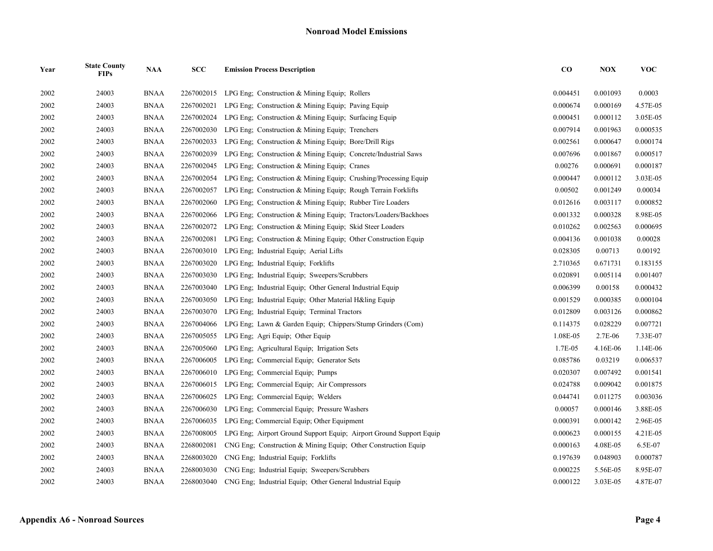| Year | <b>State County</b><br><b>FIPs</b> | <b>NAA</b>  | <b>SCC</b> | <b>Emission Process Description</b>                                  | $\bf CO$ | <b>NOX</b> | <b>VOC</b> |
|------|------------------------------------|-------------|------------|----------------------------------------------------------------------|----------|------------|------------|
| 2002 | 24003                              | <b>BNAA</b> |            | 2267002015 LPG Eng; Construction & Mining Equip; Rollers             | 0.004451 | 0.001093   | 0.0003     |
| 2002 | 24003                              | <b>BNAA</b> | 2267002021 | LPG Eng: Construction & Mining Equip; Paving Equip                   | 0.000674 | 0.000169   | 4.57E-05   |
| 2002 | 24003                              | <b>BNAA</b> | 2267002024 | LPG Eng. Construction & Mining Equip. Surfacing Equip.               | 0.000451 | 0.000112   | 3.05E-05   |
| 2002 | 24003                              | <b>BNAA</b> | 2267002030 | LPG Eng; Construction & Mining Equip; Trenchers                      | 0.007914 | 0.001963   | 0.000535   |
| 2002 | 24003                              | <b>BNAA</b> | 2267002033 | LPG Eng; Construction & Mining Equip; Bore/Drill Rigs                | 0.002561 | 0.000647   | 0.000174   |
| 2002 | 24003                              | <b>BNAA</b> | 2267002039 | LPG Eng: Construction & Mining Equip: Concrete/Industrial Saws       | 0.007696 | 0.001867   | 0.000517   |
| 2002 | 24003                              | <b>BNAA</b> | 2267002045 | LPG Eng; Construction & Mining Equip; Cranes                         | 0.00276  | 0.000691   | 0.000187   |
| 2002 | 24003                              | <b>BNAA</b> | 2267002054 | LPG Eng; Construction & Mining Equip; Crushing/Processing Equip      | 0.000447 | 0.000112   | 3.03E-05   |
| 2002 | 24003                              | <b>BNAA</b> | 2267002057 | LPG Eng. Construction & Mining Equip: Rough Terrain Forklifts        | 0.00502  | 0.001249   | 0.00034    |
| 2002 | 24003                              | <b>BNAA</b> | 2267002060 | LPG Eng; Construction & Mining Equip; Rubber Tire Loaders            | 0.012616 | 0.003117   | 0.000852   |
| 2002 | 24003                              | <b>BNAA</b> | 2267002066 | LPG Eng; Construction & Mining Equip; Tractors/Loaders/Backhoes      | 0.001332 | 0.000328   | 8.98E-05   |
| 2002 | 24003                              | BNAA        | 2267002072 | LPG Eng: Construction & Mining Equip: Skid Steer Loaders             | 0.010262 | 0.002563   | 0.000695   |
| 2002 | 24003                              | <b>BNAA</b> | 2267002081 | LPG Eng; Construction & Mining Equip; Other Construction Equip       | 0.004136 | 0.001038   | 0.00028    |
| 2002 | 24003                              | <b>BNAA</b> | 2267003010 | LPG Eng; Industrial Equip; Aerial Lifts                              | 0.028305 | 0.00713    | 0.00192    |
| 2002 | 24003                              | <b>BNAA</b> | 2267003020 | LPG Eng: Industrial Equip: Forklifts                                 | 2.710365 | 0.671731   | 0.183155   |
| 2002 | 24003                              | <b>BNAA</b> | 2267003030 | LPG Eng: Industrial Equip: Sweepers/Scrubbers                        | 0.020891 | 0.005114   | 0.001407   |
| 2002 | 24003                              | <b>BNAA</b> | 2267003040 | LPG Eng; Industrial Equip; Other General Industrial Equip            | 0.006399 | 0.00158    | 0.000432   |
| 2002 | 24003                              | <b>BNAA</b> | 2267003050 | LPG Eng; Industrial Equip; Other Material H&ling Equip               | 0.001529 | 0.000385   | 0.000104   |
| 2002 | 24003                              | <b>BNAA</b> | 2267003070 | LPG Eng; Industrial Equip; Terminal Tractors                         | 0.012809 | 0.003126   | 0.000862   |
| 2002 | 24003                              | <b>BNAA</b> | 2267004066 | LPG Eng; Lawn & Garden Equip; Chippers/Stump Grinders (Com)          | 0.114375 | 0.028229   | 0.007721   |
| 2002 | 24003                              | <b>BNAA</b> | 2267005055 | LPG Eng; Agri Equip; Other Equip                                     | 1.08E-05 | 2.7E-06    | 7.33E-07   |
| 2002 | 24003                              | <b>BNAA</b> | 2267005060 | LPG Eng; Agricultural Equip; Irrigation Sets                         | 1.7E-05  | 4.16E-06   | 1.14E-06   |
| 2002 | 24003                              | <b>BNAA</b> | 2267006005 | LPG Eng; Commercial Equip; Generator Sets                            | 0.085786 | 0.03219    | 0.006537   |
| 2002 | 24003                              | <b>BNAA</b> | 2267006010 | LPG Eng; Commercial Equip; Pumps                                     | 0.020307 | 0.007492   | 0.001541   |
| 2002 | 24003                              | <b>BNAA</b> | 2267006015 | LPG Eng; Commercial Equip; Air Compressors                           | 0.024788 | 0.009042   | 0.001875   |
| 2002 | 24003                              | <b>BNAA</b> | 2267006025 | LPG Eng; Commercial Equip; Welders                                   | 0.044741 | 0.011275   | 0.003036   |
| 2002 | 24003                              | <b>BNAA</b> | 2267006030 | LPG Eng; Commercial Equip; Pressure Washers                          | 0.00057  | 0.000146   | 3.88E-05   |
| 2002 | 24003                              | <b>BNAA</b> | 2267006035 | LPG Eng; Commercial Equip; Other Equipment                           | 0.000391 | 0.000142   | 2.96E-05   |
| 2002 | 24003                              | <b>BNAA</b> | 2267008005 | LPG Eng; Airport Ground Support Equip; Airport Ground Support Equip  | 0.000623 | 0.000155   | 4.21E-05   |
| 2002 | 24003                              | <b>BNAA</b> | 2268002081 | CNG Eng; Construction & Mining Equip; Other Construction Equip       | 0.000163 | 4.08E-05   | 6.5E-07    |
| 2002 | 24003                              | <b>BNAA</b> | 2268003020 | CNG Eng; Industrial Equip; Forklifts                                 | 0.197639 | 0.048903   | 0.000787   |
| 2002 | 24003                              | <b>BNAA</b> | 2268003030 | CNG Eng; Industrial Equip; Sweepers/Scrubbers                        | 0.000225 | 5.56E-05   | 8.95E-07   |
| 2002 | 24003                              | <b>BNAA</b> |            | 2268003040 CNG Eng; Industrial Equip; Other General Industrial Equip | 0.000122 | 3.03E-05   | 4.87E-07   |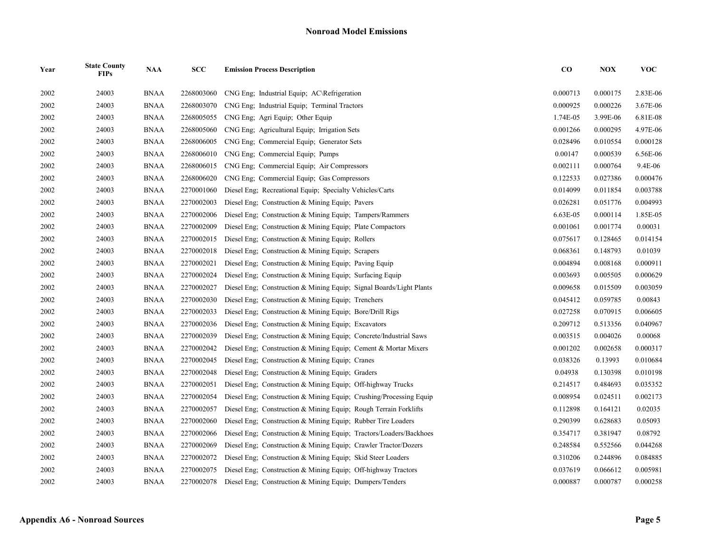| Year | <b>State County</b><br><b>FIPs</b> | <b>NAA</b>  | SCC        | <b>Emission Process Description</b>                                 | $\bf CO$ | <b>NOX</b> | <b>VOC</b> |
|------|------------------------------------|-------------|------------|---------------------------------------------------------------------|----------|------------|------------|
| 2002 | 24003                              | <b>BNAA</b> | 2268003060 | CNG Eng: Industrial Equip: AC\Refrigeration                         | 0.000713 | 0.000175   | 2.83E-06   |
| 2002 | 24003                              | <b>BNAA</b> | 2268003070 | CNG Eng; Industrial Equip; Terminal Tractors                        | 0.000925 | 0.000226   | 3.67E-06   |
| 2002 | 24003                              | <b>BNAA</b> | 2268005055 | CNG Eng; Agri Equip; Other Equip                                    | 1.74E-05 | 3.99E-06   | 6.81E-08   |
| 2002 | 24003                              | <b>BNAA</b> | 2268005060 | CNG Eng. Agricultural Equip: Irrigation Sets                        | 0.001266 | 0.000295   | 4.97E-06   |
| 2002 | 24003                              | <b>BNAA</b> | 2268006005 | CNG Eng; Commercial Equip; Generator Sets                           | 0.028496 | 0.010554   | 0.000128   |
| 2002 | 24003                              | <b>BNAA</b> | 2268006010 | CNG Eng; Commercial Equip; Pumps                                    | 0.00147  | 0.000539   | 6.56E-06   |
| 2002 | 24003                              | <b>BNAA</b> | 2268006015 | CNG Eng; Commercial Equip; Air Compressors                          | 0.002111 | 0.000764   | 9.4E-06    |
| 2002 | 24003                              | <b>BNAA</b> | 2268006020 | CNG Eng: Commercial Equip: Gas Compressors                          | 0.122533 | 0.027386   | 0.000476   |
| 2002 | 24003                              | <b>BNAA</b> | 2270001060 | Diesel Eng; Recreational Equip; Specialty Vehicles/Carts            | 0.014099 | 0.011854   | 0.003788   |
| 2002 | 24003                              | <b>BNAA</b> | 2270002003 | Diesel Eng; Construction & Mining Equip; Pavers                     | 0.026281 | 0.051776   | 0.004993   |
| 2002 | 24003                              | <b>BNAA</b> | 2270002006 | Diesel Eng; Construction & Mining Equip; Tampers/Rammers            | 6.63E-05 | 0.000114   | 1.85E-05   |
| 2002 | 24003                              | <b>BNAA</b> | 2270002009 | Diesel Eng; Construction & Mining Equip; Plate Compactors           | 0.001061 | 0.001774   | 0.00031    |
| 2002 | 24003                              | <b>BNAA</b> | 2270002015 | Diesel Eng; Construction & Mining Equip; Rollers                    | 0.075617 | 0.128465   | 0.014154   |
| 2002 | 24003                              | <b>BNAA</b> | 2270002018 | Diesel Eng; Construction & Mining Equip; Scrapers                   | 0.068361 | 0.148793   | 0.01039    |
| 2002 | 24003                              | <b>BNAA</b> | 2270002021 | Diesel Eng; Construction & Mining Equip; Paving Equip               | 0.004894 | 0.008168   | 0.000911   |
| 2002 | 24003                              | <b>BNAA</b> | 2270002024 | Diesel Eng; Construction & Mining Equip; Surfacing Equip            | 0.003693 | 0.005505   | 0.000629   |
| 2002 | 24003                              | <b>BNAA</b> | 2270002027 | Diesel Eng; Construction & Mining Equip; Signal Boards/Light Plants | 0.009658 | 0.015509   | 0.003059   |
| 2002 | 24003                              | <b>BNAA</b> | 2270002030 | Diesel Eng; Construction & Mining Equip; Trenchers                  | 0.045412 | 0.059785   | 0.00843    |
| 2002 | 24003                              | BNAA        | 2270002033 | Diesel Eng; Construction & Mining Equip; Bore/Drill Rigs            | 0.027258 | 0.070915   | 0.006605   |
| 2002 | 24003                              | <b>BNAA</b> | 2270002036 | Diesel Eng; Construction & Mining Equip; Excavators                 | 0.209712 | 0.513356   | 0.040967   |
| 2002 | 24003                              | <b>BNAA</b> | 2270002039 | Diesel Eng; Construction & Mining Equip; Concrete/Industrial Saws   | 0.003515 | 0.004026   | 0.00068    |
| 2002 | 24003                              | <b>BNAA</b> | 2270002042 | Diesel Eng; Construction & Mining Equip; Cement & Mortar Mixers     | 0.001202 | 0.002658   | 0.000317   |
| 2002 | 24003                              | <b>BNAA</b> | 2270002045 | Diesel Eng; Construction & Mining Equip; Cranes                     | 0.038326 | 0.13993    | 0.010684   |
| 2002 | 24003                              | <b>BNAA</b> | 2270002048 | Diesel Eng; Construction & Mining Equip; Graders                    | 0.04938  | 0.130398   | 0.010198   |
| 2002 | 24003                              | <b>BNAA</b> | 2270002051 | Diesel Eng; Construction & Mining Equip; Off-highway Trucks         | 0.214517 | 0.484693   | 0.035352   |
| 2002 | 24003                              | <b>BNAA</b> | 2270002054 | Diesel Eng; Construction & Mining Equip; Crushing/Processing Equip  | 0.008954 | 0.024511   | 0.002173   |
| 2002 | 24003                              | <b>BNAA</b> | 2270002057 | Diesel Eng; Construction & Mining Equip; Rough Terrain Forklifts    | 0.112898 | 0.164121   | 0.02035    |
| 2002 | 24003                              | <b>BNAA</b> | 2270002060 | Diesel Eng; Construction & Mining Equip; Rubber Tire Loaders        | 0.290399 | 0.628683   | 0.05093    |
| 2002 | 24003                              | <b>BNAA</b> | 2270002066 | Diesel Eng; Construction & Mining Equip; Tractors/Loaders/Backhoes  | 0.354717 | 0.381947   | 0.08792    |
| 2002 | 24003                              | <b>BNAA</b> | 2270002069 | Diesel Eng; Construction & Mining Equip; Crawler Tractor/Dozers     | 0.248584 | 0.552566   | 0.044268   |
| 2002 | 24003                              | <b>BNAA</b> | 2270002072 | Diesel Eng; Construction & Mining Equip; Skid Steer Loaders         | 0.310206 | 0.244896   | 0.084885   |
| 2002 | 24003                              | <b>BNAA</b> | 2270002075 | Diesel Eng; Construction & Mining Equip; Off-highway Tractors       | 0.037619 | 0.066612   | 0.005981   |
| 2002 | 24003                              | <b>BNAA</b> | 2270002078 | Diesel Eng: Construction & Mining Equip: Dumpers/Tenders            | 0.000887 | 0.000787   | 0.000258   |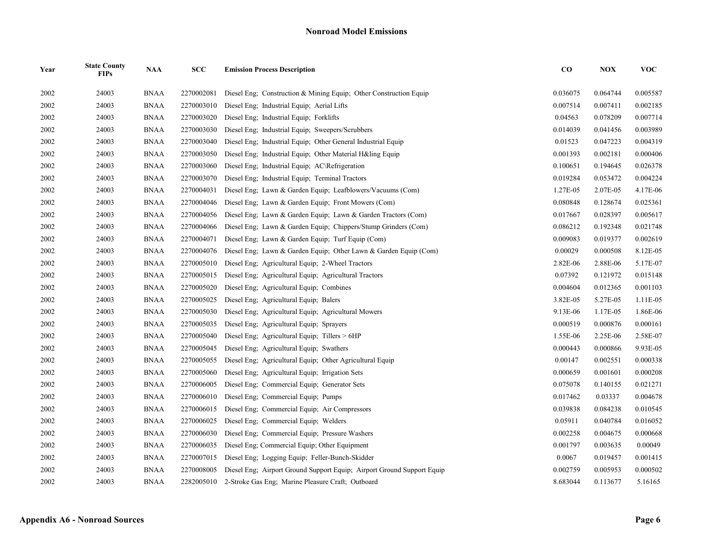| Year | <b>State County</b><br><b>FIPs</b> | <b>NAA</b>  | SCC        | <b>Emission Process Description</b>                                    | $\bf CO$ | <b>NOX</b> | <b>VOC</b> |
|------|------------------------------------|-------------|------------|------------------------------------------------------------------------|----------|------------|------------|
| 2002 | 24003                              | <b>BNAA</b> | 2270002081 | Diesel Eng. Construction & Mining Equip. Other Construction Equip.     | 0.036075 | 0.064744   | 0.005587   |
| 2002 | 24003                              | <b>BNAA</b> | 2270003010 | Diesel Eng; Industrial Equip; Aerial Lifts                             | 0.007514 | 0.007411   | 0.002185   |
| 2002 | 24003                              | <b>BNAA</b> | 2270003020 | Diesel Eng; Industrial Equip; Forklifts                                | 0.04563  | 0.078209   | 0.007714   |
| 2002 | 24003                              | <b>BNAA</b> | 2270003030 | Diesel Eng; Industrial Equip; Sweepers/Scrubbers                       | 0.014039 | 0.041456   | 0.003989   |
| 2002 | 24003                              | <b>BNAA</b> | 2270003040 | Diesel Eng; Industrial Equip; Other General Industrial Equip           | 0.01523  | 0.047223   | 0.004319   |
| 2002 | 24003                              | <b>BNAA</b> | 2270003050 | Diesel Eng; Industrial Equip; Other Material H&ling Equip              | 0.001393 | 0.002181   | 0.000406   |
| 2002 | 24003                              | <b>BNAA</b> | 2270003060 | Diesel Eng; Industrial Equip; AC\Refrigeration                         | 0.100651 | 0.194645   | 0.026378   |
| 2002 | 24003                              | <b>BNAA</b> | 2270003070 | Diesel Eng; Industrial Equip; Terminal Tractors                        | 0.019284 | 0.053472   | 0.004224   |
| 2002 | 24003                              | <b>BNAA</b> | 2270004031 | Diesel Eng; Lawn & Garden Equip; Leafblowers/Vacuums (Com)             | 1.27E-05 | 2.07E-05   | 4.17E-06   |
| 2002 | 24003                              | <b>BNAA</b> | 2270004046 | Diesel Eng; Lawn & Garden Equip; Front Mowers (Com)                    | 0.080848 | 0.128674   | 0.025361   |
| 2002 | 24003                              | <b>BNAA</b> | 2270004056 | Diesel Eng; Lawn & Garden Equip; Lawn & Garden Tractors (Com)          | 0.017667 | 0.028397   | 0.005617   |
| 2002 | 24003                              | <b>BNAA</b> | 2270004066 | Diesel Eng; Lawn & Garden Equip; Chippers/Stump Grinders (Com)         | 0.086212 | 0.192348   | 0.021748   |
| 2002 | 24003                              | <b>BNAA</b> | 2270004071 | Diesel Eng; Lawn & Garden Equip; Turf Equip (Com)                      | 0.009083 | 0.019377   | 0.002619   |
| 2002 | 24003                              | <b>BNAA</b> | 2270004076 | Diesel Eng; Lawn & Garden Equip; Other Lawn & Garden Equip (Com)       | 0.00029  | 0.000508   | 8.12E-05   |
| 2002 | 24003                              | <b>BNAA</b> | 2270005010 | Diesel Eng; Agricultural Equip; 2-Wheel Tractors                       | 2.82E-06 | 2.88E-06   | 5.17E-07   |
| 2002 | 24003                              | <b>BNAA</b> | 2270005015 | Diesel Eng; Agricultural Equip; Agricultural Tractors                  | 0.07392  | 0.121972   | 0.015148   |
| 2002 | 24003                              | <b>BNAA</b> | 2270005020 | Diesel Eng; Agricultural Equip; Combines                               | 0.004604 | 0.012365   | 0.001103   |
| 2002 | 24003                              | <b>BNAA</b> | 2270005025 | Diesel Eng; Agricultural Equip; Balers                                 | 3.82E-05 | 5.27E-05   | 1.11E-05   |
| 2002 | 24003                              | <b>BNAA</b> | 2270005030 | Diesel Eng; Agricultural Equip; Agricultural Mowers                    | 9.13E-06 | 1.17E-05   | 1.86E-06   |
| 2002 | 24003                              | <b>BNAA</b> | 2270005035 | Diesel Eng; Agricultural Equip; Sprayers                               | 0.000519 | 0.000876   | 0.000161   |
| 2002 | 24003                              | <b>BNAA</b> | 2270005040 | Diesel Eng; Agricultural Equip; Tillers > 6HP                          | 1.55E-06 | 2.25E-06   | 2.58E-07   |
| 2002 | 24003                              | <b>BNAA</b> | 2270005045 | Diesel Eng; Agricultural Equip; Swathers                               | 0.000443 | 0.000866   | 9.93E-05   |
| 2002 | 24003                              | <b>BNAA</b> | 2270005055 | Diesel Eng: Agricultural Equip: Other Agricultural Equip               | 0.00147  | 0.002551   | 0.000338   |
| 2002 | 24003                              | <b>BNAA</b> | 2270005060 | Diesel Eng; Agricultural Equip; Irrigation Sets                        | 0.000659 | 0.001601   | 0.000208   |
| 2002 | 24003                              | <b>BNAA</b> | 2270006005 | Diesel Eng; Commercial Equip; Generator Sets                           | 0.075078 | 0.140155   | 0.021271   |
| 2002 | 24003                              | <b>BNAA</b> | 2270006010 | Diesel Eng: Commercial Equip: Pumps                                    | 0.017462 | 0.03337    | 0.004678   |
| 2002 | 24003                              | <b>BNAA</b> | 2270006015 | Diesel Eng; Commercial Equip; Air Compressors                          | 0.039838 | 0.084238   | 0.010545   |
| 2002 | 24003                              | <b>BNAA</b> | 2270006025 | Diesel Eng; Commercial Equip; Welders                                  | 0.05911  | 0.040784   | 0.016052   |
| 2002 | 24003                              | <b>BNAA</b> | 2270006030 | Diesel Eng; Commercial Equip; Pressure Washers                         | 0.002258 | 0.004675   | 0.000668   |
| 2002 | 24003                              | <b>BNAA</b> | 2270006035 | Diesel Eng; Commercial Equip; Other Equipment                          | 0.001797 | 0.003635   | 0.00049    |
| 2002 | 24003                              | <b>BNAA</b> | 2270007015 | Diesel Eng; Logging Equip; Feller-Bunch-Skidder                        | 0.0067   | 0.019457   | 0.001415   |
| 2002 | 24003                              | <b>BNAA</b> | 2270008005 | Diesel Eng; Airport Ground Support Equip; Airport Ground Support Equip | 0.002759 | 0.005953   | 0.000502   |
| 2002 | 24003                              | <b>BNAA</b> | 2282005010 | 2-Stroke Gas Eng; Marine Pleasure Craft; Outboard                      | 8.683044 | 0.113677   | 5.16165    |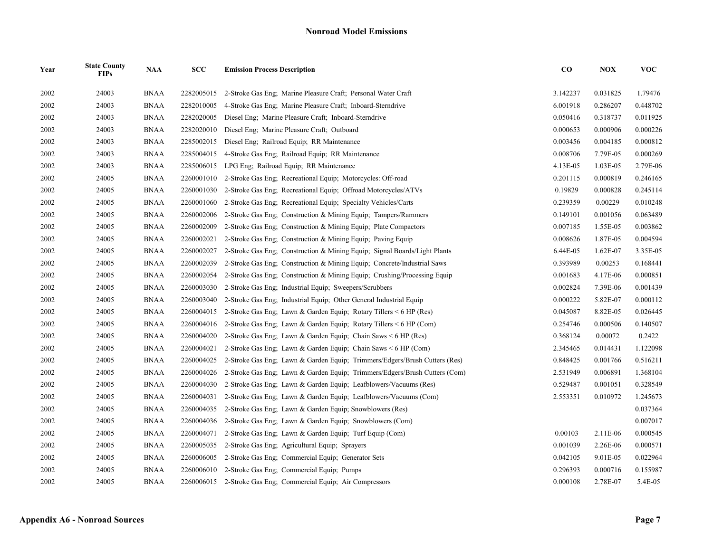| Year | <b>State County</b><br><b>FIPs</b> | <b>NAA</b>  | SCC        | <b>Emission Process Description</b>                                        | $\bf CO$ | <b>NOX</b> | <b>VOC</b> |
|------|------------------------------------|-------------|------------|----------------------------------------------------------------------------|----------|------------|------------|
| 2002 | 24003                              | <b>BNAA</b> | 2282005015 | 2-Stroke Gas Eng; Marine Pleasure Craft; Personal Water Craft              | 3.142237 | 0.031825   | 1.79476    |
| 2002 | 24003                              | <b>BNAA</b> | 2282010005 | 4-Stroke Gas Eng: Marine Pleasure Craft: Inboard-Sterndrive                | 6.001918 | 0.286207   | 0.448702   |
| 2002 | 24003                              | <b>BNAA</b> | 2282020005 | Diesel Eng; Marine Pleasure Craft; Inboard-Sterndrive                      | 0.050416 | 0.318737   | 0.011925   |
| 2002 | 24003                              | <b>BNAA</b> | 2282020010 | Diesel Eng; Marine Pleasure Craft; Outboard                                | 0.000653 | 0.000906   | 0.000226   |
| 2002 | 24003                              | <b>BNAA</b> | 2285002015 | Diesel Eng; Railroad Equip; RR Maintenance                                 | 0.003456 | 0.004185   | 0.000812   |
| 2002 | 24003                              | <b>BNAA</b> | 2285004015 | 4-Stroke Gas Eng; Railroad Equip; RR Maintenance                           | 0.008706 | 7.79E-05   | 0.000269   |
| 2002 | 24003                              | <b>BNAA</b> | 2285006015 | LPG Eng; Railroad Equip; RR Maintenance                                    | 4.13E-05 | 1.03E-05   | 2.79E-06   |
| 2002 | 24005                              | <b>BNAA</b> | 2260001010 | 2-Stroke Gas Eng; Recreational Equip; Motorcycles: Off-road                | 0.201115 | 0.000819   | 0.246165   |
| 2002 | 24005                              | <b>BNAA</b> | 2260001030 | 2-Stroke Gas Eng; Recreational Equip; Offroad Motorcycles/ATVs             | 0.19829  | 0.000828   | 0.245114   |
| 2002 | 24005                              | <b>BNAA</b> | 2260001060 | 2-Stroke Gas Eng; Recreational Equip; Specialty Vehicles/Carts             | 0.239359 | 0.00229    | 0.010248   |
| 2002 | 24005                              | <b>BNAA</b> | 2260002006 | 2-Stroke Gas Eng: Construction & Mining Equip: Tampers/Rammers             | 0.149101 | 0.001056   | 0.063489   |
| 2002 | 24005                              | <b>BNAA</b> | 2260002009 | 2-Stroke Gas Eng; Construction & Mining Equip; Plate Compactors            | 0.007185 | 1.55E-05   | 0.003862   |
| 2002 | 24005                              | <b>BNAA</b> | 2260002021 | 2-Stroke Gas Eng: Construction & Mining Equip: Paving Equip                | 0.008626 | 1.87E-05   | 0.004594   |
| 2002 | 24005                              | <b>BNAA</b> | 2260002027 | 2-Stroke Gas Eng; Construction & Mining Equip; Signal Boards/Light Plants  | 6.44E-05 | 1.62E-07   | 3.35E-05   |
| 2002 | 24005                              | <b>BNAA</b> | 2260002039 | 2-Stroke Gas Eng; Construction & Mining Equip; Concrete/Industrial Saws    | 0.393989 | 0.00253    | 0.168441   |
| 2002 | 24005                              | <b>BNAA</b> | 2260002054 | 2-Stroke Gas Eng: Construction & Mining Equip: Crushing/Processing Equip   | 0.001683 | 4.17E-06   | 0.000851   |
| 2002 | 24005                              | <b>BNAA</b> | 2260003030 | 2-Stroke Gas Eng; Industrial Equip; Sweepers/Scrubbers                     | 0.002824 | 7.39E-06   | 0.001439   |
| 2002 | 24005                              | <b>BNAA</b> | 2260003040 | 2-Stroke Gas Eng; Industrial Equip; Other General Industrial Equip         | 0.000222 | 5.82E-07   | 0.000112   |
| 2002 | 24005                              | <b>BNAA</b> | 2260004015 | 2-Stroke Gas Eng; Lawn & Garden Equip; Rotary Tillers $\leq 6$ HP (Res)    | 0.045087 | 8.82E-05   | 0.026445   |
| 2002 | 24005                              | <b>BNAA</b> | 2260004016 | 2-Stroke Gas Eng; Lawn & Garden Equip; Rotary Tillers < 6 HP (Com)         | 0.254746 | 0.000506   | 0.140507   |
| 2002 | 24005                              | <b>BNAA</b> | 2260004020 | 2-Stroke Gas Eng; Lawn & Garden Equip; Chain Saws < 6 HP (Res)             | 0.368124 | 0.00072    | 0.2422     |
| 2002 | 24005                              | <b>BNAA</b> | 2260004021 | 2-Stroke Gas Eng; Lawn & Garden Equip; Chain Saws $\leq 6$ HP (Com)        | 2.345465 | 0.014431   | 1.122098   |
| 2002 | 24005                              | <b>BNAA</b> | 2260004025 | 2-Stroke Gas Eng; Lawn & Garden Equip; Trimmers/Edgers/Brush Cutters (Res) | 0.848425 | 0.001766   | 0.516211   |
| 2002 | 24005                              | <b>BNAA</b> | 2260004026 | 2-Stroke Gas Eng; Lawn & Garden Equip; Trimmers/Edgers/Brush Cutters (Com) | 2.531949 | 0.006891   | 1.368104   |
| 2002 | 24005                              | <b>BNAA</b> | 2260004030 | 2-Stroke Gas Eng; Lawn & Garden Equip; Leafblowers/Vacuums (Res)           | 0.529487 | 0.001051   | 0.328549   |
| 2002 | 24005                              | <b>BNAA</b> | 2260004031 | 2-Stroke Gas Eng; Lawn & Garden Equip; Leafblowers/Vacuums (Com)           | 2.553351 | 0.010972   | 1.245673   |
| 2002 | 24005                              | <b>BNAA</b> | 2260004035 | 2-Stroke Gas Eng; Lawn & Garden Equip; Snowblowers (Res)                   |          |            | 0.037364   |
| 2002 | 24005                              | <b>BNAA</b> | 2260004036 | 2-Stroke Gas Eng; Lawn & Garden Equip; Snowblowers (Com)                   |          |            | 0.007017   |
| 2002 | 24005                              | <b>BNAA</b> | 2260004071 | 2-Stroke Gas Eng: Lawn & Garden Equip: Turf Equip (Com)                    | 0.00103  | 2.11E-06   | 0.000545   |
| 2002 | 24005                              | <b>BNAA</b> | 2260005035 | 2-Stroke Gas Eng; Agricultural Equip; Sprayers                             | 0.001039 | 2.26E-06   | 0.000571   |
| 2002 | 24005                              | <b>BNAA</b> | 2260006005 | 2-Stroke Gas Eng; Commercial Equip; Generator Sets                         | 0.042105 | 9.01E-05   | 0.022964   |
| 2002 | 24005                              | <b>BNAA</b> | 2260006010 | 2-Stroke Gas Eng; Commercial Equip; Pumps                                  | 0.296393 | 0.000716   | 0.155987   |
| 2002 | 24005                              | <b>BNAA</b> | 2260006015 | 2-Stroke Gas Eng; Commercial Equip; Air Compressors                        | 0.000108 | 2.78E-07   | 5.4E-05    |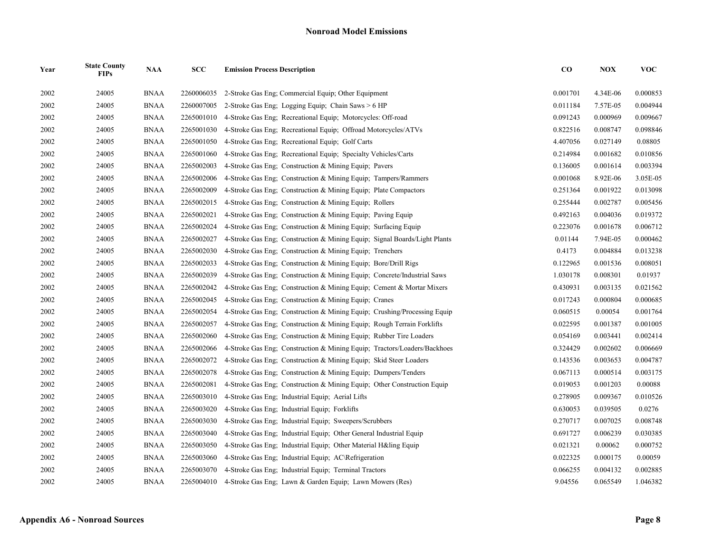| Year | <b>State County</b><br><b>FIPs</b> | <b>NAA</b>  | SCC        | <b>Emission Process Description</b>                                       | $\bf CO$ | <b>NOX</b> | <b>VOC</b> |
|------|------------------------------------|-------------|------------|---------------------------------------------------------------------------|----------|------------|------------|
| 2002 | 24005                              | <b>BNAA</b> | 2260006035 | 2-Stroke Gas Eng; Commercial Equip; Other Equipment                       | 0.001701 | 4.34E-06   | 0.000853   |
| 2002 | 24005                              | <b>BNAA</b> | 2260007005 | 2-Stroke Gas Eng: Logging Equip: Chain Saws > 6 HP                        | 0.011184 | 7.57E-05   | 0.004944   |
| 2002 | 24005                              | <b>BNAA</b> | 2265001010 | 4-Stroke Gas Eng; Recreational Equip; Motorcycles: Off-road               | 0.091243 | 0.000969   | 0.009667   |
| 2002 | 24005                              | <b>BNAA</b> | 2265001030 | 4-Stroke Gas Eng; Recreational Equip; Offroad Motorcycles/ATVs            | 0.822516 | 0.008747   | 0.098846   |
| 2002 | 24005                              | <b>BNAA</b> | 2265001050 | 4-Stroke Gas Eng: Recreational Equip: Golf Carts                          | 4.407056 | 0.027149   | 0.08805    |
| 2002 | 24005                              | <b>BNAA</b> | 2265001060 | 4-Stroke Gas Eng; Recreational Equip; Specialty Vehicles/Carts            | 0.214984 | 0.001682   | 0.010856   |
| 2002 | 24005                              | <b>BNAA</b> | 2265002003 | 4-Stroke Gas Eng: Construction & Mining Equip: Pavers                     | 0.136005 | 0.001614   | 0.003394   |
| 2002 | 24005                              | <b>BNAA</b> | 2265002006 | 4-Stroke Gas Eng; Construction & Mining Equip; Tampers/Rammers            | 0.001068 | 8.92E-06   | 3.05E-05   |
| 2002 | 24005                              | <b>BNAA</b> | 2265002009 | 4-Stroke Gas Eng; Construction & Mining Equip; Plate Compactors           | 0.251364 | 0.001922   | 0.013098   |
| 2002 | 24005                              | <b>BNAA</b> | 2265002015 | 4-Stroke Gas Eng; Construction & Mining Equip; Rollers                    | 0.255444 | 0.002787   | 0.005456   |
| 2002 | 24005                              | <b>BNAA</b> | 2265002021 | 4-Stroke Gas Eng: Construction & Mining Equip: Paving Equip               | 0.492163 | 0.004036   | 0.019372   |
| 2002 | 24005                              | <b>BNAA</b> | 2265002024 | 4-Stroke Gas Eng; Construction & Mining Equip; Surfacing Equip            | 0.223076 | 0.001678   | 0.006712   |
| 2002 | 24005                              | <b>BNAA</b> | 2265002027 | 4-Stroke Gas Eng; Construction & Mining Equip; Signal Boards/Light Plants | 0.01144  | 7.94E-05   | 0.000462   |
| 2002 | 24005                              | <b>BNAA</b> | 2265002030 | 4-Stroke Gas Eng: Construction & Mining Equip: Trenchers                  | 0.4173   | 0.004884   | 0.013238   |
| 2002 | 24005                              | <b>BNAA</b> | 2265002033 | 4-Stroke Gas Eng; Construction & Mining Equip; Bore/Drill Rigs            | 0.122965 | 0.001536   | 0.008051   |
| 2002 | 24005                              | <b>BNAA</b> | 2265002039 | 4-Stroke Gas Eng; Construction & Mining Equip; Concrete/Industrial Saws   | 1.030178 | 0.008301   | 0.01937    |
| 2002 | 24005                              | <b>BNAA</b> | 2265002042 | 4-Stroke Gas Eng; Construction & Mining Equip; Cement & Mortar Mixers     | 0.430931 | 0.003135   | 0.021562   |
| 2002 | 24005                              | <b>BNAA</b> | 2265002045 | 4-Stroke Gas Eng; Construction & Mining Equip; Cranes                     | 0.017243 | 0.000804   | 0.000685   |
| 2002 | 24005                              | <b>BNAA</b> | 2265002054 | 4-Stroke Gas Eng; Construction & Mining Equip; Crushing/Processing Equip  | 0.060515 | 0.00054    | 0.001764   |
| 2002 | 24005                              | <b>BNAA</b> | 2265002057 | 4-Stroke Gas Eng; Construction & Mining Equip; Rough Terrain Forklifts    | 0.022595 | 0.001387   | 0.001005   |
| 2002 | 24005                              | <b>BNAA</b> | 2265002060 | 4-Stroke Gas Eng; Construction & Mining Equip; Rubber Tire Loaders        | 0.054169 | 0.003441   | 0.002414   |
| 2002 | 24005                              | <b>BNAA</b> | 2265002066 | 4-Stroke Gas Eng; Construction & Mining Equip; Tractors/Loaders/Backhoes  | 0.324429 | 0.002602   | 0.006669   |
| 2002 | 24005                              | <b>BNAA</b> | 2265002072 | 4-Stroke Gas Eng; Construction & Mining Equip; Skid Steer Loaders         | 0.143536 | 0.003653   | 0.004787   |
| 2002 | 24005                              | <b>BNAA</b> | 2265002078 | 4-Stroke Gas Eng; Construction & Mining Equip; Dumpers/Tenders            | 0.067113 | 0.000514   | 0.003175   |
| 2002 | 24005                              | <b>BNAA</b> | 2265002081 | 4-Stroke Gas Eng; Construction & Mining Equip; Other Construction Equip   | 0.019053 | 0.001203   | 0.00088    |
| 2002 | 24005                              | <b>BNAA</b> | 2265003010 | 4-Stroke Gas Eng; Industrial Equip; Aerial Lifts                          | 0.278905 | 0.009367   | 0.010526   |
| 2002 | 24005                              | <b>BNAA</b> | 2265003020 | 4-Stroke Gas Eng; Industrial Equip; Forklifts                             | 0.630053 | 0.039505   | 0.0276     |
| 2002 | 24005                              | <b>BNAA</b> | 2265003030 | 4-Stroke Gas Eng; Industrial Equip; Sweepers/Scrubbers                    | 0.270717 | 0.007025   | 0.008748   |
| 2002 | 24005                              | <b>BNAA</b> | 2265003040 | 4-Stroke Gas Eng; Industrial Equip; Other General Industrial Equip        | 0.691727 | 0.006239   | 0.030385   |
| 2002 | 24005                              | <b>BNAA</b> | 2265003050 | 4-Stroke Gas Eng; Industrial Equip; Other Material H&ling Equip           | 0.021321 | 0.00062    | 0.000752   |
| 2002 | 24005                              | <b>BNAA</b> | 2265003060 | 4-Stroke Gas Eng: Industrial Equip: AC\Refrigeration                      | 0.022325 | 0.000175   | 0.00059    |
| 2002 | 24005                              | <b>BNAA</b> | 2265003070 | 4-Stroke Gas Eng; Industrial Equip; Terminal Tractors                     | 0.066255 | 0.004132   | 0.002885   |
| 2002 | 24005                              | <b>BNAA</b> | 2265004010 | 4-Stroke Gas Eng: Lawn & Garden Equip: Lawn Mowers (Res)                  | 9.04556  | 0.065549   | 1.046382   |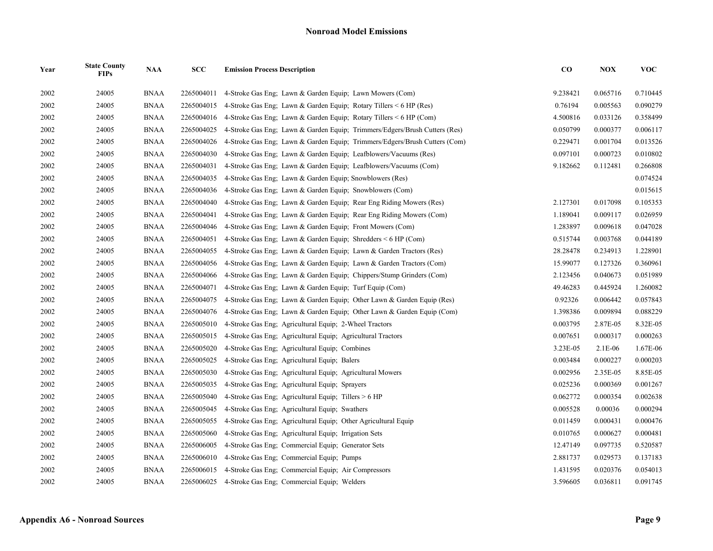| Year | <b>State County</b><br><b>FIPs</b> | <b>NAA</b>  | SCC        | <b>Emission Process Description</b>                                        | $\bf{CO}$ | <b>NOX</b> | <b>VOC</b> |
|------|------------------------------------|-------------|------------|----------------------------------------------------------------------------|-----------|------------|------------|
| 2002 | 24005                              | <b>BNAA</b> | 2265004011 | 4-Stroke Gas Eng: Lawn & Garden Equip: Lawn Mowers (Com)                   | 9.238421  | 0.065716   | 0.710445   |
| 2002 | 24005                              | <b>BNAA</b> | 2265004015 | 4-Stroke Gas Eng; Lawn & Garden Equip; Rotary Tillers $\leq 6$ HP (Res)    | 0.76194   | 0.005563   | 0.090279   |
| 2002 | 24005                              | <b>BNAA</b> | 2265004016 | 4-Stroke Gas Eng; Lawn & Garden Equip; Rotary Tillers $\leq 6$ HP (Com)    | 4.500816  | 0.033126   | 0.358499   |
| 2002 | 24005                              | <b>BNAA</b> | 2265004025 | 4-Stroke Gas Eng; Lawn & Garden Equip; Trimmers/Edgers/Brush Cutters (Res) | 0.050799  | 0.000377   | 0.006117   |
| 2002 | 24005                              | <b>BNAA</b> | 2265004026 | 4-Stroke Gas Eng; Lawn & Garden Equip; Trimmers/Edgers/Brush Cutters (Com) | 0.229471  | 0.001704   | 0.013526   |
| 2002 | 24005                              | <b>BNAA</b> | 2265004030 | 4-Stroke Gas Eng; Lawn & Garden Equip; Leafblowers/Vacuums (Res)           | 0.097101  | 0.000723   | 0.010802   |
| 2002 | 24005                              | <b>BNAA</b> | 2265004031 | 4-Stroke Gas Eng; Lawn & Garden Equip; Leafblowers/Vacuums (Com)           | 9.182662  | 0.112481   | 0.266808   |
| 2002 | 24005                              | <b>BNAA</b> | 2265004035 | 4-Stroke Gas Eng: Lawn & Garden Equip: Snowblowers (Res)                   |           |            | 0.074524   |
| 2002 | 24005                              | <b>BNAA</b> | 2265004036 | 4-Stroke Gas Eng. Lawn & Garden Equip: Snowblowers (Com)                   |           |            | 0.015615   |
| 2002 | 24005                              | <b>BNAA</b> | 2265004040 | 4-Stroke Gas Eng; Lawn & Garden Equip; Rear Eng Riding Mowers (Res)        | 2.127301  | 0.017098   | 0.105353   |
| 2002 | 24005                              | <b>BNAA</b> | 2265004041 | 4-Stroke Gas Eng; Lawn & Garden Equip; Rear Eng Riding Mowers (Com)        | 1.189041  | 0.009117   | 0.026959   |
| 2002 | 24005                              | <b>BNAA</b> | 2265004046 | 4-Stroke Gas Eng: Lawn & Garden Equip: Front Mowers (Com)                  | 1.283897  | 0.009618   | 0.047028   |
| 2002 | 24005                              | <b>BNAA</b> | 2265004051 | 4-Stroke Gas Eng; Lawn & Garden Equip; Shredders $\leq 6$ HP (Com)         | 0.515744  | 0.003768   | 0.044189   |
| 2002 | 24005                              | <b>BNAA</b> | 2265004055 | 4-Stroke Gas Eng; Lawn & Garden Equip; Lawn & Garden Tractors (Res)        | 28.28478  | 0.234913   | 1.228901   |
| 2002 | 24005                              | <b>BNAA</b> | 2265004056 | 4-Stroke Gas Eng; Lawn & Garden Equip; Lawn & Garden Tractors (Com)        | 15.99077  | 0.127326   | 0.360961   |
| 2002 | 24005                              | <b>BNAA</b> | 2265004066 | 4-Stroke Gas Eng; Lawn & Garden Equip; Chippers/Stump Grinders (Com)       | 2.123456  | 0.040673   | 0.051989   |
| 2002 | 24005                              | <b>BNAA</b> | 2265004071 | 4-Stroke Gas Eng; Lawn & Garden Equip; Turf Equip (Com)                    | 49.46283  | 0.445924   | 1.260082   |
| 2002 | 24005                              | <b>BNAA</b> | 2265004075 | 4-Stroke Gas Eng; Lawn & Garden Equip; Other Lawn & Garden Equip (Res)     | 0.92326   | 0.006442   | 0.057843   |
| 2002 | 24005                              | <b>BNAA</b> | 2265004076 | 4-Stroke Gas Eng; Lawn & Garden Equip; Other Lawn & Garden Equip (Com)     | 1.398386  | 0.009894   | 0.088229   |
| 2002 | 24005                              | <b>BNAA</b> | 2265005010 | 4-Stroke Gas Eng; Agricultural Equip; 2-Wheel Tractors                     | 0.003795  | 2.87E-05   | 8.32E-05   |
| 2002 | 24005                              | <b>BNAA</b> | 2265005015 | 4-Stroke Gas Eng; Agricultural Equip; Agricultural Tractors                | 0.007651  | 0.000317   | 0.000263   |
| 2002 | 24005                              | <b>BNAA</b> | 2265005020 | 4-Stroke Gas Eng: Agricultural Equip: Combines                             | 3.23E-05  | $2.1E-06$  | 1.67E-06   |
| 2002 | 24005                              | <b>BNAA</b> | 2265005025 | 4-Stroke Gas Eng; Agricultural Equip; Balers                               | 0.003484  | 0.000227   | 0.000203   |
| 2002 | 24005                              | <b>BNAA</b> | 2265005030 | 4-Stroke Gas Eng; Agricultural Equip; Agricultural Mowers                  | 0.002956  | 2.35E-05   | 8.85E-05   |
| 2002 | 24005                              | <b>BNAA</b> | 2265005035 | 4-Stroke Gas Eng; Agricultural Equip; Sprayers                             | 0.025236  | 0.000369   | 0.001267   |
| 2002 | 24005                              | <b>BNAA</b> | 2265005040 | 4-Stroke Gas Eng; Agricultural Equip; Tillers > 6 HP                       | 0.062772  | 0.000354   | 0.002638   |
| 2002 | 24005                              | <b>BNAA</b> | 2265005045 | 4-Stroke Gas Eng; Agricultural Equip; Swathers                             | 0.005528  | 0.00036    | 0.000294   |
| 2002 | 24005                              | <b>BNAA</b> | 2265005055 | 4-Stroke Gas Eng; Agricultural Equip; Other Agricultural Equip             | 0.011459  | 0.000431   | 0.000476   |
| 2002 | 24005                              | <b>BNAA</b> | 2265005060 | 4-Stroke Gas Eng: Agricultural Equip: Irrigation Sets                      | 0.010765  | 0.000627   | 0.000481   |
| 2002 | 24005                              | <b>BNAA</b> | 2265006005 | 4-Stroke Gas Eng; Commercial Equip; Generator Sets                         | 12.47149  | 0.097735   | 0.520587   |
| 2002 | 24005                              | <b>BNAA</b> | 2265006010 | 4-Stroke Gas Eng; Commercial Equip; Pumps                                  | 2.881737  | 0.029573   | 0.137183   |
| 2002 | 24005                              | <b>BNAA</b> | 2265006015 | 4-Stroke Gas Eng; Commercial Equip; Air Compressors                        | 1.431595  | 0.020376   | 0.054013   |
| 2002 | 24005                              | <b>BNAA</b> | 2265006025 | 4-Stroke Gas Eng: Commercial Equip: Welders                                | 3.596605  | 0.036811   | 0.091745   |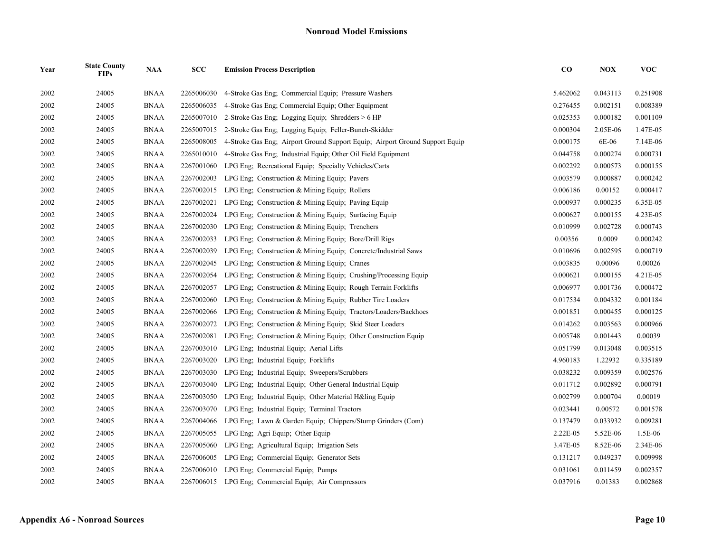| Year | <b>State County</b><br><b>FIPs</b> | <b>NAA</b>  | <b>SCC</b> | <b>Emission Process Description</b>                                          | $\bf CO$ | <b>NOX</b> | <b>VOC</b> |
|------|------------------------------------|-------------|------------|------------------------------------------------------------------------------|----------|------------|------------|
| 2002 | 24005                              | <b>BNAA</b> | 2265006030 | 4-Stroke Gas Eng: Commercial Equip: Pressure Washers                         | 5.462062 | 0.043113   | 0.251908   |
| 2002 | 24005                              | <b>BNAA</b> | 2265006035 | 4-Stroke Gas Eng; Commercial Equip; Other Equipment                          | 0.276455 | 0.002151   | 0.008389   |
| 2002 | 24005                              | <b>BNAA</b> | 2265007010 | 2-Stroke Gas Eng; Logging Equip; Shredders > 6 HP                            | 0.025353 | 0.000182   | 0.001109   |
| 2002 | 24005                              | <b>BNAA</b> | 2265007015 | 2-Stroke Gas Eng; Logging Equip; Feller-Bunch-Skidder                        | 0.000304 | 2.05E-06   | 1.47E-05   |
| 2002 | 24005                              | <b>BNAA</b> | 2265008005 | 4-Stroke Gas Eng; Airport Ground Support Equip; Airport Ground Support Equip | 0.000175 | 6E-06      | 7.14E-06   |
| 2002 | 24005                              | <b>BNAA</b> | 2265010010 | 4-Stroke Gas Eng; Industrial Equip; Other Oil Field Equipment                | 0.044758 | 0.000274   | 0.000731   |
| 2002 | 24005                              | <b>BNAA</b> | 2267001060 | LPG Eng; Recreational Equip; Specialty Vehicles/Carts                        | 0.002292 | 0.000573   | 0.000155   |
| 2002 | 24005                              | <b>BNAA</b> | 2267002003 | LPG Eng. Construction & Mining Equip. Pavers                                 | 0.003579 | 0.000887   | 0.000242   |
| 2002 | 24005                              | <b>BNAA</b> | 2267002015 | LPG Eng: Construction $&$ Mining Equip: Rollers                              | 0.006186 | 0.00152    | 0.000417   |
| 2002 | 24005                              | <b>BNAA</b> | 2267002021 | LPG Eng; Construction & Mining Equip; Paving Equip                           | 0.000937 | 0.000235   | 6.35E-05   |
| 2002 | 24005                              | <b>BNAA</b> | 2267002024 | LPG Eng. Construction & Mining Equip. Surfacing Equip.                       | 0.000627 | 0.000155   | 4.23E-05   |
| 2002 | 24005                              | <b>BNAA</b> | 2267002030 | LPG Eng; Construction $&$ Mining Equip; Trenchers                            | 0.010999 | 0.002728   | 0.000743   |
| 2002 | 24005                              | <b>BNAA</b> | 2267002033 | LPG Eng; Construction $\&$ Mining Equip; Bore/Drill Rigs                     | 0.00356  | 0.0009     | 0.000242   |
| 2002 | 24005                              | <b>BNAA</b> | 2267002039 | LPG Eng; Construction & Mining Equip; Concrete/Industrial Saws               | 0.010696 | 0.002595   | 0.000719   |
| 2002 | 24005                              | <b>BNAA</b> | 2267002045 | LPG Eng; Construction & Mining Equip; Cranes                                 | 0.003835 | 0.00096    | 0.00026    |
| 2002 | 24005                              | <b>BNAA</b> | 2267002054 | LPG Eng; Construction & Mining Equip; Crushing/Processing Equip              | 0.000621 | 0.000155   | 4.21E-05   |
| 2002 | 24005                              | <b>BNAA</b> | 2267002057 | LPG Eng; Construction & Mining Equip; Rough Terrain Forklifts                | 0.006977 | 0.001736   | 0.000472   |
| 2002 | 24005                              | <b>BNAA</b> | 2267002060 | LPG Eng; Construction & Mining Equip; Rubber Tire Loaders                    | 0.017534 | 0.004332   | 0.001184   |
| 2002 | 24005                              | <b>BNAA</b> | 2267002066 | LPG Eng: Construction & Mining Equip: Tractors/Loaders/Backhoes              | 0.001851 | 0.000455   | 0.000125   |
| 2002 | 24005                              | <b>BNAA</b> | 2267002072 | LPG Eng: Construction & Mining Equip: Skid Steer Loaders                     | 0.014262 | 0.003563   | 0.000966   |
| 2002 | 24005                              | <b>BNAA</b> | 2267002081 | LPG Eng: Construction & Mining Equip; Other Construction Equip               | 0.005748 | 0.001443   | 0.00039    |
| 2002 | 24005                              | <b>BNAA</b> | 2267003010 | LPG Eng; Industrial Equip; Aerial Lifts                                      | 0.051799 | 0.013048   | 0.003515   |
| 2002 | 24005                              | <b>BNAA</b> | 2267003020 | LPG Eng; Industrial Equip; Forklifts                                         | 4.960183 | 1.22932    | 0.335189   |
| 2002 | 24005                              | <b>BNAA</b> | 2267003030 | LPG Eng; Industrial Equip; Sweepers/Scrubbers                                | 0.038232 | 0.009359   | 0.002576   |
| 2002 | 24005                              | <b>BNAA</b> | 2267003040 | LPG Eng; Industrial Equip; Other General Industrial Equip                    | 0.011712 | 0.002892   | 0.000791   |
| 2002 | 24005                              | <b>BNAA</b> | 2267003050 | LPG Eng; Industrial Equip; Other Material H&ling Equip                       | 0.002799 | 0.000704   | 0.00019    |
| 2002 | 24005                              | <b>BNAA</b> | 2267003070 | LPG Eng: Industrial Equip: Terminal Tractors                                 | 0.023441 | 0.00572    | 0.001578   |
| 2002 | 24005                              | <b>BNAA</b> | 2267004066 | LPG Eng; Lawn & Garden Equip; Chippers/Stump Grinders (Com)                  | 0.137479 | 0.033932   | 0.009281   |
| 2002 | 24005                              | <b>BNAA</b> | 2267005055 | LPG Eng; Agri Equip; Other Equip                                             | 2.22E-05 | 5.52E-06   | 1.5E-06    |
| 2002 | 24005                              | <b>BNAA</b> | 2267005060 | LPG Eng; Agricultural Equip; Irrigation Sets                                 | 3.47E-05 | 8.52E-06   | 2.34E-06   |
| 2002 | 24005                              | <b>BNAA</b> | 2267006005 | LPG Eng; Commercial Equip; Generator Sets                                    | 0.131217 | 0.049237   | 0.009998   |
| 2002 | 24005                              | <b>BNAA</b> |            | 2267006010 LPG Eng; Commercial Equip; Pumps                                  | 0.031061 | 0.011459   | 0.002357   |
| 2002 | 24005                              | <b>BNAA</b> |            | 2267006015 LPG Eng; Commercial Equip; Air Compressors                        | 0.037916 | 0.01383    | 0.002868   |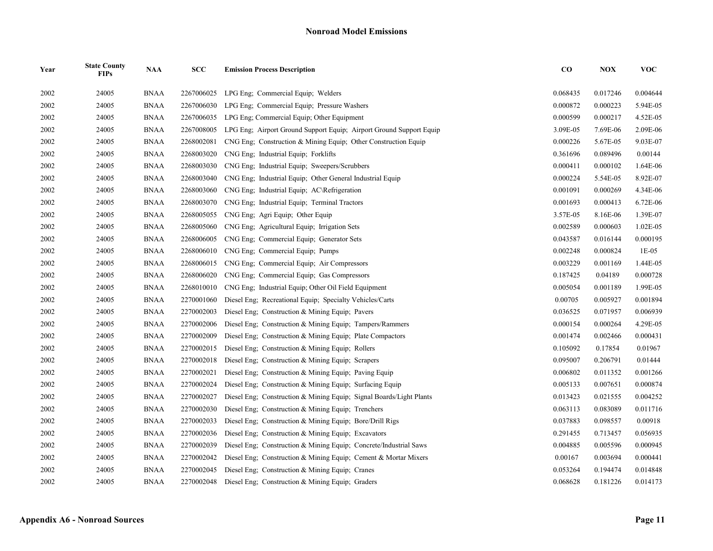| Year | <b>State County</b><br><b>FIPs</b> | <b>NAA</b>  | SCC        | <b>Emission Process Description</b>                                 | $\bf CO$ | <b>NOX</b> | <b>VOC</b> |
|------|------------------------------------|-------------|------------|---------------------------------------------------------------------|----------|------------|------------|
| 2002 | 24005                              | <b>BNAA</b> | 2267006025 | LPG Eng: Commercial Equip: Welders                                  | 0.068435 | 0.017246   | 0.004644   |
| 2002 | 24005                              | <b>BNAA</b> | 2267006030 | LPG Eng; Commercial Equip; Pressure Washers                         | 0.000872 | 0.000223   | 5.94E-05   |
| 2002 | 24005                              | <b>BNAA</b> | 2267006035 | LPG Eng; Commercial Equip; Other Equipment                          | 0.000599 | 0.000217   | 4.52E-05   |
| 2002 | 24005                              | <b>BNAA</b> | 2267008005 | LPG Eng; Airport Ground Support Equip; Airport Ground Support Equip | 3.09E-05 | 7.69E-06   | 2.09E-06   |
| 2002 | 24005                              | <b>BNAA</b> | 2268002081 | CNG Eng; Construction & Mining Equip; Other Construction Equip      | 0.000226 | 5.67E-05   | 9.03E-07   |
| 2002 | 24005                              | <b>BNAA</b> | 2268003020 | CNG Eng; Industrial Equip; Forklifts                                | 0.361696 | 0.089496   | 0.00144    |
| 2002 | 24005                              | <b>BNAA</b> | 2268003030 | CNG Eng; Industrial Equip; Sweepers/Scrubbers                       | 0.000411 | 0.000102   | 1.64E-06   |
| 2002 | 24005                              | <b>BNAA</b> | 2268003040 | CNG Eng: Industrial Equip: Other General Industrial Equip           | 0.000224 | 5.54E-05   | 8.92E-07   |
| 2002 | 24005                              | <b>BNAA</b> | 2268003060 | CNG Eng; Industrial Equip; AC\Refrigeration                         | 0.001091 | 0.000269   | 4.34E-06   |
| 2002 | 24005                              | <b>BNAA</b> | 2268003070 | CNG Eng; Industrial Equip; Terminal Tractors                        | 0.001693 | 0.000413   | 6.72E-06   |
| 2002 | 24005                              | <b>BNAA</b> | 2268005055 | CNG Eng: Agri Equip: Other Equip                                    | 3.57E-05 | 8.16E-06   | 1.39E-07   |
| 2002 | 24005                              | <b>BNAA</b> | 2268005060 | CNG Eng; Agricultural Equip; Irrigation Sets                        | 0.002589 | 0.000603   | 1.02E-05   |
| 2002 | 24005                              | <b>BNAA</b> | 2268006005 | CNG Eng; Commercial Equip; Generator Sets                           | 0.043587 | 0.016144   | 0.000195   |
| 2002 | 24005                              | <b>BNAA</b> | 2268006010 | CNG Eng: Commercial Equip: Pumps                                    | 0.002248 | 0.000824   | $1E-05$    |
| 2002 | 24005                              | <b>BNAA</b> | 2268006015 | CNG Eng; Commercial Equip; Air Compressors                          | 0.003229 | 0.001169   | 1.44E-05   |
| 2002 | 24005                              | <b>BNAA</b> | 2268006020 | CNG Eng; Commercial Equip; Gas Compressors                          | 0.187425 | 0.04189    | 0.000728   |
| 2002 | 24005                              | <b>BNAA</b> | 2268010010 | CNG Eng. Industrial Equip; Other Oil Field Equipment                | 0.005054 | 0.001189   | 1.99E-05   |
| 2002 | 24005                              | <b>BNAA</b> | 2270001060 | Diesel Eng; Recreational Equip; Specialty Vehicles/Carts            | 0.00705  | 0.005927   | 0.001894   |
| 2002 | 24005                              | <b>BNAA</b> | 2270002003 | Diesel Eng: Construction & Mining Equip: Pavers                     | 0.036525 | 0.071957   | 0.006939   |
| 2002 | 24005                              | <b>BNAA</b> | 2270002006 | Diesel Eng; Construction & Mining Equip; Tampers/Rammers            | 0.000154 | 0.000264   | 4.29E-05   |
| 2002 | 24005                              | <b>BNAA</b> | 2270002009 | Diesel Eng; Construction & Mining Equip; Plate Compactors           | 0.001474 | 0.002466   | 0.000431   |
| 2002 | 24005                              | <b>BNAA</b> | 2270002015 | Diesel Eng: Construction & Mining Equip: Rollers                    | 0.105092 | 0.17854    | 0.01967    |
| 2002 | 24005                              | <b>BNAA</b> | 2270002018 | Diesel Eng; Construction & Mining Equip; Scrapers                   | 0.095007 | 0.206791   | 0.01444    |
| 2002 | 24005                              | <b>BNAA</b> | 2270002021 | Diesel Eng; Construction & Mining Equip; Paving Equip               | 0.006802 | 0.011352   | 0.001266   |
| 2002 | 24005                              | <b>BNAA</b> | 2270002024 | Diesel Eng; Construction & Mining Equip; Surfacing Equip            | 0.005133 | 0.007651   | 0.000874   |
| 2002 | 24005                              | <b>BNAA</b> | 2270002027 | Diesel Eng; Construction & Mining Equip; Signal Boards/Light Plants | 0.013423 | 0.021555   | 0.004252   |
| 2002 | 24005                              | <b>BNAA</b> | 2270002030 | Diesel Eng; Construction & Mining Equip; Trenchers                  | 0.063113 | 0.083089   | 0.011716   |
| 2002 | 24005                              | <b>BNAA</b> | 2270002033 | Diesel Eng; Construction & Mining Equip; Bore/Drill Rigs            | 0.037883 | 0.098557   | 0.00918    |
| 2002 | 24005                              | <b>BNAA</b> | 2270002036 | Diesel Eng; Construction & Mining Equip; Excavators                 | 0.291455 | 0.713457   | 0.056935   |
| 2002 | 24005                              | <b>BNAA</b> | 2270002039 | Diesel Eng: Construction & Mining Equip: Concrete/Industrial Saws   | 0.004885 | 0.005596   | 0.000945   |
| 2002 | 24005                              | <b>BNAA</b> | 2270002042 | Diesel Eng; Construction & Mining Equip; Cement & Mortar Mixers     | 0.00167  | 0.003694   | 0.000441   |
| 2002 | 24005                              | <b>BNAA</b> | 2270002045 | Diesel Eng; Construction & Mining Equip; Cranes                     | 0.053264 | 0.194474   | 0.014848   |
| 2002 | 24005                              | <b>BNAA</b> | 2270002048 | Diesel Eng. Construction & Mining Equip. Graders                    | 0.068628 | 0.181226   | 0.014173   |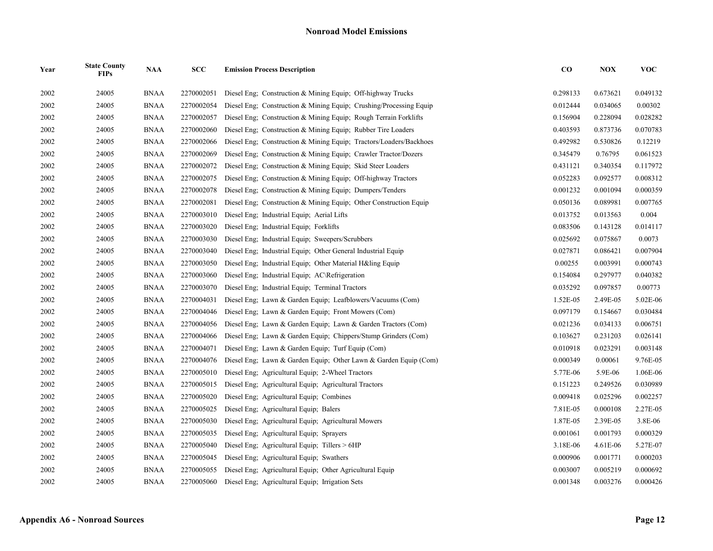| Year | <b>State County</b><br><b>FIPs</b> | <b>NAA</b>  | SCC        | <b>Emission Process Description</b>                                | $\bf CO$ | NOX      | <b>VOC</b> |
|------|------------------------------------|-------------|------------|--------------------------------------------------------------------|----------|----------|------------|
| 2002 | 24005                              | <b>BNAA</b> | 2270002051 | Diesel Eng; Construction & Mining Equip; Off-highway Trucks        | 0.298133 | 0.673621 | 0.049132   |
| 2002 | 24005                              | <b>BNAA</b> | 2270002054 | Diesel Eng: Construction & Mining Equip: Crushing/Processing Equip | 0.012444 | 0.034065 | 0.00302    |
| 2002 | 24005                              | <b>BNAA</b> | 2270002057 | Diesel Eng: Construction & Mining Equip: Rough Terrain Forklifts   | 0.156904 | 0.228094 | 0.028282   |
| 2002 | 24005                              | <b>BNAA</b> | 2270002060 | Diesel Eng; Construction & Mining Equip; Rubber Tire Loaders       | 0.403593 | 0.873736 | 0.070783   |
| 2002 | 24005                              | <b>BNAA</b> | 2270002066 | Diesel Eng; Construction & Mining Equip; Tractors/Loaders/Backhoes | 0.492982 | 0.530826 | 0.12219    |
| 2002 | 24005                              | <b>BNAA</b> | 2270002069 | Diesel Eng: Construction & Mining Equip: Crawler Tractor/Dozers    | 0.345479 | 0.76795  | 0.061523   |
| 2002 | 24005                              | <b>BNAA</b> | 2270002072 | Diesel Eng; Construction & Mining Equip; Skid Steer Loaders        | 0.431121 | 0.340354 | 0.117972   |
| 2002 | 24005                              | <b>BNAA</b> | 2270002075 | Diesel Eng; Construction & Mining Equip; Off-highway Tractors      | 0.052283 | 0.092577 | 0.008312   |
| 2002 | 24005                              | <b>BNAA</b> | 2270002078 | Diesel Eng: Construction & Mining Equip: Dumpers/Tenders           | 0.001232 | 0.001094 | 0.000359   |
| 2002 | 24005                              | <b>BNAA</b> | 2270002081 | Diesel Eng; Construction & Mining Equip; Other Construction Equip  | 0.050136 | 0.089981 | 0.007765   |
| 2002 | 24005                              | <b>BNAA</b> | 2270003010 | Diesel Eng; Industrial Equip; Aerial Lifts                         | 0.013752 | 0.013563 | 0.004      |
| 2002 | 24005                              | <b>BNAA</b> | 2270003020 | Diesel Eng: Industrial Equip: Forklifts                            | 0.083506 | 0.143128 | 0.014117   |
| 2002 | 24005                              | <b>BNAA</b> | 2270003030 | Diesel Eng; Industrial Equip; Sweepers/Scrubbers                   | 0.025692 | 0.075867 | 0.0073     |
| 2002 | 24005                              | <b>BNAA</b> | 2270003040 | Diesel Eng; Industrial Equip; Other General Industrial Equip       | 0.027871 | 0.086421 | 0.007904   |
| 2002 | 24005                              | <b>BNAA</b> | 2270003050 | Diesel Eng: Industrial Equip: Other Material H&ling Equip          | 0.00255  | 0.003991 | 0.000743   |
| 2002 | 24005                              | <b>BNAA</b> | 2270003060 | Diesel Eng; Industrial Equip; AC\Refrigeration                     | 0.154084 | 0.297977 | 0.040382   |
| 2002 | 24005                              | <b>BNAA</b> | 2270003070 | Diesel Eng; Industrial Equip; Terminal Tractors                    | 0.035292 | 0.097857 | 0.00773    |
| 2002 | 24005                              | <b>BNAA</b> | 2270004031 | Diesel Eng; Lawn & Garden Equip; Leafblowers/Vacuums (Com)         | 1.52E-05 | 2.49E-05 | 5.02E-06   |
| 2002 | 24005                              | <b>BNAA</b> | 2270004046 | Diesel Eng; Lawn & Garden Equip; Front Mowers (Com)                | 0.097179 | 0.154667 | 0.030484   |
| 2002 | 24005                              | <b>BNAA</b> | 2270004056 | Diesel Eng; Lawn & Garden Equip; Lawn & Garden Tractors (Com)      | 0.021236 | 0.034133 | 0.006751   |
| 2002 | 24005                              | <b>BNAA</b> | 2270004066 | Diesel Eng; Lawn & Garden Equip; Chippers/Stump Grinders (Com)     | 0.103627 | 0.231203 | 0.026141   |
| 2002 | 24005                              | <b>BNAA</b> | 2270004071 | Diesel Eng; Lawn & Garden Equip; Turf Equip (Com)                  | 0.010918 | 0.023291 | 0.003148   |
| 2002 | 24005                              | <b>BNAA</b> | 2270004076 | Diesel Eng; Lawn & Garden Equip; Other Lawn & Garden Equip (Com)   | 0.000349 | 0.00061  | 9.76E-05   |
| 2002 | 24005                              | <b>BNAA</b> | 2270005010 | Diesel Eng: Agricultural Equip: 2-Wheel Tractors                   | 5.77E-06 | 5.9E-06  | 1.06E-06   |
| 2002 | 24005                              | <b>BNAA</b> | 2270005015 | Diesel Eng; Agricultural Equip; Agricultural Tractors              | 0.151223 | 0.249526 | 0.030989   |
| 2002 | 24005                              | <b>BNAA</b> | 2270005020 | Diesel Eng; Agricultural Equip; Combines                           | 0.009418 | 0.025296 | 0.002257   |
| 2002 | 24005                              | <b>BNAA</b> | 2270005025 | Diesel Eng; Agricultural Equip; Balers                             | 7.81E-05 | 0.000108 | 2.27E-05   |
| 2002 | 24005                              | <b>BNAA</b> | 2270005030 | Diesel Eng; Agricultural Equip; Agricultural Mowers                | 1.87E-05 | 2.39E-05 | 3.8E-06    |
| 2002 | 24005                              | <b>BNAA</b> | 2270005035 | Diesel Eng; Agricultural Equip; Sprayers                           | 0.001061 | 0.001793 | 0.000329   |
| 2002 | 24005                              | <b>BNAA</b> | 2270005040 | Diesel Eng; Agricultural Equip; Tillers > 6HP                      | 3.18E-06 | 4.61E-06 | 5.27E-07   |
| 2002 | 24005                              | <b>BNAA</b> | 2270005045 | Diesel Eng; Agricultural Equip; Swathers                           | 0.000906 | 0.001771 | 0.000203   |
| 2002 | 24005                              | <b>BNAA</b> | 2270005055 | Diesel Eng; Agricultural Equip; Other Agricultural Equip           | 0.003007 | 0.005219 | 0.000692   |
| 2002 | 24005                              | <b>BNAA</b> | 2270005060 | Diesel Eng; Agricultural Equip; Irrigation Sets                    | 0.001348 | 0.003276 | 0.000426   |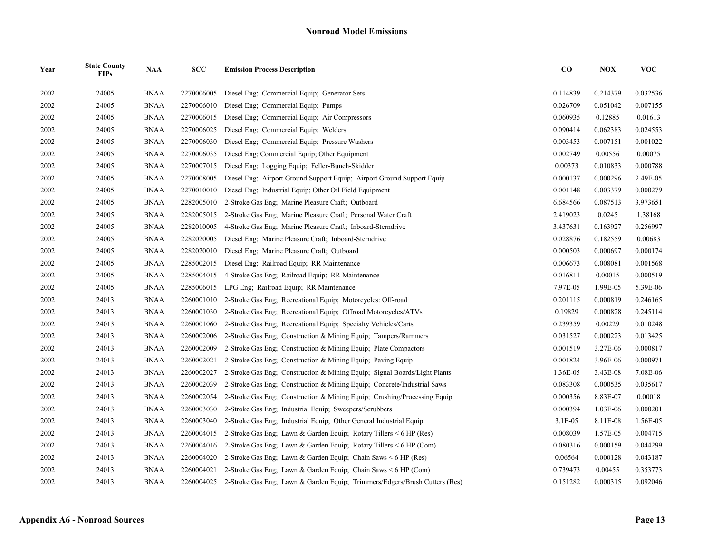| Year | <b>State County</b><br><b>FIPs</b> | <b>NAA</b>  | SCC        | <b>Emission Process Description</b>                                        | $\bf CO$ | NOX      | <b>VOC</b> |
|------|------------------------------------|-------------|------------|----------------------------------------------------------------------------|----------|----------|------------|
| 2002 | 24005                              | <b>BNAA</b> | 2270006005 | Diesel Eng; Commercial Equip; Generator Sets                               | 0.114839 | 0.214379 | 0.032536   |
| 2002 | 24005                              | <b>BNAA</b> | 2270006010 | Diesel Eng: Commercial Equip: Pumps                                        | 0.026709 | 0.051042 | 0.007155   |
| 2002 | 24005                              | <b>BNAA</b> | 2270006015 | Diesel Eng; Commercial Equip; Air Compressors                              | 0.060935 | 0.12885  | 0.01613    |
| 2002 | 24005                              | <b>BNAA</b> | 2270006025 | Diesel Eng; Commercial Equip; Welders                                      | 0.090414 | 0.062383 | 0.024553   |
| 2002 | 24005                              | <b>BNAA</b> | 2270006030 | Diesel Eng: Commercial Equip: Pressure Washers                             | 0.003453 | 0.007151 | 0.001022   |
| 2002 | 24005                              | <b>BNAA</b> | 2270006035 | Diesel Eng; Commercial Equip; Other Equipment                              | 0.002749 | 0.00556  | 0.00075    |
| 2002 | 24005                              | BNAA        | 2270007015 | Diesel Eng; Logging Equip; Feller-Bunch-Skidder                            | 0.00373  | 0.010833 | 0.000788   |
| 2002 | 24005                              | <b>BNAA</b> | 2270008005 | Diesel Eng; Airport Ground Support Equip; Airport Ground Support Equip     | 0.000137 | 0.000296 | 2.49E-05   |
| 2002 | 24005                              | <b>BNAA</b> | 2270010010 | Diesel Eng; Industrial Equip; Other Oil Field Equipment                    | 0.001148 | 0.003379 | 0.000279   |
| 2002 | 24005                              | <b>BNAA</b> | 2282005010 | 2-Stroke Gas Eng: Marine Pleasure Craft; Outboard                          | 6.684566 | 0.087513 | 3.973651   |
| 2002 | 24005                              | <b>BNAA</b> | 2282005015 | 2-Stroke Gas Eng; Marine Pleasure Craft; Personal Water Craft              | 2.419023 | 0.0245   | 1.38168    |
| 2002 | 24005                              | <b>BNAA</b> | 2282010005 | 4-Stroke Gas Eng; Marine Pleasure Craft; Inboard-Sterndrive                | 3.437631 | 0.163927 | 0.256997   |
| 2002 | 24005                              | <b>BNAA</b> | 2282020005 | Diesel Eng; Marine Pleasure Craft; Inboard-Sterndrive                      | 0.028876 | 0.182559 | 0.00683    |
| 2002 | 24005                              | <b>BNAA</b> | 2282020010 | Diesel Eng; Marine Pleasure Craft; Outboard                                | 0.000503 | 0.000697 | 0.000174   |
| 2002 | 24005                              | <b>BNAA</b> | 2285002015 | Diesel Eng; Railroad Equip; RR Maintenance                                 | 0.006673 | 0.008081 | 0.001568   |
| 2002 | 24005                              | <b>BNAA</b> | 2285004015 | 4-Stroke Gas Eng; Railroad Equip; RR Maintenance                           | 0.016811 | 0.00015  | 0.000519   |
| 2002 | 24005                              | <b>BNAA</b> | 2285006015 | LPG Eng: Railroad Equip: RR Maintenance                                    | 7.97E-05 | 1.99E-05 | 5.39E-06   |
| 2002 | 24013                              | <b>BNAA</b> | 2260001010 | 2-Stroke Gas Eng; Recreational Equip; Motorcycles: Off-road                | 0.201115 | 0.000819 | 0.246165   |
| 2002 | 24013                              | <b>BNAA</b> | 2260001030 | 2-Stroke Gas Eng; Recreational Equip; Offroad Motorcycles/ATVs             | 0.19829  | 0.000828 | 0.245114   |
| 2002 | 24013                              | <b>BNAA</b> | 2260001060 | 2-Stroke Gas Eng; Recreational Equip; Specialty Vehicles/Carts             | 0.239359 | 0.00229  | 0.010248   |
| 2002 | 24013                              | <b>BNAA</b> | 2260002006 | 2-Stroke Gas Eng: Construction & Mining Equip: Tampers/Rammers             | 0.031527 | 0.000223 | 0.013425   |
| 2002 | 24013                              | <b>BNAA</b> | 2260002009 | 2-Stroke Gas Eng; Construction & Mining Equip; Plate Compactors            | 0.001519 | 3.27E-06 | 0.000817   |
| 2002 | 24013                              | <b>BNAA</b> | 2260002021 | 2-Stroke Gas Eng; Construction & Mining Equip; Paving Equip                | 0.001824 | 3.96E-06 | 0.000971   |
| 2002 | 24013                              | <b>BNAA</b> | 2260002027 | 2-Stroke Gas Eng; Construction & Mining Equip; Signal Boards/Light Plants  | 1.36E-05 | 3.43E-08 | 7.08E-06   |
| 2002 | 24013                              | <b>BNAA</b> | 2260002039 | 2-Stroke Gas Eng; Construction & Mining Equip; Concrete/Industrial Saws    | 0.083308 | 0.000535 | 0.035617   |
| 2002 | 24013                              | <b>BNAA</b> | 2260002054 | 2-Stroke Gas Eng; Construction & Mining Equip; Crushing/Processing Equip   | 0.000356 | 8.83E-07 | 0.00018    |
| 2002 | 24013                              | <b>BNAA</b> | 2260003030 | 2-Stroke Gas Eng; Industrial Equip; Sweepers/Scrubbers                     | 0.000394 | 1.03E-06 | 0.000201   |
| 2002 | 24013                              | <b>BNAA</b> | 2260003040 | 2-Stroke Gas Eng: Industrial Equip: Other General Industrial Equip         | 3.1E-05  | 8.11E-08 | 1.56E-05   |
| 2002 | 24013                              | <b>BNAA</b> | 2260004015 | 2-Stroke Gas Eng; Lawn & Garden Equip; Rotary Tillers $\leq 6$ HP (Res)    | 0.008039 | 1.57E-05 | 0.004715   |
| 2002 | 24013                              | <b>BNAA</b> | 2260004016 | 2-Stroke Gas Eng; Lawn & Garden Equip; Rotary Tillers $\leq 6$ HP (Com)    | 0.080316 | 0.000159 | 0.044299   |
| 2002 | 24013                              | <b>BNAA</b> | 2260004020 | 2-Stroke Gas Eng; Lawn & Garden Equip; Chain Saws $\leq 6$ HP (Res)        | 0.06564  | 0.000128 | 0.043187   |
| 2002 | 24013                              | <b>BNAA</b> | 2260004021 | 2-Stroke Gas Eng; Lawn & Garden Equip; Chain Saws $\leq 6$ HP (Com)        | 0.739473 | 0.00455  | 0.353773   |
| 2002 | 24013                              | <b>BNAA</b> | 2260004025 | 2-Stroke Gas Eng; Lawn & Garden Equip; Trimmers/Edgers/Brush Cutters (Res) | 0.151282 | 0.000315 | 0.092046   |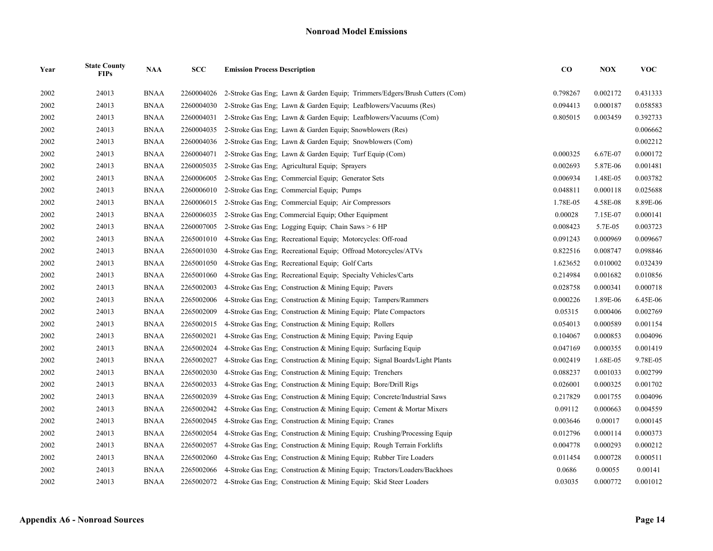| Year | <b>State County</b><br><b>FIPs</b> | <b>NAA</b>  | SCC        | <b>Emission Process Description</b>                                        | $\bf CO$ | <b>NOX</b> | <b>VOC</b> |
|------|------------------------------------|-------------|------------|----------------------------------------------------------------------------|----------|------------|------------|
| 2002 | 24013                              | <b>BNAA</b> | 2260004026 | 2-Stroke Gas Eng; Lawn & Garden Equip; Trimmers/Edgers/Brush Cutters (Com) | 0.798267 | 0.002172   | 0.431333   |
| 2002 | 24013                              | <b>BNAA</b> | 2260004030 | 2-Stroke Gas Eng; Lawn & Garden Equip; Leafblowers/Vacuums (Res)           | 0.094413 | 0.000187   | 0.058583   |
| 2002 | 24013                              | <b>BNAA</b> | 2260004031 | 2-Stroke Gas Eng: Lawn & Garden Equip: Leafblowers/Vacuums (Com)           | 0.805015 | 0.003459   | 0.392733   |
| 2002 | 24013                              | <b>BNAA</b> | 2260004035 | 2-Stroke Gas Eng: Lawn & Garden Equip: Snowblowers (Res)                   |          |            | 0.006662   |
| 2002 | 24013                              | <b>BNAA</b> | 2260004036 | 2-Stroke Gas Eng; Lawn & Garden Equip; Snowblowers (Com)                   |          |            | 0.002212   |
| 2002 | 24013                              | <b>BNAA</b> | 2260004071 | 2-Stroke Gas Eng; Lawn & Garden Equip; Turf Equip (Com)                    | 0.000325 | 6.67E-07   | 0.000172   |
| 2002 | 24013                              | <b>BNAA</b> | 2260005035 | 2-Stroke Gas Eng; Agricultural Equip; Sprayers                             | 0.002693 | 5.87E-06   | 0.001481   |
| 2002 | 24013                              | <b>BNAA</b> | 2260006005 | 2-Stroke Gas Eng; Commercial Equip; Generator Sets                         | 0.006934 | 1.48E-05   | 0.003782   |
| 2002 | 24013                              | <b>BNAA</b> | 2260006010 | 2-Stroke Gas Eng; Commercial Equip; Pumps                                  | 0.048811 | 0.000118   | 0.025688   |
| 2002 | 24013                              | <b>BNAA</b> | 2260006015 | 2-Stroke Gas Eng; Commercial Equip; Air Compressors                        | 1.78E-05 | 4.58E-08   | 8.89E-06   |
| 2002 | 24013                              | <b>BNAA</b> | 2260006035 | 2-Stroke Gas Eng; Commercial Equip; Other Equipment                        | 0.00028  | 7.15E-07   | 0.000141   |
| 2002 | 24013                              | <b>BNAA</b> | 2260007005 | 2-Stroke Gas Eng; Logging Equip; Chain Saws > 6 HP                         | 0.008423 | 5.7E-05    | 0.003723   |
| 2002 | 24013                              | <b>BNAA</b> | 2265001010 | 4-Stroke Gas Eng; Recreational Equip; Motorcycles: Off-road                | 0.091243 | 0.000969   | 0.009667   |
| 2002 | 24013                              | <b>BNAA</b> | 2265001030 | 4-Stroke Gas Eng: Recreational Equip: Offroad Motorcycles/ATVs             | 0.822516 | 0.008747   | 0.098846   |
| 2002 | 24013                              | <b>BNAA</b> | 2265001050 | 4-Stroke Gas Eng; Recreational Equip; Golf Carts                           | 1.623652 | 0.010002   | 0.032439   |
| 2002 | 24013                              | <b>BNAA</b> | 2265001060 | 4-Stroke Gas Eng; Recreational Equip; Specialty Vehicles/Carts             | 0.214984 | 0.001682   | 0.010856   |
| 2002 | 24013                              | <b>BNAA</b> | 2265002003 | 4-Stroke Gas Eng: Construction & Mining Equip: Pavers                      | 0.028758 | 0.000341   | 0.000718   |
| 2002 | 24013                              | <b>BNAA</b> | 2265002006 | 4-Stroke Gas Eng; Construction & Mining Equip; Tampers/Rammers             | 0.000226 | 1.89E-06   | 6.45E-06   |
| 2002 | 24013                              | <b>BNAA</b> | 2265002009 | 4-Stroke Gas Eng; Construction & Mining Equip; Plate Compactors            | 0.05315  | 0.000406   | 0.002769   |
| 2002 | 24013                              | <b>BNAA</b> | 2265002015 | 4-Stroke Gas Eng; Construction & Mining Equip; Rollers                     | 0.054013 | 0.000589   | 0.001154   |
| 2002 | 24013                              | <b>BNAA</b> | 2265002021 | 4-Stroke Gas Eng; Construction & Mining Equip; Paving Equip                | 0.104067 | 0.000853   | 0.004096   |
| 2002 | 24013                              | <b>BNAA</b> | 2265002024 | 4-Stroke Gas Eng: Construction & Mining Equip: Surfacing Equip             | 0.047169 | 0.000355   | 0.001419   |
| 2002 | 24013                              | <b>BNAA</b> | 2265002027 | 4-Stroke Gas Eng; Construction & Mining Equip; Signal Boards/Light Plants  | 0.002419 | 1.68E-05   | 9.78E-05   |
| 2002 | 24013                              | <b>BNAA</b> | 2265002030 | 4-Stroke Gas Eng; Construction & Mining Equip; Trenchers                   | 0.088237 | 0.001033   | 0.002799   |
| 2002 | 24013                              | <b>BNAA</b> | 2265002033 | 4-Stroke Gas Eng. Construction & Mining Equip. Bore/Drill Rigs             | 0.026001 | 0.000325   | 0.001702   |
| 2002 | 24013                              | <b>BNAA</b> | 2265002039 | 4-Stroke Gas Eng; Construction & Mining Equip; Concrete/Industrial Saws    | 0.217829 | 0.001755   | 0.004096   |
| 2002 | 24013                              | BNAA        | 2265002042 | 4-Stroke Gas Eng; Construction & Mining Equip; Cement & Mortar Mixers      | 0.09112  | 0.000663   | 0.004559   |
| 2002 | 24013                              | <b>BNAA</b> | 2265002045 | 4-Stroke Gas Eng: Construction & Mining Equip: Cranes                      | 0.003646 | 0.00017    | 0.000145   |
| 2002 | 24013                              | <b>BNAA</b> | 2265002054 | 4-Stroke Gas Eng, Construction & Mining Equip; Crushing/Processing Equip   | 0.012796 | 0.000114   | 0.000373   |
| 2002 | 24013                              | <b>BNAA</b> | 2265002057 | 4-Stroke Gas Eng: Construction & Mining Equip: Rough Terrain Forklifts     | 0.004778 | 0.000293   | 0.000212   |
| 2002 | 24013                              | <b>BNAA</b> | 2265002060 | 4-Stroke Gas Eng; Construction & Mining Equip; Rubber Tire Loaders         | 0.011454 | 0.000728   | 0.000511   |
| 2002 | 24013                              | <b>BNAA</b> | 2265002066 | 4-Stroke Gas Eng; Construction & Mining Equip; Tractors/Loaders/Backhoes   | 0.0686   | 0.00055    | 0.00141    |
| 2002 | 24013                              | <b>BNAA</b> | 2265002072 | 4-Stroke Gas Eng: Construction & Mining Equip: Skid Steer Loaders          | 0.03035  | 0.000772   | 0.001012   |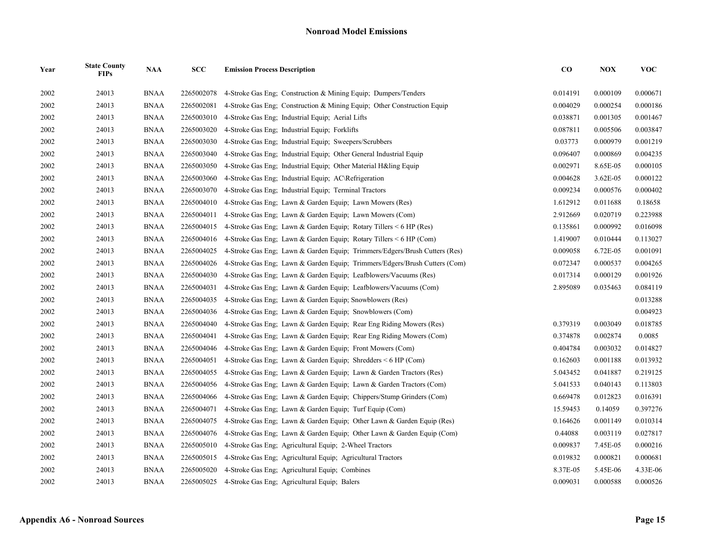| Year | <b>State County</b><br><b>FIPs</b> | <b>NAA</b>  | SCC        | <b>Emission Process Description</b>                                        | $\bf CO$ | <b>NOX</b> | <b>VOC</b> |
|------|------------------------------------|-------------|------------|----------------------------------------------------------------------------|----------|------------|------------|
| 2002 | 24013                              | <b>BNAA</b> | 2265002078 | 4-Stroke Gas Eng: Construction & Mining Equip: Dumpers/Tenders             | 0.014191 | 0.000109   | 0.000671   |
| 2002 | 24013                              | <b>BNAA</b> | 2265002081 | 4-Stroke Gas Eng: Construction & Mining Equip: Other Construction Equip    | 0.004029 | 0.000254   | 0.000186   |
| 2002 | 24013                              | <b>BNAA</b> | 2265003010 | 4-Stroke Gas Eng; Industrial Equip; Aerial Lifts                           | 0.038871 | 0.001305   | 0.001467   |
| 2002 | 24013                              | <b>BNAA</b> | 2265003020 | 4-Stroke Gas Eng; Industrial Equip; Forklifts                              | 0.087811 | 0.005506   | 0.003847   |
| 2002 | 24013                              | <b>BNAA</b> | 2265003030 | 4-Stroke Gas Eng; Industrial Equip; Sweepers/Scrubbers                     | 0.03773  | 0.000979   | 0.001219   |
| 2002 | 24013                              | <b>BNAA</b> | 2265003040 | 4-Stroke Gas Eng; Industrial Equip; Other General Industrial Equip         | 0.096407 | 0.000869   | 0.004235   |
| 2002 | 24013                              | <b>BNAA</b> | 2265003050 | 4-Stroke Gas Eng; Industrial Equip; Other Material H&ling Equip            | 0.002971 | 8.65E-05   | 0.000105   |
| 2002 | 24013                              | <b>BNAA</b> | 2265003060 | 4-Stroke Gas Eng: Industrial Equip: AC\Refrigeration                       | 0.004628 | 3.62E-05   | 0.000122   |
| 2002 | 24013                              | <b>BNAA</b> | 2265003070 | 4-Stroke Gas Eng; Industrial Equip; Terminal Tractors                      | 0.009234 | 0.000576   | 0.000402   |
| 2002 | 24013                              | <b>BNAA</b> | 2265004010 | 4-Stroke Gas Eng; Lawn & Garden Equip; Lawn Mowers (Res)                   | 1.612912 | 0.011688   | 0.18658    |
| 2002 | 24013                              | <b>BNAA</b> | 2265004011 | 4-Stroke Gas Eng; Lawn & Garden Equip; Lawn Mowers (Com)                   | 2.912669 | 0.020719   | 0.223988   |
| 2002 | 24013                              | <b>BNAA</b> | 2265004015 | 4-Stroke Gas Eng; Lawn & Garden Equip; Rotary Tillers $\leq 6$ HP (Res)    | 0.135861 | 0.000992   | 0.016098   |
| 2002 | 24013                              | <b>BNAA</b> | 2265004016 | 4-Stroke Gas Eng; Lawn & Garden Equip; Rotary Tillers < 6 HP (Com)         | 1.419007 | 0.010444   | 0.113027   |
| 2002 | 24013                              | <b>BNAA</b> | 2265004025 | 4-Stroke Gas Eng; Lawn & Garden Equip; Trimmers/Edgers/Brush Cutters (Res) | 0.009058 | 6.72E-05   | 0.001091   |
| 2002 | 24013                              | <b>BNAA</b> | 2265004026 | 4-Stroke Gas Eng; Lawn & Garden Equip; Trimmers/Edgers/Brush Cutters (Com) | 0.072347 | 0.000537   | 0.004265   |
| 2002 | 24013                              | <b>BNAA</b> | 2265004030 | 4-Stroke Gas Eng; Lawn & Garden Equip; Leafblowers/Vacuums (Res)           | 0.017314 | 0.000129   | 0.001926   |
| 2002 | 24013                              | <b>BNAA</b> | 2265004031 | 4-Stroke Gas Eng; Lawn & Garden Equip; Leafblowers/Vacuums (Com)           | 2.895089 | 0.035463   | 0.084119   |
| 2002 | 24013                              | <b>BNAA</b> | 2265004035 | 4-Stroke Gas Eng; Lawn & Garden Equip; Snowblowers (Res)                   |          |            | 0.013288   |
| 2002 | 24013                              | <b>BNAA</b> | 2265004036 | 4-Stroke Gas Eng; Lawn & Garden Equip; Snowblowers (Com)                   |          |            | 0.004923   |
| 2002 | 24013                              | <b>BNAA</b> | 2265004040 | 4-Stroke Gas Eng; Lawn & Garden Equip; Rear Eng Riding Mowers (Res)        | 0.379319 | 0.003049   | 0.018785   |
| 2002 | 24013                              | <b>BNAA</b> | 2265004041 | 4-Stroke Gas Eng; Lawn & Garden Equip; Rear Eng Riding Mowers (Com)        | 0.374878 | 0.002874   | 0.0085     |
| 2002 | 24013                              | <b>BNAA</b> | 2265004046 | 4-Stroke Gas Eng; Lawn & Garden Equip; Front Mowers (Com)                  | 0.404784 | 0.003032   | 0.014827   |
| 2002 | 24013                              | <b>BNAA</b> | 2265004051 | 4-Stroke Gas Eng; Lawn & Garden Equip; Shredders $\leq 6$ HP (Com)         | 0.162603 | 0.001188   | 0.013932   |
| 2002 | 24013                              | <b>BNAA</b> | 2265004055 | 4-Stroke Gas Eng; Lawn & Garden Equip; Lawn & Garden Tractors (Res)        | 5.043452 | 0.041887   | 0.219125   |
| 2002 | 24013                              | <b>BNAA</b> | 2265004056 | 4-Stroke Gas Eng; Lawn & Garden Equip; Lawn & Garden Tractors (Com)        | 5.041533 | 0.040143   | 0.113803   |
| 2002 | 24013                              | <b>BNAA</b> | 2265004066 | 4-Stroke Gas Eng; Lawn & Garden Equip; Chippers/Stump Grinders (Com)       | 0.669478 | 0.012823   | 0.016391   |
| 2002 | 24013                              | <b>BNAA</b> | 2265004071 | 4-Stroke Gas Eng; Lawn & Garden Equip; Turf Equip (Com)                    | 15.59453 | 0.14059    | 0.397276   |
| 2002 | 24013                              | <b>BNAA</b> | 2265004075 | 4-Stroke Gas Eng; Lawn & Garden Equip; Other Lawn & Garden Equip (Res)     | 0.164626 | 0.001149   | 0.010314   |
| 2002 | 24013                              | <b>BNAA</b> | 2265004076 | 4-Stroke Gas Eng; Lawn & Garden Equip; Other Lawn & Garden Equip (Com)     | 0.44088  | 0.003119   | 0.027817   |
| 2002 | 24013                              | <b>BNAA</b> | 2265005010 | 4-Stroke Gas Eng: Agricultural Equip: 2-Wheel Tractors                     | 0.009837 | 7.45E-05   | 0.000216   |
| 2002 | 24013                              | <b>BNAA</b> | 2265005015 | 4-Stroke Gas Eng; Agricultural Equip; Agricultural Tractors                | 0.019832 | 0.000821   | 0.000681   |
| 2002 | 24013                              | <b>BNAA</b> | 2265005020 | 4-Stroke Gas Eng; Agricultural Equip; Combines                             | 8.37E-05 | 5.45E-06   | 4.33E-06   |
| 2002 | 24013                              | <b>BNAA</b> | 2265005025 | 4-Stroke Gas Eng: Agricultural Equip: Balers                               | 0.009031 | 0.000588   | 0.000526   |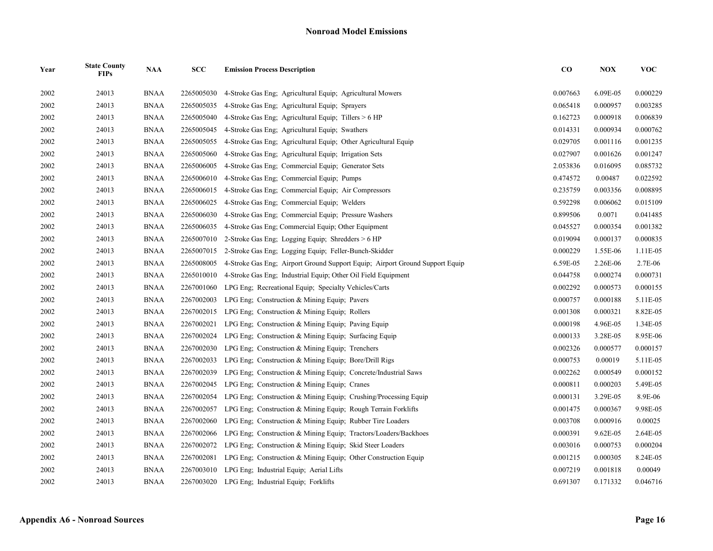| Year | <b>State County</b><br><b>FIPs</b> | <b>NAA</b>  | SCC        | <b>Emission Process Description</b>                                          | $\bf CO$ | <b>NOX</b> | <b>VOC</b> |
|------|------------------------------------|-------------|------------|------------------------------------------------------------------------------|----------|------------|------------|
| 2002 | 24013                              | <b>BNAA</b> | 2265005030 | 4-Stroke Gas Eng; Agricultural Equip; Agricultural Mowers                    | 0.007663 | 6.09E-05   | 0.000229   |
| 2002 | 24013                              | <b>BNAA</b> | 2265005035 | 4-Stroke Gas Eng; Agricultural Equip; Sprayers                               | 0.065418 | 0.000957   | 0.003285   |
| 2002 | 24013                              | <b>BNAA</b> | 2265005040 | 4-Stroke Gas Eng; Agricultural Equip; Tillers > 6 HP                         | 0.162723 | 0.000918   | 0.006839   |
| 2002 | 24013                              | <b>BNAA</b> | 2265005045 | 4-Stroke Gas Eng; Agricultural Equip; Swathers                               | 0.014331 | 0.000934   | 0.000762   |
| 2002 | 24013                              | <b>BNAA</b> | 2265005055 | 4-Stroke Gas Eng; Agricultural Equip; Other Agricultural Equip               | 0.029705 | 0.001116   | 0.001235   |
| 2002 | 24013                              | <b>BNAA</b> | 2265005060 | 4-Stroke Gas Eng: Agricultural Equip: Irrigation Sets                        | 0.027907 | 0.001626   | 0.001247   |
| 2002 | 24013                              | <b>BNAA</b> | 2265006005 | 4-Stroke Gas Eng; Commercial Equip; Generator Sets                           | 2.053836 | 0.016095   | 0.085732   |
| 2002 | 24013                              | <b>BNAA</b> | 2265006010 | 4-Stroke Gas Eng; Commercial Equip; Pumps                                    | 0.474572 | 0.00487    | 0.022592   |
| 2002 | 24013                              | <b>BNAA</b> | 2265006015 | 4-Stroke Gas Eng: Commercial Equip: Air Compressors                          | 0.235759 | 0.003356   | 0.008895   |
| 2002 | 24013                              | <b>BNAA</b> | 2265006025 | 4-Stroke Gas Eng: Commercial Equip: Welders                                  | 0.592298 | 0.006062   | 0.015109   |
| 2002 | 24013                              | <b>BNAA</b> | 2265006030 | 4-Stroke Gas Eng; Commercial Equip; Pressure Washers                         | 0.899506 | 0.0071     | 0.041485   |
| 2002 | 24013                              | <b>BNAA</b> | 2265006035 | 4-Stroke Gas Eng; Commercial Equip; Other Equipment                          | 0.045527 | 0.000354   | 0.001382   |
| 2002 | 24013                              | <b>BNAA</b> | 2265007010 | 2-Stroke Gas Eng; Logging Equip; Shredders > 6 HP                            | 0.019094 | 0.000137   | 0.000835   |
| 2002 | 24013                              | <b>BNAA</b> | 2265007015 | 2-Stroke Gas Eng; Logging Equip; Feller-Bunch-Skidder                        | 0.000229 | 1.55E-06   | 1.11E-05   |
| 2002 | 24013                              | <b>BNAA</b> | 2265008005 | 4-Stroke Gas Eng, Airport Ground Support Equip; Airport Ground Support Equip | 6.59E-05 | 2.26E-06   | 2.7E-06    |
| 2002 | 24013                              | <b>BNAA</b> | 2265010010 | 4-Stroke Gas Eng; Industrial Equip; Other Oil Field Equipment                | 0.044758 | 0.000274   | 0.000731   |
| 2002 | 24013                              | <b>BNAA</b> | 2267001060 | LPG Eng; Recreational Equip; Specialty Vehicles/Carts                        | 0.002292 | 0.000573   | 0.000155   |
| 2002 | 24013                              | <b>BNAA</b> | 2267002003 | LPG Eng: Construction $&$ Mining Equip: Pavers                               | 0.000757 | 0.000188   | 5.11E-05   |
| 2002 | 24013                              | <b>BNAA</b> | 2267002015 | LPG Eng; Construction $&$ Mining Equip; Rollers                              | 0.001308 | 0.000321   | 8.82E-05   |
| 2002 | 24013                              | <b>BNAA</b> | 2267002021 | LPG Eng; Construction & Mining Equip; Paving Equip                           | 0.000198 | 4.96E-05   | 1.34E-05   |
| 2002 | 24013                              | <b>BNAA</b> | 2267002024 | LPG Eng; Construction & Mining Equip; Surfacing Equip                        | 0.000133 | 3.28E-05   | 8.95E-06   |
| 2002 | 24013                              | <b>BNAA</b> | 2267002030 | LPG Eng; Construction & Mining Equip; Trenchers                              | 0.002326 | 0.000577   | 0.000157   |
| 2002 | 24013                              | <b>BNAA</b> | 2267002033 | LPG Eng: Construction & Mining Equip; Bore/Drill Rigs                        | 0.000753 | 0.00019    | 5.11E-05   |
| 2002 | 24013                              | <b>BNAA</b> | 2267002039 | LPG Eng: Construction & Mining Equip: Concrete/Industrial Saws               | 0.002262 | 0.000549   | 0.000152   |
| 2002 | 24013                              | <b>BNAA</b> | 2267002045 | LPG Eng; Construction & Mining Equip; Cranes                                 | 0.000811 | 0.000203   | 5.49E-05   |
| 2002 | 24013                              | <b>BNAA</b> | 2267002054 | LPG Eng; Construction & Mining Equip; Crushing/Processing Equip              | 0.000131 | 3.29E-05   | 8.9E-06    |
| 2002 | 24013                              | <b>BNAA</b> | 2267002057 | LPG Eng; Construction & Mining Equip; Rough Terrain Forklifts                | 0.001475 | 0.000367   | 9.98E-05   |
| 2002 | 24013                              | <b>BNAA</b> | 2267002060 | LPG Eng; Construction & Mining Equip; Rubber Tire Loaders                    | 0.003708 | 0.000916   | 0.00025    |
| 2002 | 24013                              | <b>BNAA</b> | 2267002066 | LPG Eng; Construction & Mining Equip; Tractors/Loaders/Backhoes              | 0.000391 | 9.62E-05   | 2.64E-05   |
| 2002 | 24013                              | <b>BNAA</b> | 2267002072 | LPG Eng: Construction & Mining Equip: Skid Steer Loaders                     | 0.003016 | 0.000753   | 0.000204   |
| 2002 | 24013                              | <b>BNAA</b> | 2267002081 | LPG Eng; Construction & Mining Equip; Other Construction Equip               | 0.001215 | 0.000305   | 8.24E-05   |
| 2002 | 24013                              | <b>BNAA</b> |            | 2267003010 LPG Eng; Industrial Equip; Aerial Lifts                           | 0.007219 | 0.001818   | 0.00049    |
| 2002 | 24013                              | <b>BNAA</b> |            | 2267003020 LPG Eng; Industrial Equip; Forklifts                              | 0.691307 | 0.171332   | 0.046716   |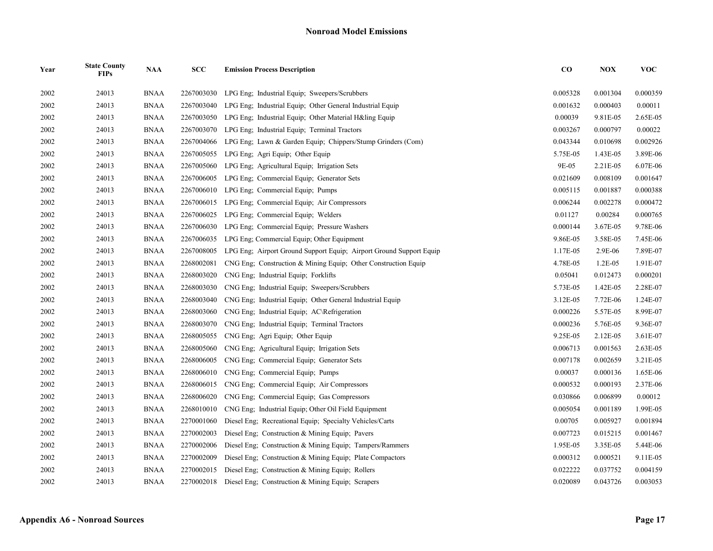| Year | <b>State County</b><br><b>FIPs</b> | <b>NAA</b>  | <b>SCC</b> | <b>Emission Process Description</b>                                 | $\bf CO$ | <b>NOX</b> | <b>VOC</b> |
|------|------------------------------------|-------------|------------|---------------------------------------------------------------------|----------|------------|------------|
| 2002 | 24013                              | <b>BNAA</b> | 2267003030 | LPG Eng; Industrial Equip; Sweepers/Scrubbers                       | 0.005328 | 0.001304   | 0.000359   |
| 2002 | 24013                              | <b>BNAA</b> | 2267003040 | LPG Eng; Industrial Equip; Other General Industrial Equip           | 0.001632 | 0.000403   | 0.00011    |
| 2002 | 24013                              | <b>BNAA</b> | 2267003050 | LPG Eng. Industrial Equip: Other Material H&ling Equip              | 0.00039  | 9.81E-05   | 2.65E-05   |
| 2002 | 24013                              | <b>BNAA</b> | 2267003070 | LPG Eng: Industrial Equip: Terminal Tractors                        | 0.003267 | 0.000797   | 0.00022    |
| 2002 | 24013                              | <b>BNAA</b> | 2267004066 | LPG Eng; Lawn & Garden Equip; Chippers/Stump Grinders (Com)         | 0.043344 | 0.010698   | 0.002926   |
| 2002 | 24013                              | <b>BNAA</b> | 2267005055 | LPG Eng; Agri Equip; Other Equip                                    | 5.75E-05 | 1.43E-05   | 3.89E-06   |
| 2002 | 24013                              | <b>BNAA</b> | 2267005060 | LPG Eng; Agricultural Equip; Irrigation Sets                        | 9E-05    | 2.21E-05   | 6.07E-06   |
| 2002 | 24013                              | <b>BNAA</b> | 2267006005 | LPG Eng; Commercial Equip; Generator Sets                           | 0.021609 | 0.008109   | 0.001647   |
| 2002 | 24013                              | <b>BNAA</b> | 2267006010 | LPG Eng; Commercial Equip; Pumps                                    | 0.005115 | 0.001887   | 0.000388   |
| 2002 | 24013                              | <b>BNAA</b> | 2267006015 | LPG Eng; Commercial Equip; Air Compressors                          | 0.006244 | 0.002278   | 0.000472   |
| 2002 | 24013                              | <b>BNAA</b> | 2267006025 | LPG Eng; Commercial Equip; Welders                                  | 0.01127  | 0.00284    | 0.000765   |
| 2002 | 24013                              | <b>BNAA</b> | 2267006030 | LPG Eng; Commercial Equip; Pressure Washers                         | 0.000144 | 3.67E-05   | 9.78E-06   |
| 2002 | 24013                              | <b>BNAA</b> | 2267006035 | LPG Eng; Commercial Equip; Other Equipment                          | 9.86E-05 | 3.58E-05   | 7.45E-06   |
| 2002 | 24013                              | <b>BNAA</b> | 2267008005 | LPG Eng; Airport Ground Support Equip; Airport Ground Support Equip | 1.17E-05 | 2.9E-06    | 7.89E-07   |
| 2002 | 24013                              | <b>BNAA</b> | 2268002081 | CNG Eng; Construction & Mining Equip; Other Construction Equip      | 4.78E-05 | $1.2E-05$  | 1.91E-07   |
| 2002 | 24013                              | <b>BNAA</b> | 2268003020 | CNG Eng; Industrial Equip; Forklifts                                | 0.05041  | 0.012473   | 0.000201   |
| 2002 | 24013                              | <b>BNAA</b> | 2268003030 | CNG Eng; Industrial Equip; Sweepers/Scrubbers                       | 5.73E-05 | 1.42E-05   | 2.28E-07   |
| 2002 | 24013                              | <b>BNAA</b> | 2268003040 | CNG Eng; Industrial Equip; Other General Industrial Equip           | 3.12E-05 | 7.72E-06   | 1.24E-07   |
| 2002 | 24013                              | <b>BNAA</b> | 2268003060 | CNG Eng: Industrial Equip: AC\Refrigeration                         | 0.000226 | 5.57E-05   | 8.99E-07   |
| 2002 | 24013                              | <b>BNAA</b> | 2268003070 | CNG Eng; Industrial Equip; Terminal Tractors                        | 0.000236 | 5.76E-05   | 9.36E-07   |
| 2002 | 24013                              | <b>BNAA</b> | 2268005055 | CNG Eng; Agri Equip; Other Equip                                    | 9.25E-05 | 2.12E-05   | 3.61E-07   |
| 2002 | 24013                              | <b>BNAA</b> | 2268005060 | CNG Eng; Agricultural Equip; Irrigation Sets                        | 0.006713 | 0.001563   | 2.63E-05   |
| 2002 | 24013                              | <b>BNAA</b> | 2268006005 | CNG Eng; Commercial Equip; Generator Sets                           | 0.007178 | 0.002659   | 3.21E-05   |
| 2002 | 24013                              | <b>BNAA</b> | 2268006010 | CNG Eng; Commercial Equip; Pumps                                    | 0.00037  | 0.000136   | 1.65E-06   |
| 2002 | 24013                              | <b>BNAA</b> | 2268006015 | CNG Eng; Commercial Equip; Air Compressors                          | 0.000532 | 0.000193   | 2.37E-06   |
| 2002 | 24013                              | <b>BNAA</b> | 2268006020 | CNG Eng; Commercial Equip; Gas Compressors                          | 0.030866 | 0.006899   | 0.00012    |
| 2002 | 24013                              | <b>BNAA</b> | 2268010010 | CNG Eng: Industrial Equip; Other Oil Field Equipment                | 0.005054 | 0.001189   | 1.99E-05   |
| 2002 | 24013                              | <b>BNAA</b> | 2270001060 | Diesel Eng; Recreational Equip; Specialty Vehicles/Carts            | 0.00705  | 0.005927   | 0.001894   |
| 2002 | 24013                              | <b>BNAA</b> | 2270002003 | Diesel Eng; Construction & Mining Equip; Pavers                     | 0.007723 | 0.015215   | 0.001467   |
| 2002 | 24013                              | <b>BNAA</b> | 2270002006 | Diesel Eng; Construction & Mining Equip; Tampers/Rammers            | 1.95E-05 | 3.35E-05   | 5.44E-06   |
| 2002 | 24013                              | <b>BNAA</b> | 2270002009 | Diesel Eng; Construction & Mining Equip; Plate Compactors           | 0.000312 | 0.000521   | 9.11E-05   |
| 2002 | 24013                              | <b>BNAA</b> | 2270002015 | Diesel Eng; Construction & Mining Equip; Rollers                    | 0.022222 | 0.037752   | 0.004159   |
| 2002 | 24013                              | <b>BNAA</b> |            | 2270002018 Diesel Eng; Construction & Mining Equip; Scrapers        | 0.020089 | 0.043726   | 0.003053   |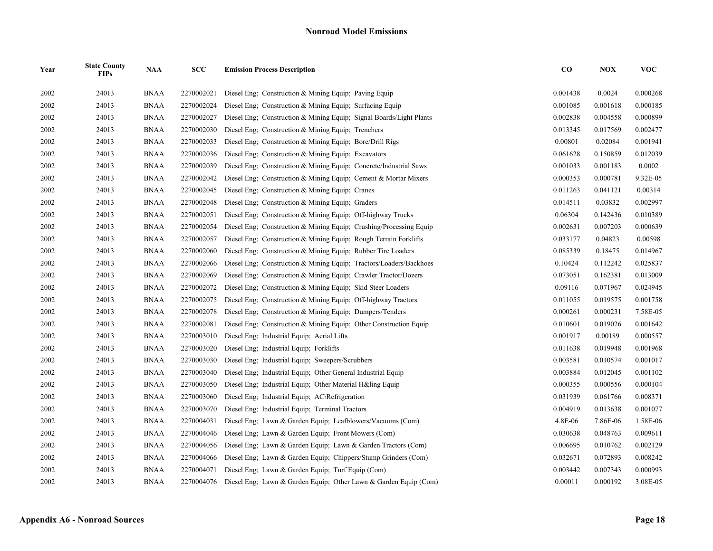| Year | <b>State County</b><br><b>FIPs</b> | <b>NAA</b>  | SCC        | <b>Emission Process Description</b>                                         | $\bf CO$ | <b>NOX</b> | <b>VOC</b> |
|------|------------------------------------|-------------|------------|-----------------------------------------------------------------------------|----------|------------|------------|
| 2002 | 24013                              | <b>BNAA</b> | 2270002021 | Diesel Eng: Construction & Mining Equip: Paving Equip                       | 0.001438 | 0.0024     | 0.000268   |
| 2002 | 24013                              | <b>BNAA</b> | 2270002024 | Diesel Eng: Construction & Mining Equip: Surfacing Equip                    | 0.001085 | 0.001618   | 0.000185   |
| 2002 | 24013                              | <b>BNAA</b> | 2270002027 | Diesel Eng; Construction & Mining Equip; Signal Boards/Light Plants         | 0.002838 | 0.004558   | 0.000899   |
| 2002 | 24013                              | <b>BNAA</b> | 2270002030 | Diesel Eng; Construction & Mining Equip; Trenchers                          | 0.013345 | 0.017569   | 0.002477   |
| 2002 | 24013                              | <b>BNAA</b> | 2270002033 | Diesel Eng; Construction & Mining Equip; Bore/Drill Rigs                    | 0.00801  | 0.02084    | 0.001941   |
| 2002 | 24013                              | <b>BNAA</b> | 2270002036 | Diesel Eng; Construction & Mining Equip; Excavators                         | 0.061628 | 0.150859   | 0.012039   |
| 2002 | 24013                              | <b>BNAA</b> | 2270002039 | Diesel Eng; Construction & Mining Equip; Concrete/Industrial Saws           | 0.001033 | 0.001183   | 0.0002     |
| 2002 | 24013                              | <b>BNAA</b> | 2270002042 | Diesel Eng; Construction & Mining Equip; Cement & Mortar Mixers             | 0.000353 | 0.000781   | 9.32E-05   |
| 2002 | 24013                              | <b>BNAA</b> | 2270002045 | Diesel Eng; Construction & Mining Equip; Cranes                             | 0.011263 | 0.041121   | 0.00314    |
| 2002 | 24013                              | <b>BNAA</b> | 2270002048 | Diesel Eng: Construction & Mining Equip: Graders                            | 0.014511 | 0.03832    | 0.002997   |
| 2002 | 24013                              | <b>BNAA</b> | 2270002051 | Diesel Eng; Construction & Mining Equip; Off-highway Trucks                 | 0.06304  | 0.142436   | 0.010389   |
| 2002 | 24013                              | <b>BNAA</b> | 2270002054 | Diesel Eng; Construction & Mining Equip; Crushing/Processing Equip          | 0.002631 | 0.007203   | 0.000639   |
| 2002 | 24013                              | <b>BNAA</b> | 2270002057 | Diesel Eng: Construction & Mining Equip: Rough Terrain Forklifts            | 0.033177 | 0.04823    | 0.00598    |
| 2002 | 24013                              | <b>BNAA</b> | 2270002060 | Diesel Eng; Construction & Mining Equip; Rubber Tire Loaders                | 0.085339 | 0.18475    | 0.014967   |
| 2002 | 24013                              | <b>BNAA</b> | 2270002066 | Diesel Eng; Construction & Mining Equip; Tractors/Loaders/Backhoes          | 0.10424  | 0.112242   | 0.025837   |
| 2002 | 24013                              | <b>BNAA</b> | 2270002069 | Diesel Eng; Construction & Mining Equip; Crawler Tractor/Dozers             | 0.073051 | 0.162381   | 0.013009   |
| 2002 | 24013                              | <b>BNAA</b> | 2270002072 | Diesel Eng; Construction & Mining Equip; Skid Steer Loaders                 | 0.09116  | 0.071967   | 0.024945   |
| 2002 | 24013                              | <b>BNAA</b> | 2270002075 | Diesel Eng; Construction & Mining Equip; Off-highway Tractors               | 0.011055 | 0.019575   | 0.001758   |
| 2002 | 24013                              | <b>BNAA</b> | 2270002078 | Diesel Eng; Construction & Mining Equip; Dumpers/Tenders                    | 0.000261 | 0.000231   | 7.58E-05   |
| 2002 | 24013                              | <b>BNAA</b> | 2270002081 | Diesel Eng; Construction & Mining Equip; Other Construction Equip           | 0.010601 | 0.019026   | 0.001642   |
| 2002 | 24013                              | <b>BNAA</b> | 2270003010 | Diesel Eng; Industrial Equip; Aerial Lifts                                  | 0.001917 | 0.00189    | 0.000557   |
| 2002 | 24013                              | <b>BNAA</b> | 2270003020 | Diesel Eng; Industrial Equip; Forklifts                                     | 0.011638 | 0.019948   | 0.001968   |
| 2002 | 24013                              | <b>BNAA</b> | 2270003030 | Diesel Eng; Industrial Equip; Sweepers/Scrubbers                            | 0.003581 | 0.010574   | 0.001017   |
| 2002 | 24013                              | <b>BNAA</b> | 2270003040 | Diesel Eng; Industrial Equip; Other General Industrial Equip                | 0.003884 | 0.012045   | 0.001102   |
| 2002 | 24013                              | <b>BNAA</b> | 2270003050 | Diesel Eng; Industrial Equip; Other Material H&ling Equip                   | 0.000355 | 0.000556   | 0.000104   |
| 2002 | 24013                              | <b>BNAA</b> | 2270003060 | Diesel Eng; Industrial Equip; AC\Refrigeration                              | 0.031939 | 0.061766   | 0.008371   |
| 2002 | 24013                              | <b>BNAA</b> | 2270003070 | Diesel Eng; Industrial Equip; Terminal Tractors                             | 0.004919 | 0.013638   | 0.001077   |
| 2002 | 24013                              | <b>BNAA</b> | 2270004031 | Diesel Eng; Lawn & Garden Equip; Leafblowers/Vacuums (Com)                  | 4.8E-06  | 7.86E-06   | 1.58E-06   |
| 2002 | 24013                              | <b>BNAA</b> | 2270004046 | Diesel Eng: Lawn & Garden Equip: Front Mowers (Com)                         | 0.030638 | 0.048763   | 0.009611   |
| 2002 | 24013                              | <b>BNAA</b> | 2270004056 | Diesel Eng; Lawn & Garden Equip; Lawn & Garden Tractors (Com)               | 0.006695 | 0.010762   | 0.002129   |
| 2002 | 24013                              | <b>BNAA</b> | 2270004066 | Diesel Eng; Lawn & Garden Equip; Chippers/Stump Grinders (Com)              | 0.032671 | 0.072893   | 0.008242   |
| 2002 | 24013                              | <b>BNAA</b> | 2270004071 | Diesel Eng; Lawn & Garden Equip; Turf Equip (Com)                           | 0.003442 | 0.007343   | 0.000993   |
| 2002 | 24013                              | <b>BNAA</b> |            | 2270004076 Diesel Eng; Lawn & Garden Equip; Other Lawn & Garden Equip (Com) | 0.00011  | 0.000192   | 3.08E-05   |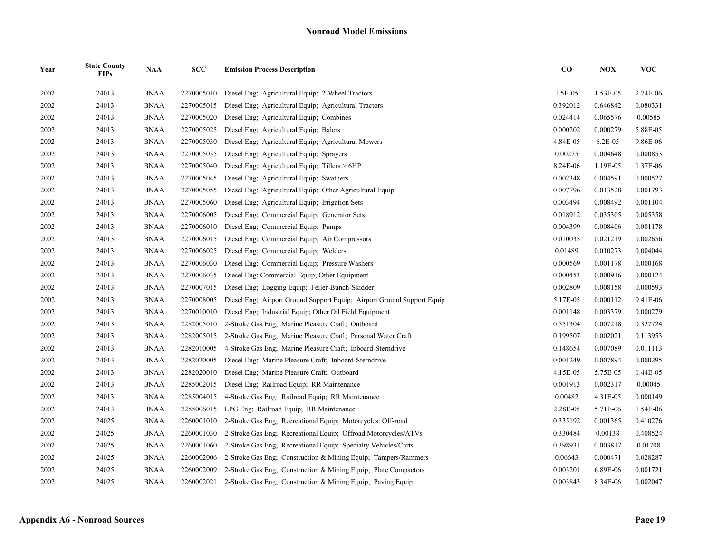| Year | <b>State County</b><br><b>FIPs</b> | <b>NAA</b>  | SCC        | <b>Emission Process Description</b>                                    | $\bf CO$ | <b>NOX</b> | <b>VOC</b> |
|------|------------------------------------|-------------|------------|------------------------------------------------------------------------|----------|------------|------------|
| 2002 | 24013                              | <b>BNAA</b> | 2270005010 | Diesel Eng; Agricultural Equip; 2-Wheel Tractors                       | 1.5E-05  | 1.53E-05   | 2.74E-06   |
| 2002 | 24013                              | <b>BNAA</b> | 2270005015 | Diesel Eng; Agricultural Equip; Agricultural Tractors                  | 0.392012 | 0.646842   | 0.080331   |
| 2002 | 24013                              | <b>BNAA</b> | 2270005020 | Diesel Eng; Agricultural Equip; Combines                               | 0.024414 | 0.065576   | 0.00585    |
| 2002 | 24013                              | <b>BNAA</b> | 2270005025 | Diesel Eng; Agricultural Equip; Balers                                 | 0.000202 | 0.000279   | 5.88E-05   |
| 2002 | 24013                              | <b>BNAA</b> | 2270005030 | Diesel Eng; Agricultural Equip; Agricultural Mowers                    | 4.84E-05 | $6.2E-05$  | 9.86E-06   |
| 2002 | 24013                              | <b>BNAA</b> | 2270005035 | Diesel Eng; Agricultural Equip; Sprayers                               | 0.00275  | 0.004648   | 0.000853   |
| 2002 | 24013                              | <b>BNAA</b> | 2270005040 | Diesel Eng; Agricultural Equip; Tillers > 6HP                          | 8.24E-06 | 1.19E-05   | 1.37E-06   |
| 2002 | 24013                              | <b>BNAA</b> | 2270005045 | Diesel Eng; Agricultural Equip; Swathers                               | 0.002348 | 0.004591   | 0.000527   |
| 2002 | 24013                              | <b>BNAA</b> | 2270005055 | Diesel Eng; Agricultural Equip; Other Agricultural Equip               | 0.007796 | 0.013528   | 0.001793   |
| 2002 | 24013                              | <b>BNAA</b> | 2270005060 | Diesel Eng; Agricultural Equip; Irrigation Sets                        | 0.003494 | 0.008492   | 0.001104   |
| 2002 | 24013                              | <b>BNAA</b> | 2270006005 | Diesel Eng; Commercial Equip; Generator Sets                           | 0.018912 | 0.035305   | 0.005358   |
| 2002 | 24013                              | <b>BNAA</b> | 2270006010 | Diesel Eng; Commercial Equip; Pumps                                    | 0.004399 | 0.008406   | 0.001178   |
| 2002 | 24013                              | <b>BNAA</b> | 2270006015 | Diesel Eng; Commercial Equip; Air Compressors                          | 0.010035 | 0.021219   | 0.002656   |
| 2002 | 24013                              | <b>BNAA</b> | 2270006025 | Diesel Eng; Commercial Equip; Welders                                  | 0.01489  | 0.010273   | 0.004044   |
| 2002 | 24013                              | <b>BNAA</b> | 2270006030 | Diesel Eng; Commercial Equip; Pressure Washers                         | 0.000569 | 0.001178   | 0.000168   |
| 2002 | 24013                              | <b>BNAA</b> | 2270006035 | Diesel Eng; Commercial Equip; Other Equipment                          | 0.000453 | 0.000916   | 0.000124   |
| 2002 | 24013                              | <b>BNAA</b> | 2270007015 | Diesel Eng; Logging Equip; Feller-Bunch-Skidder                        | 0.002809 | 0.008158   | 0.000593   |
| 2002 | 24013                              | <b>BNAA</b> | 2270008005 | Diesel Eng; Airport Ground Support Equip; Airport Ground Support Equip | 5.17E-05 | 0.000112   | 9.41E-06   |
| 2002 | 24013                              | BNAA        | 2270010010 | Diesel Eng; Industrial Equip; Other Oil Field Equipment                | 0.001148 | 0.003379   | 0.000279   |
| 2002 | 24013                              | <b>BNAA</b> | 2282005010 | 2-Stroke Gas Eng; Marine Pleasure Craft; Outboard                      | 0.551304 | 0.007218   | 0.327724   |
| 2002 | 24013                              | <b>BNAA</b> | 2282005015 | 2-Stroke Gas Eng; Marine Pleasure Craft; Personal Water Craft          | 0.199507 | 0.002021   | 0.113953   |
| 2002 | 24013                              | <b>BNAA</b> | 2282010005 | 4-Stroke Gas Eng: Marine Pleasure Craft: Inboard-Sterndrive            | 0.148654 | 0.007089   | 0.011113   |
| 2002 | 24013                              | <b>BNAA</b> | 2282020005 | Diesel Eng; Marine Pleasure Craft; Inboard-Sterndrive                  | 0.001249 | 0.007894   | 0.000295   |
| 2002 | 24013                              | <b>BNAA</b> | 2282020010 | Diesel Eng; Marine Pleasure Craft; Outboard                            | 4.15E-05 | 5.75E-05   | 1.44E-05   |
| 2002 | 24013                              | <b>BNAA</b> | 2285002015 | Diesel Eng; Railroad Equip; RR Maintenance                             | 0.001913 | 0.002317   | 0.00045    |
| 2002 | 24013                              | <b>BNAA</b> | 2285004015 | 4-Stroke Gas Eng; Railroad Equip; RR Maintenance                       | 0.00482  | 4.31E-05   | 0.000149   |
| 2002 | 24013                              | <b>BNAA</b> | 2285006015 | LPG Eng: Railroad Equip: RR Maintenance                                | 2.28E-05 | 5.71E-06   | 1.54E-06   |
| 2002 | 24025                              | <b>BNAA</b> | 2260001010 | 2-Stroke Gas Eng; Recreational Equip; Motorcycles: Off-road            | 0.335192 | 0.001365   | 0.410276   |
| 2002 | 24025                              | <b>BNAA</b> | 2260001030 | 2-Stroke Gas Eng; Recreational Equip; Offroad Motorcycles/ATVs         | 0.330484 | 0.00138    | 0.408524   |
| 2002 | 24025                              | BNAA        | 2260001060 | 2-Stroke Gas Eng: Recreational Equip: Specialty Vehicles/Carts         | 0.398931 | 0.003817   | 0.01708    |
| 2002 | 24025                              | <b>BNAA</b> | 2260002006 | 2-Stroke Gas Eng; Construction & Mining Equip; Tampers/Rammers         | 0.06643  | 0.000471   | 0.028287   |
| 2002 | 24025                              | <b>BNAA</b> | 2260002009 | 2-Stroke Gas Eng; Construction & Mining Equip; Plate Compactors        | 0.003201 | 6.89E-06   | 0.001721   |
| 2002 | 24025                              | <b>BNAA</b> | 2260002021 | 2-Stroke Gas Eng: Construction & Mining Equip: Paving Equip            | 0.003843 | 8.34E-06   | 0.002047   |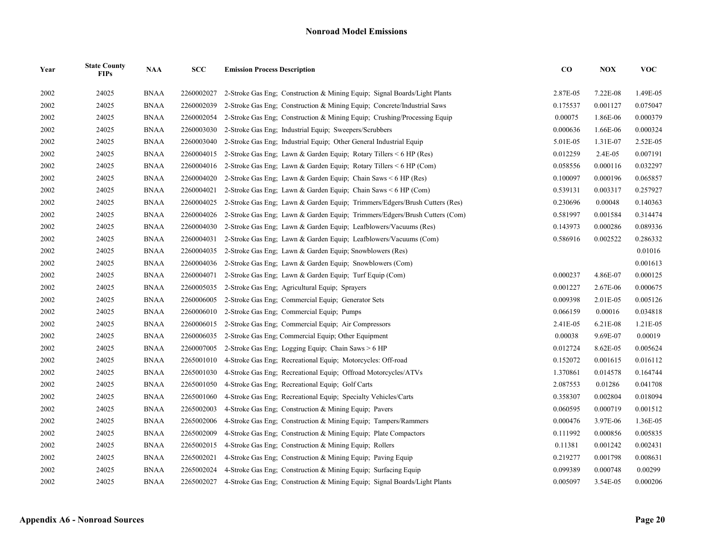| Year | <b>State County</b><br><b>FIPs</b> | <b>NAA</b>  | <b>SCC</b> | <b>Emission Process Description</b>                                        | $\bf{CO}$ | <b>NOX</b> | <b>VOC</b> |
|------|------------------------------------|-------------|------------|----------------------------------------------------------------------------|-----------|------------|------------|
| 2002 | 24025                              | <b>BNAA</b> | 2260002027 | 2-Stroke Gas Eng: Construction & Mining Equip: Signal Boards/Light Plants  | 2.87E-05  | 7.22E-08   | 1.49E-05   |
| 2002 | 24025                              | <b>BNAA</b> | 2260002039 | 2-Stroke Gas Eng; Construction & Mining Equip; Concrete/Industrial Saws    | 0.175537  | 0.001127   | 0.075047   |
| 2002 | 24025                              | <b>BNAA</b> | 2260002054 | 2-Stroke Gas Eng: Construction & Mining Equip; Crushing/Processing Equip   | 0.00075   | 1.86E-06   | 0.000379   |
| 2002 | 24025                              | <b>BNAA</b> | 2260003030 | 2-Stroke Gas Eng: Industrial Equip: Sweepers/Scrubbers                     | 0.000636  | 1.66E-06   | 0.000324   |
| 2002 | 24025                              | <b>BNAA</b> | 2260003040 | 2-Stroke Gas Eng; Industrial Equip; Other General Industrial Equip         | 5.01E-05  | 1.31E-07   | 2.52E-05   |
| 2002 | 24025                              | <b>BNAA</b> | 2260004015 | 2-Stroke Gas Eng; Lawn & Garden Equip; Rotary Tillers < 6 HP (Res)         | 0.012259  | 2.4E-05    | 0.007191   |
| 2002 | 24025                              | <b>BNAA</b> | 2260004016 | 2-Stroke Gas Eng; Lawn & Garden Equip; Rotary Tillers < 6 HP (Com)         | 0.058556  | 0.000116   | 0.032297   |
| 2002 | 24025                              | <b>BNAA</b> | 2260004020 | 2-Stroke Gas Eng; Lawn & Garden Equip; Chain Saws $\leq 6$ HP (Res)        | 0.100097  | 0.000196   | 0.065857   |
| 2002 | 24025                              | <b>BNAA</b> | 2260004021 | 2-Stroke Gas Eng; Lawn & Garden Equip; Chain Saws $\leq 6$ HP (Com)        | 0.539131  | 0.003317   | 0.257927   |
| 2002 | 24025                              | <b>BNAA</b> | 2260004025 | 2-Stroke Gas Eng; Lawn & Garden Equip; Trimmers/Edgers/Brush Cutters (Res) | 0.230696  | 0.00048    | 0.140363   |
| 2002 | 24025                              | <b>BNAA</b> | 2260004026 | 2-Stroke Gas Eng; Lawn & Garden Equip; Trimmers/Edgers/Brush Cutters (Com) | 0.581997  | 0.001584   | 0.314474   |
| 2002 | 24025                              | <b>BNAA</b> | 2260004030 | 2-Stroke Gas Eng; Lawn & Garden Equip; Leafblowers/Vacuums (Res)           | 0.143973  | 0.000286   | 0.089336   |
| 2002 | 24025                              | <b>BNAA</b> | 2260004031 | 2-Stroke Gas Eng; Lawn & Garden Equip; Leafblowers/Vacuums (Com)           | 0.586916  | 0.002522   | 0.286332   |
| 2002 | 24025                              | <b>BNAA</b> | 2260004035 | 2-Stroke Gas Eng; Lawn & Garden Equip; Snowblowers (Res)                   |           |            | 0.01016    |
| 2002 | 24025                              | <b>BNAA</b> | 2260004036 | 2-Stroke Gas Eng: Lawn & Garden Equip: Snowblowers (Com)                   |           |            | 0.001613   |
| 2002 | 24025                              | <b>BNAA</b> | 2260004071 | 2-Stroke Gas Eng; Lawn & Garden Equip; Turf Equip (Com)                    | 0.000237  | 4.86E-07   | 0.000125   |
| 2002 | 24025                              | <b>BNAA</b> | 2260005035 | 2-Stroke Gas Eng; Agricultural Equip; Sprayers                             | 0.001227  | 2.67E-06   | 0.000675   |
| 2002 | 24025                              | <b>BNAA</b> | 2260006005 | 2-Stroke Gas Eng; Commercial Equip; Generator Sets                         | 0.009398  | 2.01E-05   | 0.005126   |
| 2002 | 24025                              | <b>BNAA</b> | 2260006010 | 2-Stroke Gas Eng; Commercial Equip; Pumps                                  | 0.066159  | 0.00016    | 0.034818   |
| 2002 | 24025                              | <b>BNAA</b> | 2260006015 | 2-Stroke Gas Eng; Commercial Equip; Air Compressors                        | 2.41E-05  | 6.21E-08   | 1.21E-05   |
| 2002 | 24025                              | <b>BNAA</b> | 2260006035 | 2-Stroke Gas Eng: Commercial Equip: Other Equipment                        | 0.00038   | 9.69E-07   | 0.00019    |
| 2002 | 24025                              | <b>BNAA</b> | 2260007005 | 2-Stroke Gas Eng; Logging Equip; Chain Saws > 6 HP                         | 0.012724  | 8.62E-05   | 0.005624   |
| 2002 | 24025                              | <b>BNAA</b> | 2265001010 | 4-Stroke Gas Eng; Recreational Equip; Motorcycles: Off-road                | 0.152072  | 0.001615   | 0.016112   |
| 2002 | 24025                              | <b>BNAA</b> | 2265001030 | 4-Stroke Gas Eng: Recreational Equip: Offroad Motorcycles/ATVs             | 1.370861  | 0.014578   | 0.164744   |
| 2002 | 24025                              | <b>BNAA</b> | 2265001050 | 4-Stroke Gas Eng; Recreational Equip; Golf Carts                           | 2.087553  | 0.01286    | 0.041708   |
| 2002 | 24025                              | <b>BNAA</b> | 2265001060 | 4-Stroke Gas Eng; Recreational Equip; Specialty Vehicles/Carts             | 0.358307  | 0.002804   | 0.018094   |
| 2002 | 24025                              | <b>BNAA</b> | 2265002003 | 4-Stroke Gas Eng: Construction & Mining Equip: Pavers                      | 0.060595  | 0.000719   | 0.001512   |
| 2002 | 24025                              | <b>BNAA</b> | 2265002006 | 4-Stroke Gas Eng; Construction & Mining Equip; Tampers/Rammers             | 0.000476  | 3.97E-06   | 1.36E-05   |
| 2002 | 24025                              | <b>BNAA</b> | 2265002009 | 4-Stroke Gas Eng; Construction & Mining Equip; Plate Compactors            | 0.111992  | 0.000856   | 0.005835   |
| 2002 | 24025                              | <b>BNAA</b> | 2265002015 | 4-Stroke Gas Eng: Construction & Mining Equip: Rollers                     | 0.11381   | 0.001242   | 0.002431   |
| 2002 | 24025                              | <b>BNAA</b> | 2265002021 | 4-Stroke Gas Eng; Construction & Mining Equip; Paving Equip                | 0.219277  | 0.001798   | 0.008631   |
| 2002 | 24025                              | <b>BNAA</b> | 2265002024 | 4-Stroke Gas Eng; Construction & Mining Equip; Surfacing Equip             | 0.099389  | 0.000748   | 0.00299    |
| 2002 | 24025                              | <b>BNAA</b> | 2265002027 | 4-Stroke Gas Eng: Construction & Mining Equip: Signal Boards/Light Plants  | 0.005097  | 3.54E-05   | 0.000206   |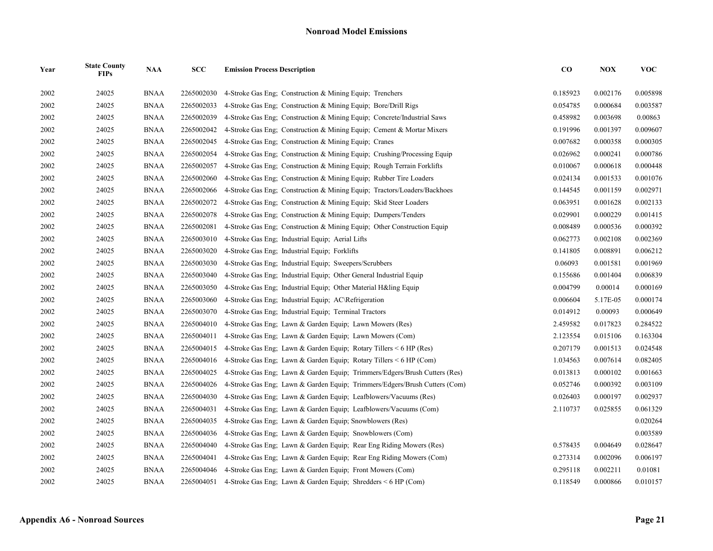| Year | <b>State County</b><br><b>FIPs</b> | <b>NAA</b>  | <b>SCC</b> | <b>Emission Process Description</b>                                        | $\bf{CO}$ | <b>NOX</b> | VOC      |
|------|------------------------------------|-------------|------------|----------------------------------------------------------------------------|-----------|------------|----------|
| 2002 | 24025                              | <b>BNAA</b> | 2265002030 | 4-Stroke Gas Eng: Construction & Mining Equip: Trenchers                   | 0.185923  | 0.002176   | 0.005898 |
| 2002 | 24025                              | <b>BNAA</b> | 2265002033 | 4-Stroke Gas Eng: Construction & Mining Equip: Bore/Drill Rigs             | 0.054785  | 0.000684   | 0.003587 |
| 2002 | 24025                              | <b>BNAA</b> | 2265002039 | 4-Stroke Gas Eng; Construction & Mining Equip; Concrete/Industrial Saws    | 0.458982  | 0.003698   | 0.00863  |
| 2002 | 24025                              | <b>BNAA</b> | 2265002042 | 4-Stroke Gas Eng; Construction & Mining Equip; Cement & Mortar Mixers      | 0.191996  | 0.001397   | 0.009607 |
| 2002 | 24025                              | <b>BNAA</b> | 2265002045 | 4-Stroke Gas Eng; Construction & Mining Equip; Cranes                      | 0.007682  | 0.000358   | 0.000305 |
| 2002 | 24025                              | <b>BNAA</b> | 2265002054 | 4-Stroke Gas Eng; Construction & Mining Equip; Crushing/Processing Equip   | 0.026962  | 0.000241   | 0.000786 |
| 2002 | 24025                              | <b>BNAA</b> | 2265002057 | 4-Stroke Gas Eng; Construction & Mining Equip; Rough Terrain Forklifts     | 0.010067  | 0.000618   | 0.000448 |
| 2002 | 24025                              | <b>BNAA</b> | 2265002060 | 4-Stroke Gas Eng; Construction & Mining Equip; Rubber Tire Loaders         | 0.024134  | 0.001533   | 0.001076 |
| 2002 | 24025                              | <b>BNAA</b> | 2265002066 | 4-Stroke Gas Eng; Construction & Mining Equip; Tractors/Loaders/Backhoes   | 0.144545  | 0.001159   | 0.002971 |
| 2002 | 24025                              | <b>BNAA</b> | 2265002072 | 4-Stroke Gas Eng; Construction & Mining Equip; Skid Steer Loaders          | 0.063951  | 0.001628   | 0.002133 |
| 2002 | 24025                              | <b>BNAA</b> | 2265002078 | 4-Stroke Gas Eng: Construction & Mining Equip: Dumpers/Tenders             | 0.029901  | 0.000229   | 0.001415 |
| 2002 | 24025                              | <b>BNAA</b> | 2265002081 | 4-Stroke Gas Eng; Construction & Mining Equip; Other Construction Equip    | 0.008489  | 0.000536   | 0.000392 |
| 2002 | 24025                              | <b>BNAA</b> | 2265003010 | 4-Stroke Gas Eng; Industrial Equip; Aerial Lifts                           | 0.062773  | 0.002108   | 0.002369 |
| 2002 | 24025                              | <b>BNAA</b> | 2265003020 | 4-Stroke Gas Eng: Industrial Equip: Forklifts                              | 0.141805  | 0.008891   | 0.006212 |
| 2002 | 24025                              | <b>BNAA</b> | 2265003030 | 4-Stroke Gas Eng; Industrial Equip; Sweepers/Scrubbers                     | 0.06093   | 0.001581   | 0.001969 |
| 2002 | 24025                              | <b>BNAA</b> | 2265003040 | 4-Stroke Gas Eng; Industrial Equip; Other General Industrial Equip         | 0.155686  | 0.001404   | 0.006839 |
| 2002 | 24025                              | <b>BNAA</b> | 2265003050 | 4-Stroke Gas Eng: Industrial Equip: Other Material H&ling Equip            | 0.004799  | 0.00014    | 0.000169 |
| 2002 | 24025                              | <b>BNAA</b> | 2265003060 | 4-Stroke Gas Eng; Industrial Equip; AC\Refrigeration                       | 0.006604  | 5.17E-05   | 0.000174 |
| 2002 | 24025                              | <b>BNAA</b> | 2265003070 | 4-Stroke Gas Eng; Industrial Equip; Terminal Tractors                      | 0.014912  | 0.00093    | 0.000649 |
| 2002 | 24025                              | <b>BNAA</b> | 2265004010 | 4-Stroke Gas Eng; Lawn & Garden Equip; Lawn Mowers (Res)                   | 2.459582  | 0.017823   | 0.284522 |
| 2002 | 24025                              | <b>BNAA</b> | 2265004011 | 4-Stroke Gas Eng; Lawn & Garden Equip; Lawn Mowers (Com)                   | 2.123554  | 0.015106   | 0.163304 |
| 2002 | 24025                              | <b>BNAA</b> | 2265004015 | 4-Stroke Gas Eng; Lawn & Garden Equip; Rotary Tillers $\leq 6$ HP (Res)    | 0.207179  | 0.001513   | 0.024548 |
| 2002 | 24025                              | <b>BNAA</b> | 2265004016 | 4-Stroke Gas Eng; Lawn & Garden Equip; Rotary Tillers < 6 HP (Com)         | 1.034563  | 0.007614   | 0.082405 |
| 2002 | 24025                              | <b>BNAA</b> | 2265004025 | 4-Stroke Gas Eng; Lawn & Garden Equip; Trimmers/Edgers/Brush Cutters (Res) | 0.013813  | 0.000102   | 0.001663 |
| 2002 | 24025                              | <b>BNAA</b> | 2265004026 | 4-Stroke Gas Eng; Lawn & Garden Equip; Trimmers/Edgers/Brush Cutters (Com) | 0.052746  | 0.000392   | 0.003109 |
| 2002 | 24025                              | <b>BNAA</b> | 2265004030 | 4-Stroke Gas Eng; Lawn & Garden Equip; Leafblowers/Vacuums (Res)           | 0.026403  | 0.000197   | 0.002937 |
| 2002 | 24025                              | <b>BNAA</b> | 2265004031 | 4-Stroke Gas Eng; Lawn & Garden Equip; Leafblowers/Vacuums (Com)           | 2.110737  | 0.025855   | 0.061329 |
| 2002 | 24025                              | <b>BNAA</b> | 2265004035 | 4-Stroke Gas Eng; Lawn & Garden Equip; Snowblowers (Res)                   |           |            | 0.020264 |
| 2002 | 24025                              | <b>BNAA</b> | 2265004036 | 4-Stroke Gas Eng; Lawn & Garden Equip; Snowblowers (Com)                   |           |            | 0.003589 |
| 2002 | 24025                              | <b>BNAA</b> | 2265004040 | 4-Stroke Gas Eng; Lawn & Garden Equip; Rear Eng Riding Mowers (Res)        | 0.578435  | 0.004649   | 0.028647 |
| 2002 | 24025                              | <b>BNAA</b> | 2265004041 | 4-Stroke Gas Eng; Lawn & Garden Equip; Rear Eng Riding Mowers (Com)        | 0.273314  | 0.002096   | 0.006197 |
| 2002 | 24025                              | <b>BNAA</b> | 2265004046 | 4-Stroke Gas Eng; Lawn & Garden Equip; Front Mowers (Com)                  | 0.295118  | 0.002211   | 0.01081  |
| 2002 | 24025                              | <b>BNAA</b> | 2265004051 | 4-Stroke Gas Eng; Lawn & Garden Equip; Shredders $\leq 6$ HP (Com)         | 0.118549  | 0.000866   | 0.010157 |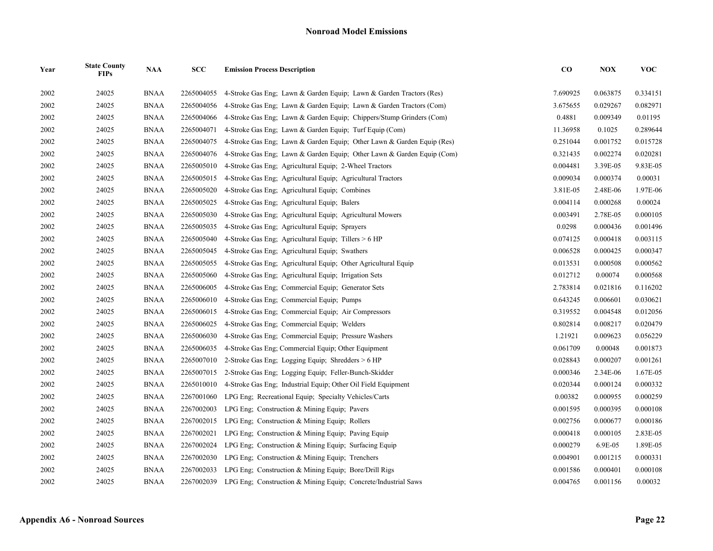| Year | <b>State County</b><br><b>FIPs</b> | <b>NAA</b>  | SCC        | <b>Emission Process Description</b>                                    | $\bf{CO}$ | <b>NOX</b> | <b>VOC</b> |
|------|------------------------------------|-------------|------------|------------------------------------------------------------------------|-----------|------------|------------|
| 2002 | 24025                              | <b>BNAA</b> | 2265004055 | 4-Stroke Gas Eng; Lawn & Garden Equip; Lawn & Garden Tractors (Res)    | 7.690925  | 0.063875   | 0.334151   |
| 2002 | 24025                              | <b>BNAA</b> | 2265004056 | 4-Stroke Gas Eng; Lawn & Garden Equip; Lawn & Garden Tractors (Com)    | 3.675655  | 0.029267   | 0.082971   |
| 2002 | 24025                              | <b>BNAA</b> | 2265004066 | 4-Stroke Gas Eng; Lawn & Garden Equip; Chippers/Stump Grinders (Com)   | 0.4881    | 0.009349   | 0.01195    |
| 2002 | 24025                              | <b>BNAA</b> | 2265004071 | 4-Stroke Gas Eng: Lawn & Garden Equip: Turf Equip (Com)                | 11.36958  | 0.1025     | 0.289644   |
| 2002 | 24025                              | <b>BNAA</b> | 2265004075 | 4-Stroke Gas Eng; Lawn & Garden Equip; Other Lawn & Garden Equip (Res) | 0.251044  | 0.001752   | 0.015728   |
| 2002 | 24025                              | <b>BNAA</b> | 2265004076 | 4-Stroke Gas Eng; Lawn & Garden Equip; Other Lawn & Garden Equip (Com) | 0.321435  | 0.002274   | 0.020281   |
| 2002 | 24025                              | <b>BNAA</b> | 2265005010 | 4-Stroke Gas Eng: Agricultural Equip: 2-Wheel Tractors                 | 0.004481  | 3.39E-05   | 9.83E-05   |
| 2002 | 24025                              | <b>BNAA</b> | 2265005015 | 4-Stroke Gas Eng; Agricultural Equip; Agricultural Tractors            | 0.009034  | 0.000374   | 0.00031    |
| 2002 | 24025                              | <b>BNAA</b> | 2265005020 | 4-Stroke Gas Eng; Agricultural Equip; Combines                         | 3.81E-05  | 2.48E-06   | 1.97E-06   |
| 2002 | 24025                              | <b>BNAA</b> | 2265005025 | 4-Stroke Gas Eng: Agricultural Equip: Balers                           | 0.004114  | 0.000268   | 0.00024    |
| 2002 | 24025                              | <b>BNAA</b> | 2265005030 | 4-Stroke Gas Eng; Agricultural Equip; Agricultural Mowers              | 0.003491  | 2.78E-05   | 0.000105   |
| 2002 | 24025                              | <b>BNAA</b> | 2265005035 | 4-Stroke Gas Eng; Agricultural Equip; Sprayers                         | 0.0298    | 0.000436   | 0.001496   |
| 2002 | 24025                              | <b>BNAA</b> | 2265005040 | 4-Stroke Gas Eng; Agricultural Equip; Tillers > 6 HP                   | 0.074125  | 0.000418   | 0.003115   |
| 2002 | 24025                              | <b>BNAA</b> | 2265005045 | 4-Stroke Gas Eng: Agricultural Equip: Swathers                         | 0.006528  | 0.000425   | 0.000347   |
| 2002 | 24025                              | <b>BNAA</b> | 2265005055 | 4-Stroke Gas Eng, Agricultural Equip; Other Agricultural Equip         | 0.013531  | 0.000508   | 0.000562   |
| 2002 | 24025                              | <b>BNAA</b> | 2265005060 | 4-Stroke Gas Eng; Agricultural Equip; Irrigation Sets                  | 0.012712  | 0.00074    | 0.000568   |
| 2002 | 24025                              | <b>BNAA</b> | 2265006005 | 4-Stroke Gas Eng; Commercial Equip; Generator Sets                     | 2.783814  | 0.021816   | 0.116202   |
| 2002 | 24025                              | <b>BNAA</b> | 2265006010 | 4-Stroke Gas Eng; Commercial Equip; Pumps                              | 0.643245  | 0.006601   | 0.030621   |
| 2002 | 24025                              | <b>BNAA</b> | 2265006015 | 4-Stroke Gas Eng; Commercial Equip; Air Compressors                    | 0.319552  | 0.004548   | 0.012056   |
| 2002 | 24025                              | <b>BNAA</b> | 2265006025 | 4-Stroke Gas Eng: Commercial Equip: Welders                            | 0.802814  | 0.008217   | 0.020479   |
| 2002 | 24025                              | <b>BNAA</b> | 2265006030 | 4-Stroke Gas Eng; Commercial Equip; Pressure Washers                   | 1.21921   | 0.009623   | 0.056229   |
| 2002 | 24025                              | <b>BNAA</b> | 2265006035 | 4-Stroke Gas Eng; Commercial Equip; Other Equipment                    | 0.061709  | 0.00048    | 0.001873   |
| 2002 | 24025                              | <b>BNAA</b> | 2265007010 | 2-Stroke Gas Eng: Logging Equip: Shredders > 6 HP                      | 0.028843  | 0.000207   | 0.001261   |
| 2002 | 24025                              | <b>BNAA</b> | 2265007015 | 2-Stroke Gas Eng; Logging Equip; Feller-Bunch-Skidder                  | 0.000346  | 2.34E-06   | 1.67E-05   |
| 2002 | 24025                              | <b>BNAA</b> | 2265010010 | 4-Stroke Gas Eng; Industrial Equip; Other Oil Field Equipment          | 0.020344  | 0.000124   | 0.000332   |
| 2002 | 24025                              | <b>BNAA</b> | 2267001060 | LPG Eng; Recreational Equip; Specialty Vehicles/Carts                  | 0.00382   | 0.000955   | 0.000259   |
| 2002 | 24025                              | <b>BNAA</b> | 2267002003 | LPG Eng; Construction & Mining Equip; Pavers                           | 0.001595  | 0.000395   | 0.000108   |
| 2002 | 24025                              | <b>BNAA</b> | 2267002015 | LPG Eng; Construction & Mining Equip; Rollers                          | 0.002756  | 0.000677   | 0.000186   |
| 2002 | 24025                              | <b>BNAA</b> | 2267002021 | LPG Eng: Construction & Mining Equip; Paving Equip                     | 0.000418  | 0.000105   | 2.83E-05   |
| 2002 | 24025                              | <b>BNAA</b> | 2267002024 | LPG Eng; Construction & Mining Equip; Surfacing Equip                  | 0.000279  | 6.9E-05    | 1.89E-05   |
| 2002 | 24025                              | <b>BNAA</b> | 2267002030 | LPG Eng; Construction & Mining Equip; Trenchers                        | 0.004901  | 0.001215   | 0.000331   |
| 2002 | 24025                              | <b>BNAA</b> | 2267002033 | LPG Eng; Construction & Mining Equip; Bore/Drill Rigs                  | 0.001586  | 0.000401   | 0.000108   |
| 2002 | 24025                              | <b>BNAA</b> | 2267002039 | LPG Eng: Construction & Mining Equip: Concrete/Industrial Saws         | 0.004765  | 0.001156   | 0.00032    |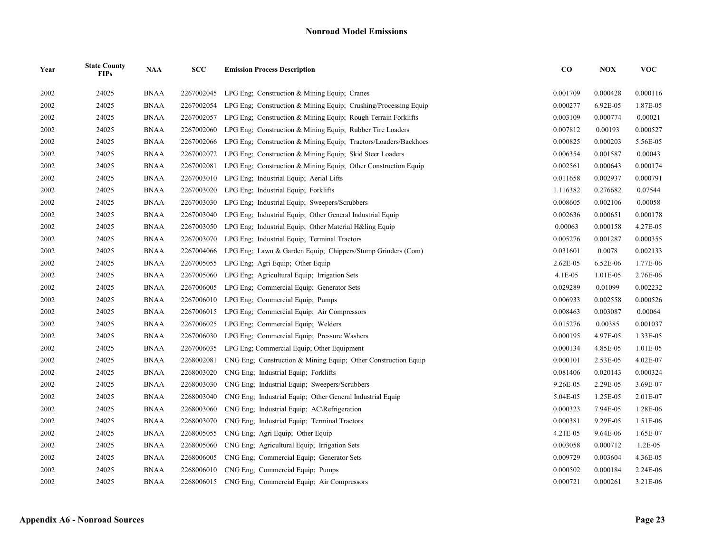| Year | <b>State County</b><br><b>FIPs</b> | <b>NAA</b>  | SCC        | <b>Emission Process Description</b>                             | $\bf CO$ | <b>NOX</b> | <b>VOC</b> |
|------|------------------------------------|-------------|------------|-----------------------------------------------------------------|----------|------------|------------|
| 2002 | 24025                              | <b>BNAA</b> | 2267002045 | LPG Eng: Construction $&$ Mining Equip: Cranes                  | 0.001709 | 0.000428   | 0.000116   |
| 2002 | 24025                              | <b>BNAA</b> | 2267002054 | LPG Eng; Construction & Mining Equip; Crushing/Processing Equip | 0.000277 | 6.92E-05   | 1.87E-05   |
| 2002 | 24025                              | <b>BNAA</b> | 2267002057 | LPG Eng: Construction & Mining Equip: Rough Terrain Forklifts   | 0.003109 | 0.000774   | 0.00021    |
| 2002 | 24025                              | <b>BNAA</b> | 2267002060 | LPG Eng; Construction & Mining Equip; Rubber Tire Loaders       | 0.007812 | 0.00193    | 0.000527   |
| 2002 | 24025                              | <b>BNAA</b> | 2267002066 | LPG Eng; Construction & Mining Equip; Tractors/Loaders/Backhoes | 0.000825 | 0.000203   | 5.56E-05   |
| 2002 | 24025                              | <b>BNAA</b> | 2267002072 | LPG Eng: Construction & Mining Equip: Skid Steer Loaders        | 0.006354 | 0.001587   | 0.00043    |
| 2002 | 24025                              | <b>BNAA</b> | 2267002081 | LPG Eng; Construction & Mining Equip; Other Construction Equip  | 0.002561 | 0.000643   | 0.000174   |
| 2002 | 24025                              | <b>BNAA</b> | 2267003010 | LPG Eng; Industrial Equip; Aerial Lifts                         | 0.011658 | 0.002937   | 0.000791   |
| 2002 | 24025                              | <b>BNAA</b> | 2267003020 | LPG Eng: Industrial Equip: Forklifts                            | 1.116382 | 0.276682   | 0.07544    |
| 2002 | 24025                              | <b>BNAA</b> | 2267003030 | LPG Eng: Industrial Equip: Sweepers/Scrubbers                   | 0.008605 | 0.002106   | 0.00058    |
| 2002 | 24025                              | <b>BNAA</b> | 2267003040 | LPG Eng; Industrial Equip; Other General Industrial Equip       | 0.002636 | 0.000651   | 0.000178   |
| 2002 | 24025                              | <b>BNAA</b> | 2267003050 | LPG Eng; Industrial Equip; Other Material H&ling Equip          | 0.00063  | 0.000158   | 4.27E-05   |
| 2002 | 24025                              | <b>BNAA</b> | 2267003070 | LPG Eng; Industrial Equip; Terminal Tractors                    | 0.005276 | 0.001287   | 0.000355   |
| 2002 | 24025                              | <b>BNAA</b> | 2267004066 | LPG Eng; Lawn & Garden Equip; Chippers/Stump Grinders (Com)     | 0.031601 | 0.0078     | 0.002133   |
| 2002 | 24025                              | <b>BNAA</b> | 2267005055 | LPG Eng; Agri Equip; Other Equip                                | 2.62E-05 | 6.52E-06   | 1.77E-06   |
| 2002 | 24025                              | <b>BNAA</b> | 2267005060 | LPG Eng; Agricultural Equip; Irrigation Sets                    | 4.1E-05  | 1.01E-05   | 2.76E-06   |
| 2002 | 24025                              | <b>BNAA</b> | 2267006005 | LPG Eng; Commercial Equip; Generator Sets                       | 0.029289 | 0.01099    | 0.002232   |
| 2002 | 24025                              | <b>BNAA</b> | 2267006010 | LPG Eng; Commercial Equip; Pumps                                | 0.006933 | 0.002558   | 0.000526   |
| 2002 | 24025                              | <b>BNAA</b> | 2267006015 | LPG Eng; Commercial Equip; Air Compressors                      | 0.008463 | 0.003087   | 0.00064    |
| 2002 | 24025                              | <b>BNAA</b> | 2267006025 | LPG Eng; Commercial Equip; Welders                              | 0.015276 | 0.00385    | 0.001037   |
| 2002 | 24025                              | <b>BNAA</b> | 2267006030 | LPG Eng; Commercial Equip; Pressure Washers                     | 0.000195 | 4.97E-05   | 1.33E-05   |
| 2002 | 24025                              | <b>BNAA</b> | 2267006035 | LPG Eng; Commercial Equip; Other Equipment                      | 0.000134 | 4.85E-05   | 1.01E-05   |
| 2002 | 24025                              | <b>BNAA</b> | 2268002081 | CNG Eng; Construction & Mining Equip; Other Construction Equip  | 0.000101 | 2.53E-05   | 4.02E-07   |
| 2002 | 24025                              | <b>BNAA</b> | 2268003020 | CNG Eng; Industrial Equip; Forklifts                            | 0.081406 | 0.020143   | 0.000324   |
| 2002 | 24025                              | <b>BNAA</b> | 2268003030 | CNG Eng; Industrial Equip; Sweepers/Scrubbers                   | 9.26E-05 | 2.29E-05   | 3.69E-07   |
| 2002 | 24025                              | <b>BNAA</b> | 2268003040 | CNG Eng; Industrial Equip; Other General Industrial Equip       | 5.04E-05 | 1.25E-05   | 2.01E-07   |
| 2002 | 24025                              | <b>BNAA</b> | 2268003060 | CNG Eng; Industrial Equip; AC\Refrigeration                     | 0.000323 | 7.94E-05   | 1.28E-06   |
| 2002 | 24025                              | <b>BNAA</b> | 2268003070 | CNG Eng; Industrial Equip; Terminal Tractors                    | 0.000381 | 9.29E-05   | 1.51E-06   |
| 2002 | 24025                              | <b>BNAA</b> | 2268005055 | CNG Eng; Agri Equip; Other Equip                                | 4.21E-05 | 9.64E-06   | 1.65E-07   |
| 2002 | 24025                              | <b>BNAA</b> | 2268005060 | CNG Eng; Agricultural Equip; Irrigation Sets                    | 0.003058 | 0.000712   | $1.2E-05$  |
| 2002 | 24025                              | <b>BNAA</b> | 2268006005 | CNG Eng; Commercial Equip; Generator Sets                       | 0.009729 | 0.003604   | 4.36E-05   |
| 2002 | 24025                              | <b>BNAA</b> | 2268006010 | CNG Eng; Commercial Equip; Pumps                                | 0.000502 | 0.000184   | 2.24E-06   |
| 2002 | 24025                              | <b>BNAA</b> |            | 2268006015 CNG Eng; Commercial Equip; Air Compressors           | 0.000721 | 0.000261   | 3.21E-06   |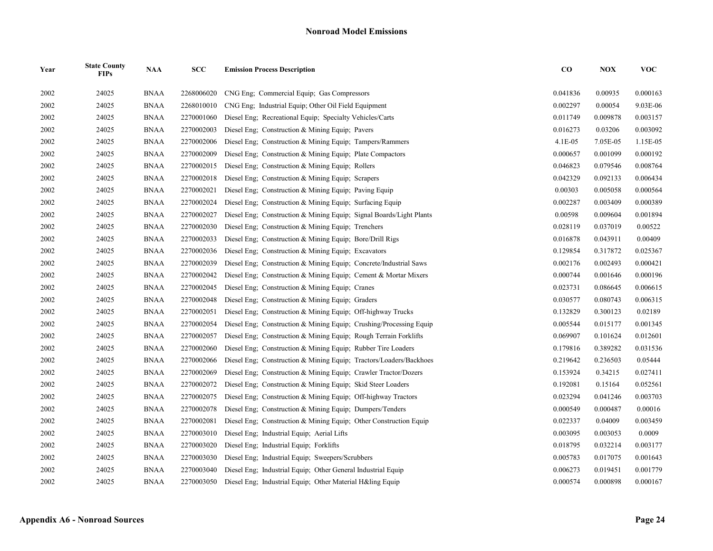| Year | <b>State County</b><br><b>FIPs</b> | <b>NAA</b>  | SCC        | <b>Emission Process Description</b>                                 | ${\bf CO}$ | <b>NOX</b> | <b>VOC</b> |
|------|------------------------------------|-------------|------------|---------------------------------------------------------------------|------------|------------|------------|
| 2002 | 24025                              | <b>BNAA</b> | 2268006020 | CNG Eng: Commercial Equip: Gas Compressors                          | 0.041836   | 0.00935    | 0.000163   |
| 2002 | 24025                              | <b>BNAA</b> | 2268010010 | CNG Eng; Industrial Equip; Other Oil Field Equipment                | 0.002297   | 0.00054    | 9.03E-06   |
| 2002 | 24025                              | <b>BNAA</b> | 2270001060 | Diesel Eng; Recreational Equip; Specialty Vehicles/Carts            | 0.011749   | 0.009878   | 0.003157   |
| 2002 | 24025                              | <b>BNAA</b> | 2270002003 | Diesel Eng: Construction & Mining Equip: Pavers                     | 0.016273   | 0.03206    | 0.003092   |
| 2002 | 24025                              | <b>BNAA</b> | 2270002006 | Diesel Eng; Construction & Mining Equip; Tampers/Rammers            | 4.1E-05    | 7.05E-05   | 1.15E-05   |
| 2002 | 24025                              | <b>BNAA</b> | 2270002009 | Diesel Eng; Construction & Mining Equip; Plate Compactors           | 0.000657   | 0.001099   | 0.000192   |
| 2002 | 24025                              | <b>BNAA</b> | 2270002015 | Diesel Eng; Construction & Mining Equip; Rollers                    | 0.046823   | 0.079546   | 0.008764   |
| 2002 | 24025                              | <b>BNAA</b> | 2270002018 | Diesel Eng; Construction & Mining Equip; Scrapers                   | 0.042329   | 0.092133   | 0.006434   |
| 2002 | 24025                              | <b>BNAA</b> | 2270002021 | Diesel Eng; Construction & Mining Equip; Paving Equip               | 0.00303    | 0.005058   | 0.000564   |
| 2002 | 24025                              | <b>BNAA</b> | 2270002024 | Diesel Eng; Construction & Mining Equip; Surfacing Equip            | 0.002287   | 0.003409   | 0.000389   |
| 2002 | 24025                              | <b>BNAA</b> | 2270002027 | Diesel Eng; Construction & Mining Equip; Signal Boards/Light Plants | 0.00598    | 0.009604   | 0.001894   |
| 2002 | 24025                              | <b>BNAA</b> | 2270002030 | Diesel Eng; Construction & Mining Equip; Trenchers                  | 0.028119   | 0.037019   | 0.00522    |
| 2002 | 24025                              | <b>BNAA</b> | 2270002033 | Diesel Eng; Construction & Mining Equip; Bore/Drill Rigs            | 0.016878   | 0.043911   | 0.00409    |
| 2002 | 24025                              | <b>BNAA</b> | 2270002036 | Diesel Eng; Construction & Mining Equip; Excavators                 | 0.129854   | 0.317872   | 0.025367   |
| 2002 | 24025                              | <b>BNAA</b> | 2270002039 | Diesel Eng; Construction & Mining Equip; Concrete/Industrial Saws   | 0.002176   | 0.002493   | 0.000421   |
| 2002 | 24025                              | <b>BNAA</b> | 2270002042 | Diesel Eng; Construction & Mining Equip; Cement & Mortar Mixers     | 0.000744   | 0.001646   | 0.000196   |
| 2002 | 24025                              | <b>BNAA</b> | 2270002045 | Diesel Eng; Construction & Mining Equip; Cranes                     | 0.023731   | 0.086645   | 0.006615   |
| 2002 | 24025                              | <b>BNAA</b> | 2270002048 | Diesel Eng; Construction & Mining Equip; Graders                    | 0.030577   | 0.080743   | 0.006315   |
| 2002 | 24025                              | <b>BNAA</b> | 2270002051 | Diesel Eng; Construction & Mining Equip; Off-highway Trucks         | 0.132829   | 0.300123   | 0.02189    |
| 2002 | 24025                              | <b>BNAA</b> | 2270002054 | Diesel Eng; Construction & Mining Equip; Crushing/Processing Equip  | 0.005544   | 0.015177   | 0.001345   |
| 2002 | 24025                              | <b>BNAA</b> | 2270002057 | Diesel Eng; Construction & Mining Equip; Rough Terrain Forklifts    | 0.069907   | 0.101624   | 0.012601   |
| 2002 | 24025                              | <b>BNAA</b> | 2270002060 | Diesel Eng; Construction & Mining Equip; Rubber Tire Loaders        | 0.179816   | 0.389282   | 0.031536   |
| 2002 | 24025                              | <b>BNAA</b> | 2270002066 | Diesel Eng; Construction & Mining Equip; Tractors/Loaders/Backhoes  | 0.219642   | 0.236503   | 0.05444    |
| 2002 | 24025                              | <b>BNAA</b> | 2270002069 | Diesel Eng; Construction & Mining Equip; Crawler Tractor/Dozers     | 0.153924   | 0.34215    | 0.027411   |
| 2002 | 24025                              | <b>BNAA</b> | 2270002072 | Diesel Eng; Construction & Mining Equip; Skid Steer Loaders         | 0.192081   | 0.15164    | 0.052561   |
| 2002 | 24025                              | <b>BNAA</b> | 2270002075 | Diesel Eng; Construction & Mining Equip; Off-highway Tractors       | 0.023294   | 0.041246   | 0.003703   |
| 2002 | 24025                              | <b>BNAA</b> | 2270002078 | Diesel Eng; Construction & Mining Equip; Dumpers/Tenders            | 0.000549   | 0.000487   | 0.00016    |
| 2002 | 24025                              | <b>BNAA</b> | 2270002081 | Diesel Eng; Construction & Mining Equip; Other Construction Equip   | 0.022337   | 0.04009    | 0.003459   |
| 2002 | 24025                              | <b>BNAA</b> | 2270003010 | Diesel Eng; Industrial Equip; Aerial Lifts                          | 0.003095   | 0.003053   | 0.0009     |
| 2002 | 24025                              | <b>BNAA</b> | 2270003020 | Diesel Eng; Industrial Equip; Forklifts                             | 0.018795   | 0.032214   | 0.003177   |
| 2002 | 24025                              | <b>BNAA</b> | 2270003030 | Diesel Eng; Industrial Equip; Sweepers/Scrubbers                    | 0.005783   | 0.017075   | 0.001643   |
| 2002 | 24025                              | <b>BNAA</b> | 2270003040 | Diesel Eng; Industrial Equip; Other General Industrial Equip        | 0.006273   | 0.019451   | 0.001779   |
| 2002 | 24025                              | <b>BNAA</b> | 2270003050 | Diesel Eng: Industrial Equip: Other Material H&ling Equip           | 0.000574   | 0.000898   | 0.000167   |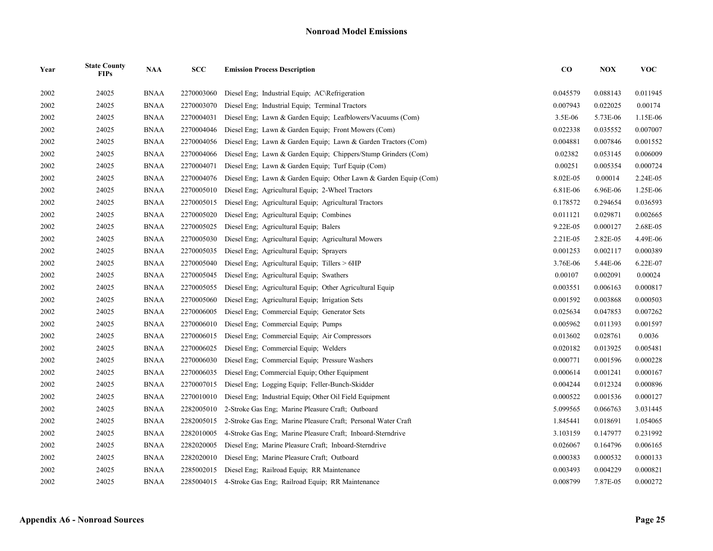| Year | <b>State County</b><br><b>FIPs</b> | <b>NAA</b>  | SCC        | <b>Emission Process Description</b>                              | $\bf CO$ | <b>NOX</b> | <b>VOC</b> |
|------|------------------------------------|-------------|------------|------------------------------------------------------------------|----------|------------|------------|
| 2002 | 24025                              | <b>BNAA</b> | 2270003060 | Diesel Eng; Industrial Equip; AC\Refrigeration                   | 0.045579 | 0.088143   | 0.011945   |
| 2002 | 24025                              | <b>BNAA</b> | 2270003070 | Diesel Eng; Industrial Equip; Terminal Tractors                  | 0.007943 | 0.022025   | 0.00174    |
| 2002 | 24025                              | <b>BNAA</b> | 2270004031 | Diesel Eng; Lawn & Garden Equip; Leafblowers/Vacuums (Com)       | 3.5E-06  | 5.73E-06   | 1.15E-06   |
| 2002 | 24025                              | <b>BNAA</b> | 2270004046 | Diesel Eng; Lawn & Garden Equip; Front Mowers (Com)              | 0.022338 | 0.035552   | 0.007007   |
| 2002 | 24025                              | <b>BNAA</b> | 2270004056 | Diesel Eng; Lawn & Garden Equip; Lawn & Garden Tractors (Com)    | 0.004881 | 0.007846   | 0.001552   |
| 2002 | 24025                              | BNAA        | 2270004066 | Diesel Eng; Lawn & Garden Equip; Chippers/Stump Grinders (Com)   | 0.02382  | 0.053145   | 0.006009   |
| 2002 | 24025                              | <b>BNAA</b> | 2270004071 | Diesel Eng; Lawn & Garden Equip; Turf Equip (Com)                | 0.00251  | 0.005354   | 0.000724   |
| 2002 | 24025                              | <b>BNAA</b> | 2270004076 | Diesel Eng; Lawn & Garden Equip; Other Lawn & Garden Equip (Com) | 8.02E-05 | 0.00014    | 2.24E-05   |
| 2002 | 24025                              | <b>BNAA</b> | 2270005010 | Diesel Eng; Agricultural Equip; 2-Wheel Tractors                 | 6.81E-06 | 6.96E-06   | 1.25E-06   |
| 2002 | 24025                              | <b>BNAA</b> | 2270005015 | Diesel Eng; Agricultural Equip; Agricultural Tractors            | 0.178572 | 0.294654   | 0.036593   |
| 2002 | 24025                              | <b>BNAA</b> | 2270005020 | Diesel Eng; Agricultural Equip; Combines                         | 0.011121 | 0.029871   | 0.002665   |
| 2002 | 24025                              | <b>BNAA</b> | 2270005025 | Diesel Eng; Agricultural Equip; Balers                           | 9.22E-05 | 0.000127   | 2.68E-05   |
| 2002 | 24025                              | BNAA        | 2270005030 | Diesel Eng; Agricultural Equip; Agricultural Mowers              | 2.21E-05 | 2.82E-05   | 4.49E-06   |
| 2002 | 24025                              | <b>BNAA</b> | 2270005035 | Diesel Eng; Agricultural Equip; Sprayers                         | 0.001253 | 0.002117   | 0.000389   |
| 2002 | 24025                              | <b>BNAA</b> | 2270005040 | Diesel Eng; Agricultural Equip; Tillers > 6HP                    | 3.76E-06 | 5.44E-06   | 6.22E-07   |
| 2002 | 24025                              | <b>BNAA</b> | 2270005045 | Diesel Eng: Agricultural Equip: Swathers                         | 0.00107  | 0.002091   | 0.00024    |
| 2002 | 24025                              | <b>BNAA</b> | 2270005055 | Diesel Eng: Agricultural Equip: Other Agricultural Equip         | 0.003551 | 0.006163   | 0.000817   |
| 2002 | 24025                              | <b>BNAA</b> | 2270005060 | Diesel Eng; Agricultural Equip; Irrigation Sets                  | 0.001592 | 0.003868   | 0.000503   |
| 2002 | 24025                              | <b>BNAA</b> | 2270006005 | Diesel Eng; Commercial Equip; Generator Sets                     | 0.025634 | 0.047853   | 0.007262   |
| 2002 | 24025                              | <b>BNAA</b> | 2270006010 | Diesel Eng; Commercial Equip; Pumps                              | 0.005962 | 0.011393   | 0.001597   |
| 2002 | 24025                              | <b>BNAA</b> | 2270006015 | Diesel Eng; Commercial Equip; Air Compressors                    | 0.013602 | 0.028761   | 0.0036     |
| 2002 | 24025                              | <b>BNAA</b> | 2270006025 | Diesel Eng; Commercial Equip; Welders                            | 0.020182 | 0.013925   | 0.005481   |
| 2002 | 24025                              | <b>BNAA</b> | 2270006030 | Diesel Eng; Commercial Equip; Pressure Washers                   | 0.000771 | 0.001596   | 0.000228   |
| 2002 | 24025                              | <b>BNAA</b> | 2270006035 | Diesel Eng; Commercial Equip; Other Equipment                    | 0.000614 | 0.001241   | 0.000167   |
| 2002 | 24025                              | <b>BNAA</b> | 2270007015 | Diesel Eng; Logging Equip; Feller-Bunch-Skidder                  | 0.004244 | 0.012324   | 0.000896   |
| 2002 | 24025                              | <b>BNAA</b> | 2270010010 | Diesel Eng: Industrial Equip: Other Oil Field Equipment          | 0.000522 | 0.001536   | 0.000127   |
| 2002 | 24025                              | <b>BNAA</b> | 2282005010 | 2-Stroke Gas Eng; Marine Pleasure Craft; Outboard                | 5.099565 | 0.066763   | 3.031445   |
| 2002 | 24025                              | <b>BNAA</b> | 2282005015 | 2-Stroke Gas Eng; Marine Pleasure Craft; Personal Water Craft    | 1.845441 | 0.018691   | 1.054065   |
| 2002 | 24025                              | <b>BNAA</b> | 2282010005 | 4-Stroke Gas Eng; Marine Pleasure Craft; Inboard-Sterndrive      | 3.103159 | 0.147977   | 0.231992   |
| 2002 | 24025                              | <b>BNAA</b> | 2282020005 | Diesel Eng; Marine Pleasure Craft; Inboard-Sterndrive            | 0.026067 | 0.164796   | 0.006165   |
| 2002 | 24025                              | <b>BNAA</b> | 2282020010 | Diesel Eng; Marine Pleasure Craft; Outboard                      | 0.000383 | 0.000532   | 0.000133   |
| 2002 | 24025                              | <b>BNAA</b> | 2285002015 | Diesel Eng; Railroad Equip; RR Maintenance                       | 0.003493 | 0.004229   | 0.000821   |
| 2002 | 24025                              | <b>BNAA</b> | 2285004015 | 4-Stroke Gas Eng; Railroad Equip; RR Maintenance                 | 0.008799 | 7.87E-05   | 0.000272   |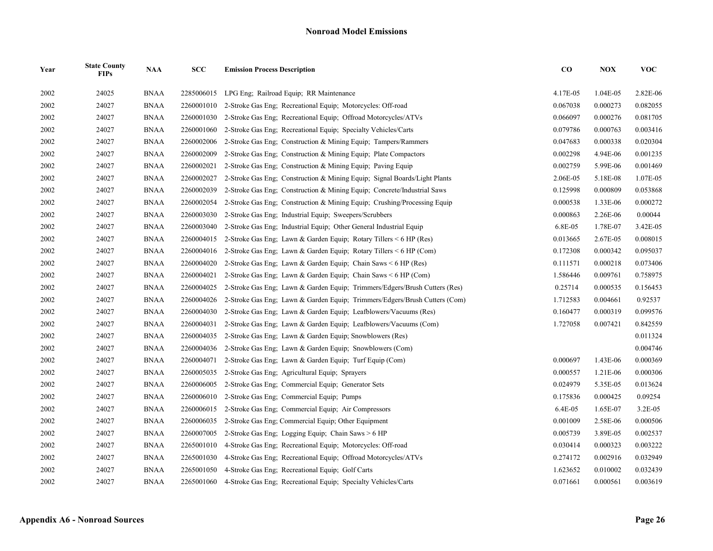| Year | <b>State County</b><br><b>FIPs</b> | <b>NAA</b>  | SCC        | <b>Emission Process Description</b>                                        | $\bf CO$ | <b>NOX</b> | <b>VOC</b> |
|------|------------------------------------|-------------|------------|----------------------------------------------------------------------------|----------|------------|------------|
| 2002 | 24025                              | <b>BNAA</b> | 2285006015 | LPG Eng: Railroad Equip: RR Maintenance                                    | 4.17E-05 | 1.04E-05   | 2.82E-06   |
| 2002 | 24027                              | <b>BNAA</b> | 2260001010 | 2-Stroke Gas Eng: Recreational Equip: Motorcycles: Off-road                | 0.067038 | 0.000273   | 0.082055   |
| 2002 | 24027                              | <b>BNAA</b> | 2260001030 | 2-Stroke Gas Eng; Recreational Equip; Offroad Motorcycles/ATVs             | 0.066097 | 0.000276   | 0.081705   |
| 2002 | 24027                              | <b>BNAA</b> | 2260001060 | 2-Stroke Gas Eng; Recreational Equip; Specialty Vehicles/Carts             | 0.079786 | 0.000763   | 0.003416   |
| 2002 | 24027                              | <b>BNAA</b> | 2260002006 | 2-Stroke Gas Eng; Construction & Mining Equip; Tampers/Rammers             | 0.047683 | 0.000338   | 0.020304   |
| 2002 | 24027                              | <b>BNAA</b> | 2260002009 | 2-Stroke Gas Eng; Construction & Mining Equip; Plate Compactors            | 0.002298 | 4.94E-06   | 0.001235   |
| 2002 | 24027                              | <b>BNAA</b> | 2260002021 | 2-Stroke Gas Eng; Construction & Mining Equip; Paving Equip                | 0.002759 | 5.99E-06   | 0.001469   |
| 2002 | 24027                              | <b>BNAA</b> | 2260002027 | 2-Stroke Gas Eng: Construction & Mining Equip; Signal Boards/Light Plants  | 2.06E-05 | 5.18E-08   | 1.07E-05   |
| 2002 | 24027                              | <b>BNAA</b> | 2260002039 | 2-Stroke Gas Eng; Construction & Mining Equip; Concrete/Industrial Saws    | 0.125998 | 0.000809   | 0.053868   |
| 2002 | 24027                              | <b>BNAA</b> | 2260002054 | 2-Stroke Gas Eng, Construction & Mining Equip; Crushing/Processing Equip   | 0.000538 | 1.33E-06   | 0.000272   |
| 2002 | 24027                              | <b>BNAA</b> | 2260003030 | 2-Stroke Gas Eng; Industrial Equip; Sweepers/Scrubbers                     | 0.000863 | 2.26E-06   | 0.00044    |
| 2002 | 24027                              | <b>BNAA</b> | 2260003040 | 2-Stroke Gas Eng; Industrial Equip; Other General Industrial Equip         | 6.8E-05  | 1.78E-07   | 3.42E-05   |
| 2002 | 24027                              | <b>BNAA</b> | 2260004015 | 2-Stroke Gas Eng; Lawn & Garden Equip; Rotary Tillers $\leq 6$ HP (Res)    | 0.013665 | 2.67E-05   | 0.008015   |
| 2002 | 24027                              | <b>BNAA</b> | 2260004016 | 2-Stroke Gas Eng; Lawn & Garden Equip; Rotary Tillers $\leq 6$ HP (Com)    | 0.172308 | 0.000342   | 0.095037   |
| 2002 | 24027                              | <b>BNAA</b> | 2260004020 | 2-Stroke Gas Eng; Lawn & Garden Equip; Chain Saws $\leq 6$ HP (Res)        | 0.111571 | 0.000218   | 0.073406   |
| 2002 | 24027                              | <b>BNAA</b> | 2260004021 | 2-Stroke Gas Eng; Lawn & Garden Equip; Chain Saws < 6 HP (Com)             | 1.586446 | 0.009761   | 0.758975   |
| 2002 | 24027                              | <b>BNAA</b> | 2260004025 | 2-Stroke Gas Eng; Lawn & Garden Equip; Trimmers/Edgers/Brush Cutters (Res) | 0.25714  | 0.000535   | 0.156453   |
| 2002 | 24027                              | <b>BNAA</b> | 2260004026 | 2-Stroke Gas Eng; Lawn & Garden Equip; Trimmers/Edgers/Brush Cutters (Com) | 1.712583 | 0.004661   | 0.92537    |
| 2002 | 24027                              | <b>BNAA</b> | 2260004030 | 2-Stroke Gas Eng; Lawn & Garden Equip; Leafblowers/Vacuums (Res)           | 0.160477 | 0.000319   | 0.099576   |
| 2002 | 24027                              | <b>BNAA</b> | 2260004031 | 2-Stroke Gas Eng; Lawn & Garden Equip; Leafblowers/Vacuums (Com)           | 1.727058 | 0.007421   | 0.842559   |
| 2002 | 24027                              | <b>BNAA</b> | 2260004035 | 2-Stroke Gas Eng: Lawn & Garden Equip: Snowblowers (Res)                   |          |            | 0.011324   |
| 2002 | 24027                              | <b>BNAA</b> | 2260004036 | 2-Stroke Gas Eng; Lawn & Garden Equip; Snowblowers (Com)                   |          |            | 0.004746   |
| 2002 | 24027                              | <b>BNAA</b> | 2260004071 | 2-Stroke Gas Eng; Lawn & Garden Equip; Turf Equip (Com)                    | 0.000697 | 1.43E-06   | 0.000369   |
| 2002 | 24027                              | <b>BNAA</b> | 2260005035 | 2-Stroke Gas Eng; Agricultural Equip; Sprayers                             | 0.000557 | 1.21E-06   | 0.000306   |
| 2002 | 24027                              | <b>BNAA</b> | 2260006005 | 2-Stroke Gas Eng; Commercial Equip; Generator Sets                         | 0.024979 | 5.35E-05   | 0.013624   |
| 2002 | 24027                              | <b>BNAA</b> | 2260006010 | 2-Stroke Gas Eng: Commercial Equip: Pumps                                  | 0.175836 | 0.000425   | 0.09254    |
| 2002 | 24027                              | <b>BNAA</b> | 2260006015 | 2-Stroke Gas Eng; Commercial Equip; Air Compressors                        | 6.4E-05  | 1.65E-07   | 3.2E-05    |
| 2002 | 24027                              | <b>BNAA</b> | 2260006035 | 2-Stroke Gas Eng; Commercial Equip; Other Equipment                        | 0.001009 | 2.58E-06   | 0.000506   |
| 2002 | 24027                              | <b>BNAA</b> | 2260007005 | 2-Stroke Gas Eng; Logging Equip; Chain Saws > 6 HP                         | 0.005739 | 3.89E-05   | 0.002537   |
| 2002 | 24027                              | <b>BNAA</b> | 2265001010 | 4-Stroke Gas Eng; Recreational Equip; Motorcycles: Off-road                | 0.030414 | 0.000323   | 0.003222   |
| 2002 | 24027                              | <b>BNAA</b> | 2265001030 | 4-Stroke Gas Eng; Recreational Equip; Offroad Motorcycles/ATVs             | 0.274172 | 0.002916   | 0.032949   |
| 2002 | 24027                              | <b>BNAA</b> | 2265001050 | 4-Stroke Gas Eng; Recreational Equip; Golf Carts                           | 1.623652 | 0.010002   | 0.032439   |
| 2002 | 24027                              | <b>BNAA</b> |            | 2265001060 4-Stroke Gas Eng; Recreational Equip; Specialty Vehicles/Carts  | 0.071661 | 0.000561   | 0.003619   |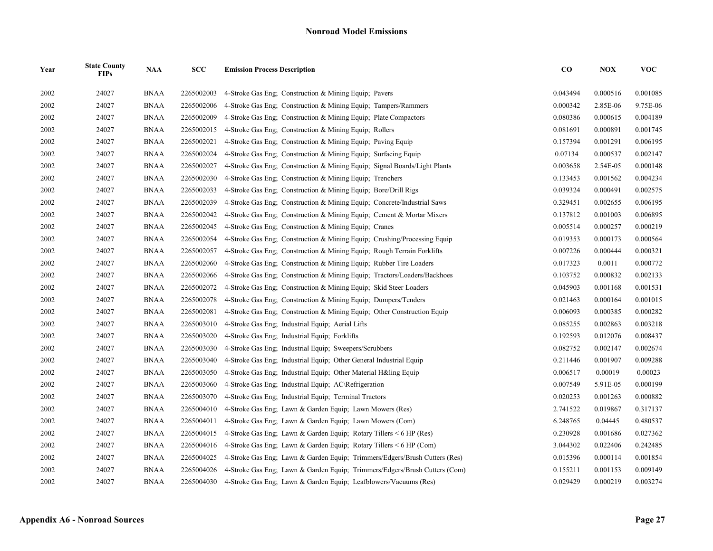| Year | <b>State County</b><br><b>FIPs</b> | <b>NAA</b>  | SCC        | <b>Emission Process Description</b>                                        | $\bf CO$ | <b>NOX</b> | <b>VOC</b> |
|------|------------------------------------|-------------|------------|----------------------------------------------------------------------------|----------|------------|------------|
| 2002 | 24027                              | <b>BNAA</b> | 2265002003 | 4-Stroke Gas Eng: Construction & Mining Equip: Pavers                      | 0.043494 | 0.000516   | 0.001085   |
| 2002 | 24027                              | <b>BNAA</b> | 2265002006 | 4-Stroke Gas Eng; Construction & Mining Equip; Tampers/Rammers             | 0.000342 | 2.85E-06   | 9.75E-06   |
| 2002 | 24027                              | <b>BNAA</b> | 2265002009 | 4-Stroke Gas Eng: Construction & Mining Equip: Plate Compactors            | 0.080386 | 0.000615   | 0.004189   |
| 2002 | 24027                              | <b>BNAA</b> | 2265002015 | 4-Stroke Gas Eng; Construction & Mining Equip; Rollers                     | 0.081691 | 0.000891   | 0.001745   |
| 2002 | 24027                              | <b>BNAA</b> | 2265002021 | 4-Stroke Gas Eng; Construction & Mining Equip; Paving Equip                | 0.157394 | 0.001291   | 0.006195   |
| 2002 | 24027                              | <b>BNAA</b> | 2265002024 | 4-Stroke Gas Eng: Construction & Mining Equip: Surfacing Equip             | 0.07134  | 0.000537   | 0.002147   |
| 2002 | 24027                              | <b>BNAA</b> | 2265002027 | 4-Stroke Gas Eng; Construction & Mining Equip; Signal Boards/Light Plants  | 0.003658 | 2.54E-05   | 0.000148   |
| 2002 | 24027                              | <b>BNAA</b> | 2265002030 | 4-Stroke Gas Eng; Construction & Mining Equip; Trenchers                   | 0.133453 | 0.001562   | 0.004234   |
| 2002 | 24027                              | <b>BNAA</b> | 2265002033 | 4-Stroke Gas Eng: Construction & Mining Equip: Bore/Drill Rigs             | 0.039324 | 0.000491   | 0.002575   |
| 2002 | 24027                              | <b>BNAA</b> | 2265002039 | 4-Stroke Gas Eng; Construction & Mining Equip; Concrete/Industrial Saws    | 0.329451 | 0.002655   | 0.006195   |
| 2002 | 24027                              | <b>BNAA</b> | 2265002042 | 4-Stroke Gas Eng; Construction & Mining Equip; Cement & Mortar Mixers      | 0.137812 | 0.001003   | 0.006895   |
| 2002 | 24027                              | <b>BNAA</b> | 2265002045 | 4-Stroke Gas Eng; Construction & Mining Equip; Cranes                      | 0.005514 | 0.000257   | 0.000219   |
| 2002 | 24027                              | <b>BNAA</b> | 2265002054 | 4-Stroke Gas Eng, Construction & Mining Equip; Crushing/Processing Equip   | 0.019353 | 0.000173   | 0.000564   |
| 2002 | 24027                              | <b>BNAA</b> | 2265002057 | 4-Stroke Gas Eng: Construction & Mining Equip: Rough Terrain Forklifts     | 0.007226 | 0.000444   | 0.000321   |
| 2002 | 24027                              | <b>BNAA</b> | 2265002060 | 4-Stroke Gas Eng; Construction & Mining Equip; Rubber Tire Loaders         | 0.017323 | 0.0011     | 0.000772   |
| 2002 | 24027                              | <b>BNAA</b> | 2265002066 | 4-Stroke Gas Eng; Construction & Mining Equip; Tractors/Loaders/Backhoes   | 0.103752 | 0.000832   | 0.002133   |
| 2002 | 24027                              | <b>BNAA</b> | 2265002072 | 4-Stroke Gas Eng: Construction & Mining Equip: Skid Steer Loaders          | 0.045903 | 0.001168   | 0.001531   |
| 2002 | 24027                              | <b>BNAA</b> | 2265002078 | 4-Stroke Gas Eng; Construction & Mining Equip; Dumpers/Tenders             | 0.021463 | 0.000164   | 0.001015   |
| 2002 | 24027                              | <b>BNAA</b> | 2265002081 | 4-Stroke Gas Eng: Construction & Mining Equip: Other Construction Equip    | 0.006093 | 0.000385   | 0.000282   |
| 2002 | 24027                              | <b>BNAA</b> | 2265003010 | 4-Stroke Gas Eng; Industrial Equip; Aerial Lifts                           | 0.085255 | 0.002863   | 0.003218   |
| 2002 | 24027                              | <b>BNAA</b> | 2265003020 | 4-Stroke Gas Eng; Industrial Equip; Forklifts                              | 0.192593 | 0.012076   | 0.008437   |
| 2002 | 24027                              | <b>BNAA</b> | 2265003030 | 4-Stroke Gas Eng; Industrial Equip; Sweepers/Scrubbers                     | 0.082752 | 0.002147   | 0.002674   |
| 2002 | 24027                              | <b>BNAA</b> | 2265003040 | 4-Stroke Gas Eng; Industrial Equip; Other General Industrial Equip         | 0.211446 | 0.001907   | 0.009288   |
| 2002 | 24027                              | <b>BNAA</b> | 2265003050 | 4-Stroke Gas Eng; Industrial Equip; Other Material H&ling Equip            | 0.006517 | 0.00019    | 0.00023    |
| 2002 | 24027                              | <b>BNAA</b> | 2265003060 | 4-Stroke Gas Eng; Industrial Equip; AC\Refrigeration                       | 0.007549 | 5.91E-05   | 0.000199   |
| 2002 | 24027                              | <b>BNAA</b> | 2265003070 | 4-Stroke Gas Eng; Industrial Equip; Terminal Tractors                      | 0.020253 | 0.001263   | 0.000882   |
| 2002 | 24027                              | <b>BNAA</b> | 2265004010 | 4-Stroke Gas Eng; Lawn & Garden Equip; Lawn Mowers (Res)                   | 2.741522 | 0.019867   | 0.317137   |
| 2002 | 24027                              | <b>BNAA</b> | 2265004011 | 4-Stroke Gas Eng; Lawn & Garden Equip; Lawn Mowers (Com)                   | 6.248765 | 0.04445    | 0.480537   |
| 2002 | 24027                              | <b>BNAA</b> | 2265004015 | 4-Stroke Gas Eng; Lawn & Garden Equip; Rotary Tillers $\leq 6$ HP (Res)    | 0.230928 | 0.001686   | 0.027362   |
| 2002 | 24027                              | <b>BNAA</b> | 2265004016 | 4-Stroke Gas Eng; Lawn & Garden Equip; Rotary Tillers $\leq 6$ HP (Com)    | 3.044302 | 0.022406   | 0.242485   |
| 2002 | 24027                              | <b>BNAA</b> | 2265004025 | 4-Stroke Gas Eng; Lawn & Garden Equip; Trimmers/Edgers/Brush Cutters (Res) | 0.015396 | 0.000114   | 0.001854   |
| 2002 | 24027                              | <b>BNAA</b> | 2265004026 | 4-Stroke Gas Eng; Lawn & Garden Equip; Trimmers/Edgers/Brush Cutters (Com) | 0.155211 | 0.001153   | 0.009149   |
| 2002 | 24027                              | <b>BNAA</b> | 2265004030 | 4-Stroke Gas Eng; Lawn & Garden Equip; Leafblowers/Vacuums (Res)           | 0.029429 | 0.000219   | 0.003274   |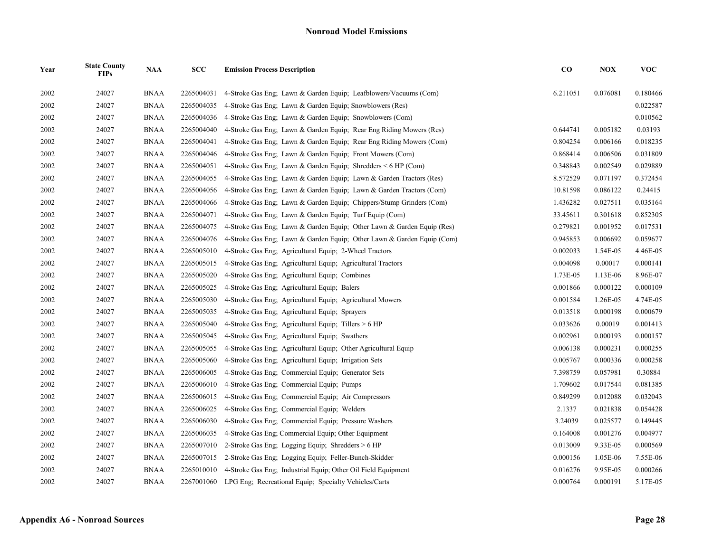| Year | <b>State County</b><br><b>FIPs</b> | <b>NAA</b>  | SCC        | <b>Emission Process Description</b>                                    | $\bf CO$ | <b>NOX</b> | <b>VOC</b> |
|------|------------------------------------|-------------|------------|------------------------------------------------------------------------|----------|------------|------------|
| 2002 | 24027                              | <b>BNAA</b> | 2265004031 | 4-Stroke Gas Eng: Lawn & Garden Equip: Leafblowers/Vacuums (Com)       | 6.211051 | 0.076081   | 0.180466   |
| 2002 | 24027                              | <b>BNAA</b> | 2265004035 | 4-Stroke Gas Eng; Lawn & Garden Equip; Snowblowers (Res)               |          |            | 0.022587   |
| 2002 | 24027                              | <b>BNAA</b> | 2265004036 | 4-Stroke Gas Eng; Lawn & Garden Equip; Snowblowers (Com)               |          |            | 0.010562   |
| 2002 | 24027                              | <b>BNAA</b> | 2265004040 | 4-Stroke Gas Eng; Lawn & Garden Equip; Rear Eng Riding Mowers (Res)    | 0.644741 | 0.005182   | 0.03193    |
| 2002 | 24027                              | <b>BNAA</b> | 2265004041 | 4-Stroke Gas Eng; Lawn & Garden Equip; Rear Eng Riding Mowers (Com)    | 0.804254 | 0.006166   | 0.018235   |
| 2002 | 24027                              | <b>BNAA</b> | 2265004046 | 4-Stroke Gas Eng; Lawn & Garden Equip; Front Mowers (Com)              | 0.868414 | 0.006506   | 0.031809   |
| 2002 | 24027                              | <b>BNAA</b> | 2265004051 | 4-Stroke Gas Eng; Lawn & Garden Equip; Shredders $\leq 6$ HP (Com)     | 0.348843 | 0.002549   | 0.029889   |
| 2002 | 24027                              | <b>BNAA</b> | 2265004055 | 4-Stroke Gas Eng; Lawn & Garden Equip; Lawn & Garden Tractors (Res)    | 8.572529 | 0.071197   | 0.372454   |
| 2002 | 24027                              | <b>BNAA</b> | 2265004056 | 4-Stroke Gas Eng; Lawn & Garden Equip; Lawn & Garden Tractors (Com)    | 10.81598 | 0.086122   | 0.24415    |
| 2002 | 24027                              | <b>BNAA</b> | 2265004066 | 4-Stroke Gas Eng; Lawn & Garden Equip; Chippers/Stump Grinders (Com)   | 1.436282 | 0.027511   | 0.035164   |
| 2002 | 24027                              | <b>BNAA</b> | 2265004071 | 4-Stroke Gas Eng: Lawn & Garden Equip: Turf Equip (Com)                | 33.45611 | 0.301618   | 0.852305   |
| 2002 | 24027                              | <b>BNAA</b> | 2265004075 | 4-Stroke Gas Eng; Lawn & Garden Equip; Other Lawn & Garden Equip (Res) | 0.279821 | 0.001952   | 0.017531   |
| 2002 | 24027                              | <b>BNAA</b> | 2265004076 | 4-Stroke Gas Eng; Lawn & Garden Equip; Other Lawn & Garden Equip (Com) | 0.945853 | 0.006692   | 0.059677   |
| 2002 | 24027                              | <b>BNAA</b> | 2265005010 | 4-Stroke Gas Eng; Agricultural Equip; 2-Wheel Tractors                 | 0.002033 | 1.54E-05   | 4.46E-05   |
| 2002 | 24027                              | <b>BNAA</b> | 2265005015 | 4-Stroke Gas Eng; Agricultural Equip; Agricultural Tractors            | 0.004098 | 0.00017    | 0.000141   |
| 2002 | 24027                              | <b>BNAA</b> | 2265005020 | 4-Stroke Gas Eng; Agricultural Equip; Combines                         | 1.73E-05 | 1.13E-06   | 8.96E-07   |
| 2002 | 24027                              | <b>BNAA</b> | 2265005025 | 4-Stroke Gas Eng; Agricultural Equip; Balers                           | 0.001866 | 0.000122   | 0.000109   |
| 2002 | 24027                              | <b>BNAA</b> | 2265005030 | 4-Stroke Gas Eng: Agricultural Equip: Agricultural Mowers              | 0.001584 | 1.26E-05   | 4.74E-05   |
| 2002 | 24027                              | <b>BNAA</b> | 2265005035 | 4-Stroke Gas Eng; Agricultural Equip; Sprayers                         | 0.013518 | 0.000198   | 0.000679   |
| 2002 | 24027                              | <b>BNAA</b> | 2265005040 | 4-Stroke Gas Eng; Agricultural Equip; Tillers $> 6$ HP                 | 0.033626 | 0.00019    | 0.001413   |
| 2002 | 24027                              | <b>BNAA</b> | 2265005045 | 4-Stroke Gas Eng; Agricultural Equip; Swathers                         | 0.002961 | 0.000193   | 0.000157   |
| 2002 | 24027                              | <b>BNAA</b> | 2265005055 | 4-Stroke Gas Eng. Agricultural Equip. Other Agricultural Equip.        | 0.006138 | 0.000231   | 0.000255   |
| 2002 | 24027                              | <b>BNAA</b> | 2265005060 | 4-Stroke Gas Eng; Agricultural Equip; Irrigation Sets                  | 0.005767 | 0.000336   | 0.000258   |
| 2002 | 24027                              | <b>BNAA</b> | 2265006005 | 4-Stroke Gas Eng; Commercial Equip; Generator Sets                     | 7.398759 | 0.057981   | 0.30884    |
| 2002 | 24027                              | <b>BNAA</b> | 2265006010 | 4-Stroke Gas Eng: Commercial Equip: Pumps                              | 1.709602 | 0.017544   | 0.081385   |
| 2002 | 24027                              | <b>BNAA</b> | 2265006015 | 4-Stroke Gas Eng; Commercial Equip; Air Compressors                    | 0.849299 | 0.012088   | 0.032043   |
| 2002 | 24027                              | <b>BNAA</b> | 2265006025 | 4-Stroke Gas Eng; Commercial Equip; Welders                            | 2.1337   | 0.021838   | 0.054428   |
| 2002 | 24027                              | <b>BNAA</b> | 2265006030 | 4-Stroke Gas Eng; Commercial Equip; Pressure Washers                   | 3.24039  | 0.025577   | 0.149445   |
| 2002 | 24027                              | <b>BNAA</b> | 2265006035 | 4-Stroke Gas Eng; Commercial Equip; Other Equipment                    | 0.164008 | 0.001276   | 0.004977   |
| 2002 | 24027                              | <b>BNAA</b> | 2265007010 | 2-Stroke Gas Eng; Logging Equip; Shredders $> 6$ HP                    | 0.013009 | 9.33E-05   | 0.000569   |
| 2002 | 24027                              | <b>BNAA</b> | 2265007015 | 2-Stroke Gas Eng; Logging Equip; Feller-Bunch-Skidder                  | 0.000156 | 1.05E-06   | 7.55E-06   |
| 2002 | 24027                              | <b>BNAA</b> | 2265010010 | 4-Stroke Gas Eng: Industrial Equip; Other Oil Field Equipment          | 0.016276 | 9.95E-05   | 0.000266   |
| 2002 | 24027                              | <b>BNAA</b> |            | 2267001060 LPG Eng; Recreational Equip; Specialty Vehicles/Carts       | 0.000764 | 0.000191   | 5.17E-05   |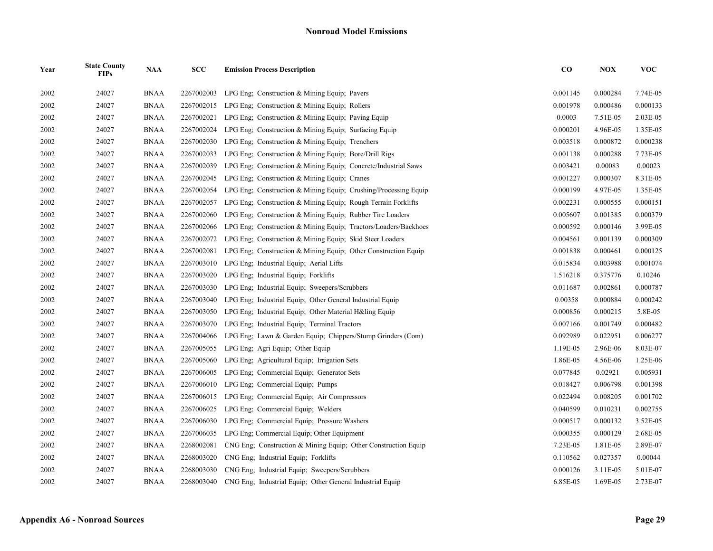| Year | <b>State County</b><br><b>FIPs</b> | <b>NAA</b>  | SCC        | <b>Emission Process Description</b>                             | $\bf CO$ | <b>NOX</b> | <b>VOC</b> |
|------|------------------------------------|-------------|------------|-----------------------------------------------------------------|----------|------------|------------|
| 2002 | 24027                              | <b>BNAA</b> | 2267002003 | LPG Eng: Construction & Mining Equip; Pavers                    | 0.001145 | 0.000284   | 7.74E-05   |
| 2002 | 24027                              | <b>BNAA</b> | 2267002015 | LPG Eng; Construction & Mining Equip; Rollers                   | 0.001978 | 0.000486   | 0.000133   |
| 2002 | 24027                              | <b>BNAA</b> | 2267002021 | LPG Eng; Construction & Mining Equip; Paving Equip              | 0.0003   | 7.51E-05   | 2.03E-05   |
| 2002 | 24027                              | <b>BNAA</b> | 2267002024 | LPG Eng. Construction & Mining Equip: Surfacing Equip           | 0.000201 | 4.96E-05   | 1.35E-05   |
| 2002 | 24027                              | <b>BNAA</b> | 2267002030 | LPG Eng; Construction & Mining Equip; Trenchers                 | 0.003518 | 0.000872   | 0.000238   |
| 2002 | 24027                              | BNAA        | 2267002033 | LPG Eng; Construction & Mining Equip; Bore/Drill Rigs           | 0.001138 | 0.000288   | 7.73E-05   |
| 2002 | 24027                              | <b>BNAA</b> | 2267002039 | LPG Eng; Construction & Mining Equip; Concrete/Industrial Saws  | 0.003421 | 0.00083    | 0.00023    |
| 2002 | 24027                              | <b>BNAA</b> | 2267002045 | LPG Eng; Construction & Mining Equip; Cranes                    | 0.001227 | 0.000307   | 8.31E-05   |
| 2002 | 24027                              | <b>BNAA</b> | 2267002054 | LPG Eng; Construction & Mining Equip; Crushing/Processing Equip | 0.000199 | 4.97E-05   | 1.35E-05   |
| 2002 | 24027                              | <b>BNAA</b> | 2267002057 | LPG Eng; Construction & Mining Equip; Rough Terrain Forklifts   | 0.002231 | 0.000555   | 0.000151   |
| 2002 | 24027                              | <b>BNAA</b> | 2267002060 | LPG Eng: Construction & Mining Equip: Rubber Tire Loaders       | 0.005607 | 0.001385   | 0.000379   |
| 2002 | 24027                              | <b>BNAA</b> | 2267002066 | LPG Eng; Construction & Mining Equip; Tractors/Loaders/Backhoes | 0.000592 | 0.000146   | 3.99E-05   |
| 2002 | 24027                              | BNAA        | 2267002072 | LPG Eng; Construction & Mining Equip; Skid Steer Loaders        | 0.004561 | 0.001139   | 0.000309   |
| 2002 | 24027                              | <b>BNAA</b> | 2267002081 | LPG Eng; Construction & Mining Equip; Other Construction Equip  | 0.001838 | 0.000461   | 0.000125   |
| 2002 | 24027                              | <b>BNAA</b> | 2267003010 | LPG Eng; Industrial Equip; Aerial Lifts                         | 0.015834 | 0.003988   | 0.001074   |
| 2002 | 24027                              | <b>BNAA</b> | 2267003020 | LPG Eng: Industrial Equip: Forklifts                            | 1.516218 | 0.375776   | 0.10246    |
| 2002 | 24027                              | <b>BNAA</b> | 2267003030 | LPG Eng: Industrial Equip: Sweepers/Scrubbers                   | 0.011687 | 0.002861   | 0.000787   |
| 2002 | 24027                              | <b>BNAA</b> | 2267003040 | LPG Eng; Industrial Equip; Other General Industrial Equip       | 0.00358  | 0.000884   | 0.000242   |
| 2002 | 24027                              | <b>BNAA</b> | 2267003050 | LPG Eng; Industrial Equip; Other Material H&ling Equip          | 0.000856 | 0.000215   | 5.8E-05    |
| 2002 | 24027                              | <b>BNAA</b> | 2267003070 | LPG Eng; Industrial Equip; Terminal Tractors                    | 0.007166 | 0.001749   | 0.000482   |
| 2002 | 24027                              | <b>BNAA</b> | 2267004066 | LPG Eng; Lawn & Garden Equip; Chippers/Stump Grinders (Com)     | 0.092989 | 0.022951   | 0.006277   |
| 2002 | 24027                              | <b>BNAA</b> | 2267005055 | LPG Eng; Agri Equip; Other Equip                                | 1.19E-05 | 2.96E-06   | 8.03E-07   |
| 2002 | 24027                              | <b>BNAA</b> | 2267005060 | LPG Eng; Agricultural Equip; Irrigation Sets                    | 1.86E-05 | 4.56E-06   | 1.25E-06   |
| 2002 | 24027                              | <b>BNAA</b> | 2267006005 | LPG Eng; Commercial Equip; Generator Sets                       | 0.077845 | 0.02921    | 0.005931   |
| 2002 | 24027                              | <b>BNAA</b> | 2267006010 | LPG Eng; Commercial Equip; Pumps                                | 0.018427 | 0.006798   | 0.001398   |
| 2002 | 24027                              | <b>BNAA</b> | 2267006015 | LPG Eng; Commercial Equip; Air Compressors                      | 0.022494 | 0.008205   | 0.001702   |
| 2002 | 24027                              | <b>BNAA</b> | 2267006025 | LPG Eng; Commercial Equip; Welders                              | 0.040599 | 0.010231   | 0.002755   |
| 2002 | 24027                              | <b>BNAA</b> | 2267006030 | LPG Eng; Commercial Equip; Pressure Washers                     | 0.000517 | 0.000132   | 3.52E-05   |
| 2002 | 24027                              | <b>BNAA</b> | 2267006035 | LPG Eng; Commercial Equip; Other Equipment                      | 0.000355 | 0.000129   | 2.68E-05   |
| 2002 | 24027                              | <b>BNAA</b> | 2268002081 | CNG Eng; Construction & Mining Equip; Other Construction Equip  | 7.23E-05 | 1.81E-05   | 2.89E-07   |
| 2002 | 24027                              | <b>BNAA</b> | 2268003020 | CNG Eng; Industrial Equip; Forklifts                            | 0.110562 | 0.027357   | 0.00044    |
| 2002 | 24027                              | <b>BNAA</b> | 2268003030 | CNG Eng: Industrial Equip: Sweepers/Scrubbers                   | 0.000126 | 3.11E-05   | 5.01E-07   |
| 2002 | 24027                              | <b>BNAA</b> | 2268003040 | CNG Eng; Industrial Equip; Other General Industrial Equip       | 6.85E-05 | 1.69E-05   | 2.73E-07   |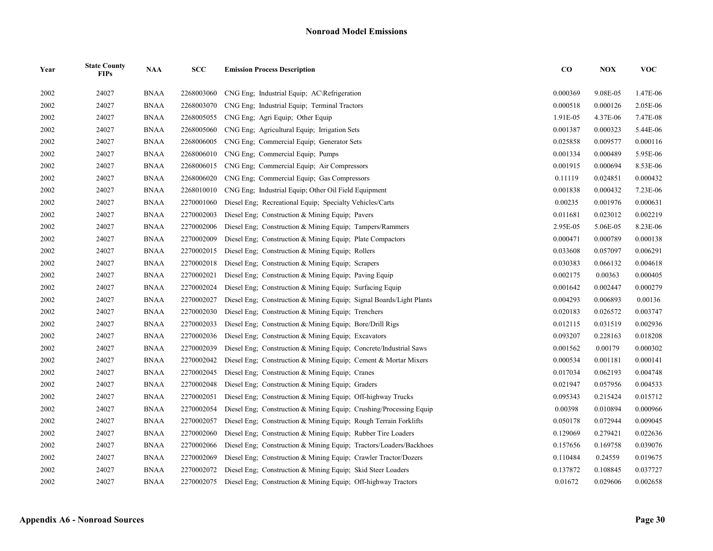| Year | <b>State County</b><br><b>FIPs</b> | <b>NAA</b>  | SCC        | <b>Emission Process Description</b>                                 | $\bf CO$ | <b>NOX</b> | <b>VOC</b> |
|------|------------------------------------|-------------|------------|---------------------------------------------------------------------|----------|------------|------------|
| 2002 | 24027                              | <b>BNAA</b> | 2268003060 | CNG Eng: Industrial Equip: AC\Refrigeration                         | 0.000369 | 9.08E-05   | 1.47E-06   |
| 2002 | 24027                              | <b>BNAA</b> | 2268003070 | CNG Eng; Industrial Equip; Terminal Tractors                        | 0.000518 | 0.000126   | 2.05E-06   |
| 2002 | 24027                              | <b>BNAA</b> | 2268005055 | CNG Eng; Agri Equip; Other Equip                                    | 1.91E-05 | 4.37E-06   | 7.47E-08   |
| 2002 | 24027                              | <b>BNAA</b> | 2268005060 | CNG Eng; Agricultural Equip; Irrigation Sets                        | 0.001387 | 0.000323   | 5.44E-06   |
| 2002 | 24027                              | <b>BNAA</b> | 2268006005 | CNG Eng: Commercial Equip: Generator Sets                           | 0.025858 | 0.009577   | 0.000116   |
| 2002 | 24027                              | <b>BNAA</b> | 2268006010 | CNG Eng; Commercial Equip; Pumps                                    | 0.001334 | 0.000489   | 5.95E-06   |
| 2002 | 24027                              | <b>BNAA</b> | 2268006015 | CNG Eng; Commercial Equip; Air Compressors                          | 0.001915 | 0.000694   | 8.53E-06   |
| 2002 | 24027                              | <b>BNAA</b> | 2268006020 | CNG Eng; Commercial Equip; Gas Compressors                          | 0.11119  | 0.024851   | 0.000432   |
| 2002 | 24027                              | <b>BNAA</b> | 2268010010 | CNG Eng; Industrial Equip; Other Oil Field Equipment                | 0.001838 | 0.000432   | 7.23E-06   |
| 2002 | 24027                              | <b>BNAA</b> | 2270001060 | Diesel Eng; Recreational Equip; Specialty Vehicles/Carts            | 0.00235  | 0.001976   | 0.000631   |
| 2002 | 24027                              | <b>BNAA</b> | 2270002003 | Diesel Eng; Construction & Mining Equip; Pavers                     | 0.011681 | 0.023012   | 0.002219   |
| 2002 | 24027                              | <b>BNAA</b> | 2270002006 | Diesel Eng; Construction & Mining Equip; Tampers/Rammers            | 2.95E-05 | 5.06E-05   | 8.23E-06   |
| 2002 | 24027                              | <b>BNAA</b> | 2270002009 | Diesel Eng; Construction & Mining Equip; Plate Compactors           | 0.000471 | 0.000789   | 0.000138   |
| 2002 | 24027                              | <b>BNAA</b> | 2270002015 | Diesel Eng; Construction & Mining Equip; Rollers                    | 0.033608 | 0.057097   | 0.006291   |
| 2002 | 24027                              | <b>BNAA</b> | 2270002018 | Diesel Eng; Construction & Mining Equip; Scrapers                   | 0.030383 | 0.066132   | 0.004618   |
| 2002 | 24027                              | <b>BNAA</b> | 2270002021 | Diesel Eng; Construction & Mining Equip; Paving Equip               | 0.002175 | 0.00363    | 0.000405   |
| 2002 | 24027                              | <b>BNAA</b> | 2270002024 | Diesel Eng; Construction & Mining Equip; Surfacing Equip            | 0.001642 | 0.002447   | 0.000279   |
| 2002 | 24027                              | <b>BNAA</b> | 2270002027 | Diesel Eng; Construction & Mining Equip; Signal Boards/Light Plants | 0.004293 | 0.006893   | 0.00136    |
| 2002 | 24027                              | <b>BNAA</b> | 2270002030 | Diesel Eng; Construction & Mining Equip; Trenchers                  | 0.020183 | 0.026572   | 0.003747   |
| 2002 | 24027                              | <b>BNAA</b> | 2270002033 | Diesel Eng; Construction & Mining Equip; Bore/Drill Rigs            | 0.012115 | 0.031519   | 0.002936   |
| 2002 | 24027                              | <b>BNAA</b> | 2270002036 | Diesel Eng; Construction & Mining Equip; Excavators                 | 0.093207 | 0.228163   | 0.018208   |
| 2002 | 24027                              | <b>BNAA</b> | 2270002039 | Diesel Eng; Construction & Mining Equip; Concrete/Industrial Saws   | 0.001562 | 0.00179    | 0.000302   |
| 2002 | 24027                              | <b>BNAA</b> | 2270002042 | Diesel Eng; Construction & Mining Equip; Cement & Mortar Mixers     | 0.000534 | 0.001181   | 0.000141   |
| 2002 | 24027                              | <b>BNAA</b> | 2270002045 | Diesel Eng; Construction & Mining Equip; Cranes                     | 0.017034 | 0.062193   | 0.004748   |
| 2002 | 24027                              | <b>BNAA</b> | 2270002048 | Diesel Eng: Construction & Mining Equip: Graders                    | 0.021947 | 0.057956   | 0.004533   |
| 2002 | 24027                              | <b>BNAA</b> | 2270002051 | Diesel Eng; Construction & Mining Equip; Off-highway Trucks         | 0.095343 | 0.215424   | 0.015712   |
| 2002 | 24027                              | <b>BNAA</b> | 2270002054 | Diesel Eng; Construction & Mining Equip; Crushing/Processing Equip  | 0.00398  | 0.010894   | 0.000966   |
| 2002 | 24027                              | <b>BNAA</b> | 2270002057 | Diesel Eng; Construction & Mining Equip; Rough Terrain Forklifts    | 0.050178 | 0.072944   | 0.009045   |
| 2002 | 24027                              | <b>BNAA</b> | 2270002060 | Diesel Eng: Construction & Mining Equip: Rubber Tire Loaders        | 0.129069 | 0.279421   | 0.022636   |
| 2002 | 24027                              | <b>BNAA</b> | 2270002066 | Diesel Eng; Construction & Mining Equip; Tractors/Loaders/Backhoes  | 0.157656 | 0.169758   | 0.039076   |
| 2002 | 24027                              | <b>BNAA</b> | 2270002069 | Diesel Eng; Construction & Mining Equip; Crawler Tractor/Dozers     | 0.110484 | 0.24559    | 0.019675   |
| 2002 | 24027                              | <b>BNAA</b> | 2270002072 | Diesel Eng; Construction & Mining Equip; Skid Steer Loaders         | 0.137872 | 0.108845   | 0.037727   |
| 2002 | 24027                              | <b>BNAA</b> | 2270002075 | Diesel Eng: Construction & Mining Equip: Off-highway Tractors       | 0.01672  | 0.029606   | 0.002658   |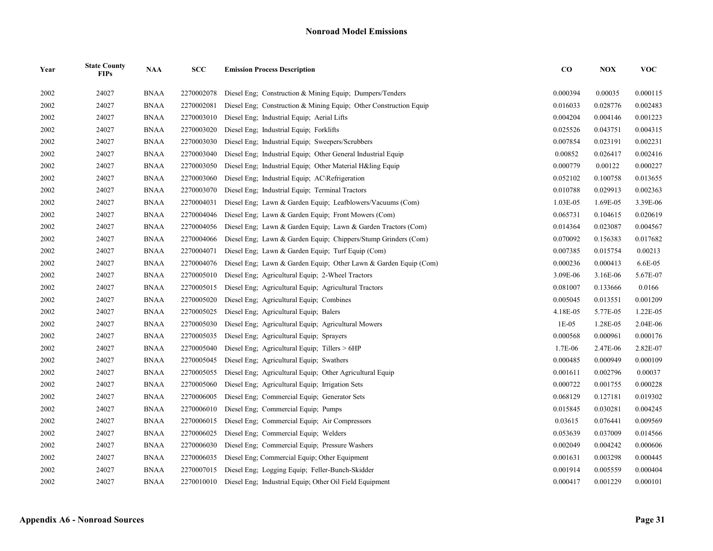| Year | <b>State County</b><br><b>FIPs</b> | <b>NAA</b>  | <b>SCC</b> | <b>Emission Process Description</b>                                | $\bf CO$ | <b>NOX</b> | <b>VOC</b> |
|------|------------------------------------|-------------|------------|--------------------------------------------------------------------|----------|------------|------------|
| 2002 | 24027                              | <b>BNAA</b> | 2270002078 | Diesel Eng; Construction & Mining Equip; Dumpers/Tenders           | 0.000394 | 0.00035    | 0.000115   |
| 2002 | 24027                              | <b>BNAA</b> | 2270002081 | Diesel Eng; Construction & Mining Equip; Other Construction Equip  | 0.016033 | 0.028776   | 0.002483   |
| 2002 | 24027                              | <b>BNAA</b> | 2270003010 | Diesel Eng; Industrial Equip; Aerial Lifts                         | 0.004204 | 0.004146   | 0.001223   |
| 2002 | 24027                              | <b>BNAA</b> | 2270003020 | Diesel Eng; Industrial Equip; Forklifts                            | 0.025526 | 0.043751   | 0.004315   |
| 2002 | 24027                              | <b>BNAA</b> | 2270003030 | Diesel Eng; Industrial Equip; Sweepers/Scrubbers                   | 0.007854 | 0.023191   | 0.002231   |
| 2002 | 24027                              | <b>BNAA</b> | 2270003040 | Diesel Eng; Industrial Equip; Other General Industrial Equip       | 0.00852  | 0.026417   | 0.002416   |
| 2002 | 24027                              | <b>BNAA</b> | 2270003050 | Diesel Eng; Industrial Equip; Other Material H&ling Equip          | 0.000779 | 0.00122    | 0.000227   |
| 2002 | 24027                              | <b>BNAA</b> | 2270003060 | Diesel Eng; Industrial Equip; AC\Refrigeration                     | 0.052102 | 0.100758   | 0.013655   |
| 2002 | 24027                              | <b>BNAA</b> | 2270003070 | Diesel Eng; Industrial Equip; Terminal Tractors                    | 0.010788 | 0.029913   | 0.002363   |
| 2002 | 24027                              | <b>BNAA</b> | 2270004031 | Diesel Eng; Lawn & Garden Equip; Leafblowers/Vacuums (Com)         | 1.03E-05 | 1.69E-05   | 3.39E-06   |
| 2002 | 24027                              | <b>BNAA</b> | 2270004046 | Diesel Eng: Lawn & Garden Equip: Front Mowers (Com)                | 0.065731 | 0.104615   | 0.020619   |
| 2002 | 24027                              | <b>BNAA</b> | 2270004056 | Diesel Eng; Lawn & Garden Equip; Lawn & Garden Tractors (Com)      | 0.014364 | 0.023087   | 0.004567   |
| 2002 | 24027                              | <b>BNAA</b> | 2270004066 | Diesel Eng; Lawn & Garden Equip; Chippers/Stump Grinders (Com)     | 0.070092 | 0.156383   | 0.017682   |
| 2002 | 24027                              | <b>BNAA</b> | 2270004071 | Diesel Eng; Lawn & Garden Equip; Turf Equip (Com)                  | 0.007385 | 0.015754   | 0.00213    |
| 2002 | 24027                              | <b>BNAA</b> | 2270004076 | Diesel Eng; Lawn & Garden Equip; Other Lawn & Garden Equip (Com)   | 0.000236 | 0.000413   | 6.6E-05    |
| 2002 | 24027                              | <b>BNAA</b> | 2270005010 | Diesel Eng; Agricultural Equip; 2-Wheel Tractors                   | 3.09E-06 | 3.16E-06   | 5.67E-07   |
| 2002 | 24027                              | <b>BNAA</b> | 2270005015 | Diesel Eng; Agricultural Equip; Agricultural Tractors              | 0.081007 | 0.133666   | 0.0166     |
| 2002 | 24027                              | <b>BNAA</b> | 2270005020 | Diesel Eng; Agricultural Equip; Combines                           | 0.005045 | 0.013551   | 0.001209   |
| 2002 | 24027                              | <b>BNAA</b> | 2270005025 | Diesel Eng; Agricultural Equip; Balers                             | 4.18E-05 | 5.77E-05   | 1.22E-05   |
| 2002 | 24027                              | <b>BNAA</b> | 2270005030 | Diesel Eng; Agricultural Equip; Agricultural Mowers                | $1E-05$  | 1.28E-05   | 2.04E-06   |
| 2002 | 24027                              | <b>BNAA</b> | 2270005035 | Diesel Eng; Agricultural Equip; Sprayers                           | 0.000568 | 0.000961   | 0.000176   |
| 2002 | 24027                              | <b>BNAA</b> | 2270005040 | Diesel Eng; Agricultural Equip; Tillers > 6HP                      | 1.7E-06  | 2.47E-06   | 2.82E-07   |
| 2002 | 24027                              | <b>BNAA</b> | 2270005045 | Diesel Eng; Agricultural Equip; Swathers                           | 0.000485 | 0.000949   | 0.000109   |
| 2002 | 24027                              | <b>BNAA</b> | 2270005055 | Diesel Eng; Agricultural Equip; Other Agricultural Equip           | 0.001611 | 0.002796   | 0.00037    |
| 2002 | 24027                              | <b>BNAA</b> | 2270005060 | Diesel Eng; Agricultural Equip; Irrigation Sets                    | 0.000722 | 0.001755   | 0.000228   |
| 2002 | 24027                              | <b>BNAA</b> | 2270006005 | Diesel Eng; Commercial Equip; Generator Sets                       | 0.068129 | 0.127181   | 0.019302   |
| 2002 | 24027                              | <b>BNAA</b> | 2270006010 | Diesel Eng; Commercial Equip; Pumps                                | 0.015845 | 0.030281   | 0.004245   |
| 2002 | 24027                              | <b>BNAA</b> | 2270006015 | Diesel Eng; Commercial Equip; Air Compressors                      | 0.03615  | 0.076441   | 0.009569   |
| 2002 | 24027                              | <b>BNAA</b> | 2270006025 | Diesel Eng; Commercial Equip; Welders                              | 0.053639 | 0.037009   | 0.014566   |
| 2002 | 24027                              | <b>BNAA</b> | 2270006030 | Diesel Eng; Commercial Equip; Pressure Washers                     | 0.002049 | 0.004242   | 0.000606   |
| 2002 | 24027                              | <b>BNAA</b> | 2270006035 | Diesel Eng; Commercial Equip; Other Equipment                      | 0.001631 | 0.003298   | 0.000445   |
| 2002 | 24027                              | <b>BNAA</b> | 2270007015 | Diesel Eng; Logging Equip; Feller-Bunch-Skidder                    | 0.001914 | 0.005559   | 0.000404   |
| 2002 | 24027                              | <b>BNAA</b> |            | 2270010010 Diesel Eng; Industrial Equip; Other Oil Field Equipment | 0.000417 | 0.001229   | 0.000101   |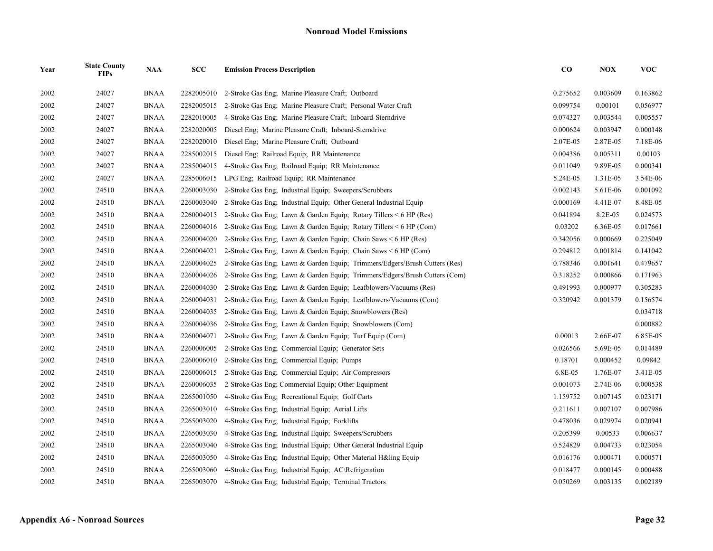| Year | <b>State County</b><br><b>FIPs</b> | <b>NAA</b>  | SCC        | <b>Emission Process Description</b>                                        | $\bf CO$ | <b>NOX</b> | <b>VOC</b> |
|------|------------------------------------|-------------|------------|----------------------------------------------------------------------------|----------|------------|------------|
| 2002 | 24027                              | <b>BNAA</b> | 2282005010 | 2-Stroke Gas Eng; Marine Pleasure Craft; Outboard                          | 0.275652 | 0.003609   | 0.163862   |
| 2002 | 24027                              | <b>BNAA</b> | 2282005015 | 2-Stroke Gas Eng; Marine Pleasure Craft; Personal Water Craft              | 0.099754 | 0.00101    | 0.056977   |
| 2002 | 24027                              | <b>BNAA</b> | 2282010005 | 4-Stroke Gas Eng; Marine Pleasure Craft; Inboard-Sterndrive                | 0.074327 | 0.003544   | 0.005557   |
| 2002 | 24027                              | <b>BNAA</b> | 2282020005 | Diesel Eng; Marine Pleasure Craft; Inboard-Sterndrive                      | 0.000624 | 0.003947   | 0.000148   |
| 2002 | 24027                              | <b>BNAA</b> | 2282020010 | Diesel Eng; Marine Pleasure Craft; Outboard                                | 2.07E-05 | 2.87E-05   | 7.18E-06   |
| 2002 | 24027                              | <b>BNAA</b> | 2285002015 | Diesel Eng; Railroad Equip; RR Maintenance                                 | 0.004386 | 0.005311   | 0.00103    |
| 2002 | 24027                              | <b>BNAA</b> | 2285004015 | 4-Stroke Gas Eng; Railroad Equip; RR Maintenance                           | 0.011049 | 9.89E-05   | 0.000341   |
| 2002 | 24027                              | <b>BNAA</b> | 2285006015 | LPG Eng: Railroad Equip: RR Maintenance                                    | 5.24E-05 | 1.31E-05   | 3.54E-06   |
| 2002 | 24510                              | <b>BNAA</b> | 2260003030 | 2-Stroke Gas Eng; Industrial Equip; Sweepers/Scrubbers                     | 0.002143 | 5.61E-06   | 0.001092   |
| 2002 | 24510                              | <b>BNAA</b> | 2260003040 | 2-Stroke Gas Eng; Industrial Equip; Other General Industrial Equip         | 0.000169 | 4.41E-07   | 8.48E-05   |
| 2002 | 24510                              | <b>BNAA</b> | 2260004015 | 2-Stroke Gas Eng; Lawn & Garden Equip; Rotary Tillers $\leq 6$ HP (Res)    | 0.041894 | 8.2E-05    | 0.024573   |
| 2002 | 24510                              | <b>BNAA</b> | 2260004016 | 2-Stroke Gas Eng; Lawn & Garden Equip; Rotary Tillers $\leq 6$ HP (Com)    | 0.03202  | 6.36E-05   | 0.017661   |
| 2002 | 24510                              | <b>BNAA</b> | 2260004020 | 2-Stroke Gas Eng; Lawn & Garden Equip; Chain Saws $\leq 6$ HP (Res)        | 0.342056 | 0.000669   | 0.225049   |
| 2002 | 24510                              | <b>BNAA</b> | 2260004021 | 2-Stroke Gas Eng; Lawn & Garden Equip; Chain Saws $\leq 6$ HP (Com)        | 0.294812 | 0.001814   | 0.141042   |
| 2002 | 24510                              | <b>BNAA</b> | 2260004025 | 2-Stroke Gas Eng; Lawn & Garden Equip; Trimmers/Edgers/Brush Cutters (Res) | 0.788346 | 0.001641   | 0.479657   |
| 2002 | 24510                              | <b>BNAA</b> | 2260004026 | 2-Stroke Gas Eng, Lawn & Garden Equip; Trimmers/Edgers/Brush Cutters (Com) | 0.318252 | 0.000866   | 0.171963   |
| 2002 | 24510                              | <b>BNAA</b> | 2260004030 | 2-Stroke Gas Eng; Lawn & Garden Equip; Leafblowers/Vacuums (Res)           | 0.491993 | 0.000977   | 0.305283   |
| 2002 | 24510                              | <b>BNAA</b> | 2260004031 | 2-Stroke Gas Eng; Lawn & Garden Equip; Leafblowers/Vacuums (Com)           | 0.320942 | 0.001379   | 0.156574   |
| 2002 | 24510                              | <b>BNAA</b> | 2260004035 | 2-Stroke Gas Eng: Lawn & Garden Equip: Snowblowers (Res)                   |          |            | 0.034718   |
| 2002 | 24510                              | <b>BNAA</b> | 2260004036 | 2-Stroke Gas Eng; Lawn & Garden Equip; Snowblowers (Com)                   |          |            | 0.000882   |
| 2002 | 24510                              | <b>BNAA</b> | 2260004071 | 2-Stroke Gas Eng; Lawn & Garden Equip; Turf Equip (Com)                    | 0.00013  | 2.66E-07   | 6.85E-05   |
| 2002 | 24510                              | <b>BNAA</b> | 2260006005 | 2-Stroke Gas Eng; Commercial Equip; Generator Sets                         | 0.026566 | 5.69E-05   | 0.014489   |
| 2002 | 24510                              | <b>BNAA</b> | 2260006010 | 2-Stroke Gas Eng: Commercial Equip: Pumps                                  | 0.18701  | 0.000452   | 0.09842    |
| 2002 | 24510                              | <b>BNAA</b> | 2260006015 | 2-Stroke Gas Eng; Commercial Equip; Air Compressors                        | 6.8E-05  | 1.76E-07   | 3.41E-05   |
| 2002 | 24510                              | <b>BNAA</b> | 2260006035 | 2-Stroke Gas Eng; Commercial Equip; Other Equipment                        | 0.001073 | 2.74E-06   | 0.000538   |
| 2002 | 24510                              | <b>BNAA</b> | 2265001050 | 4-Stroke Gas Eng; Recreational Equip; Golf Carts                           | 1.159752 | 0.007145   | 0.023171   |
| 2002 | 24510                              | <b>BNAA</b> | 2265003010 | 4-Stroke Gas Eng; Industrial Equip; Aerial Lifts                           | 0.211611 | 0.007107   | 0.007986   |
| 2002 | 24510                              | <b>BNAA</b> | 2265003020 | 4-Stroke Gas Eng; Industrial Equip; Forklifts                              | 0.478036 | 0.029974   | 0.020941   |
| 2002 | 24510                              | <b>BNAA</b> | 2265003030 | 4-Stroke Gas Eng; Industrial Equip; Sweepers/Scrubbers                     | 0.205399 | 0.00533    | 0.006637   |
| 2002 | 24510                              | <b>BNAA</b> | 2265003040 | 4-Stroke Gas Eng: Industrial Equip: Other General Industrial Equip         | 0.524829 | 0.004733   | 0.023054   |
| 2002 | 24510                              | <b>BNAA</b> | 2265003050 | 4-Stroke Gas Eng; Industrial Equip; Other Material H&ling Equip            | 0.016176 | 0.000471   | 0.000571   |
| 2002 | 24510                              | <b>BNAA</b> | 2265003060 | 4-Stroke Gas Eng; Industrial Equip; AC\Refrigeration                       | 0.018477 | 0.000145   | 0.000488   |
| 2002 | 24510                              | <b>BNAA</b> | 2265003070 | 4-Stroke Gas Eng: Industrial Equip: Terminal Tractors                      | 0.050269 | 0.003135   | 0.002189   |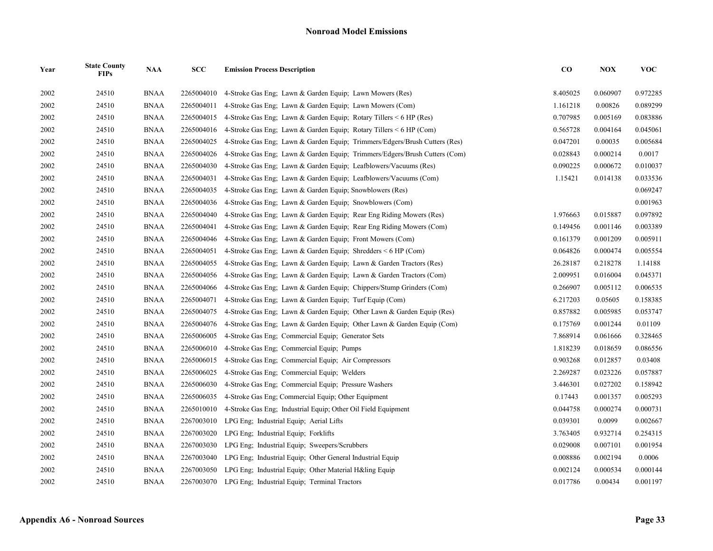| Year | <b>State County</b><br><b>FIPs</b> | <b>NAA</b>  | SCC        | <b>Emission Process Description</b>                                        | $\bf{CO}$ | <b>NOX</b> | <b>VOC</b> |
|------|------------------------------------|-------------|------------|----------------------------------------------------------------------------|-----------|------------|------------|
| 2002 | 24510                              | <b>BNAA</b> | 2265004010 | 4-Stroke Gas Eng: Lawn & Garden Equip: Lawn Mowers (Res)                   | 8.405025  | 0.060907   | 0.972285   |
| 2002 | 24510                              | <b>BNAA</b> | 2265004011 | 4-Stroke Gas Eng: Lawn & Garden Equip: Lawn Mowers (Com)                   | 1.161218  | 0.00826    | 0.089299   |
| 2002 | 24510                              | <b>BNAA</b> | 2265004015 | 4-Stroke Gas Eng; Lawn & Garden Equip; Rotary Tillers $\leq 6$ HP (Res)    | 0.707985  | 0.005169   | 0.083886   |
| 2002 | 24510                              | <b>BNAA</b> | 2265004016 | 4-Stroke Gas Eng; Lawn & Garden Equip; Rotary Tillers $\leq 6$ HP (Com)    | 0.565728  | 0.004164   | 0.045061   |
| 2002 | 24510                              | <b>BNAA</b> | 2265004025 | 4-Stroke Gas Eng; Lawn & Garden Equip; Trimmers/Edgers/Brush Cutters (Res) | 0.047201  | 0.00035    | 0.005684   |
| 2002 | 24510                              | <b>BNAA</b> | 2265004026 | 4-Stroke Gas Eng; Lawn & Garden Equip; Trimmers/Edgers/Brush Cutters (Com) | 0.028843  | 0.000214   | 0.0017     |
| 2002 | 24510                              | <b>BNAA</b> | 2265004030 | 4-Stroke Gas Eng; Lawn & Garden Equip; Leafblowers/Vacuums (Res)           | 0.090225  | 0.000672   | 0.010037   |
| 2002 | 24510                              | <b>BNAA</b> | 2265004031 | 4-Stroke Gas Eng; Lawn & Garden Equip; Leafblowers/Vacuums (Com)           | 1.15421   | 0.014138   | 0.033536   |
| 2002 | 24510                              | <b>BNAA</b> | 2265004035 | 4-Stroke Gas Eng; Lawn & Garden Equip; Snowblowers (Res)                   |           |            | 0.069247   |
| 2002 | 24510                              | <b>BNAA</b> | 2265004036 | 4-Stroke Gas Eng; Lawn & Garden Equip; Snowblowers (Com)                   |           |            | 0.001963   |
| 2002 | 24510                              | <b>BNAA</b> | 2265004040 | 4-Stroke Gas Eng; Lawn & Garden Equip; Rear Eng Riding Mowers (Res)        | 1.976663  | 0.015887   | 0.097892   |
| 2002 | 24510                              | <b>BNAA</b> | 2265004041 | 4-Stroke Gas Eng; Lawn & Garden Equip; Rear Eng Riding Mowers (Com)        | 0.149456  | 0.001146   | 0.003389   |
| 2002 | 24510                              | <b>BNAA</b> | 2265004046 | 4-Stroke Gas Eng; Lawn & Garden Equip; Front Mowers (Com)                  | 0.161379  | 0.001209   | 0.005911   |
| 2002 | 24510                              | <b>BNAA</b> | 2265004051 | 4-Stroke Gas Eng; Lawn & Garden Equip; Shredders $\leq 6$ HP (Com)         | 0.064826  | 0.000474   | 0.005554   |
| 2002 | 24510                              | <b>BNAA</b> | 2265004055 | 4-Stroke Gas Eng; Lawn & Garden Equip; Lawn & Garden Tractors (Res)        | 26.28187  | 0.218278   | 1.14188    |
| 2002 | 24510                              | <b>BNAA</b> | 2265004056 | 4-Stroke Gas Eng; Lawn & Garden Equip; Lawn & Garden Tractors (Com)        | 2.009951  | 0.016004   | 0.045371   |
| 2002 | 24510                              | <b>BNAA</b> | 2265004066 | 4-Stroke Gas Eng; Lawn & Garden Equip; Chippers/Stump Grinders (Com)       | 0.266907  | 0.005112   | 0.006535   |
| 2002 | 24510                              | <b>BNAA</b> | 2265004071 | 4-Stroke Gas Eng; Lawn & Garden Equip; Turf Equip (Com)                    | 6.217203  | 0.05605    | 0.158385   |
| 2002 | 24510                              | <b>BNAA</b> | 2265004075 | 4-Stroke Gas Eng; Lawn & Garden Equip; Other Lawn & Garden Equip (Res)     | 0.857882  | 0.005985   | 0.053747   |
| 2002 | 24510                              | <b>BNAA</b> | 2265004076 | 4-Stroke Gas Eng; Lawn & Garden Equip; Other Lawn & Garden Equip (Com)     | 0.175769  | 0.001244   | 0.01109    |
| 2002 | 24510                              | <b>BNAA</b> | 2265006005 | 4-Stroke Gas Eng; Commercial Equip; Generator Sets                         | 7.868914  | 0.061666   | 0.328465   |
| 2002 | 24510                              | <b>BNAA</b> | 2265006010 | 4-Stroke Gas Eng; Commercial Equip; Pumps                                  | 1.818239  | 0.018659   | 0.086556   |
| 2002 | 24510                              | <b>BNAA</b> | 2265006015 | 4-Stroke Gas Eng: Commercial Equip: Air Compressors                        | 0.903268  | 0.012857   | 0.03408    |
| 2002 | 24510                              | <b>BNAA</b> | 2265006025 | 4-Stroke Gas Eng; Commercial Equip; Welders                                | 2.269287  | 0.023226   | 0.057887   |
| 2002 | 24510                              | <b>BNAA</b> | 2265006030 | 4-Stroke Gas Eng; Commercial Equip; Pressure Washers                       | 3.446301  | 0.027202   | 0.158942   |
| 2002 | 24510                              | <b>BNAA</b> | 2265006035 | 4-Stroke Gas Eng; Commercial Equip; Other Equipment                        | 0.17443   | 0.001357   | 0.005293   |
| 2002 | 24510                              | <b>BNAA</b> | 2265010010 | 4-Stroke Gas Eng; Industrial Equip; Other Oil Field Equipment              | 0.044758  | 0.000274   | 0.000731   |
| 2002 | 24510                              | <b>BNAA</b> | 2267003010 | LPG Eng; Industrial Equip; Aerial Lifts                                    | 0.039301  | 0.0099     | 0.002667   |
| 2002 | 24510                              | <b>BNAA</b> | 2267003020 | LPG Eng: Industrial Equip: Forklifts                                       | 3.763405  | 0.932714   | 0.254315   |
| 2002 | 24510                              | <b>BNAA</b> | 2267003030 | LPG Eng; Industrial Equip; Sweepers/Scrubbers                              | 0.029008  | 0.007101   | 0.001954   |
| 2002 | 24510                              | <b>BNAA</b> | 2267003040 | LPG Eng; Industrial Equip; Other General Industrial Equip                  | 0.008886  | 0.002194   | 0.0006     |
| 2002 | 24510                              | <b>BNAA</b> | 2267003050 | LPG Eng; Industrial Equip; Other Material H&ling Equip                     | 0.002124  | 0.000534   | 0.000144   |
| 2002 | 24510                              | <b>BNAA</b> | 2267003070 | LPG Eng: Industrial Equip: Terminal Tractors                               | 0.017786  | 0.00434    | 0.001197   |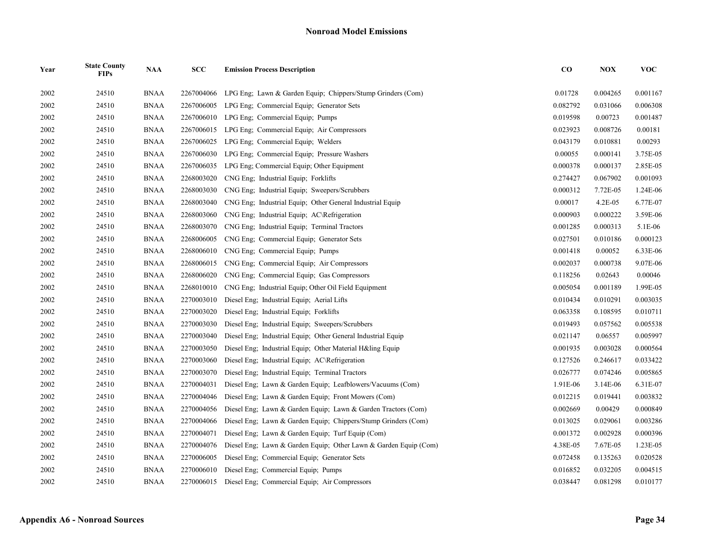| Year | <b>State County</b><br><b>FIPs</b> | <b>NAA</b>  | <b>SCC</b> | <b>Emission Process Description</b>                              | $\bf CO$ | <b>NOX</b> | <b>VOC</b> |
|------|------------------------------------|-------------|------------|------------------------------------------------------------------|----------|------------|------------|
| 2002 | 24510                              | <b>BNAA</b> | 2267004066 | LPG Eng; Lawn & Garden Equip; Chippers/Stump Grinders (Com)      | 0.01728  | 0.004265   | 0.001167   |
| 2002 | 24510                              | <b>BNAA</b> | 2267006005 | LPG Eng; Commercial Equip; Generator Sets                        | 0.082792 | 0.031066   | 0.006308   |
| 2002 | 24510                              | <b>BNAA</b> | 2267006010 | LPG Eng; Commercial Equip; Pumps                                 | 0.019598 | 0.00723    | 0.001487   |
| 2002 | 24510                              | <b>BNAA</b> | 2267006015 | LPG Eng; Commercial Equip; Air Compressors                       | 0.023923 | 0.008726   | 0.00181    |
| 2002 | 24510                              | <b>BNAA</b> | 2267006025 | LPG Eng; Commercial Equip; Welders                               | 0.043179 | 0.010881   | 0.00293    |
| 2002 | 24510                              | <b>BNAA</b> | 2267006030 | LPG Eng; Commercial Equip; Pressure Washers                      | 0.00055  | 0.000141   | 3.75E-05   |
| 2002 | 24510                              | <b>BNAA</b> | 2267006035 | LPG Eng; Commercial Equip; Other Equipment                       | 0.000378 | 0.000137   | 2.85E-05   |
| 2002 | 24510                              | <b>BNAA</b> | 2268003020 | CNG Eng: Industrial Equip: Forklifts                             | 0.274427 | 0.067902   | 0.001093   |
| 2002 | 24510                              | <b>BNAA</b> | 2268003030 | CNG Eng; Industrial Equip; Sweepers/Scrubbers                    | 0.000312 | 7.72E-05   | 1.24E-06   |
| 2002 | 24510                              | <b>BNAA</b> | 2268003040 | CNG Eng; Industrial Equip; Other General Industrial Equip        | 0.00017  | 4.2E-05    | 6.77E-07   |
| 2002 | 24510                              | <b>BNAA</b> | 2268003060 | CNG Eng: Industrial Equip: AC\Refrigeration                      | 0.000903 | 0.000222   | 3.59E-06   |
| 2002 | 24510                              | <b>BNAA</b> | 2268003070 | CNG Eng; Industrial Equip; Terminal Tractors                     | 0.001285 | 0.000313   | 5.1E-06    |
| 2002 | 24510                              | <b>BNAA</b> | 2268006005 | CNG Eng; Commercial Equip; Generator Sets                        | 0.027501 | 0.010186   | 0.000123   |
| 2002 | 24510                              | <b>BNAA</b> | 2268006010 | CNG Eng; Commercial Equip; Pumps                                 | 0.001418 | 0.00052    | 6.33E-06   |
| 2002 | 24510                              | <b>BNAA</b> | 2268006015 | CNG Eng; Commercial Equip; Air Compressors                       | 0.002037 | 0.000738   | 9.07E-06   |
| 2002 | 24510                              | <b>BNAA</b> | 2268006020 | CNG Eng; Commercial Equip; Gas Compressors                       | 0.118256 | 0.02643    | 0.00046    |
| 2002 | 24510                              | <b>BNAA</b> | 2268010010 | CNG Eng; Industrial Equip; Other Oil Field Equipment             | 0.005054 | 0.001189   | 1.99E-05   |
| 2002 | 24510                              | <b>BNAA</b> | 2270003010 | Diesel Eng; Industrial Equip; Aerial Lifts                       | 0.010434 | 0.010291   | 0.003035   |
| 2002 | 24510                              | <b>BNAA</b> | 2270003020 | Diesel Eng; Industrial Equip; Forklifts                          | 0.063358 | 0.108595   | 0.010711   |
| 2002 | 24510                              | <b>BNAA</b> | 2270003030 | Diesel Eng; Industrial Equip; Sweepers/Scrubbers                 | 0.019493 | 0.057562   | 0.005538   |
| 2002 | 24510                              | <b>BNAA</b> | 2270003040 | Diesel Eng; Industrial Equip; Other General Industrial Equip     | 0.021147 | 0.06557    | 0.005997   |
| 2002 | 24510                              | <b>BNAA</b> | 2270003050 | Diesel Eng; Industrial Equip; Other Material H&ling Equip        | 0.001935 | 0.003028   | 0.000564   |
| 2002 | 24510                              | <b>BNAA</b> | 2270003060 | Diesel Eng; Industrial Equip; AC\Refrigeration                   | 0.127526 | 0.246617   | 0.033422   |
| 2002 | 24510                              | <b>BNAA</b> | 2270003070 | Diesel Eng; Industrial Equip; Terminal Tractors                  | 0.026777 | 0.074246   | 0.005865   |
| 2002 | 24510                              | <b>BNAA</b> | 2270004031 | Diesel Eng; Lawn & Garden Equip; Leafblowers/Vacuums (Com)       | 1.91E-06 | 3.14E-06   | 6.31E-07   |
| 2002 | 24510                              | <b>BNAA</b> | 2270004046 | Diesel Eng; Lawn & Garden Equip; Front Mowers (Com)              | 0.012215 | 0.019441   | 0.003832   |
| 2002 | 24510                              | <b>BNAA</b> | 2270004056 | Diesel Eng; Lawn & Garden Equip; Lawn & Garden Tractors (Com)    | 0.002669 | 0.00429    | 0.000849   |
| 2002 | 24510                              | <b>BNAA</b> | 2270004066 | Diesel Eng; Lawn & Garden Equip; Chippers/Stump Grinders (Com)   | 0.013025 | 0.029061   | 0.003286   |
| 2002 | 24510                              | <b>BNAA</b> | 2270004071 | Diesel Eng; Lawn & Garden Equip; Turf Equip (Com)                | 0.001372 | 0.002928   | 0.000396   |
| 2002 | 24510                              | <b>BNAA</b> | 2270004076 | Diesel Eng; Lawn & Garden Equip; Other Lawn & Garden Equip (Com) | 4.38E-05 | 7.67E-05   | 1.23E-05   |
| 2002 | 24510                              | <b>BNAA</b> | 2270006005 | Diesel Eng; Commercial Equip; Generator Sets                     | 0.072458 | 0.135263   | 0.020528   |
| 2002 | 24510                              | <b>BNAA</b> | 2270006010 | Diesel Eng; Commercial Equip; Pumps                              | 0.016852 | 0.032205   | 0.004515   |
| 2002 | 24510                              | <b>BNAA</b> |            | 2270006015 Diesel Eng; Commercial Equip; Air Compressors         | 0.038447 | 0.081298   | 0.010177   |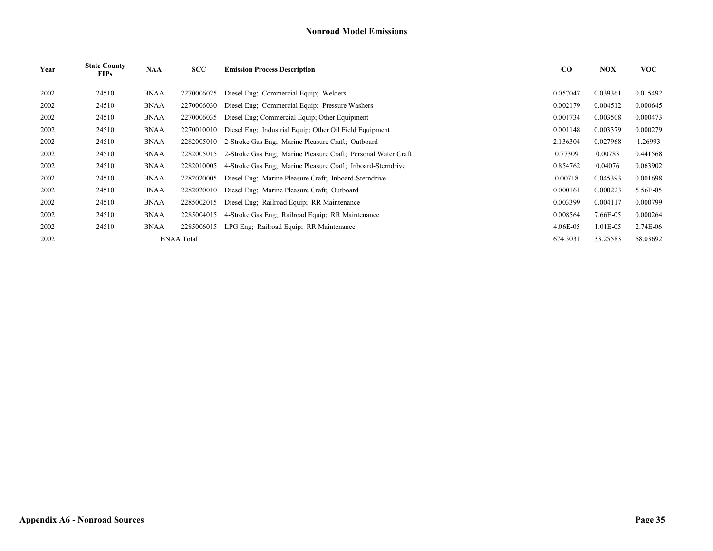| Year | <b>State County</b><br><b>FIPs</b> | <b>NAA</b>  | SCC               | <b>Emission Process Description</b>                           | $\bf{CO}$ | <b>NOX</b> | <b>VOC</b> |
|------|------------------------------------|-------------|-------------------|---------------------------------------------------------------|-----------|------------|------------|
| 2002 | 24510                              | <b>BNAA</b> | 2270006025        | Diesel Eng; Commercial Equip; Welders                         | 0.057047  | 0.039361   | 0.015492   |
| 2002 | 24510                              | <b>BNAA</b> | 2270006030        | Diesel Eng; Commercial Equip; Pressure Washers                | 0.002179  | 0.004512   | 0.000645   |
| 2002 | 24510                              | <b>BNAA</b> | 2270006035        | Diesel Eng; Commercial Equip; Other Equipment                 | 0.001734  | 0.003508   | 0.000473   |
| 2002 | 24510                              | <b>BNAA</b> | 2270010010        | Diesel Eng; Industrial Equip; Other Oil Field Equipment       | 0.001148  | 0.003379   | 0.000279   |
| 2002 | 24510                              | <b>BNAA</b> | 2282005010        | 2-Stroke Gas Eng; Marine Pleasure Craft; Outboard             | 2.136304  | 0.027968   | 1.26993    |
| 2002 | 24510                              | <b>BNAA</b> | 2282005015        | 2-Stroke Gas Eng; Marine Pleasure Craft; Personal Water Craft | 0.77309   | 0.00783    | 0.441568   |
| 2002 | 24510                              | <b>BNAA</b> | 2282010005        | 4-Stroke Gas Eng: Marine Pleasure Craft: Inboard-Sterndrive   | 0.854762  | 0.04076    | 0.063902   |
| 2002 | 24510                              | <b>BNAA</b> | 2282020005        | Diesel Eng; Marine Pleasure Craft; Inboard-Sterndrive         | 0.00718   | 0.045393   | 0.001698   |
| 2002 | 24510                              | <b>BNAA</b> | 2282020010        | Diesel Eng; Marine Pleasure Craft; Outboard                   | 0.000161  | 0.000223   | 5.56E-05   |
| 2002 | 24510                              | <b>BNAA</b> | 2285002015        | Diesel Eng; Railroad Equip; RR Maintenance                    | 0.003399  | 0.004117   | 0.000799   |
| 2002 | 24510                              | <b>BNAA</b> | 2285004015        | 4-Stroke Gas Eng; Railroad Equip; RR Maintenance              | 0.008564  | 7.66E-05   | 0.000264   |
| 2002 | 24510                              | <b>BNAA</b> | 2285006015        | LPG Eng. Railroad Equip. RR Maintenance                       | 4.06E-05  | 1.01E-05   | 2.74E-06   |
| 2002 |                                    |             | <b>BNAA</b> Total |                                                               | 674.3031  | 33.25583   | 68.03692   |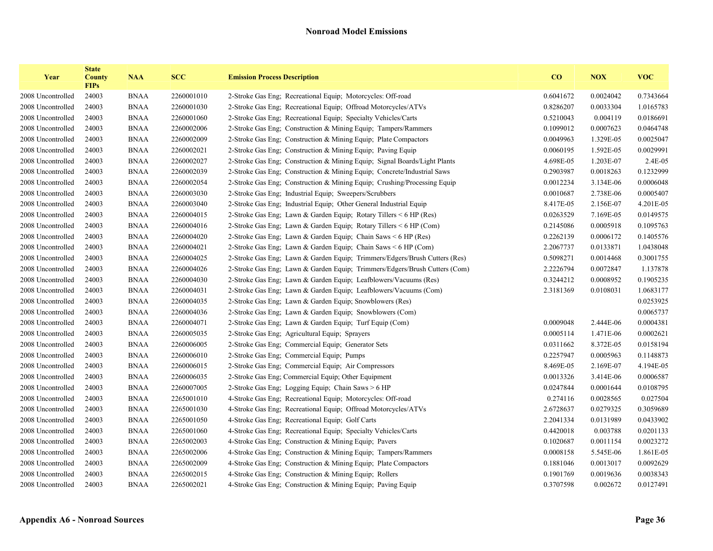| Year              | <b>State</b><br><b>County</b><br><b>FIPs</b> | <b>NAA</b>  | <b>SCC</b> | <b>Emission Process Description</b>                                        | $\bf{CO}$ | <b>NOX</b> | <b>VOC</b> |
|-------------------|----------------------------------------------|-------------|------------|----------------------------------------------------------------------------|-----------|------------|------------|
| 2008 Uncontrolled | 24003                                        | <b>BNAA</b> | 2260001010 | 2-Stroke Gas Eng; Recreational Equip; Motorcycles: Off-road                | 0.6041672 | 0.0024042  | 0.7343664  |
| 2008 Uncontrolled | 24003                                        | <b>BNAA</b> | 2260001030 | 2-Stroke Gas Eng; Recreational Equip; Offroad Motorcycles/ATVs             | 0.8286207 | 0.0033304  | 1.0165783  |
| 2008 Uncontrolled | 24003                                        | <b>BNAA</b> | 2260001060 | 2-Stroke Gas Eng; Recreational Equip; Specialty Vehicles/Carts             | 0.5210043 | 0.004119   | 0.0186691  |
| 2008 Uncontrolled | 24003                                        | <b>BNAA</b> | 2260002006 | 2-Stroke Gas Eng; Construction & Mining Equip; Tampers/Rammers             | 0.1099012 | 0.0007623  | 0.0464748  |
| 2008 Uncontrolled | 24003                                        | <b>BNAA</b> | 2260002009 | 2-Stroke Gas Eng; Construction & Mining Equip; Plate Compactors            | 0.0049963 | 1.329E-05  | 0.0025047  |
| 2008 Uncontrolled | 24003                                        | <b>BNAA</b> | 2260002021 | 2-Stroke Gas Eng; Construction & Mining Equip; Paving Equip                | 0.0060195 | 1.592E-05  | 0.0029991  |
| 2008 Uncontrolled | 24003                                        | <b>BNAA</b> | 2260002027 | 2-Stroke Gas Eng; Construction & Mining Equip; Signal Boards/Light Plants  | 4.698E-05 | 1.203E-07  | 2.4E-05    |
| 2008 Uncontrolled | 24003                                        | <b>BNAA</b> | 2260002039 | 2-Stroke Gas Eng; Construction & Mining Equip; Concrete/Industrial Saws    | 0.2903987 | 0.0018263  | 0.1232999  |
| 2008 Uncontrolled | 24003                                        | <b>BNAA</b> | 2260002054 | 2-Stroke Gas Eng; Construction & Mining Equip; Crushing/Processing Equip   | 0.0012234 | 3.134E-06  | 0.0006048  |
| 2008 Uncontrolled | 24003                                        | <b>BNAA</b> | 2260003030 | 2-Stroke Gas Eng; Industrial Equip; Sweepers/Scrubbers                     | 0.0010687 | 2.738E-06  | 0.0005407  |
| 2008 Uncontrolled | 24003                                        | <b>BNAA</b> | 2260003040 | 2-Stroke Gas Eng; Industrial Equip; Other General Industrial Equip         | 8.417E-05 | 2.156E-07  | 4.201E-05  |
| 2008 Uncontrolled | 24003                                        | <b>BNAA</b> | 2260004015 | 2-Stroke Gas Eng; Lawn & Garden Equip; Rotary Tillers $\leq 6$ HP (Res)    | 0.0263529 | 7.169E-05  | 0.0149575  |
| 2008 Uncontrolled | 24003                                        | <b>BNAA</b> | 2260004016 | 2-Stroke Gas Eng; Lawn & Garden Equip; Rotary Tillers < 6 HP (Com)         | 0.2145086 | 0.0005918  | 0.1095763  |
| 2008 Uncontrolled | 24003                                        | <b>BNAA</b> | 2260004020 | 2-Stroke Gas Eng; Lawn & Garden Equip; Chain Saws < 6 HP (Res)             | 0.2262139 | 0.0006172  | 0.1405576  |
| 2008 Uncontrolled | 24003                                        | <b>BNAA</b> | 2260004021 | 2-Stroke Gas Eng; Lawn & Garden Equip; Chain Saws < 6 HP (Com)             | 2.2067737 | 0.0133871  | 1.0438048  |
| 2008 Uncontrolled | 24003                                        | <b>BNAA</b> | 2260004025 | 2-Stroke Gas Eng; Lawn & Garden Equip; Trimmers/Edgers/Brush Cutters (Res) | 0.5098271 | 0.0014468  | 0.3001755  |
| 2008 Uncontrolled | 24003                                        | <b>BNAA</b> | 2260004026 | 2-Stroke Gas Eng; Lawn & Garden Equip; Trimmers/Edgers/Brush Cutters (Com) | 2.2226794 | 0.0072847  | 1.137878   |
| 2008 Uncontrolled | 24003                                        | <b>BNAA</b> | 2260004030 | 2-Stroke Gas Eng; Lawn & Garden Equip; Leafblowers/Vacuums (Res)           | 0.3244212 | 0.0008952  | 0.1905235  |
| 2008 Uncontrolled | 24003                                        | <b>BNAA</b> | 2260004031 | 2-Stroke Gas Eng; Lawn & Garden Equip; Leafblowers/Vacuums (Com)           | 2.3181369 | 0.0108031  | 1.0683177  |
| 2008 Uncontrolled | 24003                                        | <b>BNAA</b> | 2260004035 | 2-Stroke Gas Eng; Lawn & Garden Equip; Snowblowers (Res)                   |           |            | 0.0253925  |
| 2008 Uncontrolled | 24003                                        | <b>BNAA</b> | 2260004036 | 2-Stroke Gas Eng; Lawn & Garden Equip; Snowblowers (Com)                   |           |            | 0.0065737  |
| 2008 Uncontrolled | 24003                                        | <b>BNAA</b> | 2260004071 | 2-Stroke Gas Eng; Lawn & Garden Equip; Turf Equip (Com)                    | 0.0009048 | 2.444E-06  | 0.0004381  |
| 2008 Uncontrolled | 24003                                        | <b>BNAA</b> | 2260005035 | 2-Stroke Gas Eng; Agricultural Equip; Sprayers                             | 0.0005114 | 1.471E-06  | 0.0002621  |
| 2008 Uncontrolled | 24003                                        | <b>BNAA</b> | 2260006005 | 2-Stroke Gas Eng; Commercial Equip; Generator Sets                         | 0.0311662 | 8.372E-05  | 0.0158194  |
| 2008 Uncontrolled | 24003                                        | <b>BNAA</b> | 2260006010 | 2-Stroke Gas Eng; Commercial Equip; Pumps                                  | 0.2257947 | 0.0005963  | 0.1148873  |
| 2008 Uncontrolled | 24003                                        | <b>BNAA</b> | 2260006015 | 2-Stroke Gas Eng; Commercial Equip; Air Compressors                        | 8.469E-05 | 2.169E-07  | 4.194E-05  |
| 2008 Uncontrolled | 24003                                        | <b>BNAA</b> | 2260006035 | 2-Stroke Gas Eng; Commercial Equip; Other Equipment                        | 0.0013326 | 3.414E-06  | 0.0006587  |
| 2008 Uncontrolled | 24003                                        | <b>BNAA</b> | 2260007005 | 2-Stroke Gas Eng; Logging Equip; Chain Saws > 6 HP                         | 0.0247844 | 0.0001644  | 0.0108795  |
| 2008 Uncontrolled | 24003                                        | <b>BNAA</b> | 2265001010 | 4-Stroke Gas Eng; Recreational Equip; Motorcycles: Off-road                | 0.274116  | 0.0028565  | 0.027504   |
| 2008 Uncontrolled | 24003                                        | <b>BNAA</b> | 2265001030 | 4-Stroke Gas Eng; Recreational Equip; Offroad Motorcycles/ATVs             | 2.6728637 | 0.0279325  | 0.3059689  |
| 2008 Uncontrolled | 24003                                        | <b>BNAA</b> | 2265001050 | 4-Stroke Gas Eng; Recreational Equip; Golf Carts                           | 2.2041334 | 0.0131989  | 0.0433902  |
| 2008 Uncontrolled | 24003                                        | <b>BNAA</b> | 2265001060 | 4-Stroke Gas Eng; Recreational Equip; Specialty Vehicles/Carts             | 0.4420018 | 0.003788   | 0.0201133  |
| 2008 Uncontrolled | 24003                                        | <b>BNAA</b> | 2265002003 | 4-Stroke Gas Eng; Construction & Mining Equip; Pavers                      | 0.1020687 | 0.0011154  | 0.0023272  |
| 2008 Uncontrolled | 24003                                        | <b>BNAA</b> | 2265002006 | 4-Stroke Gas Eng; Construction & Mining Equip; Tampers/Rammers             | 0.0008158 | 5.545E-06  | 1.861E-05  |
| 2008 Uncontrolled | 24003                                        | <b>BNAA</b> | 2265002009 | 4-Stroke Gas Eng; Construction & Mining Equip; Plate Compactors            | 0.1881046 | 0.0013017  | 0.0092629  |
| 2008 Uncontrolled | 24003                                        | <b>BNAA</b> | 2265002015 | 4-Stroke Gas Eng; Construction & Mining Equip; Rollers                     | 0.1901769 | 0.0019636  | 0.0038343  |
| 2008 Uncontrolled | 24003                                        | <b>BNAA</b> | 2265002021 | 4-Stroke Gas Eng; Construction & Mining Equip; Paving Equip                | 0.3707598 | 0.002672   | 0.0127491  |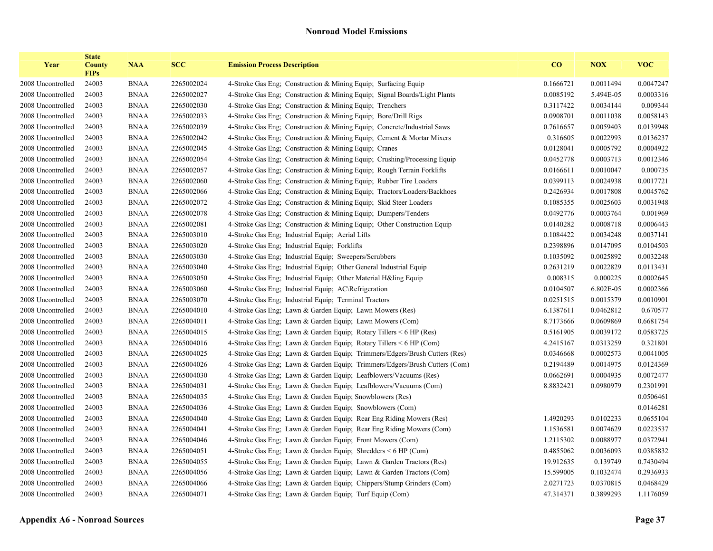| Year              | <b>State</b><br><b>County</b><br><b>FIPs</b> | <b>NAA</b>  | <b>SCC</b> | <b>Emission Process Description</b>                                        | CO        | <b>NOX</b> | <b>VOC</b> |
|-------------------|----------------------------------------------|-------------|------------|----------------------------------------------------------------------------|-----------|------------|------------|
| 2008 Uncontrolled | 24003                                        | <b>BNAA</b> | 2265002024 | 4-Stroke Gas Eng; Construction & Mining Equip; Surfacing Equip             | 0.1666721 | 0.0011494  | 0.0047247  |
| 2008 Uncontrolled | 24003                                        | <b>BNAA</b> | 2265002027 | 4-Stroke Gas Eng; Construction & Mining Equip; Signal Boards/Light Plants  | 0.0085192 | 5.494E-05  | 0.0003316  |
| 2008 Uncontrolled | 24003                                        | <b>BNAA</b> | 2265002030 | 4-Stroke Gas Eng: Construction & Mining Equip: Trenchers                   | 0.3117422 | 0.0034144  | 0.009344   |
| 2008 Uncontrolled | 24003                                        | <b>BNAA</b> | 2265002033 | 4-Stroke Gas Eng; Construction & Mining Equip; Bore/Drill Rigs             | 0.0908701 | 0.0011038  | 0.0058143  |
| 2008 Uncontrolled | 24003                                        | <b>BNAA</b> | 2265002039 | 4-Stroke Gas Eng; Construction & Mining Equip; Concrete/Industrial Saws    | 0.7616657 | 0.0059403  | 0.0139948  |
| 2008 Uncontrolled | 24003                                        | <b>BNAA</b> | 2265002042 | 4-Stroke Gas Eng; Construction & Mining Equip; Cement & Mortar Mixers      | 0.316605  | 0.0022993  | 0.0136237  |
| 2008 Uncontrolled | 24003                                        | <b>BNAA</b> | 2265002045 | 4-Stroke Gas Eng; Construction & Mining Equip; Cranes                      | 0.0128041 | 0.0005792  | 0.0004922  |
| 2008 Uncontrolled | 24003                                        | <b>BNAA</b> | 2265002054 | 4-Stroke Gas Eng; Construction & Mining Equip; Crushing/Processing Equip   | 0.0452778 | 0.0003713  | 0.0012346  |
| 2008 Uncontrolled | 24003                                        | <b>BNAA</b> | 2265002057 | 4-Stroke Gas Eng; Construction & Mining Equip; Rough Terrain Forklifts     | 0.0166611 | 0.0010047  | 0.000735   |
| 2008 Uncontrolled | 24003                                        | <b>BNAA</b> | 2265002060 | 4-Stroke Gas Eng: Construction & Mining Equip: Rubber Tire Loaders         | 0.0399113 | 0.0024938  | 0.0017721  |
| 2008 Uncontrolled | 24003                                        | <b>BNAA</b> | 2265002066 | 4-Stroke Gas Eng; Construction & Mining Equip; Tractors/Loaders/Backhoes   | 0.2426934 | 0.0017808  | 0.0045762  |
| 2008 Uncontrolled | 24003                                        | <b>BNAA</b> | 2265002072 | 4-Stroke Gas Eng; Construction & Mining Equip; Skid Steer Loaders          | 0.1085355 | 0.0025603  | 0.0031948  |
| 2008 Uncontrolled | 24003                                        | <b>BNAA</b> | 2265002078 | 4-Stroke Gas Eng; Construction & Mining Equip; Dumpers/Tenders             | 0.0492776 | 0.0003764  | 0.001969   |
| 2008 Uncontrolled | 24003                                        | <b>BNAA</b> | 2265002081 | 4-Stroke Gas Eng; Construction & Mining Equip; Other Construction Equip    | 0.0140282 | 0.0008718  | 0.0006443  |
| 2008 Uncontrolled | 24003                                        | <b>BNAA</b> | 2265003010 | 4-Stroke Gas Eng; Industrial Equip; Aerial Lifts                           | 0.1084422 | 0.0034248  | 0.0037141  |
| 2008 Uncontrolled | 24003                                        | <b>BNAA</b> | 2265003020 | 4-Stroke Gas Eng; Industrial Equip; Forklifts                              | 0.2398896 | 0.0147095  | 0.0104503  |
| 2008 Uncontrolled | 24003                                        | <b>BNAA</b> | 2265003030 | 4-Stroke Gas Eng; Industrial Equip; Sweepers/Scrubbers                     | 0.1035092 | 0.0025892  | 0.0032248  |
| 2008 Uncontrolled | 24003                                        | <b>BNAA</b> | 2265003040 | 4-Stroke Gas Eng; Industrial Equip; Other General Industrial Equip         | 0.2631219 | 0.0022829  | 0.0113431  |
| 2008 Uncontrolled | 24003                                        | <b>BNAA</b> | 2265003050 | 4-Stroke Gas Eng: Industrial Equip: Other Material H&ling Equip            | 0.008315  | 0.000225   | 0.0002645  |
| 2008 Uncontrolled | 24003                                        | <b>BNAA</b> | 2265003060 | 4-Stroke Gas Eng; Industrial Equip; AC\Refrigeration                       | 0.0104507 | 6.802E-05  | 0.0002366  |
| 2008 Uncontrolled | 24003                                        | <b>BNAA</b> | 2265003070 | 4-Stroke Gas Eng; Industrial Equip; Terminal Tractors                      | 0.0251515 | 0.0015379  | 0.0010901  |
| 2008 Uncontrolled | 24003                                        | <b>BNAA</b> | 2265004010 | 4-Stroke Gas Eng; Lawn & Garden Equip; Lawn Mowers (Res)                   | 6.1387611 | 0.0462812  | 0.670577   |
| 2008 Uncontrolled | 24003                                        | <b>BNAA</b> | 2265004011 | 4-Stroke Gas Eng; Lawn & Garden Equip; Lawn Mowers (Com)                   | 8.7173666 | 0.0609869  | 0.6681754  |
| 2008 Uncontrolled | 24003                                        | <b>BNAA</b> | 2265004015 | 4-Stroke Gas Eng; Lawn & Garden Equip; Rotary Tillers < 6 HP (Res)         | 0.5161905 | 0.0039172  | 0.0583725  |
| 2008 Uncontrolled | 24003                                        | <b>BNAA</b> | 2265004016 | 4-Stroke Gas Eng; Lawn & Garden Equip; Rotary Tillers < 6 HP (Com)         | 4.2415167 | 0.0313259  | 0.321801   |
| 2008 Uncontrolled | 24003                                        | <b>BNAA</b> | 2265004025 | 4-Stroke Gas Eng; Lawn & Garden Equip; Trimmers/Edgers/Brush Cutters (Res) | 0.0346668 | 0.0002573  | 0.0041005  |
| 2008 Uncontrolled | 24003                                        | <b>BNAA</b> | 2265004026 | 4-Stroke Gas Eng; Lawn & Garden Equip; Trimmers/Edgers/Brush Cutters (Com) | 0.2194489 | 0.0014975  | 0.0124369  |
| 2008 Uncontrolled | 24003                                        | <b>BNAA</b> | 2265004030 | 4-Stroke Gas Eng; Lawn & Garden Equip; Leafblowers/Vacuums (Res)           | 0.0662691 | 0.0004935  | 0.0072477  |
| 2008 Uncontrolled | 24003                                        | <b>BNAA</b> | 2265004031 | 4-Stroke Gas Eng; Lawn & Garden Equip; Leafblowers/Vacuums (Com)           | 8.8832421 | 0.0980979  | 0.2301991  |
| 2008 Uncontrolled | 24003                                        | <b>BNAA</b> | 2265004035 | 4-Stroke Gas Eng; Lawn & Garden Equip; Snowblowers (Res)                   |           |            | 0.0506461  |
| 2008 Uncontrolled | 24003                                        | <b>BNAA</b> | 2265004036 | 4-Stroke Gas Eng; Lawn & Garden Equip; Snowblowers (Com)                   |           |            | 0.0146281  |
| 2008 Uncontrolled | 24003                                        | <b>BNAA</b> | 2265004040 | 4-Stroke Gas Eng; Lawn & Garden Equip; Rear Eng Riding Mowers (Res)        | 1.4920293 | 0.0102233  | 0.0655104  |
| 2008 Uncontrolled | 24003                                        | <b>BNAA</b> | 2265004041 | 4-Stroke Gas Eng; Lawn & Garden Equip; Rear Eng Riding Mowers (Com)        | 1.1536581 | 0.0074629  | 0.0223537  |
| 2008 Uncontrolled | 24003                                        | <b>BNAA</b> | 2265004046 | 4-Stroke Gas Eng; Lawn & Garden Equip; Front Mowers (Com)                  | 1.2115302 | 0.0088977  | 0.0372941  |
| 2008 Uncontrolled | 24003                                        | <b>BNAA</b> | 2265004051 | 4-Stroke Gas Eng; Lawn & Garden Equip; Shredders < 6 HP (Com)              | 0.4855062 | 0.0036093  | 0.0385832  |
| 2008 Uncontrolled | 24003                                        | <b>BNAA</b> | 2265004055 | 4-Stroke Gas Eng; Lawn & Garden Equip; Lawn & Garden Tractors (Res)        | 19.912635 | 0.139749   | 0.7430494  |
| 2008 Uncontrolled | 24003                                        | <b>BNAA</b> | 2265004056 | 4-Stroke Gas Eng; Lawn & Garden Equip; Lawn & Garden Tractors (Com)        | 15.599005 | 0.1032474  | 0.2936933  |
| 2008 Uncontrolled | 24003                                        | <b>BNAA</b> | 2265004066 | 4-Stroke Gas Eng; Lawn & Garden Equip; Chippers/Stump Grinders (Com)       | 2.0271723 | 0.0370815  | 0.0468429  |
| 2008 Uncontrolled | 24003                                        | <b>BNAA</b> | 2265004071 | 4-Stroke Gas Eng; Lawn & Garden Equip; Turf Equip (Com)                    | 47.314371 | 0.3899293  | 1.1176059  |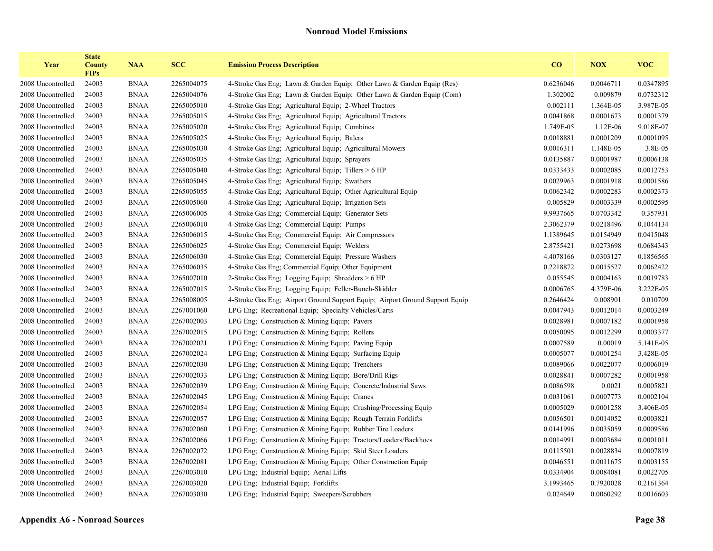| Year              | <b>State</b><br><b>County</b><br><b>FIPs</b> | <b>NAA</b>  | <b>SCC</b> | <b>Emission Process Description</b>                                          | CO        | <b>NOX</b> | <b>VOC</b> |
|-------------------|----------------------------------------------|-------------|------------|------------------------------------------------------------------------------|-----------|------------|------------|
| 2008 Uncontrolled | 24003                                        | <b>BNAA</b> | 2265004075 | 4-Stroke Gas Eng; Lawn & Garden Equip; Other Lawn & Garden Equip (Res)       | 0.6236046 | 0.0046711  | 0.0347895  |
| 2008 Uncontrolled | 24003                                        | <b>BNAA</b> | 2265004076 | 4-Stroke Gas Eng; Lawn & Garden Equip; Other Lawn & Garden Equip (Com)       | 1.302002  | 0.009879   | 0.0732312  |
| 2008 Uncontrolled | 24003                                        | <b>BNAA</b> | 2265005010 | 4-Stroke Gas Eng: Agricultural Equip: 2-Wheel Tractors                       | 0.002111  | 1.364E-05  | 3.987E-05  |
| 2008 Uncontrolled | 24003                                        | <b>BNAA</b> | 2265005015 | 4-Stroke Gas Eng; Agricultural Equip; Agricultural Tractors                  | 0.0041868 | 0.0001673  | 0.0001379  |
| 2008 Uncontrolled | 24003                                        | <b>BNAA</b> | 2265005020 | 4-Stroke Gas Eng; Agricultural Equip; Combines                               | 1.749E-05 | 1.12E-06   | 9.018E-07  |
| 2008 Uncontrolled | 24003                                        | <b>BNAA</b> | 2265005025 | 4-Stroke Gas Eng; Agricultural Equip; Balers                                 | 0.0018881 | 0.0001209  | 0.0001095  |
| 2008 Uncontrolled | 24003                                        | <b>BNAA</b> | 2265005030 | 4-Stroke Gas Eng; Agricultural Equip; Agricultural Mowers                    | 0.0016311 | 1.148E-05  | 3.8E-05    |
| 2008 Uncontrolled | 24003                                        | <b>BNAA</b> | 2265005035 | 4-Stroke Gas Eng; Agricultural Equip; Sprayers                               | 0.0135887 | 0.0001987  | 0.0006138  |
| 2008 Uncontrolled | 24003                                        | <b>BNAA</b> | 2265005040 | 4-Stroke Gas Eng; Agricultural Equip; Tillers > 6 HP                         | 0.0333433 | 0.0002085  | 0.0012753  |
| 2008 Uncontrolled | 24003                                        | <b>BNAA</b> | 2265005045 | 4-Stroke Gas Eng; Agricultural Equip; Swathers                               | 0.0029963 | 0.0001918  | 0.0001586  |
| 2008 Uncontrolled | 24003                                        | <b>BNAA</b> | 2265005055 | 4-Stroke Gas Eng; Agricultural Equip; Other Agricultural Equip               | 0.0062342 | 0.0002283  | 0.0002373  |
| 2008 Uncontrolled | 24003                                        | <b>BNAA</b> | 2265005060 | 4-Stroke Gas Eng; Agricultural Equip; Irrigation Sets                        | 0.005829  | 0.0003339  | 0.0002595  |
| 2008 Uncontrolled | 24003                                        | <b>BNAA</b> | 2265006005 | 4-Stroke Gas Eng; Commercial Equip; Generator Sets                           | 9.9937665 | 0.0703342  | 0.357931   |
| 2008 Uncontrolled | 24003                                        | <b>BNAA</b> | 2265006010 | 4-Stroke Gas Eng; Commercial Equip; Pumps                                    | 2.3062379 | 0.0218496  | 0.1044134  |
| 2008 Uncontrolled | 24003                                        | <b>BNAA</b> | 2265006015 | 4-Stroke Gas Eng; Commercial Equip; Air Compressors                          | 1.1389645 | 0.0154949  | 0.0415048  |
| 2008 Uncontrolled | 24003                                        | <b>BNAA</b> | 2265006025 | 4-Stroke Gas Eng; Commercial Equip; Welders                                  | 2.8755421 | 0.0273698  | 0.0684343  |
| 2008 Uncontrolled | 24003                                        | <b>BNAA</b> | 2265006030 | 4-Stroke Gas Eng; Commercial Equip; Pressure Washers                         | 4.4078166 | 0.0303127  | 0.1856565  |
| 2008 Uncontrolled | 24003                                        | <b>BNAA</b> | 2265006035 | 4-Stroke Gas Eng; Commercial Equip; Other Equipment                          | 0.2218872 | 0.0015527  | 0.0062422  |
| 2008 Uncontrolled | 24003                                        | <b>BNAA</b> | 2265007010 | 2-Stroke Gas Eng; Logging Equip; Shredders > 6 HP                            | 0.055545  | 0.0004163  | 0.0019783  |
| 2008 Uncontrolled | 24003                                        | <b>BNAA</b> | 2265007015 | 2-Stroke Gas Eng; Logging Equip; Feller-Bunch-Skidder                        | 0.0006765 | 4.379E-06  | 3.222E-05  |
| 2008 Uncontrolled | 24003                                        | <b>BNAA</b> | 2265008005 | 4-Stroke Gas Eng; Airport Ground Support Equip; Airport Ground Support Equip | 0.2646424 | 0.008901   | 0.010709   |
| 2008 Uncontrolled | 24003                                        | <b>BNAA</b> | 2267001060 | LPG Eng; Recreational Equip; Specialty Vehicles/Carts                        | 0.0047943 | 0.0012014  | 0.0003249  |
| 2008 Uncontrolled | 24003                                        | <b>BNAA</b> | 2267002003 | LPG Eng; Construction & Mining Equip; Pavers                                 | 0.0028981 | 0.0007182  | 0.0001958  |
| 2008 Uncontrolled | 24003                                        | <b>BNAA</b> | 2267002015 | LPG Eng; Construction & Mining Equip; Rollers                                | 0.0050095 | 0.0012299  | 0.0003377  |
| 2008 Uncontrolled | 24003                                        | <b>BNAA</b> | 2267002021 | LPG Eng; Construction & Mining Equip; Paving Equip                           | 0.0007589 | 0.00019    | 5.141E-05  |
| 2008 Uncontrolled | 24003                                        | <b>BNAA</b> | 2267002024 | LPG Eng; Construction & Mining Equip; Surfacing Equip                        | 0.0005077 | 0.0001254  | 3.428E-05  |
| 2008 Uncontrolled | 24003                                        | <b>BNAA</b> | 2267002030 | LPG Eng; Construction $&$ Mining Equip; Trenchers                            | 0.0089066 | 0.0022077  | 0.0006019  |
| 2008 Uncontrolled | 24003                                        | <b>BNAA</b> | 2267002033 | LPG Eng. Construction $&$ Mining Equip: Bore/Drill Rigs                      | 0.0028841 | 0.0007282  | 0.0001958  |
| 2008 Uncontrolled | 24003                                        | <b>BNAA</b> | 2267002039 | LPG Eng; Construction & Mining Equip; Concrete/Industrial Saws               | 0.0086598 | 0.0021     | 0.0005821  |
| 2008 Uncontrolled | 24003                                        | <b>BNAA</b> | 2267002045 | LPG Eng: Construction & Mining Equip: Cranes                                 | 0.0031061 | 0.0007773  | 0.0002104  |
| 2008 Uncontrolled | 24003                                        | <b>BNAA</b> | 2267002054 | LPG Eng; Construction & Mining Equip; Crushing/Processing Equip              | 0.0005029 | 0.0001258  | 3.406E-05  |
| 2008 Uncontrolled | 24003                                        | <b>BNAA</b> | 2267002057 | LPG Eng; Construction & Mining Equip; Rough Terrain Forklifts                | 0.0056501 | 0.0014052  | 0.0003821  |
| 2008 Uncontrolled | 24003                                        | <b>BNAA</b> | 2267002060 | LPG Eng; Construction & Mining Equip; Rubber Tire Loaders                    | 0.0141996 | 0.0035059  | 0.0009586  |
| 2008 Uncontrolled | 24003                                        | <b>BNAA</b> | 2267002066 | LPG Eng; Construction & Mining Equip; Tractors/Loaders/Backhoes              | 0.0014991 | 0.0003684  | 0.0001011  |
| 2008 Uncontrolled | 24003                                        | <b>BNAA</b> | 2267002072 | LPG Eng; Construction & Mining Equip; Skid Steer Loaders                     | 0.0115501 | 0.0028834  | 0.0007819  |
| 2008 Uncontrolled | 24003                                        | <b>BNAA</b> | 2267002081 | LPG Eng; Construction & Mining Equip; Other Construction Equip               | 0.0046551 | 0.0011675  | 0.0003155  |
| 2008 Uncontrolled | 24003                                        | <b>BNAA</b> | 2267003010 | LPG Eng; Industrial Equip; Aerial Lifts                                      | 0.0334904 | 0.0084081  | 0.0022705  |
| 2008 Uncontrolled | 24003                                        | <b>BNAA</b> | 2267003020 | LPG Eng; Industrial Equip; Forklifts                                         | 3.1993465 | 0.7920028  | 0.2161364  |
| 2008 Uncontrolled | 24003                                        | <b>BNAA</b> | 2267003030 | LPG Eng; Industrial Equip; Sweepers/Scrubbers                                | 0.024649  | 0.0060292  | 0.0016603  |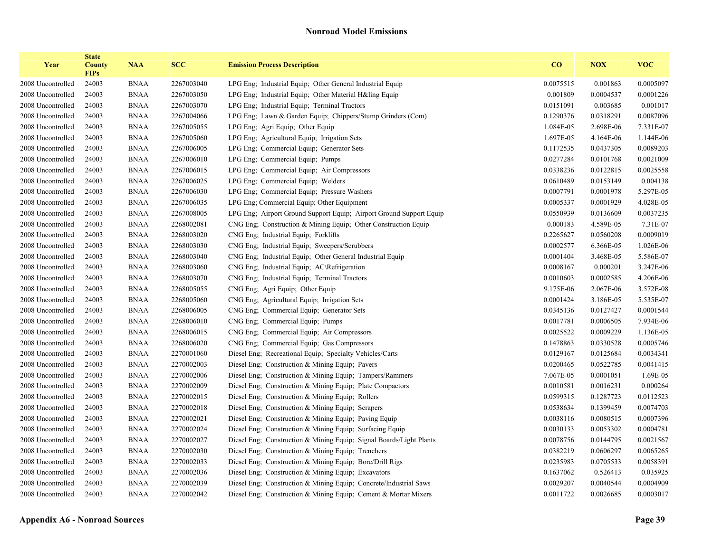| Year              | <b>State</b><br><b>County</b><br><b>FIPs</b> | <b>NAA</b>  | <b>SCC</b> | <b>Emission Process Description</b>                                 | CO        | <b>NOX</b> | <b>VOC</b> |
|-------------------|----------------------------------------------|-------------|------------|---------------------------------------------------------------------|-----------|------------|------------|
| 2008 Uncontrolled | 24003                                        | <b>BNAA</b> | 2267003040 | LPG Eng: Industrial Equip: Other General Industrial Equip           | 0.0075515 | 0.001863   | 0.0005097  |
| 2008 Uncontrolled | 24003                                        | <b>BNAA</b> | 2267003050 | LPG Eng; Industrial Equip; Other Material H&ling Equip              | 0.001809  | 0.0004537  | 0.0001226  |
| 2008 Uncontrolled | 24003                                        | <b>BNAA</b> | 2267003070 | LPG Eng; Industrial Equip; Terminal Tractors                        | 0.0151091 | 0.003685   | 0.001017   |
| 2008 Uncontrolled | 24003                                        | <b>BNAA</b> | 2267004066 | LPG Eng; Lawn & Garden Equip; Chippers/Stump Grinders (Com)         | 0.1290376 | 0.0318291  | 0.0087096  |
| 2008 Uncontrolled | 24003                                        | <b>BNAA</b> | 2267005055 | LPG Eng; Agri Equip; Other Equip                                    | 1.084E-05 | 2.698E-06  | 7.331E-07  |
| 2008 Uncontrolled | 24003                                        | <b>BNAA</b> | 2267005060 | LPG Eng; Agricultural Equip; Irrigation Sets                        | 1.697E-05 | 4.164E-06  | 1.144E-06  |
| 2008 Uncontrolled | 24003                                        | <b>BNAA</b> | 2267006005 | LPG Eng; Commercial Equip; Generator Sets                           | 0.1172535 | 0.0437305  | 0.0089203  |
| 2008 Uncontrolled | 24003                                        | <b>BNAA</b> | 2267006010 | LPG Eng; Commercial Equip; Pumps                                    | 0.0277284 | 0.0101768  | 0.0021009  |
| 2008 Uncontrolled | 24003                                        | <b>BNAA</b> | 2267006015 | LPG Eng; Commercial Equip; Air Compressors                          | 0.0338236 | 0.0122815  | 0.0025558  |
| 2008 Uncontrolled | 24003                                        | <b>BNAA</b> | 2267006025 | LPG Eng; Commercial Equip; Welders                                  | 0.0610489 | 0.0153149  | 0.004138   |
| 2008 Uncontrolled | 24003                                        | <b>BNAA</b> | 2267006030 | LPG Eng; Commercial Equip; Pressure Washers                         | 0.0007791 | 0.0001978  | 5.297E-05  |
| 2008 Uncontrolled | 24003                                        | <b>BNAA</b> | 2267006035 | LPG Eng; Commercial Equip; Other Equipment                          | 0.0005337 | 0.0001929  | 4.028E-05  |
| 2008 Uncontrolled | 24003                                        | <b>BNAA</b> | 2267008005 | LPG Eng; Airport Ground Support Equip; Airport Ground Support Equip | 0.0550939 | 0.0136609  | 0.0037235  |
| 2008 Uncontrolled | 24003                                        | <b>BNAA</b> | 2268002081 | CNG Eng. Construction & Mining Equip. Other Construction Equip.     | 0.000183  | 4.589E-05  | 7.31E-07   |
| 2008 Uncontrolled | 24003                                        | <b>BNAA</b> | 2268003020 | CNG Eng: Industrial Equip: Forklifts                                | 0.2265627 | 0.0560208  | 0.0009019  |
| 2008 Uncontrolled | 24003                                        | <b>BNAA</b> | 2268003030 | CNG Eng; Industrial Equip; Sweepers/Scrubbers                       | 0.0002577 | 6.366E-05  | 1.026E-06  |
| 2008 Uncontrolled | 24003                                        | <b>BNAA</b> | 2268003040 | CNG Eng: Industrial Equip: Other General Industrial Equip           | 0.0001404 | 3.468E-05  | 5.586E-07  |
| 2008 Uncontrolled | 24003                                        | <b>BNAA</b> | 2268003060 | CNG Eng; Industrial Equip; AC\Refrigeration                         | 0.0008167 | 0.000201   | 3.247E-06  |
| 2008 Uncontrolled | 24003                                        | <b>BNAA</b> | 2268003070 | CNG Eng: Industrial Equip: Terminal Tractors                        | 0.0010603 | 0.0002585  | 4.206E-06  |
| 2008 Uncontrolled | 24003                                        | <b>BNAA</b> | 2268005055 | CNG Eng; Agri Equip; Other Equip                                    | 9.175E-06 | 2.067E-06  | 3.572E-08  |
| 2008 Uncontrolled | 24003                                        | <b>BNAA</b> | 2268005060 | CNG Eng; Agricultural Equip; Irrigation Sets                        | 0.0001424 | 3.186E-05  | 5.535E-07  |
| 2008 Uncontrolled | 24003                                        | <b>BNAA</b> | 2268006005 | CNG Eng; Commercial Equip; Generator Sets                           | 0.0345136 | 0.0127427  | 0.0001544  |
| 2008 Uncontrolled | 24003                                        | <b>BNAA</b> | 2268006010 | CNG Eng; Commercial Equip; Pumps                                    | 0.0017781 | 0.0006505  | 7.934E-06  |
| 2008 Uncontrolled | 24003                                        | <b>BNAA</b> | 2268006015 | CNG Eng; Commercial Equip; Air Compressors                          | 0.0025522 | 0.0009229  | 1.136E-05  |
| 2008 Uncontrolled | 24003                                        | <b>BNAA</b> | 2268006020 | CNG Eng; Commercial Equip; Gas Compressors                          | 0.1478863 | 0.0330528  | 0.0005746  |
| 2008 Uncontrolled | 24003                                        | <b>BNAA</b> | 2270001060 | Diesel Eng; Recreational Equip; Specialty Vehicles/Carts            | 0.0129167 | 0.0125684  | 0.0034341  |
| 2008 Uncontrolled | 24003                                        | <b>BNAA</b> | 2270002003 | Diesel Eng; Construction & Mining Equip; Pavers                     | 0.0200465 | 0.0522785  | 0.0041415  |
| 2008 Uncontrolled | 24003                                        | <b>BNAA</b> | 2270002006 | Diesel Eng; Construction & Mining Equip; Tampers/Rammers            | 7.067E-05 | 0.0001051  | 1.69E-05   |
| 2008 Uncontrolled | 24003                                        | <b>BNAA</b> | 2270002009 | Diesel Eng; Construction & Mining Equip; Plate Compactors           | 0.0010581 | 0.0016231  | 0.000264   |
| 2008 Uncontrolled | 24003                                        | <b>BNAA</b> | 2270002015 | Diesel Eng; Construction & Mining Equip; Rollers                    | 0.0599315 | 0.1287723  | 0.0112523  |
| 2008 Uncontrolled | 24003                                        | <b>BNAA</b> | 2270002018 | Diesel Eng; Construction & Mining Equip; Scrapers                   | 0.0538634 | 0.1399459  | 0.0074703  |
| 2008 Uncontrolled | 24003                                        | <b>BNAA</b> | 2270002021 | Diesel Eng; Construction & Mining Equip; Paving Equip               | 0.0038116 | 0.0080515  | 0.0007396  |
| 2008 Uncontrolled | 24003                                        | <b>BNAA</b> | 2270002024 | Diesel Eng; Construction & Mining Equip; Surfacing Equip            | 0.0030133 | 0.0053302  | 0.0004781  |
| 2008 Uncontrolled | 24003                                        | <b>BNAA</b> | 2270002027 | Diesel Eng; Construction & Mining Equip; Signal Boards/Light Plants | 0.0078756 | 0.0144795  | 0.0021567  |
| 2008 Uncontrolled | 24003                                        | <b>BNAA</b> | 2270002030 | Diesel Eng; Construction & Mining Equip; Trenchers                  | 0.0382219 | 0.0606297  | 0.0065265  |
| 2008 Uncontrolled | 24003                                        | <b>BNAA</b> | 2270002033 | Diesel Eng; Construction & Mining Equip; Bore/Drill Rigs            | 0.0235983 | 0.0705533  | 0.0058391  |
| 2008 Uncontrolled | 24003                                        | <b>BNAA</b> | 2270002036 | Diesel Eng; Construction & Mining Equip; Excavators                 | 0.1637062 | 0.526413   | 0.035925   |
| 2008 Uncontrolled | 24003                                        | <b>BNAA</b> | 2270002039 | Diesel Eng; Construction & Mining Equip; Concrete/Industrial Saws   | 0.0029207 | 0.0040544  | 0.0004909  |
| 2008 Uncontrolled | 24003                                        | <b>BNAA</b> | 2270002042 | Diesel Eng; Construction & Mining Equip; Cement & Mortar Mixers     | 0.0011722 | 0.0026685  | 0.0003017  |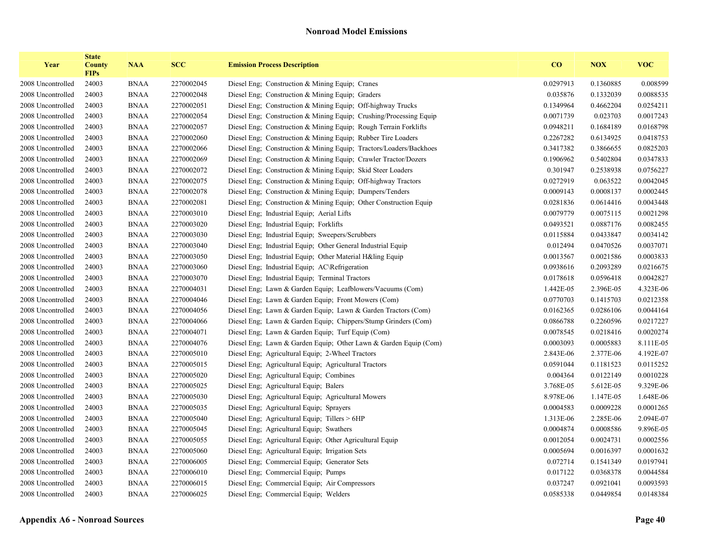| Year              | <b>State</b><br><b>County</b><br><b>FIPs</b> | <b>NAA</b>  | <b>SCC</b> | <b>Emission Process Description</b>                                | $\bf CO$  | <b>NOX</b> | <b>VOC</b> |
|-------------------|----------------------------------------------|-------------|------------|--------------------------------------------------------------------|-----------|------------|------------|
| 2008 Uncontrolled | 24003                                        | <b>BNAA</b> | 2270002045 | Diesel Eng; Construction & Mining Equip; Cranes                    | 0.0297913 | 0.1360885  | 0.008599   |
| 2008 Uncontrolled | 24003                                        | <b>BNAA</b> | 2270002048 | Diesel Eng; Construction & Mining Equip; Graders                   | 0.035876  | 0.1332039  | 0.0088535  |
| 2008 Uncontrolled | 24003                                        | <b>BNAA</b> | 2270002051 | Diesel Eng, Construction & Mining Equip; Off-highway Trucks        | 0.1349964 | 0.4662204  | 0.0254211  |
| 2008 Uncontrolled | 24003                                        | <b>BNAA</b> | 2270002054 | Diesel Eng; Construction & Mining Equip; Crushing/Processing Equip | 0.0071739 | 0.023703   | 0.0017243  |
| 2008 Uncontrolled | 24003                                        | <b>BNAA</b> | 2270002057 | Diesel Eng; Construction & Mining Equip; Rough Terrain Forklifts   | 0.0948211 | 0.1684189  | 0.0168798  |
| 2008 Uncontrolled | 24003                                        | <b>BNAA</b> | 2270002060 | Diesel Eng; Construction & Mining Equip; Rubber Tire Loaders       | 0.2267282 | 0.6134925  | 0.0418753  |
| 2008 Uncontrolled | 24003                                        | <b>BNAA</b> | 2270002066 | Diesel Eng; Construction & Mining Equip; Tractors/Loaders/Backhoes | 0.3417382 | 0.3866655  | 0.0825203  |
| 2008 Uncontrolled | 24003                                        | <b>BNAA</b> | 2270002069 | Diesel Eng; Construction & Mining Equip; Crawler Tractor/Dozers    | 0.1906962 | 0.5402804  | 0.0347833  |
| 2008 Uncontrolled | 24003                                        | <b>BNAA</b> | 2270002072 | Diesel Eng; Construction & Mining Equip; Skid Steer Loaders        | 0.301947  | 0.2538938  | 0.0756227  |
| 2008 Uncontrolled | 24003                                        | <b>BNAA</b> | 2270002075 | Diesel Eng; Construction & Mining Equip; Off-highway Tractors      | 0.0272919 | 0.063522   | 0.0042045  |
| 2008 Uncontrolled | 24003                                        | <b>BNAA</b> | 2270002078 | Diesel Eng; Construction & Mining Equip; Dumpers/Tenders           | 0.0009143 | 0.0008137  | 0.0002445  |
| 2008 Uncontrolled | 24003                                        | <b>BNAA</b> | 2270002081 | Diesel Eng; Construction & Mining Equip; Other Construction Equip  | 0.0281836 | 0.0614416  | 0.0043448  |
| 2008 Uncontrolled | 24003                                        | <b>BNAA</b> | 2270003010 | Diesel Eng; Industrial Equip; Aerial Lifts                         | 0.0079779 | 0.0075115  | 0.0021298  |
| 2008 Uncontrolled | 24003                                        | <b>BNAA</b> | 2270003020 | Diesel Eng; Industrial Equip; Forklifts                            | 0.0493521 | 0.0887176  | 0.0082455  |
| 2008 Uncontrolled | 24003                                        | <b>BNAA</b> | 2270003030 | Diesel Eng; Industrial Equip; Sweepers/Scrubbers                   | 0.0115884 | 0.0433847  | 0.0034142  |
| 2008 Uncontrolled | 24003                                        | <b>BNAA</b> | 2270003040 | Diesel Eng; Industrial Equip; Other General Industrial Equip       | 0.012494  | 0.0470526  | 0.0037071  |
| 2008 Uncontrolled | 24003                                        | <b>BNAA</b> | 2270003050 | Diesel Eng; Industrial Equip; Other Material H&ling Equip          | 0.0013567 | 0.0021586  | 0.0003833  |
| 2008 Uncontrolled | 24003                                        | <b>BNAA</b> | 2270003060 | Diesel Eng; Industrial Equip; AC\Refrigeration                     | 0.0938616 | 0.2093289  | 0.0216675  |
| 2008 Uncontrolled | 24003                                        | <b>BNAA</b> | 2270003070 | Diesel Eng; Industrial Equip; Terminal Tractors                    | 0.0178618 | 0.0596418  | 0.0042827  |
| 2008 Uncontrolled | 24003                                        | <b>BNAA</b> | 2270004031 | Diesel Eng; Lawn & Garden Equip; Leafblowers/Vacuums (Com)         | 1.442E-05 | 2.396E-05  | 4.323E-06  |
| 2008 Uncontrolled | 24003                                        | <b>BNAA</b> | 2270004046 | Diesel Eng; Lawn & Garden Equip; Front Mowers (Com)                | 0.0770703 | 0.1415703  | 0.0212358  |
| 2008 Uncontrolled | 24003                                        | <b>BNAA</b> | 2270004056 | Diesel Eng; Lawn & Garden Equip; Lawn & Garden Tractors (Com)      | 0.0162365 | 0.0286106  | 0.0044164  |
| 2008 Uncontrolled | 24003                                        | <b>BNAA</b> | 2270004066 | Diesel Eng; Lawn & Garden Equip; Chippers/Stump Grinders (Com)     | 0.0866788 | 0.2260596  | 0.0217227  |
| 2008 Uncontrolled | 24003                                        | <b>BNAA</b> | 2270004071 | Diesel Eng; Lawn & Garden Equip; Turf Equip (Com)                  | 0.0078545 | 0.0218416  | 0.0020274  |
| 2008 Uncontrolled | 24003                                        | <b>BNAA</b> | 2270004076 | Diesel Eng; Lawn & Garden Equip; Other Lawn & Garden Equip (Com)   | 0.0003093 | 0.0005883  | 8.111E-05  |
| 2008 Uncontrolled | 24003                                        | <b>BNAA</b> | 2270005010 | Diesel Eng; Agricultural Equip; 2-Wheel Tractors                   | 2.843E-06 | 2.377E-06  | 4.192E-07  |
| 2008 Uncontrolled | 24003                                        | <b>BNAA</b> | 2270005015 | Diesel Eng; Agricultural Equip; Agricultural Tractors              | 0.0591044 | 0.1181523  | 0.0115252  |
| 2008 Uncontrolled | 24003                                        | <b>BNAA</b> | 2270005020 | Diesel Eng; Agricultural Equip; Combines                           | 0.004364  | 0.0122149  | 0.0010228  |
| 2008 Uncontrolled | 24003                                        | <b>BNAA</b> | 2270005025 | Diesel Eng; Agricultural Equip; Balers                             | 3.768E-05 | 5.612E-05  | 9.329E-06  |
| 2008 Uncontrolled | 24003                                        | <b>BNAA</b> | 2270005030 | Diesel Eng; Agricultural Equip; Agricultural Mowers                | 8.978E-06 | 1.147E-05  | 1.648E-06  |
| 2008 Uncontrolled | 24003                                        | <b>BNAA</b> | 2270005035 | Diesel Eng; Agricultural Equip; Sprayers                           | 0.0004583 | 0.0009228  | 0.0001265  |
| 2008 Uncontrolled | 24003                                        | <b>BNAA</b> | 2270005040 | Diesel Eng; Agricultural Equip; Tillers > 6HP                      | 1.313E-06 | 2.285E-06  | 2.094E-07  |
| 2008 Uncontrolled | 24003                                        | <b>BNAA</b> | 2270005045 | Diesel Eng; Agricultural Equip; Swathers                           | 0.0004874 | 0.0008586  | 9.896E-05  |
| 2008 Uncontrolled | 24003                                        | <b>BNAA</b> | 2270005055 | Diesel Eng; Agricultural Equip; Other Agricultural Equip           | 0.0012054 | 0.0024731  | 0.0002556  |
| 2008 Uncontrolled | 24003                                        | <b>BNAA</b> | 2270005060 | Diesel Eng; Agricultural Equip; Irrigation Sets                    | 0.0005694 | 0.0016397  | 0.0001632  |
| 2008 Uncontrolled | 24003                                        | <b>BNAA</b> | 2270006005 | Diesel Eng; Commercial Equip; Generator Sets                       | 0.072714  | 0.1541349  | 0.0197941  |
| 2008 Uncontrolled | 24003                                        | <b>BNAA</b> | 2270006010 | Diesel Eng; Commercial Equip; Pumps                                | 0.017122  | 0.0368378  | 0.0044584  |
| 2008 Uncontrolled | 24003                                        | <b>BNAA</b> | 2270006015 | Diesel Eng; Commercial Equip; Air Compressors                      | 0.037247  | 0.0921041  | 0.0093593  |
| 2008 Uncontrolled | 24003                                        | <b>BNAA</b> | 2270006025 | Diesel Eng; Commercial Equip; Welders                              | 0.0585338 | 0.0449854  | 0.0148384  |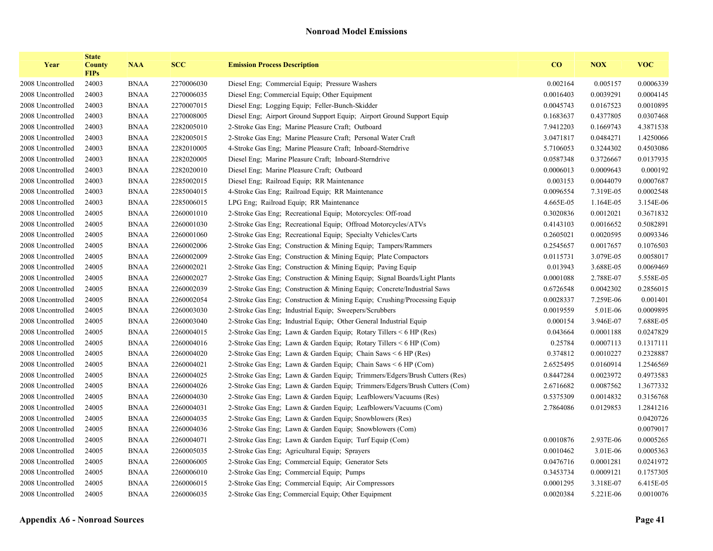| Year              | <b>State</b><br><b>County</b><br><b>FIPs</b> | <b>NAA</b>  | <b>SCC</b> | <b>Emission Process Description</b>                                        | $\bf CO$  | <b>NOX</b> | <b>VOC</b> |
|-------------------|----------------------------------------------|-------------|------------|----------------------------------------------------------------------------|-----------|------------|------------|
| 2008 Uncontrolled | 24003                                        | <b>BNAA</b> | 2270006030 | Diesel Eng; Commercial Equip; Pressure Washers                             | 0.002164  | 0.005157   | 0.0006339  |
| 2008 Uncontrolled | 24003                                        | <b>BNAA</b> | 2270006035 | Diesel Eng; Commercial Equip; Other Equipment                              | 0.0016403 | 0.0039291  | 0.0004145  |
| 2008 Uncontrolled | 24003                                        | <b>BNAA</b> | 2270007015 | Diesel Eng; Logging Equip; Feller-Bunch-Skidder                            | 0.0045743 | 0.0167523  | 0.0010895  |
| 2008 Uncontrolled | 24003                                        | <b>BNAA</b> | 2270008005 | Diesel Eng; Airport Ground Support Equip; Airport Ground Support Equip     | 0.1683637 | 0.4377805  | 0.0307468  |
| 2008 Uncontrolled | 24003                                        | <b>BNAA</b> | 2282005010 | 2-Stroke Gas Eng; Marine Pleasure Craft; Outboard                          | 7.9412203 | 0.1669743  | 4.3871538  |
| 2008 Uncontrolled | 24003                                        | <b>BNAA</b> | 2282005015 | 2-Stroke Gas Eng; Marine Pleasure Craft; Personal Water Craft              | 3.0471817 | 0.0484271  | 1.4250066  |
| 2008 Uncontrolled | 24003                                        | <b>BNAA</b> | 2282010005 | 4-Stroke Gas Eng; Marine Pleasure Craft; Inboard-Sterndrive                | 5.7106053 | 0.3244302  | 0.4503086  |
| 2008 Uncontrolled | 24003                                        | <b>BNAA</b> | 2282020005 | Diesel Eng; Marine Pleasure Craft; Inboard-Sterndrive                      | 0.0587348 | 0.3726667  | 0.0137935  |
| 2008 Uncontrolled | 24003                                        | <b>BNAA</b> | 2282020010 | Diesel Eng; Marine Pleasure Craft; Outboard                                | 0.0006013 | 0.0009643  | 0.000192   |
| 2008 Uncontrolled | 24003                                        | <b>BNAA</b> | 2285002015 | Diesel Eng; Railroad Equip; RR Maintenance                                 | 0.003153  | 0.0044079  | 0.0007687  |
| 2008 Uncontrolled | 24003                                        | <b>BNAA</b> | 2285004015 | 4-Stroke Gas Eng; Railroad Equip; RR Maintenance                           | 0.0096554 | 7.319E-05  | 0.0002548  |
| 2008 Uncontrolled | 24003                                        | <b>BNAA</b> | 2285006015 | LPG Eng; Railroad Equip; RR Maintenance                                    | 4.665E-05 | 1.164E-05  | 3.154E-06  |
| 2008 Uncontrolled | 24005                                        | <b>BNAA</b> | 2260001010 | 2-Stroke Gas Eng; Recreational Equip; Motorcycles: Off-road                | 0.3020836 | 0.0012021  | 0.3671832  |
| 2008 Uncontrolled | 24005                                        | <b>BNAA</b> | 2260001030 | 2-Stroke Gas Eng; Recreational Equip; Offroad Motorcycles/ATVs             | 0.4143103 | 0.0016652  | 0.5082891  |
| 2008 Uncontrolled | 24005                                        | <b>BNAA</b> | 2260001060 | 2-Stroke Gas Eng; Recreational Equip; Specialty Vehicles/Carts             | 0.2605021 | 0.0020595  | 0.0093346  |
| 2008 Uncontrolled | 24005                                        | <b>BNAA</b> | 2260002006 | 2-Stroke Gas Eng; Construction & Mining Equip; Tampers/Rammers             | 0.2545657 | 0.0017657  | 0.1076503  |
| 2008 Uncontrolled | 24005                                        | <b>BNAA</b> | 2260002009 | 2-Stroke Gas Eng; Construction & Mining Equip; Plate Compactors            | 0.0115731 | 3.079E-05  | 0.0058017  |
| 2008 Uncontrolled | 24005                                        | <b>BNAA</b> | 2260002021 | 2-Stroke Gas Eng; Construction & Mining Equip; Paving Equip                | 0.013943  | 3.688E-05  | 0.0069469  |
| 2008 Uncontrolled | 24005                                        | <b>BNAA</b> | 2260002027 | 2-Stroke Gas Eng; Construction & Mining Equip; Signal Boards/Light Plants  | 0.0001088 | 2.788E-07  | 5.558E-05  |
| 2008 Uncontrolled | 24005                                        | <b>BNAA</b> | 2260002039 | 2-Stroke Gas Eng; Construction & Mining Equip; Concrete/Industrial Saws    | 0.6726548 | 0.0042302  | 0.2856015  |
| 2008 Uncontrolled | 24005                                        | <b>BNAA</b> | 2260002054 | 2-Stroke Gas Eng; Construction & Mining Equip; Crushing/Processing Equip   | 0.0028337 | 7.259E-06  | 0.001401   |
| 2008 Uncontrolled | 24005                                        | <b>BNAA</b> | 2260003030 | 2-Stroke Gas Eng; Industrial Equip; Sweepers/Scrubbers                     | 0.0019559 | 5.01E-06   | 0.0009895  |
| 2008 Uncontrolled | 24005                                        | <b>BNAA</b> | 2260003040 | 2-Stroke Gas Eng; Industrial Equip; Other General Industrial Equip         | 0.000154  | 3.946E-07  | 7.688E-05  |
| 2008 Uncontrolled | 24005                                        | <b>BNAA</b> | 2260004015 | 2-Stroke Gas Eng; Lawn & Garden Equip; Rotary Tillers < 6 HP (Res)         | 0.043664  | 0.0001188  | 0.0247829  |
| 2008 Uncontrolled | 24005                                        | <b>BNAA</b> | 2260004016 | 2-Stroke Gas Eng; Lawn & Garden Equip; Rotary Tillers < 6 HP (Com)         | 0.25784   | 0.0007113  | 0.1317111  |
| 2008 Uncontrolled | 24005                                        | <b>BNAA</b> | 2260004020 | 2-Stroke Gas Eng; Lawn & Garden Equip; Chain Saws < 6 HP (Res)             | 0.374812  | 0.0010227  | 0.2328887  |
| 2008 Uncontrolled | 24005                                        | <b>BNAA</b> | 2260004021 | 2-Stroke Gas Eng; Lawn & Garden Equip; Chain Saws < 6 HP (Com)             | 2.6525495 | 0.0160914  | 1.2546569  |
| 2008 Uncontrolled | 24005                                        | <b>BNAA</b> | 2260004025 | 2-Stroke Gas Eng; Lawn & Garden Equip; Trimmers/Edgers/Brush Cutters (Res) | 0.8447284 | 0.0023972  | 0.4973583  |
| 2008 Uncontrolled | 24005                                        | <b>BNAA</b> | 2260004026 | 2-Stroke Gas Eng; Lawn & Garden Equip; Trimmers/Edgers/Brush Cutters (Com) | 2.6716682 | 0.0087562  | 1.3677332  |
| 2008 Uncontrolled | 24005                                        | <b>BNAA</b> | 2260004030 | 2-Stroke Gas Eng; Lawn & Garden Equip; Leafblowers/Vacuums (Res)           | 0.5375309 | 0.0014832  | 0.3156768  |
| 2008 Uncontrolled | 24005                                        | <b>BNAA</b> | 2260004031 | 2-Stroke Gas Eng; Lawn & Garden Equip; Leafblowers/Vacuums (Com)           | 2.7864086 | 0.0129853  | 1.2841216  |
| 2008 Uncontrolled | 24005                                        | <b>BNAA</b> | 2260004035 | 2-Stroke Gas Eng; Lawn & Garden Equip; Snowblowers (Res)                   |           |            | 0.0420726  |
| 2008 Uncontrolled | 24005                                        | <b>BNAA</b> | 2260004036 | 2-Stroke Gas Eng; Lawn & Garden Equip; Snowblowers (Com)                   |           |            | 0.0079017  |
| 2008 Uncontrolled | 24005                                        | <b>BNAA</b> | 2260004071 | 2-Stroke Gas Eng; Lawn & Garden Equip; Turf Equip (Com)                    | 0.0010876 | 2.937E-06  | 0.0005265  |
| 2008 Uncontrolled | 24005                                        | <b>BNAA</b> | 2260005035 | 2-Stroke Gas Eng; Agricultural Equip; Sprayers                             | 0.0010462 | 3.01E-06   | 0.0005363  |
| 2008 Uncontrolled | 24005                                        | <b>BNAA</b> | 2260006005 | 2-Stroke Gas Eng; Commercial Equip; Generator Sets                         | 0.0476716 | 0.0001281  | 0.0241972  |
| 2008 Uncontrolled | 24005                                        | <b>BNAA</b> | 2260006010 | 2-Stroke Gas Eng; Commercial Equip; Pumps                                  | 0.3453734 | 0.0009121  | 0.1757305  |
| 2008 Uncontrolled | 24005                                        | <b>BNAA</b> | 2260006015 | 2-Stroke Gas Eng; Commercial Equip; Air Compressors                        | 0.0001295 | 3.318E-07  | 6.415E-05  |
| 2008 Uncontrolled | 24005                                        | <b>BNAA</b> | 2260006035 | 2-Stroke Gas Eng; Commercial Equip; Other Equipment                        | 0.0020384 | 5.221E-06  | 0.0010076  |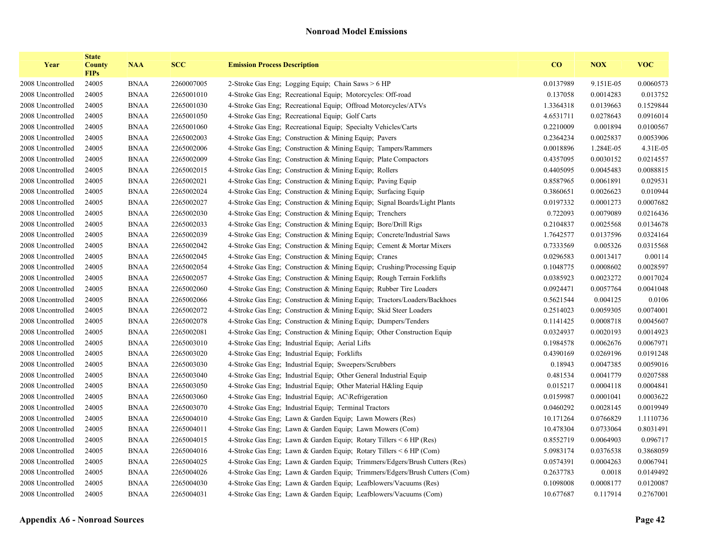| Year              | <b>State</b><br><b>County</b><br><b>FIPs</b> | <b>NAA</b>  | <b>SCC</b> | <b>Emission Process Description</b>                                        | $\bf{CO}$ | <b>NOX</b> | <b>VOC</b> |
|-------------------|----------------------------------------------|-------------|------------|----------------------------------------------------------------------------|-----------|------------|------------|
| 2008 Uncontrolled | 24005                                        | <b>BNAA</b> | 2260007005 | 2-Stroke Gas Eng; Logging Equip; Chain Saws > 6 HP                         | 0.0137989 | 9.151E-05  | 0.0060573  |
| 2008 Uncontrolled | 24005                                        | <b>BNAA</b> | 2265001010 | 4-Stroke Gas Eng; Recreational Equip; Motorcycles: Off-road                | 0.137058  | 0.0014283  | 0.013752   |
| 2008 Uncontrolled | 24005                                        | <b>BNAA</b> | 2265001030 | 4-Stroke Gas Eng; Recreational Equip; Offroad Motorcycles/ATVs             | 1.3364318 | 0.0139663  | 0.1529844  |
| 2008 Uncontrolled | 24005                                        | <b>BNAA</b> | 2265001050 | 4-Stroke Gas Eng; Recreational Equip; Golf Carts                           | 4.6531711 | 0.0278643  | 0.0916014  |
| 2008 Uncontrolled | 24005                                        | <b>BNAA</b> | 2265001060 | 4-Stroke Gas Eng; Recreational Equip; Specialty Vehicles/Carts             | 0.2210009 | 0.001894   | 0.0100567  |
| 2008 Uncontrolled | 24005                                        | <b>BNAA</b> | 2265002003 | 4-Stroke Gas Eng; Construction & Mining Equip; Pavers                      | 0.2364234 | 0.0025837  | 0.0053906  |
| 2008 Uncontrolled | 24005                                        | <b>BNAA</b> | 2265002006 | 4-Stroke Gas Eng; Construction & Mining Equip; Tampers/Rammers             | 0.0018896 | 1.284E-05  | 4.31E-05   |
| 2008 Uncontrolled | 24005                                        | <b>BNAA</b> | 2265002009 | 4-Stroke Gas Eng; Construction & Mining Equip; Plate Compactors            | 0.4357095 | 0.0030152  | 0.0214557  |
| 2008 Uncontrolled | 24005                                        | <b>BNAA</b> | 2265002015 | 4-Stroke Gas Eng; Construction & Mining Equip; Rollers                     | 0.4405095 | 0.0045483  | 0.0088815  |
| 2008 Uncontrolled | 24005                                        | <b>BNAA</b> | 2265002021 | 4-Stroke Gas Eng; Construction & Mining Equip; Paving Equip                | 0.8587965 | 0.0061891  | 0.029531   |
| 2008 Uncontrolled | 24005                                        | <b>BNAA</b> | 2265002024 | 4-Stroke Gas Eng; Construction & Mining Equip; Surfacing Equip             | 0.3860651 | 0.0026623  | 0.010944   |
| 2008 Uncontrolled | 24005                                        | <b>BNAA</b> | 2265002027 | 4-Stroke Gas Eng; Construction & Mining Equip; Signal Boards/Light Plants  | 0.0197332 | 0.0001273  | 0.0007682  |
| 2008 Uncontrolled | 24005                                        | <b>BNAA</b> | 2265002030 | 4-Stroke Gas Eng; Construction & Mining Equip; Trenchers                   | 0.722093  | 0.0079089  | 0.0216436  |
| 2008 Uncontrolled | 24005                                        | <b>BNAA</b> | 2265002033 | 4-Stroke Gas Eng; Construction & Mining Equip; Bore/Drill Rigs             | 0.2104837 | 0.0025568  | 0.0134678  |
| 2008 Uncontrolled | 24005                                        | <b>BNAA</b> | 2265002039 | 4-Stroke Gas Eng; Construction & Mining Equip; Concrete/Industrial Saws    | 1.7642577 | 0.0137596  | 0.0324164  |
| 2008 Uncontrolled | 24005                                        | <b>BNAA</b> | 2265002042 | 4-Stroke Gas Eng; Construction & Mining Equip; Cement & Mortar Mixers      | 0.7333569 | 0.005326   | 0.0315568  |
| 2008 Uncontrolled | 24005                                        | <b>BNAA</b> | 2265002045 | 4-Stroke Gas Eng; Construction & Mining Equip; Cranes                      | 0.0296583 | 0.0013417  | 0.00114    |
| 2008 Uncontrolled | 24005                                        | <b>BNAA</b> | 2265002054 | 4-Stroke Gas Eng; Construction & Mining Equip; Crushing/Processing Equip   | 0.1048775 | 0.0008602  | 0.0028597  |
| 2008 Uncontrolled | 24005                                        | <b>BNAA</b> | 2265002057 | 4-Stroke Gas Eng; Construction & Mining Equip; Rough Terrain Forklifts     | 0.0385923 | 0.0023272  | 0.0017024  |
| 2008 Uncontrolled | 24005                                        | <b>BNAA</b> | 2265002060 | 4-Stroke Gas Eng; Construction & Mining Equip; Rubber Tire Loaders         | 0.0924471 | 0.0057764  | 0.0041048  |
| 2008 Uncontrolled | 24005                                        | <b>BNAA</b> | 2265002066 | 4-Stroke Gas Eng; Construction & Mining Equip; Tractors/Loaders/Backhoes   | 0.5621544 | 0.004125   | 0.0106     |
| 2008 Uncontrolled | 24005                                        | <b>BNAA</b> | 2265002072 | 4-Stroke Gas Eng; Construction & Mining Equip; Skid Steer Loaders          | 0.2514023 | 0.0059305  | 0.0074001  |
| 2008 Uncontrolled | 24005                                        | <b>BNAA</b> | 2265002078 | 4-Stroke Gas Eng; Construction & Mining Equip; Dumpers/Tenders             | 0.1141425 | 0.0008718  | 0.0045607  |
| 2008 Uncontrolled | 24005                                        | <b>BNAA</b> | 2265002081 | 4-Stroke Gas Eng; Construction & Mining Equip; Other Construction Equip    | 0.0324937 | 0.0020193  | 0.0014923  |
| 2008 Uncontrolled | 24005                                        | <b>BNAA</b> | 2265003010 | 4-Stroke Gas Eng; Industrial Equip; Aerial Lifts                           | 0.1984578 | 0.0062676  | 0.0067971  |
| 2008 Uncontrolled | 24005                                        | <b>BNAA</b> | 2265003020 | 4-Stroke Gas Eng; Industrial Equip; Forklifts                              | 0.4390169 | 0.0269196  | 0.0191248  |
| 2008 Uncontrolled | 24005                                        | <b>BNAA</b> | 2265003030 | 4-Stroke Gas Eng; Industrial Equip; Sweepers/Scrubbers                     | 0.18943   | 0.0047385  | 0.0059016  |
| 2008 Uncontrolled | 24005                                        | <b>BNAA</b> | 2265003040 | 4-Stroke Gas Eng; Industrial Equip; Other General Industrial Equip         | 0.481534  | 0.0041779  | 0.0207588  |
| 2008 Uncontrolled | 24005                                        | <b>BNAA</b> | 2265003050 | 4-Stroke Gas Eng; Industrial Equip; Other Material H&ling Equip            | 0.015217  | 0.0004118  | 0.0004841  |
| 2008 Uncontrolled | 24005                                        | <b>BNAA</b> | 2265003060 | 4-Stroke Gas Eng; Industrial Equip; AC\Refrigeration                       | 0.0159987 | 0.0001041  | 0.0003622  |
| 2008 Uncontrolled | 24005                                        | <b>BNAA</b> | 2265003070 | 4-Stroke Gas Eng; Industrial Equip; Terminal Tractors                      | 0.0460292 | 0.0028145  | 0.0019949  |
| 2008 Uncontrolled | 24005                                        | <b>BNAA</b> | 2265004010 | 4-Stroke Gas Eng; Lawn & Garden Equip; Lawn Mowers (Res)                   | 10.171264 | 0.0766829  | 1.1110736  |
| 2008 Uncontrolled | 24005                                        | <b>BNAA</b> | 2265004011 | 4-Stroke Gas Eng; Lawn & Garden Equip; Lawn Mowers (Com)                   | 10.478304 | 0.0733064  | 0.8031491  |
| 2008 Uncontrolled | 24005                                        | <b>BNAA</b> | 2265004015 | 4-Stroke Gas Eng; Lawn & Garden Equip; Rotary Tillers < 6 HP (Res)         | 0.8552719 | 0.0064903  | 0.096717   |
| 2008 Uncontrolled | 24005                                        | <b>BNAA</b> | 2265004016 | 4-Stroke Gas Eng; Lawn & Garden Equip; Rotary Tillers < 6 HP (Com)         | 5.0983174 | 0.0376538  | 0.3868059  |
| 2008 Uncontrolled | 24005                                        | <b>BNAA</b> | 2265004025 | 4-Stroke Gas Eng; Lawn & Garden Equip; Trimmers/Edgers/Brush Cutters (Res) | 0.0574391 | 0.0004263  | 0.0067941  |
| 2008 Uncontrolled | 24005                                        | <b>BNAA</b> | 2265004026 | 4-Stroke Gas Eng; Lawn & Garden Equip; Trimmers/Edgers/Brush Cutters (Com) | 0.2637783 | 0.0018     | 0.0149492  |
| 2008 Uncontrolled | 24005                                        | <b>BNAA</b> | 2265004030 | 4-Stroke Gas Eng; Lawn & Garden Equip; Leafblowers/Vacuums (Res)           | 0.1098008 | 0.0008177  | 0.0120087  |
| 2008 Uncontrolled | 24005                                        | <b>BNAA</b> | 2265004031 | 4-Stroke Gas Eng; Lawn & Garden Equip; Leafblowers/Vacuums (Com)           | 10.677687 | 0.117914   | 0.2767001  |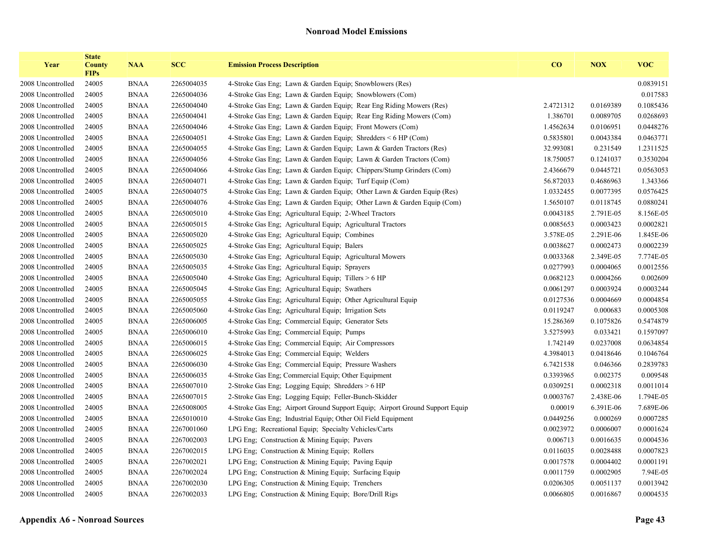| Year              | <b>State</b><br><b>County</b><br><b>FIPs</b> | <b>NAA</b>  | <b>SCC</b> | <b>Emission Process Description</b>                                          | CO        | <b>NOX</b> | <b>VOC</b> |
|-------------------|----------------------------------------------|-------------|------------|------------------------------------------------------------------------------|-----------|------------|------------|
| 2008 Uncontrolled | 24005                                        | <b>BNAA</b> | 2265004035 | 4-Stroke Gas Eng: Lawn & Garden Equip: Snowblowers (Res)                     |           |            | 0.0839151  |
| 2008 Uncontrolled | 24005                                        | <b>BNAA</b> | 2265004036 | 4-Stroke Gas Eng; Lawn & Garden Equip; Snowblowers (Com)                     |           |            | 0.017583   |
| 2008 Uncontrolled | 24005                                        | <b>BNAA</b> | 2265004040 | 4-Stroke Gas Eng; Lawn & Garden Equip; Rear Eng Riding Mowers (Res)          | 2.4721312 | 0.0169389  | 0.1085436  |
| 2008 Uncontrolled | 24005                                        | <b>BNAA</b> | 2265004041 | 4-Stroke Gas Eng; Lawn & Garden Equip; Rear Eng Riding Mowers (Com)          | 1.386701  | 0.0089705  | 0.0268693  |
| 2008 Uncontrolled | 24005                                        | <b>BNAA</b> | 2265004046 | 4-Stroke Gas Eng; Lawn & Garden Equip; Front Mowers (Com)                    | 1.4562634 | 0.0106951  | 0.0448276  |
| 2008 Uncontrolled | 24005                                        | <b>BNAA</b> | 2265004051 | 4-Stroke Gas Eng; Lawn & Garden Equip; Shredders < 6 HP (Com)                | 0.5835801 | 0.0043384  | 0.0463771  |
| 2008 Uncontrolled | 24005                                        | <b>BNAA</b> | 2265004055 | 4-Stroke Gas Eng; Lawn & Garden Equip; Lawn & Garden Tractors (Res)          | 32.993081 | 0.231549   | 1.2311525  |
| 2008 Uncontrolled | 24005                                        | <b>BNAA</b> | 2265004056 | 4-Stroke Gas Eng; Lawn & Garden Equip; Lawn & Garden Tractors (Com)          | 18.750057 | 0.1241037  | 0.3530204  |
| 2008 Uncontrolled | 24005                                        | <b>BNAA</b> | 2265004066 | 4-Stroke Gas Eng; Lawn & Garden Equip; Chippers/Stump Grinders (Com)         | 2.4366679 | 0.0445721  | 0.0563053  |
| 2008 Uncontrolled | 24005                                        | <b>BNAA</b> | 2265004071 | 4-Stroke Gas Eng; Lawn & Garden Equip; Turf Equip (Com)                      | 56.872033 | 0.4686963  | 1.343366   |
| 2008 Uncontrolled | 24005                                        | <b>BNAA</b> | 2265004075 | 4-Stroke Gas Eng; Lawn & Garden Equip; Other Lawn & Garden Equip (Res)       | 1.0332455 | 0.0077395  | 0.0576425  |
| 2008 Uncontrolled | 24005                                        | <b>BNAA</b> | 2265004076 | 4-Stroke Gas Eng; Lawn & Garden Equip; Other Lawn & Garden Equip (Com)       | 1.5650107 | 0.0118745  | 0.0880241  |
| 2008 Uncontrolled | 24005                                        | <b>BNAA</b> | 2265005010 | 4-Stroke Gas Eng; Agricultural Equip; 2-Wheel Tractors                       | 0.0043185 | 2.791E-05  | 8.156E-05  |
| 2008 Uncontrolled | 24005                                        | <b>BNAA</b> | 2265005015 | 4-Stroke Gas Eng; Agricultural Equip; Agricultural Tractors                  | 0.0085653 | 0.0003423  | 0.0002821  |
| 2008 Uncontrolled | 24005                                        | <b>BNAA</b> | 2265005020 | 4-Stroke Gas Eng; Agricultural Equip; Combines                               | 3.578E-05 | 2.291E-06  | 1.845E-06  |
| 2008 Uncontrolled | 24005                                        | <b>BNAA</b> | 2265005025 | 4-Stroke Gas Eng; Agricultural Equip; Balers                                 | 0.0038627 | 0.0002473  | 0.0002239  |
| 2008 Uncontrolled | 24005                                        | <b>BNAA</b> | 2265005030 | 4-Stroke Gas Eng; Agricultural Equip; Agricultural Mowers                    | 0.0033368 | 2.349E-05  | 7.774E-05  |
| 2008 Uncontrolled | 24005                                        | <b>BNAA</b> | 2265005035 | 4-Stroke Gas Eng; Agricultural Equip; Sprayers                               | 0.0277993 | 0.0004065  | 0.0012556  |
| 2008 Uncontrolled | 24005                                        | <b>BNAA</b> | 2265005040 | 4-Stroke Gas Eng; Agricultural Equip; Tillers > 6 HP                         | 0.0682123 | 0.0004266  | 0.002609   |
| 2008 Uncontrolled | 24005                                        | <b>BNAA</b> | 2265005045 | 4-Stroke Gas Eng; Agricultural Equip; Swathers                               | 0.0061297 | 0.0003924  | 0.0003244  |
| 2008 Uncontrolled | 24005                                        | <b>BNAA</b> | 2265005055 | 4-Stroke Gas Eng; Agricultural Equip; Other Agricultural Equip               | 0.0127536 | 0.0004669  | 0.0004854  |
| 2008 Uncontrolled | 24005                                        | <b>BNAA</b> | 2265005060 | 4-Stroke Gas Eng; Agricultural Equip; Irrigation Sets                        | 0.0119247 | 0.000683   | 0.0005308  |
| 2008 Uncontrolled | 24005                                        | <b>BNAA</b> | 2265006005 | 4-Stroke Gas Eng; Commercial Equip; Generator Sets                           | 15.286369 | 0.1075826  | 0.5474879  |
| 2008 Uncontrolled | 24005                                        | <b>BNAA</b> | 2265006010 | 4-Stroke Gas Eng; Commercial Equip; Pumps                                    | 3.5275993 | 0.033421   | 0.1597097  |
| 2008 Uncontrolled | 24005                                        | <b>BNAA</b> | 2265006015 | 4-Stroke Gas Eng; Commercial Equip; Air Compressors                          | 1.742149  | 0.0237008  | 0.0634854  |
| 2008 Uncontrolled | 24005                                        | <b>BNAA</b> | 2265006025 | 4-Stroke Gas Eng; Commercial Equip; Welders                                  | 4.3984013 | 0.0418646  | 0.1046764  |
| 2008 Uncontrolled | 24005                                        | <b>BNAA</b> | 2265006030 | 4-Stroke Gas Eng; Commercial Equip; Pressure Washers                         | 6.7421538 | 0.046366   | 0.2839783  |
| 2008 Uncontrolled | 24005                                        | <b>BNAA</b> | 2265006035 | 4-Stroke Gas Eng; Commercial Equip; Other Equipment                          | 0.3393965 | 0.002375   | 0.009548   |
| 2008 Uncontrolled | 24005                                        | <b>BNAA</b> | 2265007010 | 2-Stroke Gas Eng; Logging Equip; Shredders > 6 HP                            | 0.0309251 | 0.0002318  | 0.0011014  |
| 2008 Uncontrolled | 24005                                        | <b>BNAA</b> | 2265007015 | 2-Stroke Gas Eng: Logging Equip: Feller-Bunch-Skidder                        | 0.0003767 | 2.438E-06  | 1.794E-05  |
| 2008 Uncontrolled | 24005                                        | <b>BNAA</b> | 2265008005 | 4-Stroke Gas Eng; Airport Ground Support Equip; Airport Ground Support Equip | 0.00019   | 6.391E-06  | 7.689E-06  |
| 2008 Uncontrolled | 24005                                        | <b>BNAA</b> | 2265010010 | 4-Stroke Gas Eng; Industrial Equip; Other Oil Field Equipment                | 0.0449256 | 0.000269   | 0.0007285  |
| 2008 Uncontrolled | 24005                                        | <b>BNAA</b> | 2267001060 | LPG Eng; Recreational Equip; Specialty Vehicles/Carts                        | 0.0023972 | 0.0006007  | 0.0001624  |
| 2008 Uncontrolled | 24005                                        | <b>BNAA</b> | 2267002003 | LPG Eng; Construction & Mining Equip; Pavers                                 | 0.006713  | 0.0016635  | 0.0004536  |
| 2008 Uncontrolled | 24005                                        | <b>BNAA</b> | 2267002015 | LPG Eng; Construction & Mining Equip; Rollers                                | 0.0116035 | 0.0028488  | 0.0007823  |
| 2008 Uncontrolled | 24005                                        | <b>BNAA</b> | 2267002021 | LPG Eng; Construction & Mining Equip; Paving Equip                           | 0.0017578 | 0.0004402  | 0.0001191  |
| 2008 Uncontrolled | 24005                                        | <b>BNAA</b> | 2267002024 | LPG Eng; Construction & Mining Equip; Surfacing Equip                        | 0.0011759 | 0.0002905  | 7.94E-05   |
| 2008 Uncontrolled | 24005                                        | <b>BNAA</b> | 2267002030 | LPG Eng; Construction $&$ Mining Equip; Trenchers                            | 0.0206305 | 0.0051137  | 0.0013942  |
| 2008 Uncontrolled | 24005                                        | <b>BNAA</b> | 2267002033 | LPG Eng; Construction & Mining Equip; Bore/Drill Rigs                        | 0.0066805 | 0.0016867  | 0.0004535  |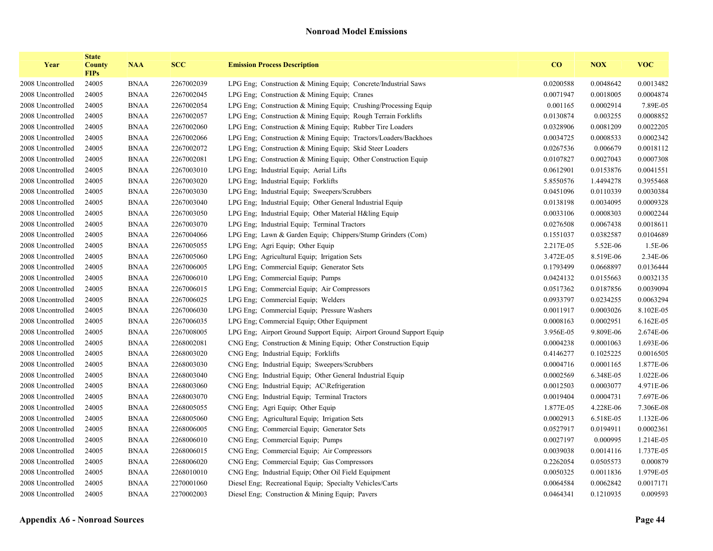| Year              | <b>State</b><br><b>County</b><br><b>FIPs</b> | <b>NAA</b>  | <b>SCC</b> | <b>Emission Process Description</b>                                 | CO        | <b>NOX</b> | <b>VOC</b> |
|-------------------|----------------------------------------------|-------------|------------|---------------------------------------------------------------------|-----------|------------|------------|
| 2008 Uncontrolled | 24005                                        | <b>BNAA</b> | 2267002039 | LPG Eng: Construction & Mining Equip: Concrete/Industrial Saws      | 0.0200588 | 0.0048642  | 0.0013482  |
| 2008 Uncontrolled | 24005                                        | <b>BNAA</b> | 2267002045 | LPG Eng; Construction & Mining Equip; Cranes                        | 0.0071947 | 0.0018005  | 0.0004874  |
| 2008 Uncontrolled | 24005                                        | <b>BNAA</b> | 2267002054 | LPG Eng. Construction & Mining Equip. Crushing/Processing Equip.    | 0.001165  | 0.0002914  | 7.89E-05   |
| 2008 Uncontrolled | 24005                                        | <b>BNAA</b> | 2267002057 | LPG Eng; Construction & Mining Equip; Rough Terrain Forklifts       | 0.0130874 | 0.003255   | 0.0008852  |
| 2008 Uncontrolled | 24005                                        | <b>BNAA</b> | 2267002060 | LPG Eng; Construction & Mining Equip; Rubber Tire Loaders           | 0.0328906 | 0.0081209  | 0.0022205  |
| 2008 Uncontrolled | 24005                                        | <b>BNAA</b> | 2267002066 | LPG Eng; Construction & Mining Equip; Tractors/Loaders/Backhoes     | 0.0034725 | 0.0008533  | 0.0002342  |
| 2008 Uncontrolled | 24005                                        | <b>BNAA</b> | 2267002072 | LPG Eng; Construction & Mining Equip; Skid Steer Loaders            | 0.0267536 | 0.006679   | 0.0018112  |
| 2008 Uncontrolled | 24005                                        | <b>BNAA</b> | 2267002081 | LPG Eng; Construction & Mining Equip; Other Construction Equip      | 0.0107827 | 0.0027043  | 0.0007308  |
| 2008 Uncontrolled | 24005                                        | <b>BNAA</b> | 2267003010 | LPG Eng; Industrial Equip; Aerial Lifts                             | 0.0612901 | 0.0153876  | 0.0041551  |
| 2008 Uncontrolled | 24005                                        | <b>BNAA</b> | 2267003020 | LPG Eng; Industrial Equip; Forklifts                                | 5.8550576 | 1.4494278  | 0.3955468  |
| 2008 Uncontrolled | 24005                                        | <b>BNAA</b> | 2267003030 | LPG Eng; Industrial Equip; Sweepers/Scrubbers                       | 0.0451096 | 0.0110339  | 0.0030384  |
| 2008 Uncontrolled | 24005                                        | <b>BNAA</b> | 2267003040 | LPG Eng; Industrial Equip; Other General Industrial Equip           | 0.0138198 | 0.0034095  | 0.0009328  |
| 2008 Uncontrolled | 24005                                        | <b>BNAA</b> | 2267003050 | LPG Eng: Industrial Equip: Other Material H&ling Equip              | 0.0033106 | 0.0008303  | 0.0002244  |
| 2008 Uncontrolled | 24005                                        | <b>BNAA</b> | 2267003070 | LPG Eng; Industrial Equip; Terminal Tractors                        | 0.0276508 | 0.0067438  | 0.0018611  |
| 2008 Uncontrolled | 24005                                        | <b>BNAA</b> | 2267004066 | LPG Eng; Lawn & Garden Equip; Chippers/Stump Grinders (Com)         | 0.1551037 | 0.0382587  | 0.0104689  |
| 2008 Uncontrolled | 24005                                        | <b>BNAA</b> | 2267005055 | LPG Eng; Agri Equip; Other Equip                                    | 2.217E-05 | 5.52E-06   | 1.5E-06    |
| 2008 Uncontrolled | 24005                                        | <b>BNAA</b> | 2267005060 | LPG Eng; Agricultural Equip; Irrigation Sets                        | 3.472E-05 | 8.519E-06  | 2.34E-06   |
| 2008 Uncontrolled | 24005                                        | <b>BNAA</b> | 2267006005 | LPG Eng; Commercial Equip; Generator Sets                           | 0.1793499 | 0.0668897  | 0.0136444  |
| 2008 Uncontrolled | 24005                                        | <b>BNAA</b> | 2267006010 | LPG Eng; Commercial Equip; Pumps                                    | 0.0424132 | 0.0155663  | 0.0032135  |
| 2008 Uncontrolled | 24005                                        | <b>BNAA</b> | 2267006015 | LPG Eng: Commercial Equip: Air Compressors                          | 0.0517362 | 0.0187856  | 0.0039094  |
| 2008 Uncontrolled | 24005                                        | <b>BNAA</b> | 2267006025 | LPG Eng; Commercial Equip; Welders                                  | 0.0933797 | 0.0234255  | 0.0063294  |
| 2008 Uncontrolled | 24005                                        | <b>BNAA</b> | 2267006030 | LPG Eng; Commercial Equip; Pressure Washers                         | 0.0011917 | 0.0003026  | 8.102E-05  |
| 2008 Uncontrolled | 24005                                        | <b>BNAA</b> | 2267006035 | LPG Eng; Commercial Equip; Other Equipment                          | 0.0008163 | 0.0002951  | 6.162E-05  |
| 2008 Uncontrolled | 24005                                        | <b>BNAA</b> | 2267008005 | LPG Eng; Airport Ground Support Equip; Airport Ground Support Equip | 3.956E-05 | 9.809E-06  | 2.674E-06  |
| 2008 Uncontrolled | 24005                                        | <b>BNAA</b> | 2268002081 | CNG Eng; Construction & Mining Equip; Other Construction Equip      | 0.0004238 | 0.0001063  | 1.693E-06  |
| 2008 Uncontrolled | 24005                                        | <b>BNAA</b> | 2268003020 | CNG Eng; Industrial Equip; Forklifts                                | 0.4146277 | 0.1025225  | 0.0016505  |
| 2008 Uncontrolled | 24005                                        | <b>BNAA</b> | 2268003030 | CNG Eng; Industrial Equip; Sweepers/Scrubbers                       | 0.0004716 | 0.0001165  | 1.877E-06  |
| 2008 Uncontrolled | 24005                                        | <b>BNAA</b> | 2268003040 | CNG Eng; Industrial Equip; Other General Industrial Equip           | 0.0002569 | 6.348E-05  | 1.022E-06  |
| 2008 Uncontrolled | 24005                                        | <b>BNAA</b> | 2268003060 | CNG Eng; Industrial Equip; AC\Refrigeration                         | 0.0012503 | 0.0003077  | 4.971E-06  |
| 2008 Uncontrolled | 24005                                        | <b>BNAA</b> | 2268003070 | CNG Eng; Industrial Equip; Terminal Tractors                        | 0.0019404 | 0.0004731  | 7.697E-06  |
| 2008 Uncontrolled | 24005                                        | <b>BNAA</b> | 2268005055 | CNG Eng; Agri Equip; Other Equip                                    | 1.877E-05 | 4.228E-06  | 7.306E-08  |
| 2008 Uncontrolled | 24005                                        | <b>BNAA</b> | 2268005060 | CNG Eng; Agricultural Equip; Irrigation Sets                        | 0.0002913 | 6.518E-05  | 1.132E-06  |
| 2008 Uncontrolled | 24005                                        | <b>BNAA</b> | 2268006005 | CNG Eng; Commercial Equip; Generator Sets                           | 0.0527917 | 0.0194911  | 0.0002361  |
| 2008 Uncontrolled | 24005                                        | <b>BNAA</b> | 2268006010 | CNG Eng; Commercial Equip; Pumps                                    | 0.0027197 | 0.000995   | 1.214E-05  |
| 2008 Uncontrolled | 24005                                        | <b>BNAA</b> | 2268006015 | CNG Eng; Commercial Equip; Air Compressors                          | 0.0039038 | 0.0014116  | 1.737E-05  |
| 2008 Uncontrolled | 24005                                        | <b>BNAA</b> | 2268006020 | CNG Eng; Commercial Equip; Gas Compressors                          | 0.2262054 | 0.0505573  | 0.000879   |
| 2008 Uncontrolled | 24005                                        | <b>BNAA</b> | 2268010010 | CNG Eng; Industrial Equip; Other Oil Field Equipment                | 0.0050325 | 0.0011836  | 1.979E-05  |
| 2008 Uncontrolled | 24005                                        | <b>BNAA</b> | 2270001060 | Diesel Eng; Recreational Equip; Specialty Vehicles/Carts            | 0.0064584 | 0.0062842  | 0.0017171  |
| 2008 Uncontrolled | 24005                                        | <b>BNAA</b> | 2270002003 | Diesel Eng; Construction & Mining Equip; Pavers                     | 0.0464341 | 0.1210935  | 0.009593   |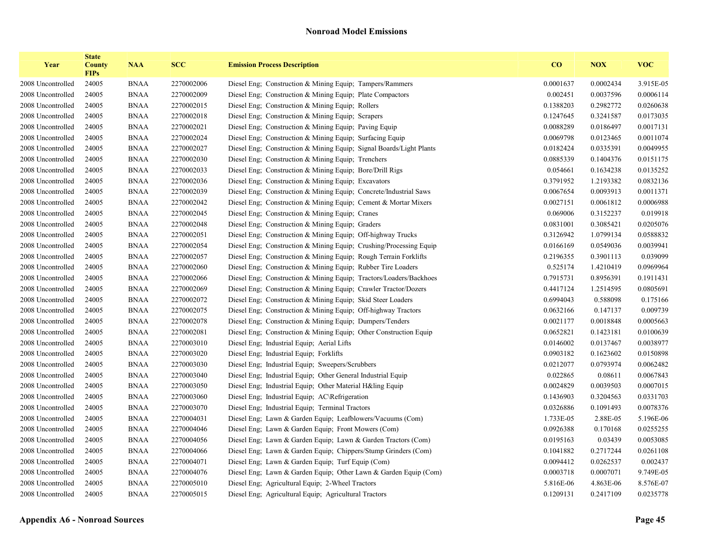| Year              | <b>State</b><br><b>County</b><br><b>FIPs</b> | <b>NAA</b>  | <b>SCC</b> | <b>Emission Process Description</b>                                   | CO        | <b>NOX</b> | <b>VOC</b> |
|-------------------|----------------------------------------------|-------------|------------|-----------------------------------------------------------------------|-----------|------------|------------|
| 2008 Uncontrolled | 24005                                        | <b>BNAA</b> | 2270002006 | Diesel Eng; Construction & Mining Equip; Tampers/Rammers              | 0.0001637 | 0.0002434  | 3.915E-05  |
| 2008 Uncontrolled | 24005                                        | <b>BNAA</b> | 2270002009 | Diesel Eng; Construction & Mining Equip; Plate Compactors             | 0.002451  | 0.0037596  | 0.0006114  |
| 2008 Uncontrolled | 24005                                        | <b>BNAA</b> | 2270002015 | Diesel Eng: Construction & Mining Equip: Rollers                      | 0.1388203 | 0.2982772  | 0.0260638  |
| 2008 Uncontrolled | 24005                                        | <b>BNAA</b> | 2270002018 | Diesel Eng; Construction & Mining Equip; Scrapers                     | 0.1247645 | 0.3241587  | 0.0173035  |
| 2008 Uncontrolled | 24005                                        | <b>BNAA</b> | 2270002021 | Diesel Eng; Construction & Mining Equip; Paving Equip                 | 0.0088289 | 0.0186497  | 0.0017131  |
| 2008 Uncontrolled | 24005                                        | <b>BNAA</b> | 2270002024 | Diesel Eng; Construction & Mining Equip; Surfacing Equip              | 0.0069798 | 0.0123465  | 0.0011074  |
| 2008 Uncontrolled | 24005                                        | <b>BNAA</b> | 2270002027 | Diesel Eng., Construction & Mining Equip., Signal Boards/Light Plants | 0.0182424 | 0.0335391  | 0.0049955  |
| 2008 Uncontrolled | 24005                                        | <b>BNAA</b> | 2270002030 | Diesel Eng: Construction & Mining Equip: Trenchers                    | 0.0885339 | 0.1404376  | 0.0151175  |
| 2008 Uncontrolled | 24005                                        | <b>BNAA</b> | 2270002033 | Diesel Eng; Construction & Mining Equip; Bore/Drill Rigs              | 0.054661  | 0.1634238  | 0.0135252  |
| 2008 Uncontrolled | 24005                                        | <b>BNAA</b> | 2270002036 | Diesel Eng; Construction & Mining Equip; Excavators                   | 0.3791952 | 1.2193382  | 0.0832136  |
| 2008 Uncontrolled | 24005                                        | <b>BNAA</b> | 2270002039 | Diesel Eng; Construction & Mining Equip; Concrete/Industrial Saws     | 0.0067654 | 0.0093913  | 0.0011371  |
| 2008 Uncontrolled | 24005                                        | <b>BNAA</b> | 2270002042 | Diesel Eng; Construction & Mining Equip; Cement & Mortar Mixers       | 0.0027151 | 0.0061812  | 0.0006988  |
| 2008 Uncontrolled | 24005                                        | <b>BNAA</b> | 2270002045 | Diesel Eng; Construction & Mining Equip; Cranes                       | 0.069006  | 0.3152237  | 0.019918   |
| 2008 Uncontrolled | 24005                                        | <b>BNAA</b> | 2270002048 | Diesel Eng: Construction & Mining Equip: Graders                      | 0.0831001 | 0.3085421  | 0.0205076  |
| 2008 Uncontrolled | 24005                                        | <b>BNAA</b> | 2270002051 | Diesel Eng. Construction & Mining Equip: Off-highway Trucks           | 0.3126942 | 1.0799134  | 0.0588832  |
| 2008 Uncontrolled | 24005                                        | <b>BNAA</b> | 2270002054 | Diesel Eng; Construction & Mining Equip; Crushing/Processing Equip    | 0.0166169 | 0.0549036  | 0.0039941  |
| 2008 Uncontrolled | 24005                                        | <b>BNAA</b> | 2270002057 | Diesel Eng. Construction & Mining Equip. Rough Terrain Forklifts      | 0.2196355 | 0.3901113  | 0.039099   |
| 2008 Uncontrolled | 24005                                        | <b>BNAA</b> | 2270002060 | Diesel Eng: Construction & Mining Equip: Rubber Tire Loaders          | 0.525174  | 1.4210419  | 0.0969964  |
| 2008 Uncontrolled | 24005                                        | <b>BNAA</b> | 2270002066 | Diesel Eng. Construction & Mining Equip. Tractors/Loaders/Backhoes    | 0.7915731 | 0.8956391  | 0.1911431  |
| 2008 Uncontrolled | 24005                                        | <b>BNAA</b> | 2270002069 | Diesel Eng. Construction & Mining Equip: Crawler Tractor/Dozers       | 0.4417124 | 1.2514595  | 0.0805691  |
| 2008 Uncontrolled | 24005                                        | <b>BNAA</b> | 2270002072 | Diesel Eng; Construction & Mining Equip; Skid Steer Loaders           | 0.6994043 | 0.588098   | 0.175166   |
| 2008 Uncontrolled | 24005                                        | <b>BNAA</b> | 2270002075 | Diesel Eng; Construction & Mining Equip; Off-highway Tractors         | 0.0632166 | 0.147137   | 0.009739   |
| 2008 Uncontrolled | 24005                                        | <b>BNAA</b> | 2270002078 | Diesel Eng; Construction & Mining Equip; Dumpers/Tenders              | 0.0021177 | 0.0018848  | 0.0005663  |
| 2008 Uncontrolled | 24005                                        | <b>BNAA</b> | 2270002081 | Diesel Eng; Construction & Mining Equip; Other Construction Equip     | 0.0652821 | 0.1423181  | 0.0100639  |
| 2008 Uncontrolled | 24005                                        | <b>BNAA</b> | 2270003010 | Diesel Eng; Industrial Equip; Aerial Lifts                            | 0.0146002 | 0.0137467  | 0.0038977  |
| 2008 Uncontrolled | 24005                                        | <b>BNAA</b> | 2270003020 | Diesel Eng; Industrial Equip; Forklifts                               | 0.0903182 | 0.1623602  | 0.0150898  |
| 2008 Uncontrolled | 24005                                        | <b>BNAA</b> | 2270003030 | Diesel Eng; Industrial Equip; Sweepers/Scrubbers                      | 0.0212077 | 0.0793974  | 0.0062482  |
| 2008 Uncontrolled | 24005                                        | <b>BNAA</b> | 2270003040 | Diesel Eng; Industrial Equip; Other General Industrial Equip          | 0.022865  | 0.08611    | 0.0067843  |
| 2008 Uncontrolled | 24005                                        | <b>BNAA</b> | 2270003050 | Diesel Eng; Industrial Equip; Other Material H&ling Equip             | 0.0024829 | 0.0039503  | 0.0007015  |
| 2008 Uncontrolled | 24005                                        | <b>BNAA</b> | 2270003060 | Diesel Eng; Industrial Equip; AC\Refrigeration                        | 0.1436903 | 0.3204563  | 0.0331703  |
| 2008 Uncontrolled | 24005                                        | <b>BNAA</b> | 2270003070 | Diesel Eng; Industrial Equip; Terminal Tractors                       | 0.0326886 | 0.1091493  | 0.0078376  |
| 2008 Uncontrolled | 24005                                        | <b>BNAA</b> | 2270004031 | Diesel Eng; Lawn & Garden Equip; Leafblowers/Vacuums (Com)            | 1.733E-05 | 2.88E-05   | 5.196E-06  |
| 2008 Uncontrolled | 24005                                        | <b>BNAA</b> | 2270004046 | Diesel Eng; Lawn & Garden Equip; Front Mowers (Com)                   | 0.0926388 | 0.170168   | 0.0255255  |
| 2008 Uncontrolled | 24005                                        | <b>BNAA</b> | 2270004056 | Diesel Eng; Lawn & Garden Equip; Lawn & Garden Tractors (Com)         | 0.0195163 | 0.03439    | 0.0053085  |
| 2008 Uncontrolled | 24005                                        | <b>BNAA</b> | 2270004066 | Diesel Eng; Lawn & Garden Equip; Chippers/Stump Grinders (Com)        | 0.1041882 | 0.2717244  | 0.0261108  |
| 2008 Uncontrolled | 24005                                        | <b>BNAA</b> | 2270004071 | Diesel Eng; Lawn & Garden Equip; Turf Equip (Com)                     | 0.0094412 | 0.0262537  | 0.002437   |
| 2008 Uncontrolled | 24005                                        | <b>BNAA</b> | 2270004076 | Diesel Eng; Lawn & Garden Equip; Other Lawn & Garden Equip (Com)      | 0.0003718 | 0.0007071  | 9.749E-05  |
| 2008 Uncontrolled | 24005                                        | <b>BNAA</b> | 2270005010 | Diesel Eng; Agricultural Equip; 2-Wheel Tractors                      | 5.816E-06 | 4.863E-06  | 8.576E-07  |
| 2008 Uncontrolled | 24005                                        | <b>BNAA</b> | 2270005015 | Diesel Eng; Agricultural Equip; Agricultural Tractors                 | 0.1209131 | 0.2417109  | 0.0235778  |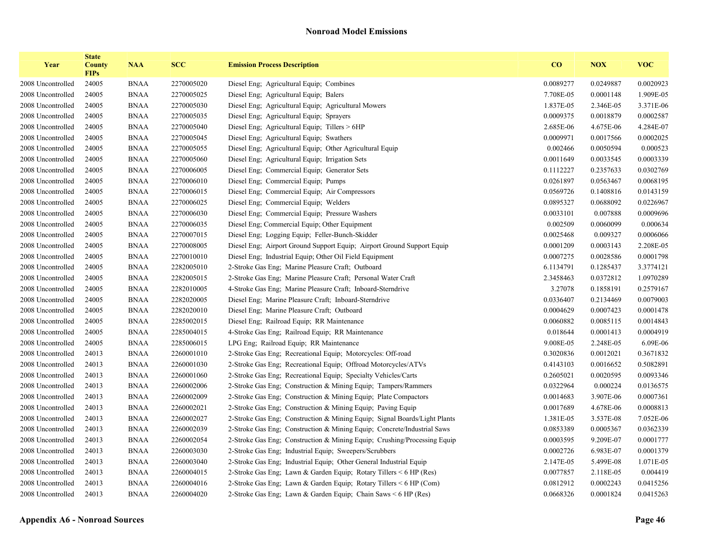| Year              | <b>State</b><br><b>County</b><br><b>FIPs</b> | <b>NAA</b>  | <b>SCC</b> | <b>Emission Process Description</b>                                       | $\bf CO$  | <b>NOX</b> | <b>VOC</b> |
|-------------------|----------------------------------------------|-------------|------------|---------------------------------------------------------------------------|-----------|------------|------------|
| 2008 Uncontrolled | 24005                                        | <b>BNAA</b> | 2270005020 | Diesel Eng; Agricultural Equip; Combines                                  | 0.0089277 | 0.0249887  | 0.0020923  |
| 2008 Uncontrolled | 24005                                        | <b>BNAA</b> | 2270005025 | Diesel Eng; Agricultural Equip; Balers                                    | 7.708E-05 | 0.0001148  | 1.909E-05  |
| 2008 Uncontrolled | 24005                                        | <b>BNAA</b> | 2270005030 | Diesel Eng; Agricultural Equip; Agricultural Mowers                       | 1.837E-05 | 2.346E-05  | 3.371E-06  |
| 2008 Uncontrolled | 24005                                        | <b>BNAA</b> | 2270005035 | Diesel Eng; Agricultural Equip; Sprayers                                  | 0.0009375 | 0.0018879  | 0.0002587  |
| 2008 Uncontrolled | 24005                                        | <b>BNAA</b> | 2270005040 | Diesel Eng; Agricultural Equip; Tillers > 6HP                             | 2.685E-06 | 4.675E-06  | 4.284E-07  |
| 2008 Uncontrolled | 24005                                        | <b>BNAA</b> | 2270005045 | Diesel Eng; Agricultural Equip; Swathers                                  | 0.0009971 | 0.0017566  | 0.0002025  |
| 2008 Uncontrolled | 24005                                        | <b>BNAA</b> | 2270005055 | Diesel Eng; Agricultural Equip; Other Agricultural Equip                  | 0.002466  | 0.0050594  | 0.000523   |
| 2008 Uncontrolled | 24005                                        | <b>BNAA</b> | 2270005060 | Diesel Eng; Agricultural Equip; Irrigation Sets                           | 0.0011649 | 0.0033545  | 0.0003339  |
| 2008 Uncontrolled | 24005                                        | <b>BNAA</b> | 2270006005 | Diesel Eng; Commercial Equip; Generator Sets                              | 0.1112227 | 0.2357633  | 0.0302769  |
| 2008 Uncontrolled | 24005                                        | <b>BNAA</b> | 2270006010 | Diesel Eng; Commercial Equip; Pumps                                       | 0.0261897 | 0.0563467  | 0.0068195  |
| 2008 Uncontrolled | 24005                                        | <b>BNAA</b> | 2270006015 | Diesel Eng; Commercial Equip; Air Compressors                             | 0.0569726 | 0.1408816  | 0.0143159  |
| 2008 Uncontrolled | 24005                                        | <b>BNAA</b> | 2270006025 | Diesel Eng; Commercial Equip; Welders                                     | 0.0895327 | 0.0688092  | 0.0226967  |
| 2008 Uncontrolled | 24005                                        | <b>BNAA</b> | 2270006030 | Diesel Eng; Commercial Equip; Pressure Washers                            | 0.0033101 | 0.007888   | 0.0009696  |
| 2008 Uncontrolled | 24005                                        | <b>BNAA</b> | 2270006035 | Diesel Eng; Commercial Equip; Other Equipment                             | 0.002509  | 0.0060099  | 0.000634   |
| 2008 Uncontrolled | 24005                                        | <b>BNAA</b> | 2270007015 | Diesel Eng; Logging Equip; Feller-Bunch-Skidder                           | 0.0025468 | 0.009327   | 0.0006066  |
| 2008 Uncontrolled | 24005                                        | <b>BNAA</b> | 2270008005 | Diesel Eng; Airport Ground Support Equip; Airport Ground Support Equip    | 0.0001209 | 0.0003143  | 2.208E-05  |
| 2008 Uncontrolled | 24005                                        | <b>BNAA</b> | 2270010010 | Diesel Eng; Industrial Equip; Other Oil Field Equipment                   | 0.0007275 | 0.0028586  | 0.0001798  |
| 2008 Uncontrolled | 24005                                        | <b>BNAA</b> | 2282005010 | 2-Stroke Gas Eng; Marine Pleasure Craft; Outboard                         | 6.1134791 | 0.1285437  | 3.3774121  |
| 2008 Uncontrolled | 24005                                        | <b>BNAA</b> | 2282005015 | 2-Stroke Gas Eng; Marine Pleasure Craft; Personal Water Craft             | 2.3458463 | 0.0372812  | 1.0970289  |
| 2008 Uncontrolled | 24005                                        | <b>BNAA</b> | 2282010005 | 4-Stroke Gas Eng; Marine Pleasure Craft; Inboard-Sterndrive               | 3.27078   | 0.1858191  | 0.2579167  |
| 2008 Uncontrolled | 24005                                        | <b>BNAA</b> | 2282020005 | Diesel Eng; Marine Pleasure Craft; Inboard-Sterndrive                     | 0.0336407 | 0.2134469  | 0.0079003  |
| 2008 Uncontrolled | 24005                                        | <b>BNAA</b> | 2282020010 | Diesel Eng; Marine Pleasure Craft; Outboard                               | 0.0004629 | 0.0007423  | 0.0001478  |
| 2008 Uncontrolled | 24005                                        | <b>BNAA</b> | 2285002015 | Diesel Eng; Railroad Equip; RR Maintenance                                | 0.0060882 | 0.0085115  | 0.0014843  |
| 2008 Uncontrolled | 24005                                        | <b>BNAA</b> | 2285004015 | 4-Stroke Gas Eng; Railroad Equip; RR Maintenance                          | 0.018644  | 0.0001413  | 0.0004919  |
| 2008 Uncontrolled | 24005                                        | <b>BNAA</b> | 2285006015 | LPG Eng; Railroad Equip; RR Maintenance                                   | 9.008E-05 | 2.248E-05  | 6.09E-06   |
| 2008 Uncontrolled | 24013                                        | <b>BNAA</b> | 2260001010 | 2-Stroke Gas Eng; Recreational Equip; Motorcycles: Off-road               | 0.3020836 | 0.0012021  | 0.3671832  |
| 2008 Uncontrolled | 24013                                        | <b>BNAA</b> | 2260001030 | 2-Stroke Gas Eng; Recreational Equip; Offroad Motorcycles/ATVs            | 0.4143103 | 0.0016652  | 0.5082891  |
| 2008 Uncontrolled | 24013                                        | <b>BNAA</b> | 2260001060 | 2-Stroke Gas Eng; Recreational Equip; Specialty Vehicles/Carts            | 0.2605021 | 0.0020595  | 0.0093346  |
| 2008 Uncontrolled | 24013                                        | <b>BNAA</b> | 2260002006 | 2-Stroke Gas Eng; Construction & Mining Equip; Tampers/Rammers            | 0.0322964 | 0.000224   | 0.0136575  |
| 2008 Uncontrolled | 24013                                        | <b>BNAA</b> | 2260002009 | 2-Stroke Gas Eng; Construction & Mining Equip; Plate Compactors           | 0.0014683 | 3.907E-06  | 0.0007361  |
| 2008 Uncontrolled | 24013                                        | <b>BNAA</b> | 2260002021 | 2-Stroke Gas Eng; Construction & Mining Equip; Paving Equip               | 0.0017689 | 4.678E-06  | 0.0008813  |
| 2008 Uncontrolled | 24013                                        | <b>BNAA</b> | 2260002027 | 2-Stroke Gas Eng; Construction & Mining Equip; Signal Boards/Light Plants | 1.381E-05 | 3.537E-08  | 7.052E-06  |
| 2008 Uncontrolled | 24013                                        | <b>BNAA</b> | 2260002039 | 2-Stroke Gas Eng; Construction & Mining Equip; Concrete/Industrial Saws   | 0.0853389 | 0.0005367  | 0.0362339  |
| 2008 Uncontrolled | 24013                                        | <b>BNAA</b> | 2260002054 | 2-Stroke Gas Eng; Construction & Mining Equip; Crushing/Processing Equip  | 0.0003595 | 9.209E-07  | 0.0001777  |
| 2008 Uncontrolled | 24013                                        | <b>BNAA</b> | 2260003030 | 2-Stroke Gas Eng; Industrial Equip; Sweepers/Scrubbers                    | 0.0002726 | 6.983E-07  | 0.0001379  |
| 2008 Uncontrolled | 24013                                        | <b>BNAA</b> | 2260003040 | 2-Stroke Gas Eng; Industrial Equip; Other General Industrial Equip        | 2.147E-05 | 5.499E-08  | 1.071E-05  |
| 2008 Uncontrolled | 24013                                        | <b>BNAA</b> | 2260004015 | 2-Stroke Gas Eng; Lawn & Garden Equip; Rotary Tillers < 6 HP (Res)        | 0.0077857 | 2.118E-05  | 0.004419   |
| 2008 Uncontrolled | 24013                                        | <b>BNAA</b> | 2260004016 | 2-Stroke Gas Eng; Lawn & Garden Equip; Rotary Tillers < 6 HP (Com)        | 0.0812912 | 0.0002243  | 0.0415256  |
| 2008 Uncontrolled | 24013                                        | <b>BNAA</b> | 2260004020 | 2-Stroke Gas Eng; Lawn & Garden Equip; Chain Saws < 6 HP (Res)            | 0.0668326 | 0.0001824  | 0.0415263  |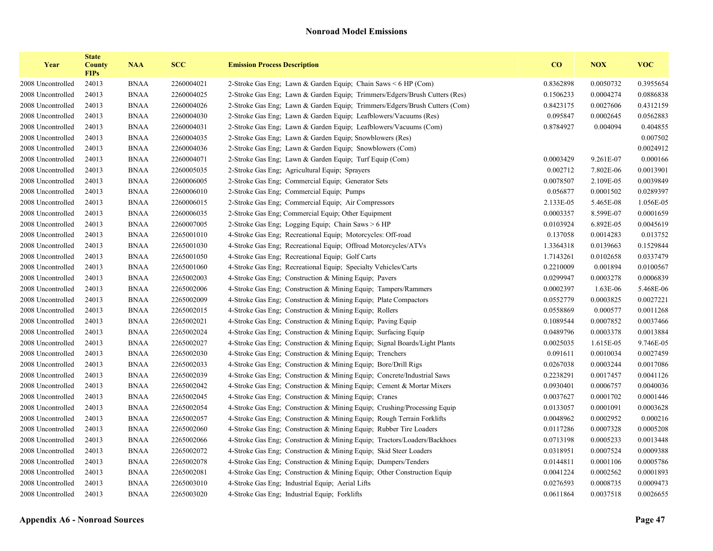| Year              | <b>State</b><br><b>County</b><br><b>FIPs</b> | <b>NAA</b>  | <b>SCC</b> | <b>Emission Process Description</b>                                        | $\bf{CO}$ | <b>NOX</b> | <b>VOC</b> |
|-------------------|----------------------------------------------|-------------|------------|----------------------------------------------------------------------------|-----------|------------|------------|
| 2008 Uncontrolled | 24013                                        | <b>BNAA</b> | 2260004021 | 2-Stroke Gas Eng; Lawn & Garden Equip; Chain Saws < 6 HP (Com)             | 0.8362898 | 0.0050732  | 0.3955654  |
| 2008 Uncontrolled | 24013                                        | <b>BNAA</b> | 2260004025 | 2-Stroke Gas Eng; Lawn & Garden Equip; Trimmers/Edgers/Brush Cutters (Res) | 0.1506233 | 0.0004274  | 0.0886838  |
| 2008 Uncontrolled | 24013                                        | <b>BNAA</b> | 2260004026 | 2-Stroke Gas Eng; Lawn & Garden Equip; Trimmers/Edgers/Brush Cutters (Com) | 0.8423175 | 0.0027606  | 0.4312159  |
| 2008 Uncontrolled | 24013                                        | <b>BNAA</b> | 2260004030 | 2-Stroke Gas Eng; Lawn & Garden Equip; Leafblowers/Vacuums (Res)           | 0.095847  | 0.0002645  | 0.0562883  |
| 2008 Uncontrolled | 24013                                        | <b>BNAA</b> | 2260004031 | 2-Stroke Gas Eng; Lawn & Garden Equip; Leafblowers/Vacuums (Com)           | 0.8784927 | 0.004094   | 0.404855   |
| 2008 Uncontrolled | 24013                                        | <b>BNAA</b> | 2260004035 | 2-Stroke Gas Eng; Lawn & Garden Equip; Snowblowers (Res)                   |           |            | 0.007502   |
| 2008 Uncontrolled | 24013                                        | <b>BNAA</b> | 2260004036 | 2-Stroke Gas Eng; Lawn & Garden Equip; Snowblowers (Com)                   |           |            | 0.0024912  |
| 2008 Uncontrolled | 24013                                        | <b>BNAA</b> | 2260004071 | 2-Stroke Gas Eng; Lawn & Garden Equip; Turf Equip (Com)                    | 0.0003429 | 9.261E-07  | 0.000166   |
| 2008 Uncontrolled | 24013                                        | <b>BNAA</b> | 2260005035 | 2-Stroke Gas Eng; Agricultural Equip; Sprayers                             | 0.002712  | 7.802E-06  | 0.0013901  |
| 2008 Uncontrolled | 24013                                        | <b>BNAA</b> | 2260006005 | 2-Stroke Gas Eng; Commercial Equip; Generator Sets                         | 0.0078507 | 2.109E-05  | 0.0039849  |
| 2008 Uncontrolled | 24013                                        | <b>BNAA</b> | 2260006010 | 2-Stroke Gas Eng; Commercial Equip; Pumps                                  | 0.056877  | 0.0001502  | 0.0289397  |
| 2008 Uncontrolled | 24013                                        | <b>BNAA</b> | 2260006015 | 2-Stroke Gas Eng; Commercial Equip; Air Compressors                        | 2.133E-05 | 5.465E-08  | 1.056E-05  |
| 2008 Uncontrolled | 24013                                        | <b>BNAA</b> | 2260006035 | 2-Stroke Gas Eng; Commercial Equip; Other Equipment                        | 0.0003357 | 8.599E-07  | 0.0001659  |
| 2008 Uncontrolled | 24013                                        | <b>BNAA</b> | 2260007005 | 2-Stroke Gas Eng; Logging Equip; Chain Saws > 6 HP                         | 0.0103924 | 6.892E-05  | 0.0045619  |
| 2008 Uncontrolled | 24013                                        | <b>BNAA</b> | 2265001010 | 4-Stroke Gas Eng; Recreational Equip; Motorcycles: Off-road                | 0.137058  | 0.0014283  | 0.013752   |
| 2008 Uncontrolled | 24013                                        | <b>BNAA</b> | 2265001030 | 4-Stroke Gas Eng; Recreational Equip; Offroad Motorcycles/ATVs             | 1.3364318 | 0.0139663  | 0.1529844  |
| 2008 Uncontrolled | 24013                                        | <b>BNAA</b> | 2265001050 | 4-Stroke Gas Eng; Recreational Equip; Golf Carts                           | 1.7143261 | 0.0102658  | 0.0337479  |
| 2008 Uncontrolled | 24013                                        | <b>BNAA</b> | 2265001060 | 4-Stroke Gas Eng; Recreational Equip; Specialty Vehicles/Carts             | 0.2210009 | 0.001894   | 0.0100567  |
| 2008 Uncontrolled | 24013                                        | <b>BNAA</b> | 2265002003 | 4-Stroke Gas Eng; Construction & Mining Equip; Pavers                      | 0.0299947 | 0.0003278  | 0.0006839  |
| 2008 Uncontrolled | 24013                                        | <b>BNAA</b> | 2265002006 | 4-Stroke Gas Eng; Construction & Mining Equip; Tampers/Rammers             | 0.0002397 | 1.63E-06   | 5.468E-06  |
| 2008 Uncontrolled | 24013                                        | <b>BNAA</b> | 2265002009 | 4-Stroke Gas Eng; Construction & Mining Equip; Plate Compactors            | 0.0552779 | 0.0003825  | 0.0027221  |
| 2008 Uncontrolled | 24013                                        | <b>BNAA</b> | 2265002015 | 4-Stroke Gas Eng; Construction & Mining Equip; Rollers                     | 0.0558869 | 0.000577   | 0.0011268  |
| 2008 Uncontrolled | 24013                                        | <b>BNAA</b> | 2265002021 | 4-Stroke Gas Eng; Construction & Mining Equip; Paving Equip                | 0.1089544 | 0.0007852  | 0.0037466  |
| 2008 Uncontrolled | 24013                                        | <b>BNAA</b> | 2265002024 | 4-Stroke Gas Eng; Construction & Mining Equip; Surfacing Equip             | 0.0489796 | 0.0003378  | 0.0013884  |
| 2008 Uncontrolled | 24013                                        | <b>BNAA</b> | 2265002027 | 4-Stroke Gas Eng; Construction & Mining Equip; Signal Boards/Light Plants  | 0.0025035 | 1.615E-05  | 9.746E-05  |
| 2008 Uncontrolled | 24013                                        | <b>BNAA</b> | 2265002030 | 4-Stroke Gas Eng; Construction & Mining Equip; Trenchers                   | 0.091611  | 0.0010034  | 0.0027459  |
| 2008 Uncontrolled | 24013                                        | <b>BNAA</b> | 2265002033 | 4-Stroke Gas Eng; Construction & Mining Equip; Bore/Drill Rigs             | 0.0267038 | 0.0003244  | 0.0017086  |
| 2008 Uncontrolled | 24013                                        | <b>BNAA</b> | 2265002039 | 4-Stroke Gas Eng; Construction & Mining Equip; Concrete/Industrial Saws    | 0.2238291 | 0.0017457  | 0.0041126  |
| 2008 Uncontrolled | 24013                                        | <b>BNAA</b> | 2265002042 | 4-Stroke Gas Eng; Construction & Mining Equip; Cement & Mortar Mixers      | 0.0930401 | 0.0006757  | 0.0040036  |
| 2008 Uncontrolled | 24013                                        | <b>BNAA</b> | 2265002045 | 4-Stroke Gas Eng; Construction & Mining Equip; Cranes                      | 0.0037627 | 0.0001702  | 0.0001446  |
| 2008 Uncontrolled | 24013                                        | <b>BNAA</b> | 2265002054 | 4-Stroke Gas Eng; Construction & Mining Equip; Crushing/Processing Equip   | 0.0133057 | 0.0001091  | 0.0003628  |
| 2008 Uncontrolled | 24013                                        | <b>BNAA</b> | 2265002057 | 4-Stroke Gas Eng; Construction & Mining Equip; Rough Terrain Forklifts     | 0.0048962 | 0.0002952  | 0.000216   |
| 2008 Uncontrolled | 24013                                        | <b>BNAA</b> | 2265002060 | 4-Stroke Gas Eng; Construction & Mining Equip; Rubber Tire Loaders         | 0.0117286 | 0.0007328  | 0.0005208  |
| 2008 Uncontrolled | 24013                                        | <b>BNAA</b> | 2265002066 | 4-Stroke Gas Eng; Construction & Mining Equip; Tractors/Loaders/Backhoes   | 0.0713198 | 0.0005233  | 0.0013448  |
| 2008 Uncontrolled | 24013                                        | <b>BNAA</b> | 2265002072 | 4-Stroke Gas Eng; Construction & Mining Equip; Skid Steer Loaders          | 0.0318951 | 0.0007524  | 0.0009388  |
| 2008 Uncontrolled | 24013                                        | <b>BNAA</b> | 2265002078 | 4-Stroke Gas Eng; Construction & Mining Equip; Dumpers/Tenders             | 0.0144811 | 0.0001106  | 0.0005786  |
| 2008 Uncontrolled | 24013                                        | <b>BNAA</b> | 2265002081 | 4-Stroke Gas Eng; Construction & Mining Equip; Other Construction Equip    | 0.0041224 | 0.0002562  | 0.0001893  |
| 2008 Uncontrolled | 24013                                        | <b>BNAA</b> | 2265003010 | 4-Stroke Gas Eng; Industrial Equip; Aerial Lifts                           | 0.0276593 | 0.0008735  | 0.0009473  |
| 2008 Uncontrolled | 24013                                        | <b>BNAA</b> | 2265003020 | 4-Stroke Gas Eng; Industrial Equip; Forklifts                              | 0.0611864 | 0.0037518  | 0.0026655  |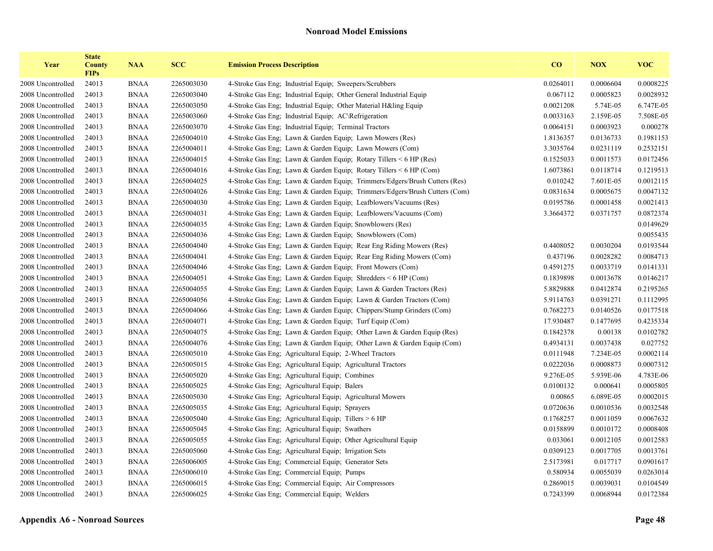| Year              | <b>State</b><br><b>County</b><br><b>FIPs</b> | <b>NAA</b>  | <b>SCC</b> | <b>Emission Process Description</b>                                        | CO        | <b>NOX</b> | <b>VOC</b> |
|-------------------|----------------------------------------------|-------------|------------|----------------------------------------------------------------------------|-----------|------------|------------|
| 2008 Uncontrolled | 24013                                        | <b>BNAA</b> | 2265003030 | 4-Stroke Gas Eng; Industrial Equip; Sweepers/Scrubbers                     | 0.0264011 | 0.0006604  | 0.0008225  |
| 2008 Uncontrolled | 24013                                        | <b>BNAA</b> | 2265003040 | 4-Stroke Gas Eng; Industrial Equip; Other General Industrial Equip         | 0.067112  | 0.0005823  | 0.0028932  |
| 2008 Uncontrolled | 24013                                        | <b>BNAA</b> | 2265003050 | 4-Stroke Gas Eng; Industrial Equip; Other Material H&ling Equip            | 0.0021208 | 5.74E-05   | 6.747E-05  |
| 2008 Uncontrolled | 24013                                        | <b>BNAA</b> | 2265003060 | 4-Stroke Gas Eng. Industrial Equip: AC\Refrigeration                       | 0.0033163 | 2.159E-05  | 7.508E-05  |
| 2008 Uncontrolled | 24013                                        | <b>BNAA</b> | 2265003070 | 4-Stroke Gas Eng; Industrial Equip; Terminal Tractors                      | 0.0064151 | 0.0003923  | 0.000278   |
| 2008 Uncontrolled | 24013                                        | <b>BNAA</b> | 2265004010 | 4-Stroke Gas Eng; Lawn & Garden Equip; Lawn Mowers (Res)                   | 1.8136357 | 0.0136733  | 0.1981153  |
| 2008 Uncontrolled | 24013                                        | <b>BNAA</b> | 2265004011 | 4-Stroke Gas Eng; Lawn & Garden Equip; Lawn Mowers (Com)                   | 3.3035764 | 0.0231119  | 0.2532151  |
| 2008 Uncontrolled | 24013                                        | <b>BNAA</b> | 2265004015 | 4-Stroke Gas Eng; Lawn & Garden Equip; Rotary Tillers $\leq 6$ HP (Res)    | 0.1525033 | 0.0011573  | 0.0172456  |
| 2008 Uncontrolled | 24013                                        | <b>BNAA</b> | 2265004016 | 4-Stroke Gas Eng; Lawn & Garden Equip; Rotary Tillers < 6 HP (Com)         | 1.6073861 | 0.0118714  | 0.1219513  |
| 2008 Uncontrolled | 24013                                        | <b>BNAA</b> | 2265004025 | 4-Stroke Gas Eng; Lawn & Garden Equip; Trimmers/Edgers/Brush Cutters (Res) | 0.010242  | 7.601E-05  | 0.0012115  |
| 2008 Uncontrolled | 24013                                        | <b>BNAA</b> | 2265004026 | 4-Stroke Gas Eng; Lawn & Garden Equip; Trimmers/Edgers/Brush Cutters (Com) | 0.0831634 | 0.0005675  | 0.0047132  |
| 2008 Uncontrolled | 24013                                        | <b>BNAA</b> | 2265004030 | 4-Stroke Gas Eng; Lawn & Garden Equip; Leafblowers/Vacuums (Res)           | 0.0195786 | 0.0001458  | 0.0021413  |
| 2008 Uncontrolled | 24013                                        | <b>BNAA</b> | 2265004031 | 4-Stroke Gas Eng; Lawn & Garden Equip; Leafblowers/Vacuums (Com)           | 3.3664372 | 0.0371757  | 0.0872374  |
| 2008 Uncontrolled | 24013                                        | <b>BNAA</b> | 2265004035 | 4-Stroke Gas Eng: Lawn & Garden Equip: Snowblowers (Res)                   |           |            | 0.0149629  |
| 2008 Uncontrolled | 24013                                        | <b>BNAA</b> | 2265004036 | 4-Stroke Gas Eng; Lawn & Garden Equip; Snowblowers (Com)                   |           |            | 0.0055435  |
| 2008 Uncontrolled | 24013                                        | <b>BNAA</b> | 2265004040 | 4-Stroke Gas Eng; Lawn & Garden Equip; Rear Eng Riding Mowers (Res)        | 0.4408052 | 0.0030204  | 0.0193544  |
| 2008 Uncontrolled | 24013                                        | <b>BNAA</b> | 2265004041 | 4-Stroke Gas Eng; Lawn & Garden Equip; Rear Eng Riding Mowers (Com)        | 0.437196  | 0.0028282  | 0.0084713  |
| 2008 Uncontrolled | 24013                                        | <b>BNAA</b> | 2265004046 | 4-Stroke Gas Eng; Lawn & Garden Equip; Front Mowers (Com)                  | 0.4591275 | 0.0033719  | 0.0141331  |
| 2008 Uncontrolled | 24013                                        | <b>BNAA</b> | 2265004051 | 4-Stroke Gas Eng; Lawn & Garden Equip; Shredders $\leq 6$ HP (Com)         | 0.1839898 | 0.0013678  | 0.0146217  |
| 2008 Uncontrolled | 24013                                        | <b>BNAA</b> | 2265004055 | 4-Stroke Gas Eng; Lawn & Garden Equip; Lawn & Garden Tractors (Res)        | 5.8829888 | 0.0412874  | 0.2195265  |
| 2008 Uncontrolled | 24013                                        | <b>BNAA</b> | 2265004056 | 4-Stroke Gas Eng; Lawn & Garden Equip; Lawn & Garden Tractors (Com)        | 5.9114763 | 0.0391271  | 0.1112995  |
| 2008 Uncontrolled | 24013                                        | <b>BNAA</b> | 2265004066 | 4-Stroke Gas Eng; Lawn & Garden Equip; Chippers/Stump Grinders (Com)       | 0.7682273 | 0.0140526  | 0.0177518  |
| 2008 Uncontrolled | 24013                                        | <b>BNAA</b> | 2265004071 | 4-Stroke Gas Eng; Lawn & Garden Equip; Turf Equip (Com)                    | 17.930487 | 0.1477695  | 0.4235334  |
| 2008 Uncontrolled | 24013                                        | <b>BNAA</b> | 2265004075 | 4-Stroke Gas Eng; Lawn & Garden Equip; Other Lawn & Garden Equip (Res)     | 0.1842378 | 0.00138    | 0.0102782  |
| 2008 Uncontrolled | 24013                                        | <b>BNAA</b> | 2265004076 | 4-Stroke Gas Eng; Lawn & Garden Equip; Other Lawn & Garden Equip (Com)     | 0.4934131 | 0.0037438  | 0.027752   |
| 2008 Uncontrolled | 24013                                        | <b>BNAA</b> | 2265005010 | 4-Stroke Gas Eng; Agricultural Equip; 2-Wheel Tractors                     | 0.0111948 | 7.234E-05  | 0.0002114  |
| 2008 Uncontrolled | 24013                                        | <b>BNAA</b> | 2265005015 | 4-Stroke Gas Eng; Agricultural Equip; Agricultural Tractors                | 0.0222036 | 0.0008873  | 0.0007312  |
| 2008 Uncontrolled | 24013                                        | <b>BNAA</b> | 2265005020 | 4-Stroke Gas Eng; Agricultural Equip; Combines                             | 9.276E-05 | 5.939E-06  | 4.783E-06  |
| 2008 Uncontrolled | 24013                                        | <b>BNAA</b> | 2265005025 | 4-Stroke Gas Eng; Agricultural Equip; Balers                               | 0.0100132 | 0.000641   | 0.0005805  |
| 2008 Uncontrolled | 24013                                        | <b>BNAA</b> | 2265005030 | 4-Stroke Gas Eng; Agricultural Equip; Agricultural Mowers                  | 0.00865   | 6.089E-05  | 0.0002015  |
| 2008 Uncontrolled | 24013                                        | <b>BNAA</b> | 2265005035 | 4-Stroke Gas Eng; Agricultural Equip; Sprayers                             | 0.0720636 | 0.0010536  | 0.0032548  |
| 2008 Uncontrolled | 24013                                        | <b>BNAA</b> | 2265005040 | 4-Stroke Gas Eng; Agricultural Equip; Tillers > 6 HP                       | 0.1768257 | 0.0011059  | 0.0067632  |
| 2008 Uncontrolled | 24013                                        | <b>BNAA</b> | 2265005045 | 4-Stroke Gas Eng; Agricultural Equip; Swathers                             | 0.0158899 | 0.0010172  | 0.0008408  |
| 2008 Uncontrolled | 24013                                        | <b>BNAA</b> | 2265005055 | 4-Stroke Gas Eng; Agricultural Equip; Other Agricultural Equip             | 0.033061  | 0.0012105  | 0.0012583  |
| 2008 Uncontrolled | 24013                                        | <b>BNAA</b> | 2265005060 | 4-Stroke Gas Eng; Agricultural Equip; Irrigation Sets                      | 0.0309123 | 0.0017705  | 0.0013761  |
| 2008 Uncontrolled | 24013                                        | <b>BNAA</b> | 2265006005 | 4-Stroke Gas Eng; Commercial Equip; Generator Sets                         | 2.5173981 | 0.017717   | 0.0901617  |
| 2008 Uncontrolled | 24013                                        | <b>BNAA</b> | 2265006010 | 4-Stroke Gas Eng; Commercial Equip; Pumps                                  | 0.580934  | 0.0055039  | 0.0263014  |
| 2008 Uncontrolled | 24013                                        | <b>BNAA</b> | 2265006015 | 4-Stroke Gas Eng; Commercial Equip; Air Compressors                        | 0.2869015 | 0.0039031  | 0.0104549  |
| 2008 Uncontrolled | 24013                                        | <b>BNAA</b> | 2265006025 | 4-Stroke Gas Eng; Commercial Equip; Welders                                | 0.7243399 | 0.0068944  | 0.0172384  |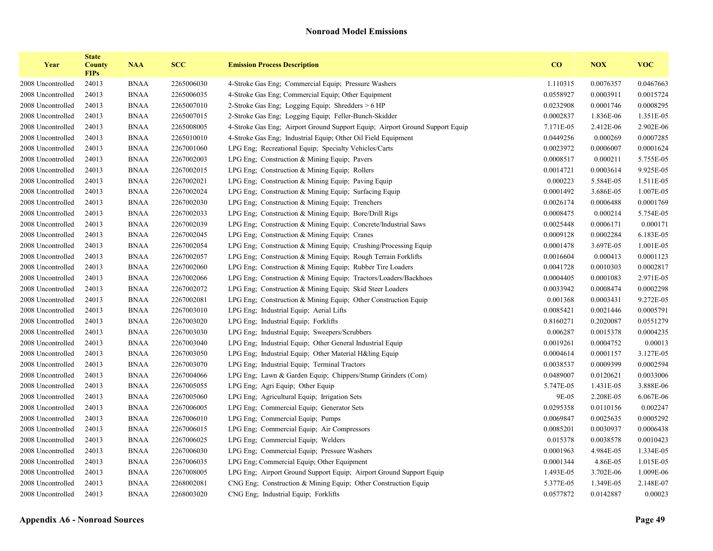| Year              | <b>State</b><br><b>County</b><br><b>FIPs</b> | <b>NAA</b>  | <b>SCC</b> | <b>Emission Process Description</b>                                          | CO        | <b>NOX</b> | <b>VOC</b> |
|-------------------|----------------------------------------------|-------------|------------|------------------------------------------------------------------------------|-----------|------------|------------|
| 2008 Uncontrolled | 24013                                        | <b>BNAA</b> | 2265006030 | 4-Stroke Gas Eng; Commercial Equip; Pressure Washers                         | 1.110315  | 0.0076357  | 0.0467663  |
| 2008 Uncontrolled | 24013                                        | <b>BNAA</b> | 2265006035 | 4-Stroke Gas Eng; Commercial Equip; Other Equipment                          | 0.0558927 | 0.0003911  | 0.0015724  |
| 2008 Uncontrolled | 24013                                        | <b>BNAA</b> | 2265007010 | 2-Stroke Gas Eng; Logging Equip; Shredders > 6 HP                            | 0.0232908 | 0.0001746  | 0.0008295  |
| 2008 Uncontrolled | 24013                                        | <b>BNAA</b> | 2265007015 | 2-Stroke Gas Eng; Logging Equip; Feller-Bunch-Skidder                        | 0.0002837 | 1.836E-06  | 1.351E-05  |
| 2008 Uncontrolled | 24013                                        | <b>BNAA</b> | 2265008005 | 4-Stroke Gas Eng; Airport Ground Support Equip; Airport Ground Support Equip | 7.171E-05 | 2.412E-06  | 2.902E-06  |
| 2008 Uncontrolled | 24013                                        | <b>BNAA</b> | 2265010010 | 4-Stroke Gas Eng; Industrial Equip; Other Oil Field Equipment                | 0.0449256 | 0.000269   | 0.0007285  |
| 2008 Uncontrolled | 24013                                        | <b>BNAA</b> | 2267001060 | LPG Eng; Recreational Equip; Specialty Vehicles/Carts                        | 0.0023972 | 0.0006007  | 0.0001624  |
| 2008 Uncontrolled | 24013                                        | <b>BNAA</b> | 2267002003 | LPG Eng; Construction & Mining Equip; Pavers                                 | 0.0008517 | 0.000211   | 5.755E-05  |
| 2008 Uncontrolled | 24013                                        | <b>BNAA</b> | 2267002015 | LPG Eng; Construction & Mining Equip; Rollers                                | 0.0014721 | 0.0003614  | 9.925E-05  |
| 2008 Uncontrolled | 24013                                        | <b>BNAA</b> | 2267002021 | LPG Eng; Construction & Mining Equip; Paving Equip                           | 0.000223  | 5.584E-05  | 1.511E-05  |
| 2008 Uncontrolled | 24013                                        | <b>BNAA</b> | 2267002024 | LPG Eng; Construction & Mining Equip; Surfacing Equip                        | 0.0001492 | 3.686E-05  | 1.007E-05  |
| 2008 Uncontrolled | 24013                                        | <b>BNAA</b> | 2267002030 | LPG Eng; Construction & Mining Equip; Trenchers                              | 0.0026174 | 0.0006488  | 0.0001769  |
| 2008 Uncontrolled | 24013                                        | <b>BNAA</b> | 2267002033 | LPG Eng; Construction & Mining Equip; Bore/Drill Rigs                        | 0.0008475 | 0.000214   | 5.754E-05  |
| 2008 Uncontrolled | 24013                                        | <b>BNAA</b> | 2267002039 | LPG Eng; Construction & Mining Equip; Concrete/Industrial Saws               | 0.0025448 | 0.0006171  | 0.000171   |
| 2008 Uncontrolled | 24013                                        | <b>BNAA</b> | 2267002045 | LPG Eng; Construction & Mining Equip; Cranes                                 | 0.0009128 | 0.0002284  | 6.183E-05  |
| 2008 Uncontrolled | 24013                                        | <b>BNAA</b> | 2267002054 | LPG Eng; Construction & Mining Equip; Crushing/Processing Equip              | 0.0001478 | 3.697E-05  | 1.001E-05  |
| 2008 Uncontrolled | 24013                                        | <b>BNAA</b> | 2267002057 | LPG Eng; Construction & Mining Equip; Rough Terrain Forklifts                | 0.0016604 | 0.000413   | 0.0001123  |
| 2008 Uncontrolled | 24013                                        | <b>BNAA</b> | 2267002060 | LPG Eng; Construction & Mining Equip; Rubber Tire Loaders                    | 0.0041728 | 0.0010303  | 0.0002817  |
| 2008 Uncontrolled | 24013                                        | <b>BNAA</b> | 2267002066 | LPG Eng; Construction & Mining Equip; Tractors/Loaders/Backhoes              | 0.0004405 | 0.0001083  | 2.971E-05  |
| 2008 Uncontrolled | 24013                                        | <b>BNAA</b> | 2267002072 | LPG Eng; Construction & Mining Equip; Skid Steer Loaders                     | 0.0033942 | 0.0008474  | 0.0002298  |
| 2008 Uncontrolled | 24013                                        | <b>BNAA</b> | 2267002081 | LPG Eng; Construction & Mining Equip; Other Construction Equip               | 0.001368  | 0.0003431  | 9.272E-05  |
| 2008 Uncontrolled | 24013                                        | <b>BNAA</b> | 2267003010 | LPG Eng; Industrial Equip; Aerial Lifts                                      | 0.0085421 | 0.0021446  | 0.0005791  |
| 2008 Uncontrolled | 24013                                        | <b>BNAA</b> | 2267003020 | LPG Eng; Industrial Equip; Forklifts                                         | 0.8160271 | 0.2020087  | 0.0551279  |
| 2008 Uncontrolled | 24013                                        | <b>BNAA</b> | 2267003030 | LPG Eng; Industrial Equip; Sweepers/Scrubbers                                | 0.006287  | 0.0015378  | 0.0004235  |
| 2008 Uncontrolled | 24013                                        | <b>BNAA</b> | 2267003040 | LPG Eng; Industrial Equip; Other General Industrial Equip                    | 0.0019261 | 0.0004752  | 0.00013    |
| 2008 Uncontrolled | 24013                                        | <b>BNAA</b> | 2267003050 | LPG Eng; Industrial Equip; Other Material H&ling Equip                       | 0.0004614 | 0.0001157  | 3.127E-05  |
| 2008 Uncontrolled | 24013                                        | <b>BNAA</b> | 2267003070 | LPG Eng; Industrial Equip; Terminal Tractors                                 | 0.0038537 | 0.0009399  | 0.0002594  |
| 2008 Uncontrolled | 24013                                        | <b>BNAA</b> | 2267004066 | LPG Eng; Lawn & Garden Equip; Chippers/Stump Grinders (Com)                  | 0.0489007 | 0.0120621  | 0.0033006  |
| 2008 Uncontrolled | 24013                                        | <b>BNAA</b> | 2267005055 | LPG Eng; Agri Equip; Other Equip                                             | 5.747E-05 | 1.431E-05  | 3.888E-06  |
| 2008 Uncontrolled | 24013                                        | <b>BNAA</b> | 2267005060 | LPG Eng; Agricultural Equip; Irrigation Sets                                 | 9E-05     | 2.208E-05  | 6.067E-06  |
| 2008 Uncontrolled | 24013                                        | <b>BNAA</b> | 2267006005 | LPG Eng; Commercial Equip; Generator Sets                                    | 0.0295358 | 0.0110156  | 0.002247   |
| 2008 Uncontrolled | 24013                                        | <b>BNAA</b> | 2267006010 | LPG Eng; Commercial Equip; Pumps                                             | 0.0069847 | 0.0025635  | 0.0005292  |
| 2008 Uncontrolled | 24013                                        | <b>BNAA</b> | 2267006015 | LPG Eng; Commercial Equip; Air Compressors                                   | 0.0085201 | 0.0030937  | 0.0006438  |
| 2008 Uncontrolled | 24013                                        | <b>BNAA</b> | 2267006025 | LPG Eng; Commercial Equip; Welders                                           | 0.015378  | 0.0038578  | 0.0010423  |
| 2008 Uncontrolled | 24013                                        | <b>BNAA</b> | 2267006030 | LPG Eng; Commercial Equip; Pressure Washers                                  | 0.0001963 | 4.984E-05  | 1.334E-05  |
| 2008 Uncontrolled | 24013                                        | <b>BNAA</b> | 2267006035 | LPG Eng; Commercial Equip; Other Equipment                                   | 0.0001344 | 4.86E-05   | 1.015E-05  |
| 2008 Uncontrolled | 24013                                        | <b>BNAA</b> | 2267008005 | LPG Eng; Airport Ground Support Equip; Airport Ground Support Equip          | 1.493E-05 | 3.702E-06  | 1.009E-06  |
| 2008 Uncontrolled | 24013                                        | <b>BNAA</b> | 2268002081 | CNG Eng; Construction & Mining Equip; Other Construction Equip               | 5.377E-05 | 1.349E-05  | 2.148E-07  |
| 2008 Uncontrolled | 24013                                        | <b>BNAA</b> | 2268003020 | CNG Eng; Industrial Equip; Forklifts                                         | 0.0577872 | 0.0142887  | 0.00023    |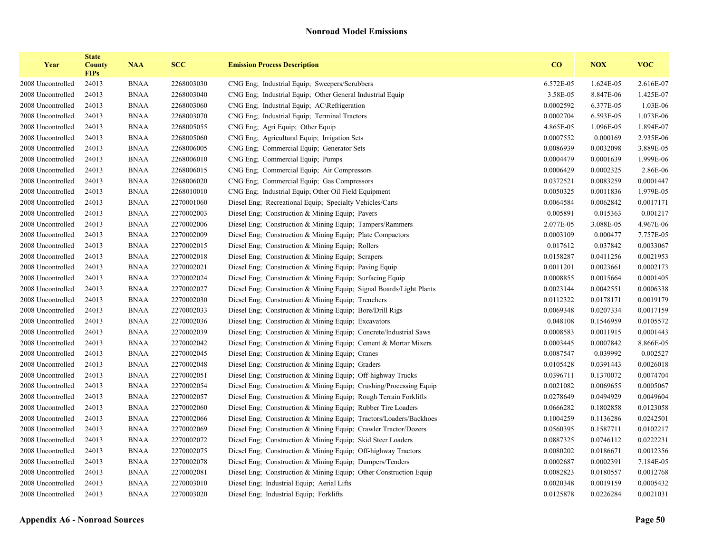| Year              | <b>State</b><br><b>County</b><br><b>FIPs</b> | <b>NAA</b>  | <b>SCC</b> | <b>Emission Process Description</b>                                 | CO        | <b>NOX</b> | <b>VOC</b> |
|-------------------|----------------------------------------------|-------------|------------|---------------------------------------------------------------------|-----------|------------|------------|
| 2008 Uncontrolled | 24013                                        | <b>BNAA</b> | 2268003030 | CNG Eng; Industrial Equip; Sweepers/Scrubbers                       | 6.572E-05 | 1.624E-05  | 2.616E-07  |
| 2008 Uncontrolled | 24013                                        | <b>BNAA</b> | 2268003040 | CNG Eng; Industrial Equip; Other General Industrial Equip           | 3.58E-05  | 8.847E-06  | 1.425E-07  |
| 2008 Uncontrolled | 24013                                        | <b>BNAA</b> | 2268003060 | CNG Eng; Industrial Equip; AC\Refrigeration                         | 0.0002592 | 6.377E-05  | 1.03E-06   |
| 2008 Uncontrolled | 24013                                        | <b>BNAA</b> | 2268003070 | CNG Eng; Industrial Equip; Terminal Tractors                        | 0.0002704 | 6.593E-05  | 1.073E-06  |
| 2008 Uncontrolled | 24013                                        | <b>BNAA</b> | 2268005055 | CNG Eng; Agri Equip; Other Equip                                    | 4.865E-05 | 1.096E-05  | 1.894E-07  |
| 2008 Uncontrolled | 24013                                        | <b>BNAA</b> | 2268005060 | CNG Eng; Agricultural Equip; Irrigation Sets                        | 0.0007552 | 0.000169   | 2.935E-06  |
| 2008 Uncontrolled | 24013                                        | <b>BNAA</b> | 2268006005 | CNG Eng; Commercial Equip; Generator Sets                           | 0.0086939 | 0.0032098  | 3.889E-05  |
| 2008 Uncontrolled | 24013                                        | <b>BNAA</b> | 2268006010 | CNG Eng; Commercial Equip; Pumps                                    | 0.0004479 | 0.0001639  | 1.999E-06  |
| 2008 Uncontrolled | 24013                                        | <b>BNAA</b> | 2268006015 | CNG Eng; Commercial Equip; Air Compressors                          | 0.0006429 | 0.0002325  | 2.86E-06   |
| 2008 Uncontrolled | 24013                                        | <b>BNAA</b> | 2268006020 | CNG Eng; Commercial Equip; Gas Compressors                          | 0.0372521 | 0.0083259  | 0.0001447  |
| 2008 Uncontrolled | 24013                                        | <b>BNAA</b> | 2268010010 | CNG Eng; Industrial Equip; Other Oil Field Equipment                | 0.0050325 | 0.0011836  | 1.979E-05  |
| 2008 Uncontrolled | 24013                                        | <b>BNAA</b> | 2270001060 | Diesel Eng; Recreational Equip; Specialty Vehicles/Carts            | 0.0064584 | 0.0062842  | 0.0017171  |
| 2008 Uncontrolled | 24013                                        | <b>BNAA</b> | 2270002003 | Diesel Eng; Construction & Mining Equip; Pavers                     | 0.005891  | 0.015363   | 0.001217   |
| 2008 Uncontrolled | 24013                                        | <b>BNAA</b> | 2270002006 | Diesel Eng; Construction & Mining Equip; Tampers/Rammers            | 2.077E-05 | 3.088E-05  | 4.967E-06  |
| 2008 Uncontrolled | 24013                                        | <b>BNAA</b> | 2270002009 | Diesel Eng; Construction & Mining Equip; Plate Compactors           | 0.0003109 | 0.000477   | 7.757E-05  |
| 2008 Uncontrolled | 24013                                        | <b>BNAA</b> | 2270002015 | Diesel Eng; Construction & Mining Equip; Rollers                    | 0.017612  | 0.037842   | 0.0033067  |
| 2008 Uncontrolled | 24013                                        | <b>BNAA</b> | 2270002018 | Diesel Eng; Construction & Mining Equip; Scrapers                   | 0.0158287 | 0.0411256  | 0.0021953  |
| 2008 Uncontrolled | 24013                                        | <b>BNAA</b> | 2270002021 | Diesel Eng; Construction & Mining Equip; Paving Equip               | 0.0011201 | 0.0023661  | 0.0002173  |
| 2008 Uncontrolled | 24013                                        | <b>BNAA</b> | 2270002024 | Diesel Eng; Construction & Mining Equip; Surfacing Equip            | 0.0008855 | 0.0015664  | 0.0001405  |
| 2008 Uncontrolled | 24013                                        | <b>BNAA</b> | 2270002027 | Diesel Eng; Construction & Mining Equip; Signal Boards/Light Plants | 0.0023144 | 0.0042551  | 0.0006338  |
| 2008 Uncontrolled | 24013                                        | <b>BNAA</b> | 2270002030 | Diesel Eng; Construction & Mining Equip; Trenchers                  | 0.0112322 | 0.0178171  | 0.0019179  |
| 2008 Uncontrolled | 24013                                        | <b>BNAA</b> | 2270002033 | Diesel Eng; Construction & Mining Equip; Bore/Drill Rigs            | 0.0069348 | 0.0207334  | 0.0017159  |
| 2008 Uncontrolled | 24013                                        | <b>BNAA</b> | 2270002036 | Diesel Eng; Construction & Mining Equip; Excavators                 | 0.048108  | 0.1546959  | 0.0105572  |
| 2008 Uncontrolled | 24013                                        | <b>BNAA</b> | 2270002039 | Diesel Eng; Construction & Mining Equip; Concrete/Industrial Saws   | 0.0008583 | 0.0011915  | 0.0001443  |
| 2008 Uncontrolled | 24013                                        | <b>BNAA</b> | 2270002042 | Diesel Eng; Construction & Mining Equip; Cement & Mortar Mixers     | 0.0003445 | 0.0007842  | 8.866E-05  |
| 2008 Uncontrolled | 24013                                        | <b>BNAA</b> | 2270002045 | Diesel Eng; Construction & Mining Equip; Cranes                     | 0.0087547 | 0.039992   | 0.002527   |
| 2008 Uncontrolled | 24013                                        | <b>BNAA</b> | 2270002048 | Diesel Eng; Construction & Mining Equip; Graders                    | 0.0105428 | 0.0391443  | 0.0026018  |
| 2008 Uncontrolled | 24013                                        | <b>BNAA</b> | 2270002051 | Diesel Eng; Construction & Mining Equip; Off-highway Trucks         | 0.0396711 | 0.1370072  | 0.0074704  |
| 2008 Uncontrolled | 24013                                        | <b>BNAA</b> | 2270002054 | Diesel Eng; Construction & Mining Equip; Crushing/Processing Equip  | 0.0021082 | 0.0069655  | 0.0005067  |
| 2008 Uncontrolled | 24013                                        | <b>BNAA</b> | 2270002057 | Diesel Eng; Construction & Mining Equip; Rough Terrain Forklifts    | 0.0278649 | 0.0494929  | 0.0049604  |
| 2008 Uncontrolled | 24013                                        | <b>BNAA</b> | 2270002060 | Diesel Eng; Construction & Mining Equip; Rubber Tire Loaders        | 0.0666282 | 0.1802858  | 0.0123058  |
| 2008 Uncontrolled | 24013                                        | <b>BNAA</b> | 2270002066 | Diesel Eng; Construction & Mining Equip; Tractors/Loaders/Backhoes  | 0.1004259 | 0.1136286  | 0.0242501  |
| 2008 Uncontrolled | 24013                                        | <b>BNAA</b> | 2270002069 | Diesel Eng; Construction & Mining Equip; Crawler Tractor/Dozers     | 0.0560395 | 0.1587711  | 0.0102217  |
| 2008 Uncontrolled | 24013                                        | <b>BNAA</b> | 2270002072 | Diesel Eng; Construction & Mining Equip; Skid Steer Loaders         | 0.0887325 | 0.0746112  | 0.0222231  |
| 2008 Uncontrolled | 24013                                        | <b>BNAA</b> | 2270002075 | Diesel Eng; Construction & Mining Equip; Off-highway Tractors       | 0.0080202 | 0.0186671  | 0.0012356  |
| 2008 Uncontrolled | 24013                                        | <b>BNAA</b> | 2270002078 | Diesel Eng; Construction & Mining Equip; Dumpers/Tenders            | 0.0002687 | 0.0002391  | 7.184E-05  |
| 2008 Uncontrolled | 24013                                        | <b>BNAA</b> | 2270002081 | Diesel Eng; Construction & Mining Equip; Other Construction Equip   | 0.0082823 | 0.0180557  | 0.0012768  |
| 2008 Uncontrolled | 24013                                        | <b>BNAA</b> | 2270003010 | Diesel Eng; Industrial Equip; Aerial Lifts                          | 0.0020348 | 0.0019159  | 0.0005432  |
| 2008 Uncontrolled | 24013                                        | <b>BNAA</b> | 2270003020 | Diesel Eng; Industrial Equip; Forklifts                             | 0.0125878 | 0.0226284  | 0.0021031  |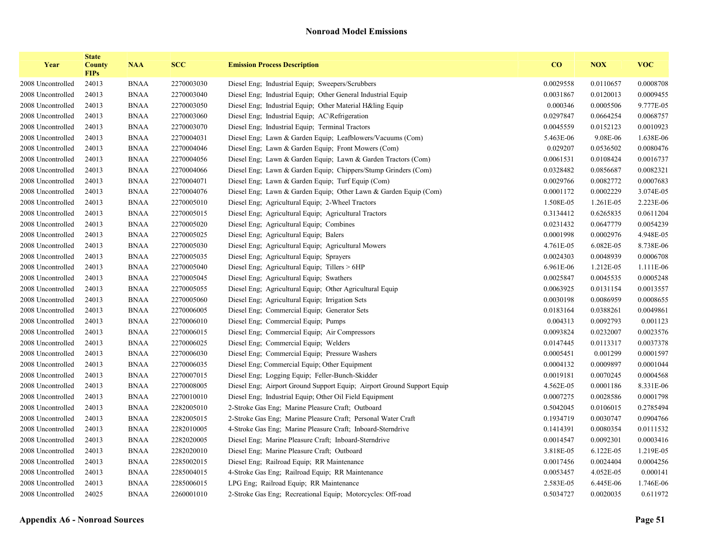| Year              | <b>State</b><br><b>County</b><br><b>FIPs</b> | <b>NAA</b>  | <b>SCC</b> | <b>Emission Process Description</b>                                    | CO        | <b>NOX</b> | <b>VOC</b> |
|-------------------|----------------------------------------------|-------------|------------|------------------------------------------------------------------------|-----------|------------|------------|
| 2008 Uncontrolled | 24013                                        | <b>BNAA</b> | 2270003030 | Diesel Eng; Industrial Equip; Sweepers/Scrubbers                       | 0.0029558 | 0.0110657  | 0.0008708  |
| 2008 Uncontrolled | 24013                                        | <b>BNAA</b> | 2270003040 | Diesel Eng; Industrial Equip; Other General Industrial Equip           | 0.0031867 | 0.0120013  | 0.0009455  |
| 2008 Uncontrolled | 24013                                        | <b>BNAA</b> | 2270003050 | Diesel Eng; Industrial Equip; Other Material H&ling Equip              | 0.000346  | 0.0005506  | 9.777E-05  |
| 2008 Uncontrolled | 24013                                        | <b>BNAA</b> | 2270003060 | Diesel Eng; Industrial Equip; AC\Refrigeration                         | 0.0297847 | 0.0664254  | 0.0068757  |
| 2008 Uncontrolled | 24013                                        | <b>BNAA</b> | 2270003070 | Diesel Eng; Industrial Equip; Terminal Tractors                        | 0.0045559 | 0.0152123  | 0.0010923  |
| 2008 Uncontrolled | 24013                                        | <b>BNAA</b> | 2270004031 | Diesel Eng; Lawn & Garden Equip; Leafblowers/Vacuums (Com)             | 5.463E-06 | 9.08E-06   | 1.638E-06  |
| 2008 Uncontrolled | 24013                                        | <b>BNAA</b> | 2270004046 | Diesel Eng; Lawn & Garden Equip; Front Mowers (Com)                    | 0.029207  | 0.0536502  | 0.0080476  |
| 2008 Uncontrolled | 24013                                        | <b>BNAA</b> | 2270004056 | Diesel Eng; Lawn & Garden Equip; Lawn & Garden Tractors (Com)          | 0.0061531 | 0.0108424  | 0.0016737  |
| 2008 Uncontrolled | 24013                                        | <b>BNAA</b> | 2270004066 | Diesel Eng; Lawn & Garden Equip; Chippers/Stump Grinders (Com)         | 0.0328482 | 0.0856687  | 0.0082321  |
| 2008 Uncontrolled | 24013                                        | <b>BNAA</b> | 2270004071 | Diesel Eng; Lawn & Garden Equip; Turf Equip (Com)                      | 0.0029766 | 0.0082772  | 0.0007683  |
| 2008 Uncontrolled | 24013                                        | <b>BNAA</b> | 2270004076 | Diesel Eng; Lawn & Garden Equip; Other Lawn & Garden Equip (Com)       | 0.0001172 | 0.0002229  | 3.074E-05  |
| 2008 Uncontrolled | 24013                                        | <b>BNAA</b> | 2270005010 | Diesel Eng; Agricultural Equip; 2-Wheel Tractors                       | 1.508E-05 | 1.261E-05  | 2.223E-06  |
| 2008 Uncontrolled | 24013                                        | <b>BNAA</b> | 2270005015 | Diesel Eng; Agricultural Equip; Agricultural Tractors                  | 0.3134412 | 0.6265835  | 0.0611204  |
| 2008 Uncontrolled | 24013                                        | <b>BNAA</b> | 2270005020 | Diesel Eng; Agricultural Equip; Combines                               | 0.0231432 | 0.0647779  | 0.0054239  |
| 2008 Uncontrolled | 24013                                        | <b>BNAA</b> | 2270005025 | Diesel Eng; Agricultural Equip; Balers                                 | 0.0001998 | 0.0002976  | 4.948E-05  |
| 2008 Uncontrolled | 24013                                        | <b>BNAA</b> | 2270005030 | Diesel Eng; Agricultural Equip; Agricultural Mowers                    | 4.761E-05 | 6.082E-05  | 8.738E-06  |
| 2008 Uncontrolled | 24013                                        | <b>BNAA</b> | 2270005035 | Diesel Eng; Agricultural Equip; Sprayers                               | 0.0024303 | 0.0048939  | 0.0006708  |
| 2008 Uncontrolled | 24013                                        | <b>BNAA</b> | 2270005040 | Diesel Eng; Agricultural Equip; Tillers > 6HP                          | 6.961E-06 | 1.212E-05  | 1.111E-06  |
| 2008 Uncontrolled | 24013                                        | <b>BNAA</b> | 2270005045 | Diesel Eng; Agricultural Equip; Swathers                               | 0.0025847 | 0.0045535  | 0.0005248  |
| 2008 Uncontrolled | 24013                                        | <b>BNAA</b> | 2270005055 | Diesel Eng. Agricultural Equip. Other Agricultural Equip               | 0.0063925 | 0.0131154  | 0.0013557  |
| 2008 Uncontrolled | 24013                                        | <b>BNAA</b> | 2270005060 | Diesel Eng; Agricultural Equip; Irrigation Sets                        | 0.0030198 | 0.0086959  | 0.0008655  |
| 2008 Uncontrolled | 24013                                        | <b>BNAA</b> | 2270006005 | Diesel Eng; Commercial Equip; Generator Sets                           | 0.0183164 | 0.0388261  | 0.0049861  |
| 2008 Uncontrolled | 24013                                        | <b>BNAA</b> | 2270006010 | Diesel Eng; Commercial Equip; Pumps                                    | 0.004313  | 0.0092793  | 0.001123   |
| 2008 Uncontrolled | 24013                                        | <b>BNAA</b> | 2270006015 | Diesel Eng; Commercial Equip; Air Compressors                          | 0.0093824 | 0.0232007  | 0.0023576  |
| 2008 Uncontrolled | 24013                                        | <b>BNAA</b> | 2270006025 | Diesel Eng; Commercial Equip; Welders                                  | 0.0147445 | 0.0113317  | 0.0037378  |
| 2008 Uncontrolled | 24013                                        | <b>BNAA</b> | 2270006030 | Diesel Eng; Commercial Equip; Pressure Washers                         | 0.0005451 | 0.001299   | 0.0001597  |
| 2008 Uncontrolled | 24013                                        | <b>BNAA</b> | 2270006035 | Diesel Eng; Commercial Equip; Other Equipment                          | 0.0004132 | 0.0009897  | 0.0001044  |
| 2008 Uncontrolled | 24013                                        | <b>BNAA</b> | 2270007015 | Diesel Eng; Logging Equip; Feller-Bunch-Skidder                        | 0.0019181 | 0.0070245  | 0.0004568  |
| 2008 Uncontrolled | 24013                                        | <b>BNAA</b> | 2270008005 | Diesel Eng; Airport Ground Support Equip; Airport Ground Support Equip | 4.562E-05 | 0.0001186  | 8.331E-06  |
| 2008 Uncontrolled | 24013                                        | <b>BNAA</b> | 2270010010 | Diesel Eng; Industrial Equip; Other Oil Field Equipment                | 0.0007275 | 0.0028586  | 0.0001798  |
| 2008 Uncontrolled | 24013                                        | <b>BNAA</b> | 2282005010 | 2-Stroke Gas Eng; Marine Pleasure Craft; Outboard                      | 0.5042045 | 0.0106015  | 0.2785494  |
| 2008 Uncontrolled | 24013                                        | <b>BNAA</b> | 2282005015 | 2-Stroke Gas Eng; Marine Pleasure Craft; Personal Water Craft          | 0.1934719 | 0.0030747  | 0.0904766  |
| 2008 Uncontrolled | 24013                                        | <b>BNAA</b> | 2282010005 | 4-Stroke Gas Eng; Marine Pleasure Craft; Inboard-Sterndrive            | 0.1414391 | 0.0080354  | 0.0111532  |
| 2008 Uncontrolled | 24013                                        | <b>BNAA</b> | 2282020005 | Diesel Eng; Marine Pleasure Craft; Inboard-Sterndrive                  | 0.0014547 | 0.0092301  | 0.0003416  |
| 2008 Uncontrolled | 24013                                        | <b>BNAA</b> | 2282020010 | Diesel Eng; Marine Pleasure Craft; Outboard                            | 3.818E-05 | 6.122E-05  | 1.219E-05  |
| 2008 Uncontrolled | 24013                                        | <b>BNAA</b> | 2285002015 | Diesel Eng; Railroad Equip; RR Maintenance                             | 0.0017456 | 0.0024404  | 0.0004256  |
| 2008 Uncontrolled | 24013                                        | <b>BNAA</b> | 2285004015 | 4-Stroke Gas Eng; Railroad Equip; RR Maintenance                       | 0.0053457 | 4.052E-05  | 0.000141   |
| 2008 Uncontrolled | 24013                                        | <b>BNAA</b> | 2285006015 | LPG Eng; Railroad Equip; RR Maintenance                                | 2.583E-05 | 6.445E-06  | 1.746E-06  |
| 2008 Uncontrolled | 24025                                        | <b>BNAA</b> | 2260001010 | 2-Stroke Gas Eng; Recreational Equip; Motorcycles: Off-road            | 0.5034727 | 0.0020035  | 0.611972   |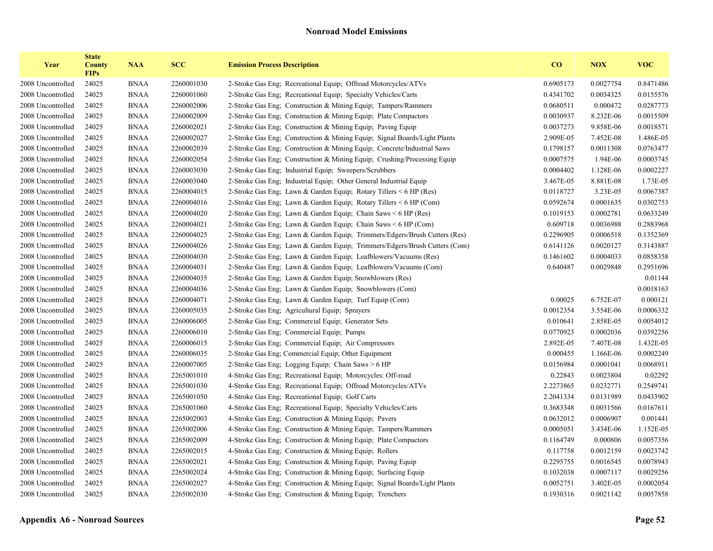| Year              | <b>State</b><br><b>County</b><br><b>FIPs</b> | <b>NAA</b>  | <b>SCC</b> | <b>Emission Process Description</b>                                        | CO        | <b>NOX</b> | <b>VOC</b> |
|-------------------|----------------------------------------------|-------------|------------|----------------------------------------------------------------------------|-----------|------------|------------|
| 2008 Uncontrolled | 24025                                        | <b>BNAA</b> | 2260001030 | 2-Stroke Gas Eng; Recreational Equip; Offroad Motorcycles/ATVs             | 0.6905173 | 0.0027754  | 0.8471486  |
| 2008 Uncontrolled | 24025                                        | <b>BNAA</b> | 2260001060 | 2-Stroke Gas Eng; Recreational Equip; Specialty Vehicles/Carts             | 0.4341702 | 0.0034325  | 0.0155576  |
| 2008 Uncontrolled | 24025                                        | <b>BNAA</b> | 2260002006 | 2-Stroke Gas Eng: Construction & Mining Equip: Tampers/Rammers             | 0.0680511 | 0.000472   | 0.0287773  |
| 2008 Uncontrolled | 24025                                        | <b>BNAA</b> | 2260002009 | 2-Stroke Gas Eng; Construction & Mining Equip; Plate Compactors            | 0.0030937 | 8.232E-06  | 0.0015509  |
| 2008 Uncontrolled | 24025                                        | <b>BNAA</b> | 2260002021 | 2-Stroke Gas Eng; Construction & Mining Equip; Paving Equip                | 0.0037273 | 9.858E-06  | 0.0018571  |
| 2008 Uncontrolled | 24025                                        | <b>BNAA</b> | 2260002027 | 2-Stroke Gas Eng; Construction & Mining Equip; Signal Boards/Light Plants  | 2.909E-05 | 7.452E-08  | 1.486E-05  |
| 2008 Uncontrolled | 24025                                        | <b>BNAA</b> | 2260002039 | 2-Stroke Gas Eng; Construction & Mining Equip; Concrete/Industrial Saws    | 0.1798157 | 0.0011308  | 0.0763477  |
| 2008 Uncontrolled | 24025                                        | <b>BNAA</b> | 2260002054 | 2-Stroke Gas Eng; Construction & Mining Equip; Crushing/Processing Equip   | 0.0007575 | 1.94E-06   | 0.0003745  |
| 2008 Uncontrolled | 24025                                        | <b>BNAA</b> | 2260003030 | 2-Stroke Gas Eng; Industrial Equip; Sweepers/Scrubbers                     | 0.0004402 | 1.128E-06  | 0.0002227  |
| 2008 Uncontrolled | 24025                                        | <b>BNAA</b> | 2260003040 | 2-Stroke Gas Eng; Industrial Equip; Other General Industrial Equip         | 3.467E-05 | 8.881E-08  | 1.73E-05   |
| 2008 Uncontrolled | 24025                                        | <b>BNAA</b> | 2260004015 | 2-Stroke Gas Eng; Lawn & Garden Equip; Rotary Tillers $\leq 6$ HP (Res)    | 0.0118727 | 3.23E-05   | 0.0067387  |
| 2008 Uncontrolled | 24025                                        | <b>BNAA</b> | 2260004016 | 2-Stroke Gas Eng; Lawn & Garden Equip; Rotary Tillers < 6 HP (Com)         | 0.0592674 | 0.0001635  | 0.0302753  |
| 2008 Uncontrolled | 24025                                        | <b>BNAA</b> | 2260004020 | 2-Stroke Gas Eng; Lawn & Garden Equip; Chain Saws $\leq 6$ HP (Res)        | 0.1019153 | 0.0002781  | 0.0633249  |
| 2008 Uncontrolled | 24025                                        | <b>BNAA</b> | 2260004021 | 2-Stroke Gas Eng; Lawn & Garden Equip; Chain Saws < 6 HP (Com)             | 0.609718  | 0.0036988  | 0.2883968  |
| 2008 Uncontrolled | 24025                                        | <b>BNAA</b> | 2260004025 | 2-Stroke Gas Eng; Lawn & Garden Equip; Trimmers/Edgers/Brush Cutters (Res) | 0.2296905 | 0.0006518  | 0.1352369  |
| 2008 Uncontrolled | 24025                                        | <b>BNAA</b> | 2260004026 | 2-Stroke Gas Eng; Lawn & Garden Equip; Trimmers/Edgers/Brush Cutters (Com) | 0.6141126 | 0.0020127  | 0.3143887  |
| 2008 Uncontrolled | 24025                                        | <b>BNAA</b> | 2260004030 | 2-Stroke Gas Eng; Lawn & Garden Equip; Leafblowers/Vacuums (Res)           | 0.1461602 | 0.0004033  | 0.0858358  |
| 2008 Uncontrolled | 24025                                        | <b>BNAA</b> | 2260004031 | 2-Stroke Gas Eng; Lawn & Garden Equip; Leafblowers/Vacuums (Com)           | 0.640487  | 0.0029848  | 0.2951696  |
| 2008 Uncontrolled | 24025                                        | <b>BNAA</b> | 2260004035 | 2-Stroke Gas Eng: Lawn & Garden Equip: Snowblowers (Res)                   |           |            | 0.01144    |
| 2008 Uncontrolled | 24025                                        | <b>BNAA</b> | 2260004036 | 2-Stroke Gas Eng; Lawn & Garden Equip; Snowblowers (Com)                   |           |            | 0.0018163  |
| 2008 Uncontrolled | 24025                                        | <b>BNAA</b> | 2260004071 | 2-Stroke Gas Eng; Lawn & Garden Equip; Turf Equip (Com)                    | 0.00025   | 6.752E-07  | 0.000121   |
| 2008 Uncontrolled | 24025                                        | <b>BNAA</b> | 2260005035 | 2-Stroke Gas Eng; Agricultural Equip; Sprayers                             | 0.0012354 | 3.554E-06  | 0.0006332  |
| 2008 Uncontrolled | 24025                                        | <b>BNAA</b> | 2260006005 | 2-Stroke Gas Eng; Commercial Equip; Generator Sets                         | 0.010641  | 2.858E-05  | 0.0054012  |
| 2008 Uncontrolled | 24025                                        | <b>BNAA</b> | 2260006010 | 2-Stroke Gas Eng; Commercial Equip; Pumps                                  | 0.0770923 | 0.0002036  | 0.0392256  |
| 2008 Uncontrolled | 24025                                        | <b>BNAA</b> | 2260006015 | 2-Stroke Gas Eng; Commercial Equip; Air Compressors                        | 2.892E-05 | 7.407E-08  | 1.432E-05  |
| 2008 Uncontrolled | 24025                                        | <b>BNAA</b> | 2260006035 | 2-Stroke Gas Eng; Commercial Equip; Other Equipment                        | 0.000455  | 1.166E-06  | 0.0002249  |
| 2008 Uncontrolled | 24025                                        | <b>BNAA</b> | 2260007005 | 2-Stroke Gas Eng; Logging Equip; Chain Saws > 6 HP                         | 0.0156984 | 0.0001041  | 0.0068911  |
| 2008 Uncontrolled | 24025                                        | <b>BNAA</b> | 2265001010 | 4-Stroke Gas Eng; Recreational Equip; Motorcycles: Off-road                | 0.22843   | 0.0023804  | 0.02292    |
| 2008 Uncontrolled | 24025                                        | <b>BNAA</b> | 2265001030 | 4-Stroke Gas Eng; Recreational Equip; Offroad Motorcycles/ATVs             | 2.2273865 | 0.0232771  | 0.2549741  |
| 2008 Uncontrolled | 24025                                        | <b>BNAA</b> | 2265001050 | 4-Stroke Gas Eng; Recreational Equip; Golf Carts                           | 2.2041334 | 0.0131989  | 0.0433902  |
| 2008 Uncontrolled | 24025                                        | <b>BNAA</b> | 2265001060 | 4-Stroke Gas Eng; Recreational Equip; Specialty Vehicles/Carts             | 0.3683348 | 0.0031566  | 0.0167611  |
| 2008 Uncontrolled | 24025                                        | <b>BNAA</b> | 2265002003 | 4-Stroke Gas Eng; Construction & Mining Equip; Pavers                      | 0.0632012 | 0.0006907  | 0.001441   |
| 2008 Uncontrolled | 24025                                        | <b>BNAA</b> | 2265002006 | 4-Stroke Gas Eng; Construction & Mining Equip; Tampers/Rammers             | 0.0005051 | 3.434E-06  | 1.152E-05  |
| 2008 Uncontrolled | 24025                                        | <b>BNAA</b> | 2265002009 | 4-Stroke Gas Eng; Construction & Mining Equip; Plate Compactors            | 0.1164749 | 0.000806   | 0.0057356  |
| 2008 Uncontrolled | 24025                                        | <b>BNAA</b> | 2265002015 | 4-Stroke Gas Eng; Construction & Mining Equip; Rollers                     | 0.117758  | 0.0012159  | 0.0023742  |
| 2008 Uncontrolled | 24025                                        | <b>BNAA</b> | 2265002021 | 4-Stroke Gas Eng; Construction & Mining Equip; Paving Equip                | 0.2295755 | 0.0016545  | 0.0078943  |
| 2008 Uncontrolled | 24025                                        | <b>BNAA</b> | 2265002024 | 4-Stroke Gas Eng; Construction & Mining Equip; Surfacing Equip             | 0.1032038 | 0.0007117  | 0.0029256  |
| 2008 Uncontrolled | 24025                                        | <b>BNAA</b> | 2265002027 | 4-Stroke Gas Eng; Construction & Mining Equip; Signal Boards/Light Plants  | 0.0052751 | 3.402E-05  | 0.0002054  |
| 2008 Uncontrolled | 24025                                        | <b>BNAA</b> | 2265002030 | 4-Stroke Gas Eng; Construction & Mining Equip; Trenchers                   | 0.1930316 | 0.0021142  | 0.0057858  |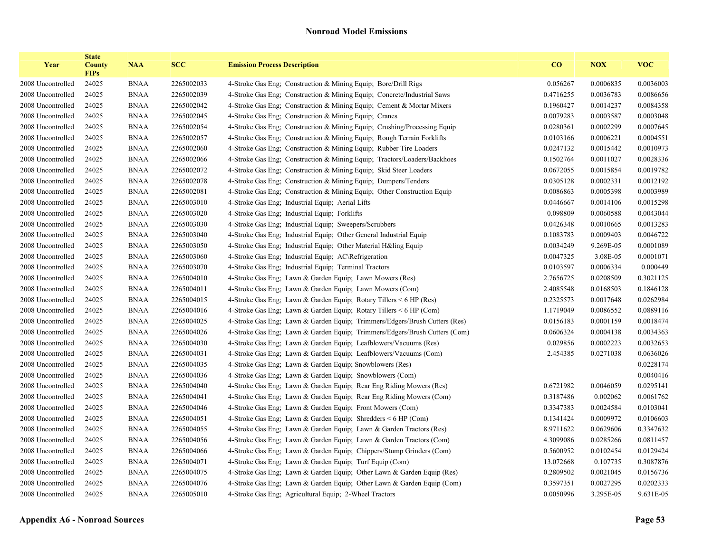| Year              | <b>State</b><br><b>County</b><br><b>FIPs</b> | <b>NAA</b>  | <b>SCC</b> | <b>Emission Process Description</b>                                        | CO        | <b>NOX</b> | <b>VOC</b> |
|-------------------|----------------------------------------------|-------------|------------|----------------------------------------------------------------------------|-----------|------------|------------|
| 2008 Uncontrolled | 24025                                        | <b>BNAA</b> | 2265002033 | 4-Stroke Gas Eng: Construction & Mining Equip: Bore/Drill Rigs             | 0.056267  | 0.0006835  | 0.0036003  |
| 2008 Uncontrolled | 24025                                        | <b>BNAA</b> | 2265002039 | 4-Stroke Gas Eng; Construction & Mining Equip; Concrete/Industrial Saws    | 0.4716255 | 0.0036783  | 0.0086656  |
| 2008 Uncontrolled | 24025                                        | <b>BNAA</b> | 2265002042 | 4-Stroke Gas Eng: Construction & Mining Equip: Cement & Mortar Mixers      | 0.1960427 | 0.0014237  | 0.0084358  |
| 2008 Uncontrolled | 24025                                        | <b>BNAA</b> | 2265002045 | 4-Stroke Gas Eng; Construction & Mining Equip; Cranes                      | 0.0079283 | 0.0003587  | 0.0003048  |
| 2008 Uncontrolled | 24025                                        | <b>BNAA</b> | 2265002054 | 4-Stroke Gas Eng. Construction & Mining Equip. Crushing/Processing Equip   | 0.0280361 | 0.0002299  | 0.0007645  |
| 2008 Uncontrolled | 24025                                        | <b>BNAA</b> | 2265002057 | 4-Stroke Gas Eng: Construction & Mining Equip: Rough Terrain Forklifts     | 0.0103166 | 0.0006221  | 0.0004551  |
| 2008 Uncontrolled | 24025                                        | <b>BNAA</b> | 2265002060 | 4-Stroke Gas Eng; Construction & Mining Equip; Rubber Tire Loaders         | 0.0247132 | 0.0015442  | 0.0010973  |
| 2008 Uncontrolled | 24025                                        | <b>BNAA</b> | 2265002066 | 4-Stroke Gas Eng; Construction & Mining Equip; Tractors/Loaders/Backhoes   | 0.1502764 | 0.0011027  | 0.0028336  |
| 2008 Uncontrolled | 24025                                        | <b>BNAA</b> | 2265002072 | 4-Stroke Gas Eng; Construction & Mining Equip; Skid Steer Loaders          | 0.0672055 | 0.0015854  | 0.0019782  |
| 2008 Uncontrolled | 24025                                        | <b>BNAA</b> | 2265002078 | 4-Stroke Gas Eng; Construction & Mining Equip; Dumpers/Tenders             | 0.0305128 | 0.0002331  | 0.0012192  |
| 2008 Uncontrolled | 24025                                        | <b>BNAA</b> | 2265002081 | 4-Stroke Gas Eng; Construction & Mining Equip; Other Construction Equip    | 0.0086863 | 0.0005398  | 0.0003989  |
| 2008 Uncontrolled | 24025                                        | <b>BNAA</b> | 2265003010 | 4-Stroke Gas Eng; Industrial Equip; Aerial Lifts                           | 0.0446667 | 0.0014106  | 0.0015298  |
| 2008 Uncontrolled | 24025                                        | <b>BNAA</b> | 2265003020 | 4-Stroke Gas Eng; Industrial Equip; Forklifts                              | 0.098809  | 0.0060588  | 0.0043044  |
| 2008 Uncontrolled | 24025                                        | <b>BNAA</b> | 2265003030 | 4-Stroke Gas Eng; Industrial Equip; Sweepers/Scrubbers                     | 0.0426348 | 0.0010665  | 0.0013283  |
| 2008 Uncontrolled | 24025                                        | <b>BNAA</b> | 2265003040 | 4-Stroke Gas Eng; Industrial Equip; Other General Industrial Equip         | 0.1083783 | 0.0009403  | 0.0046722  |
| 2008 Uncontrolled | 24025                                        | <b>BNAA</b> | 2265003050 | 4-Stroke Gas Eng; Industrial Equip; Other Material H&ling Equip            | 0.0034249 | 9.269E-05  | 0.0001089  |
| 2008 Uncontrolled | 24025                                        | <b>BNAA</b> | 2265003060 | 4-Stroke Gas Eng; Industrial Equip; AC\Refrigeration                       | 0.0047325 | 3.08E-05   | 0.0001071  |
| 2008 Uncontrolled | 24025                                        | <b>BNAA</b> | 2265003070 | 4-Stroke Gas Eng; Industrial Equip; Terminal Tractors                      | 0.0103597 | 0.0006334  | 0.000449   |
| 2008 Uncontrolled | 24025                                        | <b>BNAA</b> | 2265004010 | 4-Stroke Gas Eng; Lawn & Garden Equip; Lawn Mowers (Res)                   | 2.7656725 | 0.0208509  | 0.3021125  |
| 2008 Uncontrolled | 24025                                        | <b>BNAA</b> | 2265004011 | 4-Stroke Gas Eng; Lawn & Garden Equip; Lawn Mowers (Com)                   | 2.4085548 | 0.0168503  | 0.1846128  |
| 2008 Uncontrolled | 24025                                        | <b>BNAA</b> | 2265004015 | 4-Stroke Gas Eng; Lawn & Garden Equip; Rotary Tillers < 6 HP (Res)         | 0.2325573 | 0.0017648  | 0.0262984  |
| 2008 Uncontrolled | 24025                                        | <b>BNAA</b> | 2265004016 | 4-Stroke Gas Eng; Lawn & Garden Equip; Rotary Tillers < 6 HP (Com)         | 1.1719049 | 0.0086552  | 0.0889116  |
| 2008 Uncontrolled | 24025                                        | <b>BNAA</b> | 2265004025 | 4-Stroke Gas Eng; Lawn & Garden Equip; Trimmers/Edgers/Brush Cutters (Res) | 0.0156183 | 0.0001159  | 0.0018474  |
| 2008 Uncontrolled | 24025                                        | <b>BNAA</b> | 2265004026 | 4-Stroke Gas Eng; Lawn & Garden Equip; Trimmers/Edgers/Brush Cutters (Com) | 0.0606324 | 0.0004138  | 0.0034363  |
| 2008 Uncontrolled | 24025                                        | <b>BNAA</b> | 2265004030 | 4-Stroke Gas Eng; Lawn & Garden Equip; Leafblowers/Vacuums (Res)           | 0.029856  | 0.0002223  | 0.0032653  |
| 2008 Uncontrolled | 24025                                        | <b>BNAA</b> | 2265004031 | 4-Stroke Gas Eng; Lawn & Garden Equip; Leafblowers/Vacuums (Com)           | 2.454385  | 0.0271038  | 0.0636026  |
| 2008 Uncontrolled | 24025                                        | <b>BNAA</b> | 2265004035 | 4-Stroke Gas Eng: Lawn & Garden Equip: Snowblowers (Res)                   |           |            | 0.0228174  |
| 2008 Uncontrolled | 24025                                        | <b>BNAA</b> | 2265004036 | 4-Stroke Gas Eng; Lawn & Garden Equip; Snowblowers (Com)                   |           |            | 0.0040416  |
| 2008 Uncontrolled | 24025                                        | <b>BNAA</b> | 2265004040 | 4-Stroke Gas Eng; Lawn & Garden Equip; Rear Eng Riding Mowers (Res)        | 0.6721982 | 0.0046059  | 0.0295141  |
| 2008 Uncontrolled | 24025                                        | <b>BNAA</b> | 2265004041 | 4-Stroke Gas Eng; Lawn & Garden Equip; Rear Eng Riding Mowers (Com)        | 0.3187486 | 0.002062   | 0.0061762  |
| 2008 Uncontrolled | 24025                                        | <b>BNAA</b> | 2265004046 | 4-Stroke Gas Eng; Lawn & Garden Equip; Front Mowers (Com)                  | 0.3347383 | 0.0024584  | 0.0103041  |
| 2008 Uncontrolled | 24025                                        | <b>BNAA</b> | 2265004051 | 4-Stroke Gas Eng; Lawn & Garden Equip; Shredders < 6 HP (Com)              | 0.1341424 | 0.0009972  | 0.0106603  |
| 2008 Uncontrolled | 24025                                        | <b>BNAA</b> | 2265004055 | 4-Stroke Gas Eng; Lawn & Garden Equip; Lawn & Garden Tractors (Res)        | 8.9711622 | 0.0629606  | 0.3347632  |
| 2008 Uncontrolled | 24025                                        | <b>BNAA</b> | 2265004056 | 4-Stroke Gas Eng; Lawn & Garden Equip; Lawn & Garden Tractors (Com)        | 4.3099086 | 0.0285266  | 0.0811457  |
| 2008 Uncontrolled | 24025                                        | <b>BNAA</b> | 2265004066 | 4-Stroke Gas Eng; Lawn & Garden Equip; Chippers/Stump Grinders (Com)       | 0.5600952 | 0.0102454  | 0.0129424  |
| 2008 Uncontrolled | 24025                                        | <b>BNAA</b> | 2265004071 | 4-Stroke Gas Eng; Lawn & Garden Equip; Turf Equip (Com)                    | 13.072668 | 0.107735   | 0.3087876  |
| 2008 Uncontrolled | 24025                                        | <b>BNAA</b> | 2265004075 | 4-Stroke Gas Eng; Lawn & Garden Equip; Other Lawn & Garden Equip (Res)     | 0.2809502 | 0.0021045  | 0.0156736  |
| 2008 Uncontrolled | 24025                                        | <b>BNAA</b> | 2265004076 | 4-Stroke Gas Eng; Lawn & Garden Equip; Other Lawn & Garden Equip (Com)     | 0.3597351 | 0.0027295  | 0.0202333  |
| 2008 Uncontrolled | 24025                                        | <b>BNAA</b> | 2265005010 | 4-Stroke Gas Eng; Agricultural Equip; 2-Wheel Tractors                     | 0.0050996 | 3.295E-05  | 9.631E-05  |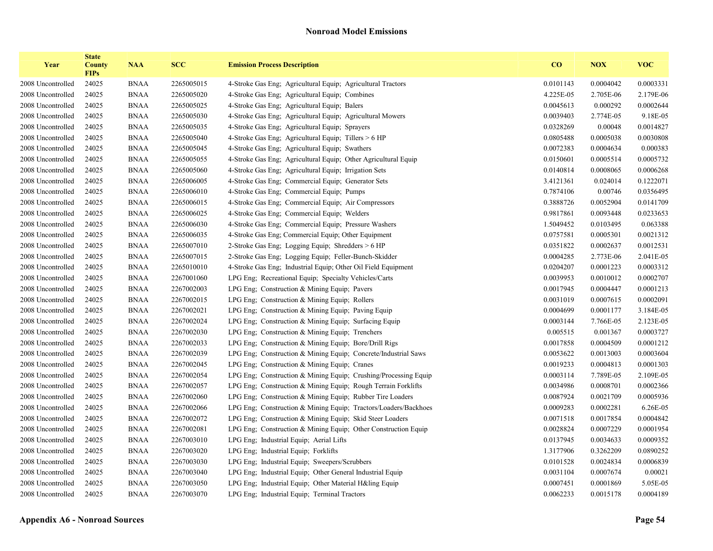| Year              | <b>State</b><br><b>County</b><br><b>FIPs</b> | <b>NAA</b>  | <b>SCC</b> | <b>Emission Process Description</b>                             | CO        | <b>NOX</b> | <b>VOC</b> |
|-------------------|----------------------------------------------|-------------|------------|-----------------------------------------------------------------|-----------|------------|------------|
| 2008 Uncontrolled | 24025                                        | <b>BNAA</b> | 2265005015 | 4-Stroke Gas Eng; Agricultural Equip; Agricultural Tractors     | 0.0101143 | 0.0004042  | 0.0003331  |
| 2008 Uncontrolled | 24025                                        | <b>BNAA</b> | 2265005020 | 4-Stroke Gas Eng; Agricultural Equip; Combines                  | 4.225E-05 | 2.705E-06  | 2.179E-06  |
| 2008 Uncontrolled | 24025                                        | <b>BNAA</b> | 2265005025 | 4-Stroke Gas Eng; Agricultural Equip; Balers                    | 0.0045613 | 0.000292   | 0.0002644  |
| 2008 Uncontrolled | 24025                                        | <b>BNAA</b> | 2265005030 | 4-Stroke Gas Eng; Agricultural Equip; Agricultural Mowers       | 0.0039403 | 2.774E-05  | 9.18E-05   |
| 2008 Uncontrolled | 24025                                        | <b>BNAA</b> | 2265005035 | 4-Stroke Gas Eng; Agricultural Equip; Sprayers                  | 0.0328269 | 0.00048    | 0.0014827  |
| 2008 Uncontrolled | 24025                                        | <b>BNAA</b> | 2265005040 | 4-Stroke Gas Eng; Agricultural Equip; Tillers > 6 HP            | 0.0805488 | 0.0005038  | 0.0030808  |
| 2008 Uncontrolled | 24025                                        | <b>BNAA</b> | 2265005045 | 4-Stroke Gas Eng; Agricultural Equip; Swathers                  | 0.0072383 | 0.0004634  | 0.000383   |
| 2008 Uncontrolled | 24025                                        | <b>BNAA</b> | 2265005055 | 4-Stroke Gas Eng; Agricultural Equip; Other Agricultural Equip  | 0.0150601 | 0.0005514  | 0.0005732  |
| 2008 Uncontrolled | 24025                                        | <b>BNAA</b> | 2265005060 | 4-Stroke Gas Eng; Agricultural Equip; Irrigation Sets           | 0.0140814 | 0.0008065  | 0.0006268  |
| 2008 Uncontrolled | 24025                                        | <b>BNAA</b> | 2265006005 | 4-Stroke Gas Eng; Commercial Equip; Generator Sets              | 3.4121361 | 0.024014   | 0.1222071  |
| 2008 Uncontrolled | 24025                                        | <b>BNAA</b> | 2265006010 | 4-Stroke Gas Eng; Commercial Equip; Pumps                       | 0.7874106 | 0.00746    | 0.0356495  |
| 2008 Uncontrolled | 24025                                        | <b>BNAA</b> | 2265006015 | 4-Stroke Gas Eng; Commercial Equip; Air Compressors             | 0.3888726 | 0.0052904  | 0.0141709  |
| 2008 Uncontrolled | 24025                                        | <b>BNAA</b> | 2265006025 | 4-Stroke Gas Eng; Commercial Equip; Welders                     | 0.9817861 | 0.0093448  | 0.0233653  |
| 2008 Uncontrolled | 24025                                        | <b>BNAA</b> | 2265006030 | 4-Stroke Gas Eng; Commercial Equip; Pressure Washers            | 1.5049452 | 0.0103495  | 0.063388   |
| 2008 Uncontrolled | 24025                                        | <b>BNAA</b> | 2265006035 | 4-Stroke Gas Eng; Commercial Equip; Other Equipment             | 0.0757581 | 0.0005301  | 0.0021312  |
| 2008 Uncontrolled | 24025                                        | <b>BNAA</b> | 2265007010 | 2-Stroke Gas Eng; Logging Equip; Shredders > 6 HP               | 0.0351822 | 0.0002637  | 0.0012531  |
| 2008 Uncontrolled | 24025                                        | <b>BNAA</b> | 2265007015 | 2-Stroke Gas Eng; Logging Equip; Feller-Bunch-Skidder           | 0.0004285 | 2.773E-06  | 2.041E-05  |
| 2008 Uncontrolled | 24025                                        | <b>BNAA</b> | 2265010010 | 4-Stroke Gas Eng; Industrial Equip; Other Oil Field Equipment   | 0.0204207 | 0.0001223  | 0.0003312  |
| 2008 Uncontrolled | 24025                                        | <b>BNAA</b> | 2267001060 | LPG Eng; Recreational Equip; Specialty Vehicles/Carts           | 0.0039953 | 0.0010012  | 0.0002707  |
| 2008 Uncontrolled | 24025                                        | <b>BNAA</b> | 2267002003 | LPG Eng; Construction & Mining Equip; Pavers                    | 0.0017945 | 0.0004447  | 0.0001213  |
| 2008 Uncontrolled | 24025                                        | <b>BNAA</b> | 2267002015 | LPG Eng; Construction & Mining Equip; Rollers                   | 0.0031019 | 0.0007615  | 0.0002091  |
| 2008 Uncontrolled | 24025                                        | <b>BNAA</b> | 2267002021 | LPG Eng; Construction & Mining Equip; Paving Equip              | 0.0004699 | 0.0001177  | 3.184E-05  |
| 2008 Uncontrolled | 24025                                        | <b>BNAA</b> | 2267002024 | LPG Eng; Construction & Mining Equip; Surfacing Equip           | 0.0003144 | 7.766E-05  | 2.123E-05  |
| 2008 Uncontrolled | 24025                                        | <b>BNAA</b> | 2267002030 | LPG Eng; Construction & Mining Equip; Trenchers                 | 0.005515  | 0.001367   | 0.0003727  |
| 2008 Uncontrolled | 24025                                        | <b>BNAA</b> | 2267002033 | LPG Eng; Construction & Mining Equip; Bore/Drill Rigs           | 0.0017858 | 0.0004509  | 0.0001212  |
| 2008 Uncontrolled | 24025                                        | <b>BNAA</b> | 2267002039 | LPG Eng; Construction & Mining Equip; Concrete/Industrial Saws  | 0.0053622 | 0.0013003  | 0.0003604  |
| 2008 Uncontrolled | 24025                                        | <b>BNAA</b> | 2267002045 | LPG Eng; Construction & Mining Equip; Cranes                    | 0.0019233 | 0.0004813  | 0.0001303  |
| 2008 Uncontrolled | 24025                                        | <b>BNAA</b> | 2267002054 | LPG Eng; Construction & Mining Equip; Crushing/Processing Equip | 0.0003114 | 7.789E-05  | 2.109E-05  |
| 2008 Uncontrolled | 24025                                        | <b>BNAA</b> | 2267002057 | LPG Eng; Construction & Mining Equip; Rough Terrain Forklifts   | 0.0034986 | 0.0008701  | 0.0002366  |
| 2008 Uncontrolled | 24025                                        | <b>BNAA</b> | 2267002060 | LPG Eng; Construction & Mining Equip; Rubber Tire Loaders       | 0.0087924 | 0.0021709  | 0.0005936  |
| 2008 Uncontrolled | 24025                                        | <b>BNAA</b> | 2267002066 | LPG Eng; Construction & Mining Equip; Tractors/Loaders/Backhoes | 0.0009283 | 0.0002281  | 6.26E-05   |
| 2008 Uncontrolled | 24025                                        | <b>BNAA</b> | 2267002072 | LPG Eng; Construction & Mining Equip; Skid Steer Loaders        | 0.0071518 | 0.0017854  | 0.0004842  |
| 2008 Uncontrolled | 24025                                        | <b>BNAA</b> | 2267002081 | LPG Eng; Construction & Mining Equip; Other Construction Equip  | 0.0028824 | 0.0007229  | 0.0001954  |
| 2008 Uncontrolled | 24025                                        | <b>BNAA</b> | 2267003010 | LPG Eng; Industrial Equip; Aerial Lifts                         | 0.0137945 | 0.0034633  | 0.0009352  |
| 2008 Uncontrolled | 24025                                        | <b>BNAA</b> | 2267003020 | LPG Eng; Industrial Equip; Forklifts                            | 1.3177906 | 0.3262209  | 0.0890252  |
| 2008 Uncontrolled | 24025                                        | <b>BNAA</b> | 2267003030 | LPG Eng; Industrial Equip; Sweepers/Scrubbers                   | 0.0101528 | 0.0024834  | 0.0006839  |
| 2008 Uncontrolled | 24025                                        | <b>BNAA</b> | 2267003040 | LPG Eng; Industrial Equip; Other General Industrial Equip       | 0.0031104 | 0.0007674  | 0.00021    |
| 2008 Uncontrolled | 24025                                        | <b>BNAA</b> | 2267003050 | LPG Eng; Industrial Equip; Other Material H&ling Equip          | 0.0007451 | 0.0001869  | 5.05E-05   |
| 2008 Uncontrolled | 24025                                        | <b>BNAA</b> | 2267003070 | LPG Eng; Industrial Equip; Terminal Tractors                    | 0.0062233 | 0.0015178  | 0.0004189  |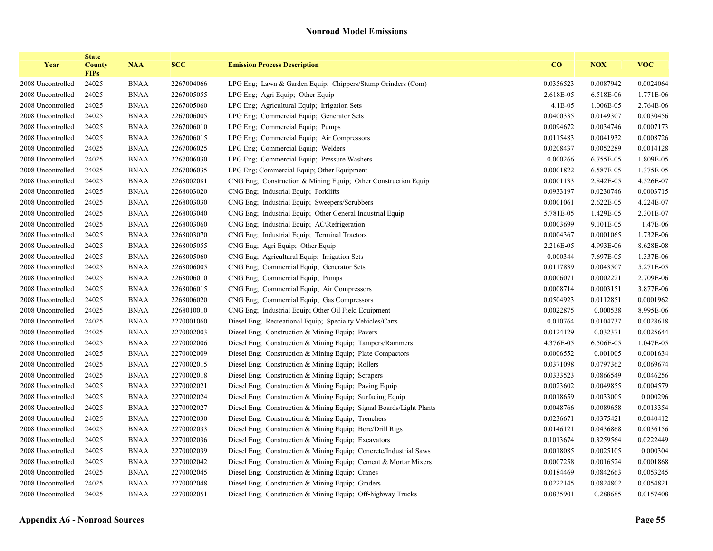| Year              | <b>State</b><br><b>County</b><br><b>FIPs</b> | <b>NAA</b>  | <b>SCC</b> | <b>Emission Process Description</b>                                 | CO        | <b>NOX</b> | <b>VOC</b> |
|-------------------|----------------------------------------------|-------------|------------|---------------------------------------------------------------------|-----------|------------|------------|
| 2008 Uncontrolled | 24025                                        | <b>BNAA</b> | 2267004066 | LPG Eng; Lawn & Garden Equip; Chippers/Stump Grinders (Com)         | 0.0356523 | 0.0087942  | 0.0024064  |
| 2008 Uncontrolled | 24025                                        | <b>BNAA</b> | 2267005055 | LPG Eng: Agri Equip: Other Equip                                    | 2.618E-05 | 6.518E-06  | 1.771E-06  |
| 2008 Uncontrolled | 24025                                        | <b>BNAA</b> | 2267005060 | LPG Eng; Agricultural Equip; Irrigation Sets                        | $4.1E-05$ | 1.006E-05  | 2.764E-06  |
| 2008 Uncontrolled | 24025                                        | <b>BNAA</b> | 2267006005 | LPG Eng: Commercial Equip: Generator Sets                           | 0.0400335 | 0.0149307  | 0.0030456  |
| 2008 Uncontrolled | 24025                                        | <b>BNAA</b> | 2267006010 | LPG Eng; Commercial Equip; Pumps                                    | 0.0094672 | 0.0034746  | 0.0007173  |
| 2008 Uncontrolled | 24025                                        | <b>BNAA</b> | 2267006015 | LPG Eng: Commercial Equip: Air Compressors                          | 0.0115483 | 0.0041932  | 0.0008726  |
| 2008 Uncontrolled | 24025                                        | <b>BNAA</b> | 2267006025 | LPG Eng; Commercial Equip; Welders                                  | 0.0208437 | 0.0052289  | 0.0014128  |
| 2008 Uncontrolled | 24025                                        | <b>BNAA</b> | 2267006030 | LPG Eng; Commercial Equip; Pressure Washers                         | 0.000266  | 6.755E-05  | 1.809E-05  |
| 2008 Uncontrolled | 24025                                        | <b>BNAA</b> | 2267006035 | LPG Eng; Commercial Equip; Other Equipment                          | 0.0001822 | 6.587E-05  | 1.375E-05  |
| 2008 Uncontrolled | 24025                                        | <b>BNAA</b> | 2268002081 | CNG Eng; Construction & Mining Equip; Other Construction Equip      | 0.0001133 | 2.842E-05  | 4.526E-07  |
| 2008 Uncontrolled | 24025                                        | <b>BNAA</b> | 2268003020 | CNG Eng; Industrial Equip; Forklifts                                | 0.0933197 | 0.0230746  | 0.0003715  |
| 2008 Uncontrolled | 24025                                        | <b>BNAA</b> | 2268003030 | CNG Eng; Industrial Equip; Sweepers/Scrubbers                       | 0.0001061 | 2.622E-05  | 4.224E-07  |
| 2008 Uncontrolled | 24025                                        | <b>BNAA</b> | 2268003040 | CNG Eng; Industrial Equip; Other General Industrial Equip           | 5.781E-05 | 1.429E-05  | 2.301E-07  |
| 2008 Uncontrolled | 24025                                        | <b>BNAA</b> | 2268003060 | CNG Eng; Industrial Equip; AC\Refrigeration                         | 0.0003699 | 9.101E-05  | 1.47E-06   |
| 2008 Uncontrolled | 24025                                        | <b>BNAA</b> | 2268003070 | CNG Eng; Industrial Equip; Terminal Tractors                        | 0.0004367 | 0.0001065  | 1.732E-06  |
| 2008 Uncontrolled | 24025                                        | <b>BNAA</b> | 2268005055 | CNG Eng; Agri Equip; Other Equip                                    | 2.216E-05 | 4.993E-06  | 8.628E-08  |
| 2008 Uncontrolled | 24025                                        | <b>BNAA</b> | 2268005060 | CNG Eng; Agricultural Equip; Irrigation Sets                        | 0.000344  | 7.697E-05  | 1.337E-06  |
| 2008 Uncontrolled | 24025                                        | <b>BNAA</b> | 2268006005 | CNG Eng; Commercial Equip; Generator Sets                           | 0.0117839 | 0.0043507  | 5.271E-05  |
| 2008 Uncontrolled | 24025                                        | <b>BNAA</b> | 2268006010 | CNG Eng; Commercial Equip; Pumps                                    | 0.0006071 | 0.0002221  | 2.709E-06  |
| 2008 Uncontrolled | 24025                                        | <b>BNAA</b> | 2268006015 | CNG Eng; Commercial Equip; Air Compressors                          | 0.0008714 | 0.0003151  | 3.877E-06  |
| 2008 Uncontrolled | 24025                                        | <b>BNAA</b> | 2268006020 | CNG Eng; Commercial Equip; Gas Compressors                          | 0.0504923 | 0.0112851  | 0.0001962  |
| 2008 Uncontrolled | 24025                                        | <b>BNAA</b> | 2268010010 | CNG Eng, Industrial Equip; Other Oil Field Equipment                | 0.0022875 | 0.000538   | 8.995E-06  |
| 2008 Uncontrolled | 24025                                        | <b>BNAA</b> | 2270001060 | Diesel Eng; Recreational Equip; Specialty Vehicles/Carts            | 0.010764  | 0.0104737  | 0.0028618  |
| 2008 Uncontrolled | 24025                                        | <b>BNAA</b> | 2270002003 | Diesel Eng; Construction & Mining Equip; Pavers                     | 0.0124129 | 0.032371   | 0.0025644  |
| 2008 Uncontrolled | 24025                                        | <b>BNAA</b> | 2270002006 | Diesel Eng; Construction & Mining Equip; Tampers/Rammers            | 4.376E-05 | 6.506E-05  | 1.047E-05  |
| 2008 Uncontrolled | 24025                                        | <b>BNAA</b> | 2270002009 | Diesel Eng; Construction & Mining Equip; Plate Compactors           | 0.0006552 | 0.001005   | 0.0001634  |
| 2008 Uncontrolled | 24025                                        | <b>BNAA</b> | 2270002015 | Diesel Eng; Construction $\&$ Mining Equip; Rollers                 | 0.0371098 | 0.0797362  | 0.0069674  |
| 2008 Uncontrolled | 24025                                        | <b>BNAA</b> | 2270002018 | Diesel Eng; Construction & Mining Equip; Scrapers                   | 0.0333523 | 0.0866549  | 0.0046256  |
| 2008 Uncontrolled | 24025                                        | <b>BNAA</b> | 2270002021 | Diesel Eng; Construction & Mining Equip; Paving Equip               | 0.0023602 | 0.0049855  | 0.0004579  |
| 2008 Uncontrolled | 24025                                        | <b>BNAA</b> | 2270002024 | Diesel Eng: Construction & Mining Equip: Surfacing Equip            | 0.0018659 | 0.0033005  | 0.000296   |
| 2008 Uncontrolled | 24025                                        | <b>BNAA</b> | 2270002027 | Diesel Eng; Construction & Mining Equip; Signal Boards/Light Plants | 0.0048766 | 0.0089658  | 0.0013354  |
| 2008 Uncontrolled | 24025                                        | <b>BNAA</b> | 2270002030 | Diesel Eng; Construction $&$ Mining Equip; Trenchers                | 0.0236671 | 0.0375421  | 0.0040412  |
| 2008 Uncontrolled | 24025                                        | <b>BNAA</b> | 2270002033 | Diesel Eng; Construction & Mining Equip; Bore/Drill Rigs            | 0.0146121 | 0.0436868  | 0.0036156  |
| 2008 Uncontrolled | 24025                                        | <b>BNAA</b> | 2270002036 | Diesel Eng; Construction & Mining Equip; Excavators                 | 0.1013674 | 0.3259564  | 0.0222449  |
| 2008 Uncontrolled | 24025                                        | <b>BNAA</b> | 2270002039 | Diesel Eng; Construction & Mining Equip; Concrete/Industrial Saws   | 0.0018085 | 0.0025105  | 0.000304   |
| 2008 Uncontrolled | 24025                                        | <b>BNAA</b> | 2270002042 | Diesel Eng; Construction & Mining Equip; Cement & Mortar Mixers     | 0.0007258 | 0.0016524  | 0.0001868  |
| 2008 Uncontrolled | 24025                                        | <b>BNAA</b> | 2270002045 | Diesel Eng; Construction & Mining Equip; Cranes                     | 0.0184469 | 0.0842663  | 0.0053245  |
| 2008 Uncontrolled | 24025                                        | <b>BNAA</b> | 2270002048 | Diesel Eng; Construction & Mining Equip; Graders                    | 0.0222145 | 0.0824802  | 0.0054821  |
| 2008 Uncontrolled | 24025                                        | <b>BNAA</b> | 2270002051 | Diesel Eng; Construction & Mining Equip; Off-highway Trucks         | 0.0835901 | 0.288685   | 0.0157408  |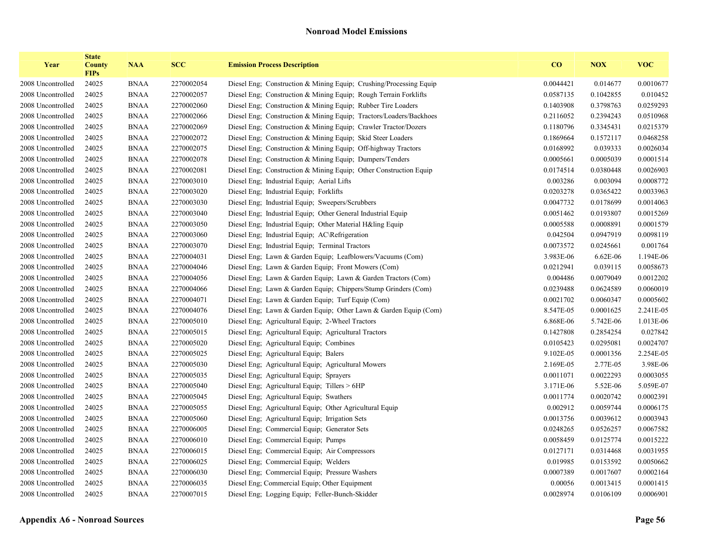| Year              | <b>State</b><br><b>County</b><br><b>FIPs</b> | <b>NAA</b>  | <b>SCC</b> | <b>Emission Process Description</b>                                 | CO        | <b>NOX</b> | <b>VOC</b> |
|-------------------|----------------------------------------------|-------------|------------|---------------------------------------------------------------------|-----------|------------|------------|
| 2008 Uncontrolled | 24025                                        | <b>BNAA</b> | 2270002054 | Diesel Eng. Construction & Mining Equip. Crushing/Processing Equip. | 0.0044421 | 0.014677   | 0.0010677  |
| 2008 Uncontrolled | 24025                                        | <b>BNAA</b> | 2270002057 | Diesel Eng; Construction & Mining Equip; Rough Terrain Forklifts    | 0.0587135 | 0.1042855  | 0.010452   |
| 2008 Uncontrolled | 24025                                        | <b>BNAA</b> | 2270002060 | Diesel Eng. Construction & Mining Equip: Rubber Tire Loaders        | 0.1403908 | 0.3798763  | 0.0259293  |
| 2008 Uncontrolled | 24025                                        | <b>BNAA</b> | 2270002066 | Diesel Eng; Construction & Mining Equip; Tractors/Loaders/Backhoes  | 0.2116052 | 0.2394243  | 0.0510968  |
| 2008 Uncontrolled | 24025                                        | <b>BNAA</b> | 2270002069 | Diesel Eng; Construction & Mining Equip; Crawler Tractor/Dozers     | 0.1180796 | 0.3345431  | 0.0215379  |
| 2008 Uncontrolled | 24025                                        | <b>BNAA</b> | 2270002072 | Diesel Eng; Construction & Mining Equip; Skid Steer Loaders         | 0.1869664 | 0.1572117  | 0.0468258  |
| 2008 Uncontrolled | 24025                                        | <b>BNAA</b> | 2270002075 | Diesel Eng. Construction & Mining Equip. Off-highway Tractors       | 0.0168992 | 0.039333   | 0.0026034  |
| 2008 Uncontrolled | 24025                                        | <b>BNAA</b> | 2270002078 | Diesel Eng: Construction & Mining Equip: Dumpers/Tenders            | 0.0005661 | 0.0005039  | 0.0001514  |
| 2008 Uncontrolled | 24025                                        | <b>BNAA</b> | 2270002081 | Diesel Eng; Construction & Mining Equip; Other Construction Equip   | 0.0174514 | 0.0380448  | 0.0026903  |
| 2008 Uncontrolled | 24025                                        | <b>BNAA</b> | 2270003010 | Diesel Eng; Industrial Equip; Aerial Lifts                          | 0.003286  | 0.003094   | 0.0008772  |
| 2008 Uncontrolled | 24025                                        | <b>BNAA</b> | 2270003020 | Diesel Eng; Industrial Equip; Forklifts                             | 0.0203278 | 0.0365422  | 0.0033963  |
| 2008 Uncontrolled | 24025                                        | <b>BNAA</b> | 2270003030 | Diesel Eng; Industrial Equip; Sweepers/Scrubbers                    | 0.0047732 | 0.0178699  | 0.0014063  |
| 2008 Uncontrolled | 24025                                        | <b>BNAA</b> | 2270003040 | Diesel Eng; Industrial Equip; Other General Industrial Equip        | 0.0051462 | 0.0193807  | 0.0015269  |
| 2008 Uncontrolled | 24025                                        | <b>BNAA</b> | 2270003050 | Diesel Eng; Industrial Equip; Other Material H&ling Equip           | 0.0005588 | 0.0008891  | 0.0001579  |
| 2008 Uncontrolled | 24025                                        | <b>BNAA</b> | 2270003060 | Diesel Eng. Industrial Equip. AC\Refrigeration                      | 0.042504  | 0.0947919  | 0.0098119  |
| 2008 Uncontrolled | 24025                                        | <b>BNAA</b> | 2270003070 | Diesel Eng; Industrial Equip; Terminal Tractors                     | 0.0073572 | 0.0245661  | 0.001764   |
| 2008 Uncontrolled | 24025                                        | <b>BNAA</b> | 2270004031 | Diesel Eng. Lawn & Garden Equip: Leafblowers/Vacuums (Com)          | 3.983E-06 | 6.62E-06   | 1.194E-06  |
| 2008 Uncontrolled | 24025                                        | <b>BNAA</b> | 2270004046 | Diesel Eng; Lawn & Garden Equip; Front Mowers (Com)                 | 0.0212941 | 0.039115   | 0.0058673  |
| 2008 Uncontrolled | 24025                                        | <b>BNAA</b> | 2270004056 | Diesel Eng; Lawn & Garden Equip; Lawn & Garden Tractors (Com)       | 0.004486  | 0.0079049  | 0.0012202  |
| 2008 Uncontrolled | 24025                                        | <b>BNAA</b> | 2270004066 | Diesel Eng; Lawn & Garden Equip; Chippers/Stump Grinders (Com)      | 0.0239488 | 0.0624589  | 0.0060019  |
| 2008 Uncontrolled | 24025                                        | <b>BNAA</b> | 2270004071 | Diesel Eng; Lawn & Garden Equip; Turf Equip (Com)                   | 0.0021702 | 0.0060347  | 0.0005602  |
| 2008 Uncontrolled | 24025                                        | <b>BNAA</b> | 2270004076 | Diesel Eng; Lawn & Garden Equip; Other Lawn & Garden Equip (Com)    | 8.547E-05 | 0.0001625  | 2.241E-05  |
| 2008 Uncontrolled | 24025                                        | <b>BNAA</b> | 2270005010 | Diesel Eng; Agricultural Equip; 2-Wheel Tractors                    | 6.868E-06 | 5.742E-06  | 1.013E-06  |
| 2008 Uncontrolled | 24025                                        | <b>BNAA</b> | 2270005015 | Diesel Eng; Agricultural Equip; Agricultural Tractors               | 0.1427808 | 0.2854254  | 0.027842   |
| 2008 Uncontrolled | 24025                                        | <b>BNAA</b> | 2270005020 | Diesel Eng; Agricultural Equip; Combines                            | 0.0105423 | 0.0295081  | 0.0024707  |
| 2008 Uncontrolled | 24025                                        | <b>BNAA</b> | 2270005025 | Diesel Eng; Agricultural Equip; Balers                              | 9.102E-05 | 0.0001356  | 2.254E-05  |
| 2008 Uncontrolled | 24025                                        | <b>BNAA</b> | 2270005030 | Diesel Eng; Agricultural Equip; Agricultural Mowers                 | 2.169E-05 | 2.77E-05   | 3.98E-06   |
| 2008 Uncontrolled | 24025                                        | <b>BNAA</b> | 2270005035 | Diesel Eng; Agricultural Equip; Sprayers                            | 0.0011071 | 0.0022293  | 0.0003055  |
| 2008 Uncontrolled | 24025                                        | <b>BNAA</b> | 2270005040 | Diesel Eng; Agricultural Equip; Tillers > 6HP                       | 3.171E-06 | 5.52E-06   | 5.059E-07  |
| 2008 Uncontrolled | 24025                                        | <b>BNAA</b> | 2270005045 | Diesel Eng; Agricultural Equip; Swathers                            | 0.0011774 | 0.0020742  | 0.0002391  |
| 2008 Uncontrolled | 24025                                        | <b>BNAA</b> | 2270005055 | Diesel Eng; Agricultural Equip; Other Agricultural Equip            | 0.002912  | 0.0059744  | 0.0006175  |
| 2008 Uncontrolled | 24025                                        | <b>BNAA</b> | 2270005060 | Diesel Eng; Agricultural Equip; Irrigation Sets                     | 0.0013756 | 0.0039612  | 0.0003943  |
| 2008 Uncontrolled | 24025                                        | <b>BNAA</b> | 2270006005 | Diesel Eng; Commercial Equip; Generator Sets                        | 0.0248265 | 0.0526257  | 0.0067582  |
| 2008 Uncontrolled | 24025                                        | <b>BNAA</b> | 2270006010 | Diesel Eng; Commercial Equip; Pumps                                 | 0.0058459 | 0.0125774  | 0.0015222  |
| 2008 Uncontrolled | 24025                                        | <b>BNAA</b> | 2270006015 | Diesel Eng; Commercial Equip; Air Compressors                       | 0.0127171 | 0.0314468  | 0.0031955  |
| 2008 Uncontrolled | 24025                                        | <b>BNAA</b> | 2270006025 | Diesel Eng; Commercial Equip; Welders                               | 0.019985  | 0.0153592  | 0.0050662  |
| 2008 Uncontrolled | 24025                                        | <b>BNAA</b> | 2270006030 | Diesel Eng; Commercial Equip; Pressure Washers                      | 0.0007389 | 0.0017607  | 0.0002164  |
| 2008 Uncontrolled | 24025                                        | <b>BNAA</b> | 2270006035 | Diesel Eng; Commercial Equip; Other Equipment                       | 0.00056   | 0.0013415  | 0.0001415  |
| 2008 Uncontrolled | 24025                                        | <b>BNAA</b> | 2270007015 | Diesel Eng; Logging Equip; Feller-Bunch-Skidder                     | 0.0028974 | 0.0106109  | 0.0006901  |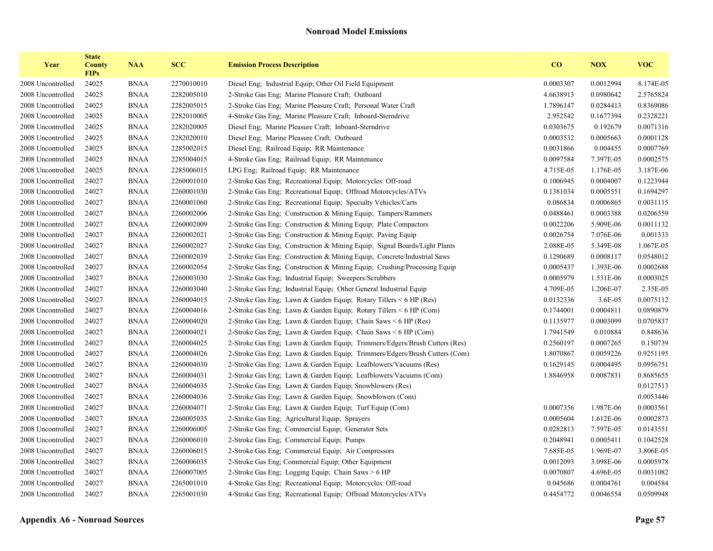| Year              | <b>State</b><br><b>County</b><br><b>FIPs</b> | <b>NAA</b>  | <b>SCC</b> | <b>Emission Process Description</b>                                        | $\bf{CO}$ | <b>NOX</b> | <b>VOC</b> |
|-------------------|----------------------------------------------|-------------|------------|----------------------------------------------------------------------------|-----------|------------|------------|
| 2008 Uncontrolled | 24025                                        | <b>BNAA</b> | 2270010010 | Diesel Eng; Industrial Equip; Other Oil Field Equipment                    | 0.0003307 | 0.0012994  | 8.174E-05  |
| 2008 Uncontrolled | 24025                                        | <b>BNAA</b> | 2282005010 | 2-Stroke Gas Eng; Marine Pleasure Craft; Outboard                          | 4.6638913 | 0.0980642  | 2.5765824  |
| 2008 Uncontrolled | 24025                                        | <b>BNAA</b> | 2282005015 | 2-Stroke Gas Eng; Marine Pleasure Craft; Personal Water Craft              | 1.7896147 | 0.0284413  | 0.8369086  |
| 2008 Uncontrolled | 24025                                        | <b>BNAA</b> | 2282010005 | 4-Stroke Gas Eng; Marine Pleasure Craft; Inboard-Sterndrive                | 2.952542  | 0.1677394  | 0.2328221  |
| 2008 Uncontrolled | 24025                                        | <b>BNAA</b> | 2282020005 | Diesel Eng; Marine Pleasure Craft; Inboard-Sterndrive                      | 0.0303675 | 0.192679   | 0.0071316  |
| 2008 Uncontrolled | 24025                                        | <b>BNAA</b> | 2282020010 | Diesel Eng; Marine Pleasure Craft; Outboard                                | 0.0003532 | 0.0005663  | 0.0001128  |
| 2008 Uncontrolled | 24025                                        | <b>BNAA</b> | 2285002015 | Diesel Eng; Railroad Equip; RR Maintenance                                 | 0.0031866 | 0.004455   | 0.0007769  |
| 2008 Uncontrolled | 24025                                        | <b>BNAA</b> | 2285004015 | 4-Stroke Gas Eng; Railroad Equip; RR Maintenance                           | 0.0097584 | 7.397E-05  | 0.0002575  |
| 2008 Uncontrolled | 24025                                        | <b>BNAA</b> | 2285006015 | LPG Eng; Railroad Equip; RR Maintenance                                    | 4.715E-05 | 1.176E-05  | 3.187E-06  |
| 2008 Uncontrolled | 24027                                        | <b>BNAA</b> | 2260001010 | 2-Stroke Gas Eng; Recreational Equip; Motorcycles: Off-road                | 0.1006945 | 0.0004007  | 0.1223944  |
| 2008 Uncontrolled | 24027                                        | <b>BNAA</b> | 2260001030 | 2-Stroke Gas Eng; Recreational Equip; Offroad Motorcycles/ATVs             | 0.1381034 | 0.0005551  | 0.1694297  |
| 2008 Uncontrolled | 24027                                        | <b>BNAA</b> | 2260001060 | 2-Stroke Gas Eng; Recreational Equip; Specialty Vehicles/Carts             | 0.086834  | 0.0006865  | 0.0031115  |
| 2008 Uncontrolled | 24027                                        | <b>BNAA</b> | 2260002006 | 2-Stroke Gas Eng; Construction & Mining Equip; Tampers/Rammers             | 0.0488461 | 0.0003388  | 0.0206559  |
| 2008 Uncontrolled | 24027                                        | <b>BNAA</b> | 2260002009 | 2-Stroke Gas Eng; Construction & Mining Equip; Plate Compactors            | 0.0022206 | 5.909E-06  | 0.0011132  |
| 2008 Uncontrolled | 24027                                        | <b>BNAA</b> | 2260002021 | 2-Stroke Gas Eng; Construction & Mining Equip; Paving Equip                | 0.0026754 | 7.076E-06  | 0.001333   |
| 2008 Uncontrolled | 24027                                        | <b>BNAA</b> | 2260002027 | 2-Stroke Gas Eng; Construction & Mining Equip; Signal Boards/Light Plants  | 2.088E-05 | 5.349E-08  | 1.067E-05  |
| 2008 Uncontrolled | 24027                                        | <b>BNAA</b> | 2260002039 | 2-Stroke Gas Eng; Construction & Mining Equip; Concrete/Industrial Saws    | 0.1290689 | 0.0008117  | 0.0548012  |
| 2008 Uncontrolled | 24027                                        | <b>BNAA</b> | 2260002054 | 2-Stroke Gas Eng; Construction & Mining Equip; Crushing/Processing Equip   | 0.0005437 | 1.393E-06  | 0.0002688  |
| 2008 Uncontrolled | 24027                                        | <b>BNAA</b> | 2260003030 | 2-Stroke Gas Eng; Industrial Equip; Sweepers/Scrubbers                     | 0.0005979 | 1.531E-06  | 0.0003025  |
| 2008 Uncontrolled | 24027                                        | <b>BNAA</b> | 2260003040 | 2-Stroke Gas Eng; Industrial Equip; Other General Industrial Equip         | 4.709E-05 | 1.206E-07  | 2.35E-05   |
| 2008 Uncontrolled | 24027                                        | <b>BNAA</b> | 2260004015 | 2-Stroke Gas Eng; Lawn & Garden Equip; Rotary Tillers < 6 HP (Res)         | 0.0132336 | 3.6E-05    | 0.0075112  |
| 2008 Uncontrolled | 24027                                        | <b>BNAA</b> | 2260004016 | 2-Stroke Gas Eng; Lawn & Garden Equip; Rotary Tillers < 6 HP (Com)         | 0.1744001 | 0.0004811  | 0.0890879  |
| 2008 Uncontrolled | 24027                                        | <b>BNAA</b> | 2260004020 | 2-Stroke Gas Eng; Lawn & Garden Equip; Chain Saws < 6 HP (Res)             | 0.1135977 | 0.0003099  | 0.0705837  |
| 2008 Uncontrolled | 24027                                        | <b>BNAA</b> | 2260004021 | 2-Stroke Gas Eng; Lawn & Garden Equip; Chain Saws < 6 HP (Com)             | 1.7941549 | 0.010884   | 0.848636   |
| 2008 Uncontrolled | 24027                                        | <b>BNAA</b> | 2260004025 | 2-Stroke Gas Eng; Lawn & Garden Equip; Trimmers/Edgers/Brush Cutters (Res) | 0.2560197 | 0.0007265  | 0.150739   |
| 2008 Uncontrolled | 24027                                        | <b>BNAA</b> | 2260004026 | 2-Stroke Gas Eng, Lawn & Garden Equip; Trimmers/Edgers/Brush Cutters (Com) | 1.8070867 | 0.0059226  | 0.9251195  |
| 2008 Uncontrolled | 24027                                        | <b>BNAA</b> | 2260004030 | 2-Stroke Gas Eng; Lawn & Garden Equip; Leafblowers/Vacuums (Res)           | 0.1629145 | 0.0004495  | 0.0956751  |
| 2008 Uncontrolled | 24027                                        | <b>BNAA</b> | 2260004031 | 2-Stroke Gas Eng; Lawn & Garden Equip; Leafblowers/Vacuums (Com)           | 1.8846958 | 0.0087831  | 0.8685655  |
| 2008 Uncontrolled | 24027                                        | <b>BNAA</b> | 2260004035 | 2-Stroke Gas Eng; Lawn & Garden Equip; Snowblowers (Res)                   |           |            | 0.0127513  |
| 2008 Uncontrolled | 24027                                        | <b>BNAA</b> | 2260004036 | 2-Stroke Gas Eng; Lawn & Garden Equip; Snowblowers (Com)                   |           |            | 0.0053446  |
| 2008 Uncontrolled | 24027                                        | <b>BNAA</b> | 2260004071 | 2-Stroke Gas Eng; Lawn & Garden Equip; Turf Equip (Com)                    | 0.0007356 | 1.987E-06  | 0.0003561  |
| 2008 Uncontrolled | 24027                                        | <b>BNAA</b> | 2260005035 | 2-Stroke Gas Eng; Agricultural Equip; Sprayers                             | 0.0005604 | 1.612E-06  | 0.0002873  |
| 2008 Uncontrolled | 24027                                        | <b>BNAA</b> | 2260006005 | 2-Stroke Gas Eng; Commercial Equip; Generator Sets                         | 0.0282813 | 7.597E-05  | 0.0143551  |
| 2008 Uncontrolled | 24027                                        | <b>BNAA</b> | 2260006010 | 2-Stroke Gas Eng; Commercial Equip; Pumps                                  | 0.2048941 | 0.0005411  | 0.1042528  |
| 2008 Uncontrolled | 24027                                        | <b>BNAA</b> | 2260006015 | 2-Stroke Gas Eng; Commercial Equip; Air Compressors                        | 7.685E-05 | 1.969E-07  | 3.806E-05  |
| 2008 Uncontrolled | 24027                                        | <b>BNAA</b> | 2260006035 | 2-Stroke Gas Eng; Commercial Equip; Other Equipment                        | 0.0012093 | 3.098E-06  | 0.0005978  |
| 2008 Uncontrolled | 24027                                        | <b>BNAA</b> | 2260007005 | 2-Stroke Gas Eng; Logging Equip; Chain Saws > 6 HP                         | 0.0070807 | 4.696E-05  | 0.0031082  |
| 2008 Uncontrolled | 24027                                        | <b>BNAA</b> | 2265001010 | 4-Stroke Gas Eng; Recreational Equip; Motorcycles: Off-road                | 0.045686  | 0.0004761  | 0.004584   |
| 2008 Uncontrolled | 24027                                        | <b>BNAA</b> | 2265001030 | 4-Stroke Gas Eng; Recreational Equip; Offroad Motorcycles/ATVs             | 0.4454772 | 0.0046554  | 0.0509948  |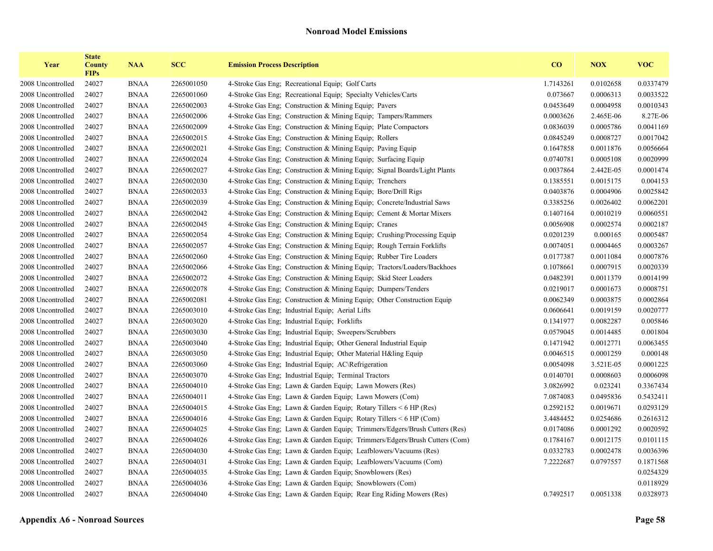| Year              | <b>State</b><br><b>County</b><br><b>FIPs</b> | <b>NAA</b>  | <b>SCC</b> | <b>Emission Process Description</b>                                        | $\bf{CO}$ | <b>NOX</b> | <b>VOC</b> |
|-------------------|----------------------------------------------|-------------|------------|----------------------------------------------------------------------------|-----------|------------|------------|
| 2008 Uncontrolled | 24027                                        | <b>BNAA</b> | 2265001050 | 4-Stroke Gas Eng; Recreational Equip; Golf Carts                           | 1.7143261 | 0.0102658  | 0.0337479  |
| 2008 Uncontrolled | 24027                                        | <b>BNAA</b> | 2265001060 | 4-Stroke Gas Eng; Recreational Equip; Specialty Vehicles/Carts             | 0.073667  | 0.0006313  | 0.0033522  |
| 2008 Uncontrolled | 24027                                        | <b>BNAA</b> | 2265002003 | 4-Stroke Gas Eng; Construction & Mining Equip; Pavers                      | 0.0453649 | 0.0004958  | 0.0010343  |
| 2008 Uncontrolled | 24027                                        | <b>BNAA</b> | 2265002006 | 4-Stroke Gas Eng; Construction & Mining Equip; Tampers/Rammers             | 0.0003626 | 2.465E-06  | 8.27E-06   |
| 2008 Uncontrolled | 24027                                        | <b>BNAA</b> | 2265002009 | 4-Stroke Gas Eng; Construction & Mining Equip; Plate Compactors            | 0.0836039 | 0.0005786  | 0.0041169  |
| 2008 Uncontrolled | 24027                                        | <b>BNAA</b> | 2265002015 | 4-Stroke Gas Eng; Construction & Mining Equip; Rollers                     | 0.0845249 | 0.0008727  | 0.0017042  |
| 2008 Uncontrolled | 24027                                        | <b>BNAA</b> | 2265002021 | 4-Stroke Gas Eng; Construction & Mining Equip; Paving Equip                | 0.1647858 | 0.0011876  | 0.0056664  |
| 2008 Uncontrolled | 24027                                        | <b>BNAA</b> | 2265002024 | 4-Stroke Gas Eng; Construction & Mining Equip; Surfacing Equip             | 0.0740781 | 0.0005108  | 0.0020999  |
| 2008 Uncontrolled | 24027                                        | <b>BNAA</b> | 2265002027 | 4-Stroke Gas Eng; Construction & Mining Equip; Signal Boards/Light Plants  | 0.0037864 | 2.442E-05  | 0.0001474  |
| 2008 Uncontrolled | 24027                                        | <b>BNAA</b> | 2265002030 | 4-Stroke Gas Eng; Construction & Mining Equip; Trenchers                   | 0.1385551 | 0.0015175  | 0.004153   |
| 2008 Uncontrolled | 24027                                        | <b>BNAA</b> | 2265002033 | 4-Stroke Gas Eng; Construction & Mining Equip; Bore/Drill Rigs             | 0.0403876 | 0.0004906  | 0.0025842  |
| 2008 Uncontrolled | 24027                                        | <b>BNAA</b> | 2265002039 | 4-Stroke Gas Eng; Construction & Mining Equip; Concrete/Industrial Saws    | 0.3385256 | 0.0026402  | 0.0062201  |
| 2008 Uncontrolled | 24027                                        | <b>BNAA</b> | 2265002042 | 4-Stroke Gas Eng; Construction & Mining Equip; Cement & Mortar Mixers      | 0.1407164 | 0.0010219  | 0.0060551  |
| 2008 Uncontrolled | 24027                                        | <b>BNAA</b> | 2265002045 | 4-Stroke Gas Eng; Construction & Mining Equip; Cranes                      | 0.0056908 | 0.0002574  | 0.0002187  |
| 2008 Uncontrolled | 24027                                        | <b>BNAA</b> | 2265002054 | 4-Stroke Gas Eng; Construction & Mining Equip; Crushing/Processing Equip   | 0.0201239 | 0.000165   | 0.0005487  |
| 2008 Uncontrolled | 24027                                        | <b>BNAA</b> | 2265002057 | 4-Stroke Gas Eng; Construction & Mining Equip; Rough Terrain Forklifts     | 0.0074051 | 0.0004465  | 0.0003267  |
| 2008 Uncontrolled | 24027                                        | <b>BNAA</b> | 2265002060 | 4-Stroke Gas Eng; Construction & Mining Equip; Rubber Tire Loaders         | 0.0177387 | 0.0011084  | 0.0007876  |
| 2008 Uncontrolled | 24027                                        | <b>BNAA</b> | 2265002066 | 4-Stroke Gas Eng; Construction & Mining Equip; Tractors/Loaders/Backhoes   | 0.1078661 | 0.0007915  | 0.0020339  |
| 2008 Uncontrolled | 24027                                        | <b>BNAA</b> | 2265002072 | 4-Stroke Gas Eng; Construction & Mining Equip; Skid Steer Loaders          | 0.0482391 | 0.0011379  | 0.0014199  |
| 2008 Uncontrolled | 24027                                        | <b>BNAA</b> | 2265002078 | 4-Stroke Gas Eng; Construction & Mining Equip; Dumpers/Tenders             | 0.0219017 | 0.0001673  | 0.0008751  |
| 2008 Uncontrolled | 24027                                        | <b>BNAA</b> | 2265002081 | 4-Stroke Gas Eng; Construction & Mining Equip; Other Construction Equip    | 0.0062349 | 0.0003875  | 0.0002864  |
| 2008 Uncontrolled | 24027                                        | <b>BNAA</b> | 2265003010 | 4-Stroke Gas Eng; Industrial Equip; Aerial Lifts                           | 0.0606641 | 0.0019159  | 0.0020777  |
| 2008 Uncontrolled | 24027                                        | <b>BNAA</b> | 2265003020 | 4-Stroke Gas Eng; Industrial Equip; Forklifts                              | 0.1341977 | 0.0082287  | 0.005846   |
| 2008 Uncontrolled | 24027                                        | <b>BNAA</b> | 2265003030 | 4-Stroke Gas Eng; Industrial Equip; Sweepers/Scrubbers                     | 0.0579045 | 0.0014485  | 0.001804   |
| 2008 Uncontrolled | 24027                                        | <b>BNAA</b> | 2265003040 | 4-Stroke Gas Eng; Industrial Equip; Other General Industrial Equip         | 0.1471942 | 0.0012771  | 0.0063455  |
| 2008 Uncontrolled | 24027                                        | <b>BNAA</b> | 2265003050 | 4-Stroke Gas Eng; Industrial Equip; Other Material H&ling Equip            | 0.0046515 | 0.0001259  | 0.000148   |
| 2008 Uncontrolled | 24027                                        | <b>BNAA</b> | 2265003060 | 4-Stroke Gas Eng; Industrial Equip; AC\Refrigeration                       | 0.0054098 | 3.521E-05  | 0.0001225  |
| 2008 Uncontrolled | 24027                                        | <b>BNAA</b> | 2265003070 | 4-Stroke Gas Eng; Industrial Equip; Terminal Tractors                      | 0.0140701 | 0.0008603  | 0.0006098  |
| 2008 Uncontrolled | 24027                                        | <b>BNAA</b> | 2265004010 | 4-Stroke Gas Eng; Lawn & Garden Equip; Lawn Mowers (Res)                   | 3.0826992 | 0.023241   | 0.3367434  |
| 2008 Uncontrolled | 24027                                        | <b>BNAA</b> | 2265004011 | 4-Stroke Gas Eng; Lawn & Garden Equip; Lawn Mowers (Com)                   | 7.0874083 | 0.0495836  | 0.5432411  |
| 2008 Uncontrolled | 24027                                        | <b>BNAA</b> | 2265004015 | 4-Stroke Gas Eng; Lawn & Garden Equip; Rotary Tillers < 6 HP (Res)         | 0.2592152 | 0.0019671  | 0.0293129  |
| 2008 Uncontrolled | 24027                                        | <b>BNAA</b> | 2265004016 | 4-Stroke Gas Eng; Lawn & Garden Equip; Rotary Tillers < 6 HP (Com)         | 3.4484452 | 0.0254686  | 0.2616312  |
| 2008 Uncontrolled | 24027                                        | <b>BNAA</b> | 2265004025 | 4-Stroke Gas Eng; Lawn & Garden Equip; Trimmers/Edgers/Brush Cutters (Res) | 0.0174086 | 0.0001292  | 0.0020592  |
| 2008 Uncontrolled | 24027                                        | <b>BNAA</b> | 2265004026 | 4-Stroke Gas Eng, Lawn & Garden Equip; Trimmers/Edgers/Brush Cutters (Com) | 0.1784167 | 0.0012175  | 0.0101115  |
| 2008 Uncontrolled | 24027                                        | <b>BNAA</b> | 2265004030 | 4-Stroke Gas Eng; Lawn & Garden Equip; Leafblowers/Vacuums (Res)           | 0.0332783 | 0.0002478  | 0.0036396  |
| 2008 Uncontrolled | 24027                                        | <b>BNAA</b> | 2265004031 | 4-Stroke Gas Eng; Lawn & Garden Equip; Leafblowers/Vacuums (Com)           | 7.2222687 | 0.0797557  | 0.1871568  |
| 2008 Uncontrolled | 24027                                        | <b>BNAA</b> | 2265004035 | 4-Stroke Gas Eng; Lawn & Garden Equip; Snowblowers (Res)                   |           |            | 0.0254329  |
| 2008 Uncontrolled | 24027                                        | <b>BNAA</b> | 2265004036 | 4-Stroke Gas Eng; Lawn & Garden Equip; Snowblowers (Com)                   |           |            | 0.0118929  |
| 2008 Uncontrolled | 24027                                        | <b>BNAA</b> | 2265004040 | 4-Stroke Gas Eng; Lawn & Garden Equip; Rear Eng Riding Mowers (Res)        | 0.7492517 | 0.0051338  | 0.0328973  |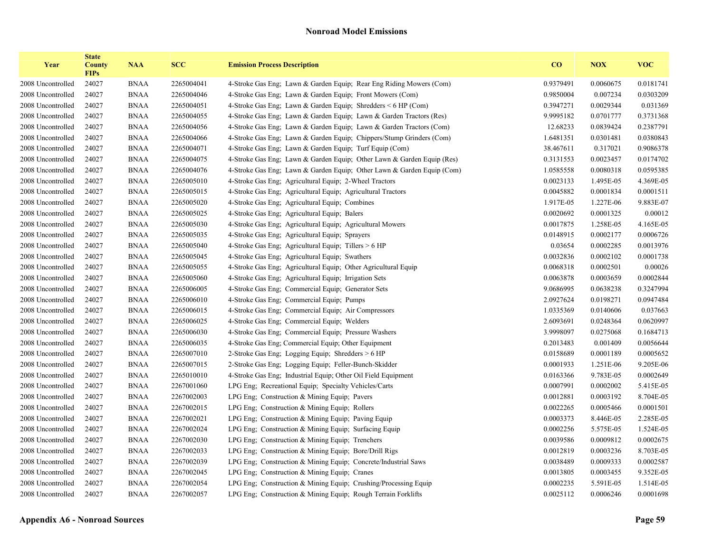| Year              | <b>State</b><br><b>County</b><br><b>FIPs</b> | <b>NAA</b>  | <b>SCC</b> | <b>Emission Process Description</b>                                    | CO        | <b>NOX</b> | <b>VOC</b> |
|-------------------|----------------------------------------------|-------------|------------|------------------------------------------------------------------------|-----------|------------|------------|
| 2008 Uncontrolled | 24027                                        | <b>BNAA</b> | 2265004041 | 4-Stroke Gas Eng; Lawn & Garden Equip; Rear Eng Riding Mowers (Com)    | 0.9379491 | 0.0060675  | 0.0181741  |
| 2008 Uncontrolled | 24027                                        | <b>BNAA</b> | 2265004046 | 4-Stroke Gas Eng; Lawn & Garden Equip; Front Mowers (Com)              | 0.9850004 | 0.007234   | 0.0303209  |
| 2008 Uncontrolled | 24027                                        | <b>BNAA</b> | 2265004051 | 4-Stroke Gas Eng; Lawn & Garden Equip; Shredders $\leq 6$ HP (Com)     | 0.3947271 | 0.0029344  | 0.031369   |
| 2008 Uncontrolled | 24027                                        | <b>BNAA</b> | 2265004055 | 4-Stroke Gas Eng; Lawn & Garden Equip; Lawn & Garden Tractors (Res)    | 9.9995182 | 0.0701777  | 0.3731368  |
| 2008 Uncontrolled | 24027                                        | <b>BNAA</b> | 2265004056 | 4-Stroke Gas Eng; Lawn & Garden Equip; Lawn & Garden Tractors (Com)    | 12.68233  | 0.0839424  | 0.2387791  |
| 2008 Uncontrolled | 24027                                        | <b>BNAA</b> | 2265004066 | 4-Stroke Gas Eng; Lawn & Garden Equip; Chippers/Stump Grinders (Com)   | 1.6481351 | 0.0301481  | 0.0380843  |
| 2008 Uncontrolled | 24027                                        | <b>BNAA</b> | 2265004071 | 4-Stroke Gas Eng; Lawn & Garden Equip; Turf Equip (Com)                | 38.467611 | 0.317021   | 0.9086378  |
| 2008 Uncontrolled | 24027                                        | <b>BNAA</b> | 2265004075 | 4-Stroke Gas Eng; Lawn & Garden Equip; Other Lawn & Garden Equip (Res) | 0.3131553 | 0.0023457  | 0.0174702  |
| 2008 Uncontrolled | 24027                                        | <b>BNAA</b> | 2265004076 | 4-Stroke Gas Eng; Lawn & Garden Equip; Other Lawn & Garden Equip (Com) | 1.0585558 | 0.0080318  | 0.0595385  |
| 2008 Uncontrolled | 24027                                        | <b>BNAA</b> | 2265005010 | 4-Stroke Gas Eng; Agricultural Equip; 2-Wheel Tractors                 | 0.0023133 | 1.495E-05  | 4.369E-05  |
| 2008 Uncontrolled | 24027                                        | <b>BNAA</b> | 2265005015 | 4-Stroke Gas Eng; Agricultural Equip; Agricultural Tractors            | 0.0045882 | 0.0001834  | 0.0001511  |
| 2008 Uncontrolled | 24027                                        | <b>BNAA</b> | 2265005020 | 4-Stroke Gas Eng; Agricultural Equip; Combines                         | 1.917E-05 | 1.227E-06  | 9.883E-07  |
| 2008 Uncontrolled | 24027                                        | <b>BNAA</b> | 2265005025 | 4-Stroke Gas Eng; Agricultural Equip; Balers                           | 0.0020692 | 0.0001325  | 0.00012    |
| 2008 Uncontrolled | 24027                                        | <b>BNAA</b> | 2265005030 | 4-Stroke Gas Eng: Agricultural Equip: Agricultural Mowers              | 0.0017875 | 1.258E-05  | 4.165E-05  |
| 2008 Uncontrolled | 24027                                        | <b>BNAA</b> | 2265005035 | 4-Stroke Gas Eng; Agricultural Equip; Sprayers                         | 0.0148915 | 0.0002177  | 0.0006726  |
| 2008 Uncontrolled | 24027                                        | <b>BNAA</b> | 2265005040 | 4-Stroke Gas Eng; Agricultural Equip; Tillers > 6 HP                   | 0.03654   | 0.0002285  | 0.0013976  |
| 2008 Uncontrolled | 24027                                        | <b>BNAA</b> | 2265005045 | 4-Stroke Gas Eng; Agricultural Equip; Swathers                         | 0.0032836 | 0.0002102  | 0.0001738  |
| 2008 Uncontrolled | 24027                                        | <b>BNAA</b> | 2265005055 | 4-Stroke Gas Eng; Agricultural Equip; Other Agricultural Equip         | 0.0068318 | 0.0002501  | 0.00026    |
| 2008 Uncontrolled | 24027                                        | <b>BNAA</b> | 2265005060 | 4-Stroke Gas Eng: Agricultural Equip: Irrigation Sets                  | 0.0063878 | 0.0003659  | 0.0002844  |
| 2008 Uncontrolled | 24027                                        | <b>BNAA</b> | 2265006005 | 4-Stroke Gas Eng; Commercial Equip; Generator Sets                     | 9.0686995 | 0.0638238  | 0.3247994  |
| 2008 Uncontrolled | 24027                                        | <b>BNAA</b> | 2265006010 | 4-Stroke Gas Eng; Commercial Equip; Pumps                              | 2.0927624 | 0.0198271  | 0.0947484  |
| 2008 Uncontrolled | 24027                                        | <b>BNAA</b> | 2265006015 | 4-Stroke Gas Eng; Commercial Equip; Air Compressors                    | 1.0335369 | 0.0140606  | 0.037663   |
| 2008 Uncontrolled | 24027                                        | <b>BNAA</b> | 2265006025 | 4-Stroke Gas Eng; Commercial Equip; Welders                            | 2.6093691 | 0.0248364  | 0.0620997  |
| 2008 Uncontrolled | 24027                                        | <b>BNAA</b> | 2265006030 | 4-Stroke Gas Eng; Commercial Equip; Pressure Washers                   | 3.9998097 | 0.0275068  | 0.1684713  |
| 2008 Uncontrolled | 24027                                        | <b>BNAA</b> | 2265006035 | 4-Stroke Gas Eng; Commercial Equip; Other Equipment                    | 0.2013483 | 0.001409   | 0.0056644  |
| 2008 Uncontrolled | 24027                                        | <b>BNAA</b> | 2265007010 | 2-Stroke Gas Eng; Logging Equip; Shredders > 6 HP                      | 0.0158689 | 0.0001189  | 0.0005652  |
| 2008 Uncontrolled | 24027                                        | <b>BNAA</b> | 2265007015 | 2-Stroke Gas Eng; Logging Equip; Feller-Bunch-Skidder                  | 0.0001933 | 1.251E-06  | 9.205E-06  |
| 2008 Uncontrolled | 24027                                        | <b>BNAA</b> | 2265010010 | 4-Stroke Gas Eng; Industrial Equip; Other Oil Field Equipment          | 0.0163366 | 9.783E-05  | 0.0002649  |
| 2008 Uncontrolled | 24027                                        | <b>BNAA</b> | 2267001060 | LPG Eng; Recreational Equip; Specialty Vehicles/Carts                  | 0.0007991 | 0.0002002  | 5.415E-05  |
| 2008 Uncontrolled | 24027                                        | <b>BNAA</b> | 2267002003 | LPG Eng; Construction & Mining Equip; Pavers                           | 0.0012881 | 0.0003192  | 8.704E-05  |
| 2008 Uncontrolled | 24027                                        | <b>BNAA</b> | 2267002015 | LPG Eng; Construction & Mining Equip; Rollers                          | 0.0022265 | 0.0005466  | 0.0001501  |
| 2008 Uncontrolled | 24027                                        | <b>BNAA</b> | 2267002021 | LPG Eng; Construction & Mining Equip; Paving Equip                     | 0.0003373 | 8.446E-05  | 2.285E-05  |
| 2008 Uncontrolled | 24027                                        | <b>BNAA</b> | 2267002024 | LPG Eng; Construction & Mining Equip; Surfacing Equip                  | 0.0002256 | 5.575E-05  | 1.524E-05  |
| 2008 Uncontrolled | 24027                                        | <b>BNAA</b> | 2267002030 | LPG Eng; Construction & Mining Equip; Trenchers                        | 0.0039586 | 0.0009812  | 0.0002675  |
| 2008 Uncontrolled | 24027                                        | <b>BNAA</b> | 2267002033 | LPG Eng; Construction & Mining Equip; Bore/Drill Rigs                  | 0.0012819 | 0.0003236  | 8.703E-05  |
| 2008 Uncontrolled | 24027                                        | <b>BNAA</b> | 2267002039 | LPG Eng; Construction & Mining Equip; Concrete/Industrial Saws         | 0.0038489 | 0.0009333  | 0.0002587  |
| 2008 Uncontrolled | 24027                                        | <b>BNAA</b> | 2267002045 | LPG Eng; Construction & Mining Equip; Cranes                           | 0.0013805 | 0.0003455  | 9.352E-05  |
| 2008 Uncontrolled | 24027                                        | <b>BNAA</b> | 2267002054 | LPG Eng; Construction & Mining Equip; Crushing/Processing Equip        | 0.0002235 | 5.591E-05  | 1.514E-05  |
| 2008 Uncontrolled | 24027                                        | <b>BNAA</b> | 2267002057 | LPG Eng; Construction & Mining Equip; Rough Terrain Forklifts          | 0.0025112 | 0.0006246  | 0.0001698  |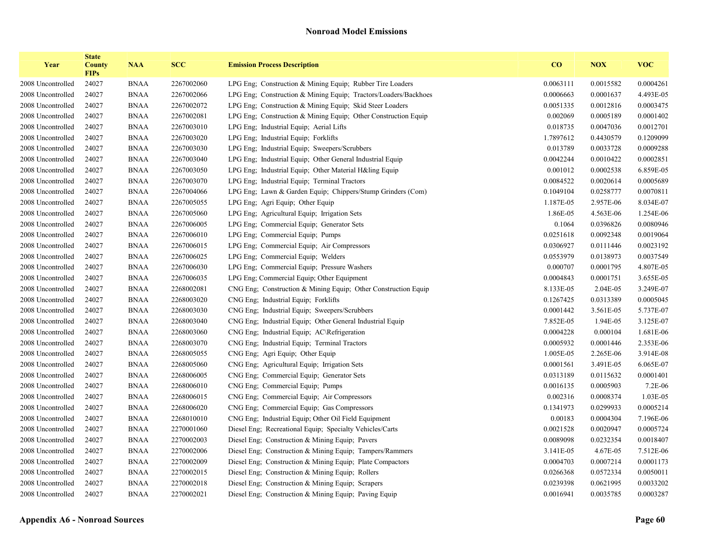| Year              | <b>State</b><br><b>County</b><br><b>FIPs</b> | <b>NAA</b>  | <b>SCC</b> | <b>Emission Process Description</b>                             | CO        | <b>NOX</b> | <b>VOC</b> |
|-------------------|----------------------------------------------|-------------|------------|-----------------------------------------------------------------|-----------|------------|------------|
| 2008 Uncontrolled | 24027                                        | <b>BNAA</b> | 2267002060 | LPG Eng; Construction & Mining Equip; Rubber Tire Loaders       | 0.0063111 | 0.0015582  | 0.0004261  |
| 2008 Uncontrolled | 24027                                        | <b>BNAA</b> | 2267002066 | LPG Eng; Construction & Mining Equip; Tractors/Loaders/Backhoes | 0.0006663 | 0.0001637  | 4.493E-05  |
| 2008 Uncontrolled | 24027                                        | <b>BNAA</b> | 2267002072 | LPG Eng; Construction & Mining Equip; Skid Steer Loaders        | 0.0051335 | 0.0012816  | 0.0003475  |
| 2008 Uncontrolled | 24027                                        | <b>BNAA</b> | 2267002081 | LPG Eng; Construction & Mining Equip; Other Construction Equip  | 0.002069  | 0.0005189  | 0.0001402  |
| 2008 Uncontrolled | 24027                                        | <b>BNAA</b> | 2267003010 | LPG Eng; Industrial Equip; Aerial Lifts                         | 0.018735  | 0.0047036  | 0.0012701  |
| 2008 Uncontrolled | 24027                                        | <b>BNAA</b> | 2267003020 | LPG Eng; Industrial Equip; Forklifts                            | 1.7897612 | 0.4430579  | 0.1209099  |
| 2008 Uncontrolled | 24027                                        | <b>BNAA</b> | 2267003030 | LPG Eng; Industrial Equip; Sweepers/Scrubbers                   | 0.013789  | 0.0033728  | 0.0009288  |
| 2008 Uncontrolled | 24027                                        | <b>BNAA</b> | 2267003040 | LPG Eng; Industrial Equip; Other General Industrial Equip       | 0.0042244 | 0.0010422  | 0.0002851  |
| 2008 Uncontrolled | 24027                                        | <b>BNAA</b> | 2267003050 | LPG Eng; Industrial Equip; Other Material H&ling Equip          | 0.001012  | 0.0002538  | 6.859E-05  |
| 2008 Uncontrolled | 24027                                        | <b>BNAA</b> | 2267003070 | LPG Eng; Industrial Equip; Terminal Tractors                    | 0.0084522 | 0.0020614  | 0.0005689  |
| 2008 Uncontrolled | 24027                                        | <b>BNAA</b> | 2267004066 | LPG Eng; Lawn & Garden Equip; Chippers/Stump Grinders (Com)     | 0.1049104 | 0.0258777  | 0.0070811  |
| 2008 Uncontrolled | 24027                                        | <b>BNAA</b> | 2267005055 | LPG Eng; Agri Equip; Other Equip                                | 1.187E-05 | 2.957E-06  | 8.034E-07  |
| 2008 Uncontrolled | 24027                                        | <b>BNAA</b> | 2267005060 | LPG Eng; Agricultural Equip; Irrigation Sets                    | 1.86E-05  | 4.563E-06  | 1.254E-06  |
| 2008 Uncontrolled | 24027                                        | <b>BNAA</b> | 2267006005 | LPG Eng; Commercial Equip; Generator Sets                       | 0.1064    | 0.0396826  | 0.0080946  |
| 2008 Uncontrolled | 24027                                        | <b>BNAA</b> | 2267006010 | LPG Eng; Commercial Equip; Pumps                                | 0.0251618 | 0.0092348  | 0.0019064  |
| 2008 Uncontrolled | 24027                                        | <b>BNAA</b> | 2267006015 | LPG Eng; Commercial Equip; Air Compressors                      | 0.0306927 | 0.0111446  | 0.0023192  |
| 2008 Uncontrolled | 24027                                        | <b>BNAA</b> | 2267006025 | LPG Eng; Commercial Equip; Welders                              | 0.0553979 | 0.0138973  | 0.0037549  |
| 2008 Uncontrolled | 24027                                        | <b>BNAA</b> | 2267006030 | LPG Eng; Commercial Equip; Pressure Washers                     | 0.000707  | 0.0001795  | 4.807E-05  |
| 2008 Uncontrolled | 24027                                        | <b>BNAA</b> | 2267006035 | LPG Eng; Commercial Equip; Other Equipment                      | 0.0004843 | 0.0001751  | 3.655E-05  |
| 2008 Uncontrolled | 24027                                        | <b>BNAA</b> | 2268002081 | CNG Eng. Construction & Mining Equip. Other Construction Equip. | 8.133E-05 | 2.04E-05   | 3.249E-07  |
| 2008 Uncontrolled | 24027                                        | <b>BNAA</b> | 2268003020 | CNG Eng; Industrial Equip; Forklifts                            | 0.1267425 | 0.0313389  | 0.0005045  |
| 2008 Uncontrolled | 24027                                        | <b>BNAA</b> | 2268003030 | CNG Eng; Industrial Equip; Sweepers/Scrubbers                   | 0.0001442 | 3.561E-05  | 5.737E-07  |
| 2008 Uncontrolled | 24027                                        | <b>BNAA</b> | 2268003040 | CNG Eng; Industrial Equip; Other General Industrial Equip       | 7.852E-05 | 1.94E-05   | 3.125E-07  |
| 2008 Uncontrolled | 24027                                        | <b>BNAA</b> | 2268003060 | CNG Eng; Industrial Equip; AC\Refrigeration                     | 0.0004228 | 0.000104   | 1.681E-06  |
| 2008 Uncontrolled | 24027                                        | <b>BNAA</b> | 2268003070 | CNG Eng; Industrial Equip; Terminal Tractors                    | 0.0005932 | 0.0001446  | 2.353E-06  |
| 2008 Uncontrolled | 24027                                        | <b>BNAA</b> | 2268005055 | CNG Eng; Agri Equip; Other Equip                                | 1.005E-05 | 2.265E-06  | 3.914E-08  |
| 2008 Uncontrolled | 24027                                        | <b>BNAA</b> | 2268005060 | CNG Eng; Agricultural Equip; Irrigation Sets                    | 0.0001561 | 3.491E-05  | 6.065E-07  |
| 2008 Uncontrolled | 24027                                        | <b>BNAA</b> | 2268006005 | CNG Eng; Commercial Equip; Generator Sets                       | 0.0313189 | 0.0115632  | 0.0001401  |
| 2008 Uncontrolled | 24027                                        | <b>BNAA</b> | 2268006010 | CNG Eng; Commercial Equip; Pumps                                | 0.0016135 | 0.0005903  | 7.2E-06    |
| 2008 Uncontrolled | 24027                                        | <b>BNAA</b> | 2268006015 | CNG Eng; Commercial Equip; Air Compressors                      | 0.002316  | 0.0008374  | 1.03E-05   |
| 2008 Uncontrolled | 24027                                        | <b>BNAA</b> | 2268006020 | CNG Eng; Commercial Equip; Gas Compressors                      | 0.1341973 | 0.0299933  | 0.0005214  |
| 2008 Uncontrolled | 24027                                        | <b>BNAA</b> | 2268010010 | CNG Eng; Industrial Equip; Other Oil Field Equipment            | 0.00183   | 0.0004304  | 7.196E-06  |
| 2008 Uncontrolled | 24027                                        | <b>BNAA</b> | 2270001060 | Diesel Eng; Recreational Equip; Specialty Vehicles/Carts        | 0.0021528 | 0.0020947  | 0.0005724  |
| 2008 Uncontrolled | 24027                                        | <b>BNAA</b> | 2270002003 | Diesel Eng; Construction & Mining Equip; Pavers                 | 0.0089098 | 0.0232354  | 0.0018407  |
| 2008 Uncontrolled | 24027                                        | <b>BNAA</b> | 2270002006 | Diesel Eng; Construction & Mining Equip; Tampers/Rammers        | 3.141E-05 | 4.67E-05   | 7.512E-06  |
| 2008 Uncontrolled | 24027                                        | <b>BNAA</b> | 2270002009 | Diesel Eng; Construction & Mining Equip; Plate Compactors       | 0.0004703 | 0.0007214  | 0.0001173  |
| 2008 Uncontrolled | 24027                                        | <b>BNAA</b> | 2270002015 | Diesel Eng; Construction & Mining Equip; Rollers                | 0.0266368 | 0.0572334  | 0.0050011  |
| 2008 Uncontrolled | 24027                                        | <b>BNAA</b> | 2270002018 | Diesel Eng; Construction & Mining Equip; Scrapers               | 0.0239398 | 0.0621995  | 0.0033202  |
| 2008 Uncontrolled | 24027                                        | <b>BNAA</b> | 2270002021 | Diesel Eng; Construction & Mining Equip; Paving Equip           | 0.0016941 | 0.0035785  | 0.0003287  |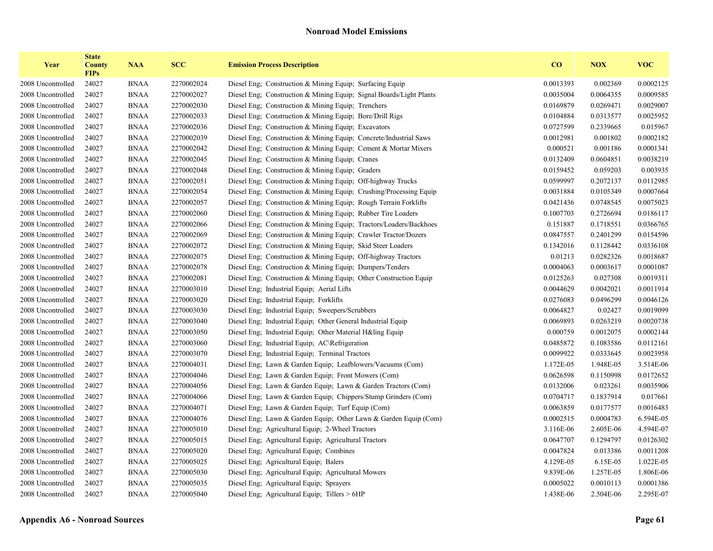| Year              | <b>State</b><br><b>County</b><br><b>FIPs</b> | <b>NAA</b>  | <b>SCC</b> | <b>Emission Process Description</b>                                   | CO        | <b>NOX</b> | <b>VOC</b> |
|-------------------|----------------------------------------------|-------------|------------|-----------------------------------------------------------------------|-----------|------------|------------|
| 2008 Uncontrolled | 24027                                        | <b>BNAA</b> | 2270002024 | Diesel Eng: Construction & Mining Equip: Surfacing Equip              | 0.0013393 | 0.002369   | 0.0002125  |
| 2008 Uncontrolled | 24027                                        | <b>BNAA</b> | 2270002027 | Diesel Eng; Construction & Mining Equip; Signal Boards/Light Plants   | 0.0035004 | 0.0064355  | 0.0009585  |
| 2008 Uncontrolled | 24027                                        | <b>BNAA</b> | 2270002030 | Diesel Eng; Construction & Mining Equip; Trenchers                    | 0.0169879 | 0.0269471  | 0.0029007  |
| 2008 Uncontrolled | 24027                                        | <b>BNAA</b> | 2270002033 | Diesel Eng. Construction & Mining Equip: Bore/Drill Rigs              | 0.0104884 | 0.0313577  | 0.0025952  |
| 2008 Uncontrolled | 24027                                        | <b>BNAA</b> | 2270002036 | Diesel Eng; Construction & Mining Equip; Excavators                   | 0.0727599 | 0.2339665  | 0.015967   |
| 2008 Uncontrolled | 24027                                        | <b>BNAA</b> | 2270002039 | Diesel Eng; Construction & Mining Equip; Concrete/Industrial Saws     | 0.0012981 | 0.001802   | 0.0002182  |
| 2008 Uncontrolled | 24027                                        | <b>BNAA</b> | 2270002042 | Diesel Eng. Construction & Mining Equip. Cement & Mortar Mixers       | 0.000521  | 0.001186   | 0.0001341  |
| 2008 Uncontrolled | 24027                                        | <b>BNAA</b> | 2270002045 | Diesel Eng: Construction & Mining Equip: Cranes                       | 0.0132409 | 0.0604851  | 0.0038219  |
| 2008 Uncontrolled | 24027                                        | <b>BNAA</b> | 2270002048 | Diesel Eng: Construction & Mining Equip; Graders                      | 0.0159452 | 0.059203   | 0.003935   |
| 2008 Uncontrolled | 24027                                        | <b>BNAA</b> | 2270002051 | Diesel Eng; Construction & Mining Equip; Off-highway Trucks           | 0.0599997 | 0.2072137  | 0.0112985  |
| 2008 Uncontrolled | 24027                                        | <b>BNAA</b> | 2270002054 | Diesel Eng., Construction & Mining Equip., Crushing/Processing Equip. | 0.0031884 | 0.0105349  | 0.0007664  |
| 2008 Uncontrolled | 24027                                        | <b>BNAA</b> | 2270002057 | Diesel Eng. Construction & Mining Equip. Rough Terrain Forklifts      | 0.0421436 | 0.0748545  | 0.0075023  |
| 2008 Uncontrolled | 24027                                        | <b>BNAA</b> | 2270002060 | Diesel Eng; Construction & Mining Equip; Rubber Tire Loaders          | 0.1007703 | 0.2726694  | 0.0186117  |
| 2008 Uncontrolled | 24027                                        | <b>BNAA</b> | 2270002066 | Diesel Eng; Construction & Mining Equip; Tractors/Loaders/Backhoes    | 0.151887  | 0.1718551  | 0.0366765  |
| 2008 Uncontrolled | 24027                                        | <b>BNAA</b> | 2270002069 | Diesel Eng; Construction & Mining Equip; Crawler Tractor/Dozers       | 0.0847557 | 0.2401299  | 0.0154596  |
| 2008 Uncontrolled | 24027                                        | <b>BNAA</b> | 2270002072 | Diesel Eng; Construction & Mining Equip; Skid Steer Loaders           | 0.1342016 | 0.1128442  | 0.0336108  |
| 2008 Uncontrolled | 24027                                        | <b>BNAA</b> | 2270002075 | Diesel Eng. Construction & Mining Equip. Off-highway Tractors         | 0.01213   | 0.0282326  | 0.0018687  |
| 2008 Uncontrolled | 24027                                        | <b>BNAA</b> | 2270002078 | Diesel Eng: Construction & Mining Equip: Dumpers/Tenders              | 0.0004063 | 0.0003617  | 0.0001087  |
| 2008 Uncontrolled | 24027                                        | <b>BNAA</b> | 2270002081 | Diesel Eng. Construction & Mining Equip: Other Construction Equip     | 0.0125263 | 0.027308   | 0.0019311  |
| 2008 Uncontrolled | 24027                                        | <b>BNAA</b> | 2270003010 | Diesel Eng; Industrial Equip; Aerial Lifts                            | 0.0044629 | 0.0042021  | 0.0011914  |
| 2008 Uncontrolled | 24027                                        | <b>BNAA</b> | 2270003020 | Diesel Eng; Industrial Equip; Forklifts                               | 0.0276083 | 0.0496299  | 0.0046126  |
| 2008 Uncontrolled | 24027                                        | <b>BNAA</b> | 2270003030 | Diesel Eng; Industrial Equip; Sweepers/Scrubbers                      | 0.0064827 | 0.02427    | 0.0019099  |
| 2008 Uncontrolled | 24027                                        | <b>BNAA</b> | 2270003040 | Diesel Eng; Industrial Equip; Other General Industrial Equip          | 0.0069893 | 0.0263219  | 0.0020738  |
| 2008 Uncontrolled | 24027                                        | <b>BNAA</b> | 2270003050 | Diesel Eng; Industrial Equip; Other Material H&ling Equip             | 0.000759  | 0.0012075  | 0.0002144  |
| 2008 Uncontrolled | 24027                                        | <b>BNAA</b> | 2270003060 | Diesel Eng; Industrial Equip; AC\Refrigeration                        | 0.0485872 | 0.1083586  | 0.0112161  |
| 2008 Uncontrolled | 24027                                        | <b>BNAA</b> | 2270003070 | Diesel Eng; Industrial Equip; Terminal Tractors                       | 0.0099922 | 0.0333645  | 0.0023958  |
| 2008 Uncontrolled | 24027                                        | <b>BNAA</b> | 2270004031 | Diesel Eng; Lawn & Garden Equip; Leafblowers/Vacuums (Com)            | 1.172E-05 | 1.948E-05  | 3.514E-06  |
| 2008 Uncontrolled | 24027                                        | <b>BNAA</b> | 2270004046 | Diesel Eng; Lawn & Garden Equip; Front Mowers (Com)                   | 0.0626598 | 0.1150998  | 0.0172652  |
| 2008 Uncontrolled | 24027                                        | <b>BNAA</b> | 2270004056 | Diesel Eng; Lawn & Garden Equip; Lawn & Garden Tractors (Com)         | 0.0132006 | 0.023261   | 0.0035906  |
| 2008 Uncontrolled | 24027                                        | <b>BNAA</b> | 2270004066 | Diesel Eng; Lawn & Garden Equip; Chippers/Stump Grinders (Com)        | 0.0704717 | 0.1837914  | 0.017661   |
| 2008 Uncontrolled | 24027                                        | <b>BNAA</b> | 2270004071 | Diesel Eng; Lawn & Garden Equip; Turf Equip (Com)                     | 0.0063859 | 0.0177577  | 0.0016483  |
| 2008 Uncontrolled | 24027                                        | <b>BNAA</b> | 2270004076 | Diesel Eng; Lawn & Garden Equip; Other Lawn & Garden Equip (Com)      | 0.0002515 | 0.0004783  | 6.594E-05  |
| 2008 Uncontrolled | 24027                                        | <b>BNAA</b> | 2270005010 | Diesel Eng; Agricultural Equip; 2-Wheel Tractors                      | 3.116E-06 | 2.605E-06  | 4.594E-07  |
| 2008 Uncontrolled | 24027                                        | <b>BNAA</b> | 2270005015 | Diesel Eng; Agricultural Equip; Agricultural Tractors                 | 0.0647707 | 0.1294797  | 0.0126302  |
| 2008 Uncontrolled | 24027                                        | <b>BNAA</b> | 2270005020 | Diesel Eng; Agricultural Equip; Combines                              | 0.0047824 | 0.013386   | 0.0011208  |
| 2008 Uncontrolled | 24027                                        | <b>BNAA</b> | 2270005025 | Diesel Eng; Agricultural Equip; Balers                                | 4.129E-05 | 6.15E-05   | 1.022E-05  |
| 2008 Uncontrolled | 24027                                        | <b>BNAA</b> | 2270005030 | Diesel Eng; Agricultural Equip; Agricultural Mowers                   | 9.839E-06 | 1.257E-05  | 1.806E-06  |
| 2008 Uncontrolled | 24027                                        | <b>BNAA</b> | 2270005035 | Diesel Eng; Agricultural Equip; Sprayers                              | 0.0005022 | 0.0010113  | 0.0001386  |
| 2008 Uncontrolled | 24027                                        | <b>BNAA</b> | 2270005040 | Diesel Eng; Agricultural Equip; Tillers > 6HP                         | 1.438E-06 | 2.504E-06  | 2.295E-07  |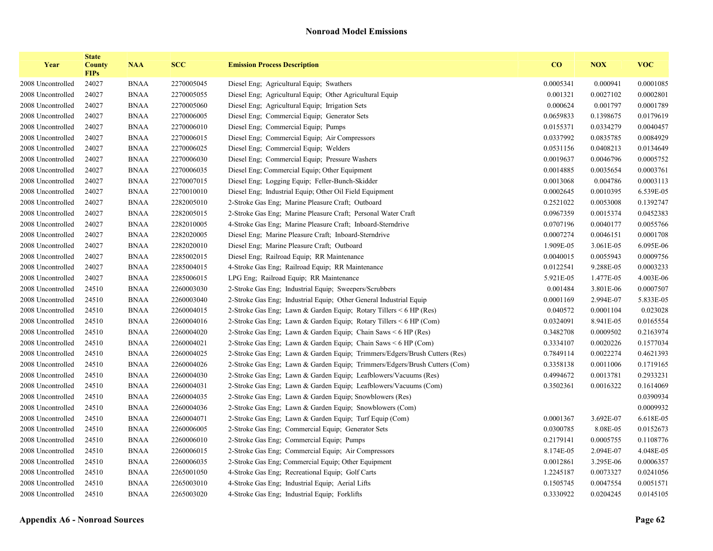| Year              | <b>State</b><br><b>County</b><br><b>FIPs</b> | <b>NAA</b>  | <b>SCC</b> | <b>Emission Process Description</b>                                        | $\bf{CO}$ | <b>NOX</b> | <b>VOC</b> |
|-------------------|----------------------------------------------|-------------|------------|----------------------------------------------------------------------------|-----------|------------|------------|
| 2008 Uncontrolled | 24027                                        | <b>BNAA</b> | 2270005045 | Diesel Eng; Agricultural Equip; Swathers                                   | 0.0005341 | 0.000941   | 0.0001085  |
| 2008 Uncontrolled | 24027                                        | <b>BNAA</b> | 2270005055 | Diesel Eng; Agricultural Equip; Other Agricultural Equip                   | 0.001321  | 0.0027102  | 0.0002801  |
| 2008 Uncontrolled | 24027                                        | <b>BNAA</b> | 2270005060 | Diesel Eng; Agricultural Equip; Irrigation Sets                            | 0.000624  | 0.001797   | 0.0001789  |
| 2008 Uncontrolled | 24027                                        | <b>BNAA</b> | 2270006005 | Diesel Eng; Commercial Equip; Generator Sets                               | 0.0659833 | 0.1398675  | 0.0179619  |
| 2008 Uncontrolled | 24027                                        | <b>BNAA</b> | 2270006010 | Diesel Eng; Commercial Equip; Pumps                                        | 0.0155371 | 0.0334279  | 0.0040457  |
| 2008 Uncontrolled | 24027                                        | <b>BNAA</b> | 2270006015 | Diesel Eng; Commercial Equip; Air Compressors                              | 0.0337992 | 0.0835785  | 0.0084929  |
| 2008 Uncontrolled | 24027                                        | <b>BNAA</b> | 2270006025 | Diesel Eng; Commercial Equip; Welders                                      | 0.0531156 | 0.0408213  | 0.0134649  |
| 2008 Uncontrolled | 24027                                        | <b>BNAA</b> | 2270006030 | Diesel Eng; Commercial Equip; Pressure Washers                             | 0.0019637 | 0.0046796  | 0.0005752  |
| 2008 Uncontrolled | 24027                                        | <b>BNAA</b> | 2270006035 | Diesel Eng; Commercial Equip; Other Equipment                              | 0.0014885 | 0.0035654  | 0.0003761  |
| 2008 Uncontrolled | 24027                                        | <b>BNAA</b> | 2270007015 | Diesel Eng; Logging Equip; Feller-Bunch-Skidder                            | 0.0013068 | 0.004786   | 0.0003113  |
| 2008 Uncontrolled | 24027                                        | <b>BNAA</b> | 2270010010 | Diesel Eng. Industrial Equip: Other Oil Field Equipment                    | 0.0002645 | 0.0010395  | 6.539E-05  |
| 2008 Uncontrolled | 24027                                        | <b>BNAA</b> | 2282005010 | 2-Stroke Gas Eng; Marine Pleasure Craft; Outboard                          | 0.2521022 | 0.0053008  | 0.1392747  |
| 2008 Uncontrolled | 24027                                        | <b>BNAA</b> | 2282005015 | 2-Stroke Gas Eng; Marine Pleasure Craft; Personal Water Craft              | 0.0967359 | 0.0015374  | 0.0452383  |
| 2008 Uncontrolled | 24027                                        | <b>BNAA</b> | 2282010005 | 4-Stroke Gas Eng; Marine Pleasure Craft; Inboard-Sterndrive                | 0.0707196 | 0.0040177  | 0.0055766  |
| 2008 Uncontrolled | 24027                                        | <b>BNAA</b> | 2282020005 | Diesel Eng; Marine Pleasure Craft; Inboard-Sterndrive                      | 0.0007274 | 0.0046151  | 0.0001708  |
| 2008 Uncontrolled | 24027                                        | <b>BNAA</b> | 2282020010 | Diesel Eng; Marine Pleasure Craft; Outboard                                | 1.909E-05 | 3.061E-05  | 6.095E-06  |
| 2008 Uncontrolled | 24027                                        | <b>BNAA</b> | 2285002015 | Diesel Eng; Railroad Equip; RR Maintenance                                 | 0.0040015 | 0.0055943  | 0.0009756  |
| 2008 Uncontrolled | 24027                                        | <b>BNAA</b> | 2285004015 | 4-Stroke Gas Eng; Railroad Equip; RR Maintenance                           | 0.0122541 | 9.288E-05  | 0.0003233  |
| 2008 Uncontrolled | 24027                                        | <b>BNAA</b> | 2285006015 | LPG Eng; Railroad Equip; RR Maintenance                                    | 5.921E-05 | 1.477E-05  | 4.003E-06  |
| 2008 Uncontrolled | 24510                                        | <b>BNAA</b> | 2260003030 | 2-Stroke Gas Eng; Industrial Equip; Sweepers/Scrubbers                     | 0.001484  | 3.801E-06  | 0.0007507  |
| 2008 Uncontrolled | 24510                                        | <b>BNAA</b> | 2260003040 | 2-Stroke Gas Eng; Industrial Equip; Other General Industrial Equip         | 0.0001169 | 2.994E-07  | 5.833E-05  |
| 2008 Uncontrolled | 24510                                        | <b>BNAA</b> | 2260004015 | 2-Stroke Gas Eng; Lawn & Garden Equip; Rotary Tillers < 6 HP (Res)         | 0.040572  | 0.0001104  | 0.023028   |
| 2008 Uncontrolled | 24510                                        | <b>BNAA</b> | 2260004016 | 2-Stroke Gas Eng; Lawn & Garden Equip; Rotary Tillers < 6 HP (Com)         | 0.0324091 | 8.941E-05  | 0.0165554  |
| 2008 Uncontrolled | 24510                                        | <b>BNAA</b> | 2260004020 | 2-Stroke Gas Eng; Lawn & Garden Equip; Chain Saws < 6 HP (Res)             | 0.3482708 | 0.0009502  | 0.2163974  |
| 2008 Uncontrolled | 24510                                        | <b>BNAA</b> | 2260004021 | 2-Stroke Gas Eng; Lawn & Garden Equip; Chain Saws < 6 HP (Com)             | 0.3334107 | 0.0020226  | 0.1577034  |
| 2008 Uncontrolled | 24510                                        | <b>BNAA</b> | 2260004025 | 2-Stroke Gas Eng; Lawn & Garden Equip; Trimmers/Edgers/Brush Cutters (Res) | 0.7849114 | 0.0022274  | 0.4621393  |
| 2008 Uncontrolled | 24510                                        | <b>BNAA</b> | 2260004026 | 2-Stroke Gas Eng; Lawn & Garden Equip; Trimmers/Edgers/Brush Cutters (Com) | 0.3358138 | 0.0011006  | 0.1719165  |
| 2008 Uncontrolled | 24510                                        | <b>BNAA</b> | 2260004030 | 2-Stroke Gas Eng; Lawn & Garden Equip; Leafblowers/Vacuums (Res)           | 0.4994672 | 0.0013781  | 0.2933231  |
| 2008 Uncontrolled | 24510                                        | <b>BNAA</b> | 2260004031 | 2-Stroke Gas Eng; Lawn & Garden Equip; Leafblowers/Vacuums (Com)           | 0.3502361 | 0.0016322  | 0.1614069  |
| 2008 Uncontrolled | 24510                                        | <b>BNAA</b> | 2260004035 | 2-Stroke Gas Eng; Lawn & Garden Equip; Snowblowers (Res)                   |           |            | 0.0390934  |
| 2008 Uncontrolled | 24510                                        | <b>BNAA</b> | 2260004036 | 2-Stroke Gas Eng; Lawn & Garden Equip; Snowblowers (Com)                   |           |            | 0.0009932  |
| 2008 Uncontrolled | 24510                                        | <b>BNAA</b> | 2260004071 | 2-Stroke Gas Eng; Lawn & Garden Equip; Turf Equip (Com)                    | 0.0001367 | 3.692E-07  | 6.618E-05  |
| 2008 Uncontrolled | 24510                                        | <b>BNAA</b> | 2260006005 | 2-Stroke Gas Eng; Commercial Equip; Generator Sets                         | 0.0300785 | 8.08E-05   | 0.0152673  |
| 2008 Uncontrolled | 24510                                        | <b>BNAA</b> | 2260006010 | 2-Stroke Gas Eng; Commercial Equip; Pumps                                  | 0.2179141 | 0.0005755  | 0.1108776  |
| 2008 Uncontrolled | 24510                                        | <b>BNAA</b> | 2260006015 | 2-Stroke Gas Eng; Commercial Equip; Air Compressors                        | 8.174E-05 | 2.094E-07  | 4.048E-05  |
| 2008 Uncontrolled | 24510                                        | <b>BNAA</b> | 2260006035 | 2-Stroke Gas Eng; Commercial Equip; Other Equipment                        | 0.0012861 | 3.295E-06  | 0.0006357  |
| 2008 Uncontrolled | 24510                                        | <b>BNAA</b> | 2265001050 | 4-Stroke Gas Eng; Recreational Equip; Golf Carts                           | 1.2245187 | 0.0073327  | 0.0241056  |
| 2008 Uncontrolled | 24510                                        | <b>BNAA</b> | 2265003010 | 4-Stroke Gas Eng; Industrial Equip; Aerial Lifts                           | 0.1505745 | 0.0047554  | 0.0051571  |
| 2008 Uncontrolled | 24510                                        | <b>BNAA</b> | 2265003020 | 4-Stroke Gas Eng; Industrial Equip; Forklifts                              | 0.3330922 | 0.0204245  | 0.0145105  |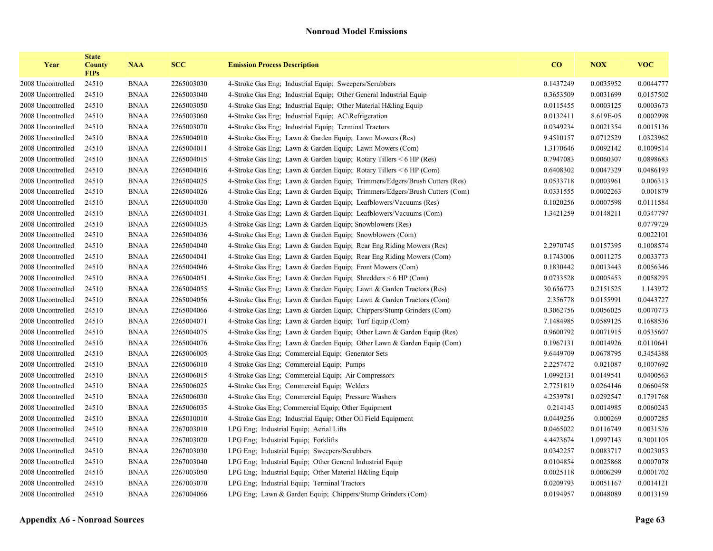| Year              | <b>State</b><br><b>County</b><br><b>FIPs</b> | <b>NAA</b>  | <b>SCC</b> | <b>Emission Process Description</b>                                        | $\bf{CO}$ | <b>NOX</b> | <b>VOC</b> |
|-------------------|----------------------------------------------|-------------|------------|----------------------------------------------------------------------------|-----------|------------|------------|
| 2008 Uncontrolled | 24510                                        | <b>BNAA</b> | 2265003030 | 4-Stroke Gas Eng; Industrial Equip; Sweepers/Scrubbers                     | 0.1437249 | 0.0035952  | 0.0044777  |
| 2008 Uncontrolled | 24510                                        | <b>BNAA</b> | 2265003040 | 4-Stroke Gas Eng; Industrial Equip; Other General Industrial Equip         | 0.3653509 | 0.0031699  | 0.0157502  |
| 2008 Uncontrolled | 24510                                        | <b>BNAA</b> | 2265003050 | 4-Stroke Gas Eng; Industrial Equip; Other Material H&ling Equip            | 0.0115455 | 0.0003125  | 0.0003673  |
| 2008 Uncontrolled | 24510                                        | <b>BNAA</b> | 2265003060 | 4-Stroke Gas Eng; Industrial Equip; AC\Refrigeration                       | 0.0132411 | 8.619E-05  | 0.0002998  |
| 2008 Uncontrolled | 24510                                        | <b>BNAA</b> | 2265003070 | 4-Stroke Gas Eng; Industrial Equip; Terminal Tractors                      | 0.0349234 | 0.0021354  | 0.0015136  |
| 2008 Uncontrolled | 24510                                        | <b>BNAA</b> | 2265004010 | 4-Stroke Gas Eng; Lawn & Garden Equip; Lawn Mowers (Res)                   | 9.4510157 | 0.0712529  | 1.0323962  |
| 2008 Uncontrolled | 24510                                        | <b>BNAA</b> | 2265004011 | 4-Stroke Gas Eng; Lawn & Garden Equip; Lawn Mowers (Com)                   | 1.3170646 | 0.0092142  | 0.1009514  |
| 2008 Uncontrolled | 24510                                        | <b>BNAA</b> | 2265004015 | 4-Stroke Gas Eng; Lawn & Garden Equip; Rotary Tillers < 6 HP (Res)         | 0.7947083 | 0.0060307  | 0.0898683  |
| 2008 Uncontrolled | 24510                                        | <b>BNAA</b> | 2265004016 | 4-Stroke Gas Eng; Lawn & Garden Equip; Rotary Tillers < 6 HP (Com)         | 0.6408302 | 0.0047329  | 0.0486193  |
| 2008 Uncontrolled | 24510                                        | <b>BNAA</b> | 2265004025 | 4-Stroke Gas Eng; Lawn & Garden Equip; Trimmers/Edgers/Brush Cutters (Res) | 0.0533718 | 0.0003961  | 0.006313   |
| 2008 Uncontrolled | 24510                                        | <b>BNAA</b> | 2265004026 | 4-Stroke Gas Eng; Lawn & Garden Equip; Trimmers/Edgers/Brush Cutters (Com) | 0.0331555 | 0.0002263  | 0.001879   |
| 2008 Uncontrolled | 24510                                        | <b>BNAA</b> | 2265004030 | 4-Stroke Gas Eng; Lawn & Garden Equip; Leafblowers/Vacuums (Res)           | 0.1020256 | 0.0007598  | 0.0111584  |
| 2008 Uncontrolled | 24510                                        | <b>BNAA</b> | 2265004031 | 4-Stroke Gas Eng; Lawn & Garden Equip; Leafblowers/Vacuums (Com)           | 1.3421259 | 0.0148211  | 0.0347797  |
| 2008 Uncontrolled | 24510                                        | <b>BNAA</b> | 2265004035 | 4-Stroke Gas Eng: Lawn & Garden Equip: Snowblowers (Res)                   |           |            | 0.0779729  |
| 2008 Uncontrolled | 24510                                        | <b>BNAA</b> | 2265004036 | 4-Stroke Gas Eng; Lawn & Garden Equip; Snowblowers (Com)                   |           |            | 0.0022101  |
| 2008 Uncontrolled | 24510                                        | <b>BNAA</b> | 2265004040 | 4-Stroke Gas Eng; Lawn & Garden Equip; Rear Eng Riding Mowers (Res)        | 2.2970745 | 0.0157395  | 0.1008574  |
| 2008 Uncontrolled | 24510                                        | <b>BNAA</b> | 2265004041 | 4-Stroke Gas Eng; Lawn & Garden Equip; Rear Eng Riding Mowers (Com)        | 0.1743006 | 0.0011275  | 0.0033773  |
| 2008 Uncontrolled | 24510                                        | <b>BNAA</b> | 2265004046 | 4-Stroke Gas Eng; Lawn & Garden Equip; Front Mowers (Com)                  | 0.1830442 | 0.0013443  | 0.0056346  |
| 2008 Uncontrolled | 24510                                        | <b>BNAA</b> | 2265004051 | 4-Stroke Gas Eng; Lawn & Garden Equip; Shredders $\leq 6$ HP (Com)         | 0.0733528 | 0.0005453  | 0.0058293  |
| 2008 Uncontrolled | 24510                                        | <b>BNAA</b> | 2265004055 | 4-Stroke Gas Eng; Lawn & Garden Equip; Lawn & Garden Tractors (Res)        | 30.656773 | 0.2151525  | 1.143972   |
| 2008 Uncontrolled | 24510                                        | <b>BNAA</b> | 2265004056 | 4-Stroke Gas Eng; Lawn & Garden Equip; Lawn & Garden Tractors (Com)        | 2.356778  | 0.0155991  | 0.0443727  |
| 2008 Uncontrolled | 24510                                        | <b>BNAA</b> | 2265004066 | 4-Stroke Gas Eng; Lawn & Garden Equip; Chippers/Stump Grinders (Com)       | 0.3062756 | 0.0056025  | 0.0070773  |
| 2008 Uncontrolled | 24510                                        | <b>BNAA</b> | 2265004071 | 4-Stroke Gas Eng; Lawn & Garden Equip; Turf Equip (Com)                    | 7.1484985 | 0.0589125  | 0.1688536  |
| 2008 Uncontrolled | 24510                                        | <b>BNAA</b> | 2265004075 | 4-Stroke Gas Eng; Lawn & Garden Equip; Other Lawn & Garden Equip (Res)     | 0.9600792 | 0.0071915  | 0.0535607  |
| 2008 Uncontrolled | 24510                                        | <b>BNAA</b> | 2265004076 | 4-Stroke Gas Eng; Lawn & Garden Equip; Other Lawn & Garden Equip (Com)     | 0.1967131 | 0.0014926  | 0.0110641  |
| 2008 Uncontrolled | 24510                                        | <b>BNAA</b> | 2265006005 | 4-Stroke Gas Eng; Commercial Equip; Generator Sets                         | 9.6449709 | 0.0678795  | 0.3454388  |
| 2008 Uncontrolled | 24510                                        | <b>BNAA</b> | 2265006010 | 4-Stroke Gas Eng; Commercial Equip; Pumps                                  | 2.2257472 | 0.021087   | 0.1007692  |
| 2008 Uncontrolled | 24510                                        | <b>BNAA</b> | 2265006015 | 4-Stroke Gas Eng; Commercial Equip; Air Compressors                        | 1.0992131 | 0.0149541  | 0.0400563  |
| 2008 Uncontrolled | 24510                                        | <b>BNAA</b> | 2265006025 | 4-Stroke Gas Eng; Commercial Equip; Welders                                | 2.7751819 | 0.0264146  | 0.0660458  |
| 2008 Uncontrolled | 24510                                        | <b>BNAA</b> | 2265006030 | 4-Stroke Gas Eng; Commercial Equip; Pressure Washers                       | 4.2539781 | 0.0292547  | 0.1791768  |
| 2008 Uncontrolled | 24510                                        | <b>BNAA</b> | 2265006035 | 4-Stroke Gas Eng; Commercial Equip; Other Equipment                        | 0.214143  | 0.0014985  | 0.0060243  |
| 2008 Uncontrolled | 24510                                        | <b>BNAA</b> | 2265010010 | 4-Stroke Gas Eng; Industrial Equip; Other Oil Field Equipment              | 0.0449256 | 0.000269   | 0.0007285  |
| 2008 Uncontrolled | 24510                                        | <b>BNAA</b> | 2267003010 | LPG Eng; Industrial Equip; Aerial Lifts                                    | 0.0465022 | 0.0116749  | 0.0031526  |
| 2008 Uncontrolled | 24510                                        | <b>BNAA</b> | 2267003020 | LPG Eng; Industrial Equip; Forklifts                                       | 4.4423674 | 1.0997143  | 0.3001105  |
| 2008 Uncontrolled | 24510                                        | <b>BNAA</b> | 2267003030 | LPG Eng; Industrial Equip; Sweepers/Scrubbers                              | 0.0342257 | 0.0083717  | 0.0023053  |
| 2008 Uncontrolled | 24510                                        | <b>BNAA</b> | 2267003040 | LPG Eng; Industrial Equip; Other General Industrial Equip                  | 0.0104854 | 0.0025868  | 0.0007078  |
| 2008 Uncontrolled | 24510                                        | <b>BNAA</b> | 2267003050 | LPG Eng; Industrial Equip; Other Material H&ling Equip                     | 0.0025118 | 0.0006299  | 0.0001702  |
| 2008 Uncontrolled | 24510                                        | <b>BNAA</b> | 2267003070 | LPG Eng; Industrial Equip; Terminal Tractors                               | 0.0209793 | 0.0051167  | 0.0014121  |
| 2008 Uncontrolled | 24510                                        | <b>BNAA</b> | 2267004066 | LPG Eng; Lawn & Garden Equip; Chippers/Stump Grinders (Com)                | 0.0194957 | 0.0048089  | 0.0013159  |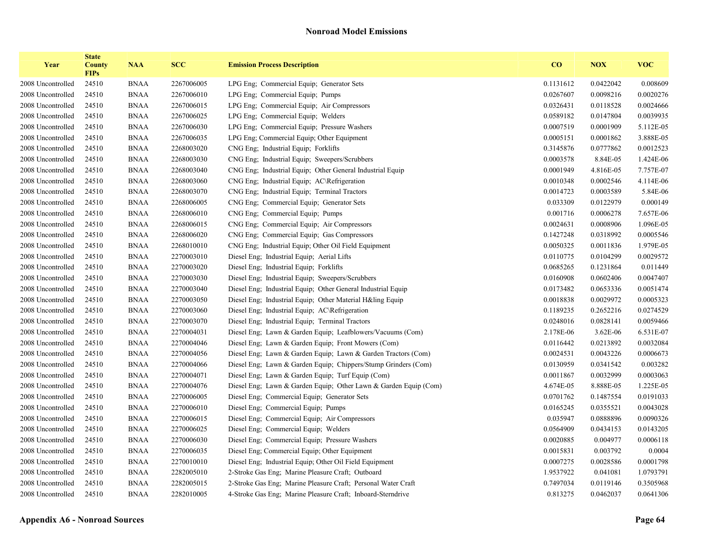| Year              | <b>State</b><br><b>County</b><br><b>FIPs</b> | <b>NAA</b>  | <b>SCC</b> | <b>Emission Process Description</b>                              | CO        | <b>NOX</b> | <b>VOC</b> |
|-------------------|----------------------------------------------|-------------|------------|------------------------------------------------------------------|-----------|------------|------------|
| 2008 Uncontrolled | 24510                                        | <b>BNAA</b> | 2267006005 | LPG Eng: Commercial Equip: Generator Sets                        | 0.1131612 | 0.0422042  | 0.008609   |
| 2008 Uncontrolled | 24510                                        | <b>BNAA</b> | 2267006010 | LPG Eng; Commercial Equip; Pumps                                 | 0.0267607 | 0.0098216  | 0.0020276  |
| 2008 Uncontrolled | 24510                                        | <b>BNAA</b> | 2267006015 | LPG Eng; Commercial Equip; Air Compressors                       | 0.0326431 | 0.0118528  | 0.0024666  |
| 2008 Uncontrolled | 24510                                        | <b>BNAA</b> | 2267006025 | LPG Eng; Commercial Equip; Welders                               | 0.0589182 | 0.0147804  | 0.0039935  |
| 2008 Uncontrolled | 24510                                        | <b>BNAA</b> | 2267006030 | LPG Eng; Commercial Equip; Pressure Washers                      | 0.0007519 | 0.0001909  | 5.112E-05  |
| 2008 Uncontrolled | 24510                                        | <b>BNAA</b> | 2267006035 | LPG Eng; Commercial Equip; Other Equipment                       | 0.0005151 | 0.0001862  | 3.888E-05  |
| 2008 Uncontrolled | 24510                                        | <b>BNAA</b> | 2268003020 | CNG Eng; Industrial Equip; Forklifts                             | 0.3145876 | 0.0777862  | 0.0012523  |
| 2008 Uncontrolled | 24510                                        | <b>BNAA</b> | 2268003030 | CNG Eng: Industrial Equip: Sweepers/Scrubbers                    | 0.0003578 | 8.84E-05   | 1.424E-06  |
| 2008 Uncontrolled | 24510                                        | <b>BNAA</b> | 2268003040 | CNG Eng: Industrial Equip; Other General Industrial Equip        | 0.0001949 | 4.816E-05  | 7.757E-07  |
| 2008 Uncontrolled | 24510                                        | <b>BNAA</b> | 2268003060 | CNG Eng; Industrial Equip; AC\Refrigeration                      | 0.0010348 | 0.0002546  | 4.114E-06  |
| 2008 Uncontrolled | 24510                                        | <b>BNAA</b> | 2268003070 | CNG Eng: Industrial Equip: Terminal Tractors                     | 0.0014723 | 0.0003589  | 5.84E-06   |
| 2008 Uncontrolled | 24510                                        | <b>BNAA</b> | 2268006005 | CNG Eng; Commercial Equip; Generator Sets                        | 0.033309  | 0.0122979  | 0.000149   |
| 2008 Uncontrolled | 24510                                        | <b>BNAA</b> | 2268006010 | CNG Eng: Commercial Equip: Pumps                                 | 0.001716  | 0.0006278  | 7.657E-06  |
| 2008 Uncontrolled | 24510                                        | <b>BNAA</b> | 2268006015 | CNG Eng: Commercial Equip: Air Compressors                       | 0.0024631 | 0.0008906  | 1.096E-05  |
| 2008 Uncontrolled | 24510                                        | <b>BNAA</b> | 2268006020 | CNG Eng: Commercial Equip: Gas Compressors                       | 0.1427248 | 0.0318992  | 0.0005546  |
| 2008 Uncontrolled | 24510                                        | <b>BNAA</b> | 2268010010 | CNG Eng: Industrial Equip; Other Oil Field Equipment             | 0.0050325 | 0.0011836  | 1.979E-05  |
| 2008 Uncontrolled | 24510                                        | <b>BNAA</b> | 2270003010 | Diesel Eng; Industrial Equip; Aerial Lifts                       | 0.0110775 | 0.0104299  | 0.0029572  |
| 2008 Uncontrolled | 24510                                        | <b>BNAA</b> | 2270003020 | Diesel Eng; Industrial Equip; Forklifts                          | 0.0685265 | 0.1231864  | 0.011449   |
| 2008 Uncontrolled | 24510                                        | <b>BNAA</b> | 2270003030 | Diesel Eng: Industrial Equip: Sweepers/Scrubbers                 | 0.0160908 | 0.0602406  | 0.0047407  |
| 2008 Uncontrolled | 24510                                        | <b>BNAA</b> | 2270003040 | Diesel Eng; Industrial Equip; Other General Industrial Equip     | 0.0173482 | 0.0653336  | 0.0051474  |
| 2008 Uncontrolled | 24510                                        | <b>BNAA</b> | 2270003050 | Diesel Eng; Industrial Equip; Other Material H&ling Equip        | 0.0018838 | 0.0029972  | 0.0005323  |
| 2008 Uncontrolled | 24510                                        | <b>BNAA</b> | 2270003060 | Diesel Eng; Industrial Equip; AC\Refrigeration                   | 0.1189235 | 0.2652216  | 0.0274529  |
| 2008 Uncontrolled | 24510                                        | <b>BNAA</b> | 2270003070 | Diesel Eng; Industrial Equip; Terminal Tractors                  | 0.0248016 | 0.0828141  | 0.0059466  |
| 2008 Uncontrolled | 24510                                        | <b>BNAA</b> | 2270004031 | Diesel Eng; Lawn & Garden Equip; Leafblowers/Vacuums (Com)       | 2.178E-06 | 3.62E-06   | 6.531E-07  |
| 2008 Uncontrolled | 24510                                        | <b>BNAA</b> | 2270004046 | Diesel Eng; Lawn & Garden Equip; Front Mowers (Com)              | 0.0116442 | 0.0213892  | 0.0032084  |
| 2008 Uncontrolled | 24510                                        | <b>BNAA</b> | 2270004056 | Diesel Eng; Lawn & Garden Equip; Lawn & Garden Tractors (Com)    | 0.0024531 | 0.0043226  | 0.0006673  |
| 2008 Uncontrolled | 24510                                        | <b>BNAA</b> | 2270004066 | Diesel Eng; Lawn & Garden Equip; Chippers/Stump Grinders (Com)   | 0.0130959 | 0.0341542  | 0.003282   |
| 2008 Uncontrolled | 24510                                        | <b>BNAA</b> | 2270004071 | Diesel Eng; Lawn & Garden Equip; Turf Equip (Com)                | 0.0011867 | 0.0032999  | 0.0003063  |
| 2008 Uncontrolled | 24510                                        | <b>BNAA</b> | 2270004076 | Diesel Eng; Lawn & Garden Equip; Other Lawn & Garden Equip (Com) | 4.674E-05 | 8.888E-05  | 1.225E-05  |
| 2008 Uncontrolled | 24510                                        | <b>BNAA</b> | 2270006005 | Diesel Eng; Commercial Equip; Generator Sets                     | 0.0701762 | 0.1487554  | 0.0191033  |
| 2008 Uncontrolled | 24510                                        | <b>BNAA</b> | 2270006010 | Diesel Eng; Commercial Equip; Pumps                              | 0.0165245 | 0.0355521  | 0.0043028  |
| 2008 Uncontrolled | 24510                                        | <b>BNAA</b> | 2270006015 | Diesel Eng; Commercial Equip; Air Compressors                    | 0.035947  | 0.0888896  | 0.0090326  |
| 2008 Uncontrolled | 24510                                        | <b>BNAA</b> | 2270006025 | Diesel Eng; Commercial Equip; Welders                            | 0.0564909 | 0.0434153  | 0.0143205  |
| 2008 Uncontrolled | 24510                                        | <b>BNAA</b> | 2270006030 | Diesel Eng; Commercial Equip; Pressure Washers                   | 0.0020885 | 0.004977   | 0.0006118  |
| 2008 Uncontrolled | 24510                                        | <b>BNAA</b> | 2270006035 | Diesel Eng; Commercial Equip; Other Equipment                    | 0.0015831 | 0.003792   | 0.0004     |
| 2008 Uncontrolled | 24510                                        | <b>BNAA</b> | 2270010010 | Diesel Eng; Industrial Equip; Other Oil Field Equipment          | 0.0007275 | 0.0028586  | 0.0001798  |
| 2008 Uncontrolled | 24510                                        | <b>BNAA</b> | 2282005010 | 2-Stroke Gas Eng; Marine Pleasure Craft; Outboard                | 1.9537922 | 0.041081   | 1.0793791  |
| 2008 Uncontrolled | 24510                                        | <b>BNAA</b> | 2282005015 | 2-Stroke Gas Eng; Marine Pleasure Craft; Personal Water Craft    | 0.7497034 | 0.0119146  | 0.3505968  |
| 2008 Uncontrolled | 24510                                        | <b>BNAA</b> | 2282010005 | 4-Stroke Gas Eng; Marine Pleasure Craft; Inboard-Sterndrive      | 0.813275  | 0.0462037  | 0.0641306  |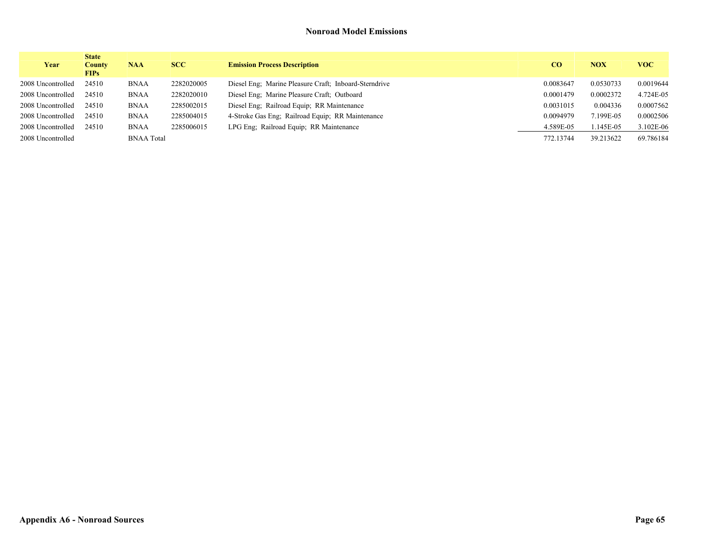| Year              | <b>State</b><br><b>County</b><br><b>FIPs</b> | <b>NAA</b>        | <b>SCC</b> | <b>Emission Process Description</b>                   | CO        | <b>NOX</b> | <b>VOC</b> |
|-------------------|----------------------------------------------|-------------------|------------|-------------------------------------------------------|-----------|------------|------------|
| 2008 Uncontrolled | 24510                                        | <b>BNAA</b>       | 2282020005 | Diesel Eng: Marine Pleasure Craft: Inboard-Sterndrive | 0.0083647 | 0.0530733  | 0.0019644  |
| 2008 Uncontrolled | 24510                                        | <b>BNAA</b>       | 2282020010 | Diesel Eng: Marine Pleasure Craft: Outboard           | 0.0001479 | 0.0002372  | 4.724E-05  |
| 2008 Uncontrolled | 24510                                        | <b>BNAA</b>       | 2285002015 | Diesel Eng; Railroad Equip; RR Maintenance            | 0.0031015 | 0.004336   | 0.0007562  |
| 2008 Uncontrolled | 24510                                        | <b>BNAA</b>       | 2285004015 | 4-Stroke Gas Eng: Railroad Equip: RR Maintenance      | 0.0094979 | 7.199E-05  | 0.0002506  |
| 2008 Uncontrolled | 24510                                        | <b>BNAA</b>       | 2285006015 | LPG Eng; Railroad Equip; RR Maintenance               | 4.589E-05 | $.145E-05$ | 3.102E-06  |
| 2008 Uncontrolled |                                              | <b>BNAA Total</b> |            |                                                       | 772.13744 | 39.213622  | 69.786184  |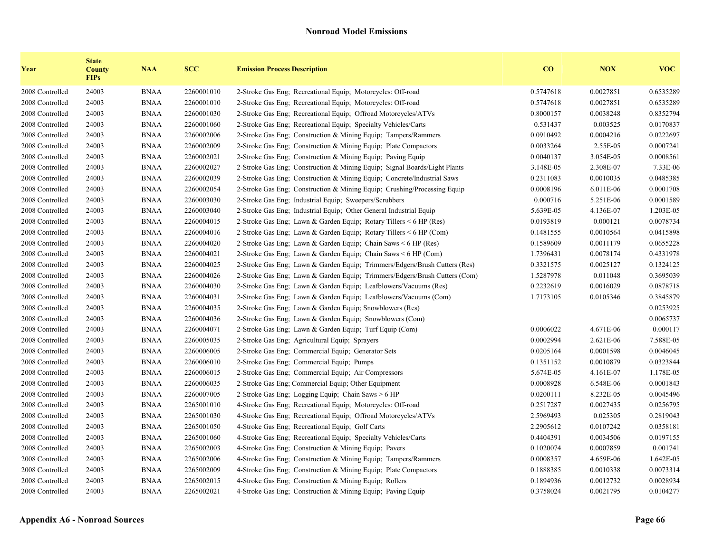| Year            | <b>State</b><br><b>County</b><br><b>FIPs</b> | <b>NAA</b>  | <b>SCC</b> | <b>Emission Process Description</b>                                        | $\overline{\mathbf{C}}$ | <b>NOX</b> | <b>VOC</b> |
|-----------------|----------------------------------------------|-------------|------------|----------------------------------------------------------------------------|-------------------------|------------|------------|
| 2008 Controlled | 24003                                        | <b>BNAA</b> | 2260001010 | 2-Stroke Gas Eng; Recreational Equip; Motorcycles: Off-road                | 0.5747618               | 0.0027851  | 0.6535289  |
| 2008 Controlled | 24003                                        | <b>BNAA</b> | 2260001010 | 2-Stroke Gas Eng; Recreational Equip; Motorcycles: Off-road                | 0.5747618               | 0.0027851  | 0.6535289  |
| 2008 Controlled | 24003                                        | <b>BNAA</b> | 2260001030 | 2-Stroke Gas Eng; Recreational Equip; Offroad Motorcycles/ATVs             | 0.8000157               | 0.0038248  | 0.8352794  |
| 2008 Controlled | 24003                                        | <b>BNAA</b> | 2260001060 | 2-Stroke Gas Eng; Recreational Equip; Specialty Vehicles/Carts             | 0.531437                | 0.003525   | 0.0170837  |
| 2008 Controlled | 24003                                        | <b>BNAA</b> | 2260002006 | 2-Stroke Gas Eng; Construction & Mining Equip; Tampers/Rammers             | 0.0910492               | 0.0004216  | 0.0222697  |
| 2008 Controlled | 24003                                        | <b>BNAA</b> | 2260002009 | 2-Stroke Gas Eng; Construction & Mining Equip; Plate Compactors            | 0.0033264               | 2.55E-05   | 0.0007241  |
| 2008 Controlled | 24003                                        | <b>BNAA</b> | 2260002021 | 2-Stroke Gas Eng; Construction & Mining Equip; Paving Equip                | 0.0040137               | 3.054E-05  | 0.0008561  |
| 2008 Controlled | 24003                                        | <b>BNAA</b> | 2260002027 | 2-Stroke Gas Eng; Construction & Mining Equip; Signal Boards/Light Plants  | 3.148E-05               | 2.308E-07  | 7.33E-06   |
| 2008 Controlled | 24003                                        | <b>BNAA</b> | 2260002039 | 2-Stroke Gas Eng; Construction & Mining Equip; Concrete/Industrial Saws    | 0.2311083               | 0.0010035  | 0.0485385  |
| 2008 Controlled | 24003                                        | <b>BNAA</b> | 2260002054 | 2-Stroke Gas Eng; Construction & Mining Equip; Crushing/Processing Equip   | 0.0008196               | 6.011E-06  | 0.0001708  |
| 2008 Controlled | 24003                                        | <b>BNAA</b> | 2260003030 | 2-Stroke Gas Eng; Industrial Equip; Sweepers/Scrubbers                     | 0.000716                | 5.251E-06  | 0.0001589  |
| 2008 Controlled | 24003                                        | <b>BNAA</b> | 2260003040 | 2-Stroke Gas Eng; Industrial Equip; Other General Industrial Equip         | 5.639E-05               | 4.136E-07  | 1.203E-05  |
| 2008 Controlled | 24003                                        | <b>BNAA</b> | 2260004015 | 2-Stroke Gas Eng; Lawn & Garden Equip; Rotary Tillers $\leq 6$ HP (Res)    | 0.0193819               | 0.000121   | 0.0078734  |
| 2008 Controlled | 24003                                        | <b>BNAA</b> | 2260004016 | 2-Stroke Gas Eng; Lawn & Garden Equip; Rotary Tillers < 6 HP (Com)         | 0.1481555               | 0.0010564  | 0.0415898  |
| 2008 Controlled | 24003                                        | <b>BNAA</b> | 2260004020 | 2-Stroke Gas Eng; Lawn & Garden Equip; Chain Saws < 6 HP (Res)             | 0.1589609               | 0.0011179  | 0.0655228  |
| 2008 Controlled | 24003                                        | <b>BNAA</b> | 2260004021 | 2-Stroke Gas Eng; Lawn & Garden Equip; Chain Saws < 6 HP (Com)             | 1.7396431               | 0.0078174  | 0.4331978  |
| 2008 Controlled | 24003                                        | <b>BNAA</b> | 2260004025 | 2-Stroke Gas Eng; Lawn & Garden Equip; Trimmers/Edgers/Brush Cutters (Res) | 0.3321575               | 0.0025127  | 0.1324125  |
| 2008 Controlled | 24003                                        | <b>BNAA</b> | 2260004026 | 2-Stroke Gas Eng; Lawn & Garden Equip; Trimmers/Edgers/Brush Cutters (Com) | 1.5287978               | 0.011048   | 0.3695039  |
| 2008 Controlled | 24003                                        | <b>BNAA</b> | 2260004030 | 2-Stroke Gas Eng; Lawn & Garden Equip; Leafblowers/Vacuums (Res)           | 0.2232619               | 0.0016029  | 0.0878718  |
| 2008 Controlled | 24003                                        | <b>BNAA</b> | 2260004031 | 2-Stroke Gas Eng; Lawn & Garden Equip; Leafblowers/Vacuums (Com)           | 1.7173105               | 0.0105346  | 0.3845879  |
| 2008 Controlled | 24003                                        | <b>BNAA</b> | 2260004035 | 2-Stroke Gas Eng; Lawn & Garden Equip; Snowblowers (Res)                   |                         |            | 0.0253925  |
| 2008 Controlled | 24003                                        | <b>BNAA</b> | 2260004036 | 2-Stroke Gas Eng: Lawn & Garden Equip: Snowblowers (Com)                   |                         |            | 0.0065737  |
| 2008 Controlled | 24003                                        | <b>BNAA</b> | 2260004071 | 2-Stroke Gas Eng; Lawn & Garden Equip; Turf Equip (Com)                    | 0.0006022               | 4.671E-06  | 0.000117   |
| 2008 Controlled | 24003                                        | <b>BNAA</b> | 2260005035 | 2-Stroke Gas Eng; Agricultural Equip; Sprayers                             | 0.0002994               | 2.621E-06  | 7.588E-05  |
| 2008 Controlled | 24003                                        | <b>BNAA</b> | 2260006005 | 2-Stroke Gas Eng; Commercial Equip; Generator Sets                         | 0.0205164               | 0.0001598  | 0.0046045  |
| 2008 Controlled | 24003                                        | <b>BNAA</b> | 2260006010 | 2-Stroke Gas Eng; Commercial Equip; Pumps                                  | 0.1351152               | 0.0010879  | 0.0323844  |
| 2008 Controlled | 24003                                        | <b>BNAA</b> | 2260006015 | 2-Stroke Gas Eng; Commercial Equip; Air Compressors                        | 5.674E-05               | 4.161E-07  | 1.178E-05  |
| 2008 Controlled | 24003                                        | <b>BNAA</b> | 2260006035 | 2-Stroke Gas Eng; Commercial Equip; Other Equipment                        | 0.0008928               | 6.548E-06  | 0.0001843  |
| 2008 Controlled | 24003                                        | <b>BNAA</b> | 2260007005 | 2-Stroke Gas Eng; Logging Equip; Chain Saws > 6 HP                         | 0.0200111               | 8.232E-05  | 0.0045496  |
| 2008 Controlled | 24003                                        | <b>BNAA</b> | 2265001010 | 4-Stroke Gas Eng; Recreational Equip; Motorcycles: Off-road                | 0.2517287               | 0.0027435  | 0.0256795  |
| 2008 Controlled | 24003                                        | <b>BNAA</b> | 2265001030 | 4-Stroke Gas Eng; Recreational Equip; Offroad Motorcycles/ATVs             | 2.5969493               | 0.025305   | 0.2819043  |
| 2008 Controlled | 24003                                        | <b>BNAA</b> | 2265001050 | 4-Stroke Gas Eng; Recreational Equip; Golf Carts                           | 2.2905612               | 0.0107242  | 0.0358181  |
| 2008 Controlled | 24003                                        | <b>BNAA</b> | 2265001060 | 4-Stroke Gas Eng; Recreational Equip; Specialty Vehicles/Carts             | 0.4404391               | 0.0034506  | 0.0197155  |
| 2008 Controlled | 24003                                        | <b>BNAA</b> | 2265002003 | 4-Stroke Gas Eng; Construction & Mining Equip; Pavers                      | 0.1020074               | 0.0007859  | 0.001741   |
| 2008 Controlled | 24003                                        | <b>BNAA</b> | 2265002006 | 4-Stroke Gas Eng: Construction & Mining Equip: Tampers/Rammers             | 0.0008357               | 4.659E-06  | 1.642E-05  |
| 2008 Controlled | 24003                                        | <b>BNAA</b> | 2265002009 | 4-Stroke Gas Eng: Construction & Mining Equip: Plate Compactors            | 0.1888385               | 0.0010338  | 0.0073314  |
| 2008 Controlled | 24003                                        | <b>BNAA</b> | 2265002015 | 4-Stroke Gas Eng; Construction & Mining Equip; Rollers                     | 0.1894936               | 0.0012732  | 0.0028934  |
| 2008 Controlled | 24003                                        | <b>BNAA</b> | 2265002021 | 4-Stroke Gas Eng; Construction & Mining Equip; Paving Equip                | 0.3758024               | 0.0021795  | 0.0104277  |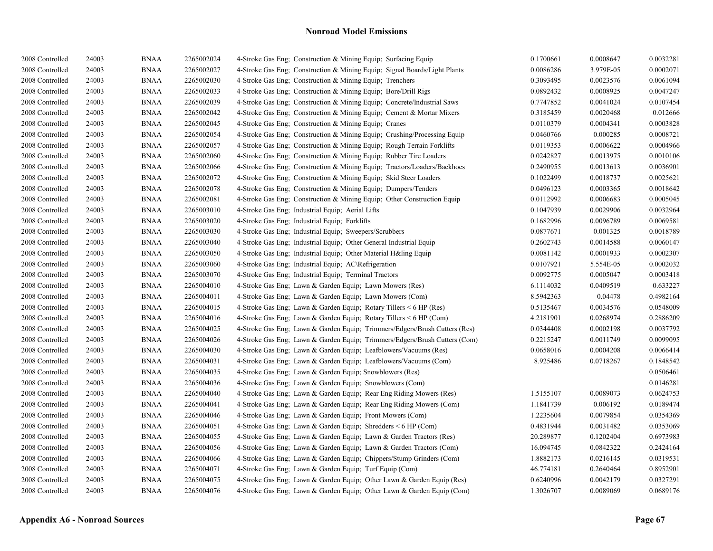| 2008 Controlled | 24003 | <b>BNAA</b> | 2265002024 | 4-Stroke Gas Eng; Construction & Mining Equip; Surfacing Equip             | 0.1700661 | 0.0008647 | 0.0032281 |
|-----------------|-------|-------------|------------|----------------------------------------------------------------------------|-----------|-----------|-----------|
| 2008 Controlled | 24003 | <b>BNAA</b> | 2265002027 | 4-Stroke Gas Eng; Construction & Mining Equip; Signal Boards/Light Plants  | 0.0086286 | 3.979E-05 | 0.0002071 |
| 2008 Controlled | 24003 | <b>BNAA</b> | 2265002030 | 4-Stroke Gas Eng: Construction & Mining Equip: Trenchers                   | 0.3093495 | 0.0023576 | 0.0061094 |
| 2008 Controlled | 24003 | <b>BNAA</b> | 2265002033 | 4-Stroke Gas Eng; Construction & Mining Equip; Bore/Drill Rigs             | 0.0892432 | 0.0008925 | 0.0047247 |
| 2008 Controlled | 24003 | <b>BNAA</b> | 2265002039 | 4-Stroke Gas Eng; Construction & Mining Equip; Concrete/Industrial Saws    | 0.7747852 | 0.0041024 | 0.0107454 |
| 2008 Controlled | 24003 | <b>BNAA</b> | 2265002042 | 4-Stroke Gas Eng; Construction & Mining Equip; Cement & Mortar Mixers      | 0.3185459 | 0.0020468 | 0.012666  |
| 2008 Controlled | 24003 | <b>BNAA</b> | 2265002045 | 4-Stroke Gas Eng; Construction & Mining Equip; Cranes                      | 0.0110379 | 0.0004341 | 0.0003828 |
| 2008 Controlled | 24003 | <b>BNAA</b> | 2265002054 | 4-Stroke Gas Eng; Construction & Mining Equip; Crushing/Processing Equip   | 0.0460766 | 0.000285  | 0.0008721 |
| 2008 Controlled | 24003 | <b>BNAA</b> | 2265002057 | 4-Stroke Gas Eng; Construction & Mining Equip; Rough Terrain Forklifts     | 0.0119353 | 0.0006622 | 0.0004966 |
| 2008 Controlled | 24003 | <b>BNAA</b> | 2265002060 | 4-Stroke Gas Eng; Construction & Mining Equip; Rubber Tire Loaders         | 0.0242827 | 0.0013975 | 0.0010106 |
| 2008 Controlled | 24003 | <b>BNAA</b> | 2265002066 | 4-Stroke Gas Eng; Construction & Mining Equip; Tractors/Loaders/Backhoes   | 0.2490955 | 0.0013613 | 0.0036901 |
| 2008 Controlled | 24003 | <b>BNAA</b> | 2265002072 | 4-Stroke Gas Eng; Construction & Mining Equip; Skid Steer Loaders          | 0.1022499 | 0.0018737 | 0.0025621 |
| 2008 Controlled | 24003 | <b>BNAA</b> | 2265002078 | 4-Stroke Gas Eng; Construction & Mining Equip; Dumpers/Tenders             | 0.0496123 | 0.0003365 | 0.0018642 |
| 2008 Controlled | 24003 | <b>BNAA</b> | 2265002081 | 4-Stroke Gas Eng; Construction & Mining Equip; Other Construction Equip    | 0.0112992 | 0.0006683 | 0.0005045 |
| 2008 Controlled | 24003 | <b>BNAA</b> | 2265003010 | 4-Stroke Gas Eng; Industrial Equip; Aerial Lifts                           | 0.1047939 | 0.0029906 | 0.0032964 |
| 2008 Controlled | 24003 | <b>BNAA</b> | 2265003020 | 4-Stroke Gas Eng; Industrial Equip; Forklifts                              | 0.1682996 | 0.0096789 | 0.0069581 |
| 2008 Controlled | 24003 | <b>BNAA</b> | 2265003030 | 4-Stroke Gas Eng; Industrial Equip; Sweepers/Scrubbers                     | 0.0877671 | 0.001325  | 0.0018789 |
| 2008 Controlled | 24003 | <b>BNAA</b> | 2265003040 | 4-Stroke Gas Eng; Industrial Equip; Other General Industrial Equip         | 0.2602743 | 0.0014588 | 0.0060147 |
| 2008 Controlled | 24003 | <b>BNAA</b> | 2265003050 | 4-Stroke Gas Eng; Industrial Equip; Other Material H&ling Equip            | 0.0081142 | 0.0001933 | 0.0002307 |
| 2008 Controlled | 24003 | <b>BNAA</b> | 2265003060 | 4-Stroke Gas Eng; Industrial Equip; AC\Refrigeration                       | 0.0107921 | 5.554E-05 | 0.0002032 |
| 2008 Controlled | 24003 | <b>BNAA</b> | 2265003070 | 4-Stroke Gas Eng; Industrial Equip; Terminal Tractors                      | 0.0092775 | 0.0005047 | 0.0003418 |
| 2008 Controlled | 24003 | <b>BNAA</b> | 2265004010 | 4-Stroke Gas Eng; Lawn & Garden Equip; Lawn Mowers (Res)                   | 6.1114032 | 0.0409519 | 0.633227  |
| 2008 Controlled | 24003 | <b>BNAA</b> | 2265004011 | 4-Stroke Gas Eng; Lawn & Garden Equip; Lawn Mowers (Com)                   | 8.5942363 | 0.04478   | 0.4982164 |
| 2008 Controlled | 24003 | <b>BNAA</b> | 2265004015 | 4-Stroke Gas Eng; Lawn & Garden Equip; Rotary Tillers < 6 HP (Res)         | 0.5135467 | 0.0034576 | 0.0548009 |
| 2008 Controlled | 24003 | <b>BNAA</b> | 2265004016 | 4-Stroke Gas Eng; Lawn & Garden Equip; Rotary Tillers $\leq 6$ HP (Com)    | 4.2181901 | 0.0268974 | 0.2886209 |
| 2008 Controlled | 24003 | <b>BNAA</b> | 2265004025 | 4-Stroke Gas Eng; Lawn & Garden Equip; Trimmers/Edgers/Brush Cutters (Res) | 0.0344408 | 0.0002198 | 0.0037792 |
| 2008 Controlled | 24003 | <b>BNAA</b> | 2265004026 | 4-Stroke Gas Eng; Lawn & Garden Equip; Trimmers/Edgers/Brush Cutters (Com) | 0.2215247 | 0.0011749 | 0.0099095 |
| 2008 Controlled | 24003 | <b>BNAA</b> | 2265004030 | 4-Stroke Gas Eng; Lawn & Garden Equip; Leafblowers/Vacuums (Res)           | 0.0658016 | 0.0004208 | 0.0066414 |
| 2008 Controlled | 24003 | <b>BNAA</b> | 2265004031 | 4-Stroke Gas Eng; Lawn & Garden Equip; Leafblowers/Vacuums (Com)           | 8.925486  | 0.0718267 | 0.1848542 |
| 2008 Controlled | 24003 | <b>BNAA</b> | 2265004035 | 4-Stroke Gas Eng: Lawn & Garden Equip: Snowblowers (Res)                   |           |           | 0.0506461 |
| 2008 Controlled | 24003 | <b>BNAA</b> | 2265004036 | 4-Stroke Gas Eng: Lawn & Garden Equip: Snowblowers (Com)                   |           |           | 0.0146281 |
| 2008 Controlled | 24003 | <b>BNAA</b> | 2265004040 | 4-Stroke Gas Eng; Lawn & Garden Equip; Rear Eng Riding Mowers (Res)        | 1.5155107 | 0.0089073 | 0.0624753 |
| 2008 Controlled | 24003 | <b>BNAA</b> | 2265004041 | 4-Stroke Gas Eng; Lawn & Garden Equip; Rear Eng Riding Mowers (Com)        | 1.1841739 | 0.006192  | 0.0189474 |
| 2008 Controlled | 24003 | <b>BNAA</b> | 2265004046 | 4-Stroke Gas Eng; Lawn & Garden Equip; Front Mowers (Com)                  | 1.2235604 | 0.0079854 | 0.0354369 |
| 2008 Controlled | 24003 | <b>BNAA</b> | 2265004051 | 4-Stroke Gas Eng; Lawn & Garden Equip; Shredders $\leq 6$ HP (Com)         | 0.4831944 | 0.0031482 | 0.0353069 |
| 2008 Controlled | 24003 | <b>BNAA</b> | 2265004055 | 4-Stroke Gas Eng; Lawn & Garden Equip; Lawn & Garden Tractors (Res)        | 20.289877 | 0.1202404 | 0.6973983 |
| 2008 Controlled | 24003 | <b>BNAA</b> | 2265004056 | 4-Stroke Gas Eng; Lawn & Garden Equip; Lawn & Garden Tractors (Com)        | 16.094745 | 0.0842322 | 0.2424164 |
| 2008 Controlled | 24003 | <b>BNAA</b> | 2265004066 | 4-Stroke Gas Eng; Lawn & Garden Equip; Chippers/Stump Grinders (Com)       | 1.8882173 | 0.0216145 | 0.0319531 |
| 2008 Controlled | 24003 | <b>BNAA</b> | 2265004071 | 4-Stroke Gas Eng; Lawn & Garden Equip; Turf Equip (Com)                    | 46.774181 | 0.2640464 | 0.8952901 |
| 2008 Controlled | 24003 | <b>BNAA</b> | 2265004075 | 4-Stroke Gas Eng; Lawn & Garden Equip; Other Lawn & Garden Equip (Res)     | 0.6240996 | 0.0042179 | 0.0327291 |
| 2008 Controlled | 24003 | <b>BNAA</b> | 2265004076 | 4-Stroke Gas Eng; Lawn & Garden Equip; Other Lawn & Garden Equip (Com)     | 1.3026707 | 0.0089069 | 0.0689176 |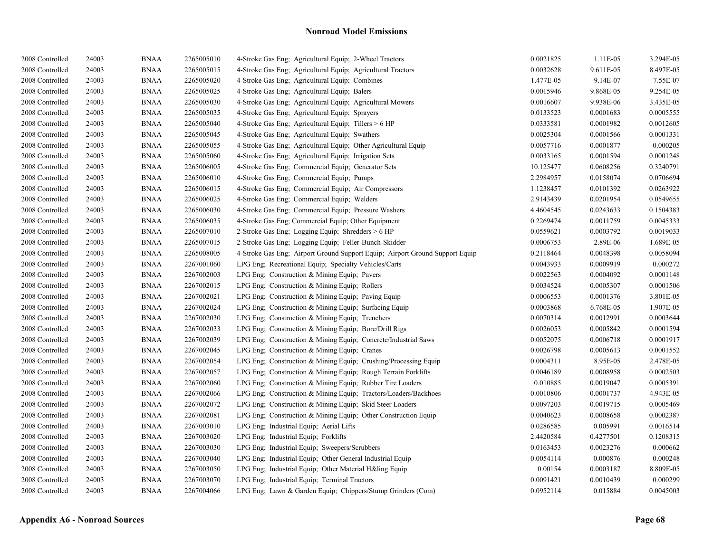| 2008 Controlled | 24003 | <b>BNAA</b> | 2265005010 | 4-Stroke Gas Eng; Agricultural Equip; 2-Wheel Tractors                       | 0.0021825 | 1.11E-05  | 3.294E-05 |
|-----------------|-------|-------------|------------|------------------------------------------------------------------------------|-----------|-----------|-----------|
| 2008 Controlled | 24003 | <b>BNAA</b> | 2265005015 | 4-Stroke Gas Eng; Agricultural Equip; Agricultural Tractors                  | 0.0032628 | 9.611E-05 | 8.497E-05 |
| 2008 Controlled | 24003 | <b>BNAA</b> | 2265005020 | 4-Stroke Gas Eng: Agricultural Equip: Combines                               | 1.477E-05 | 9.14E-07  | 7.55E-07  |
| 2008 Controlled | 24003 | <b>BNAA</b> | 2265005025 | 4-Stroke Gas Eng; Agricultural Equip; Balers                                 | 0.0015946 | 9.868E-05 | 9.254E-05 |
| 2008 Controlled | 24003 | <b>BNAA</b> | 2265005030 | 4-Stroke Gas Eng; Agricultural Equip; Agricultural Mowers                    | 0.0016607 | 9.938E-06 | 3.435E-05 |
| 2008 Controlled | 24003 | <b>BNAA</b> | 2265005035 | 4-Stroke Gas Eng; Agricultural Equip; Sprayers                               | 0.0133523 | 0.0001683 | 0.0005555 |
| 2008 Controlled | 24003 | <b>BNAA</b> | 2265005040 | 4-Stroke Gas Eng; Agricultural Equip; Tillers > 6 HP                         | 0.0333581 | 0.0001982 | 0.0012605 |
| 2008 Controlled | 24003 | <b>BNAA</b> | 2265005045 | 4-Stroke Gas Eng; Agricultural Equip; Swathers                               | 0.0025304 | 0.0001566 | 0.0001331 |
| 2008 Controlled | 24003 | <b>BNAA</b> | 2265005055 | 4-Stroke Gas Eng; Agricultural Equip; Other Agricultural Equip               | 0.0057716 | 0.0001877 | 0.000205  |
| 2008 Controlled | 24003 | <b>BNAA</b> | 2265005060 | 4-Stroke Gas Eng; Agricultural Equip; Irrigation Sets                        | 0.0033165 | 0.0001594 | 0.0001248 |
| 2008 Controlled | 24003 | <b>BNAA</b> | 2265006005 | 4-Stroke Gas Eng; Commercial Equip; Generator Sets                           | 10.125477 | 0.0608256 | 0.3240791 |
| 2008 Controlled | 24003 | <b>BNAA</b> | 2265006010 | 4-Stroke Gas Eng; Commercial Equip; Pumps                                    | 2.2984957 | 0.0158074 | 0.0706694 |
| 2008 Controlled | 24003 | <b>BNAA</b> | 2265006015 | 4-Stroke Gas Eng; Commercial Equip; Air Compressors                          | 1.1238457 | 0.0101392 | 0.0263922 |
| 2008 Controlled | 24003 | <b>BNAA</b> | 2265006025 | 4-Stroke Gas Eng; Commercial Equip; Welders                                  | 2.9143439 | 0.0201954 | 0.0549655 |
| 2008 Controlled | 24003 | <b>BNAA</b> | 2265006030 | 4-Stroke Gas Eng; Commercial Equip; Pressure Washers                         | 4.4604545 | 0.0243633 | 0.1504383 |
| 2008 Controlled | 24003 | <b>BNAA</b> | 2265006035 | 4-Stroke Gas Eng; Commercial Equip; Other Equipment                          | 0.2269474 | 0.0011759 | 0.0045333 |
| 2008 Controlled | 24003 | <b>BNAA</b> | 2265007010 | 2-Stroke Gas Eng; Logging Equip; Shredders > 6 HP                            | 0.0559621 | 0.0003792 | 0.0019033 |
| 2008 Controlled | 24003 | <b>BNAA</b> | 2265007015 | 2-Stroke Gas Eng; Logging Equip; Feller-Bunch-Skidder                        | 0.0006753 | 2.89E-06  | 1.689E-05 |
| 2008 Controlled | 24003 | <b>BNAA</b> | 2265008005 | 4-Stroke Gas Eng; Airport Ground Support Equip; Airport Ground Support Equip | 0.2118464 | 0.0048398 | 0.0058094 |
| 2008 Controlled | 24003 | <b>BNAA</b> | 2267001060 | LPG Eng; Recreational Equip; Specialty Vehicles/Carts                        | 0.0043933 | 0.0009919 | 0.000272  |
| 2008 Controlled | 24003 | <b>BNAA</b> | 2267002003 | LPG Eng; Construction & Mining Equip; Pavers                                 | 0.0022563 | 0.0004092 | 0.0001148 |
| 2008 Controlled | 24003 | <b>BNAA</b> | 2267002015 | LPG Eng; Construction & Mining Equip; Rollers                                | 0.0034524 | 0.0005307 | 0.0001506 |
| 2008 Controlled | 24003 | <b>BNAA</b> | 2267002021 | LPG Eng; Construction & Mining Equip; Paving Equip                           | 0.0006553 | 0.0001376 | 3.801E-05 |
| 2008 Controlled | 24003 | <b>BNAA</b> | 2267002024 | LPG Eng; Construction & Mining Equip; Surfacing Equip                        | 0.0003868 | 6.768E-05 | 1.907E-05 |
| 2008 Controlled | 24003 | <b>BNAA</b> | 2267002030 | LPG Eng; Construction & Mining Equip; Trenchers                              | 0.0070314 | 0.0012991 | 0.0003644 |
| 2008 Controlled | 24003 | <b>BNAA</b> | 2267002033 | LPG Eng; Construction & Mining Equip; Bore/Drill Rigs                        | 0.0026053 | 0.0005842 | 0.0001594 |
| 2008 Controlled | 24003 | <b>BNAA</b> | 2267002039 | LPG Eng; Construction & Mining Equip; Concrete/Industrial Saws               | 0.0052075 | 0.0006718 | 0.0001917 |
| 2008 Controlled | 24003 | <b>BNAA</b> | 2267002045 | LPG Eng; Construction & Mining Equip; Cranes                                 | 0.0026798 | 0.0005613 | 0.0001552 |
| 2008 Controlled | 24003 | <b>BNAA</b> | 2267002054 | LPG Eng: Construction & Mining Equip: Crushing/Processing Equip              | 0.0004311 | 8.95E-05  | 2.478E-05 |
| 2008 Controlled | 24003 | <b>BNAA</b> | 2267002057 | LPG Eng; Construction & Mining Equip; Rough Terrain Forklifts                | 0.0046189 | 0.0008958 | 0.0002503 |
| 2008 Controlled | 24003 | <b>BNAA</b> | 2267002060 | LPG Eng; Construction & Mining Equip; Rubber Tire Loaders                    | 0.010885  | 0.0019047 | 0.0005391 |
| 2008 Controlled | 24003 | <b>BNAA</b> | 2267002066 | LPG Eng; Construction & Mining Equip; Tractors/Loaders/Backhoes              | 0.0010806 | 0.0001737 | 4.943E-05 |
| 2008 Controlled | 24003 | <b>BNAA</b> | 2267002072 | LPG Eng; Construction & Mining Equip; Skid Steer Loaders                     | 0.0097203 | 0.0019715 | 0.0005469 |
| 2008 Controlled | 24003 | <b>BNAA</b> | 2267002081 | LPG Eng; Construction & Mining Equip; Other Construction Equip               | 0.0040623 | 0.0008658 | 0.0002387 |
| 2008 Controlled | 24003 | <b>BNAA</b> | 2267003010 | LPG Eng; Industrial Equip; Aerial Lifts                                      | 0.0286585 | 0.005991  | 0.0016514 |
| 2008 Controlled | 24003 | <b>BNAA</b> | 2267003020 | LPG Eng; Industrial Equip; Forklifts                                         | 2.4420584 | 0.4277501 | 0.1208315 |
| 2008 Controlled | 24003 | <b>BNAA</b> | 2267003030 | LPG Eng; Industrial Equip; Sweepers/Scrubbers                                | 0.0163453 | 0.0023276 | 0.000662  |
| 2008 Controlled | 24003 | <b>BNAA</b> | 2267003040 | LPG Eng; Industrial Equip; Other General Industrial Equip                    | 0.0054114 | 0.000876  | 0.000248  |
| 2008 Controlled | 24003 | <b>BNAA</b> | 2267003050 | LPG Eng; Industrial Equip; Other Material H&ling Equip                       | 0.00154   | 0.0003187 | 8.809E-05 |
| 2008 Controlled | 24003 | <b>BNAA</b> | 2267003070 | LPG Eng; Industrial Equip; Terminal Tractors                                 | 0.0091421 | 0.0010439 | 0.000299  |
| 2008 Controlled | 24003 | <b>BNAA</b> | 2267004066 | LPG Eng; Lawn & Garden Equip; Chippers/Stump Grinders (Com)                  | 0.0952114 | 0.015884  | 0.0045003 |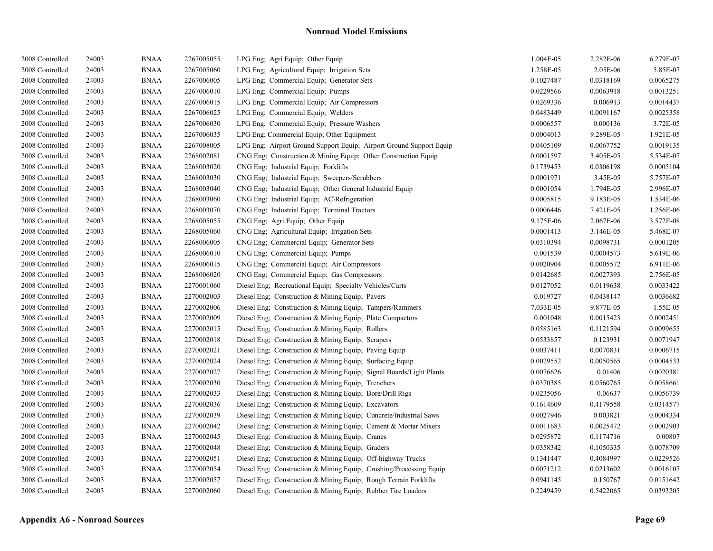| 2008 Controlled | 24003 | <b>BNAA</b> | 2267005055 | LPG Eng; Agri Equip; Other Equip                                    | 1.004E-05 | 2.282E-06 | 6.279E-07 |
|-----------------|-------|-------------|------------|---------------------------------------------------------------------|-----------|-----------|-----------|
| 2008 Controlled | 24003 | <b>BNAA</b> | 2267005060 | LPG Eng; Agricultural Equip; Irrigation Sets                        | 1.258E-05 | 2.05E-06  | 5.85E-07  |
| 2008 Controlled | 24003 | <b>BNAA</b> | 2267006005 | LPG Eng: Commercial Equip: Generator Sets                           | 0.1027487 | 0.0318169 | 0.0065275 |
| 2008 Controlled | 24003 | <b>BNAA</b> | 2267006010 | LPG Eng; Commercial Equip; Pumps                                    | 0.0229566 | 0.0063918 | 0.0013251 |
| 2008 Controlled | 24003 | <b>BNAA</b> | 2267006015 | LPG Eng; Commercial Equip; Air Compressors                          | 0.0269336 | 0.006913  | 0.0014437 |
| 2008 Controlled | 24003 | <b>BNAA</b> | 2267006025 | LPG Eng; Commercial Equip; Welders                                  | 0.0483449 | 0.0091167 | 0.0025358 |
| 2008 Controlled | 24003 | <b>BNAA</b> | 2267006030 | LPG Eng; Commercial Equip; Pressure Washers                         | 0.0006557 | 0.000136  | 3.72E-05  |
| 2008 Controlled | 24003 | <b>BNAA</b> | 2267006035 | LPG Eng; Commercial Equip; Other Equipment                          | 0.0004013 | 9.289E-05 | 1.921E-05 |
| 2008 Controlled | 24003 | <b>BNAA</b> | 2267008005 | LPG Eng; Airport Ground Support Equip; Airport Ground Support Equip | 0.0405109 | 0.0067752 | 0.0019135 |
| 2008 Controlled | 24003 | <b>BNAA</b> | 2268002081 | CNG Eng; Construction & Mining Equip; Other Construction Equip      | 0.0001597 | 3.405E-05 | 5.534E-07 |
| 2008 Controlled | 24003 | <b>BNAA</b> | 2268003020 | CNG Eng; Industrial Equip; Forklifts                                | 0.1739453 | 0.0306198 | 0.0005104 |
| 2008 Controlled | 24003 | <b>BNAA</b> | 2268003030 | CNG Eng; Industrial Equip; Sweepers/Scrubbers                       | 0.0001971 | 3.45E-05  | 5.757E-07 |
| 2008 Controlled | 24003 | <b>BNAA</b> | 2268003040 | CNG Eng; Industrial Equip; Other General Industrial Equip           | 0.0001054 | 1.794E-05 | 2.996E-07 |
| 2008 Controlled | 24003 | <b>BNAA</b> | 2268003060 | CNG Eng; Industrial Equip; AC\Refrigeration                         | 0.0005815 | 9.183E-05 | 1.534E-06 |
| 2008 Controlled | 24003 | <b>BNAA</b> | 2268003070 | CNG Eng; Industrial Equip; Terminal Tractors                        | 0.0006446 | 7.421E-05 | 1.256E-06 |
| 2008 Controlled | 24003 | <b>BNAA</b> | 2268005055 | CNG Eng; Agri Equip; Other Equip                                    | 9.175E-06 | 2.067E-06 | 3.572E-08 |
| 2008 Controlled | 24003 | <b>BNAA</b> | 2268005060 | CNG Eng; Agricultural Equip; Irrigation Sets                        | 0.0001413 | 3.146E-05 | 5.468E-07 |
| 2008 Controlled | 24003 | <b>BNAA</b> | 2268006005 | CNG Eng; Commercial Equip; Generator Sets                           | 0.0310394 | 0.0098731 | 0.0001205 |
| 2008 Controlled | 24003 | BNAA        | 2268006010 | CNG Eng; Commercial Equip; Pumps                                    | 0.001539  | 0.0004573 | 5.619E-06 |
| 2008 Controlled | 24003 | <b>BNAA</b> | 2268006015 | CNG Eng; Commercial Equip; Air Compressors                          | 0.0020904 | 0.0005572 | 6.911E-06 |
| 2008 Controlled | 24003 | <b>BNAA</b> | 2268006020 | CNG Eng; Commercial Equip; Gas Compressors                          | 0.0142685 | 0.0027393 | 2.756E-05 |
| 2008 Controlled | 24003 | BNAA        | 2270001060 | Diesel Eng; Recreational Equip; Specialty Vehicles/Carts            | 0.0127052 | 0.0119638 | 0.0033422 |
| 2008 Controlled | 24003 | <b>BNAA</b> | 2270002003 | Diesel Eng; Construction & Mining Equip; Pavers                     | 0.019727  | 0.0438147 | 0.0036682 |
| 2008 Controlled | 24003 | <b>BNAA</b> | 2270002006 | Diesel Eng; Construction & Mining Equip; Tampers/Rammers            | 7.033E-05 | 9.877E-05 | 1.55E-05  |
| 2008 Controlled | 24003 | <b>BNAA</b> | 2270002009 | Diesel Eng; Construction & Mining Equip; Plate Compactors           | 0.001048  | 0.0015423 | 0.0002451 |
| 2008 Controlled | 24003 | <b>BNAA</b> | 2270002015 | Diesel Eng; Construction & Mining Equip; Rollers                    | 0.0585163 | 0.1121594 | 0.0099655 |
| 2008 Controlled | 24003 | <b>BNAA</b> | 2270002018 | Diesel Eng; Construction & Mining Equip; Scrapers                   | 0.0533857 | 0.123931  | 0.0071947 |
| 2008 Controlled | 24003 | BNAA        | 2270002021 | Diesel Eng; Construction & Mining Equip; Paving Equip               | 0.0037411 | 0.0070831 | 0.0006715 |
| 2008 Controlled | 24003 | BNAA        | 2270002024 | Diesel Eng; Construction & Mining Equip; Surfacing Equip            | 0.0029552 | 0.0050565 | 0.0004533 |
| 2008 Controlled | 24003 | <b>BNAA</b> | 2270002027 | Diesel Eng; Construction & Mining Equip; Signal Boards/Light Plants | 0.0076626 | 0.01406   | 0.0020381 |
| 2008 Controlled | 24003 | <b>BNAA</b> | 2270002030 | Diesel Eng; Construction & Mining Equip; Trenchers                  | 0.0370385 | 0.0560765 | 0.0058661 |
| 2008 Controlled | 24003 | <b>BNAA</b> | 2270002033 | Diesel Eng; Construction & Mining Equip; Bore/Drill Rigs            | 0.0235056 | 0.06637   | 0.0056739 |
| 2008 Controlled | 24003 | BNAA        | 2270002036 | Diesel Eng; Construction & Mining Equip; Excavators                 | 0.1614609 | 0.4179558 | 0.0314577 |
| 2008 Controlled | 24003 | <b>BNAA</b> | 2270002039 | Diesel Eng; Construction & Mining Equip; Concrete/Industrial Saws   | 0.0027946 | 0.003821  | 0.0004334 |
| 2008 Controlled | 24003 | <b>BNAA</b> | 2270002042 | Diesel Eng; Construction & Mining Equip; Cement & Mortar Mixers     | 0.0011683 | 0.0025472 | 0.0002903 |
| 2008 Controlled | 24003 | <b>BNAA</b> | 2270002045 | Diesel Eng; Construction & Mining Equip; Cranes                     | 0.0295872 | 0.1174716 | 0.00807   |
| 2008 Controlled | 24003 | <b>BNAA</b> | 2270002048 | Diesel Eng; Construction & Mining Equip; Graders                    | 0.0358342 | 0.1050335 | 0.0078709 |
| 2008 Controlled | 24003 | <b>BNAA</b> | 2270002051 | Diesel Eng; Construction & Mining Equip; Off-highway Trucks         | 0.1341447 | 0.4084997 | 0.0229526 |
| 2008 Controlled | 24003 | BNAA        | 2270002054 | Diesel Eng; Construction & Mining Equip; Crushing/Processing Equip  | 0.0071212 | 0.0213602 | 0.0016107 |
| 2008 Controlled | 24003 | <b>BNAA</b> | 2270002057 | Diesel Eng; Construction & Mining Equip; Rough Terrain Forklifts    | 0.0941145 | 0.150767  | 0.0151642 |
| 2008 Controlled | 24003 | <b>BNAA</b> | 2270002060 | Diesel Eng; Construction & Mining Equip; Rubber Tire Loaders        | 0.2249459 | 0.5422065 | 0.0393205 |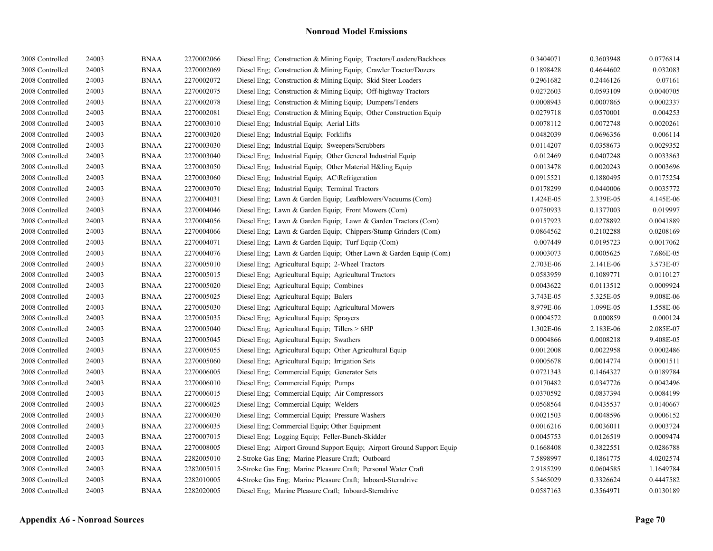| 2008 Controlled | 24003 | <b>BNAA</b> | 2270002066 | Diesel Eng; Construction & Mining Equip; Tractors/Loaders/Backhoes     | 0.3404071 | 0.3603948 | 0.0776814 |
|-----------------|-------|-------------|------------|------------------------------------------------------------------------|-----------|-----------|-----------|
| 2008 Controlled | 24003 | <b>BNAA</b> | 2270002069 | Diesel Eng; Construction & Mining Equip; Crawler Tractor/Dozers        | 0.1898428 | 0.4644602 | 0.032083  |
| 2008 Controlled | 24003 | <b>BNAA</b> | 2270002072 | Diesel Eng; Construction & Mining Equip; Skid Steer Loaders            | 0.2961682 | 0.2446126 | 0.07161   |
| 2008 Controlled | 24003 | <b>BNAA</b> | 2270002075 | Diesel Eng: Construction & Mining Equip: Off-highway Tractors          | 0.0272603 | 0.0593109 | 0.0040705 |
| 2008 Controlled | 24003 | <b>BNAA</b> | 2270002078 | Diesel Eng; Construction & Mining Equip; Dumpers/Tenders               | 0.0008943 | 0.0007865 | 0.0002337 |
| 2008 Controlled | 24003 | <b>BNAA</b> | 2270002081 | Diesel Eng; Construction & Mining Equip; Other Construction Equip      | 0.0279718 | 0.0570001 | 0.004253  |
| 2008 Controlled | 24003 | <b>BNAA</b> | 2270003010 | Diesel Eng; Industrial Equip; Aerial Lifts                             | 0.0078112 | 0.0072748 | 0.0020261 |
| 2008 Controlled | 24003 | <b>BNAA</b> | 2270003020 | Diesel Eng; Industrial Equip; Forklifts                                | 0.0482039 | 0.0696356 | 0.006114  |
| 2008 Controlled | 24003 | <b>BNAA</b> | 2270003030 | Diesel Eng; Industrial Equip; Sweepers/Scrubbers                       | 0.0114207 | 0.0358673 | 0.0029352 |
| 2008 Controlled | 24003 | <b>BNAA</b> | 2270003040 | Diesel Eng; Industrial Equip; Other General Industrial Equip           | 0.012469  | 0.0407248 | 0.0033863 |
| 2008 Controlled | 24003 | <b>BNAA</b> | 2270003050 | Diesel Eng; Industrial Equip; Other Material H&ling Equip              | 0.0013478 | 0.0020243 | 0.0003696 |
| 2008 Controlled | 24003 | <b>BNAA</b> | 2270003060 | Diesel Eng; Industrial Equip; AC\Refrigeration                         | 0.0915521 | 0.1880495 | 0.0175254 |
| 2008 Controlled | 24003 | <b>BNAA</b> | 2270003070 | Diesel Eng; Industrial Equip; Terminal Tractors                        | 0.0178299 | 0.0440006 | 0.0035772 |
| 2008 Controlled | 24003 | <b>BNAA</b> | 2270004031 | Diesel Eng; Lawn & Garden Equip; Leafblowers/Vacuums (Com)             | 1.424E-05 | 2.339E-05 | 4.145E-06 |
| 2008 Controlled | 24003 | <b>BNAA</b> | 2270004046 | Diesel Eng; Lawn & Garden Equip; Front Mowers (Com)                    | 0.0750933 | 0.1377003 | 0.019997  |
| 2008 Controlled | 24003 | <b>BNAA</b> | 2270004056 | Diesel Eng; Lawn & Garden Equip; Lawn & Garden Tractors (Com)          | 0.0157923 | 0.0278892 | 0.0041889 |
| 2008 Controlled | 24003 | <b>BNAA</b> | 2270004066 | Diesel Eng; Lawn & Garden Equip; Chippers/Stump Grinders (Com)         | 0.0864562 | 0.2102288 | 0.0208169 |
| 2008 Controlled | 24003 | <b>BNAA</b> | 2270004071 | Diesel Eng; Lawn & Garden Equip; Turf Equip (Com)                      | 0.007449  | 0.0195723 | 0.0017062 |
| 2008 Controlled | 24003 | <b>BNAA</b> | 2270004076 | Diesel Eng; Lawn & Garden Equip; Other Lawn & Garden Equip (Com)       | 0.0003073 | 0.0005625 | 7.686E-05 |
| 2008 Controlled | 24003 | <b>BNAA</b> | 2270005010 | Diesel Eng; Agricultural Equip; 2-Wheel Tractors                       | 2.703E-06 | 2.141E-06 | 3.573E-07 |
| 2008 Controlled | 24003 | <b>BNAA</b> | 2270005015 | Diesel Eng; Agricultural Equip; Agricultural Tractors                  | 0.0583959 | 0.1089771 | 0.0110127 |
| 2008 Controlled | 24003 | BNAA        | 2270005020 | Diesel Eng; Agricultural Equip; Combines                               | 0.0043622 | 0.0113512 | 0.0009924 |
| 2008 Controlled | 24003 | <b>BNAA</b> | 2270005025 | Diesel Eng; Agricultural Equip; Balers                                 | 3.743E-05 | 5.325E-05 | 9.008E-06 |
| 2008 Controlled | 24003 | <b>BNAA</b> | 2270005030 | Diesel Eng; Agricultural Equip; Agricultural Mowers                    | 8.979E-06 | 1.099E-05 | 1.558E-06 |
| 2008 Controlled | 24003 | <b>BNAA</b> | 2270005035 | Diesel Eng; Agricultural Equip; Sprayers                               | 0.0004572 | 0.000859  | 0.000124  |
| 2008 Controlled | 24003 | <b>BNAA</b> | 2270005040 | Diesel Eng; Agricultural Equip; Tillers > 6HP                          | 1.302E-06 | 2.183E-06 | 2.085E-07 |
| 2008 Controlled | 24003 | <b>BNAA</b> | 2270005045 | Diesel Eng; Agricultural Equip; Swathers                               | 0.0004866 | 0.0008218 | 9.408E-05 |
| 2008 Controlled | 24003 | <b>BNAA</b> | 2270005055 | Diesel Eng; Agricultural Equip; Other Agricultural Equip               | 0.0012008 | 0.0022958 | 0.0002486 |
| 2008 Controlled | 24003 | <b>BNAA</b> | 2270005060 | Diesel Eng; Agricultural Equip; Irrigation Sets                        | 0.0005678 | 0.0014774 | 0.0001511 |
| 2008 Controlled | 24003 | <b>BNAA</b> | 2270006005 | Diesel Eng; Commercial Equip; Generator Sets                           | 0.0721343 | 0.1464327 | 0.0189784 |
| 2008 Controlled | 24003 | <b>BNAA</b> | 2270006010 | Diesel Eng; Commercial Equip; Pumps                                    | 0.0170482 | 0.0347726 | 0.0042496 |
| 2008 Controlled | 24003 | <b>BNAA</b> | 2270006015 | Diesel Eng; Commercial Equip; Air Compressors                          | 0.0370592 | 0.0837394 | 0.0084199 |
| 2008 Controlled | 24003 | <b>BNAA</b> | 2270006025 | Diesel Eng: Commercial Equip: Welders                                  | 0.0568564 | 0.0435537 | 0.0140667 |
| 2008 Controlled | 24003 | <b>BNAA</b> | 2270006030 | Diesel Eng; Commercial Equip; Pressure Washers                         | 0.0021503 | 0.0048596 | 0.0006152 |
| 2008 Controlled | 24003 | <b>BNAA</b> | 2270006035 | Diesel Eng; Commercial Equip; Other Equipment                          | 0.0016216 | 0.0036011 | 0.0003724 |
| 2008 Controlled | 24003 | <b>BNAA</b> | 2270007015 | Diesel Eng; Logging Equip; Feller-Bunch-Skidder                        | 0.0045753 | 0.0126519 | 0.0009474 |
| 2008 Controlled | 24003 | <b>BNAA</b> | 2270008005 | Diesel Eng; Airport Ground Support Equip; Airport Ground Support Equip | 0.1668408 | 0.3822551 | 0.0286788 |
| 2008 Controlled | 24003 | <b>BNAA</b> | 2282005010 | 2-Stroke Gas Eng; Marine Pleasure Craft; Outboard                      | 7.5898997 | 0.1861775 | 4.0202574 |
| 2008 Controlled | 24003 | <b>BNAA</b> | 2282005015 | 2-Stroke Gas Eng; Marine Pleasure Craft; Personal Water Craft          | 2.9185299 | 0.0604585 | 1.1649784 |
| 2008 Controlled | 24003 | <b>BNAA</b> | 2282010005 | 4-Stroke Gas Eng; Marine Pleasure Craft; Inboard-Sterndrive            | 5.5465029 | 0.3326624 | 0.4447582 |
| 2008 Controlled | 24003 | <b>BNAA</b> | 2282020005 | Diesel Eng; Marine Pleasure Craft; Inboard-Sterndrive                  | 0.0587163 | 0.3564971 | 0.0130189 |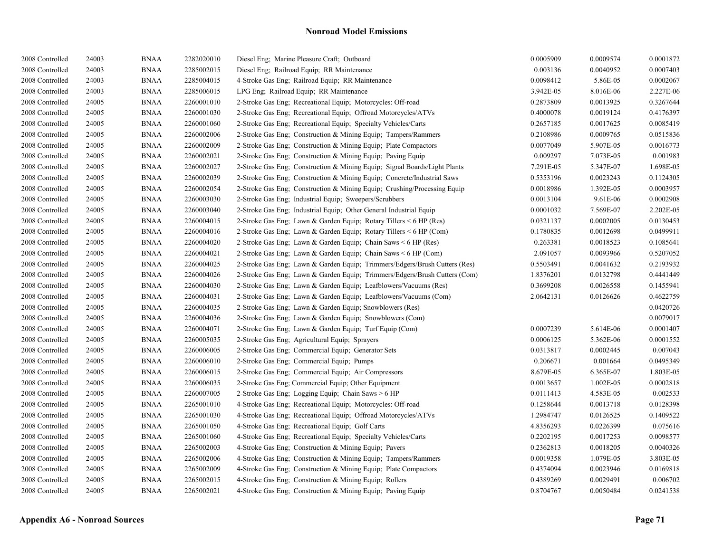| 2008 Controlled | 24003 | <b>BNAA</b> | 2282020010 | Diesel Eng; Marine Pleasure Craft; Outboard                                | 0.0005909 | 0.0009574 | 0.0001872 |
|-----------------|-------|-------------|------------|----------------------------------------------------------------------------|-----------|-----------|-----------|
| 2008 Controlled | 24003 | <b>BNAA</b> | 2285002015 | Diesel Eng; Railroad Equip; RR Maintenance                                 | 0.003136  | 0.0040952 | 0.0007403 |
| 2008 Controlled | 24003 | <b>BNAA</b> | 2285004015 | 4-Stroke Gas Eng; Railroad Equip; RR Maintenance                           | 0.0098412 | 5.86E-05  | 0.0002067 |
| 2008 Controlled | 24003 | <b>BNAA</b> | 2285006015 | LPG Eng; Railroad Equip; RR Maintenance                                    | 3.942E-05 | 8.016E-06 | 2.227E-06 |
| 2008 Controlled | 24005 | <b>BNAA</b> | 2260001010 | 2-Stroke Gas Eng; Recreational Equip; Motorcycles: Off-road                | 0.2873809 | 0.0013925 | 0.3267644 |
| 2008 Controlled | 24005 | <b>BNAA</b> | 2260001030 | 2-Stroke Gas Eng; Recreational Equip; Offroad Motorcycles/ATVs             | 0.4000078 | 0.0019124 | 0.4176397 |
| 2008 Controlled | 24005 | <b>BNAA</b> | 2260001060 | 2-Stroke Gas Eng; Recreational Equip; Specialty Vehicles/Carts             | 0.2657185 | 0.0017625 | 0.0085419 |
| 2008 Controlled | 24005 | <b>BNAA</b> | 2260002006 | 2-Stroke Gas Eng; Construction & Mining Equip; Tampers/Rammers             | 0.2108986 | 0.0009765 | 0.0515836 |
| 2008 Controlled | 24005 | <b>BNAA</b> | 2260002009 | 2-Stroke Gas Eng; Construction & Mining Equip; Plate Compactors            | 0.0077049 | 5.907E-05 | 0.0016773 |
| 2008 Controlled | 24005 | <b>BNAA</b> | 2260002021 | 2-Stroke Gas Eng; Construction & Mining Equip; Paving Equip                | 0.009297  | 7.073E-05 | 0.001983  |
| 2008 Controlled | 24005 | <b>BNAA</b> | 2260002027 | 2-Stroke Gas Eng; Construction & Mining Equip; Signal Boards/Light Plants  | 7.291E-05 | 5.347E-07 | 1.698E-05 |
| 2008 Controlled | 24005 | <b>BNAA</b> | 2260002039 | 2-Stroke Gas Eng; Construction & Mining Equip; Concrete/Industrial Saws    | 0.5353196 | 0.0023243 | 0.1124305 |
| 2008 Controlled | 24005 | <b>BNAA</b> | 2260002054 | 2-Stroke Gas Eng; Construction & Mining Equip; Crushing/Processing Equip   | 0.0018986 | 1.392E-05 | 0.0003957 |
| 2008 Controlled | 24005 | <b>BNAA</b> | 2260003030 | 2-Stroke Gas Eng; Industrial Equip; Sweepers/Scrubbers                     | 0.0013104 | 9.61E-06  | 0.0002908 |
| 2008 Controlled | 24005 | <b>BNAA</b> | 2260003040 | 2-Stroke Gas Eng; Industrial Equip; Other General Industrial Equip         | 0.0001032 | 7.569E-07 | 2.202E-05 |
| 2008 Controlled | 24005 | <b>BNAA</b> | 2260004015 | 2-Stroke Gas Eng; Lawn & Garden Equip; Rotary Tillers $\leq 6$ HP (Res)    | 0.0321137 | 0.0002005 | 0.0130453 |
| 2008 Controlled | 24005 | <b>BNAA</b> | 2260004016 | 2-Stroke Gas Eng; Lawn & Garden Equip; Rotary Tillers < 6 HP (Com)         | 0.1780835 | 0.0012698 | 0.0499911 |
| 2008 Controlled | 24005 | <b>BNAA</b> | 2260004020 | 2-Stroke Gas Eng; Lawn & Garden Equip; Chain Saws < 6 HP (Res)             | 0.263381  | 0.0018523 | 0.1085641 |
| 2008 Controlled | 24005 | <b>BNAA</b> | 2260004021 | 2-Stroke Gas Eng; Lawn & Garden Equip; Chain Saws < 6 HP (Com)             | 2.091057  | 0.0093966 | 0.5207052 |
| 2008 Controlled | 24005 | <b>BNAA</b> | 2260004025 | 2-Stroke Gas Eng; Lawn & Garden Equip; Trimmers/Edgers/Brush Cutters (Res) | 0.5503491 | 0.0041632 | 0.2193932 |
| 2008 Controlled | 24005 | <b>BNAA</b> | 2260004026 | 2-Stroke Gas Eng; Lawn & Garden Equip; Trimmers/Edgers/Brush Cutters (Com) | 1.8376201 | 0.0132798 | 0.4441449 |
| 2008 Controlled | 24005 | <b>BNAA</b> | 2260004030 | 2-Stroke Gas Eng; Lawn & Garden Equip; Leafblowers/Vacuums (Res)           | 0.3699208 | 0.0026558 | 0.1455941 |
| 2008 Controlled | 24005 | <b>BNAA</b> | 2260004031 | 2-Stroke Gas Eng; Lawn & Garden Equip; Leafblowers/Vacuums (Com)           | 2.0642131 | 0.0126626 | 0.4622759 |
| 2008 Controlled | 24005 | <b>BNAA</b> | 2260004035 | 2-Stroke Gas Eng; Lawn & Garden Equip; Snowblowers (Res)                   |           |           | 0.0420726 |
| 2008 Controlled | 24005 | <b>BNAA</b> | 2260004036 | 2-Stroke Gas Eng: Lawn & Garden Equip: Snowblowers (Com)                   |           |           | 0.0079017 |
| 2008 Controlled | 24005 | <b>BNAA</b> | 2260004071 | 2-Stroke Gas Eng; Lawn & Garden Equip; Turf Equip (Com)                    | 0.0007239 | 5.614E-06 | 0.0001407 |
| 2008 Controlled | 24005 | <b>BNAA</b> | 2260005035 | 2-Stroke Gas Eng; Agricultural Equip; Sprayers                             | 0.0006125 | 5.362E-06 | 0.0001552 |
| 2008 Controlled | 24005 | <b>BNAA</b> | 2260006005 | 2-Stroke Gas Eng; Commercial Equip; Generator Sets                         | 0.0313817 | 0.0002445 | 0.007043  |
| 2008 Controlled | 24005 | <b>BNAA</b> | 2260006010 | 2-Stroke Gas Eng; Commercial Equip; Pumps                                  | 0.206671  | 0.001664  | 0.0495349 |
| 2008 Controlled | 24005 | <b>BNAA</b> | 2260006015 | 2-Stroke Gas Eng; Commercial Equip; Air Compressors                        | 8.679E-05 | 6.365E-07 | 1.803E-05 |
| 2008 Controlled | 24005 | <b>BNAA</b> | 2260006035 | 2-Stroke Gas Eng; Commercial Equip; Other Equipment                        | 0.0013657 | 1.002E-05 | 0.0002818 |
| 2008 Controlled | 24005 | <b>BNAA</b> | 2260007005 | 2-Stroke Gas Eng; Logging Equip; Chain Saws > 6 HP                         | 0.0111413 | 4.583E-05 | 0.002533  |
| 2008 Controlled | 24005 | <b>BNAA</b> | 2265001010 | 4-Stroke Gas Eng; Recreational Equip; Motorcycles: Off-road                | 0.1258644 | 0.0013718 | 0.0128398 |
| 2008 Controlled | 24005 | <b>BNAA</b> | 2265001030 | 4-Stroke Gas Eng; Recreational Equip; Offroad Motorcycles/ATVs             | 1.2984747 | 0.0126525 | 0.1409522 |
| 2008 Controlled | 24005 | <b>BNAA</b> | 2265001050 | 4-Stroke Gas Eng; Recreational Equip; Golf Carts                           | 4.8356293 | 0.0226399 | 0.075616  |
| 2008 Controlled | 24005 | <b>BNAA</b> | 2265001060 | 4-Stroke Gas Eng; Recreational Equip; Specialty Vehicles/Carts             | 0.2202195 | 0.0017253 | 0.0098577 |
| 2008 Controlled | 24005 | <b>BNAA</b> | 2265002003 | 4-Stroke Gas Eng; Construction & Mining Equip; Pavers                      | 0.2362813 | 0.0018205 | 0.0040326 |
| 2008 Controlled | 24005 | <b>BNAA</b> | 2265002006 | 4-Stroke Gas Eng; Construction & Mining Equip; Tampers/Rammers             | 0.0019358 | 1.079E-05 | 3.803E-05 |
| 2008 Controlled | 24005 | <b>BNAA</b> | 2265002009 | 4-Stroke Gas Eng; Construction & Mining Equip; Plate Compactors            | 0.4374094 | 0.0023946 | 0.0169818 |
| 2008 Controlled | 24005 | <b>BNAA</b> | 2265002015 | 4-Stroke Gas Eng; Construction & Mining Equip; Rollers                     | 0.4389269 | 0.0029491 | 0.006702  |
| 2008 Controlled | 24005 | <b>BNAA</b> | 2265002021 | 4-Stroke Gas Eng; Construction & Mining Equip; Paving Equip                | 0.8704767 | 0.0050484 | 0.0241538 |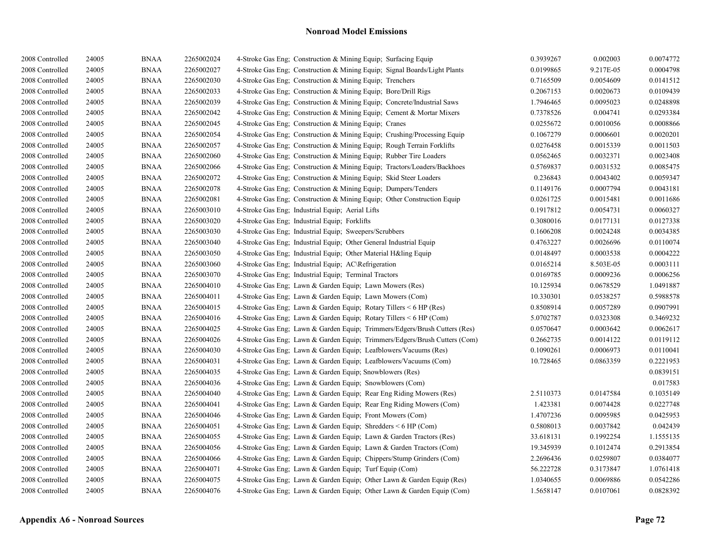| 2008 Controlled | 24005 | <b>BNAA</b> | 2265002024 | 4-Stroke Gas Eng; Construction & Mining Equip; Surfacing Equip             | 0.3939267 | 0.002003  | 0.0074772 |
|-----------------|-------|-------------|------------|----------------------------------------------------------------------------|-----------|-----------|-----------|
| 2008 Controlled | 24005 | <b>BNAA</b> | 2265002027 | 4-Stroke Gas Eng: Construction & Mining Equip: Signal Boards/Light Plants  | 0.0199865 | 9.217E-05 | 0.0004798 |
| 2008 Controlled | 24005 | <b>BNAA</b> | 2265002030 | 4-Stroke Gas Eng: Construction & Mining Equip: Trenchers                   | 0.7165509 | 0.0054609 | 0.0141512 |
| 2008 Controlled | 24005 | <b>BNAA</b> | 2265002033 | 4-Stroke Gas Eng; Construction & Mining Equip; Bore/Drill Rigs             | 0.2067153 | 0.0020673 | 0.0109439 |
| 2008 Controlled | 24005 | <b>BNAA</b> | 2265002039 | 4-Stroke Gas Eng; Construction & Mining Equip; Concrete/Industrial Saws    | 1.7946465 | 0.0095023 | 0.0248898 |
| 2008 Controlled | 24005 | <b>BNAA</b> | 2265002042 | 4-Stroke Gas Eng; Construction & Mining Equip; Cement & Mortar Mixers      | 0.7378526 | 0.004741  | 0.0293384 |
| 2008 Controlled | 24005 | <b>BNAA</b> | 2265002045 | 4-Stroke Gas Eng; Construction & Mining Equip; Cranes                      | 0.0255672 | 0.0010056 | 0.0008866 |
| 2008 Controlled | 24005 | <b>BNAA</b> | 2265002054 | 4-Stroke Gas Eng; Construction & Mining Equip; Crushing/Processing Equip   | 0.1067279 | 0.0006601 | 0.0020201 |
| 2008 Controlled | 24005 | <b>BNAA</b> | 2265002057 | 4-Stroke Gas Eng; Construction & Mining Equip; Rough Terrain Forklifts     | 0.0276458 | 0.0015339 | 0.0011503 |
| 2008 Controlled | 24005 | <b>BNAA</b> | 2265002060 | 4-Stroke Gas Eng: Construction & Mining Equip: Rubber Tire Loaders         | 0.0562465 | 0.0032371 | 0.0023408 |
| 2008 Controlled | 24005 | <b>BNAA</b> | 2265002066 | 4-Stroke Gas Eng; Construction & Mining Equip; Tractors/Loaders/Backhoes   | 0.5769837 | 0.0031532 | 0.0085475 |
| 2008 Controlled | 24005 | <b>BNAA</b> | 2265002072 | 4-Stroke Gas Eng; Construction & Mining Equip; Skid Steer Loaders          | 0.236843  | 0.0043402 | 0.0059347 |
| 2008 Controlled | 24005 | <b>BNAA</b> | 2265002078 | 4-Stroke Gas Eng; Construction & Mining Equip; Dumpers/Tenders             | 0.1149176 | 0.0007794 | 0.0043181 |
| 2008 Controlled | 24005 | <b>BNAA</b> | 2265002081 | 4-Stroke Gas Eng: Construction & Mining Equip: Other Construction Equip    | 0.0261725 | 0.0015481 | 0.0011686 |
| 2008 Controlled | 24005 | <b>BNAA</b> | 2265003010 | 4-Stroke Gas Eng; Industrial Equip; Aerial Lifts                           | 0.1917812 | 0.0054731 | 0.0060327 |
| 2008 Controlled | 24005 | <b>BNAA</b> | 2265003020 | 4-Stroke Gas Eng; Industrial Equip; Forklifts                              | 0.3080016 | 0.0177131 | 0.0127338 |
| 2008 Controlled | 24005 | <b>BNAA</b> | 2265003030 | 4-Stroke Gas Eng; Industrial Equip; Sweepers/Scrubbers                     | 0.1606208 | 0.0024248 | 0.0034385 |
| 2008 Controlled | 24005 | <b>BNAA</b> | 2265003040 | 4-Stroke Gas Eng: Industrial Equip: Other General Industrial Equip         | 0.4763227 | 0.0026696 | 0.0110074 |
| 2008 Controlled | 24005 | <b>BNAA</b> | 2265003050 | 4-Stroke Gas Eng; Industrial Equip; Other Material H&ling Equip            | 0.0148497 | 0.0003538 | 0.0004222 |
| 2008 Controlled | 24005 | <b>BNAA</b> | 2265003060 | 4-Stroke Gas Eng; Industrial Equip; AC\Refrigeration                       | 0.0165214 | 8.503E-05 | 0.0003111 |
| 2008 Controlled | 24005 | <b>BNAA</b> | 2265003070 | 4-Stroke Gas Eng; Industrial Equip; Terminal Tractors                      | 0.0169785 | 0.0009236 | 0.0006256 |
| 2008 Controlled | 24005 | <b>BNAA</b> | 2265004010 | 4-Stroke Gas Eng; Lawn & Garden Equip; Lawn Mowers (Res)                   | 10.125934 | 0.0678529 | 1.0491887 |
| 2008 Controlled | 24005 | <b>BNAA</b> | 2265004011 | 4-Stroke Gas Eng; Lawn & Garden Equip; Lawn Mowers (Com)                   | 10.330301 | 0.0538257 | 0.5988578 |
| 2008 Controlled | 24005 | <b>BNAA</b> | 2265004015 | 4-Stroke Gas Eng; Lawn & Garden Equip; Rotary Tillers < 6 HP (Res)         | 0.8508914 | 0.0057289 | 0.0907991 |
| 2008 Controlled | 24005 | <b>BNAA</b> | 2265004016 | 4-Stroke Gas Eng; Lawn & Garden Equip; Rotary Tillers < 6 HP (Com)         | 5.0702787 | 0.0323308 | 0.3469232 |
| 2008 Controlled | 24005 | <b>BNAA</b> | 2265004025 | 4-Stroke Gas Eng; Lawn & Garden Equip; Trimmers/Edgers/Brush Cutters (Res) | 0.0570647 | 0.0003642 | 0.0062617 |
| 2008 Controlled | 24005 | <b>BNAA</b> | 2265004026 | 4-Stroke Gas Eng; Lawn & Garden Equip; Trimmers/Edgers/Brush Cutters (Com) | 0.2662735 | 0.0014122 | 0.0119112 |
| 2008 Controlled | 24005 | <b>BNAA</b> | 2265004030 | 4-Stroke Gas Eng; Lawn & Garden Equip; Leafblowers/Vacuums (Res)           | 0.1090261 | 0.0006973 | 0.0110041 |
| 2008 Controlled | 24005 | <b>BNAA</b> | 2265004031 | 4-Stroke Gas Eng; Lawn & Garden Equip; Leafblowers/Vacuums (Com)           | 10.728465 | 0.0863359 | 0.2221953 |
| 2008 Controlled | 24005 | <b>BNAA</b> | 2265004035 | 4-Stroke Gas Eng; Lawn & Garden Equip; Snowblowers (Res)                   |           |           | 0.0839151 |
| 2008 Controlled | 24005 | <b>BNAA</b> | 2265004036 | 4-Stroke Gas Eng: Lawn & Garden Equip: Snowblowers (Com)                   |           |           | 0.017583  |
| 2008 Controlled | 24005 | <b>BNAA</b> | 2265004040 | 4-Stroke Gas Eng; Lawn & Garden Equip; Rear Eng Riding Mowers (Res)        | 2.5110373 | 0.0147584 | 0.1035149 |
| 2008 Controlled | 24005 | <b>BNAA</b> | 2265004041 | 4-Stroke Gas Eng; Lawn & Garden Equip; Rear Eng Riding Mowers (Com)        | 1.423381  | 0.0074428 | 0.0227748 |
| 2008 Controlled | 24005 | <b>BNAA</b> | 2265004046 | 4-Stroke Gas Eng; Lawn & Garden Equip; Front Mowers (Com)                  | 1.4707236 | 0.0095985 | 0.0425953 |
| 2008 Controlled | 24005 | <b>BNAA</b> | 2265004051 | 4-Stroke Gas Eng; Lawn & Garden Equip; Shredders $\leq 6$ HP (Com)         | 0.5808013 | 0.0037842 | 0.042439  |
| 2008 Controlled | 24005 | <b>BNAA</b> | 2265004055 | 4-Stroke Gas Eng; Lawn & Garden Equip; Lawn & Garden Tractors (Res)        | 33.618131 | 0.1992254 | 1.1555135 |
| 2008 Controlled | 24005 | <b>BNAA</b> | 2265004056 | 4-Stroke Gas Eng; Lawn & Garden Equip; Lawn & Garden Tractors (Com)        | 19.345939 | 0.1012474 | 0.2913854 |
| 2008 Controlled | 24005 | <b>BNAA</b> | 2265004066 | 4-Stroke Gas Eng; Lawn & Garden Equip; Chippers/Stump Grinders (Com)       | 2.2696436 | 0.0259807 | 0.0384077 |
| 2008 Controlled | 24005 | <b>BNAA</b> | 2265004071 | 4-Stroke Gas Eng; Lawn & Garden Equip; Turf Equip (Com)                    | 56.222728 | 0.3173847 | 1.0761418 |
| 2008 Controlled | 24005 | <b>BNAA</b> | 2265004075 | 4-Stroke Gas Eng; Lawn & Garden Equip; Other Lawn & Garden Equip (Res)     | 1.0340655 | 0.0069886 | 0.0542286 |
| 2008 Controlled | 24005 | <b>BNAA</b> | 2265004076 | 4-Stroke Gas Eng; Lawn & Garden Equip; Other Lawn & Garden Equip (Com)     | 1.5658147 | 0.0107061 | 0.0828392 |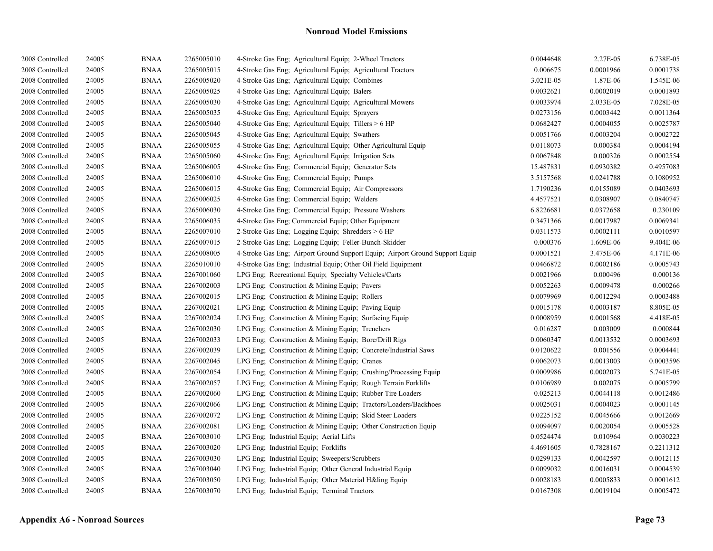| 2008 Controlled | 24005 | <b>BNAA</b> | 2265005010 | 4-Stroke Gas Eng; Agricultural Equip; 2-Wheel Tractors                       | 0.0044648 | 2.27E-05  | 6.738E-05 |
|-----------------|-------|-------------|------------|------------------------------------------------------------------------------|-----------|-----------|-----------|
| 2008 Controlled | 24005 | <b>BNAA</b> | 2265005015 | 4-Stroke Gas Eng; Agricultural Equip; Agricultural Tractors                  | 0.006675  | 0.0001966 | 0.0001738 |
| 2008 Controlled | 24005 | <b>BNAA</b> | 2265005020 | 4-Stroke Gas Eng: Agricultural Equip: Combines                               | 3.021E-05 | 1.87E-06  | 1.545E-06 |
| 2008 Controlled | 24005 | <b>BNAA</b> | 2265005025 | 4-Stroke Gas Eng; Agricultural Equip; Balers                                 | 0.0032621 | 0.0002019 | 0.0001893 |
| 2008 Controlled | 24005 | <b>BNAA</b> | 2265005030 | 4-Stroke Gas Eng; Agricultural Equip; Agricultural Mowers                    | 0.0033974 | 2.033E-05 | 7.028E-05 |
| 2008 Controlled | 24005 | <b>BNAA</b> | 2265005035 | 4-Stroke Gas Eng; Agricultural Equip; Sprayers                               | 0.0273156 | 0.0003442 | 0.0011364 |
| 2008 Controlled | 24005 | <b>BNAA</b> | 2265005040 | 4-Stroke Gas Eng; Agricultural Equip; Tillers > 6 HP                         | 0.0682427 | 0.0004055 | 0.0025787 |
| 2008 Controlled | 24005 | <b>BNAA</b> | 2265005045 | 4-Stroke Gas Eng; Agricultural Equip; Swathers                               | 0.0051766 | 0.0003204 | 0.0002722 |
| 2008 Controlled | 24005 | <b>BNAA</b> | 2265005055 | 4-Stroke Gas Eng; Agricultural Equip; Other Agricultural Equip               | 0.0118073 | 0.000384  | 0.0004194 |
| 2008 Controlled | 24005 | <b>BNAA</b> | 2265005060 | 4-Stroke Gas Eng; Agricultural Equip; Irrigation Sets                        | 0.0067848 | 0.000326  | 0.0002554 |
| 2008 Controlled | 24005 | <b>BNAA</b> | 2265006005 | 4-Stroke Gas Eng; Commercial Equip; Generator Sets                           | 15.487831 | 0.0930382 | 0.4957083 |
| 2008 Controlled | 24005 | <b>BNAA</b> | 2265006010 | 4-Stroke Gas Eng; Commercial Equip; Pumps                                    | 3.5157568 | 0.0241788 | 0.1080952 |
| 2008 Controlled | 24005 | <b>BNAA</b> | 2265006015 | 4-Stroke Gas Eng; Commercial Equip; Air Compressors                          | 1.7190236 | 0.0155089 | 0.0403693 |
| 2008 Controlled | 24005 | <b>BNAA</b> | 2265006025 | 4-Stroke Gas Eng; Commercial Equip; Welders                                  | 4.4577521 | 0.0308907 | 0.0840747 |
| 2008 Controlled | 24005 | <b>BNAA</b> | 2265006030 | 4-Stroke Gas Eng; Commercial Equip; Pressure Washers                         | 6.8226681 | 0.0372658 | 0.230109  |
| 2008 Controlled | 24005 | <b>BNAA</b> | 2265006035 | 4-Stroke Gas Eng; Commercial Equip; Other Equipment                          | 0.3471366 | 0.0017987 | 0.0069341 |
| 2008 Controlled | 24005 | <b>BNAA</b> | 2265007010 | 2-Stroke Gas Eng; Logging Equip; Shredders > 6 HP                            | 0.0311573 | 0.0002111 | 0.0010597 |
| 2008 Controlled | 24005 | <b>BNAA</b> | 2265007015 | 2-Stroke Gas Eng; Logging Equip; Feller-Bunch-Skidder                        | 0.000376  | 1.609E-06 | 9.404E-06 |
| 2008 Controlled | 24005 | <b>BNAA</b> | 2265008005 | 4-Stroke Gas Eng; Airport Ground Support Equip; Airport Ground Support Equip | 0.0001521 | 3.475E-06 | 4.171E-06 |
| 2008 Controlled | 24005 | <b>BNAA</b> | 2265010010 | 4-Stroke Gas Eng; Industrial Equip; Other Oil Field Equipment                | 0.0466872 | 0.0002186 | 0.0005743 |
| 2008 Controlled | 24005 | <b>BNAA</b> | 2267001060 | LPG Eng; Recreational Equip; Specialty Vehicles/Carts                        | 0.0021966 | 0.000496  | 0.000136  |
| 2008 Controlled | 24005 | <b>BNAA</b> | 2267002003 | LPG Eng; Construction & Mining Equip; Pavers                                 | 0.0052263 | 0.0009478 | 0.000266  |
| 2008 Controlled | 24005 | <b>BNAA</b> | 2267002015 | LPG Eng; Construction & Mining Equip; Rollers                                | 0.0079969 | 0.0012294 | 0.0003488 |
| 2008 Controlled | 24005 | <b>BNAA</b> | 2267002021 | LPG Eng; Construction & Mining Equip; Paving Equip                           | 0.0015178 | 0.0003187 | 8.805E-05 |
| 2008 Controlled | 24005 | <b>BNAA</b> | 2267002024 | LPG Eng; Construction & Mining Equip; Surfacing Equip                        | 0.0008959 | 0.0001568 | 4.418E-05 |
| 2008 Controlled | 24005 | <b>BNAA</b> | 2267002030 | LPG Eng; Construction & Mining Equip; Trenchers                              | 0.016287  | 0.003009  | 0.000844  |
| 2008 Controlled | 24005 | <b>BNAA</b> | 2267002033 | LPG Eng; Construction & Mining Equip; Bore/Drill Rigs                        | 0.0060347 | 0.0013532 | 0.0003693 |
| 2008 Controlled | 24005 | <b>BNAA</b> | 2267002039 | LPG Eng; Construction & Mining Equip; Concrete/Industrial Saws               | 0.0120622 | 0.001556  | 0.0004441 |
| 2008 Controlled | 24005 | <b>BNAA</b> | 2267002045 | LPG Eng: Construction $&$ Mining Equip: Cranes                               | 0.0062073 | 0.0013003 | 0.0003596 |
| 2008 Controlled | 24005 | <b>BNAA</b> | 2267002054 | LPG Eng; Construction & Mining Equip; Crushing/Processing Equip              | 0.0009986 | 0.0002073 | 5.741E-05 |
| 2008 Controlled | 24005 | <b>BNAA</b> | 2267002057 | LPG Eng; Construction & Mining Equip; Rough Terrain Forklifts                | 0.0106989 | 0.002075  | 0.0005799 |
| 2008 Controlled | 24005 | <b>BNAA</b> | 2267002060 | LPG Eng; Construction & Mining Equip; Rubber Tire Loaders                    | 0.025213  | 0.0044118 | 0.0012486 |
| 2008 Controlled | 24005 | <b>BNAA</b> | 2267002066 | LPG Eng; Construction & Mining Equip; Tractors/Loaders/Backhoes              | 0.0025031 | 0.0004023 | 0.0001145 |
| 2008 Controlled | 24005 | <b>BNAA</b> | 2267002072 | LPG Eng; Construction & Mining Equip; Skid Steer Loaders                     | 0.0225152 | 0.0045666 | 0.0012669 |
| 2008 Controlled | 24005 | <b>BNAA</b> | 2267002081 | LPG Eng; Construction & Mining Equip; Other Construction Equip               | 0.0094097 | 0.0020054 | 0.0005528 |
| 2008 Controlled | 24005 | <b>BNAA</b> | 2267003010 | LPG Eng; Industrial Equip; Aerial Lifts                                      | 0.0524474 | 0.010964  | 0.0030223 |
| 2008 Controlled | 24005 | <b>BNAA</b> | 2267003020 | LPG Eng; Industrial Equip; Forklifts                                         | 4.4691605 | 0.7828167 | 0.2211312 |
| 2008 Controlled | 24005 | <b>BNAA</b> | 2267003030 | LPG Eng; Industrial Equip; Sweepers/Scrubbers                                | 0.0299133 | 0.0042597 | 0.0012115 |
| 2008 Controlled | 24005 | <b>BNAA</b> | 2267003040 | LPG Eng: Industrial Equip: Other General Industrial Equip                    | 0.0099032 | 0.0016031 | 0.0004539 |
| 2008 Controlled | 24005 | <b>BNAA</b> | 2267003050 | LPG Eng; Industrial Equip; Other Material H&ling Equip                       | 0.0028183 | 0.0005833 | 0.0001612 |
| 2008 Controlled | 24005 | <b>BNAA</b> | 2267003070 | LPG Eng; Industrial Equip; Terminal Tractors                                 | 0.0167308 | 0.0019104 | 0.0005472 |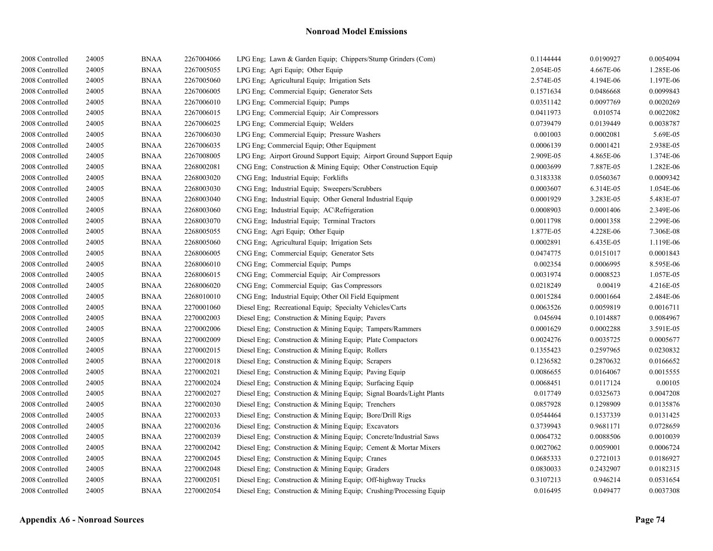| 2008 Controlled | 24005 | <b>BNAA</b> | 2267004066 | LPG Eng; Lawn & Garden Equip; Chippers/Stump Grinders (Com)         | 0.1144444 | 0.0190927 | 0.0054094 |
|-----------------|-------|-------------|------------|---------------------------------------------------------------------|-----------|-----------|-----------|
| 2008 Controlled | 24005 | <b>BNAA</b> | 2267005055 | LPG Eng; Agri Equip; Other Equip                                    | 2.054E-05 | 4.667E-06 | 1.285E-06 |
| 2008 Controlled | 24005 | <b>BNAA</b> | 2267005060 | LPG Eng; Agricultural Equip; Irrigation Sets                        | 2.574E-05 | 4.194E-06 | 1.197E-06 |
| 2008 Controlled | 24005 | <b>BNAA</b> | 2267006005 | LPG Eng; Commercial Equip; Generator Sets                           | 0.1571634 | 0.0486668 | 0.0099843 |
| 2008 Controlled | 24005 | <b>BNAA</b> | 2267006010 | LPG Eng; Commercial Equip; Pumps                                    | 0.0351142 | 0.0097769 | 0.0020269 |
| 2008 Controlled | 24005 | <b>BNAA</b> | 2267006015 | LPG Eng; Commercial Equip; Air Compressors                          | 0.0411973 | 0.010574  | 0.0022082 |
| 2008 Controlled | 24005 | <b>BNAA</b> | 2267006025 | LPG Eng; Commercial Equip; Welders                                  | 0.0739479 | 0.0139449 | 0.0038787 |
| 2008 Controlled | 24005 | <b>BNAA</b> | 2267006030 | LPG Eng; Commercial Equip; Pressure Washers                         | 0.001003  | 0.0002081 | 5.69E-05  |
| 2008 Controlled | 24005 | <b>BNAA</b> | 2267006035 | LPG Eng; Commercial Equip; Other Equipment                          | 0.0006139 | 0.0001421 | 2.938E-05 |
| 2008 Controlled | 24005 | <b>BNAA</b> | 2267008005 | LPG Eng; Airport Ground Support Equip; Airport Ground Support Equip | 2.909E-05 | 4.865E-06 | 1.374E-06 |
| 2008 Controlled | 24005 | <b>BNAA</b> | 2268002081 | CNG Eng; Construction & Mining Equip; Other Construction Equip      | 0.0003699 | 7.887E-05 | 1.282E-06 |
| 2008 Controlled | 24005 | <b>BNAA</b> | 2268003020 | CNG Eng; Industrial Equip; Forklifts                                | 0.3183338 | 0.0560367 | 0.0009342 |
| 2008 Controlled | 24005 | <b>BNAA</b> | 2268003030 | CNG Eng; Industrial Equip; Sweepers/Scrubbers                       | 0.0003607 | 6.314E-05 | 1.054E-06 |
| 2008 Controlled | 24005 | <b>BNAA</b> | 2268003040 | CNG Eng; Industrial Equip; Other General Industrial Equip           | 0.0001929 | 3.283E-05 | 5.483E-07 |
| 2008 Controlled | 24005 | <b>BNAA</b> | 2268003060 | CNG Eng; Industrial Equip; AC\Refrigeration                         | 0.0008903 | 0.0001406 | 2.349E-06 |
| 2008 Controlled | 24005 | <b>BNAA</b> | 2268003070 | CNG Eng; Industrial Equip; Terminal Tractors                        | 0.0011798 | 0.0001358 | 2.299E-06 |
| 2008 Controlled | 24005 | <b>BNAA</b> | 2268005055 | CNG Eng; Agri Equip; Other Equip                                    | 1.877E-05 | 4.228E-06 | 7.306E-08 |
| 2008 Controlled | 24005 | <b>BNAA</b> | 2268005060 | CNG Eng; Agricultural Equip; Irrigation Sets                        | 0.0002891 | 6.435E-05 | 1.119E-06 |
| 2008 Controlled | 24005 | <b>BNAA</b> | 2268006005 | CNG Eng; Commercial Equip; Generator Sets                           | 0.0474775 | 0.0151017 | 0.0001843 |
| 2008 Controlled | 24005 | <b>BNAA</b> | 2268006010 | CNG Eng; Commercial Equip; Pumps                                    | 0.002354  | 0.0006995 | 8.595E-06 |
| 2008 Controlled | 24005 | <b>BNAA</b> | 2268006015 | CNG Eng; Commercial Equip; Air Compressors                          | 0.0031974 | 0.0008523 | 1.057E-05 |
| 2008 Controlled | 24005 | <b>BNAA</b> | 2268006020 | CNG Eng: Commercial Equip: Gas Compressors                          | 0.0218249 | 0.00419   | 4.216E-05 |
| 2008 Controlled | 24005 | <b>BNAA</b> | 2268010010 | CNG Eng; Industrial Equip; Other Oil Field Equipment                | 0.0015284 | 0.0001664 | 2.484E-06 |
| 2008 Controlled | 24005 | <b>BNAA</b> | 2270001060 | Diesel Eng; Recreational Equip; Specialty Vehicles/Carts            | 0.0063526 | 0.0059819 | 0.0016711 |
| 2008 Controlled | 24005 | <b>BNAA</b> | 2270002003 | Diesel Eng; Construction & Mining Equip; Pavers                     | 0.045694  | 0.1014887 | 0.0084967 |
| 2008 Controlled | 24005 | <b>BNAA</b> | 2270002006 | Diesel Eng; Construction & Mining Equip; Tampers/Rammers            | 0.0001629 | 0.0002288 | 3.591E-05 |
| 2008 Controlled | 24005 | <b>BNAA</b> | 2270002009 | Diesel Eng; Construction & Mining Equip; Plate Compactors           | 0.0024276 | 0.0035725 | 0.0005677 |
| 2008 Controlled | 24005 | <b>BNAA</b> | 2270002015 | Diesel Eng; Construction & Mining Equip; Rollers                    | 0.1355423 | 0.2597965 | 0.0230832 |
| 2008 Controlled | 24005 | <b>BNAA</b> | 2270002018 | Diesel Eng; Construction & Mining Equip; Scrapers                   | 0.1236582 | 0.2870632 | 0.0166652 |
| 2008 Controlled | 24005 | <b>BNAA</b> | 2270002021 | Diesel Eng; Construction & Mining Equip; Paving Equip               | 0.0086655 | 0.0164067 | 0.0015555 |
| 2008 Controlled | 24005 | <b>BNAA</b> | 2270002024 | Diesel Eng; Construction & Mining Equip; Surfacing Equip            | 0.0068451 | 0.0117124 | 0.00105   |
| 2008 Controlled | 24005 | <b>BNAA</b> | 2270002027 | Diesel Eng; Construction & Mining Equip; Signal Boards/Light Plants | 0.017749  | 0.0325673 | 0.0047208 |
| 2008 Controlled | 24005 | <b>BNAA</b> | 2270002030 | Diesel Eng; Construction & Mining Equip; Trenchers                  | 0.0857928 | 0.1298909 | 0.0135876 |
| 2008 Controlled | 24005 | <b>BNAA</b> | 2270002033 | Diesel Eng; Construction & Mining Equip; Bore/Drill Rigs            | 0.0544464 | 0.1537339 | 0.0131425 |
| 2008 Controlled | 24005 | <b>BNAA</b> | 2270002036 | Diesel Eng; Construction & Mining Equip; Excavators                 | 0.3739943 | 0.9681171 | 0.0728659 |
| 2008 Controlled | 24005 | <b>BNAA</b> | 2270002039 | Diesel Eng; Construction & Mining Equip; Concrete/Industrial Saws   | 0.0064732 | 0.0088506 | 0.0010039 |
| 2008 Controlled | 24005 | <b>BNAA</b> | 2270002042 | Diesel Eng; Construction & Mining Equip; Cement & Mortar Mixers     | 0.0027062 | 0.0059001 | 0.0006724 |
| 2008 Controlled | 24005 | <b>BNAA</b> | 2270002045 | Diesel Eng; Construction & Mining Equip; Cranes                     | 0.0685333 | 0.2721013 | 0.0186927 |
| 2008 Controlled | 24005 | <b>BNAA</b> | 2270002048 | Diesel Eng: Construction & Mining Equip: Graders                    | 0.0830033 | 0.2432907 | 0.0182315 |
| 2008 Controlled | 24005 | <b>BNAA</b> | 2270002051 | Diesel Eng; Construction & Mining Equip; Off-highway Trucks         | 0.3107213 | 0.946214  | 0.0531654 |
| 2008 Controlled | 24005 | <b>BNAA</b> | 2270002054 | Diesel Eng; Construction & Mining Equip; Crushing/Processing Equip  | 0.016495  | 0.049477  | 0.0037308 |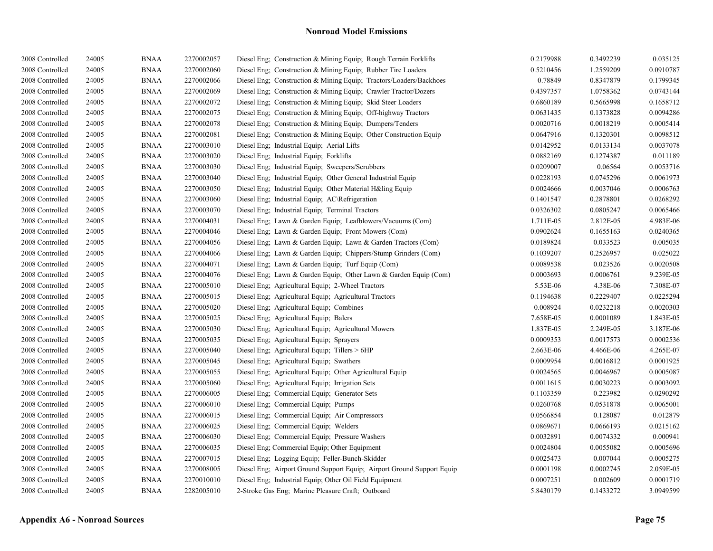| 2008 Controlled | 24005 | <b>BNAA</b> | 2270002057 | Diesel Eng; Construction & Mining Equip; Rough Terrain Forklifts       | 0.2179988 | 0.3492239 | 0.035125  |
|-----------------|-------|-------------|------------|------------------------------------------------------------------------|-----------|-----------|-----------|
| 2008 Controlled | 24005 | <b>BNAA</b> | 2270002060 | Diesel Eng; Construction & Mining Equip; Rubber Tire Loaders           | 0.5210456 | 1.2559209 | 0.0910787 |
| 2008 Controlled | 24005 | <b>BNAA</b> | 2270002066 | Diesel Eng; Construction & Mining Equip; Tractors/Loaders/Backhoes     | 0.78849   | 0.8347879 | 0.1799345 |
| 2008 Controlled | 24005 | <b>BNAA</b> | 2270002069 | Diesel Eng; Construction & Mining Equip; Crawler Tractor/Dozers        | 0.4397357 | 1.0758362 | 0.0743144 |
| 2008 Controlled | 24005 | <b>BNAA</b> | 2270002072 | Diesel Eng; Construction & Mining Equip; Skid Steer Loaders            | 0.6860189 | 0.5665998 | 0.1658712 |
| 2008 Controlled | 24005 | <b>BNAA</b> | 2270002075 | Diesel Eng. Construction & Mining Equip: Off-highway Tractors          | 0.0631435 | 0.1373828 | 0.0094286 |
| 2008 Controlled | 24005 | <b>BNAA</b> | 2270002078 | Diesel Eng; Construction & Mining Equip; Dumpers/Tenders               | 0.0020716 | 0.0018219 | 0.0005414 |
| 2008 Controlled | 24005 | <b>BNAA</b> | 2270002081 | Diesel Eng; Construction & Mining Equip; Other Construction Equip      | 0.0647916 | 0.1320301 | 0.0098512 |
| 2008 Controlled | 24005 | <b>BNAA</b> | 2270003010 | Diesel Eng; Industrial Equip; Aerial Lifts                             | 0.0142952 | 0.0133134 | 0.0037078 |
| 2008 Controlled | 24005 | <b>BNAA</b> | 2270003020 | Diesel Eng; Industrial Equip; Forklifts                                | 0.0882169 | 0.1274387 | 0.011189  |
| 2008 Controlled | 24005 | <b>BNAA</b> | 2270003030 | Diesel Eng; Industrial Equip; Sweepers/Scrubbers                       | 0.0209007 | 0.06564   | 0.0053716 |
| 2008 Controlled | 24005 | <b>BNAA</b> | 2270003040 | Diesel Eng; Industrial Equip; Other General Industrial Equip           | 0.0228193 | 0.0745296 | 0.0061973 |
| 2008 Controlled | 24005 | <b>BNAA</b> | 2270003050 | Diesel Eng; Industrial Equip; Other Material H&ling Equip              | 0.0024666 | 0.0037046 | 0.0006763 |
| 2008 Controlled | 24005 | <b>BNAA</b> | 2270003060 | Diesel Eng; Industrial Equip; AC\Refrigeration                         | 0.1401547 | 0.2878801 | 0.0268292 |
| 2008 Controlled | 24005 | <b>BNAA</b> | 2270003070 | Diesel Eng; Industrial Equip; Terminal Tractors                        | 0.0326302 | 0.0805247 | 0.0065466 |
| 2008 Controlled | 24005 | <b>BNAA</b> | 2270004031 | Diesel Eng; Lawn & Garden Equip; Leafblowers/Vacuums (Com)             | 1.711E-05 | 2.812E-05 | 4.983E-06 |
| 2008 Controlled | 24005 | <b>BNAA</b> | 2270004046 | Diesel Eng; Lawn & Garden Equip; Front Mowers (Com)                    | 0.0902624 | 0.1655163 | 0.0240365 |
| 2008 Controlled | 24005 | <b>BNAA</b> | 2270004056 | Diesel Eng; Lawn & Garden Equip; Lawn & Garden Tractors (Com)          | 0.0189824 | 0.033523  | 0.005035  |
| 2008 Controlled | 24005 | <b>BNAA</b> | 2270004066 | Diesel Eng; Lawn & Garden Equip; Chippers/Stump Grinders (Com)         | 0.1039207 | 0.2526957 | 0.025022  |
| 2008 Controlled | 24005 | <b>BNAA</b> | 2270004071 | Diesel Eng; Lawn & Garden Equip; Turf Equip (Com)                      | 0.0089538 | 0.023526  | 0.0020508 |
| 2008 Controlled | 24005 | <b>BNAA</b> | 2270004076 | Diesel Eng; Lawn & Garden Equip; Other Lawn & Garden Equip (Com)       | 0.0003693 | 0.0006761 | 9.239E-05 |
| 2008 Controlled | 24005 | <b>BNAA</b> | 2270005010 | Diesel Eng; Agricultural Equip; 2-Wheel Tractors                       | 5.53E-06  | 4.38E-06  | 7.308E-07 |
| 2008 Controlled | 24005 | <b>BNAA</b> | 2270005015 | Diesel Eng; Agricultural Equip; Agricultural Tractors                  | 0.1194638 | 0.2229407 | 0.0225294 |
| 2008 Controlled | 24005 | <b>BNAA</b> | 2270005020 | Diesel Eng; Agricultural Equip; Combines                               | 0.008924  | 0.0232218 | 0.0020303 |
| 2008 Controlled | 24005 | <b>BNAA</b> | 2270005025 | Diesel Eng; Agricultural Equip; Balers                                 | 7.658E-05 | 0.0001089 | 1.843E-05 |
| 2008 Controlled | 24005 | <b>BNAA</b> | 2270005030 | Diesel Eng; Agricultural Equip; Agricultural Mowers                    | 1.837E-05 | 2.249E-05 | 3.187E-06 |
| 2008 Controlled | 24005 | <b>BNAA</b> | 2270005035 | Diesel Eng; Agricultural Equip; Sprayers                               | 0.0009353 | 0.0017573 | 0.0002536 |
| 2008 Controlled | 24005 | <b>BNAA</b> | 2270005040 | Diesel Eng; Agricultural Equip; Tillers > 6HP                          | 2.663E-06 | 4.466E-06 | 4.265E-07 |
| 2008 Controlled | 24005 | <b>BNAA</b> | 2270005045 | Diesel Eng; Agricultural Equip; Swathers                               | 0.0009954 | 0.0016812 | 0.0001925 |
| 2008 Controlled | 24005 | <b>BNAA</b> | 2270005055 | Diesel Eng; Agricultural Equip; Other Agricultural Equip               | 0.0024565 | 0.0046967 | 0.0005087 |
| 2008 Controlled | 24005 | <b>BNAA</b> | 2270005060 | Diesel Eng; Agricultural Equip; Irrigation Sets                        | 0.0011615 | 0.0030223 | 0.0003092 |
| 2008 Controlled | 24005 | <b>BNAA</b> | 2270006005 | Diesel Eng; Commercial Equip; Generator Sets                           | 0.1103359 | 0.223982  | 0.0290292 |
| 2008 Controlled | 24005 | <b>BNAA</b> | 2270006010 | Diesel Eng; Commercial Equip; Pumps                                    | 0.0260768 | 0.0531878 | 0.0065001 |
| 2008 Controlled | 24005 | <b>BNAA</b> | 2270006015 | Diesel Eng; Commercial Equip; Air Compressors                          | 0.0566854 | 0.128087  | 0.012879  |
| 2008 Controlled | 24005 | <b>BNAA</b> | 2270006025 | Diesel Eng; Commercial Equip; Welders                                  | 0.0869671 | 0.0666193 | 0.0215162 |
| 2008 Controlled | 24005 | <b>BNAA</b> | 2270006030 | Diesel Eng; Commercial Equip; Pressure Washers                         | 0.0032891 | 0.0074332 | 0.000941  |
| 2008 Controlled | 24005 | <b>BNAA</b> | 2270006035 | Diesel Eng; Commercial Equip; Other Equipment                          | 0.0024804 | 0.0055082 | 0.0005696 |
| 2008 Controlled | 24005 | <b>BNAA</b> | 2270007015 | Diesel Eng; Logging Equip; Feller-Bunch-Skidder                        | 0.0025473 | 0.007044  | 0.0005275 |
| 2008 Controlled | 24005 | <b>BNAA</b> | 2270008005 | Diesel Eng; Airport Ground Support Equip; Airport Ground Support Equip | 0.0001198 | 0.0002745 | 2.059E-05 |
| 2008 Controlled | 24005 | <b>BNAA</b> | 2270010010 | Diesel Eng; Industrial Equip; Other Oil Field Equipment                | 0.0007251 | 0.002609  | 0.0001719 |
| 2008 Controlled | 24005 | <b>BNAA</b> | 2282005010 | 2-Stroke Gas Eng; Marine Pleasure Craft; Outboard                      | 5.8430179 | 0.1433272 | 3.0949599 |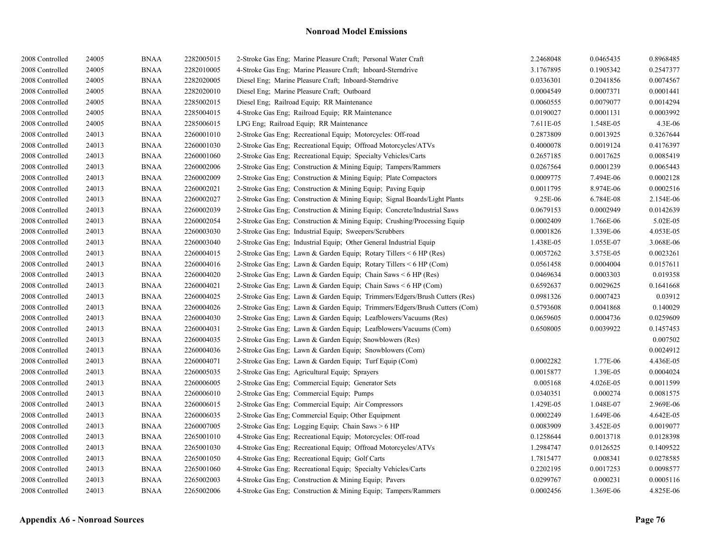| 2008 Controlled | 24005 | <b>BNAA</b> | 2282005015 | 2-Stroke Gas Eng; Marine Pleasure Craft; Personal Water Craft              | 2.2468048 | 0.0465435 | 0.8968485 |
|-----------------|-------|-------------|------------|----------------------------------------------------------------------------|-----------|-----------|-----------|
| 2008 Controlled | 24005 | <b>BNAA</b> | 2282010005 | 4-Stroke Gas Eng; Marine Pleasure Craft; Inboard-Sterndrive                | 3.1767895 | 0.1905342 | 0.2547377 |
| 2008 Controlled | 24005 | <b>BNAA</b> | 2282020005 | Diesel Eng; Marine Pleasure Craft; Inboard-Sterndrive                      | 0.0336301 | 0.2041856 | 0.0074567 |
| 2008 Controlled | 24005 | <b>BNAA</b> | 2282020010 | Diesel Eng; Marine Pleasure Craft; Outboard                                | 0.0004549 | 0.0007371 | 0.0001441 |
| 2008 Controlled | 24005 | <b>BNAA</b> | 2285002015 | Diesel Eng; Railroad Equip; RR Maintenance                                 | 0.0060555 | 0.0079077 | 0.0014294 |
| 2008 Controlled | 24005 | <b>BNAA</b> | 2285004015 | 4-Stroke Gas Eng; Railroad Equip; RR Maintenance                           | 0.0190027 | 0.0001131 | 0.0003992 |
| 2008 Controlled | 24005 | <b>BNAA</b> | 2285006015 | LPG Eng; Railroad Equip; RR Maintenance                                    | 7.611E-05 | 1.548E-05 | 4.3E-06   |
| 2008 Controlled | 24013 | <b>BNAA</b> | 2260001010 | 2-Stroke Gas Eng; Recreational Equip; Motorcycles: Off-road                | 0.2873809 | 0.0013925 | 0.3267644 |
| 2008 Controlled | 24013 | <b>BNAA</b> | 2260001030 | 2-Stroke Gas Eng; Recreational Equip; Offroad Motorcycles/ATVs             | 0.4000078 | 0.0019124 | 0.4176397 |
| 2008 Controlled | 24013 | <b>BNAA</b> | 2260001060 | 2-Stroke Gas Eng; Recreational Equip; Specialty Vehicles/Carts             | 0.2657185 | 0.0017625 | 0.0085419 |
| 2008 Controlled | 24013 | <b>BNAA</b> | 2260002006 | 2-Stroke Gas Eng; Construction & Mining Equip; Tampers/Rammers             | 0.0267564 | 0.0001239 | 0.0065443 |
| 2008 Controlled | 24013 | <b>BNAA</b> | 2260002009 | 2-Stroke Gas Eng; Construction & Mining Equip; Plate Compactors            | 0.0009775 | 7.494E-06 | 0.0002128 |
| 2008 Controlled | 24013 | <b>BNAA</b> | 2260002021 | 2-Stroke Gas Eng; Construction & Mining Equip; Paving Equip                | 0.0011795 | 8.974E-06 | 0.0002516 |
| 2008 Controlled | 24013 | <b>BNAA</b> | 2260002027 | 2-Stroke Gas Eng; Construction & Mining Equip; Signal Boards/Light Plants  | 9.25E-06  | 6.784E-08 | 2.154E-06 |
| 2008 Controlled | 24013 | <b>BNAA</b> | 2260002039 | 2-Stroke Gas Eng; Construction & Mining Equip; Concrete/Industrial Saws    | 0.0679153 | 0.0002949 | 0.0142639 |
| 2008 Controlled | 24013 | <b>BNAA</b> | 2260002054 | 2-Stroke Gas Eng; Construction & Mining Equip; Crushing/Processing Equip   | 0.0002409 | 1.766E-06 | 5.02E-05  |
| 2008 Controlled | 24013 | <b>BNAA</b> | 2260003030 | 2-Stroke Gas Eng; Industrial Equip; Sweepers/Scrubbers                     | 0.0001826 | 1.339E-06 | 4.053E-05 |
| 2008 Controlled | 24013 | <b>BNAA</b> | 2260003040 | 2-Stroke Gas Eng; Industrial Equip; Other General Industrial Equip         | 1.438E-05 | 1.055E-07 | 3.068E-06 |
| 2008 Controlled | 24013 | <b>BNAA</b> | 2260004015 | 2-Stroke Gas Eng; Lawn & Garden Equip; Rotary Tillers < 6 HP (Res)         | 0.0057262 | 3.575E-05 | 0.0023261 |
| 2008 Controlled | 24013 | <b>BNAA</b> | 2260004016 | 2-Stroke Gas Eng; Lawn & Garden Equip; Rotary Tillers < 6 HP (Com)         | 0.0561458 | 0.0004004 | 0.0157611 |
| 2008 Controlled | 24013 | <b>BNAA</b> | 2260004020 | 2-Stroke Gas Eng; Lawn & Garden Equip; Chain Saws $\leq 6$ HP (Res)        | 0.0469634 | 0.0003303 | 0.019358  |
| 2008 Controlled | 24013 | <b>BNAA</b> | 2260004021 | 2-Stroke Gas Eng; Lawn & Garden Equip; Chain Saws < 6 HP (Com)             | 0.6592637 | 0.0029625 | 0.1641668 |
| 2008 Controlled | 24013 | <b>BNAA</b> | 2260004025 | 2-Stroke Gas Eng; Lawn & Garden Equip; Trimmers/Edgers/Brush Cutters (Res) | 0.0981326 | 0.0007423 | 0.03912   |
| 2008 Controlled | 24013 | <b>BNAA</b> | 2260004026 | 2-Stroke Gas Eng; Lawn & Garden Equip; Trimmers/Edgers/Brush Cutters (Com) | 0.5793608 | 0.0041868 | 0.140029  |
| 2008 Controlled | 24013 | <b>BNAA</b> | 2260004030 | 2-Stroke Gas Eng: Lawn & Garden Equip: Leafblowers/Vacuums (Res)           | 0.0659605 | 0.0004736 | 0.0259609 |
| 2008 Controlled | 24013 | <b>BNAA</b> | 2260004031 | 2-Stroke Gas Eng; Lawn & Garden Equip; Leafblowers/Vacuums (Com)           | 0.6508005 | 0.0039922 | 0.1457453 |
| 2008 Controlled | 24013 | <b>BNAA</b> | 2260004035 | 2-Stroke Gas Eng; Lawn & Garden Equip; Snowblowers (Res)                   |           |           | 0.007502  |
| 2008 Controlled | 24013 | <b>BNAA</b> | 2260004036 | 2-Stroke Gas Eng; Lawn & Garden Equip; Snowblowers (Com)                   |           |           | 0.0024912 |
| 2008 Controlled | 24013 | <b>BNAA</b> | 2260004071 | 2-Stroke Gas Eng: Lawn & Garden Equip: Turf Equip (Com)                    | 0.0002282 | 1.77E-06  | 4.436E-05 |
| 2008 Controlled | 24013 | <b>BNAA</b> | 2260005035 | 2-Stroke Gas Eng; Agricultural Equip; Sprayers                             | 0.0015877 | 1.39E-05  | 0.0004024 |
| 2008 Controlled | 24013 | <b>BNAA</b> | 2260006005 | 2-Stroke Gas Eng; Commercial Equip; Generator Sets                         | 0.005168  | 4.026E-05 | 0.0011599 |
| 2008 Controlled | 24013 | <b>BNAA</b> | 2260006010 | 2-Stroke Gas Eng; Commercial Equip; Pumps                                  | 0.0340351 | 0.000274  | 0.0081575 |
| 2008 Controlled | 24013 | <b>BNAA</b> | 2260006015 | 2-Stroke Gas Eng; Commercial Equip; Air Compressors                        | 1.429E-05 | 1.048E-07 | 2.969E-06 |
| 2008 Controlled | 24013 | <b>BNAA</b> | 2260006035 | 2-Stroke Gas Eng; Commercial Equip; Other Equipment                        | 0.0002249 | 1.649E-06 | 4.642E-05 |
| 2008 Controlled | 24013 | <b>BNAA</b> | 2260007005 | 2-Stroke Gas Eng; Logging Equip; Chain Saws > 6 HP                         | 0.0083909 | 3.452E-05 | 0.0019077 |
| 2008 Controlled | 24013 | <b>BNAA</b> | 2265001010 | 4-Stroke Gas Eng; Recreational Equip; Motorcycles: Off-road                | 0.1258644 | 0.0013718 | 0.0128398 |
| 2008 Controlled | 24013 | <b>BNAA</b> | 2265001030 | 4-Stroke Gas Eng; Recreational Equip; Offroad Motorcycles/ATVs             | 1.2984747 | 0.0126525 | 0.1409522 |
| 2008 Controlled | 24013 | <b>BNAA</b> | 2265001050 | 4-Stroke Gas Eng; Recreational Equip; Golf Carts                           | 1.7815477 | 0.008341  | 0.0278585 |
| 2008 Controlled | 24013 | <b>BNAA</b> | 2265001060 | 4-Stroke Gas Eng; Recreational Equip; Specialty Vehicles/Carts             | 0.2202195 | 0.0017253 | 0.0098577 |
| 2008 Controlled | 24013 | <b>BNAA</b> | 2265002003 | 4-Stroke Gas Eng; Construction & Mining Equip; Pavers                      | 0.0299767 | 0.000231  | 0.0005116 |
| 2008 Controlled | 24013 | <b>BNAA</b> | 2265002006 | 4-Stroke Gas Eng; Construction & Mining Equip; Tampers/Rammers             | 0.0002456 | 1.369E-06 | 4.825E-06 |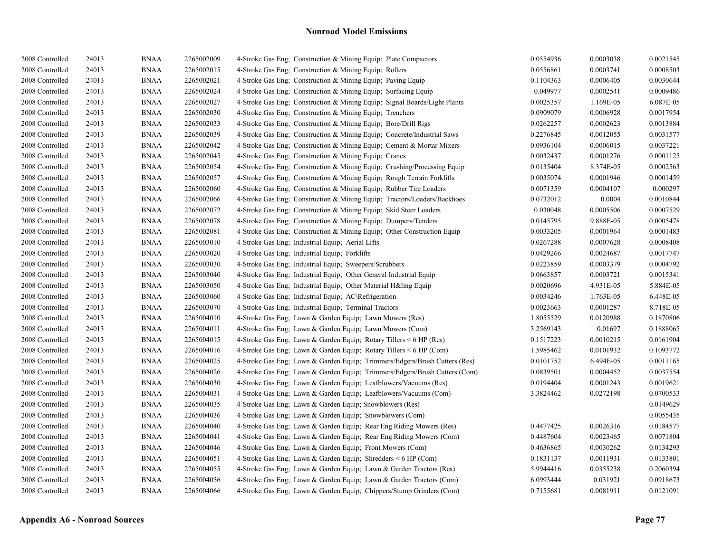| 2008 Controlled | 24013 | <b>BNAA</b> | 2265002009 | 4-Stroke Gas Eng; Construction & Mining Equip; Plate Compactors            | 0.0554936 | 0.0003038 | 0.0021545 |
|-----------------|-------|-------------|------------|----------------------------------------------------------------------------|-----------|-----------|-----------|
| 2008 Controlled | 24013 | <b>BNAA</b> | 2265002015 | 4-Stroke Gas Eng; Construction & Mining Equip; Rollers                     | 0.0556861 | 0.0003741 | 0.0008503 |
| 2008 Controlled | 24013 | <b>BNAA</b> | 2265002021 | 4-Stroke Gas Eng: Construction & Mining Equip: Paving Equip                | 0.1104363 | 0.0006405 | 0.0030644 |
| 2008 Controlled | 24013 | <b>BNAA</b> | 2265002024 | 4-Stroke Gas Eng; Construction & Mining Equip; Surfacing Equip             | 0.049977  | 0.0002541 | 0.0009486 |
| 2008 Controlled | 24013 | <b>BNAA</b> | 2265002027 | 4-Stroke Gas Eng; Construction & Mining Equip; Signal Boards/Light Plants  | 0.0025357 | 1.169E-05 | 6.087E-05 |
| 2008 Controlled | 24013 | <b>BNAA</b> | 2265002030 | 4-Stroke Gas Eng; Construction & Mining Equip; Trenchers                   | 0.0909079 | 0.0006928 | 0.0017954 |
| 2008 Controlled | 24013 | <b>BNAA</b> | 2265002033 | 4-Stroke Gas Eng: Construction & Mining Equip: Bore/Drill Rigs             | 0.0262257 | 0.0002623 | 0.0013884 |
| 2008 Controlled | 24013 | <b>BNAA</b> | 2265002039 | 4-Stroke Gas Eng; Construction & Mining Equip; Concrete/Industrial Saws    | 0.2276845 | 0.0012055 | 0.0031577 |
| 2008 Controlled | 24013 | <b>BNAA</b> | 2265002042 | 4-Stroke Gas Eng; Construction & Mining Equip; Cement & Mortar Mixers      | 0.0936104 | 0.0006015 | 0.0037221 |
| 2008 Controlled | 24013 | <b>BNAA</b> | 2265002045 | 4-Stroke Gas Eng; Construction & Mining Equip; Cranes                      | 0.0032437 | 0.0001276 | 0.0001125 |
| 2008 Controlled | 24013 | <b>BNAA</b> | 2265002054 | 4-Stroke Gas Eng; Construction & Mining Equip; Crushing/Processing Equip   | 0.0135404 | 8.374E-05 | 0.0002563 |
| 2008 Controlled | 24013 | <b>BNAA</b> | 2265002057 | 4-Stroke Gas Eng; Construction & Mining Equip; Rough Terrain Forklifts     | 0.0035074 | 0.0001946 | 0.0001459 |
| 2008 Controlled | 24013 | <b>BNAA</b> | 2265002060 | 4-Stroke Gas Eng; Construction & Mining Equip; Rubber Tire Loaders         | 0.0071359 | 0.0004107 | 0.000297  |
| 2008 Controlled | 24013 | <b>BNAA</b> | 2265002066 | 4-Stroke Gas Eng; Construction & Mining Equip; Tractors/Loaders/Backhoes   | 0.0732012 | 0.0004    | 0.0010844 |
| 2008 Controlled | 24013 | <b>BNAA</b> | 2265002072 | 4-Stroke Gas Eng; Construction & Mining Equip; Skid Steer Loaders          | 0.030048  | 0.0005506 | 0.0007529 |
| 2008 Controlled | 24013 | <b>BNAA</b> | 2265002078 | 4-Stroke Gas Eng: Construction & Mining Equip: Dumpers/Tenders             | 0.0145795 | 9.888E-05 | 0.0005478 |
| 2008 Controlled | 24013 | <b>BNAA</b> | 2265002081 | 4-Stroke Gas Eng; Construction & Mining Equip; Other Construction Equip    | 0.0033205 | 0.0001964 | 0.0001483 |
| 2008 Controlled | 24013 | <b>BNAA</b> | 2265003010 | 4-Stroke Gas Eng; Industrial Equip; Aerial Lifts                           | 0.0267288 | 0.0007628 | 0.0008408 |
| 2008 Controlled | 24013 | <b>BNAA</b> | 2265003020 | 4-Stroke Gas Eng; Industrial Equip; Forklifts                              | 0.0429266 | 0.0024687 | 0.0017747 |
| 2008 Controlled | 24013 | <b>BNAA</b> | 2265003030 | 4-Stroke Gas Eng; Industrial Equip; Sweepers/Scrubbers                     | 0.0223859 | 0.0003379 | 0.0004792 |
| 2008 Controlled | 24013 | <b>BNAA</b> | 2265003040 | 4-Stroke Gas Eng; Industrial Equip; Other General Industrial Equip         | 0.0663857 | 0.0003721 | 0.0015341 |
| 2008 Controlled | 24013 | <b>BNAA</b> | 2265003050 | 4-Stroke Gas Eng; Industrial Equip; Other Material H&ling Equip            | 0.0020696 | 4.931E-05 | 5.884E-05 |
| 2008 Controlled | 24013 | <b>BNAA</b> | 2265003060 | 4-Stroke Gas Eng; Industrial Equip; AC\Refrigeration                       | 0.0034246 | 1.763E-05 | 6.448E-05 |
| 2008 Controlled | 24013 | <b>BNAA</b> | 2265003070 | 4-Stroke Gas Eng; Industrial Equip; Terminal Tractors                      | 0.0023663 | 0.0001287 | 8.718E-05 |
| 2008 Controlled | 24013 | <b>BNAA</b> | 2265004010 | 4-Stroke Gas Eng; Lawn & Garden Equip; Lawn Mowers (Res)                   | 1.8055529 | 0.0120988 | 0.1870806 |
| 2008 Controlled | 24013 | <b>BNAA</b> | 2265004011 | 4-Stroke Gas Eng; Lawn & Garden Equip; Lawn Mowers (Com)                   | 3.2569143 | 0.01697   | 0.1888065 |
| 2008 Controlled | 24013 | <b>BNAA</b> | 2265004015 | 4-Stroke Gas Eng; Lawn & Garden Equip; Rotary Tillers < 6 HP (Res)         | 0.1517223 | 0.0010215 | 0.0161904 |
| 2008 Controlled | 24013 | <b>BNAA</b> | 2265004016 | 4-Stroke Gas Eng; Lawn & Garden Equip; Rotary Tillers < 6 HP (Com)         | 1.5985462 | 0.0101932 | 0.1093772 |
| 2008 Controlled | 24013 | <b>BNAA</b> | 2265004025 | 4-Stroke Gas Eng; Lawn & Garden Equip; Trimmers/Edgers/Brush Cutters (Res) | 0.0101752 | 6.494E-05 | 0.0011165 |
| 2008 Controlled | 24013 | <b>BNAA</b> | 2265004026 | 4-Stroke Gas Eng; Lawn & Garden Equip; Trimmers/Edgers/Brush Cutters (Com) | 0.0839501 | 0.0004452 | 0.0037554 |
| 2008 Controlled | 24013 | <b>BNAA</b> | 2265004030 | 4-Stroke Gas Eng: Lawn & Garden Equip: Leafblowers/Vacuums (Res)           | 0.0194404 | 0.0001243 | 0.0019621 |
| 2008 Controlled | 24013 | <b>BNAA</b> | 2265004031 | 4-Stroke Gas Eng; Lawn & Garden Equip; Leafblowers/Vacuums (Com)           | 3.3824462 | 0.0272198 | 0.0700533 |
| 2008 Controlled | 24013 | <b>BNAA</b> | 2265004035 | 4-Stroke Gas Eng; Lawn & Garden Equip; Snowblowers (Res)                   |           |           | 0.0149629 |
| 2008 Controlled | 24013 | <b>BNAA</b> | 2265004036 | 4-Stroke Gas Eng: Lawn & Garden Equip: Snowblowers (Com)                   |           |           | 0.0055435 |
| 2008 Controlled | 24013 | <b>BNAA</b> | 2265004040 | 4-Stroke Gas Eng; Lawn & Garden Equip; Rear Eng Riding Mowers (Res)        | 0.4477425 | 0.0026316 | 0.0184577 |
| 2008 Controlled | 24013 | <b>BNAA</b> | 2265004041 | 4-Stroke Gas Eng; Lawn & Garden Equip; Rear Eng Riding Mowers (Com)        | 0.4487604 | 0.0023465 | 0.0071804 |
| 2008 Controlled | 24013 | <b>BNAA</b> | 2265004046 | 4-Stroke Gas Eng; Lawn & Garden Equip; Front Mowers (Com)                  | 0.4636865 | 0.0030262 | 0.0134293 |
| 2008 Controlled | 24013 | <b>BNAA</b> | 2265004051 | 4-Stroke Gas Eng; Lawn & Garden Equip; Shredders < 6 HP (Com)              | 0.1831137 | 0.0011931 | 0.0133801 |
| 2008 Controlled | 24013 | <b>BNAA</b> | 2265004055 | 4-Stroke Gas Eng; Lawn & Garden Equip; Lawn & Garden Tractors (Res)        | 5.9944416 | 0.0355238 | 0.2060394 |
| 2008 Controlled | 24013 | <b>BNAA</b> | 2265004056 | 4-Stroke Gas Eng; Lawn & Garden Equip; Lawn & Garden Tractors (Com)        | 6.0993444 | 0.031921  | 0.0918673 |
| 2008 Controlled | 24013 | <b>BNAA</b> | 2265004066 | 4-Stroke Gas Eng; Lawn & Garden Equip; Chippers/Stump Grinders (Com)       | 0.7155681 | 0.0081911 | 0.0121091 |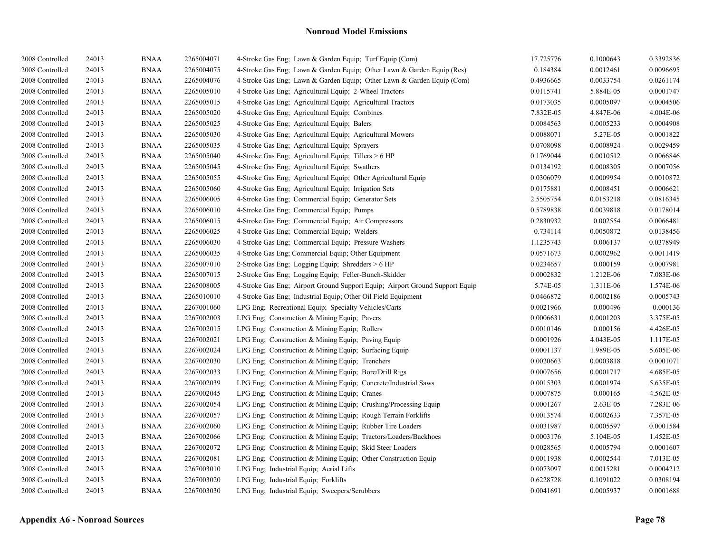| 2008 Controlled | 24013 | <b>BNAA</b> | 2265004071 | 4-Stroke Gas Eng; Lawn & Garden Equip; Turf Equip (Com)                      | 17.725776 | 0.1000643 | 0.3392836 |
|-----------------|-------|-------------|------------|------------------------------------------------------------------------------|-----------|-----------|-----------|
| 2008 Controlled | 24013 | <b>BNAA</b> | 2265004075 | 4-Stroke Gas Eng; Lawn & Garden Equip; Other Lawn & Garden Equip (Res)       | 0.184384  | 0.0012461 | 0.0096695 |
| 2008 Controlled | 24013 | <b>BNAA</b> | 2265004076 | 4-Stroke Gas Eng; Lawn & Garden Equip; Other Lawn & Garden Equip (Com)       | 0.4936665 | 0.0033754 | 0.0261174 |
| 2008 Controlled | 24013 | <b>BNAA</b> | 2265005010 | 4-Stroke Gas Eng; Agricultural Equip; 2-Wheel Tractors                       | 0.0115741 | 5.884E-05 | 0.0001747 |
| 2008 Controlled | 24013 | <b>BNAA</b> | 2265005015 | 4-Stroke Gas Eng; Agricultural Equip; Agricultural Tractors                  | 0.0173035 | 0.0005097 | 0.0004506 |
| 2008 Controlled | 24013 | <b>BNAA</b> | 2265005020 | 4-Stroke Gas Eng: Agricultural Equip: Combines                               | 7.832E-05 | 4.847E-06 | 4.004E-06 |
| 2008 Controlled | 24013 | <b>BNAA</b> | 2265005025 | 4-Stroke Gas Eng; Agricultural Equip; Balers                                 | 0.0084563 | 0.0005233 | 0.0004908 |
| 2008 Controlled | 24013 | <b>BNAA</b> | 2265005030 | 4-Stroke Gas Eng; Agricultural Equip; Agricultural Mowers                    | 0.0088071 | 5.27E-05  | 0.0001822 |
| 2008 Controlled | 24013 | <b>BNAA</b> | 2265005035 | 4-Stroke Gas Eng; Agricultural Equip; Sprayers                               | 0.0708098 | 0.0008924 | 0.0029459 |
| 2008 Controlled | 24013 | <b>BNAA</b> | 2265005040 | 4-Stroke Gas Eng; Agricultural Equip; Tillers > 6 HP                         | 0.1769044 | 0.0010512 | 0.0066846 |
| 2008 Controlled | 24013 | <b>BNAA</b> | 2265005045 | 4-Stroke Gas Eng; Agricultural Equip; Swathers                               | 0.0134192 | 0.0008305 | 0.0007056 |
| 2008 Controlled | 24013 | <b>BNAA</b> | 2265005055 | 4-Stroke Gas Eng; Agricultural Equip; Other Agricultural Equip               | 0.0306079 | 0.0009954 | 0.0010872 |
| 2008 Controlled | 24013 | <b>BNAA</b> | 2265005060 | 4-Stroke Gas Eng; Agricultural Equip; Irrigation Sets                        | 0.0175881 | 0.0008451 | 0.0006621 |
| 2008 Controlled | 24013 | <b>BNAA</b> | 2265006005 | 4-Stroke Gas Eng; Commercial Equip; Generator Sets                           | 2.5505754 | 0.0153218 | 0.0816345 |
| 2008 Controlled | 24013 | <b>BNAA</b> | 2265006010 | 4-Stroke Gas Eng; Commercial Equip; Pumps                                    | 0.5789838 | 0.0039818 | 0.0178014 |
| 2008 Controlled | 24013 | <b>BNAA</b> | 2265006015 | 4-Stroke Gas Eng; Commercial Equip; Air Compressors                          | 0.2830932 | 0.002554  | 0.0066481 |
| 2008 Controlled | 24013 | <b>BNAA</b> | 2265006025 | 4-Stroke Gas Eng; Commercial Equip; Welders                                  | 0.734114  | 0.0050872 | 0.0138456 |
| 2008 Controlled | 24013 | <b>BNAA</b> | 2265006030 | 4-Stroke Gas Eng; Commercial Equip; Pressure Washers                         | 1.1235743 | 0.006137  | 0.0378949 |
| 2008 Controlled | 24013 | <b>BNAA</b> | 2265006035 | 4-Stroke Gas Eng; Commercial Equip; Other Equipment                          | 0.0571673 | 0.0002962 | 0.0011419 |
| 2008 Controlled | 24013 | <b>BNAA</b> | 2265007010 | 2-Stroke Gas Eng; Logging Equip; Shredders > 6 HP                            | 0.0234657 | 0.000159  | 0.0007981 |
| 2008 Controlled | 24013 | <b>BNAA</b> | 2265007015 | 2-Stroke Gas Eng; Logging Equip; Feller-Bunch-Skidder                        | 0.0002832 | 1.212E-06 | 7.083E-06 |
| 2008 Controlled | 24013 | <b>BNAA</b> | 2265008005 | 4-Stroke Gas Eng; Airport Ground Support Equip; Airport Ground Support Equip | 5.74E-05  | 1.311E-06 | 1.574E-06 |
| 2008 Controlled | 24013 | <b>BNAA</b> | 2265010010 | 4-Stroke Gas Eng; Industrial Equip; Other Oil Field Equipment                | 0.0466872 | 0.0002186 | 0.0005743 |
| 2008 Controlled | 24013 | <b>BNAA</b> | 2267001060 | LPG Eng; Recreational Equip; Specialty Vehicles/Carts                        | 0.0021966 | 0.000496  | 0.000136  |
| 2008 Controlled | 24013 | <b>BNAA</b> | 2267002003 | LPG Eng; Construction & Mining Equip; Pavers                                 | 0.0006631 | 0.0001203 | 3.375E-05 |
| 2008 Controlled | 24013 | <b>BNAA</b> | 2267002015 | LPG Eng; Construction & Mining Equip; Rollers                                | 0.0010146 | 0.000156  | 4.426E-05 |
| 2008 Controlled | 24013 | <b>BNAA</b> | 2267002021 | LPG Eng; Construction & Mining Equip; Paving Equip                           | 0.0001926 | 4.043E-05 | 1.117E-05 |
| 2008 Controlled | 24013 | <b>BNAA</b> | 2267002024 | LPG Eng; Construction & Mining Equip; Surfacing Equip                        | 0.0001137 | 1.989E-05 | 5.605E-06 |
| 2008 Controlled | 24013 | <b>BNAA</b> | 2267002030 | LPG Eng; Construction $&$ Mining Equip; Trenchers                            | 0.0020663 | 0.0003818 | 0.0001071 |
| 2008 Controlled | 24013 | <b>BNAA</b> | 2267002033 | LPG Eng; Construction & Mining Equip; Bore/Drill Rigs                        | 0.0007656 | 0.0001717 | 4.685E-05 |
| 2008 Controlled | 24013 | <b>BNAA</b> | 2267002039 | LPG Eng; Construction & Mining Equip; Concrete/Industrial Saws               | 0.0015303 | 0.0001974 | 5.635E-05 |
| 2008 Controlled | 24013 | <b>BNAA</b> | 2267002045 | LPG Eng; Construction & Mining Equip; Cranes                                 | 0.0007875 | 0.000165  | 4.562E-05 |
| 2008 Controlled | 24013 | <b>BNAA</b> | 2267002054 | LPG Eng; Construction & Mining Equip; Crushing/Processing Equip              | 0.0001267 | 2.63E-05  | 7.283E-06 |
| 2008 Controlled | 24013 | <b>BNAA</b> | 2267002057 | LPG Eng; Construction & Mining Equip; Rough Terrain Forklifts                | 0.0013574 | 0.0002633 | 7.357E-05 |
| 2008 Controlled | 24013 | <b>BNAA</b> | 2267002060 | LPG Eng; Construction & Mining Equip; Rubber Tire Loaders                    | 0.0031987 | 0.0005597 | 0.0001584 |
| 2008 Controlled | 24013 | <b>BNAA</b> | 2267002066 | LPG Eng; Construction & Mining Equip; Tractors/Loaders/Backhoes              | 0.0003176 | 5.104E-05 | 1.452E-05 |
| 2008 Controlled | 24013 | <b>BNAA</b> | 2267002072 | LPG Eng; Construction & Mining Equip; Skid Steer Loaders                     | 0.0028565 | 0.0005794 | 0.0001607 |
| 2008 Controlled | 24013 | <b>BNAA</b> | 2267002081 | LPG Eng; Construction & Mining Equip; Other Construction Equip               | 0.0011938 | 0.0002544 | 7.013E-05 |
| 2008 Controlled | 24013 | <b>BNAA</b> | 2267003010 | LPG Eng; Industrial Equip; Aerial Lifts                                      | 0.0073097 | 0.0015281 | 0.0004212 |
| 2008 Controlled | 24013 | <b>BNAA</b> | 2267003020 | LPG Eng; Industrial Equip; Forklifts                                         | 0.6228728 | 0.1091022 | 0.0308194 |
| 2008 Controlled | 24013 | <b>BNAA</b> | 2267003030 | LPG Eng; Industrial Equip; Sweepers/Scrubbers                                | 0.0041691 | 0.0005937 | 0.0001688 |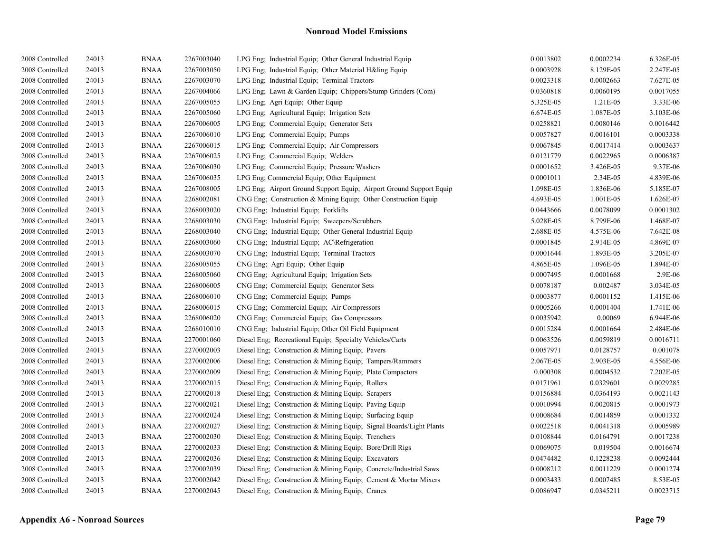| 2008 Controlled | 24013 | <b>BNAA</b> | 2267003040 | LPG Eng; Industrial Equip; Other General Industrial Equip           | 0.0013802 | 0.0002234 | 6.326E-05 |
|-----------------|-------|-------------|------------|---------------------------------------------------------------------|-----------|-----------|-----------|
| 2008 Controlled | 24013 | <b>BNAA</b> | 2267003050 | LPG Eng: Industrial Equip: Other Material H&ling Equip              | 0.0003928 | 8.129E-05 | 2.247E-05 |
| 2008 Controlled | 24013 | <b>BNAA</b> | 2267003070 | LPG Eng; Industrial Equip; Terminal Tractors                        | 0.0023318 | 0.0002663 | 7.627E-05 |
| 2008 Controlled | 24013 | <b>BNAA</b> | 2267004066 | LPG Eng; Lawn & Garden Equip; Chippers/Stump Grinders (Com)         | 0.0360818 | 0.0060195 | 0.0017055 |
| 2008 Controlled | 24013 | <b>BNAA</b> | 2267005055 | LPG Eng; Agri Equip; Other Equip                                    | 5.325E-05 | 1.21E-05  | 3.33E-06  |
| 2008 Controlled | 24013 | <b>BNAA</b> | 2267005060 | LPG Eng; Agricultural Equip; Irrigation Sets                        | 6.674E-05 | 1.087E-05 | 3.103E-06 |
| 2008 Controlled | 24013 | <b>BNAA</b> | 2267006005 | LPG Eng; Commercial Equip; Generator Sets                           | 0.0258821 | 0.0080146 | 0.0016442 |
| 2008 Controlled | 24013 | <b>BNAA</b> | 2267006010 | LPG Eng; Commercial Equip; Pumps                                    | 0.0057827 | 0.0016101 | 0.0003338 |
| 2008 Controlled | 24013 | <b>BNAA</b> | 2267006015 | LPG Eng; Commercial Equip; Air Compressors                          | 0.0067845 | 0.0017414 | 0.0003637 |
| 2008 Controlled | 24013 | <b>BNAA</b> | 2267006025 | LPG Eng: Commercial Equip: Welders                                  | 0.0121779 | 0.0022965 | 0.0006387 |
| 2008 Controlled | 24013 | <b>BNAA</b> | 2267006030 | LPG Eng; Commercial Equip; Pressure Washers                         | 0.0001652 | 3.426E-05 | 9.37E-06  |
| 2008 Controlled | 24013 | <b>BNAA</b> | 2267006035 | LPG Eng; Commercial Equip; Other Equipment                          | 0.0001011 | 2.34E-05  | 4.839E-06 |
| 2008 Controlled | 24013 | <b>BNAA</b> | 2267008005 | LPG Eng; Airport Ground Support Equip; Airport Ground Support Equip | 1.098E-05 | 1.836E-06 | 5.185E-07 |
| 2008 Controlled | 24013 | <b>BNAA</b> | 2268002081 | CNG Eng. Construction $\&$ Mining Equip. Other Construction Equip.  | 4.693E-05 | 1.001E-05 | 1.626E-07 |
| 2008 Controlled | 24013 | <b>BNAA</b> | 2268003020 | CNG Eng; Industrial Equip; Forklifts                                | 0.0443666 | 0.0078099 | 0.0001302 |
| 2008 Controlled | 24013 | <b>BNAA</b> | 2268003030 | CNG Eng; Industrial Equip; Sweepers/Scrubbers                       | 5.028E-05 | 8.799E-06 | 1.468E-07 |
| 2008 Controlled | 24013 | <b>BNAA</b> | 2268003040 | CNG Eng; Industrial Equip; Other General Industrial Equip           | 2.688E-05 | 4.575E-06 | 7.642E-08 |
| 2008 Controlled | 24013 | <b>BNAA</b> | 2268003060 | CNG Eng; Industrial Equip; AC\Refrigeration                         | 0.0001845 | 2.914E-05 | 4.869E-07 |
| 2008 Controlled | 24013 | <b>BNAA</b> | 2268003070 | CNG Eng; Industrial Equip; Terminal Tractors                        | 0.0001644 | 1.893E-05 | 3.205E-07 |
| 2008 Controlled | 24013 | <b>BNAA</b> | 2268005055 | CNG Eng; Agri Equip; Other Equip                                    | 4.865E-05 | 1.096E-05 | 1.894E-07 |
| 2008 Controlled | 24013 | <b>BNAA</b> | 2268005060 | CNG Eng; Agricultural Equip; Irrigation Sets                        | 0.0007495 | 0.0001668 | 2.9E-06   |
| 2008 Controlled | 24013 | <b>BNAA</b> | 2268006005 | CNG Eng; Commercial Equip; Generator Sets                           | 0.0078187 | 0.002487  | 3.034E-05 |
| 2008 Controlled | 24013 | <b>BNAA</b> | 2268006010 | CNG Eng; Commercial Equip; Pumps                                    | 0.0003877 | 0.0001152 | 1.415E-06 |
| 2008 Controlled | 24013 | <b>BNAA</b> | 2268006015 | CNG Eng; Commercial Equip; Air Compressors                          | 0.0005266 | 0.0001404 | 1.741E-06 |
| 2008 Controlled | 24013 | <b>BNAA</b> | 2268006020 | CNG Eng; Commercial Equip; Gas Compressors                          | 0.0035942 | 0.00069   | 6.944E-06 |
| 2008 Controlled | 24013 | <b>BNAA</b> | 2268010010 | CNG Eng; Industrial Equip; Other Oil Field Equipment                | 0.0015284 | 0.0001664 | 2.484E-06 |
| 2008 Controlled | 24013 | <b>BNAA</b> | 2270001060 | Diesel Eng; Recreational Equip; Specialty Vehicles/Carts            | 0.0063526 | 0.0059819 | 0.0016711 |
| 2008 Controlled | 24013 | <b>BNAA</b> | 2270002003 | Diesel Eng; Construction & Mining Equip; Pavers                     | 0.0057971 | 0.0128757 | 0.001078  |
| 2008 Controlled | 24013 | <b>BNAA</b> | 2270002006 | Diesel Eng; Construction & Mining Equip; Tampers/Rammers            | 2.067E-05 | 2.903E-05 | 4.556E-06 |
| 2008 Controlled | 24013 | <b>BNAA</b> | 2270002009 | Diesel Eng; Construction & Mining Equip; Plate Compactors           | 0.000308  | 0.0004532 | 7.202E-05 |
| 2008 Controlled | 24013 | <b>BNAA</b> | 2270002015 | Diesel Eng; Construction & Mining Equip; Rollers                    | 0.0171961 | 0.0329601 | 0.0029285 |
| 2008 Controlled | 24013 | <b>BNAA</b> | 2270002018 | Diesel Eng; Construction & Mining Equip; Scrapers                   | 0.0156884 | 0.0364193 | 0.0021143 |
| 2008 Controlled | 24013 | <b>BNAA</b> | 2270002021 | Diesel Eng; Construction & Mining Equip; Paving Equip               | 0.0010994 | 0.0020815 | 0.0001973 |
| 2008 Controlled | 24013 | <b>BNAA</b> | 2270002024 | Diesel Eng; Construction & Mining Equip; Surfacing Equip            | 0.0008684 | 0.0014859 | 0.0001332 |
| 2008 Controlled | 24013 | <b>BNAA</b> | 2270002027 | Diesel Eng; Construction & Mining Equip; Signal Boards/Light Plants | 0.0022518 | 0.0041318 | 0.0005989 |
| 2008 Controlled | 24013 | <b>BNAA</b> | 2270002030 | Diesel Eng; Construction & Mining Equip; Trenchers                  | 0.0108844 | 0.0164791 | 0.0017238 |
| 2008 Controlled | 24013 | <b>BNAA</b> | 2270002033 | Diesel Eng; Construction & Mining Equip; Bore/Drill Rigs            | 0.0069075 | 0.019504  | 0.0016674 |
| 2008 Controlled | 24013 | <b>BNAA</b> | 2270002036 | Diesel Eng; Construction & Mining Equip; Excavators                 | 0.0474482 | 0.1228238 | 0.0092444 |
| 2008 Controlled | 24013 | <b>BNAA</b> | 2270002039 | Diesel Eng; Construction & Mining Equip; Concrete/Industrial Saws   | 0.0008212 | 0.0011229 | 0.0001274 |
| 2008 Controlled | 24013 | <b>BNAA</b> | 2270002042 | Diesel Eng; Construction & Mining Equip; Cement & Mortar Mixers     | 0.0003433 | 0.0007485 | 8.53E-05  |
| 2008 Controlled | 24013 | <b>BNAA</b> | 2270002045 | Diesel Eng; Construction & Mining Equip; Cranes                     | 0.0086947 | 0.0345211 | 0.0023715 |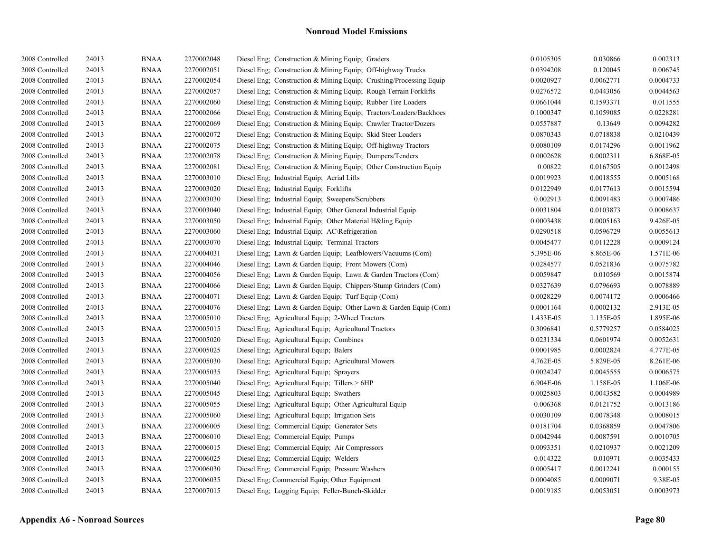| 2008 Controlled | 24013 | <b>BNAA</b>           | 2270002048 | Diesel Eng; Construction & Mining Equip; Graders                    | 0.0105305 | 0.030866  | 0.002313  |
|-----------------|-------|-----------------------|------------|---------------------------------------------------------------------|-----------|-----------|-----------|
| 2008 Controlled | 24013 | <b>BNAA</b>           | 2270002051 | Diesel Eng; Construction & Mining Equip; Off-highway Trucks         | 0.0394208 | 0.120045  | 0.006745  |
| 2008 Controlled | 24013 | <b>BNAA</b>           | 2270002054 | Diesel Eng. Construction & Mining Equip. Crushing/Processing Equip. | 0.0020927 | 0.0062771 | 0.0004733 |
| 2008 Controlled | 24013 | <b>BNAA</b>           | 2270002057 | Diesel Eng; Construction & Mining Equip; Rough Terrain Forklifts    | 0.0276572 | 0.0443056 | 0.0044563 |
| 2008 Controlled | 24013 | <b>BNAA</b>           | 2270002060 | Diesel Eng; Construction & Mining Equip; Rubber Tire Loaders        | 0.0661044 | 0.1593371 | 0.011555  |
| 2008 Controlled | 24013 | <b>BNAA</b>           | 2270002066 | Diesel Eng; Construction & Mining Equip; Tractors/Loaders/Backhoes  | 0.1000347 | 0.1059085 | 0.0228281 |
| 2008 Controlled | 24013 | <b>BNAA</b>           | 2270002069 | Diesel Eng; Construction & Mining Equip; Crawler Tractor/Dozers     | 0.0557887 | 0.13649   | 0.0094282 |
| 2008 Controlled | 24013 | <b>BNAA</b>           | 2270002072 | Diesel Eng; Construction & Mining Equip; Skid Steer Loaders         | 0.0870343 | 0.0718838 | 0.0210439 |
| 2008 Controlled | 24013 | <b>BNAA</b>           | 2270002075 | Diesel Eng. Construction & Mining Equip. Off-highway Tractors       | 0.0080109 | 0.0174296 | 0.0011962 |
| 2008 Controlled | 24013 | <b>BNAA</b>           | 2270002078 | Diesel Eng; Construction & Mining Equip; Dumpers/Tenders            | 0.0002628 | 0.0002311 | 6.868E-05 |
| 2008 Controlled | 24013 | <b>BNAA</b>           | 2270002081 | Diesel Eng; Construction & Mining Equip; Other Construction Equip   | 0.00822   | 0.0167505 | 0.0012498 |
| 2008 Controlled | 24013 | $\operatorname{BNAA}$ | 2270003010 | Diesel Eng; Industrial Equip; Aerial Lifts                          | 0.0019923 | 0.0018555 | 0.0005168 |
| 2008 Controlled | 24013 | <b>BNAA</b>           | 2270003020 | Diesel Eng; Industrial Equip; Forklifts                             | 0.0122949 | 0.0177613 | 0.0015594 |
| 2008 Controlled | 24013 | <b>BNAA</b>           | 2270003030 | Diesel Eng; Industrial Equip; Sweepers/Scrubbers                    | 0.002913  | 0.0091483 | 0.0007486 |
| 2008 Controlled | 24013 | <b>BNAA</b>           | 2270003040 | Diesel Eng; Industrial Equip; Other General Industrial Equip        | 0.0031804 | 0.0103873 | 0.0008637 |
| 2008 Controlled | 24013 | <b>BNAA</b>           | 2270003050 | Diesel Eng; Industrial Equip; Other Material H&ling Equip           | 0.0003438 | 0.0005163 | 9.426E-05 |
| 2008 Controlled | 24013 | <b>BNAA</b>           | 2270003060 | Diesel Eng; Industrial Equip; AC\Refrigeration                      | 0.0290518 | 0.0596729 | 0.0055613 |
| 2008 Controlled | 24013 | <b>BNAA</b>           | 2270003070 | Diesel Eng; Industrial Equip; Terminal Tractors                     | 0.0045477 | 0.0112228 | 0.0009124 |
| 2008 Controlled | 24013 | <b>BNAA</b>           | 2270004031 | Diesel Eng; Lawn & Garden Equip; Leafblowers/Vacuums (Com)          | 5.395E-06 | 8.865E-06 | 1.571E-06 |
| 2008 Controlled | 24013 | <b>BNAA</b>           | 2270004046 | Diesel Eng; Lawn & Garden Equip; Front Mowers (Com)                 | 0.0284577 | 0.0521836 | 0.0075782 |
| 2008 Controlled | 24013 | <b>BNAA</b>           | 2270004056 | Diesel Eng; Lawn & Garden Equip; Lawn & Garden Tractors (Com)       | 0.0059847 | 0.010569  | 0.0015874 |
| 2008 Controlled | 24013 | <b>BNAA</b>           | 2270004066 | Diesel Eng; Lawn & Garden Equip; Chippers/Stump Grinders (Com)      | 0.0327639 | 0.0796693 | 0.0078889 |
| 2008 Controlled | 24013 | <b>BNAA</b>           | 2270004071 | Diesel Eng; Lawn & Garden Equip; Turf Equip (Com)                   | 0.0028229 | 0.0074172 | 0.0006466 |
| 2008 Controlled | 24013 | <b>BNAA</b>           | 2270004076 | Diesel Eng; Lawn & Garden Equip; Other Lawn & Garden Equip (Com)    | 0.0001164 | 0.0002132 | 2.913E-05 |
| 2008 Controlled | 24013 | <b>BNAA</b>           | 2270005010 | Diesel Eng; Agricultural Equip; 2-Wheel Tractors                    | 1.433E-05 | 1.135E-05 | 1.895E-06 |
| 2008 Controlled | 24013 | <b>BNAA</b>           | 2270005015 | Diesel Eng; Agricultural Equip; Agricultural Tractors               | 0.3096841 | 0.5779257 | 0.0584025 |
| 2008 Controlled | 24013 | <b>BNAA</b>           | 2270005020 | Diesel Eng; Agricultural Equip; Combines                            | 0.0231334 | 0.0601974 | 0.0052631 |
| 2008 Controlled | 24013 | <b>BNAA</b>           | 2270005025 | Diesel Eng; Agricultural Equip; Balers                              | 0.0001985 | 0.0002824 | 4.777E-05 |
| 2008 Controlled | 24013 | <b>BNAA</b>           | 2270005030 | Diesel Eng; Agricultural Equip; Agricultural Mowers                 | 4.762E-05 | 5.829E-05 | 8.261E-06 |
| 2008 Controlled | 24013 | <b>BNAA</b>           | 2270005035 | Diesel Eng; Agricultural Equip; Sprayers                            | 0.0024247 | 0.0045555 | 0.0006575 |
| 2008 Controlled | 24013 | <b>BNAA</b>           | 2270005040 | Diesel Eng; Agricultural Equip; Tillers > 6HP                       | 6.904E-06 | 1.158E-05 | 1.106E-06 |
| 2008 Controlled | 24013 | <b>BNAA</b>           | 2270005045 | Diesel Eng; Agricultural Equip; Swathers                            | 0.0025803 | 0.0043582 | 0.0004989 |
| 2008 Controlled | 24013 | <b>BNAA</b>           | 2270005055 | Diesel Eng; Agricultural Equip; Other Agricultural Equip            | 0.006368  | 0.0121752 | 0.0013186 |
| 2008 Controlled | 24013 | <b>BNAA</b>           | 2270005060 | Diesel Eng; Agricultural Equip; Irrigation Sets                     | 0.0030109 | 0.0078348 | 0.0008015 |
| 2008 Controlled | 24013 | <b>BNAA</b>           | 2270006005 | Diesel Eng; Commercial Equip; Generator Sets                        | 0.0181704 | 0.0368859 | 0.0047806 |
| 2008 Controlled | 24013 | <b>BNAA</b>           | 2270006010 | Diesel Eng; Commercial Equip; Pumps                                 | 0.0042944 | 0.0087591 | 0.0010705 |
| 2008 Controlled | 24013 | <b>BNAA</b>           | 2270006015 | Diesel Eng; Commercial Equip; Air Compressors                       | 0.0093351 | 0.0210937 | 0.0021209 |
| 2008 Controlled | 24013 | <b>BNAA</b>           | 2270006025 | Diesel Eng; Commercial Equip; Welders                               | 0.014322  | 0.010971  | 0.0035433 |
| 2008 Controlled | 24013 | <b>BNAA</b>           | 2270006030 | Diesel Eng; Commercial Equip; Pressure Washers                      | 0.0005417 | 0.0012241 | 0.000155  |
| 2008 Controlled | 24013 | <b>BNAA</b>           | 2270006035 | Diesel Eng; Commercial Equip; Other Equipment                       | 0.0004085 | 0.0009071 | 9.38E-05  |
| 2008 Controlled | 24013 | <b>BNAA</b>           | 2270007015 | Diesel Eng; Logging Equip; Feller-Bunch-Skidder                     | 0.0019185 | 0.0053051 | 0.0003973 |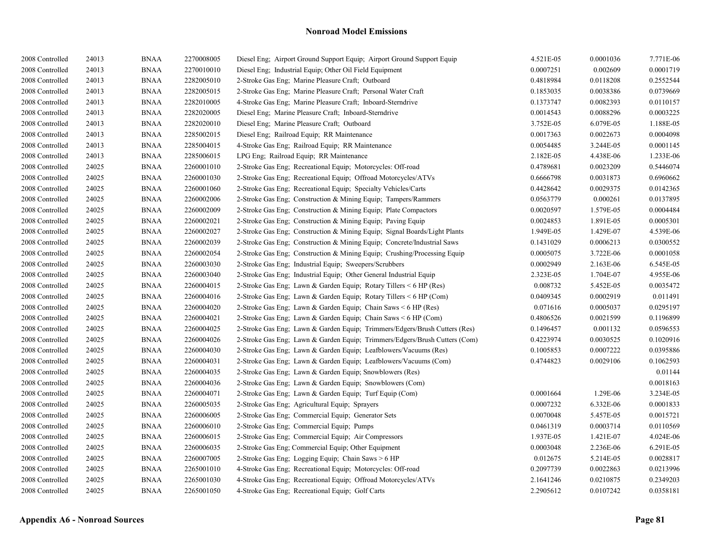| 2008 Controlled | 24013 | <b>BNAA</b> | 2270008005 | Diesel Eng; Airport Ground Support Equip; Airport Ground Support Equip     | 4.521E-05 | 0.0001036 | 7.771E-06 |
|-----------------|-------|-------------|------------|----------------------------------------------------------------------------|-----------|-----------|-----------|
| 2008 Controlled | 24013 | <b>BNAA</b> | 2270010010 | Diesel Eng; Industrial Equip; Other Oil Field Equipment                    | 0.0007251 | 0.002609  | 0.0001719 |
| 2008 Controlled | 24013 | <b>BNAA</b> | 2282005010 | 2-Stroke Gas Eng; Marine Pleasure Craft; Outboard                          | 0.4818984 | 0.0118208 | 0.2552544 |
| 2008 Controlled | 24013 | <b>BNAA</b> | 2282005015 | 2-Stroke Gas Eng; Marine Pleasure Craft; Personal Water Craft              | 0.1853035 | 0.0038386 | 0.0739669 |
| 2008 Controlled | 24013 | <b>BNAA</b> | 2282010005 | 4-Stroke Gas Eng; Marine Pleasure Craft; Inboard-Sterndrive                | 0.1373747 | 0.0082393 | 0.0110157 |
| 2008 Controlled | 24013 | <b>BNAA</b> | 2282020005 | Diesel Eng; Marine Pleasure Craft; Inboard-Sterndrive                      | 0.0014543 | 0.0088296 | 0.0003225 |
| 2008 Controlled | 24013 | <b>BNAA</b> | 2282020010 | Diesel Eng; Marine Pleasure Craft; Outboard                                | 3.752E-05 | 6.079E-05 | 1.188E-05 |
| 2008 Controlled | 24013 | <b>BNAA</b> | 2285002015 | Diesel Eng; Railroad Equip; RR Maintenance                                 | 0.0017363 | 0.0022673 | 0.0004098 |
| 2008 Controlled | 24013 | <b>BNAA</b> | 2285004015 | 4-Stroke Gas Eng; Railroad Equip; RR Maintenance                           | 0.0054485 | 3.244E-05 | 0.0001145 |
| 2008 Controlled | 24013 | <b>BNAA</b> | 2285006015 | LPG Eng; Railroad Equip; RR Maintenance                                    | 2.182E-05 | 4.438E-06 | 1.233E-06 |
| 2008 Controlled | 24025 | <b>BNAA</b> | 2260001010 | 2-Stroke Gas Eng; Recreational Equip; Motorcycles: Off-road                | 0.4789681 | 0.0023209 | 0.5446074 |
| 2008 Controlled | 24025 | <b>BNAA</b> | 2260001030 | 2-Stroke Gas Eng; Recreational Equip; Offroad Motorcycles/ATVs             | 0.6666798 | 0.0031873 | 0.6960662 |
| 2008 Controlled | 24025 | <b>BNAA</b> | 2260001060 | 2-Stroke Gas Eng; Recreational Equip; Specialty Vehicles/Carts             | 0.4428642 | 0.0029375 | 0.0142365 |
| 2008 Controlled | 24025 | <b>BNAA</b> | 2260002006 | 2-Stroke Gas Eng; Construction & Mining Equip; Tampers/Rammers             | 0.0563779 | 0.000261  | 0.0137895 |
| 2008 Controlled | 24025 | <b>BNAA</b> | 2260002009 | 2-Stroke Gas Eng; Construction & Mining Equip; Plate Compactors            | 0.0020597 | 1.579E-05 | 0.0004484 |
| 2008 Controlled | 24025 | <b>BNAA</b> | 2260002021 | 2-Stroke Gas Eng: Construction & Mining Equip: Paving Equip                | 0.0024853 | 1.891E-05 | 0.0005301 |
| 2008 Controlled | 24025 | <b>BNAA</b> | 2260002027 | 2-Stroke Gas Eng; Construction & Mining Equip; Signal Boards/Light Plants  | 1.949E-05 | 1.429E-07 | 4.539E-06 |
| 2008 Controlled | 24025 | <b>BNAA</b> | 2260002039 | 2-Stroke Gas Eng; Construction & Mining Equip; Concrete/Industrial Saws    | 0.1431029 | 0.0006213 | 0.0300552 |
| 2008 Controlled | 24025 | <b>BNAA</b> | 2260002054 | 2-Stroke Gas Eng; Construction & Mining Equip; Crushing/Processing Equip   | 0.0005075 | 3.722E-06 | 0.0001058 |
| 2008 Controlled | 24025 | <b>BNAA</b> | 2260003030 | 2-Stroke Gas Eng; Industrial Equip; Sweepers/Scrubbers                     | 0.0002949 | 2.163E-06 | 6.545E-05 |
| 2008 Controlled | 24025 | <b>BNAA</b> | 2260003040 | 2-Stroke Gas Eng; Industrial Equip; Other General Industrial Equip         | 2.323E-05 | 1.704E-07 | 4.955E-06 |
| 2008 Controlled | 24025 | <b>BNAA</b> | 2260004015 | 2-Stroke Gas Eng; Lawn & Garden Equip; Rotary Tillers < 6 HP (Res)         | 0.008732  | 5.452E-05 | 0.0035472 |
| 2008 Controlled | 24025 | <b>BNAA</b> | 2260004016 | 2-Stroke Gas Eng; Lawn & Garden Equip; Rotary Tillers < 6 HP (Com)         | 0.0409345 | 0.0002919 | 0.011491  |
| 2008 Controlled | 24025 | <b>BNAA</b> | 2260004020 | 2-Stroke Gas Eng; Lawn & Garden Equip; Chain Saws < 6 HP (Res)             | 0.071616  | 0.0005037 | 0.0295197 |
| 2008 Controlled | 24025 | <b>BNAA</b> | 2260004021 | 2-Stroke Gas Eng; Lawn & Garden Equip; Chain Saws < 6 HP (Com)             | 0.4806526 | 0.0021599 | 0.1196899 |
| 2008 Controlled | 24025 | <b>BNAA</b> | 2260004025 | 2-Stroke Gas Eng; Lawn & Garden Equip; Trimmers/Edgers/Brush Cutters (Res) | 0.1496457 | 0.001132  | 0.0596553 |
| 2008 Controlled | 24025 | <b>BNAA</b> | 2260004026 | 2-Stroke Gas Eng; Lawn & Garden Equip; Trimmers/Edgers/Brush Cutters (Com) | 0.4223974 | 0.0030525 | 0.1020916 |
| 2008 Controlled | 24025 | <b>BNAA</b> | 2260004030 | 2-Stroke Gas Eng; Lawn & Garden Equip; Leafblowers/Vacuums (Res)           | 0.1005853 | 0.0007222 | 0.0395886 |
| 2008 Controlled | 24025 | <b>BNAA</b> | 2260004031 | 2-Stroke Gas Eng; Lawn & Garden Equip; Leafblowers/Vacuums (Com)           | 0.4744823 | 0.0029106 | 0.1062593 |
| 2008 Controlled | 24025 | <b>BNAA</b> | 2260004035 | 2-Stroke Gas Eng: Lawn & Garden Equip: Snowblowers (Res)                   |           |           | 0.01144   |
| 2008 Controlled | 24025 | <b>BNAA</b> | 2260004036 | 2-Stroke Gas Eng; Lawn & Garden Equip; Snowblowers (Com)                   |           |           | 0.0018163 |
| 2008 Controlled | 24025 | <b>BNAA</b> | 2260004071 | 2-Stroke Gas Eng; Lawn & Garden Equip; Turf Equip (Com)                    | 0.0001664 | 1.29E-06  | 3.234E-05 |
| 2008 Controlled | 24025 | <b>BNAA</b> | 2260005035 | 2-Stroke Gas Eng; Agricultural Equip; Sprayers                             | 0.0007232 | 6.332E-06 | 0.0001833 |
| 2008 Controlled | 24025 | <b>BNAA</b> | 2260006005 | 2-Stroke Gas Eng; Commercial Equip; Generator Sets                         | 0.0070048 | 5.457E-05 | 0.0015721 |
| 2008 Controlled | 24025 | <b>BNAA</b> | 2260006010 | 2-Stroke Gas Eng; Commercial Equip; Pumps                                  | 0.0461319 | 0.0003714 | 0.0110569 |
| 2008 Controlled | 24025 | <b>BNAA</b> | 2260006015 | 2-Stroke Gas Eng; Commercial Equip; Air Compressors                        | 1.937E-05 | 1.421E-07 | 4.024E-06 |
| 2008 Controlled | 24025 | <b>BNAA</b> | 2260006035 | 2-Stroke Gas Eng; Commercial Equip; Other Equipment                        | 0.0003048 | 2.236E-06 | 6.291E-05 |
| 2008 Controlled | 24025 | <b>BNAA</b> | 2260007005 | 2-Stroke Gas Eng; Logging Equip; Chain Saws > 6 HP                         | 0.012675  | 5.214E-05 | 0.0028817 |
| 2008 Controlled | 24025 | <b>BNAA</b> | 2265001010 | 4-Stroke Gas Eng; Recreational Equip; Motorcycles: Off-road                | 0.2097739 | 0.0022863 | 0.0213996 |
| 2008 Controlled | 24025 | <b>BNAA</b> | 2265001030 | 4-Stroke Gas Eng; Recreational Equip; Offroad Motorcycles/ATVs             | 2.1641246 | 0.0210875 | 0.2349203 |
| 2008 Controlled | 24025 | <b>BNAA</b> | 2265001050 | 4-Stroke Gas Eng; Recreational Equip; Golf Carts                           | 2.2905612 | 0.0107242 | 0.0358181 |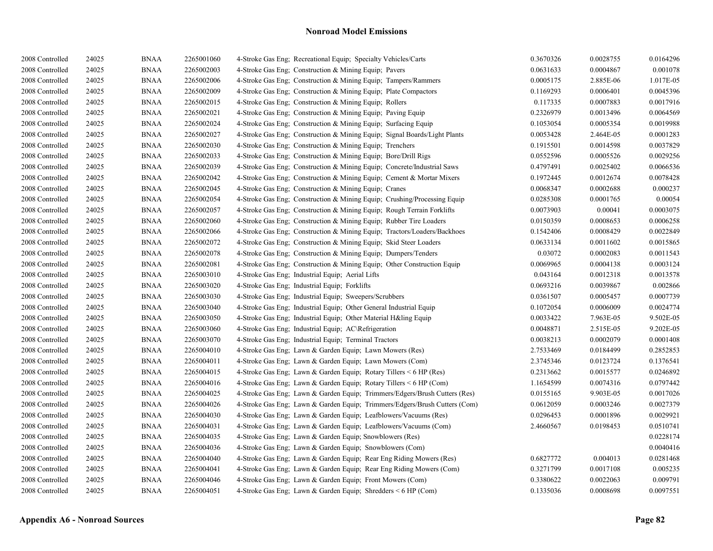| 2008 Controlled | 24025 | <b>BNAA</b> | 2265001060 | 4-Stroke Gas Eng; Recreational Equip; Specialty Vehicles/Carts             | 0.3670326 | 0.0028755 | 0.0164296 |
|-----------------|-------|-------------|------------|----------------------------------------------------------------------------|-----------|-----------|-----------|
| 2008 Controlled | 24025 | <b>BNAA</b> | 2265002003 | 4-Stroke Gas Eng; Construction & Mining Equip; Pavers                      | 0.0631633 | 0.0004867 | 0.001078  |
| 2008 Controlled | 24025 | <b>BNAA</b> | 2265002006 | 4-Stroke Gas Eng: Construction & Mining Equip: Tampers/Rammers             | 0.0005175 | 2.885E-06 | 1.017E-05 |
| 2008 Controlled | 24025 | <b>BNAA</b> | 2265002009 | 4-Stroke Gas Eng; Construction & Mining Equip; Plate Compactors            | 0.1169293 | 0.0006401 | 0.0045396 |
| 2008 Controlled | 24025 | <b>BNAA</b> | 2265002015 | 4-Stroke Gas Eng; Construction & Mining Equip; Rollers                     | 0.117335  | 0.0007883 | 0.0017916 |
| 2008 Controlled | 24025 | <b>BNAA</b> | 2265002021 | 4-Stroke Gas Eng; Construction & Mining Equip; Paving Equip                | 0.2326979 | 0.0013496 | 0.0064569 |
| 2008 Controlled | 24025 | <b>BNAA</b> | 2265002024 | 4-Stroke Gas Eng; Construction & Mining Equip; Surfacing Equip             | 0.1053054 | 0.0005354 | 0.0019988 |
| 2008 Controlled | 24025 | <b>BNAA</b> | 2265002027 | 4-Stroke Gas Eng; Construction & Mining Equip; Signal Boards/Light Plants  | 0.0053428 | 2.464E-05 | 0.0001283 |
| 2008 Controlled | 24025 | <b>BNAA</b> | 2265002030 | 4-Stroke Gas Eng; Construction & Mining Equip; Trenchers                   | 0.1915501 | 0.0014598 | 0.0037829 |
| 2008 Controlled | 24025 | <b>BNAA</b> | 2265002033 | 4-Stroke Gas Eng; Construction & Mining Equip; Bore/Drill Rigs             | 0.0552596 | 0.0005526 | 0.0029256 |
| 2008 Controlled | 24025 | <b>BNAA</b> | 2265002039 | 4-Stroke Gas Eng; Construction & Mining Equip; Concrete/Industrial Saws    | 0.4797491 | 0.0025402 | 0.0066536 |
| 2008 Controlled | 24025 | <b>BNAA</b> | 2265002042 | 4-Stroke Gas Eng; Construction & Mining Equip; Cement & Mortar Mixers      | 0.1972445 | 0.0012674 | 0.0078428 |
| 2008 Controlled | 24025 | <b>BNAA</b> | 2265002045 | 4-Stroke Gas Eng; Construction & Mining Equip; Cranes                      | 0.0068347 | 0.0002688 | 0.000237  |
| 2008 Controlled | 24025 | <b>BNAA</b> | 2265002054 | 4-Stroke Gas Eng; Construction & Mining Equip; Crushing/Processing Equip   | 0.0285308 | 0.0001765 | 0.00054   |
| 2008 Controlled | 24025 | <b>BNAA</b> | 2265002057 | 4-Stroke Gas Eng; Construction & Mining Equip; Rough Terrain Forklifts     | 0.0073903 | 0.00041   | 0.0003075 |
| 2008 Controlled | 24025 | <b>BNAA</b> | 2265002060 | 4-Stroke Gas Eng: Construction & Mining Equip: Rubber Tire Loaders         | 0.0150359 | 0.0008653 | 0.0006258 |
| 2008 Controlled | 24025 | <b>BNAA</b> | 2265002066 | 4-Stroke Gas Eng; Construction & Mining Equip; Tractors/Loaders/Backhoes   | 0.1542406 | 0.0008429 | 0.0022849 |
| 2008 Controlled | 24025 | <b>BNAA</b> | 2265002072 | 4-Stroke Gas Eng; Construction & Mining Equip; Skid Steer Loaders          | 0.0633134 | 0.0011602 | 0.0015865 |
| 2008 Controlled | 24025 | <b>BNAA</b> | 2265002078 | 4-Stroke Gas Eng; Construction & Mining Equip; Dumpers/Tenders             | 0.03072   | 0.0002083 | 0.0011543 |
| 2008 Controlled | 24025 | <b>BNAA</b> | 2265002081 | 4-Stroke Gas Eng; Construction & Mining Equip; Other Construction Equip    | 0.0069965 | 0.0004138 | 0.0003124 |
| 2008 Controlled | 24025 | <b>BNAA</b> | 2265003010 | 4-Stroke Gas Eng; Industrial Equip; Aerial Lifts                           | 0.043164  | 0.0012318 | 0.0013578 |
| 2008 Controlled | 24025 | <b>BNAA</b> | 2265003020 | 4-Stroke Gas Eng; Industrial Equip; Forklifts                              | 0.0693216 | 0.0039867 | 0.002866  |
| 2008 Controlled | 24025 | <b>BNAA</b> | 2265003030 | 4-Stroke Gas Eng; Industrial Equip; Sweepers/Scrubbers                     | 0.0361507 | 0.0005457 | 0.0007739 |
| 2008 Controlled | 24025 | <b>BNAA</b> | 2265003040 | 4-Stroke Gas Eng; Industrial Equip; Other General Industrial Equip         | 0.1072054 | 0.0006009 | 0.0024774 |
| 2008 Controlled | 24025 | <b>BNAA</b> | 2265003050 | 4-Stroke Gas Eng: Industrial Equip: Other Material H&ling Equip            | 0.0033422 | 7.963E-05 | 9.502E-05 |
| 2008 Controlled | 24025 | <b>BNAA</b> | 2265003060 | 4-Stroke Gas Eng; Industrial Equip; AC\Refrigeration                       | 0.0048871 | 2.515E-05 | 9.202E-05 |
| 2008 Controlled | 24025 | <b>BNAA</b> | 2265003070 | 4-Stroke Gas Eng; Industrial Equip; Terminal Tractors                      | 0.0038213 | 0.0002079 | 0.0001408 |
| 2008 Controlled | 24025 | <b>BNAA</b> | 2265004010 | 4-Stroke Gas Eng; Lawn & Garden Equip; Lawn Mowers (Res)                   | 2.7533469 | 0.0184499 | 0.2852853 |
| 2008 Controlled | 24025 | <b>BNAA</b> | 2265004011 | 4-Stroke Gas Eng: Lawn & Garden Equip: Lawn Mowers (Com)                   | 2.3745346 | 0.0123724 | 0.1376541 |
| 2008 Controlled | 24025 | <b>BNAA</b> | 2265004015 | 4-Stroke Gas Eng; Lawn & Garden Equip; Rotary Tillers $\leq 6$ HP (Res)    | 0.2313662 | 0.0015577 | 0.0246892 |
| 2008 Controlled | 24025 | <b>BNAA</b> | 2265004016 | 4-Stroke Gas Eng; Lawn & Garden Equip; Rotary Tillers < 6 HP (Com)         | 1.1654599 | 0.0074316 | 0.0797442 |
| 2008 Controlled | 24025 | <b>BNAA</b> | 2265004025 | 4-Stroke Gas Eng; Lawn & Garden Equip; Trimmers/Edgers/Brush Cutters (Res) | 0.0155165 | 9.903E-05 | 0.0017026 |
| 2008 Controlled | 24025 | <b>BNAA</b> | 2265004026 | 4-Stroke Gas Eng; Lawn & Garden Equip; Trimmers/Edgers/Brush Cutters (Com) | 0.0612059 | 0.0003246 | 0.0027379 |
| 2008 Controlled | 24025 | <b>BNAA</b> | 2265004030 | 4-Stroke Gas Eng; Lawn & Garden Equip; Leafblowers/Vacuums (Res)           | 0.0296453 | 0.0001896 | 0.0029921 |
| 2008 Controlled | 24025 | <b>BNAA</b> | 2265004031 | 4-Stroke Gas Eng; Lawn & Garden Equip; Leafblowers/Vacuums (Com)           | 2.4660567 | 0.0198453 | 0.0510741 |
| 2008 Controlled | 24025 | <b>BNAA</b> | 2265004035 | 4-Stroke Gas Eng; Lawn & Garden Equip; Snowblowers (Res)                   |           |           | 0.0228174 |
| 2008 Controlled | 24025 | <b>BNAA</b> | 2265004036 | 4-Stroke Gas Eng; Lawn & Garden Equip; Snowblowers (Com)                   |           |           | 0.0040416 |
| 2008 Controlled | 24025 | <b>BNAA</b> | 2265004040 | 4-Stroke Gas Eng; Lawn & Garden Equip; Rear Eng Riding Mowers (Res)        | 0.6827772 | 0.004013  | 0.0281468 |
| 2008 Controlled | 24025 | <b>BNAA</b> | 2265004041 | 4-Stroke Gas Eng; Lawn & Garden Equip; Rear Eng Riding Mowers (Com)        | 0.3271799 | 0.0017108 | 0.005235  |
| 2008 Controlled | 24025 | <b>BNAA</b> | 2265004046 | 4-Stroke Gas Eng; Lawn & Garden Equip; Front Mowers (Com)                  | 0.3380622 | 0.0022063 | 0.009791  |
| 2008 Controlled | 24025 | <b>BNAA</b> | 2265004051 | 4-Stroke Gas Eng; Lawn & Garden Equip; Shredders < 6 HP (Com)              | 0.1335036 | 0.0008698 | 0.0097551 |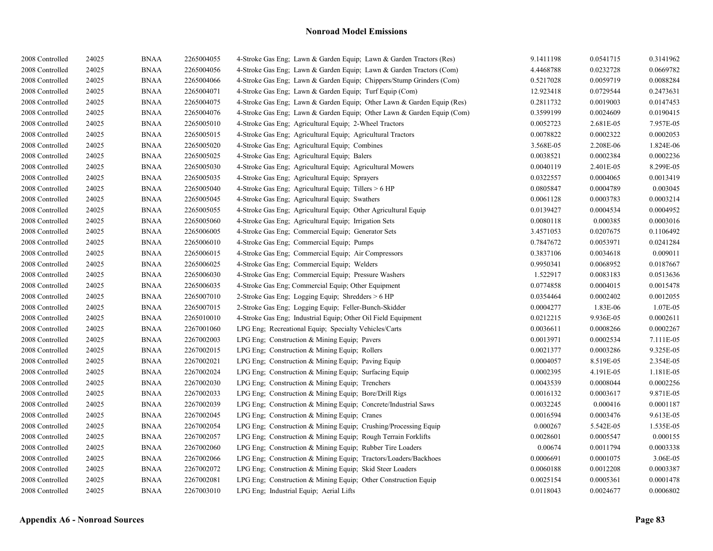| 2008 Controlled | 24025 | <b>BNAA</b> | 2265004055 | 4-Stroke Gas Eng; Lawn & Garden Equip; Lawn & Garden Tractors (Res)    | 9.1411198 | 0.0541715 | 0.3141962 |
|-----------------|-------|-------------|------------|------------------------------------------------------------------------|-----------|-----------|-----------|
| 2008 Controlled | 24025 | <b>BNAA</b> | 2265004056 | 4-Stroke Gas Eng; Lawn & Garden Equip; Lawn & Garden Tractors (Com)    | 4.4468788 | 0.0232728 | 0.0669782 |
| 2008 Controlled | 24025 | <b>BNAA</b> | 2265004066 | 4-Stroke Gas Eng; Lawn & Garden Equip; Chippers/Stump Grinders (Com)   | 0.5217028 | 0.0059719 | 0.0088284 |
| 2008 Controlled | 24025 | <b>BNAA</b> | 2265004071 | 4-Stroke Gas Eng; Lawn & Garden Equip; Turf Equip (Com)                | 12.923418 | 0.0729544 | 0.2473631 |
| 2008 Controlled | 24025 | <b>BNAA</b> | 2265004075 | 4-Stroke Gas Eng; Lawn & Garden Equip; Other Lawn & Garden Equip (Res) | 0.2811732 | 0.0019003 | 0.0147453 |
| 2008 Controlled | 24025 | <b>BNAA</b> | 2265004076 | 4-Stroke Gas Eng; Lawn & Garden Equip; Other Lawn & Garden Equip (Com) | 0.3599199 | 0.0024609 | 0.0190415 |
| 2008 Controlled | 24025 | <b>BNAA</b> | 2265005010 | 4-Stroke Gas Eng; Agricultural Equip; 2-Wheel Tractors                 | 0.0052723 | 2.681E-05 | 7.957E-05 |
| 2008 Controlled | 24025 | <b>BNAA</b> | 2265005015 | 4-Stroke Gas Eng; Agricultural Equip; Agricultural Tractors            | 0.0078822 | 0.0002322 | 0.0002053 |
| 2008 Controlled | 24025 | <b>BNAA</b> | 2265005020 | 4-Stroke Gas Eng; Agricultural Equip; Combines                         | 3.568E-05 | 2.208E-06 | 1.824E-06 |
| 2008 Controlled | 24025 | <b>BNAA</b> | 2265005025 | 4-Stroke Gas Eng; Agricultural Equip; Balers                           | 0.0038521 | 0.0002384 | 0.0002236 |
| 2008 Controlled | 24025 | <b>BNAA</b> | 2265005030 | 4-Stroke Gas Eng; Agricultural Equip; Agricultural Mowers              | 0.0040119 | 2.401E-05 | 8.299E-05 |
| 2008 Controlled | 24025 | <b>BNAA</b> | 2265005035 | 4-Stroke Gas Eng; Agricultural Equip; Sprayers                         | 0.0322557 | 0.0004065 | 0.0013419 |
| 2008 Controlled | 24025 | <b>BNAA</b> | 2265005040 | 4-Stroke Gas Eng; Agricultural Equip; Tillers > 6 HP                   | 0.0805847 | 0.0004789 | 0.003045  |
| 2008 Controlled | 24025 | <b>BNAA</b> | 2265005045 | 4-Stroke Gas Eng; Agricultural Equip; Swathers                         | 0.0061128 | 0.0003783 | 0.0003214 |
| 2008 Controlled | 24025 | <b>BNAA</b> | 2265005055 | 4-Stroke Gas Eng; Agricultural Equip; Other Agricultural Equip         | 0.0139427 | 0.0004534 | 0.0004952 |
| 2008 Controlled | 24025 | <b>BNAA</b> | 2265005060 | 4-Stroke Gas Eng; Agricultural Equip; Irrigation Sets                  | 0.0080118 | 0.000385  | 0.0003016 |
| 2008 Controlled | 24025 | <b>BNAA</b> | 2265006005 | 4-Stroke Gas Eng; Commercial Equip; Generator Sets                     | 3.4571053 | 0.0207675 | 0.1106492 |
| 2008 Controlled | 24025 | <b>BNAA</b> | 2265006010 | 4-Stroke Gas Eng: Commercial Equip: Pumps                              | 0.7847672 | 0.0053971 | 0.0241284 |
| 2008 Controlled | 24025 | <b>BNAA</b> | 2265006015 | 4-Stroke Gas Eng; Commercial Equip; Air Compressors                    | 0.3837106 | 0.0034618 | 0.009011  |
| 2008 Controlled | 24025 | <b>BNAA</b> | 2265006025 | 4-Stroke Gas Eng; Commercial Equip; Welders                            | 0.9950341 | 0.0068952 | 0.0187667 |
| 2008 Controlled | 24025 | <b>BNAA</b> | 2265006030 | 4-Stroke Gas Eng; Commercial Equip; Pressure Washers                   | 1.522917  | 0.0083183 | 0.0513636 |
| 2008 Controlled | 24025 | <b>BNAA</b> | 2265006035 | 4-Stroke Gas Eng; Commercial Equip; Other Equipment                    | 0.0774858 | 0.0004015 | 0.0015478 |
| 2008 Controlled | 24025 | <b>BNAA</b> | 2265007010 | 2-Stroke Gas Eng; Logging Equip; Shredders > 6 HP                      | 0.0354464 | 0.0002402 | 0.0012055 |
| 2008 Controlled | 24025 | <b>BNAA</b> | 2265007015 | 2-Stroke Gas Eng; Logging Equip; Feller-Bunch-Skidder                  | 0.0004277 | 1.83E-06  | 1.07E-05  |
| 2008 Controlled | 24025 | <b>BNAA</b> | 2265010010 | 4-Stroke Gas Eng; Industrial Equip; Other Oil Field Equipment          | 0.0212215 | 9.936E-05 | 0.0002611 |
| 2008 Controlled | 24025 | <b>BNAA</b> | 2267001060 | LPG Eng; Recreational Equip; Specialty Vehicles/Carts                  | 0.0036611 | 0.0008266 | 0.0002267 |
| 2008 Controlled | 24025 | <b>BNAA</b> | 2267002003 | LPG Eng; Construction & Mining Equip; Pavers                           | 0.0013971 | 0.0002534 | 7.111E-05 |
| 2008 Controlled | 24025 | <b>BNAA</b> | 2267002015 | LPG Eng; Construction & Mining Equip; Rollers                          | 0.0021377 | 0.0003286 | 9.325E-05 |
| 2008 Controlled | 24025 | <b>BNAA</b> | 2267002021 | LPG Eng; Construction & Mining Equip; Paving Equip                     | 0.0004057 | 8.519E-05 | 2.354E-05 |
| 2008 Controlled | 24025 | <b>BNAA</b> | 2267002024 | LPG Eng; Construction & Mining Equip; Surfacing Equip                  | 0.0002395 | 4.191E-05 | 1.181E-05 |
| 2008 Controlled | 24025 | <b>BNAA</b> | 2267002030 | LPG Eng; Construction & Mining Equip; Trenchers                        | 0.0043539 | 0.0008044 | 0.0002256 |
| 2008 Controlled | 24025 | <b>BNAA</b> | 2267002033 | LPG Eng; Construction & Mining Equip; Bore/Drill Rigs                  | 0.0016132 | 0.0003617 | 9.871E-05 |
| 2008 Controlled | 24025 | <b>BNAA</b> | 2267002039 | LPG Eng; Construction & Mining Equip; Concrete/Industrial Saws         | 0.0032245 | 0.000416  | 0.0001187 |
| 2008 Controlled | 24025 | <b>BNAA</b> | 2267002045 | LPG Eng; Construction & Mining Equip; Cranes                           | 0.0016594 | 0.0003476 | 9.613E-05 |
| 2008 Controlled | 24025 | <b>BNAA</b> | 2267002054 | LPG Eng; Construction & Mining Equip; Crushing/Processing Equip        | 0.000267  | 5.542E-05 | 1.535E-05 |
| 2008 Controlled | 24025 | <b>BNAA</b> | 2267002057 | LPG Eng; Construction & Mining Equip; Rough Terrain Forklifts          | 0.0028601 | 0.0005547 | 0.000155  |
| 2008 Controlled | 24025 | <b>BNAA</b> | 2267002060 | LPG Eng; Construction & Mining Equip; Rubber Tire Loaders              | 0.00674   | 0.0011794 | 0.0003338 |
| 2008 Controlled | 24025 | <b>BNAA</b> | 2267002066 | LPG Eng; Construction & Mining Equip; Tractors/Loaders/Backhoes        | 0.0006691 | 0.0001075 | 3.06E-05  |
| 2008 Controlled | 24025 | <b>BNAA</b> | 2267002072 | LPG Eng: Construction & Mining Equip: Skid Steer Loaders               | 0.0060188 | 0.0012208 | 0.0003387 |
| 2008 Controlled | 24025 | <b>BNAA</b> | 2267002081 | LPG Eng; Construction & Mining Equip; Other Construction Equip         | 0.0025154 | 0.0005361 | 0.0001478 |
| 2008 Controlled | 24025 | <b>BNAA</b> | 2267003010 | LPG Eng; Industrial Equip; Aerial Lifts                                | 0.0118043 | 0.0024677 | 0.0006802 |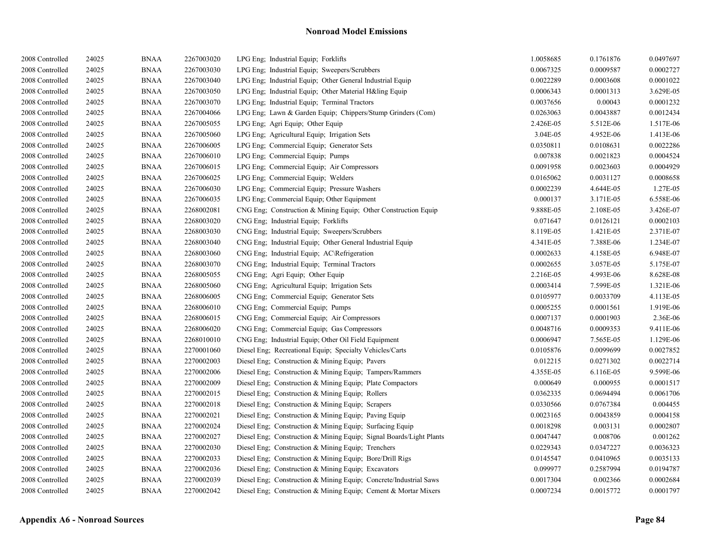| 2008 Controlled | 24025 | <b>BNAA</b> | 2267003020 | LPG Eng; Industrial Equip; Forklifts                                | 1.0058685 | 0.1761876 | 0.0497697 |
|-----------------|-------|-------------|------------|---------------------------------------------------------------------|-----------|-----------|-----------|
| 2008 Controlled | 24025 | <b>BNAA</b> | 2267003030 | LPG Eng; Industrial Equip; Sweepers/Scrubbers                       | 0.0067325 | 0.0009587 | 0.0002727 |
| 2008 Controlled | 24025 | <b>BNAA</b> | 2267003040 | LPG Eng: Industrial Equip: Other General Industrial Equip           | 0.0022289 | 0.0003608 | 0.0001022 |
| 2008 Controlled | 24025 | <b>BNAA</b> | 2267003050 | LPG Eng; Industrial Equip; Other Material H&ling Equip              | 0.0006343 | 0.0001313 | 3.629E-05 |
| 2008 Controlled | 24025 | <b>BNAA</b> | 2267003070 | LPG Eng; Industrial Equip; Terminal Tractors                        | 0.0037656 | 0.00043   | 0.0001232 |
| 2008 Controlled | 24025 | <b>BNAA</b> | 2267004066 | LPG Eng; Lawn & Garden Equip; Chippers/Stump Grinders (Com)         | 0.0263063 | 0.0043887 | 0.0012434 |
| 2008 Controlled | 24025 | <b>BNAA</b> | 2267005055 | LPG Eng: Agri Equip: Other Equip                                    | 2.426E-05 | 5.512E-06 | 1.517E-06 |
| 2008 Controlled | 24025 | <b>BNAA</b> | 2267005060 | LPG Eng; Agricultural Equip; Irrigation Sets                        | 3.04E-05  | 4.952E-06 | 1.413E-06 |
| 2008 Controlled | 24025 | <b>BNAA</b> | 2267006005 | LPG Eng; Commercial Equip; Generator Sets                           | 0.0350811 | 0.0108631 | 0.0022286 |
| 2008 Controlled | 24025 | <b>BNAA</b> | 2267006010 | LPG Eng; Commercial Equip; Pumps                                    | 0.007838  | 0.0021823 | 0.0004524 |
| 2008 Controlled | 24025 | <b>BNAA</b> | 2267006015 | LPG Eng; Commercial Equip; Air Compressors                          | 0.0091958 | 0.0023603 | 0.0004929 |
| 2008 Controlled | 24025 | <b>BNAA</b> | 2267006025 | LPG Eng; Commercial Equip; Welders                                  | 0.0165062 | 0.0031127 | 0.0008658 |
| 2008 Controlled | 24025 | <b>BNAA</b> | 2267006030 | LPG Eng; Commercial Equip; Pressure Washers                         | 0.0002239 | 4.644E-05 | 1.27E-05  |
| 2008 Controlled | 24025 | <b>BNAA</b> | 2267006035 | LPG Eng; Commercial Equip; Other Equipment                          | 0.000137  | 3.171E-05 | 6.558E-06 |
| 2008 Controlled | 24025 | <b>BNAA</b> | 2268002081 | CNG Eng; Construction & Mining Equip; Other Construction Equip      | 9.888E-05 | 2.108E-05 | 3.426E-07 |
| 2008 Controlled | 24025 | <b>BNAA</b> | 2268003020 | CNG Eng: Industrial Equip: Forklifts                                | 0.071647  | 0.0126121 | 0.0002103 |
| 2008 Controlled | 24025 | <b>BNAA</b> | 2268003030 | CNG Eng; Industrial Equip; Sweepers/Scrubbers                       | 8.119E-05 | 1.421E-05 | 2.371E-07 |
| 2008 Controlled | 24025 | <b>BNAA</b> | 2268003040 | CNG Eng; Industrial Equip; Other General Industrial Equip           | 4.341E-05 | 7.388E-06 | 1.234E-07 |
| 2008 Controlled | 24025 | <b>BNAA</b> | 2268003060 | CNG Eng; Industrial Equip; AC\Refrigeration                         | 0.0002633 | 4.158E-05 | 6.948E-07 |
| 2008 Controlled | 24025 | <b>BNAA</b> | 2268003070 | CNG Eng; Industrial Equip; Terminal Tractors                        | 0.0002655 | 3.057E-05 | 5.175E-07 |
| 2008 Controlled | 24025 | <b>BNAA</b> | 2268005055 | CNG Eng; Agri Equip; Other Equip                                    | 2.216E-05 | 4.993E-06 | 8.628E-08 |
| 2008 Controlled | 24025 | <b>BNAA</b> | 2268005060 | CNG Eng; Agricultural Equip; Irrigation Sets                        | 0.0003414 | 7.599E-05 | 1.321E-06 |
| 2008 Controlled | 24025 | <b>BNAA</b> | 2268006005 | CNG Eng; Commercial Equip; Generator Sets                           | 0.0105977 | 0.0033709 | 4.113E-05 |
| 2008 Controlled | 24025 | <b>BNAA</b> | 2268006010 | CNG Eng; Commercial Equip; Pumps                                    | 0.0005255 | 0.0001561 | 1.919E-06 |
| 2008 Controlled | 24025 | <b>BNAA</b> | 2268006015 | CNG Eng; Commercial Equip; Air Compressors                          | 0.0007137 | 0.0001903 | 2.36E-06  |
| 2008 Controlled | 24025 | <b>BNAA</b> | 2268006020 | CNG Eng; Commercial Equip; Gas Compressors                          | 0.0048716 | 0.0009353 | 9.411E-06 |
| 2008 Controlled | 24025 | <b>BNAA</b> | 2268010010 | CNG Eng; Industrial Equip; Other Oil Field Equipment                | 0.0006947 | 7.565E-05 | 1.129E-06 |
| 2008 Controlled | 24025 | <b>BNAA</b> | 2270001060 | Diesel Eng; Recreational Equip; Specialty Vehicles/Carts            | 0.0105876 | 0.0099699 | 0.0027852 |
| 2008 Controlled | 24025 | <b>BNAA</b> | 2270002003 | Diesel Eng; Construction & Mining Equip; Pavers                     | 0.012215  | 0.0271302 | 0.0022714 |
| 2008 Controlled | 24025 | <b>BNAA</b> | 2270002006 | Diesel Eng; Construction & Mining Equip; Tampers/Rammers            | 4.355E-05 | 6.116E-05 | 9.599E-06 |
| 2008 Controlled | 24025 | <b>BNAA</b> | 2270002009 | Diesel Eng; Construction & Mining Equip; Plate Compactors           | 0.000649  | 0.000955  | 0.0001517 |
| 2008 Controlled | 24025 | <b>BNAA</b> | 2270002015 | Diesel Eng; Construction & Mining Equip; Rollers                    | 0.0362335 | 0.0694494 | 0.0061706 |
| 2008 Controlled | 24025 | <b>BNAA</b> | 2270002018 | Diesel Eng; Construction & Mining Equip; Scrapers                   | 0.0330566 | 0.0767384 | 0.004455  |
| 2008 Controlled | 24025 | <b>BNAA</b> | 2270002021 | Diesel Eng; Construction & Mining Equip; Paving Equip               | 0.0023165 | 0.0043859 | 0.0004158 |
| 2008 Controlled | 24025 | <b>BNAA</b> | 2270002024 | Diesel Eng; Construction & Mining Equip; Surfacing Equip            | 0.0018298 | 0.003131  | 0.0002807 |
| 2008 Controlled | 24025 | <b>BNAA</b> | 2270002027 | Diesel Eng; Construction & Mining Equip; Signal Boards/Light Plants | 0.0047447 | 0.008706  | 0.001262  |
| 2008 Controlled | 24025 | <b>BNAA</b> | 2270002030 | Diesel Eng; Construction & Mining Equip; Trenchers                  | 0.0229343 | 0.0347227 | 0.0036323 |
| 2008 Controlled | 24025 | <b>BNAA</b> | 2270002033 | Diesel Eng; Construction & Mining Equip; Bore/Drill Rigs            | 0.0145547 | 0.0410965 | 0.0035133 |
| 2008 Controlled | 24025 | <b>BNAA</b> | 2270002036 | Diesel Eng; Construction & Mining Equip; Excavators                 | 0.099977  | 0.2587994 | 0.0194787 |
| 2008 Controlled | 24025 | <b>BNAA</b> | 2270002039 | Diesel Eng; Construction & Mining Equip; Concrete/Industrial Saws   | 0.0017304 | 0.002366  | 0.0002684 |
| 2008 Controlled | 24025 | <b>BNAA</b> | 2270002042 | Diesel Eng; Construction & Mining Equip; Cement & Mortar Mixers     | 0.0007234 | 0.0015772 | 0.0001797 |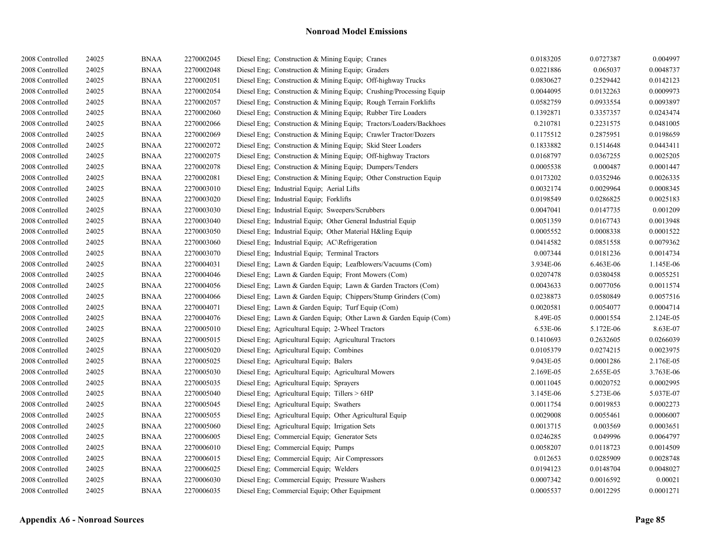| 2008 Controlled | 24025 | <b>BNAA</b> | 2270002045 | Diesel Eng; Construction & Mining Equip; Cranes                     | 0.0183205 | 0.0727387 | 0.004997  |
|-----------------|-------|-------------|------------|---------------------------------------------------------------------|-----------|-----------|-----------|
| 2008 Controlled | 24025 | <b>BNAA</b> | 2270002048 | Diesel Eng; Construction & Mining Equip; Graders                    | 0.0221886 | 0.065037  | 0.0048737 |
| 2008 Controlled | 24025 | <b>BNAA</b> | 2270002051 | Diesel Eng: Construction & Mining Equip: Off-highway Trucks         | 0.0830627 | 0.2529442 | 0.0142123 |
| 2008 Controlled | 24025 | <b>BNAA</b> | 2270002054 | Diesel Eng. Construction & Mining Equip. Crushing/Processing Equip. | 0.0044095 | 0.0132263 | 0.0009973 |
| 2008 Controlled | 24025 | <b>BNAA</b> | 2270002057 | Diesel Eng; Construction & Mining Equip; Rough Terrain Forklifts    | 0.0582759 | 0.0933554 | 0.0093897 |
| 2008 Controlled | 24025 | <b>BNAA</b> | 2270002060 | Diesel Eng; Construction & Mining Equip; Rubber Tire Loaders        | 0.1392871 | 0.3357357 | 0.0243474 |
| 2008 Controlled | 24025 | <b>BNAA</b> | 2270002066 | Diesel Eng; Construction & Mining Equip; Tractors/Loaders/Backhoes  | 0.210781  | 0.2231575 | 0.0481005 |
| 2008 Controlled | 24025 | <b>BNAA</b> | 2270002069 | Diesel Eng; Construction & Mining Equip; Crawler Tractor/Dozers     | 0.1175512 | 0.2875951 | 0.0198659 |
| 2008 Controlled | 24025 | <b>BNAA</b> | 2270002072 | Diesel Eng; Construction & Mining Equip; Skid Steer Loaders         | 0.1833882 | 0.1514648 | 0.0443411 |
| 2008 Controlled | 24025 | <b>BNAA</b> | 2270002075 | Diesel Eng; Construction & Mining Equip; Off-highway Tractors       | 0.0168797 | 0.0367255 | 0.0025205 |
| 2008 Controlled | 24025 | <b>BNAA</b> | 2270002078 | Diesel Eng; Construction & Mining Equip; Dumpers/Tenders            | 0.0005538 | 0.000487  | 0.0001447 |
| 2008 Controlled | 24025 | <b>BNAA</b> | 2270002081 | Diesel Eng; Construction & Mining Equip; Other Construction Equip   | 0.0173202 | 0.0352946 | 0.0026335 |
| 2008 Controlled | 24025 | <b>BNAA</b> | 2270003010 | Diesel Eng; Industrial Equip; Aerial Lifts                          | 0.0032174 | 0.0029964 | 0.0008345 |
| 2008 Controlled | 24025 | <b>BNAA</b> | 2270003020 | Diesel Eng; Industrial Equip; Forklifts                             | 0.0198549 | 0.0286825 | 0.0025183 |
| 2008 Controlled | 24025 | <b>BNAA</b> | 2270003030 | Diesel Eng; Industrial Equip; Sweepers/Scrubbers                    | 0.0047041 | 0.0147735 | 0.001209  |
| 2008 Controlled | 24025 | <b>BNAA</b> | 2270003040 | Diesel Eng; Industrial Equip; Other General Industrial Equip        | 0.0051359 | 0.0167743 | 0.0013948 |
| 2008 Controlled | 24025 | <b>BNAA</b> | 2270003050 | Diesel Eng; Industrial Equip; Other Material H&ling Equip           | 0.0005552 | 0.0008338 | 0.0001522 |
| 2008 Controlled | 24025 | <b>BNAA</b> | 2270003060 | Diesel Eng; Industrial Equip; AC\Refrigeration                      | 0.0414582 | 0.0851558 | 0.0079362 |
| 2008 Controlled | 24025 | <b>BNAA</b> | 2270003070 | Diesel Eng; Industrial Equip; Terminal Tractors                     | 0.007344  | 0.0181236 | 0.0014734 |
| 2008 Controlled | 24025 | <b>BNAA</b> | 2270004031 | Diesel Eng; Lawn & Garden Equip; Leafblowers/Vacuums (Com)          | 3.934E-06 | 6.463E-06 | 1.145E-06 |
| 2008 Controlled | 24025 | <b>BNAA</b> | 2270004046 | Diesel Eng; Lawn & Garden Equip; Front Mowers (Com)                 | 0.0207478 | 0.0380458 | 0.0055251 |
| 2008 Controlled | 24025 | <b>BNAA</b> | 2270004056 | Diesel Eng; Lawn & Garden Equip; Lawn & Garden Tractors (Com)       | 0.0043633 | 0.0077056 | 0.0011574 |
| 2008 Controlled | 24025 | <b>BNAA</b> | 2270004066 | Diesel Eng; Lawn & Garden Equip; Chippers/Stump Grinders (Com)      | 0.0238873 | 0.0580849 | 0.0057516 |
| 2008 Controlled | 24025 | <b>BNAA</b> | 2270004071 | Diesel Eng; Lawn & Garden Equip; Turf Equip (Com)                   | 0.0020581 | 0.0054077 | 0.0004714 |
| 2008 Controlled | 24025 | <b>BNAA</b> | 2270004076 | Diesel Eng; Lawn & Garden Equip; Other Lawn & Garden Equip (Com)    | 8.49E-05  | 0.0001554 | 2.124E-05 |
| 2008 Controlled | 24025 | <b>BNAA</b> | 2270005010 | Diesel Eng; Agricultural Equip; 2-Wheel Tractors                    | 6.53E-06  | 5.172E-06 | 8.63E-07  |
| 2008 Controlled | 24025 | <b>BNAA</b> | 2270005015 | Diesel Eng; Agricultural Equip; Agricultural Tractors               | 0.1410693 | 0.2632605 | 0.0266039 |
| 2008 Controlled | 24025 | <b>BNAA</b> | 2270005020 | Diesel Eng; Agricultural Equip; Combines                            | 0.0105379 | 0.0274215 | 0.0023975 |
| 2008 Controlled | 24025 | <b>BNAA</b> | 2270005025 | Diesel Eng; Agricultural Equip; Balers                              | 9.043E-05 | 0.0001286 | 2.176E-05 |
| 2008 Controlled | 24025 | <b>BNAA</b> | 2270005030 | Diesel Eng; Agricultural Equip; Agricultural Mowers                 | 2.169E-05 | 2.655E-05 | 3.763E-06 |
| 2008 Controlled | 24025 | <b>BNAA</b> | 2270005035 | Diesel Eng; Agricultural Equip; Sprayers                            | 0.0011045 | 0.0020752 | 0.0002995 |
| 2008 Controlled | 24025 | <b>BNAA</b> | 2270005040 | Diesel Eng; Agricultural Equip; Tillers > 6HP                       | 3.145E-06 | 5.273E-06 | 5.037E-07 |
| 2008 Controlled | 24025 | <b>BNAA</b> | 2270005045 | Diesel Eng; Agricultural Equip; Swathers                            | 0.0011754 | 0.0019853 | 0.0002273 |
| 2008 Controlled | 24025 | <b>BNAA</b> | 2270005055 | Diesel Eng; Agricultural Equip; Other Agricultural Equip            | 0.0029008 | 0.0055461 | 0.0006007 |
| 2008 Controlled | 24025 | <b>BNAA</b> | 2270005060 | Diesel Eng; Agricultural Equip; Irrigation Sets                     | 0.0013715 | 0.003569  | 0.0003651 |
| 2008 Controlled | 24025 | <b>BNAA</b> | 2270006005 | Diesel Eng; Commercial Equip; Generator Sets                        | 0.0246285 | 0.049996  | 0.0064797 |
| 2008 Controlled | 24025 | <b>BNAA</b> | 2270006010 | Diesel Eng; Commercial Equip; Pumps                                 | 0.0058207 | 0.0118723 | 0.0014509 |
| 2008 Controlled | 24025 | <b>BNAA</b> | 2270006015 | Diesel Eng; Commercial Equip; Air Compressors                       | 0.012653  | 0.0285909 | 0.0028748 |
| 2008 Controlled | 24025 | <b>BNAA</b> | 2270006025 | Diesel Eng; Commercial Equip; Welders                               | 0.0194123 | 0.0148704 | 0.0048027 |
| 2008 Controlled | 24025 | <b>BNAA</b> | 2270006030 | Diesel Eng; Commercial Equip; Pressure Washers                      | 0.0007342 | 0.0016592 | 0.00021   |
| 2008 Controlled | 24025 | <b>BNAA</b> | 2270006035 | Diesel Eng; Commercial Equip; Other Equipment                       | 0.0005537 | 0.0012295 | 0.0001271 |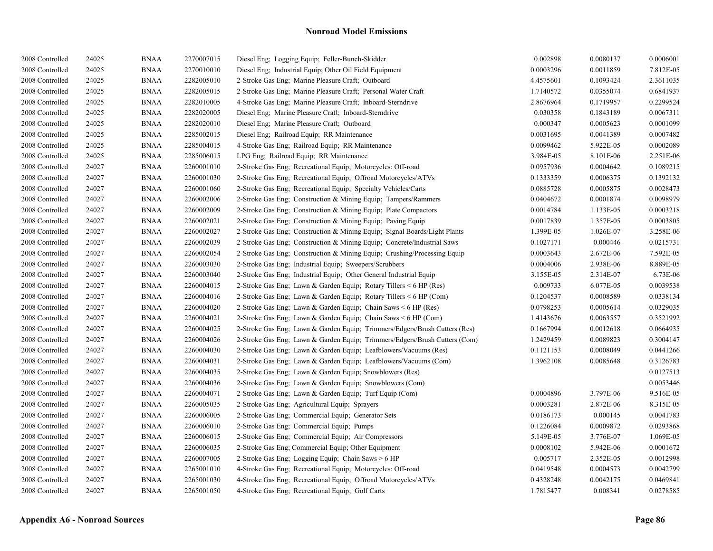| 2008 Controlled | 24025 | <b>BNAA</b> | 2270007015 | Diesel Eng; Logging Equip; Feller-Bunch-Skidder                            | 0.002898  | 0.0080137 | 0.0006001 |
|-----------------|-------|-------------|------------|----------------------------------------------------------------------------|-----------|-----------|-----------|
| 2008 Controlled | 24025 | <b>BNAA</b> | 2270010010 | Diesel Eng; Industrial Equip; Other Oil Field Equipment                    | 0.0003296 | 0.0011859 | 7.812E-05 |
| 2008 Controlled | 24025 | <b>BNAA</b> | 2282005010 | 2-Stroke Gas Eng; Marine Pleasure Craft; Outboard                          | 4.4575601 | 0.1093424 | 2.3611035 |
| 2008 Controlled | 24025 | <b>BNAA</b> | 2282005015 | 2-Stroke Gas Eng; Marine Pleasure Craft; Personal Water Craft              | 1.7140572 | 0.0355074 | 0.6841937 |
| 2008 Controlled | 24025 | BNAA        | 2282010005 | 4-Stroke Gas Eng; Marine Pleasure Craft; Inboard-Sterndrive                | 2.8676964 | 0.1719957 | 0.2299524 |
| 2008 Controlled | 24025 | BNAA        | 2282020005 | Diesel Eng; Marine Pleasure Craft; Inboard-Sterndrive                      | 0.030358  | 0.1843189 | 0.0067311 |
| 2008 Controlled | 24025 | <b>BNAA</b> | 2282020010 | Diesel Eng; Marine Pleasure Craft; Outboard                                | 0.000347  | 0.0005623 | 0.0001099 |
| 2008 Controlled | 24025 | <b>BNAA</b> | 2285002015 | Diesel Eng; Railroad Equip; RR Maintenance                                 | 0.0031695 | 0.0041389 | 0.0007482 |
| 2008 Controlled | 24025 | <b>BNAA</b> | 2285004015 | 4-Stroke Gas Eng; Railroad Equip; RR Maintenance                           | 0.0099462 | 5.922E-05 | 0.0002089 |
| 2008 Controlled | 24025 | <b>BNAA</b> | 2285006015 | LPG Eng; Railroad Equip; RR Maintenance                                    | 3.984E-05 | 8.101E-06 | 2.251E-06 |
| 2008 Controlled | 24027 | <b>BNAA</b> | 2260001010 | 2-Stroke Gas Eng; Recreational Equip; Motorcycles: Off-road                | 0.0957936 | 0.0004642 | 0.1089215 |
| 2008 Controlled | 24027 | <b>BNAA</b> | 2260001030 | 2-Stroke Gas Eng; Recreational Equip; Offroad Motorcycles/ATVs             | 0.1333359 | 0.0006375 | 0.1392132 |
| 2008 Controlled | 24027 | BNAA        | 2260001060 | 2-Stroke Gas Eng; Recreational Equip; Specialty Vehicles/Carts             | 0.0885728 | 0.0005875 | 0.0028473 |
| 2008 Controlled | 24027 | <b>BNAA</b> | 2260002006 | 2-Stroke Gas Eng; Construction & Mining Equip; Tampers/Rammers             | 0.0404672 | 0.0001874 | 0.0098979 |
| 2008 Controlled | 24027 | <b>BNAA</b> | 2260002009 | 2-Stroke Gas Eng; Construction & Mining Equip; Plate Compactors            | 0.0014784 | 1.133E-05 | 0.0003218 |
| 2008 Controlled | 24027 | <b>BNAA</b> | 2260002021 | 2-Stroke Gas Eng; Construction & Mining Equip; Paving Equip                | 0.0017839 | 1.357E-05 | 0.0003805 |
| 2008 Controlled | 24027 | <b>BNAA</b> | 2260002027 | 2-Stroke Gas Eng; Construction & Mining Equip; Signal Boards/Light Plants  | 1.399E-05 | 1.026E-07 | 3.258E-06 |
| 2008 Controlled | 24027 | <b>BNAA</b> | 2260002039 | 2-Stroke Gas Eng; Construction & Mining Equip; Concrete/Industrial Saws    | 0.1027171 | 0.000446  | 0.0215731 |
| 2008 Controlled | 24027 | <b>BNAA</b> | 2260002054 | 2-Stroke Gas Eng; Construction & Mining Equip; Crushing/Processing Equip   | 0.0003643 | 2.672E-06 | 7.592E-05 |
| 2008 Controlled | 24027 | <b>BNAA</b> | 2260003030 | 2-Stroke Gas Eng: Industrial Equip: Sweepers/Scrubbers                     | 0.0004006 | 2.938E-06 | 8.889E-05 |
| 2008 Controlled | 24027 | <b>BNAA</b> | 2260003040 | 2-Stroke Gas Eng; Industrial Equip; Other General Industrial Equip         | 3.155E-05 | 2.314E-07 | 6.73E-06  |
| 2008 Controlled | 24027 | <b>BNAA</b> | 2260004015 | 2-Stroke Gas Eng; Lawn & Garden Equip; Rotary Tillers < 6 HP (Res)         | 0.009733  | 6.077E-05 | 0.0039538 |
| 2008 Controlled | 24027 | <b>BNAA</b> | 2260004016 | 2-Stroke Gas Eng; Lawn & Garden Equip; Rotary Tillers < 6 HP (Com)         | 0.1204537 | 0.0008589 | 0.0338134 |
| 2008 Controlled | 24027 | <b>BNAA</b> | 2260004020 | 2-Stroke Gas Eng; Lawn & Garden Equip; Chain Saws < 6 HP (Res)             | 0.0798253 | 0.0005614 | 0.0329035 |
| 2008 Controlled | 24027 | <b>BNAA</b> | 2260004021 | 2-Stroke Gas Eng; Lawn & Garden Equip; Chain Saws < 6 HP (Com)             | 1.4143676 | 0.0063557 | 0.3521992 |
| 2008 Controlled | 24027 | <b>BNAA</b> | 2260004025 | 2-Stroke Gas Eng; Lawn & Garden Equip; Trimmers/Edgers/Brush Cutters (Res) | 0.1667994 | 0.0012618 | 0.0664935 |
| 2008 Controlled | 24027 | <b>BNAA</b> | 2260004026 | 2-Stroke Gas Eng; Lawn & Garden Equip; Trimmers/Edgers/Brush Cutters (Com) | 1.2429459 | 0.0089823 | 0.3004147 |
| 2008 Controlled | 24027 | BNAA        | 2260004030 | 2-Stroke Gas Eng; Lawn & Garden Equip; Leafblowers/Vacuums (Res)           | 0.1121153 | 0.0008049 | 0.0441266 |
| 2008 Controlled | 24027 | <b>BNAA</b> | 2260004031 | 2-Stroke Gas Eng; Lawn & Garden Equip; Leafblowers/Vacuums (Com)           | 1.3962108 | 0.0085648 | 0.3126783 |
| 2008 Controlled | 24027 | <b>BNAA</b> | 2260004035 | 2-Stroke Gas Eng; Lawn & Garden Equip; Snowblowers (Res)                   |           |           | 0.0127513 |
| 2008 Controlled | 24027 | <b>BNAA</b> | 2260004036 | 2-Stroke Gas Eng; Lawn & Garden Equip; Snowblowers (Com)                   |           |           | 0.0053446 |
| 2008 Controlled | 24027 | <b>BNAA</b> | 2260004071 | 2-Stroke Gas Eng; Lawn & Garden Equip; Turf Equip (Com)                    | 0.0004896 | 3.797E-06 | 9.516E-05 |
| 2008 Controlled | 24027 | <b>BNAA</b> | 2260005035 | 2-Stroke Gas Eng; Agricultural Equip; Sprayers                             | 0.0003281 | 2.872E-06 | 8.315E-05 |
| 2008 Controlled | 24027 | <b>BNAA</b> | 2260006005 | 2-Stroke Gas Eng; Commercial Equip; Generator Sets                         | 0.0186173 | 0.000145  | 0.0041783 |
| 2008 Controlled | 24027 | BNAA        | 2260006010 | 2-Stroke Gas Eng; Commercial Equip; Pumps                                  | 0.1226084 | 0.0009872 | 0.0293868 |
| 2008 Controlled | 24027 | <b>BNAA</b> | 2260006015 | 2-Stroke Gas Eng; Commercial Equip; Air Compressors                        | 5.149E-05 | 3.776E-07 | 1.069E-05 |
| 2008 Controlled | 24027 | <b>BNAA</b> | 2260006035 | 2-Stroke Gas Eng; Commercial Equip; Other Equipment                        | 0.0008102 | 5.942E-06 | 0.0001672 |
| 2008 Controlled | 24027 | <b>BNAA</b> | 2260007005 | 2-Stroke Gas Eng; Logging Equip; Chain Saws > 6 HP                         | 0.005717  | 2.352E-05 | 0.0012998 |
| 2008 Controlled | 24027 | <b>BNAA</b> | 2265001010 | 4-Stroke Gas Eng; Recreational Equip; Motorcycles: Off-road                | 0.0419548 | 0.0004573 | 0.0042799 |
| 2008 Controlled | 24027 | <b>BNAA</b> | 2265001030 | 4-Stroke Gas Eng; Recreational Equip; Offroad Motorcycles/ATVs             | 0.4328248 | 0.0042175 | 0.0469841 |
| 2008 Controlled | 24027 | BNAA        | 2265001050 | 4-Stroke Gas Eng; Recreational Equip; Golf Carts                           | 1.7815477 | 0.008341  | 0.0278585 |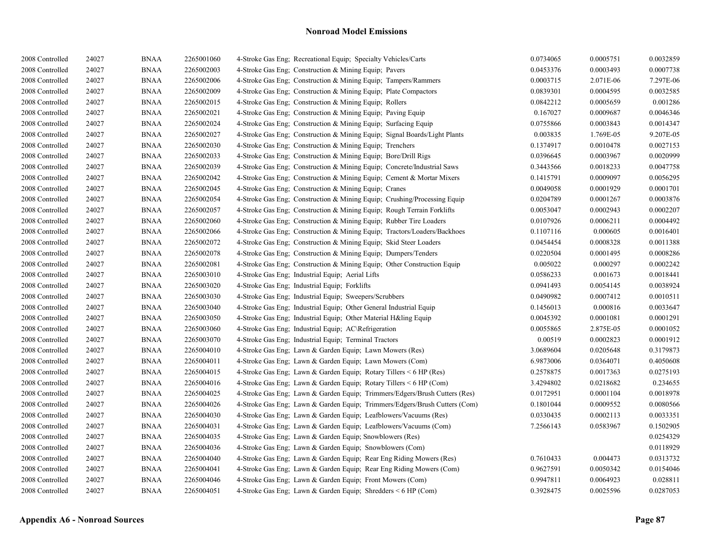| 2008 Controlled | 24027 | <b>BNAA</b> | 2265001060 | 4-Stroke Gas Eng; Recreational Equip; Specialty Vehicles/Carts             | 0.0734065 | 0.0005751 | 0.0032859 |
|-----------------|-------|-------------|------------|----------------------------------------------------------------------------|-----------|-----------|-----------|
| 2008 Controlled | 24027 | <b>BNAA</b> | 2265002003 | 4-Stroke Gas Eng; Construction & Mining Equip; Pavers                      | 0.0453376 | 0.0003493 | 0.0007738 |
| 2008 Controlled | 24027 | <b>BNAA</b> | 2265002006 | 4-Stroke Gas Eng: Construction & Mining Equip: Tampers/Rammers             | 0.0003715 | 2.071E-06 | 7.297E-06 |
| 2008 Controlled | 24027 | <b>BNAA</b> | 2265002009 | 4-Stroke Gas Eng; Construction & Mining Equip; Plate Compactors            | 0.0839301 | 0.0004595 | 0.0032585 |
| 2008 Controlled | 24027 | <b>BNAA</b> | 2265002015 | 4-Stroke Gas Eng; Construction & Mining Equip; Rollers                     | 0.0842212 | 0.0005659 | 0.001286  |
| 2008 Controlled | 24027 | <b>BNAA</b> | 2265002021 | 4-Stroke Gas Eng; Construction & Mining Equip; Paving Equip                | 0.167027  | 0.0009687 | 0.0046346 |
| 2008 Controlled | 24027 | <b>BNAA</b> | 2265002024 | 4-Stroke Gas Eng; Construction & Mining Equip; Surfacing Equip             | 0.0755866 | 0.0003843 | 0.0014347 |
| 2008 Controlled | 24027 | <b>BNAA</b> | 2265002027 | 4-Stroke Gas Eng; Construction & Mining Equip; Signal Boards/Light Plants  | 0.003835  | 1.769E-05 | 9.207E-05 |
| 2008 Controlled | 24027 | <b>BNAA</b> | 2265002030 | 4-Stroke Gas Eng; Construction & Mining Equip; Trenchers                   | 0.1374917 | 0.0010478 | 0.0027153 |
| 2008 Controlled | 24027 | <b>BNAA</b> | 2265002033 | 4-Stroke Gas Eng; Construction & Mining Equip; Bore/Drill Rigs             | 0.0396645 | 0.0003967 | 0.0020999 |
| 2008 Controlled | 24027 | <b>BNAA</b> | 2265002039 | 4-Stroke Gas Eng; Construction & Mining Equip; Concrete/Industrial Saws    | 0.3443566 | 0.0018233 | 0.0047758 |
| 2008 Controlled | 24027 | <b>BNAA</b> | 2265002042 | 4-Stroke Gas Eng; Construction & Mining Equip; Cement & Mortar Mixers      | 0.1415791 | 0.0009097 | 0.0056295 |
| 2008 Controlled | 24027 | <b>BNAA</b> | 2265002045 | 4-Stroke Gas Eng; Construction & Mining Equip; Cranes                      | 0.0049058 | 0.0001929 | 0.0001701 |
| 2008 Controlled | 24027 | <b>BNAA</b> | 2265002054 | 4-Stroke Gas Eng; Construction & Mining Equip; Crushing/Processing Equip   | 0.0204789 | 0.0001267 | 0.0003876 |
| 2008 Controlled | 24027 | <b>BNAA</b> | 2265002057 | 4-Stroke Gas Eng; Construction & Mining Equip; Rough Terrain Forklifts     | 0.0053047 | 0.0002943 | 0.0002207 |
| 2008 Controlled | 24027 | <b>BNAA</b> | 2265002060 | 4-Stroke Gas Eng: Construction & Mining Equip: Rubber Tire Loaders         | 0.0107926 | 0.0006211 | 0.0004492 |
| 2008 Controlled | 24027 | <b>BNAA</b> | 2265002066 | 4-Stroke Gas Eng; Construction & Mining Equip; Tractors/Loaders/Backhoes   | 0.1107116 | 0.000605  | 0.0016401 |
| 2008 Controlled | 24027 | <b>BNAA</b> | 2265002072 | 4-Stroke Gas Eng; Construction & Mining Equip; Skid Steer Loaders          | 0.0454454 | 0.0008328 | 0.0011388 |
| 2008 Controlled | 24027 | <b>BNAA</b> | 2265002078 | 4-Stroke Gas Eng; Construction & Mining Equip; Dumpers/Tenders             | 0.0220504 | 0.0001495 | 0.0008286 |
| 2008 Controlled | 24027 | <b>BNAA</b> | 2265002081 | 4-Stroke Gas Eng; Construction & Mining Equip; Other Construction Equip    | 0.005022  | 0.000297  | 0.0002242 |
| 2008 Controlled | 24027 | <b>BNAA</b> | 2265003010 | 4-Stroke Gas Eng; Industrial Equip; Aerial Lifts                           | 0.0586233 | 0.001673  | 0.0018441 |
| 2008 Controlled | 24027 | <b>BNAA</b> | 2265003020 | 4-Stroke Gas Eng; Industrial Equip; Forklifts                              | 0.0941493 | 0.0054145 | 0.0038924 |
| 2008 Controlled | 24027 | <b>BNAA</b> | 2265003030 | 4-Stroke Gas Eng; Industrial Equip; Sweepers/Scrubbers                     | 0.0490982 | 0.0007412 | 0.0010511 |
| 2008 Controlled | 24027 | <b>BNAA</b> | 2265003040 | 4-Stroke Gas Eng; Industrial Equip; Other General Industrial Equip         | 0.1456013 | 0.000816  | 0.0033647 |
| 2008 Controlled | 24027 | <b>BNAA</b> | 2265003050 | 4-Stroke Gas Eng: Industrial Equip: Other Material H&ling Equip            | 0.0045392 | 0.0001081 | 0.0001291 |
| 2008 Controlled | 24027 | <b>BNAA</b> | 2265003060 | 4-Stroke Gas Eng; Industrial Equip; AC\Refrigeration                       | 0.0055865 | 2.875E-05 | 0.0001052 |
| 2008 Controlled | 24027 | <b>BNAA</b> | 2265003070 | 4-Stroke Gas Eng; Industrial Equip; Terminal Tractors                      | 0.00519   | 0.0002823 | 0.0001912 |
| 2008 Controlled | 24027 | <b>BNAA</b> | 2265004010 | 4-Stroke Gas Eng; Lawn & Garden Equip; Lawn Mowers (Res)                   | 3.0689604 | 0.0205648 | 0.3179873 |
| 2008 Controlled | 24027 | <b>BNAA</b> | 2265004011 | 4-Stroke Gas Eng; Lawn & Garden Equip; Lawn Mowers (Com)                   | 6.9873006 | 0.0364071 | 0.4050608 |
| 2008 Controlled | 24027 | <b>BNAA</b> | 2265004015 | 4-Stroke Gas Eng; Lawn & Garden Equip; Rotary Tillers $\leq 6$ HP (Res)    | 0.2578875 | 0.0017363 | 0.0275193 |
| 2008 Controlled | 24027 | <b>BNAA</b> | 2265004016 | 4-Stroke Gas Eng; Lawn & Garden Equip; Rotary Tillers < 6 HP (Com)         | 3.4294802 | 0.0218682 | 0.234655  |
| 2008 Controlled | 24027 | <b>BNAA</b> | 2265004025 | 4-Stroke Gas Eng; Lawn & Garden Equip; Trimmers/Edgers/Brush Cutters (Res) | 0.0172951 | 0.0001104 | 0.0018978 |
| 2008 Controlled | 24027 | <b>BNAA</b> | 2265004026 | 4-Stroke Gas Eng; Lawn & Garden Equip; Trimmers/Edgers/Brush Cutters (Com) | 0.1801044 | 0.0009552 | 0.0080566 |
| 2008 Controlled | 24027 | <b>BNAA</b> | 2265004030 | 4-Stroke Gas Eng; Lawn & Garden Equip; Leafblowers/Vacuums (Res)           | 0.0330435 | 0.0002113 | 0.0033351 |
| 2008 Controlled | 24027 | <b>BNAA</b> | 2265004031 | 4-Stroke Gas Eng; Lawn & Garden Equip; Leafblowers/Vacuums (Com)           | 7.2566143 | 0.0583967 | 0.1502905 |
| 2008 Controlled | 24027 | <b>BNAA</b> | 2265004035 | 4-Stroke Gas Eng; Lawn & Garden Equip; Snowblowers (Res)                   |           |           | 0.0254329 |
| 2008 Controlled | 24027 | <b>BNAA</b> | 2265004036 | 4-Stroke Gas Eng; Lawn & Garden Equip; Snowblowers (Com)                   |           |           | 0.0118929 |
| 2008 Controlled | 24027 | <b>BNAA</b> | 2265004040 | 4-Stroke Gas Eng; Lawn & Garden Equip; Rear Eng Riding Mowers (Res)        | 0.7610433 | 0.004473  | 0.0313732 |
| 2008 Controlled | 24027 | <b>BNAA</b> | 2265004041 | 4-Stroke Gas Eng; Lawn & Garden Equip; Rear Eng Riding Mowers (Com)        | 0.9627591 | 0.0050342 | 0.0154046 |
| 2008 Controlled | 24027 | <b>BNAA</b> | 2265004046 | 4-Stroke Gas Eng; Lawn & Garden Equip; Front Mowers (Com)                  | 0.9947811 | 0.0064923 | 0.028811  |
| 2008 Controlled | 24027 | <b>BNAA</b> | 2265004051 | 4-Stroke Gas Eng; Lawn & Garden Equip; Shredders < 6 HP (Com)              | 0.3928475 | 0.0025596 | 0.0287053 |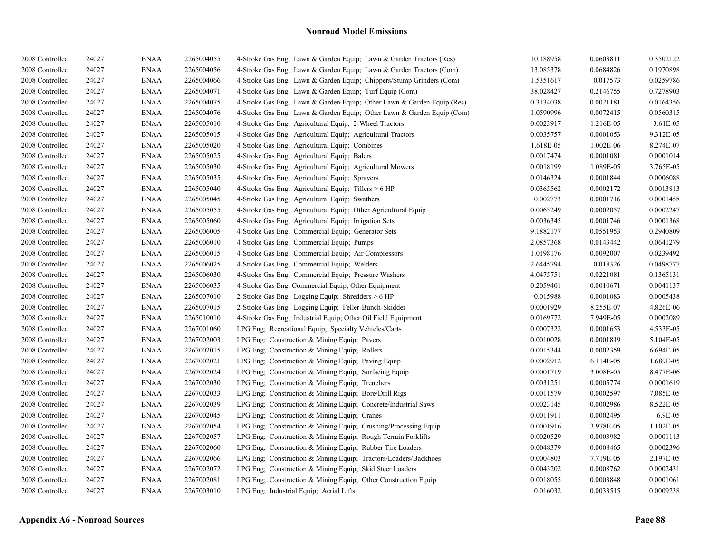| 2008 Controlled | 24027 | <b>BNAA</b> | 2265004055 | 4-Stroke Gas Eng; Lawn & Garden Equip; Lawn & Garden Tractors (Res)    | 10.188958 | 0.0603811 | 0.3502122 |
|-----------------|-------|-------------|------------|------------------------------------------------------------------------|-----------|-----------|-----------|
| 2008 Controlled | 24027 | <b>BNAA</b> | 2265004056 | 4-Stroke Gas Eng; Lawn & Garden Equip; Lawn & Garden Tractors (Com)    | 13.085378 | 0.0684826 | 0.1970898 |
| 2008 Controlled | 24027 | <b>BNAA</b> | 2265004066 | 4-Stroke Gas Eng; Lawn & Garden Equip; Chippers/Stump Grinders (Com)   | 1.5351617 | 0.017573  | 0.0259786 |
| 2008 Controlled | 24027 | <b>BNAA</b> | 2265004071 | 4-Stroke Gas Eng; Lawn & Garden Equip; Turf Equip (Com)                | 38.028427 | 0.2146755 | 0.7278903 |
| 2008 Controlled | 24027 | <b>BNAA</b> | 2265004075 | 4-Stroke Gas Eng; Lawn & Garden Equip; Other Lawn & Garden Equip (Res) | 0.3134038 | 0.0021181 | 0.0164356 |
| 2008 Controlled | 24027 | <b>BNAA</b> | 2265004076 | 4-Stroke Gas Eng; Lawn & Garden Equip; Other Lawn & Garden Equip (Com) | 1.0590996 | 0.0072415 | 0.0560315 |
| 2008 Controlled | 24027 | <b>BNAA</b> | 2265005010 | 4-Stroke Gas Eng; Agricultural Equip; 2-Wheel Tractors                 | 0.0023917 | 1.216E-05 | 3.61E-05  |
| 2008 Controlled | 24027 | <b>BNAA</b> | 2265005015 | 4-Stroke Gas Eng; Agricultural Equip; Agricultural Tractors            | 0.0035757 | 0.0001053 | 9.312E-05 |
| 2008 Controlled | 24027 | <b>BNAA</b> | 2265005020 | 4-Stroke Gas Eng; Agricultural Equip; Combines                         | 1.618E-05 | 1.002E-06 | 8.274E-07 |
| 2008 Controlled | 24027 | <b>BNAA</b> | 2265005025 | 4-Stroke Gas Eng; Agricultural Equip; Balers                           | 0.0017474 | 0.0001081 | 0.0001014 |
| 2008 Controlled | 24027 | <b>BNAA</b> | 2265005030 | 4-Stroke Gas Eng; Agricultural Equip; Agricultural Mowers              | 0.0018199 | 1.089E-05 | 3.765E-05 |
| 2008 Controlled | 24027 | <b>BNAA</b> | 2265005035 | 4-Stroke Gas Eng; Agricultural Equip; Sprayers                         | 0.0146324 | 0.0001844 | 0.0006088 |
| 2008 Controlled | 24027 | <b>BNAA</b> | 2265005040 | 4-Stroke Gas Eng; Agricultural Equip; Tillers > 6 HP                   | 0.0365562 | 0.0002172 | 0.0013813 |
| 2008 Controlled | 24027 | <b>BNAA</b> | 2265005045 | 4-Stroke Gas Eng; Agricultural Equip; Swathers                         | 0.002773  | 0.0001716 | 0.0001458 |
| 2008 Controlled | 24027 | <b>BNAA</b> | 2265005055 | 4-Stroke Gas Eng; Agricultural Equip; Other Agricultural Equip         | 0.0063249 | 0.0002057 | 0.0002247 |
| 2008 Controlled | 24027 | <b>BNAA</b> | 2265005060 | 4-Stroke Gas Eng; Agricultural Equip; Irrigation Sets                  | 0.0036345 | 0.0001746 | 0.0001368 |
| 2008 Controlled | 24027 | <b>BNAA</b> | 2265006005 | 4-Stroke Gas Eng; Commercial Equip; Generator Sets                     | 9.1882177 | 0.0551953 | 0.2940809 |
| 2008 Controlled | 24027 | <b>BNAA</b> | 2265006010 | 4-Stroke Gas Eng; Commercial Equip; Pumps                              | 2.0857368 | 0.0143442 | 0.0641279 |
| 2008 Controlled | 24027 | <b>BNAA</b> | 2265006015 | 4-Stroke Gas Eng; Commercial Equip; Air Compressors                    | 1.0198176 | 0.0092007 | 0.0239492 |
| 2008 Controlled | 24027 | <b>BNAA</b> | 2265006025 | 4-Stroke Gas Eng: Commercial Equip: Welders                            | 2.6445794 | 0.018326  | 0.0498777 |
| 2008 Controlled | 24027 | <b>BNAA</b> | 2265006030 | 4-Stroke Gas Eng; Commercial Equip; Pressure Washers                   | 4.0475751 | 0.0221081 | 0.1365131 |
| 2008 Controlled | 24027 | <b>BNAA</b> | 2265006035 | 4-Stroke Gas Eng; Commercial Equip; Other Equipment                    | 0.2059401 | 0.0010671 | 0.0041137 |
| 2008 Controlled | 24027 | <b>BNAA</b> | 2265007010 | 2-Stroke Gas Eng; Logging Equip; Shredders > 6 HP                      | 0.015988  | 0.0001083 | 0.0005438 |
| 2008 Controlled | 24027 | <b>BNAA</b> | 2265007015 | 2-Stroke Gas Eng; Logging Equip; Feller-Bunch-Skidder                  | 0.0001929 | 8.255E-07 | 4.826E-06 |
| 2008 Controlled | 24027 | <b>BNAA</b> | 2265010010 | 4-Stroke Gas Eng; Industrial Equip; Other Oil Field Equipment          | 0.0169772 | 7.949E-05 | 0.0002089 |
| 2008 Controlled | 24027 | <b>BNAA</b> | 2267001060 | LPG Eng; Recreational Equip; Specialty Vehicles/Carts                  | 0.0007322 | 0.0001653 | 4.533E-05 |
| 2008 Controlled | 24027 | <b>BNAA</b> | 2267002003 | LPG Eng; Construction & Mining Equip; Pavers                           | 0.0010028 | 0.0001819 | 5.104E-05 |
| 2008 Controlled | 24027 | <b>BNAA</b> | 2267002015 | LPG Eng; Construction & Mining Equip; Rollers                          | 0.0015344 | 0.0002359 | 6.694E-05 |
| 2008 Controlled | 24027 | <b>BNAA</b> | 2267002021 | LPG Eng; Construction & Mining Equip; Paving Equip                     | 0.0002912 | 6.114E-05 | 1.689E-05 |
| 2008 Controlled | 24027 | <b>BNAA</b> | 2267002024 | LPG Eng; Construction & Mining Equip; Surfacing Equip                  | 0.0001719 | 3.008E-05 | 8.477E-06 |
| 2008 Controlled | 24027 | <b>BNAA</b> | 2267002030 | LPG Eng; Construction $&$ Mining Equip; Trenchers                      | 0.0031251 | 0.0005774 | 0.0001619 |
| 2008 Controlled | 24027 | <b>BNAA</b> | 2267002033 | LPG Eng; Construction & Mining Equip; Bore/Drill Rigs                  | 0.0011579 | 0.0002597 | 7.085E-05 |
| 2008 Controlled | 24027 | <b>BNAA</b> | 2267002039 | LPG Eng; Construction & Mining Equip; Concrete/Industrial Saws         | 0.0023145 | 0.0002986 | 8.522E-05 |
| 2008 Controlled | 24027 | <b>BNAA</b> | 2267002045 | LPG Eng; Construction & Mining Equip; Cranes                           | 0.0011911 | 0.0002495 | 6.9E-05   |
| 2008 Controlled | 24027 | <b>BNAA</b> | 2267002054 | LPG Eng: Construction & Mining Equip: Crushing/Processing Equip        | 0.0001916 | 3.978E-05 | 1.102E-05 |
| 2008 Controlled | 24027 | <b>BNAA</b> | 2267002057 | LPG Eng; Construction & Mining Equip; Rough Terrain Forklifts          | 0.0020529 | 0.0003982 | 0.0001113 |
| 2008 Controlled | 24027 | <b>BNAA</b> | 2267002060 | LPG Eng; Construction & Mining Equip; Rubber Tire Loaders              | 0.0048379 | 0.0008465 | 0.0002396 |
| 2008 Controlled | 24027 | <b>BNAA</b> | 2267002066 | LPG Eng; Construction & Mining Equip; Tractors/Loaders/Backhoes        | 0.0004803 | 7.719E-05 | 2.197E-05 |
| 2008 Controlled | 24027 | <b>BNAA</b> | 2267002072 | LPG Eng: Construction & Mining Equip: Skid Steer Loaders               | 0.0043202 | 0.0008762 | 0.0002431 |
| 2008 Controlled | 24027 | <b>BNAA</b> | 2267002081 | LPG Eng; Construction & Mining Equip; Other Construction Equip         | 0.0018055 | 0.0003848 | 0.0001061 |
| 2008 Controlled | 24027 | <b>BNAA</b> | 2267003010 | LPG Eng; Industrial Equip; Aerial Lifts                                | 0.016032  | 0.0033515 | 0.0009238 |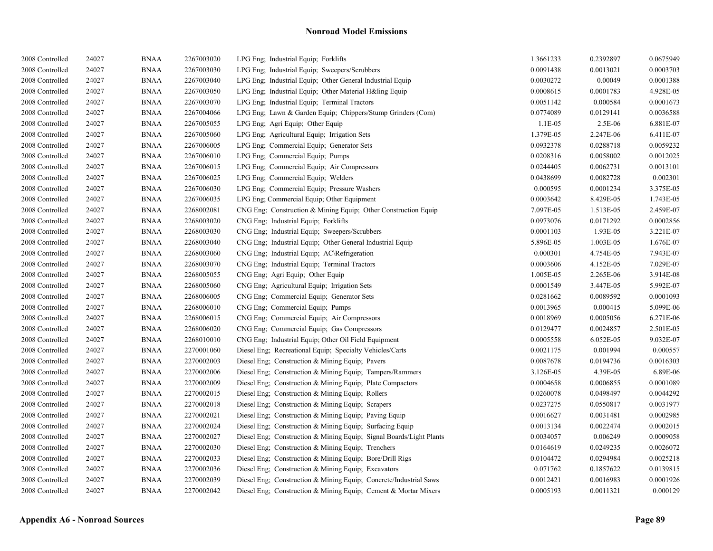| 2008 Controlled | 24027 | <b>BNAA</b> | 2267003020 | LPG Eng; Industrial Equip; Forklifts                                | 1.3661233 | 0.2392897 | 0.0675949 |
|-----------------|-------|-------------|------------|---------------------------------------------------------------------|-----------|-----------|-----------|
| 2008 Controlled | 24027 | <b>BNAA</b> | 2267003030 | LPG Eng; Industrial Equip; Sweepers/Scrubbers                       | 0.0091438 | 0.0013021 | 0.0003703 |
| 2008 Controlled | 24027 | <b>BNAA</b> | 2267003040 | LPG Eng: Industrial Equip: Other General Industrial Equip           | 0.0030272 | 0.00049   | 0.0001388 |
| 2008 Controlled | 24027 | <b>BNAA</b> | 2267003050 | LPG Eng; Industrial Equip; Other Material H&ling Equip              | 0.0008615 | 0.0001783 | 4.928E-05 |
| 2008 Controlled | 24027 | <b>BNAA</b> | 2267003070 | LPG Eng; Industrial Equip; Terminal Tractors                        | 0.0051142 | 0.000584  | 0.0001673 |
| 2008 Controlled | 24027 | <b>BNAA</b> | 2267004066 | LPG Eng; Lawn & Garden Equip; Chippers/Stump Grinders (Com)         | 0.0774089 | 0.0129141 | 0.0036588 |
| 2008 Controlled | 24027 | <b>BNAA</b> | 2267005055 | LPG Eng: Agri Equip: Other Equip                                    | $1.1E-05$ | 2.5E-06   | 6.881E-07 |
| 2008 Controlled | 24027 | <b>BNAA</b> | 2267005060 | LPG Eng; Agricultural Equip; Irrigation Sets                        | 1.379E-05 | 2.247E-06 | 6.411E-07 |
| 2008 Controlled | 24027 | <b>BNAA</b> | 2267006005 | LPG Eng; Commercial Equip; Generator Sets                           | 0.0932378 | 0.0288718 | 0.0059232 |
| 2008 Controlled | 24027 | <b>BNAA</b> | 2267006010 | LPG Eng; Commercial Equip; Pumps                                    | 0.0208316 | 0.0058002 | 0.0012025 |
| 2008 Controlled | 24027 | <b>BNAA</b> | 2267006015 | LPG Eng; Commercial Equip; Air Compressors                          | 0.0244405 | 0.0062731 | 0.0013101 |
| 2008 Controlled | 24027 | <b>BNAA</b> | 2267006025 | LPG Eng; Commercial Equip; Welders                                  | 0.0438699 | 0.0082728 | 0.002301  |
| 2008 Controlled | 24027 | <b>BNAA</b> | 2267006030 | LPG Eng; Commercial Equip; Pressure Washers                         | 0.000595  | 0.0001234 | 3.375E-05 |
| 2008 Controlled | 24027 | <b>BNAA</b> | 2267006035 | LPG Eng; Commercial Equip; Other Equipment                          | 0.0003642 | 8.429E-05 | 1.743E-05 |
| 2008 Controlled | 24027 | <b>BNAA</b> | 2268002081 | CNG Eng; Construction & Mining Equip; Other Construction Equip      | 7.097E-05 | 1.513E-05 | 2.459E-07 |
| 2008 Controlled | 24027 | <b>BNAA</b> | 2268003020 | CNG Eng: Industrial Equip: Forklifts                                | 0.0973076 | 0.0171292 | 0.0002856 |
| 2008 Controlled | 24027 | <b>BNAA</b> | 2268003030 | CNG Eng; Industrial Equip; Sweepers/Scrubbers                       | 0.0001103 | 1.93E-05  | 3.221E-07 |
| 2008 Controlled | 24027 | <b>BNAA</b> | 2268003040 | CNG Eng; Industrial Equip; Other General Industrial Equip           | 5.896E-05 | 1.003E-05 | 1.676E-07 |
| 2008 Controlled | 24027 | <b>BNAA</b> | 2268003060 | CNG Eng; Industrial Equip; AC\Refrigeration                         | 0.000301  | 4.754E-05 | 7.943E-07 |
| 2008 Controlled | 24027 | <b>BNAA</b> | 2268003070 | CNG Eng; Industrial Equip; Terminal Tractors                        | 0.0003606 | 4.152E-05 | 7.029E-07 |
| 2008 Controlled | 24027 | <b>BNAA</b> | 2268005055 | CNG Eng; Agri Equip; Other Equip                                    | 1.005E-05 | 2.265E-06 | 3.914E-08 |
| 2008 Controlled | 24027 | <b>BNAA</b> | 2268005060 | CNG Eng; Agricultural Equip; Irrigation Sets                        | 0.0001549 | 3.447E-05 | 5.992E-07 |
| 2008 Controlled | 24027 | <b>BNAA</b> | 2268006005 | CNG Eng; Commercial Equip; Generator Sets                           | 0.0281662 | 0.0089592 | 0.0001093 |
| 2008 Controlled | 24027 | <b>BNAA</b> | 2268006010 | CNG Eng; Commercial Equip; Pumps                                    | 0.0013965 | 0.000415  | 5.099E-06 |
| 2008 Controlled | 24027 | <b>BNAA</b> | 2268006015 | CNG Eng; Commercial Equip; Air Compressors                          | 0.0018969 | 0.0005056 | 6.271E-06 |
| 2008 Controlled | 24027 | <b>BNAA</b> | 2268006020 | CNG Eng; Commercial Equip; Gas Compressors                          | 0.0129477 | 0.0024857 | 2.501E-05 |
| 2008 Controlled | 24027 | <b>BNAA</b> | 2268010010 | CNG Eng; Industrial Equip; Other Oil Field Equipment                | 0.0005558 | 6.052E-05 | 9.032E-07 |
| 2008 Controlled | 24027 | <b>BNAA</b> | 2270001060 | Diesel Eng; Recreational Equip; Specialty Vehicles/Carts            | 0.0021175 | 0.001994  | 0.000557  |
| 2008 Controlled | 24027 | <b>BNAA</b> | 2270002003 | Diesel Eng; Construction & Mining Equip; Pavers                     | 0.0087678 | 0.0194736 | 0.0016303 |
| 2008 Controlled | 24027 | <b>BNAA</b> | 2270002006 | Diesel Eng; Construction & Mining Equip; Tampers/Rammers            | 3.126E-05 | 4.39E-05  | 6.89E-06  |
| 2008 Controlled | 24027 | <b>BNAA</b> | 2270002009 | Diesel Eng; Construction & Mining Equip; Plate Compactors           | 0.0004658 | 0.0006855 | 0.0001089 |
| 2008 Controlled | 24027 | <b>BNAA</b> | 2270002015 | Diesel Eng; Construction & Mining Equip; Rollers                    | 0.0260078 | 0.0498497 | 0.0044292 |
| 2008 Controlled | 24027 | <b>BNAA</b> | 2270002018 | Diesel Eng; Construction & Mining Equip; Scrapers                   | 0.0237275 | 0.0550817 | 0.0031977 |
| 2008 Controlled | 24027 | <b>BNAA</b> | 2270002021 | Diesel Eng; Construction & Mining Equip; Paving Equip               | 0.0016627 | 0.0031481 | 0.0002985 |
| 2008 Controlled | 24027 | <b>BNAA</b> | 2270002024 | Diesel Eng; Construction & Mining Equip; Surfacing Equip            | 0.0013134 | 0.0022474 | 0.0002015 |
| 2008 Controlled | 24027 | <b>BNAA</b> | 2270002027 | Diesel Eng; Construction & Mining Equip; Signal Boards/Light Plants | 0.0034057 | 0.006249  | 0.0009058 |
| 2008 Controlled | 24027 | <b>BNAA</b> | 2270002030 | Diesel Eng; Construction & Mining Equip; Trenchers                  | 0.0164619 | 0.0249235 | 0.0026072 |
| 2008 Controlled | 24027 | <b>BNAA</b> | 2270002033 | Diesel Eng; Construction & Mining Equip; Bore/Drill Rigs            | 0.0104472 | 0.0294984 | 0.0025218 |
| 2008 Controlled | 24027 | <b>BNAA</b> | 2270002036 | Diesel Eng; Construction & Mining Equip; Excavators                 | 0.071762  | 0.1857622 | 0.0139815 |
| 2008 Controlled | 24027 | <b>BNAA</b> | 2270002039 | Diesel Eng; Construction & Mining Equip; Concrete/Industrial Saws   | 0.0012421 | 0.0016983 | 0.0001926 |
| 2008 Controlled | 24027 | <b>BNAA</b> | 2270002042 | Diesel Eng; Construction & Mining Equip; Cement & Mortar Mixers     | 0.0005193 | 0.0011321 | 0.000129  |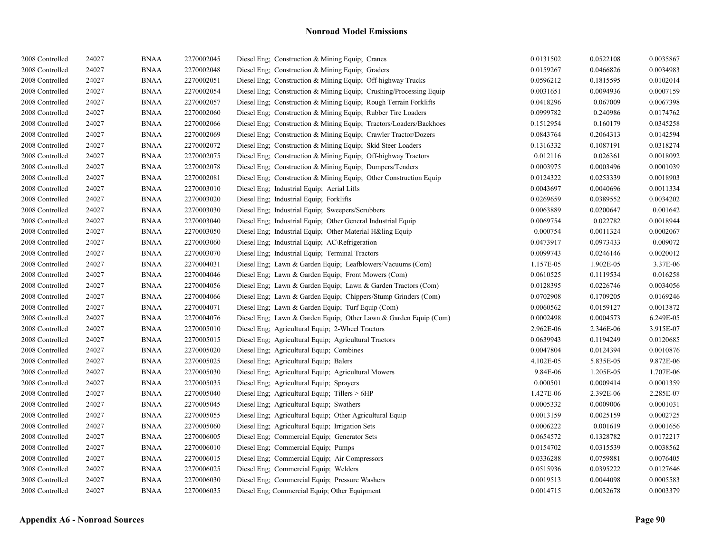| 2008 Controlled | 24027 | <b>BNAA</b> | 2270002045 | Diesel Eng; Construction & Mining Equip; Cranes                    | 0.0131502 | 0.0522108 | 0.0035867 |
|-----------------|-------|-------------|------------|--------------------------------------------------------------------|-----------|-----------|-----------|
| 2008 Controlled | 24027 | <b>BNAA</b> | 2270002048 | Diesel Eng: Construction & Mining Equip: Graders                   | 0.0159267 | 0.0466826 | 0.0034983 |
| 2008 Controlled | 24027 | <b>BNAA</b> | 2270002051 | Diesel Eng; Construction & Mining Equip; Off-highway Trucks        | 0.0596212 | 0.1815595 | 0.0102014 |
| 2008 Controlled | 24027 | <b>BNAA</b> | 2270002054 | Diesel Eng; Construction & Mining Equip; Crushing/Processing Equip | 0.0031651 | 0.0094936 | 0.0007159 |
| 2008 Controlled | 24027 | <b>BNAA</b> | 2270002057 | Diesel Eng; Construction & Mining Equip; Rough Terrain Forklifts   | 0.0418296 | 0.067009  | 0.0067398 |
| 2008 Controlled | 24027 | <b>BNAA</b> | 2270002060 | Diesel Eng: Construction & Mining Equip: Rubber Tire Loaders       | 0.0999782 | 0.240986  | 0.0174762 |
| 2008 Controlled | 24027 | <b>BNAA</b> | 2270002066 | Diesel Eng; Construction & Mining Equip; Tractors/Loaders/Backhoes | 0.1512954 | 0.160179  | 0.0345258 |
| 2008 Controlled | 24027 | <b>BNAA</b> | 2270002069 | Diesel Eng; Construction & Mining Equip; Crawler Tractor/Dozers    | 0.0843764 | 0.2064313 | 0.0142594 |
| 2008 Controlled | 24027 | <b>BNAA</b> | 2270002072 | Diesel Eng; Construction & Mining Equip; Skid Steer Loaders        | 0.1316332 | 0.1087191 | 0.0318274 |
| 2008 Controlled | 24027 | <b>BNAA</b> | 2270002075 | Diesel Eng. Construction & Mining Equip: Off-highway Tractors      | 0.012116  | 0.026361  | 0.0018092 |
| 2008 Controlled | 24027 | <b>BNAA</b> | 2270002078 | Diesel Eng; Construction & Mining Equip; Dumpers/Tenders           | 0.0003975 | 0.0003496 | 0.0001039 |
| 2008 Controlled | 24027 | <b>BNAA</b> | 2270002081 | Diesel Eng; Construction & Mining Equip; Other Construction Equip  | 0.0124322 | 0.0253339 | 0.0018903 |
| 2008 Controlled | 24027 | <b>BNAA</b> | 2270003010 | Diesel Eng; Industrial Equip; Aerial Lifts                         | 0.0043697 | 0.0040696 | 0.0011334 |
| 2008 Controlled | 24027 | <b>BNAA</b> | 2270003020 | Diesel Eng; Industrial Equip; Forklifts                            | 0.0269659 | 0.0389552 | 0.0034202 |
| 2008 Controlled | 24027 | <b>BNAA</b> | 2270003030 | Diesel Eng; Industrial Equip; Sweepers/Scrubbers                   | 0.0063889 | 0.0200647 | 0.001642  |
| 2008 Controlled | 24027 | <b>BNAA</b> | 2270003040 | Diesel Eng; Industrial Equip; Other General Industrial Equip       | 0.0069754 | 0.022782  | 0.0018944 |
| 2008 Controlled | 24027 | <b>BNAA</b> | 2270003050 | Diesel Eng; Industrial Equip; Other Material H&ling Equip          | 0.000754  | 0.0011324 | 0.0002067 |
| 2008 Controlled | 24027 | <b>BNAA</b> | 2270003060 | Diesel Eng; Industrial Equip; AC\Refrigeration                     | 0.0473917 | 0.0973433 | 0.009072  |
| 2008 Controlled | 24027 | <b>BNAA</b> | 2270003070 | Diesel Eng; Industrial Equip; Terminal Tractors                    | 0.0099743 | 0.0246146 | 0.0020012 |
| 2008 Controlled | 24027 | <b>BNAA</b> | 2270004031 | Diesel Eng; Lawn & Garden Equip; Leafblowers/Vacuums (Com)         | 1.157E-05 | 1.902E-05 | 3.37E-06  |
| 2008 Controlled | 24027 | <b>BNAA</b> | 2270004046 | Diesel Eng; Lawn & Garden Equip; Front Mowers (Com)                | 0.0610525 | 0.1119534 | 0.016258  |
| 2008 Controlled | 24027 | <b>BNAA</b> | 2270004056 | Diesel Eng; Lawn & Garden Equip; Lawn & Garden Tractors (Com)      | 0.0128395 | 0.0226746 | 0.0034056 |
| 2008 Controlled | 24027 | <b>BNAA</b> | 2270004066 | Diesel Eng; Lawn & Garden Equip; Chippers/Stump Grinders (Com)     | 0.0702908 | 0.1709205 | 0.0169246 |
| 2008 Controlled | 24027 | <b>BNAA</b> | 2270004071 | Diesel Eng; Lawn & Garden Equip; Turf Equip (Com)                  | 0.0060562 | 0.0159127 | 0.0013872 |
| 2008 Controlled | 24027 | <b>BNAA</b> | 2270004076 | Diesel Eng; Lawn & Garden Equip; Other Lawn & Garden Equip (Com)   | 0.0002498 | 0.0004573 | 6.249E-05 |
| 2008 Controlled | 24027 | <b>BNAA</b> | 2270005010 | Diesel Eng; Agricultural Equip; 2-Wheel Tractors                   | 2.962E-06 | 2.346E-06 | 3.915E-07 |
| 2008 Controlled | 24027 | <b>BNAA</b> | 2270005015 | Diesel Eng; Agricultural Equip; Agricultural Tractors              | 0.0639943 | 0.1194249 | 0.0120685 |
| 2008 Controlled | 24027 | <b>BNAA</b> | 2270005020 | Diesel Eng; Agricultural Equip; Combines                           | 0.0047804 | 0.0124394 | 0.0010876 |
| 2008 Controlled | 24027 | <b>BNAA</b> | 2270005025 | Diesel Eng; Agricultural Equip; Balers                             | 4.102E-05 | 5.835E-05 | 9.872E-06 |
| 2008 Controlled | 24027 | <b>BNAA</b> | 2270005030 | Diesel Eng; Agricultural Equip; Agricultural Mowers                | 9.84E-06  | 1.205E-05 | 1.707E-06 |
| 2008 Controlled | 24027 | <b>BNAA</b> | 2270005035 | Diesel Eng; Agricultural Equip; Sprayers                           | 0.000501  | 0.0009414 | 0.0001359 |
| 2008 Controlled | 24027 | <b>BNAA</b> | 2270005040 | Diesel Eng; Agricultural Equip; Tillers > 6HP                      | 1.427E-06 | 2.392E-06 | 2.285E-07 |
| 2008 Controlled | 24027 | <b>BNAA</b> | 2270005045 | Diesel Eng; Agricultural Equip; Swathers                           | 0.0005332 | 0.0009006 | 0.0001031 |
| 2008 Controlled | 24027 | <b>BNAA</b> | 2270005055 | Diesel Eng; Agricultural Equip; Other Agricultural Equip           | 0.0013159 | 0.0025159 | 0.0002725 |
| 2008 Controlled | 24027 | <b>BNAA</b> | 2270005060 | Diesel Eng; Agricultural Equip; Irrigation Sets                    | 0.0006222 | 0.001619  | 0.0001656 |
| 2008 Controlled | 24027 | <b>BNAA</b> | 2270006005 | Diesel Eng; Commercial Equip; Generator Sets                       | 0.0654572 | 0.1328782 | 0.0172217 |
| 2008 Controlled | 24027 | <b>BNAA</b> | 2270006010 | Diesel Eng; Commercial Equip; Pumps                                | 0.0154702 | 0.0315539 | 0.0038562 |
| 2008 Controlled | 24027 | <b>BNAA</b> | 2270006015 | Diesel Eng; Commercial Equip; Air Compressors                      | 0.0336288 | 0.0759881 | 0.0076405 |
| 2008 Controlled | 24027 | <b>BNAA</b> | 2270006025 | Diesel Eng; Commercial Equip; Welders                              | 0.0515936 | 0.0395222 | 0.0127646 |
| 2008 Controlled | 24027 | <b>BNAA</b> | 2270006030 | Diesel Eng; Commercial Equip; Pressure Washers                     | 0.0019513 | 0.0044098 | 0.0005583 |
| 2008 Controlled | 24027 | <b>BNAA</b> | 2270006035 | Diesel Eng; Commercial Equip; Other Equipment                      | 0.0014715 | 0.0032678 | 0.0003379 |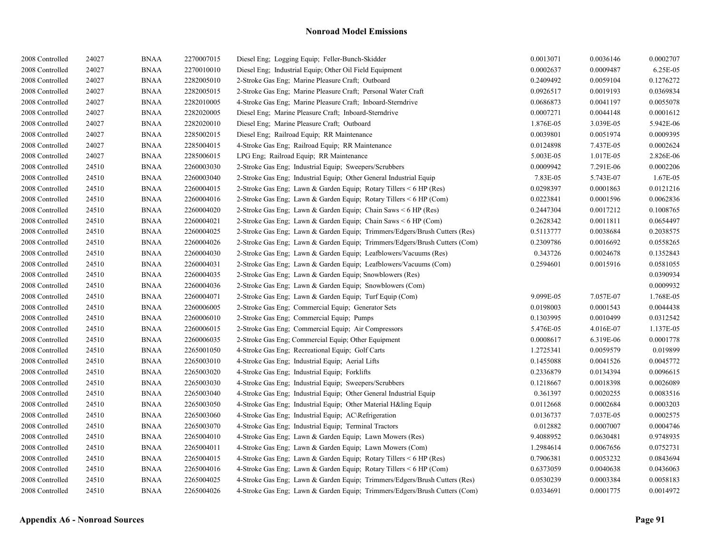| 2008 Controlled | 24027 | <b>BNAA</b> | 2270007015 | Diesel Eng; Logging Equip; Feller-Bunch-Skidder                            | 0.0013071 | 0.0036146 | 0.0002707 |
|-----------------|-------|-------------|------------|----------------------------------------------------------------------------|-----------|-----------|-----------|
| 2008 Controlled | 24027 | <b>BNAA</b> | 2270010010 | Diesel Eng; Industrial Equip; Other Oil Field Equipment                    | 0.0002637 | 0.0009487 | 6.25E-05  |
| 2008 Controlled | 24027 | <b>BNAA</b> | 2282005010 | 2-Stroke Gas Eng; Marine Pleasure Craft; Outboard                          | 0.2409492 | 0.0059104 | 0.1276272 |
| 2008 Controlled | 24027 | <b>BNAA</b> | 2282005015 | 2-Stroke Gas Eng: Marine Pleasure Craft: Personal Water Craft              | 0.0926517 | 0.0019193 | 0.0369834 |
| 2008 Controlled | 24027 | <b>BNAA</b> | 2282010005 | 4-Stroke Gas Eng; Marine Pleasure Craft; Inboard-Sterndrive                | 0.0686873 | 0.0041197 | 0.0055078 |
| 2008 Controlled | 24027 | <b>BNAA</b> | 2282020005 | Diesel Eng; Marine Pleasure Craft; Inboard-Sterndrive                      | 0.0007271 | 0.0044148 | 0.0001612 |
| 2008 Controlled | 24027 | <b>BNAA</b> | 2282020010 | Diesel Eng; Marine Pleasure Craft; Outboard                                | 1.876E-05 | 3.039E-05 | 5.942E-06 |
| 2008 Controlled | 24027 | <b>BNAA</b> | 2285002015 | Diesel Eng; Railroad Equip; RR Maintenance                                 | 0.0039801 | 0.0051974 | 0.0009395 |
| 2008 Controlled | 24027 | <b>BNAA</b> | 2285004015 | 4-Stroke Gas Eng; Railroad Equip; RR Maintenance                           | 0.0124898 | 7.437E-05 | 0.0002624 |
| 2008 Controlled | 24027 | <b>BNAA</b> | 2285006015 | LPG Eng; Railroad Equip; RR Maintenance                                    | 5.003E-05 | 1.017E-05 | 2.826E-06 |
| 2008 Controlled | 24510 | <b>BNAA</b> | 2260003030 | 2-Stroke Gas Eng; Industrial Equip; Sweepers/Scrubbers                     | 0.0009942 | 7.291E-06 | 0.0002206 |
| 2008 Controlled | 24510 | <b>BNAA</b> | 2260003040 | 2-Stroke Gas Eng; Industrial Equip; Other General Industrial Equip         | 7.83E-05  | 5.743E-07 | 1.67E-05  |
| 2008 Controlled | 24510 | <b>BNAA</b> | 2260004015 | 2-Stroke Gas Eng; Lawn & Garden Equip; Rotary Tillers $\leq 6$ HP (Res)    | 0.0298397 | 0.0001863 | 0.0121216 |
| 2008 Controlled | 24510 | <b>BNAA</b> | 2260004016 | 2-Stroke Gas Eng; Lawn & Garden Equip; Rotary Tillers < 6 HP (Com)         | 0.0223841 | 0.0001596 | 0.0062836 |
| 2008 Controlled | 24510 | <b>BNAA</b> | 2260004020 | 2-Stroke Gas Eng; Lawn & Garden Equip; Chain Saws < 6 HP (Res)             | 0.2447304 | 0.0017212 | 0.1008765 |
| 2008 Controlled | 24510 | <b>BNAA</b> | 2260004021 | 2-Stroke Gas Eng; Lawn & Garden Equip; Chain Saws < 6 HP (Com)             | 0.2628342 | 0.0011811 | 0.0654497 |
| 2008 Controlled | 24510 | <b>BNAA</b> | 2260004025 | 2-Stroke Gas Eng; Lawn & Garden Equip; Trimmers/Edgers/Brush Cutters (Res) | 0.5113777 | 0.0038684 | 0.2038575 |
| 2008 Controlled | 24510 | <b>BNAA</b> | 2260004026 | 2-Stroke Gas Eng; Lawn & Garden Equip; Trimmers/Edgers/Brush Cutters (Com) | 0.2309786 | 0.0016692 | 0.0558265 |
| 2008 Controlled | 24510 | <b>BNAA</b> | 2260004030 | 2-Stroke Gas Eng; Lawn & Garden Equip; Leafblowers/Vacuums (Res)           | 0.343726  | 0.0024678 | 0.1352843 |
| 2008 Controlled | 24510 | <b>BNAA</b> | 2260004031 | 2-Stroke Gas Eng; Lawn & Garden Equip; Leafblowers/Vacuums (Com)           | 0.2594601 | 0.0015916 | 0.0581055 |
| 2008 Controlled | 24510 | <b>BNAA</b> | 2260004035 | 2-Stroke Gas Eng; Lawn & Garden Equip; Snowblowers (Res)                   |           |           | 0.0390934 |
| 2008 Controlled | 24510 | <b>BNAA</b> | 2260004036 | 2-Stroke Gas Eng; Lawn & Garden Equip; Snowblowers (Com)                   |           |           | 0.0009932 |
| 2008 Controlled | 24510 | <b>BNAA</b> | 2260004071 | 2-Stroke Gas Eng; Lawn & Garden Equip; Turf Equip (Com)                    | 9.099E-05 | 7.057E-07 | 1.768E-05 |
| 2008 Controlled | 24510 | <b>BNAA</b> | 2260006005 | 2-Stroke Gas Eng; Commercial Equip; Generator Sets                         | 0.0198003 | 0.0001543 | 0.0044438 |
| 2008 Controlled | 24510 | <b>BNAA</b> | 2260006010 | 2-Stroke Gas Eng; Commercial Equip; Pumps                                  | 0.1303995 | 0.0010499 | 0.0312542 |
| 2008 Controlled | 24510 | <b>BNAA</b> | 2260006015 | 2-Stroke Gas Eng; Commercial Equip; Air Compressors                        | 5.476E-05 | 4.016E-07 | 1.137E-05 |
| 2008 Controlled | 24510 | <b>BNAA</b> | 2260006035 | 2-Stroke Gas Eng; Commercial Equip; Other Equipment                        | 0.0008617 | 6.319E-06 | 0.0001778 |
| 2008 Controlled | 24510 | <b>BNAA</b> | 2265001050 | 4-Stroke Gas Eng; Recreational Equip; Golf Carts                           | 1.2725341 | 0.0059579 | 0.019899  |
| 2008 Controlled | 24510 | <b>BNAA</b> | 2265003010 | 4-Stroke Gas Eng; Industrial Equip; Aerial Lifts                           | 0.1455088 | 0.0041526 | 0.0045772 |
| 2008 Controlled | 24510 | <b>BNAA</b> | 2265003020 | 4-Stroke Gas Eng; Industrial Equip; Forklifts                              | 0.2336879 | 0.0134394 | 0.0096615 |
| 2008 Controlled | 24510 | <b>BNAA</b> | 2265003030 | 4-Stroke Gas Eng; Industrial Equip; Sweepers/Scrubbers                     | 0.1218667 | 0.0018398 | 0.0026089 |
| 2008 Controlled | 24510 | <b>BNAA</b> | 2265003040 | 4-Stroke Gas Eng; Industrial Equip; Other General Industrial Equip         | 0.361397  | 0.0020255 | 0.0083516 |
| 2008 Controlled | 24510 | <b>BNAA</b> | 2265003050 | 4-Stroke Gas Eng; Industrial Equip; Other Material H&ling Equip            | 0.0112668 | 0.0002684 | 0.0003203 |
| 2008 Controlled | 24510 | <b>BNAA</b> | 2265003060 | 4-Stroke Gas Eng; Industrial Equip; AC\Refrigeration                       | 0.0136737 | 7.037E-05 | 0.0002575 |
| 2008 Controlled | 24510 | <b>BNAA</b> | 2265003070 | 4-Stroke Gas Eng; Industrial Equip; Terminal Tractors                      | 0.012882  | 0.0007007 | 0.0004746 |
| 2008 Controlled | 24510 | <b>BNAA</b> | 2265004010 | 4-Stroke Gas Eng; Lawn & Garden Equip; Lawn Mowers (Res)                   | 9.4088952 | 0.0630481 | 0.9748935 |
| 2008 Controlled | 24510 | <b>BNAA</b> | 2265004011 | 4-Stroke Gas Eng; Lawn & Garden Equip; Lawn Mowers (Com)                   | 1.2984614 | 0.0067656 | 0.0752731 |
| 2008 Controlled | 24510 | <b>BNAA</b> | 2265004015 | 4-Stroke Gas Eng; Lawn & Garden Equip; Rotary Tillers < 6 HP (Res)         | 0.7906381 | 0.0053232 | 0.0843694 |
| 2008 Controlled | 24510 | <b>BNAA</b> | 2265004016 | 4-Stroke Gas Eng; Lawn & Garden Equip; Rotary Tillers $\leq 6$ HP (Com)    | 0.6373059 | 0.0040638 | 0.0436063 |
| 2008 Controlled | 24510 | <b>BNAA</b> | 2265004025 | 4-Stroke Gas Eng; Lawn & Garden Equip; Trimmers/Edgers/Brush Cutters (Res) | 0.0530239 | 0.0003384 | 0.0058183 |
| 2008 Controlled | 24510 | <b>BNAA</b> | 2265004026 | 4-Stroke Gas Eng; Lawn & Garden Equip; Trimmers/Edgers/Brush Cutters (Com) | 0.0334691 | 0.0001775 | 0.0014972 |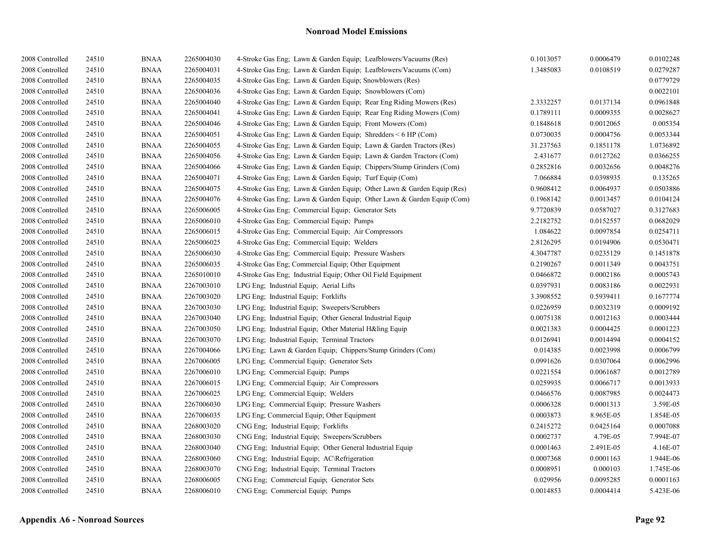| 2008 Controlled | 24510 | <b>BNAA</b> | 2265004030 | 4-Stroke Gas Eng; Lawn & Garden Equip; Leafblowers/Vacuums (Res)       | 0.1013057 | 0.0006479 | 0.0102248 |
|-----------------|-------|-------------|------------|------------------------------------------------------------------------|-----------|-----------|-----------|
| 2008 Controlled | 24510 | <b>BNAA</b> | 2265004031 | 4-Stroke Gas Eng; Lawn & Garden Equip; Leafblowers/Vacuums (Com)       | 1.3485083 | 0.0108519 | 0.0279287 |
| 2008 Controlled | 24510 | <b>BNAA</b> | 2265004035 | 4-Stroke Gas Eng: Lawn & Garden Equip: Snowblowers (Res)               |           |           | 0.0779729 |
| 2008 Controlled | 24510 | <b>BNAA</b> | 2265004036 | 4-Stroke Gas Eng; Lawn & Garden Equip; Snowblowers (Com)               |           |           | 0.0022101 |
| 2008 Controlled | 24510 | <b>BNAA</b> | 2265004040 | 4-Stroke Gas Eng; Lawn & Garden Equip; Rear Eng Riding Mowers (Res)    | 2.3332257 | 0.0137134 | 0.0961848 |
| 2008 Controlled | 24510 | <b>BNAA</b> | 2265004041 | 4-Stroke Gas Eng; Lawn & Garden Equip; Rear Eng Riding Mowers (Com)    | 0.1789111 | 0.0009355 | 0.0028627 |
| 2008 Controlled | 24510 | <b>BNAA</b> | 2265004046 | 4-Stroke Gas Eng; Lawn & Garden Equip; Front Mowers (Com)              | 0.1848618 | 0.0012065 | 0.005354  |
| 2008 Controlled | 24510 | <b>BNAA</b> | 2265004051 | 4-Stroke Gas Eng; Lawn & Garden Equip; Shredders $\leq 6$ HP (Com)     | 0.0730035 | 0.0004756 | 0.0053344 |
| 2008 Controlled | 24510 | <b>BNAA</b> | 2265004055 | 4-Stroke Gas Eng; Lawn & Garden Equip; Lawn & Garden Tractors (Res)    | 31.237563 | 0.1851178 | 1.0736892 |
| 2008 Controlled | 24510 | <b>BNAA</b> | 2265004056 | 4-Stroke Gas Eng; Lawn & Garden Equip; Lawn & Garden Tractors (Com)    | 2.431677  | 0.0127262 | 0.0366255 |
| 2008 Controlled | 24510 | <b>BNAA</b> | 2265004066 | 4-Stroke Gas Eng; Lawn & Garden Equip; Chippers/Stump Grinders (Com)   | 0.2852816 | 0.0032656 | 0.0048276 |
| 2008 Controlled | 24510 | <b>BNAA</b> | 2265004071 | 4-Stroke Gas Eng; Lawn & Garden Equip; Turf Equip (Com)                | 7.066884  | 0.0398935 | 0.135265  |
| 2008 Controlled | 24510 | <b>BNAA</b> | 2265004075 | 4-Stroke Gas Eng; Lawn & Garden Equip; Other Lawn & Garden Equip (Res) | 0.9608412 | 0.0064937 | 0.0503886 |
| 2008 Controlled | 24510 | <b>BNAA</b> | 2265004076 | 4-Stroke Gas Eng; Lawn & Garden Equip; Other Lawn & Garden Equip (Com) | 0.1968142 | 0.0013457 | 0.0104124 |
| 2008 Controlled | 24510 | <b>BNAA</b> | 2265006005 | 4-Stroke Gas Eng; Commercial Equip; Generator Sets                     | 9.7720839 | 0.0587027 | 0.3127683 |
| 2008 Controlled | 24510 | <b>BNAA</b> | 2265006010 | 4-Stroke Gas Eng; Commercial Equip; Pumps                              | 2.2182752 | 0.0152557 | 0.0682029 |
| 2008 Controlled | 24510 | <b>BNAA</b> | 2265006015 | 4-Stroke Gas Eng; Commercial Equip; Air Compressors                    | 1.084622  | 0.0097854 | 0.0254711 |
| 2008 Controlled | 24510 | <b>BNAA</b> | 2265006025 | 4-Stroke Gas Eng; Commercial Equip; Welders                            | 2.8126295 | 0.0194906 | 0.0530471 |
| 2008 Controlled | 24510 | <b>BNAA</b> | 2265006030 | 4-Stroke Gas Eng; Commercial Equip; Pressure Washers                   | 4.3047787 | 0.0235129 | 0.1451878 |
| 2008 Controlled | 24510 | <b>BNAA</b> | 2265006035 | 4-Stroke Gas Eng; Commercial Equip; Other Equipment                    | 0.2190267 | 0.0011349 | 0.0043751 |
| 2008 Controlled | 24510 | <b>BNAA</b> | 2265010010 | 4-Stroke Gas Eng; Industrial Equip; Other Oil Field Equipment          | 0.0466872 | 0.0002186 | 0.0005743 |
| 2008 Controlled | 24510 | <b>BNAA</b> | 2267003010 | LPG Eng; Industrial Equip; Aerial Lifts                                | 0.0397931 | 0.0083186 | 0.0022931 |
| 2008 Controlled | 24510 | <b>BNAA</b> | 2267003020 | LPG Eng; Industrial Equip; Forklifts                                   | 3.3908552 | 0.5939411 | 0.1677774 |
| 2008 Controlled | 24510 | <b>BNAA</b> | 2267003030 | LPG Eng; Industrial Equip; Sweepers/Scrubbers                          | 0.0226959 | 0.0032319 | 0.0009192 |
| 2008 Controlled | 24510 | <b>BNAA</b> | 2267003040 | LPG Eng; Industrial Equip; Other General Industrial Equip              | 0.0075138 | 0.0012163 | 0.0003444 |
| 2008 Controlled | 24510 | <b>BNAA</b> | 2267003050 | LPG Eng; Industrial Equip; Other Material H&ling Equip                 | 0.0021383 | 0.0004425 | 0.0001223 |
| 2008 Controlled | 24510 | <b>BNAA</b> | 2267003070 | LPG Eng; Industrial Equip; Terminal Tractors                           | 0.0126941 | 0.0014494 | 0.0004152 |
| 2008 Controlled | 24510 | <b>BNAA</b> | 2267004066 | LPG Eng; Lawn & Garden Equip; Chippers/Stump Grinders (Com)            | 0.014385  | 0.0023998 | 0.0006799 |
| 2008 Controlled | 24510 | <b>BNAA</b> | 2267006005 | LPG Eng: Commercial Equip: Generator Sets                              | 0.0991626 | 0.0307064 | 0.0062996 |
| 2008 Controlled | 24510 | <b>BNAA</b> | 2267006010 | LPG Eng; Commercial Equip; Pumps                                       | 0.0221554 | 0.0061687 | 0.0012789 |
| 2008 Controlled | 24510 | <b>BNAA</b> | 2267006015 | LPG Eng; Commercial Equip; Air Compressors                             | 0.0259935 | 0.0066717 | 0.0013933 |
| 2008 Controlled | 24510 | <b>BNAA</b> | 2267006025 | LPG Eng; Commercial Equip; Welders                                     | 0.0466576 | 0.0087985 | 0.0024473 |
| 2008 Controlled | 24510 | <b>BNAA</b> | 2267006030 | LPG Eng; Commercial Equip; Pressure Washers                            | 0.0006328 | 0.0001313 | 3.59E-05  |
| 2008 Controlled | 24510 | <b>BNAA</b> | 2267006035 | LPG Eng; Commercial Equip; Other Equipment                             | 0.0003873 | 8.965E-05 | 1.854E-05 |
| 2008 Controlled | 24510 | <b>BNAA</b> | 2268003020 | CNG Eng; Industrial Equip; Forklifts                                   | 0.2415272 | 0.0425164 | 0.0007088 |
| 2008 Controlled | 24510 | <b>BNAA</b> | 2268003030 | CNG Eng; Industrial Equip; Sweepers/Scrubbers                          | 0.0002737 | 4.79E-05  | 7.994E-07 |
| 2008 Controlled | 24510 | <b>BNAA</b> | 2268003040 | CNG Eng; Industrial Equip; Other General Industrial Equip              | 0.0001463 | 2.491E-05 | 4.16E-07  |
| 2008 Controlled | 24510 | <b>BNAA</b> | 2268003060 | CNG Eng; Industrial Equip; AC\Refrigeration                            | 0.0007368 | 0.0001163 | 1.944E-06 |
| 2008 Controlled | 24510 | <b>BNAA</b> | 2268003070 | CNG Eng; Industrial Equip; Terminal Tractors                           | 0.0008951 | 0.000103  | 1.745E-06 |
| 2008 Controlled | 24510 | <b>BNAA</b> | 2268006005 | CNG Eng; Commercial Equip; Generator Sets                              | 0.029956  | 0.0095285 | 0.0001163 |
| 2008 Controlled | 24510 | <b>BNAA</b> | 2268006010 | CNG Eng; Commercial Equip; Pumps                                       | 0.0014853 | 0.0004414 | 5.423E-06 |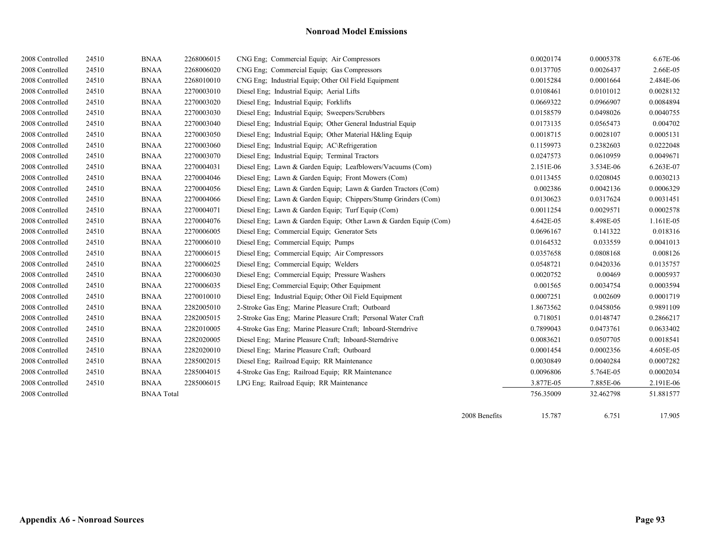|                 |       |                   |            |                                                                  | 2008 Benefits | 15.787    | 6.751     | 17.905    |
|-----------------|-------|-------------------|------------|------------------------------------------------------------------|---------------|-----------|-----------|-----------|
| 2008 Controlled |       | <b>BNAA</b> Total |            |                                                                  |               | 756.35009 | 32.462798 | 51.881577 |
| 2008 Controlled | 24510 | <b>BNAA</b>       | 2285006015 | LPG Eng; Railroad Equip; RR Maintenance                          |               | 3.877E-05 | 7.885E-06 | 2.191E-06 |
| 2008 Controlled | 24510 | <b>BNAA</b>       | 2285004015 | 4-Stroke Gas Eng; Railroad Equip; RR Maintenance                 |               | 0.0096806 | 5.764E-05 | 0.0002034 |
| 2008 Controlled | 24510 | <b>BNAA</b>       | 2285002015 | Diesel Eng; Railroad Equip; RR Maintenance                       |               | 0.0030849 | 0.0040284 | 0.0007282 |
| 2008 Controlled | 24510 | <b>BNAA</b>       | 2282020010 | Diesel Eng; Marine Pleasure Craft; Outboard                      |               | 0.0001454 | 0.0002356 | 4.605E-05 |
| 2008 Controlled | 24510 | <b>BNAA</b>       | 2282020005 | Diesel Eng; Marine Pleasure Craft; Inboard-Sterndrive            |               | 0.0083621 | 0.0507705 | 0.0018541 |
| 2008 Controlled | 24510 | <b>BNAA</b>       | 2282010005 | 4-Stroke Gas Eng; Marine Pleasure Craft; Inboard-Sterndrive      |               | 0.7899043 | 0.0473761 | 0.0633402 |
| 2008 Controlled | 24510 | <b>BNAA</b>       | 2282005015 | 2-Stroke Gas Eng; Marine Pleasure Craft; Personal Water Craft    |               | 0.718051  | 0.0148747 | 0.2866217 |
| 2008 Controlled | 24510 | <b>BNAA</b>       | 2282005010 | 2-Stroke Gas Eng; Marine Pleasure Craft; Outboard                |               | 1.8673562 | 0.0458056 | 0.9891109 |
| 2008 Controlled | 24510 | <b>BNAA</b>       | 2270010010 | Diesel Eng; Industrial Equip; Other Oil Field Equipment          |               | 0.0007251 | 0.002609  | 0.0001719 |
| 2008 Controlled | 24510 | <b>BNAA</b>       | 2270006035 | Diesel Eng; Commercial Equip; Other Equipment                    |               | 0.001565  | 0.0034754 | 0.0003594 |
| 2008 Controlled | 24510 | <b>BNAA</b>       | 2270006030 | Diesel Eng; Commercial Equip; Pressure Washers                   |               | 0.0020752 | 0.00469   | 0.0005937 |
| 2008 Controlled | 24510 | <b>BNAA</b>       | 2270006025 | Diesel Eng; Commercial Equip; Welders                            |               | 0.0548721 | 0.0420336 | 0.0135757 |
| 2008 Controlled | 24510 | <b>BNAA</b>       | 2270006015 | Diesel Eng; Commercial Equip; Air Compressors                    |               | 0.0357658 | 0.0808168 | 0.008126  |
| 2008 Controlled | 24510 | <b>BNAA</b>       | 2270006010 | Diesel Eng; Commercial Equip; Pumps                              |               | 0.0164532 | 0.033559  | 0.0041013 |
| 2008 Controlled | 24510 | <b>BNAA</b>       | 2270006005 | Diesel Eng; Commercial Equip; Generator Sets                     |               | 0.0696167 | 0.141322  | 0.018316  |
| 2008 Controlled | 24510 | <b>BNAA</b>       | 2270004076 | Diesel Eng; Lawn & Garden Equip; Other Lawn & Garden Equip (Com) |               | 4.642E-05 | 8.498E-05 | 1.161E-05 |
| 2008 Controlled | 24510 | <b>BNAA</b>       | 2270004071 | Diesel Eng; Lawn & Garden Equip; Turf Equip (Com)                |               | 0.0011254 | 0.0029571 | 0.0002578 |
| 2008 Controlled | 24510 | <b>BNAA</b>       | 2270004066 | Diesel Eng; Lawn & Garden Equip; Chippers/Stump Grinders (Com)   |               | 0.0130623 | 0.0317624 | 0.0031451 |
| 2008 Controlled | 24510 | <b>BNAA</b>       | 2270004056 | Diesel Eng; Lawn & Garden Equip; Lawn & Garden Tractors (Com)    |               | 0.002386  | 0.0042136 | 0.0006329 |
| 2008 Controlled | 24510 | <b>BNAA</b>       | 2270004046 | Diesel Eng; Lawn & Garden Equip; Front Mowers (Com)              |               | 0.0113455 | 0.0208045 | 0.0030213 |
| 2008 Controlled | 24510 | <b>BNAA</b>       | 2270004031 | Diesel Eng; Lawn & Garden Equip; Leafblowers/Vacuums (Com)       |               | 2.151E-06 | 3.534E-06 | 6.263E-07 |
| 2008 Controlled | 24510 | <b>BNAA</b>       | 2270003070 | Diesel Eng; Industrial Equip; Terminal Tractors                  |               | 0.0247573 | 0.0610959 | 0.0049671 |
| 2008 Controlled | 24510 | <b>BNAA</b>       | 2270003060 | Diesel Eng; Industrial Equip; AC\Refrigeration                   |               | 0.1159973 | 0.2382603 | 0.0222048 |
| 2008 Controlled | 24510 | <b>BNAA</b>       | 2270003050 | Diesel Eng; Industrial Equip; Other Material H&ling Equip        |               | 0.0018715 | 0.0028107 | 0.0005131 |
| 2008 Controlled | 24510 | <b>BNAA</b>       | 2270003040 | Diesel Eng; Industrial Equip; Other General Industrial Equip     |               | 0.0173135 | 0.0565473 | 0.004702  |
| 2008 Controlled | 24510 | <b>BNAA</b>       | 2270003030 | Diesel Eng; Industrial Equip; Sweepers/Scrubbers                 |               | 0.0158579 | 0.0498026 | 0.0040755 |
| 2008 Controlled | 24510 | <b>BNAA</b>       | 2270003020 | Diesel Eng; Industrial Equip; Forklifts                          |               | 0.0669322 | 0.0966907 | 0.0084894 |
| 2008 Controlled | 24510 | <b>BNAA</b>       | 2270003010 | Diesel Eng; Industrial Equip; Aerial Lifts                       |               | 0.0108461 | 0.0101012 | 0.0028132 |
| 2008 Controlled | 24510 | <b>BNAA</b>       | 2268010010 | CNG Eng; Industrial Equip; Other Oil Field Equipment             |               | 0.0015284 | 0.0001664 | 2.484E-06 |
| 2008 Controlled | 24510 | <b>BNAA</b>       | 2268006020 | CNG Eng; Commercial Equip; Gas Compressors                       |               | 0.0137705 | 0.0026437 | 2.66E-05  |
| 2008 Controlled | 24510 | <b>BNAA</b>       | 2268006015 | CNG Eng; Commercial Equip; Air Compressors                       |               | 0.0020174 | 0.0005378 | 6.67E-06  |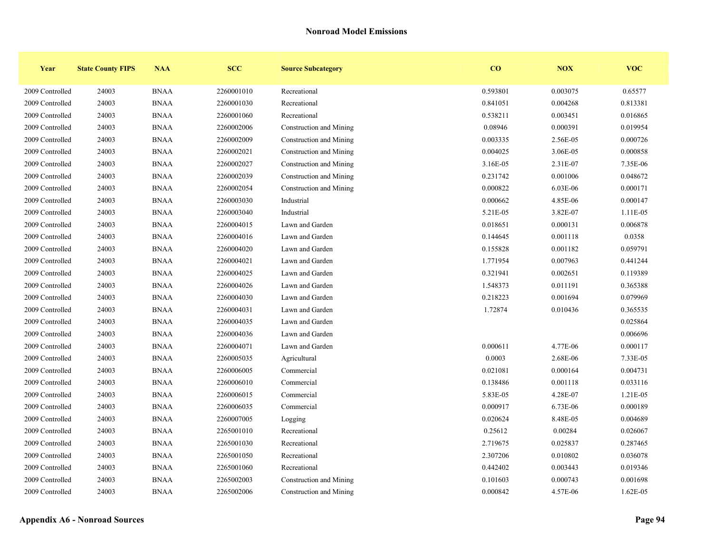| Year            | <b>State County FIPS</b> | <b>NAA</b>  | <b>SCC</b> | <b>Source Subcategory</b> | CO       | <b>NOX</b> | <b>VOC</b> |
|-----------------|--------------------------|-------------|------------|---------------------------|----------|------------|------------|
| 2009 Controlled | 24003                    | <b>BNAA</b> | 2260001010 | Recreational              | 0.593801 | 0.003075   | 0.65577    |
| 2009 Controlled | 24003                    | <b>BNAA</b> | 2260001030 | Recreational              | 0.841051 | 0.004268   | 0.813381   |
| 2009 Controlled | 24003                    | <b>BNAA</b> | 2260001060 | Recreational              | 0.538211 | 0.003451   | 0.016865   |
| 2009 Controlled | 24003                    | <b>BNAA</b> | 2260002006 | Construction and Mining   | 0.08946  | 0.000391   | 0.019954   |
| 2009 Controlled | 24003                    | <b>BNAA</b> | 2260002009 | Construction and Mining   | 0.003335 | 2.56E-05   | 0.000726   |
| 2009 Controlled | 24003                    | <b>BNAA</b> | 2260002021 | Construction and Mining   | 0.004025 | 3.06E-05   | 0.000858   |
| 2009 Controlled | 24003                    | <b>BNAA</b> | 2260002027 | Construction and Mining   | 3.16E-05 | 2.31E-07   | 7.35E-06   |
| 2009 Controlled | 24003                    | <b>BNAA</b> | 2260002039 | Construction and Mining   | 0.231742 | 0.001006   | 0.048672   |
| 2009 Controlled | 24003                    | <b>BNAA</b> | 2260002054 | Construction and Mining   | 0.000822 | 6.03E-06   | 0.000171   |
| 2009 Controlled | 24003                    | <b>BNAA</b> | 2260003030 | Industrial                | 0.000662 | 4.85E-06   | 0.000147   |
| 2009 Controlled | 24003                    | <b>BNAA</b> | 2260003040 | Industrial                | 5.21E-05 | 3.82E-07   | 1.11E-05   |
| 2009 Controlled | 24003                    | <b>BNAA</b> | 2260004015 | Lawn and Garden           | 0.018651 | 0.000131   | 0.006878   |
| 2009 Controlled | 24003                    | <b>BNAA</b> | 2260004016 | Lawn and Garden           | 0.144645 | 0.001118   | 0.0358     |
| 2009 Controlled | 24003                    | <b>BNAA</b> | 2260004020 | Lawn and Garden           | 0.155828 | 0.001182   | 0.059791   |
| 2009 Controlled | 24003                    | <b>BNAA</b> | 2260004021 | Lawn and Garden           | 1.771954 | 0.007963   | 0.441244   |
| 2009 Controlled | 24003                    | <b>BNAA</b> | 2260004025 | Lawn and Garden           | 0.321941 | 0.002651   | 0.119389   |
| 2009 Controlled | 24003                    | <b>BNAA</b> | 2260004026 | Lawn and Garden           | 1.548373 | 0.011191   | 0.365388   |
| 2009 Controlled | 24003                    | <b>BNAA</b> | 2260004030 | Lawn and Garden           | 0.218223 | 0.001694   | 0.079969   |
| 2009 Controlled | 24003                    | <b>BNAA</b> | 2260004031 | Lawn and Garden           | 1.72874  | 0.010436   | 0.365535   |
| 2009 Controlled | 24003                    | <b>BNAA</b> | 2260004035 | Lawn and Garden           |          |            | 0.025864   |
| 2009 Controlled | 24003                    | <b>BNAA</b> | 2260004036 | Lawn and Garden           |          |            | 0.006696   |
| 2009 Controlled | 24003                    | <b>BNAA</b> | 2260004071 | Lawn and Garden           | 0.000611 | 4.77E-06   | 0.000117   |
| 2009 Controlled | 24003                    | <b>BNAA</b> | 2260005035 | Agricultural              | 0.0003   | 2.68E-06   | 7.33E-05   |
| 2009 Controlled | 24003                    | <b>BNAA</b> | 2260006005 | Commercial                | 0.021081 | 0.000164   | 0.004731   |
| 2009 Controlled | 24003                    | <b>BNAA</b> | 2260006010 | Commercial                | 0.138486 | 0.001118   | 0.033116   |
| 2009 Controlled | 24003                    | <b>BNAA</b> | 2260006015 | Commercial                | 5.83E-05 | 4.28E-07   | 1.21E-05   |
| 2009 Controlled | 24003                    | <b>BNAA</b> | 2260006035 | Commercial                | 0.000917 | 6.73E-06   | 0.000189   |
| 2009 Controlled | 24003                    | <b>BNAA</b> | 2260007005 | Logging                   | 0.020624 | 8.48E-05   | 0.004689   |
| 2009 Controlled | 24003                    | <b>BNAA</b> | 2265001010 | Recreational              | 0.25612  | 0.00284    | 0.026067   |
| 2009 Controlled | 24003                    | <b>BNAA</b> | 2265001030 | Recreational              | 2.719675 | 0.025837   | 0.287465   |
| 2009 Controlled | 24003                    | <b>BNAA</b> | 2265001050 | Recreational              | 2.307206 | 0.010802   | 0.036078   |
| 2009 Controlled | 24003                    | <b>BNAA</b> | 2265001060 | Recreational              | 0.442402 | 0.003443   | 0.019346   |
| 2009 Controlled | 24003                    | <b>BNAA</b> | 2265002003 | Construction and Mining   | 0.101603 | 0.000743   | 0.001698   |
| 2009 Controlled | 24003                    | <b>BNAA</b> | 2265002006 | Construction and Mining   | 0.000842 | 4.57E-06   | 1.62E-05   |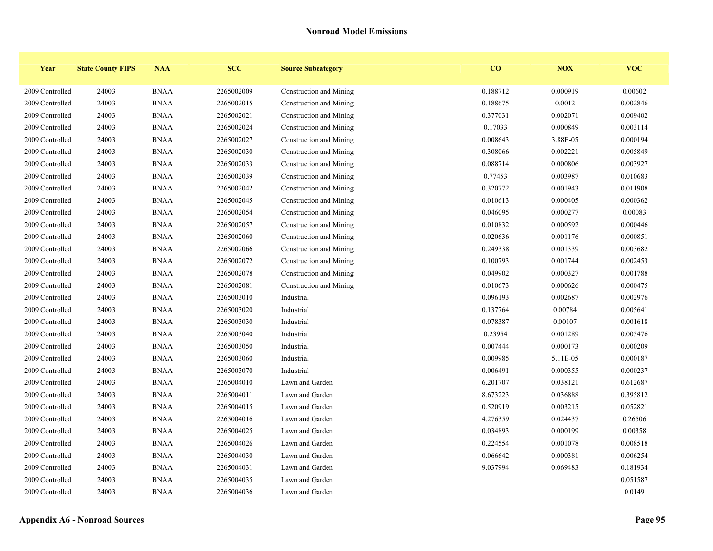| Year            | <b>State County FIPS</b> | <b>NAA</b>  | <b>SCC</b> | <b>Source Subcategory</b> | CO       | <b>NOX</b> | <b>VOC</b> |
|-----------------|--------------------------|-------------|------------|---------------------------|----------|------------|------------|
| 2009 Controlled | 24003                    | <b>BNAA</b> | 2265002009 | Construction and Mining   | 0.188712 | 0.000919   | 0.00602    |
| 2009 Controlled | 24003                    | <b>BNAA</b> | 2265002015 | Construction and Mining   | 0.188675 | 0.0012     | 0.002846   |
| 2009 Controlled | 24003                    | <b>BNAA</b> | 2265002021 | Construction and Mining   | 0.377031 | 0.002071   | 0.009402   |
| 2009 Controlled | 24003                    | <b>BNAA</b> | 2265002024 | Construction and Mining   | 0.17033  | 0.000849   | 0.003114   |
| 2009 Controlled | 24003                    | <b>BNAA</b> | 2265002027 | Construction and Mining   | 0.008643 | 3.88E-05   | 0.000194   |
| 2009 Controlled | 24003                    | <b>BNAA</b> | 2265002030 | Construction and Mining   | 0.308066 | 0.002221   | 0.005849   |
| 2009 Controlled | 24003                    | <b>BNAA</b> | 2265002033 | Construction and Mining   | 0.088714 | 0.000806   | 0.003927   |
| 2009 Controlled | 24003                    | <b>BNAA</b> | 2265002039 | Construction and Mining   | 0.77453  | 0.003987   | 0.010683   |
| 2009 Controlled | 24003                    | <b>BNAA</b> | 2265002042 | Construction and Mining   | 0.320772 | 0.001943   | 0.011908   |
| 2009 Controlled | 24003                    | <b>BNAA</b> | 2265002045 | Construction and Mining   | 0.010613 | 0.000405   | 0.000362   |
| 2009 Controlled | 24003                    | <b>BNAA</b> | 2265002054 | Construction and Mining   | 0.046095 | 0.000277   | 0.00083    |
| 2009 Controlled | 24003                    | <b>BNAA</b> | 2265002057 | Construction and Mining   | 0.010832 | 0.000592   | 0.000446   |
| 2009 Controlled | 24003                    | <b>BNAA</b> | 2265002060 | Construction and Mining   | 0.020636 | 0.001176   | 0.000851   |
| 2009 Controlled | 24003                    | <b>BNAA</b> | 2265002066 | Construction and Mining   | 0.249338 | 0.001339   | 0.003682   |
| 2009 Controlled | 24003                    | <b>BNAA</b> | 2265002072 | Construction and Mining   | 0.100793 | 0.001744   | 0.002453   |
| 2009 Controlled | 24003                    | <b>BNAA</b> | 2265002078 | Construction and Mining   | 0.049902 | 0.000327   | 0.001788   |
| 2009 Controlled | 24003                    | <b>BNAA</b> | 2265002081 | Construction and Mining   | 0.010673 | 0.000626   | 0.000475   |
| 2009 Controlled | 24003                    | <b>BNAA</b> | 2265003010 | Industrial                | 0.096193 | 0.002687   | 0.002976   |
| 2009 Controlled | 24003                    | <b>BNAA</b> | 2265003020 | Industrial                | 0.137764 | 0.00784    | 0.005641   |
| 2009 Controlled | 24003                    | <b>BNAA</b> | 2265003030 | Industrial                | 0.078387 | 0.00107    | 0.001618   |
| 2009 Controlled | 24003                    | <b>BNAA</b> | 2265003040 | Industrial                | 0.23954  | 0.001289   | 0.005476   |
| 2009 Controlled | 24003                    | <b>BNAA</b> | 2265003050 | Industrial                | 0.007444 | 0.000173   | 0.000209   |
| 2009 Controlled | 24003                    | <b>BNAA</b> | 2265003060 | Industrial                | 0.009985 | 5.11E-05   | 0.000187   |
| 2009 Controlled | 24003                    | <b>BNAA</b> | 2265003070 | Industrial                | 0.006491 | 0.000355   | 0.000237   |
| 2009 Controlled | 24003                    | <b>BNAA</b> | 2265004010 | Lawn and Garden           | 6.201707 | 0.038121   | 0.612687   |
| 2009 Controlled | 24003                    | <b>BNAA</b> | 2265004011 | Lawn and Garden           | 8.673223 | 0.036888   | 0.395812   |
| 2009 Controlled | 24003                    | <b>BNAA</b> | 2265004015 | Lawn and Garden           | 0.520919 | 0.003215   | 0.052821   |
| 2009 Controlled | 24003                    | <b>BNAA</b> | 2265004016 | Lawn and Garden           | 4.276359 | 0.024437   | 0.26506    |
| 2009 Controlled | 24003                    | <b>BNAA</b> | 2265004025 | Lawn and Garden           | 0.034893 | 0.000199   | 0.00358    |
| 2009 Controlled | 24003                    | <b>BNAA</b> | 2265004026 | Lawn and Garden           | 0.224554 | 0.001078   | 0.008518   |
| 2009 Controlled | 24003                    | <b>BNAA</b> | 2265004030 | Lawn and Garden           | 0.066642 | 0.000381   | 0.006254   |
| 2009 Controlled | 24003                    | <b>BNAA</b> | 2265004031 | Lawn and Garden           | 9.037994 | 0.069483   | 0.181934   |
| 2009 Controlled | 24003                    | <b>BNAA</b> | 2265004035 | Lawn and Garden           |          |            | 0.051587   |
| 2009 Controlled | 24003                    | <b>BNAA</b> | 2265004036 | Lawn and Garden           |          |            | 0.0149     |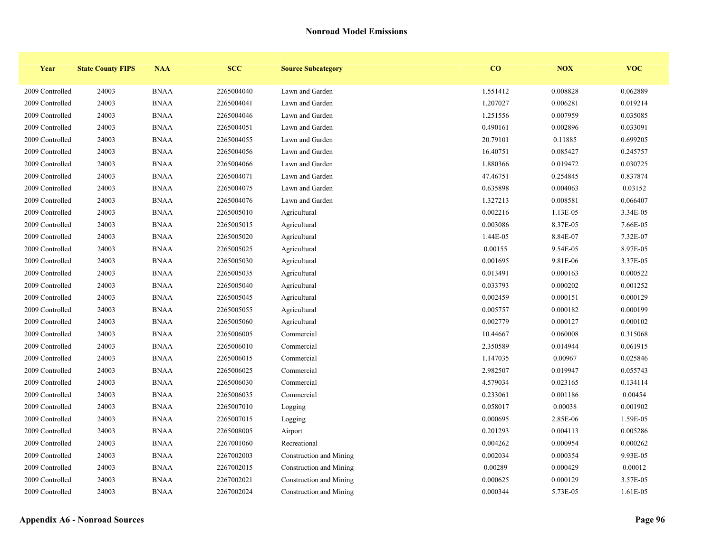| Year            | <b>State County FIPS</b> | <b>NAA</b>  | <b>SCC</b> | <b>Source Subcategory</b> | CO       | <b>NOX</b> | <b>VOC</b> |
|-----------------|--------------------------|-------------|------------|---------------------------|----------|------------|------------|
| 2009 Controlled | 24003                    | <b>BNAA</b> | 2265004040 | Lawn and Garden           | 1.551412 | 0.008828   | 0.062889   |
| 2009 Controlled | 24003                    | <b>BNAA</b> | 2265004041 | Lawn and Garden           | 1.207027 | 0.006281   | 0.019214   |
| 2009 Controlled | 24003                    | <b>BNAA</b> | 2265004046 | Lawn and Garden           | 1.251556 | 0.007959   | 0.035085   |
| 2009 Controlled | 24003                    | <b>BNAA</b> | 2265004051 | Lawn and Garden           | 0.490161 | 0.002896   | 0.033091   |
| 2009 Controlled | 24003                    | <b>BNAA</b> | 2265004055 | Lawn and Garden           | 20.79101 | 0.11885    | 0.699205   |
| 2009 Controlled | 24003                    | <b>BNAA</b> | 2265004056 | Lawn and Garden           | 16.40751 | 0.085427   | 0.245757   |
| 2009 Controlled | 24003                    | <b>BNAA</b> | 2265004066 | Lawn and Garden           | 1.880366 | 0.019472   | 0.030725   |
| 2009 Controlled | 24003                    | <b>BNAA</b> | 2265004071 | Lawn and Garden           | 47.46751 | 0.254845   | 0.837874   |
| 2009 Controlled | 24003                    | <b>BNAA</b> | 2265004075 | Lawn and Garden           | 0.635898 | 0.004063   | 0.03152    |
| 2009 Controlled | 24003                    | <b>BNAA</b> | 2265004076 | Lawn and Garden           | 1.327213 | 0.008581   | 0.066407   |
| 2009 Controlled | 24003                    | <b>BNAA</b> | 2265005010 | Agricultural              | 0.002216 | 1.13E-05   | 3.34E-05   |
| 2009 Controlled | 24003                    | <b>BNAA</b> | 2265005015 | Agricultural              | 0.003086 | 8.37E-05   | 7.66E-05   |
| 2009 Controlled | 24003                    | <b>BNAA</b> | 2265005020 | Agricultural              | 1.44E-05 | 8.84E-07   | 7.32E-07   |
| 2009 Controlled | 24003                    | <b>BNAA</b> | 2265005025 | Agricultural              | 0.00155  | 9.54E-05   | 8.97E-05   |
| 2009 Controlled | 24003                    | <b>BNAA</b> | 2265005030 | Agricultural              | 0.001695 | 9.81E-06   | 3.37E-05   |
| 2009 Controlled | 24003                    | <b>BNAA</b> | 2265005035 | Agricultural              | 0.013491 | 0.000163   | 0.000522   |
| 2009 Controlled | 24003                    | <b>BNAA</b> | 2265005040 | Agricultural              | 0.033793 | 0.000202   | 0.001252   |
| 2009 Controlled | 24003                    | <b>BNAA</b> | 2265005045 | Agricultural              | 0.002459 | 0.000151   | 0.000129   |
| 2009 Controlled | 24003                    | <b>BNAA</b> | 2265005055 | Agricultural              | 0.005757 | 0.000182   | 0.000199   |
| 2009 Controlled | 24003                    | <b>BNAA</b> | 2265005060 | Agricultural              | 0.002779 | 0.000127   | 0.000102   |
| 2009 Controlled | 24003                    | <b>BNAA</b> | 2265006005 | Commercial                | 10.44667 | 0.060008   | 0.315068   |
| 2009 Controlled | 24003                    | <b>BNAA</b> | 2265006010 | Commercial                | 2.350589 | 0.014944   | 0.061915   |
| 2009 Controlled | 24003                    | <b>BNAA</b> | 2265006015 | Commercial                | 1.147035 | 0.00967    | 0.025846   |
| 2009 Controlled | 24003                    | <b>BNAA</b> | 2265006025 | Commercial                | 2.982507 | 0.019947   | 0.055743   |
| 2009 Controlled | 24003                    | <b>BNAA</b> | 2265006030 | Commercial                | 4.579034 | 0.023165   | 0.134114   |
| 2009 Controlled | 24003                    | <b>BNAA</b> | 2265006035 | Commercial                | 0.233061 | 0.001186   | 0.00454    |
| 2009 Controlled | 24003                    | <b>BNAA</b> | 2265007010 | Logging                   | 0.058017 | 0.00038    | 0.001902   |
| 2009 Controlled | 24003                    | <b>BNAA</b> | 2265007015 | Logging                   | 0.000695 | 2.85E-06   | 1.59E-05   |
| 2009 Controlled | 24003                    | <b>BNAA</b> | 2265008005 | Airport                   | 0.201293 | 0.004113   | 0.005286   |
| 2009 Controlled | 24003                    | <b>BNAA</b> | 2267001060 | Recreational              | 0.004262 | 0.000954   | 0.000262   |
| 2009 Controlled | 24003                    | <b>BNAA</b> | 2267002003 | Construction and Mining   | 0.002034 | 0.000354   | 9.93E-05   |
| 2009 Controlled | 24003                    | <b>BNAA</b> | 2267002015 | Construction and Mining   | 0.00289  | 0.000429   | 0.00012    |
| 2009 Controlled | 24003                    | <b>BNAA</b> | 2267002021 | Construction and Mining   | 0.000625 | 0.000129   | 3.57E-05   |
| 2009 Controlled | 24003                    | <b>BNAA</b> | 2267002024 | Construction and Mining   | 0.000344 | 5.73E-05   | 1.61E-05   |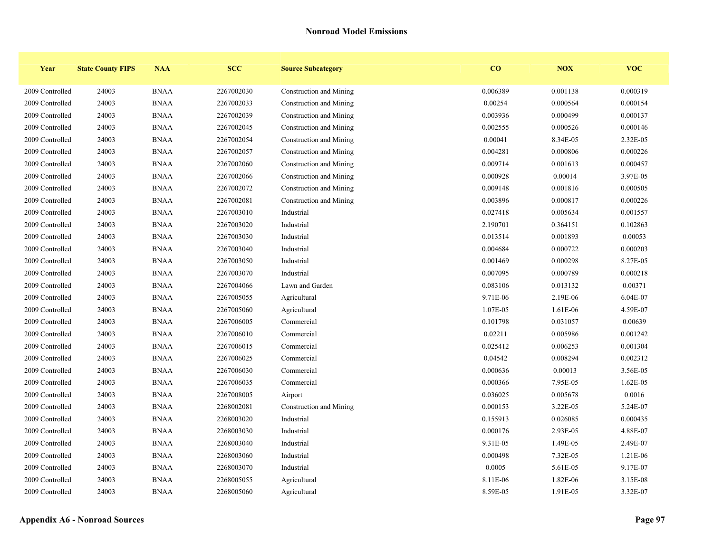| Year            | <b>State County FIPS</b> | <b>NAA</b>  | <b>SCC</b> | <b>Source Subcategory</b> | CO       | <b>NOX</b> | <b>VOC</b> |
|-----------------|--------------------------|-------------|------------|---------------------------|----------|------------|------------|
| 2009 Controlled | 24003                    | <b>BNAA</b> | 2267002030 | Construction and Mining   | 0.006389 | 0.001138   | 0.000319   |
| 2009 Controlled | 24003                    | <b>BNAA</b> | 2267002033 | Construction and Mining   | 0.00254  | 0.000564   | 0.000154   |
| 2009 Controlled | 24003                    | <b>BNAA</b> | 2267002039 | Construction and Mining   | 0.003936 | 0.000499   | 0.000137   |
| 2009 Controlled | 24003                    | <b>BNAA</b> | 2267002045 | Construction and Mining   | 0.002555 | 0.000526   | 0.000146   |
| 2009 Controlled | 24003                    | <b>BNAA</b> | 2267002054 | Construction and Mining   | 0.00041  | 8.34E-05   | 2.32E-05   |
| 2009 Controlled | 24003                    | <b>BNAA</b> | 2267002057 | Construction and Mining   | 0.004281 | 0.000806   | 0.000226   |
| 2009 Controlled | 24003                    | <b>BNAA</b> | 2267002060 | Construction and Mining   | 0.009714 | 0.001613   | 0.000457   |
| 2009 Controlled | 24003                    | <b>BNAA</b> | 2267002066 | Construction and Mining   | 0.000928 | 0.00014    | 3.97E-05   |
| 2009 Controlled | 24003                    | <b>BNAA</b> | 2267002072 | Construction and Mining   | 0.009148 | 0.001816   | 0.000505   |
| 2009 Controlled | 24003                    | <b>BNAA</b> | 2267002081 | Construction and Mining   | 0.003896 | 0.000817   | 0.000226   |
| 2009 Controlled | 24003                    | <b>BNAA</b> | 2267003010 | Industrial                | 0.027418 | 0.005634   | 0.001557   |
| 2009 Controlled | 24003                    | <b>BNAA</b> | 2267003020 | Industrial                | 2.190701 | 0.364151   | 0.102863   |
| 2009 Controlled | 24003                    | <b>BNAA</b> | 2267003030 | Industrial                | 0.013514 | 0.001893   | 0.00053    |
| 2009 Controlled | 24003                    | <b>BNAA</b> | 2267003040 | Industrial                | 0.004684 | 0.000722   | 0.000203   |
| 2009 Controlled | 24003                    | <b>BNAA</b> | 2267003050 | Industrial                | 0.001469 | 0.000298   | 8.27E-05   |
| 2009 Controlled | 24003                    | <b>BNAA</b> | 2267003070 | Industrial                | 0.007095 | 0.000789   | 0.000218   |
| 2009 Controlled | 24003                    | <b>BNAA</b> | 2267004066 | Lawn and Garden           | 0.083106 | 0.013132   | 0.00371    |
| 2009 Controlled | 24003                    | <b>BNAA</b> | 2267005055 | Agricultural              | 9.71E-06 | 2.19E-06   | 6.04E-07   |
| 2009 Controlled | 24003                    | <b>BNAA</b> | 2267005060 | Agricultural              | 1.07E-05 | 1.61E-06   | 4.59E-07   |
| 2009 Controlled | 24003                    | <b>BNAA</b> | 2267006005 | Commercial                | 0.101798 | 0.031057   | 0.00639    |
| 2009 Controlled | 24003                    | <b>BNAA</b> | 2267006010 | Commercial                | 0.02211  | 0.005986   | 0.001242   |
| 2009 Controlled | 24003                    | <b>BNAA</b> | 2267006015 | Commercial                | 0.025412 | 0.006253   | 0.001304   |
| 2009 Controlled | 24003                    | <b>BNAA</b> | 2267006025 | Commercial                | 0.04542  | 0.008294   | 0.002312   |
| 2009 Controlled | 24003                    | <b>BNAA</b> | 2267006030 | Commercial                | 0.000636 | 0.00013    | 3.56E-05   |
| 2009 Controlled | 24003                    | <b>BNAA</b> | 2267006035 | Commercial                | 0.000366 | 7.95E-05   | 1.62E-05   |
| 2009 Controlled | 24003                    | <b>BNAA</b> | 2267008005 | Airport                   | 0.036025 | 0.005678   | 0.0016     |
| 2009 Controlled | 24003                    | <b>BNAA</b> | 2268002081 | Construction and Mining   | 0.000153 | 3.22E-05   | 5.24E-07   |
| 2009 Controlled | 24003                    | <b>BNAA</b> | 2268003020 | Industrial                | 0.155913 | 0.026085   | 0.000435   |
| 2009 Controlled | 24003                    | <b>BNAA</b> | 2268003030 | Industrial                | 0.000176 | 2.93E-05   | 4.88E-07   |
| 2009 Controlled | 24003                    | <b>BNAA</b> | 2268003040 | Industrial                | 9.31E-05 | 1.49E-05   | 2.49E-07   |
| 2009 Controlled | 24003                    | <b>BNAA</b> | 2268003060 | Industrial                | 0.000498 | 7.32E-05   | 1.21E-06   |
| 2009 Controlled | 24003                    | <b>BNAA</b> | 2268003070 | Industrial                | 0.0005   | 5.61E-05   | 9.17E-07   |
| 2009 Controlled | 24003                    | <b>BNAA</b> | 2268005055 | Agricultural              | 8.11E-06 | 1.82E-06   | 3.15E-08   |
| 2009 Controlled | 24003                    | <b>BNAA</b> | 2268005060 | Agricultural              | 8.59E-05 | 1.91E-05   | 3.32E-07   |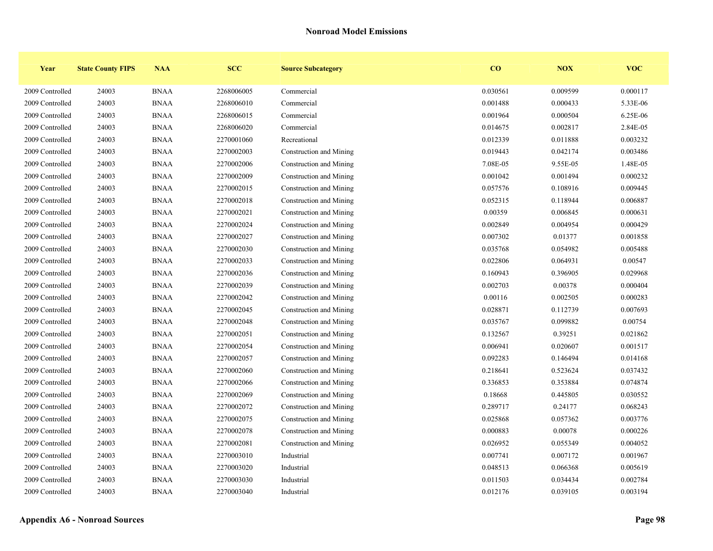| Year            | <b>State County FIPS</b> | <b>NAA</b>  | <b>SCC</b> | <b>Source Subcategory</b> | CO       | <b>NOX</b> | <b>VOC</b> |
|-----------------|--------------------------|-------------|------------|---------------------------|----------|------------|------------|
| 2009 Controlled | 24003                    | <b>BNAA</b> | 2268006005 | Commercial                | 0.030561 | 0.009599   | 0.000117   |
| 2009 Controlled | 24003                    | <b>BNAA</b> | 2268006010 | Commercial                | 0.001488 | 0.000433   | 5.33E-06   |
| 2009 Controlled | 24003                    | <b>BNAA</b> | 2268006015 | Commercial                | 0.001964 | 0.000504   | 6.25E-06   |
| 2009 Controlled | 24003                    | <b>BNAA</b> | 2268006020 | Commercial                | 0.014675 | 0.002817   | 2.84E-05   |
| 2009 Controlled | 24003                    | <b>BNAA</b> | 2270001060 | Recreational              | 0.012339 | 0.011888   | 0.003232   |
| 2009 Controlled | 24003                    | <b>BNAA</b> | 2270002003 | Construction and Mining   | 0.019443 | 0.042174   | 0.003486   |
| 2009 Controlled | 24003                    | <b>BNAA</b> | 2270002006 | Construction and Mining   | 7.08E-05 | 9.55E-05   | 1.48E-05   |
| 2009 Controlled | 24003                    | <b>BNAA</b> | 2270002009 | Construction and Mining   | 0.001042 | 0.001494   | 0.000232   |
| 2009 Controlled | 24003                    | <b>BNAA</b> | 2270002015 | Construction and Mining   | 0.057576 | 0.108916   | 0.009445   |
| 2009 Controlled | 24003                    | <b>BNAA</b> | 2270002018 | Construction and Mining   | 0.052315 | 0.118944   | 0.006887   |
| 2009 Controlled | 24003                    | <b>BNAA</b> | 2270002021 | Construction and Mining   | 0.00359  | 0.006845   | 0.000631   |
| 2009 Controlled | 24003                    | <b>BNAA</b> | 2270002024 | Construction and Mining   | 0.002849 | 0.004954   | 0.000429   |
| 2009 Controlled | 24003                    | <b>BNAA</b> | 2270002027 | Construction and Mining   | 0.007302 | 0.01377    | 0.001858   |
| 2009 Controlled | 24003                    | <b>BNAA</b> | 2270002030 | Construction and Mining   | 0.035768 | 0.054982   | 0.005488   |
| 2009 Controlled | 24003                    | <b>BNAA</b> | 2270002033 | Construction and Mining   | 0.022806 | 0.064931   | 0.00547    |
| 2009 Controlled | 24003                    | <b>BNAA</b> | 2270002036 | Construction and Mining   | 0.160943 | 0.396905   | 0.029968   |
| 2009 Controlled | 24003                    | <b>BNAA</b> | 2270002039 | Construction and Mining   | 0.002703 | 0.00378    | 0.000404   |
| 2009 Controlled | 24003                    | <b>BNAA</b> | 2270002042 | Construction and Mining   | 0.00116  | 0.002505   | 0.000283   |
| 2009 Controlled | 24003                    | <b>BNAA</b> | 2270002045 | Construction and Mining   | 0.028871 | 0.112739   | 0.007693   |
| 2009 Controlled | 24003                    | <b>BNAA</b> | 2270002048 | Construction and Mining   | 0.035767 | 0.099882   | 0.00754    |
| 2009 Controlled | 24003                    | <b>BNAA</b> | 2270002051 | Construction and Mining   | 0.132567 | 0.39251    | 0.021862   |
| 2009 Controlled | 24003                    | <b>BNAA</b> | 2270002054 | Construction and Mining   | 0.006941 | 0.020607   | 0.001517   |
| 2009 Controlled | 24003                    | <b>BNAA</b> | 2270002057 | Construction and Mining   | 0.092283 | 0.146494   | 0.014168   |
| 2009 Controlled | 24003                    | <b>BNAA</b> | 2270002060 | Construction and Mining   | 0.218641 | 0.523624   | 0.037432   |
| 2009 Controlled | 24003                    | <b>BNAA</b> | 2270002066 | Construction and Mining   | 0.336853 | 0.353884   | 0.074874   |
| 2009 Controlled | 24003                    | <b>BNAA</b> | 2270002069 | Construction and Mining   | 0.18668  | 0.445805   | 0.030552   |
| 2009 Controlled | 24003                    | <b>BNAA</b> | 2270002072 | Construction and Mining   | 0.289717 | 0.24177    | 0.068243   |
| 2009 Controlled | 24003                    | <b>BNAA</b> | 2270002075 | Construction and Mining   | 0.025868 | 0.057362   | 0.003776   |
| 2009 Controlled | 24003                    | <b>BNAA</b> | 2270002078 | Construction and Mining   | 0.000883 | 0.00078    | 0.000226   |
| 2009 Controlled | 24003                    | <b>BNAA</b> | 2270002081 | Construction and Mining   | 0.026952 | 0.055349   | 0.004052   |
| 2009 Controlled | 24003                    | <b>BNAA</b> | 2270003010 | Industrial                | 0.007741 | 0.007172   | 0.001967   |
| 2009 Controlled | 24003                    | <b>BNAA</b> | 2270003020 | Industrial                | 0.048513 | 0.066368   | 0.005619   |
| 2009 Controlled | 24003                    | <b>BNAA</b> | 2270003030 | Industrial                | 0.011503 | 0.034434   | 0.002784   |
| 2009 Controlled | 24003                    | <b>BNAA</b> | 2270003040 | Industrial                | 0.012176 | 0.039105   | 0.003194   |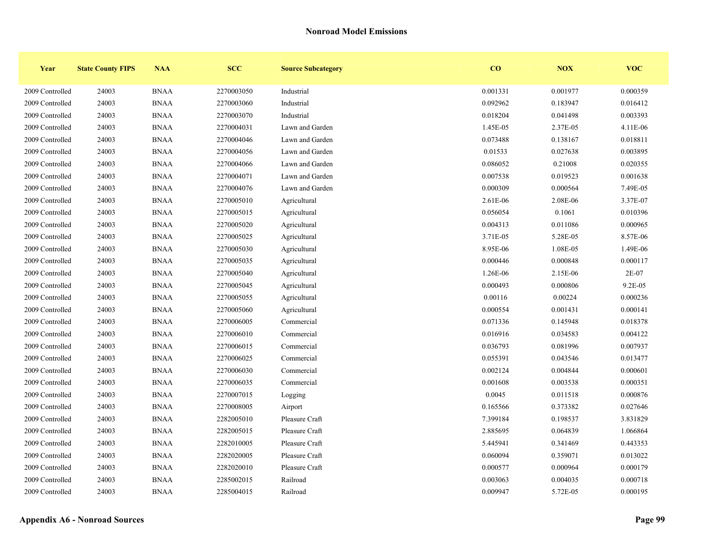| Year            | <b>State County FIPS</b> | <b>NAA</b>  | <b>SCC</b> | <b>Source Subcategory</b> | CO       | <b>NOX</b> | <b>VOC</b> |
|-----------------|--------------------------|-------------|------------|---------------------------|----------|------------|------------|
| 2009 Controlled | 24003                    | <b>BNAA</b> | 2270003050 | Industrial                | 0.001331 | 0.001977   | 0.000359   |
| 2009 Controlled | 24003                    | <b>BNAA</b> | 2270003060 | Industrial                | 0.092962 | 0.183947   | 0.016412   |
| 2009 Controlled | 24003                    | <b>BNAA</b> | 2270003070 | Industrial                | 0.018204 | 0.041498   | 0.003393   |
| 2009 Controlled | 24003                    | <b>BNAA</b> | 2270004031 | Lawn and Garden           | 1.45E-05 | 2.37E-05   | 4.11E-06   |
| 2009 Controlled | 24003                    | <b>BNAA</b> | 2270004046 | Lawn and Garden           | 0.073488 | 0.138167   | 0.018811   |
| 2009 Controlled | 24003                    | <b>BNAA</b> | 2270004056 | Lawn and Garden           | 0.01533  | 0.027638   | 0.003895   |
| 2009 Controlled | 24003                    | <b>BNAA</b> | 2270004066 | Lawn and Garden           | 0.086052 | 0.21008    | 0.020355   |
| 2009 Controlled | 24003                    | <b>BNAA</b> | 2270004071 | Lawn and Garden           | 0.007538 | 0.019523   | 0.001638   |
| 2009 Controlled | 24003                    | <b>BNAA</b> | 2270004076 | Lawn and Garden           | 0.000309 | 0.000564   | 7.49E-05   |
| 2009 Controlled | 24003                    | <b>BNAA</b> | 2270005010 | Agricultural              | 2.61E-06 | 2.08E-06   | 3.37E-07   |
| 2009 Controlled | 24003                    | <b>BNAA</b> | 2270005015 | Agricultural              | 0.056054 | 0.1061     | 0.010396   |
| 2009 Controlled | 24003                    | <b>BNAA</b> | 2270005020 | Agricultural              | 0.004313 | 0.011086   | 0.000965   |
| 2009 Controlled | 24003                    | <b>BNAA</b> | 2270005025 | Agricultural              | 3.71E-05 | 5.28E-05   | 8.57E-06   |
| 2009 Controlled | 24003                    | <b>BNAA</b> | 2270005030 | Agricultural              | 8.95E-06 | 1.08E-05   | 1.49E-06   |
| 2009 Controlled | 24003                    | <b>BNAA</b> | 2270005035 | Agricultural              | 0.000446 | 0.000848   | 0.000117   |
| 2009 Controlled | 24003                    | <b>BNAA</b> | 2270005040 | Agricultural              | 1.26E-06 | 2.15E-06   | 2E-07      |
| 2009 Controlled | 24003                    | <b>BNAA</b> | 2270005045 | Agricultural              | 0.000493 | 0.000806   | 9.2E-05    |
| 2009 Controlled | 24003                    | <b>BNAA</b> | 2270005055 | Agricultural              | 0.00116  | 0.00224    | 0.000236   |
| 2009 Controlled | 24003                    | <b>BNAA</b> | 2270005060 | Agricultural              | 0.000554 | 0.001431   | 0.000141   |
| 2009 Controlled | 24003                    | <b>BNAA</b> | 2270006005 | Commercial                | 0.071336 | 0.145948   | 0.018378   |
| 2009 Controlled | 24003                    | <b>BNAA</b> | 2270006010 | Commercial                | 0.016916 | 0.034583   | 0.004122   |
| 2009 Controlled | 24003                    | <b>BNAA</b> | 2270006015 | Commercial                | 0.036793 | 0.081996   | 0.007937   |
| 2009 Controlled | 24003                    | <b>BNAA</b> | 2270006025 | Commercial                | 0.055391 | 0.043546   | 0.013477   |
| 2009 Controlled | 24003                    | <b>BNAA</b> | 2270006030 | Commercial                | 0.002124 | 0.004844   | 0.000601   |
| 2009 Controlled | 24003                    | <b>BNAA</b> | 2270006035 | Commercial                | 0.001608 | 0.003538   | 0.000351   |
| 2009 Controlled | 24003                    | <b>BNAA</b> | 2270007015 | Logging                   | 0.0045   | 0.011518   | 0.000876   |
| 2009 Controlled | 24003                    | <b>BNAA</b> | 2270008005 | Airport                   | 0.165566 | 0.373382   | 0.027646   |
| 2009 Controlled | 24003                    | <b>BNAA</b> | 2282005010 | Pleasure Craft            | 7.399184 | 0.198537   | 3.831829   |
| 2009 Controlled | 24003                    | <b>BNAA</b> | 2282005015 | Pleasure Craft            | 2.885695 | 0.064839   | 1.066864   |
| 2009 Controlled | 24003                    | <b>BNAA</b> | 2282010005 | Pleasure Craft            | 5.445941 | 0.341469   | 0.443353   |
| 2009 Controlled | 24003                    | <b>BNAA</b> | 2282020005 | Pleasure Craft            | 0.060094 | 0.359071   | 0.013022   |
| 2009 Controlled | 24003                    | <b>BNAA</b> | 2282020010 | Pleasure Craft            | 0.000577 | 0.000964   | 0.000179   |
| 2009 Controlled | 24003                    | <b>BNAA</b> | 2285002015 | Railroad                  | 0.003063 | 0.004035   | 0.000718   |
| 2009 Controlled | 24003                    | <b>BNAA</b> | 2285004015 | Railroad                  | 0.009947 | 5.72E-05   | 0.000195   |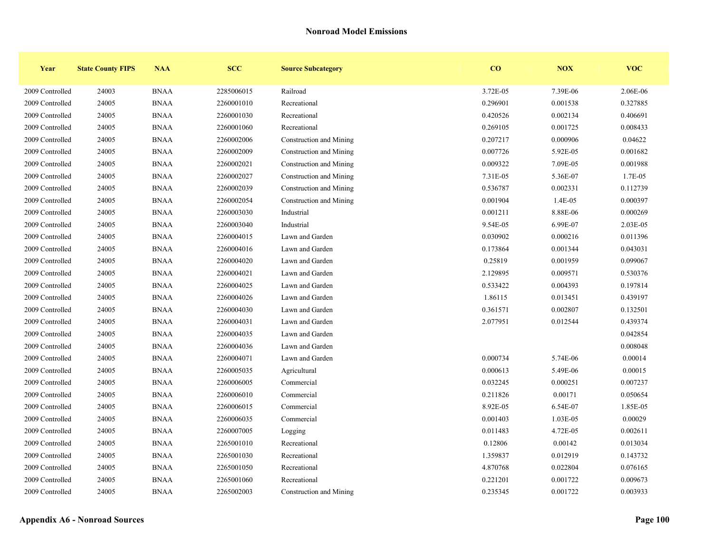| Year            | <b>State County FIPS</b> | <b>NAA</b>            | <b>SCC</b> | <b>Source Subcategory</b> | $\bf{CO}$ | <b>NOX</b> | <b>VOC</b> |
|-----------------|--------------------------|-----------------------|------------|---------------------------|-----------|------------|------------|
| 2009 Controlled | 24003                    | <b>BNAA</b>           | 2285006015 | Railroad                  | 3.72E-05  | 7.39E-06   | 2.06E-06   |
| 2009 Controlled | 24005                    | <b>BNAA</b>           | 2260001010 | Recreational              | 0.296901  | 0.001538   | 0.327885   |
| 2009 Controlled | 24005                    | <b>BNAA</b>           | 2260001030 | Recreational              | 0.420526  | 0.002134   | 0.406691   |
| 2009 Controlled | 24005                    | <b>BNAA</b>           | 2260001060 | Recreational              | 0.269105  | 0.001725   | 0.008433   |
| 2009 Controlled | 24005                    | $\operatorname{BNAA}$ | 2260002006 | Construction and Mining   | 0.207217  | 0.000906   | 0.04622    |
| 2009 Controlled | 24005                    | <b>BNAA</b>           | 2260002009 | Construction and Mining   | 0.007726  | 5.92E-05   | 0.001682   |
| 2009 Controlled | 24005                    | <b>BNAA</b>           | 2260002021 | Construction and Mining   | 0.009322  | 7.09E-05   | 0.001988   |
| 2009 Controlled | 24005                    | <b>BNAA</b>           | 2260002027 | Construction and Mining   | 7.31E-05  | 5.36E-07   | 1.7E-05    |
| 2009 Controlled | 24005                    | <b>BNAA</b>           | 2260002039 | Construction and Mining   | 0.536787  | 0.002331   | 0.112739   |
| 2009 Controlled | 24005                    | <b>BNAA</b>           | 2260002054 | Construction and Mining   | 0.001904  | 1.4E-05    | 0.000397   |
| 2009 Controlled | 24005                    | <b>BNAA</b>           | 2260003030 | Industrial                | 0.001211  | 8.88E-06   | 0.000269   |
| 2009 Controlled | 24005                    | <b>BNAA</b>           | 2260003040 | Industrial                | 9.54E-05  | 6.99E-07   | 2.03E-05   |
| 2009 Controlled | 24005                    | <b>BNAA</b>           | 2260004015 | Lawn and Garden           | 0.030902  | 0.000216   | 0.011396   |
| 2009 Controlled | 24005                    | <b>BNAA</b>           | 2260004016 | Lawn and Garden           | 0.173864  | 0.001344   | 0.043031   |
| 2009 Controlled | 24005                    | <b>BNAA</b>           | 2260004020 | Lawn and Garden           | 0.25819   | 0.001959   | 0.099067   |
| 2009 Controlled | 24005                    | <b>BNAA</b>           | 2260004021 | Lawn and Garden           | 2.129895  | 0.009571   | 0.530376   |
| 2009 Controlled | 24005                    | <b>BNAA</b>           | 2260004025 | Lawn and Garden           | 0.533422  | 0.004393   | 0.197814   |
| 2009 Controlled | 24005                    | <b>BNAA</b>           | 2260004026 | Lawn and Garden           | 1.86115   | 0.013451   | 0.439197   |
| 2009 Controlled | 24005                    | <b>BNAA</b>           | 2260004030 | Lawn and Garden           | 0.361571  | 0.002807   | 0.132501   |
| 2009 Controlled | 24005                    | <b>BNAA</b>           | 2260004031 | Lawn and Garden           | 2.077951  | 0.012544   | 0.439374   |
| 2009 Controlled | 24005                    | <b>BNAA</b>           | 2260004035 | Lawn and Garden           |           |            | 0.042854   |
| 2009 Controlled | 24005                    | <b>BNAA</b>           | 2260004036 | Lawn and Garden           |           |            | 0.008048   |
| 2009 Controlled | 24005                    | <b>BNAA</b>           | 2260004071 | Lawn and Garden           | 0.000734  | 5.74E-06   | 0.00014    |
| 2009 Controlled | 24005                    | <b>BNAA</b>           | 2260005035 | Agricultural              | 0.000613  | 5.49E-06   | 0.00015    |
| 2009 Controlled | 24005                    | <b>BNAA</b>           | 2260006005 | Commercial                | 0.032245  | 0.000251   | 0.007237   |
| 2009 Controlled | 24005                    | <b>BNAA</b>           | 2260006010 | Commercial                | 0.211826  | 0.00171    | 0.050654   |
| 2009 Controlled | 24005                    | <b>BNAA</b>           | 2260006015 | Commercial                | 8.92E-05  | 6.54E-07   | 1.85E-05   |
| 2009 Controlled | 24005                    | <b>BNAA</b>           | 2260006035 | Commercial                | 0.001403  | 1.03E-05   | 0.00029    |
| 2009 Controlled | 24005                    | <b>BNAA</b>           | 2260007005 | Logging                   | 0.011483  | 4.72E-05   | 0.002611   |
| 2009 Controlled | 24005                    | <b>BNAA</b>           | 2265001010 | Recreational              | 0.12806   | 0.00142    | 0.013034   |
| 2009 Controlled | 24005                    | <b>BNAA</b>           | 2265001030 | Recreational              | 1.359837  | 0.012919   | 0.143732   |
| 2009 Controlled | 24005                    | <b>BNAA</b>           | 2265001050 | Recreational              | 4.870768  | 0.022804   | 0.076165   |
| 2009 Controlled | 24005                    | <b>BNAA</b>           | 2265001060 | Recreational              | 0.221201  | 0.001722   | 0.009673   |
| 2009 Controlled | 24005                    | <b>BNAA</b>           | 2265002003 | Construction and Mining   | 0.235345  | 0.001722   | 0.003933   |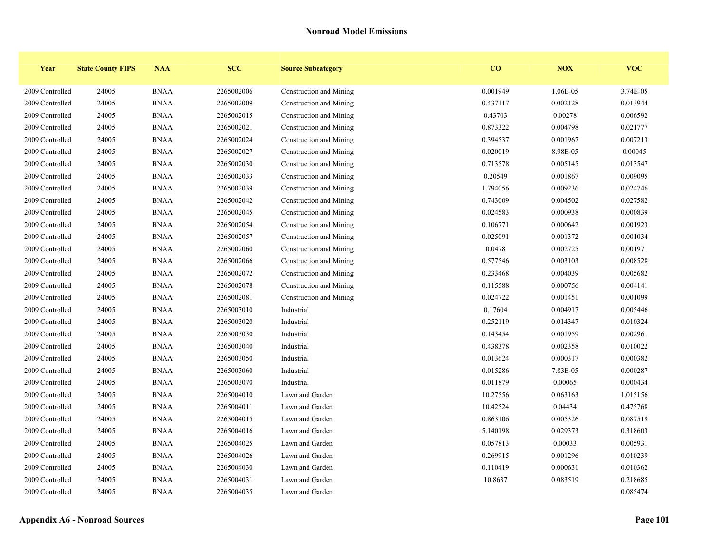| Year            | <b>State County FIPS</b> | <b>NAA</b>  | <b>SCC</b> | <b>Source Subcategory</b> | $\bf{CO}$ | <b>NOX</b> | <b>VOC</b> |
|-----------------|--------------------------|-------------|------------|---------------------------|-----------|------------|------------|
| 2009 Controlled | 24005                    | <b>BNAA</b> | 2265002006 | Construction and Mining   | 0.001949  | 1.06E-05   | 3.74E-05   |
| 2009 Controlled | 24005                    | <b>BNAA</b> | 2265002009 | Construction and Mining   | 0.437117  | 0.002128   | 0.013944   |
| 2009 Controlled | 24005                    | <b>BNAA</b> | 2265002015 | Construction and Mining   | 0.43703   | 0.00278    | 0.006592   |
| 2009 Controlled | 24005                    | <b>BNAA</b> | 2265002021 | Construction and Mining   | 0.873322  | 0.004798   | 0.021777   |
| 2009 Controlled | 24005                    | <b>BNAA</b> | 2265002024 | Construction and Mining   | 0.394537  | 0.001967   | 0.007213   |
| 2009 Controlled | 24005                    | <b>BNAA</b> | 2265002027 | Construction and Mining   | 0.020019  | 8.98E-05   | 0.00045    |
| 2009 Controlled | 24005                    | <b>BNAA</b> | 2265002030 | Construction and Mining   | 0.713578  | 0.005145   | 0.013547   |
| 2009 Controlled | 24005                    | <b>BNAA</b> | 2265002033 | Construction and Mining   | 0.20549   | 0.001867   | 0.009095   |
| 2009 Controlled | 24005                    | <b>BNAA</b> | 2265002039 | Construction and Mining   | 1.794056  | 0.009236   | 0.024746   |
| 2009 Controlled | 24005                    | <b>BNAA</b> | 2265002042 | Construction and Mining   | 0.743009  | 0.004502   | 0.027582   |
| 2009 Controlled | 24005                    | <b>BNAA</b> | 2265002045 | Construction and Mining   | 0.024583  | 0.000938   | 0.000839   |
| 2009 Controlled | 24005                    | <b>BNAA</b> | 2265002054 | Construction and Mining   | 0.106771  | 0.000642   | 0.001923   |
| 2009 Controlled | 24005                    | <b>BNAA</b> | 2265002057 | Construction and Mining   | 0.025091  | 0.001372   | 0.001034   |
| 2009 Controlled | 24005                    | <b>BNAA</b> | 2265002060 | Construction and Mining   | 0.0478    | 0.002725   | 0.001971   |
| 2009 Controlled | 24005                    | <b>BNAA</b> | 2265002066 | Construction and Mining   | 0.577546  | 0.003103   | 0.008528   |
| 2009 Controlled | 24005                    | <b>BNAA</b> | 2265002072 | Construction and Mining   | 0.233468  | 0.004039   | 0.005682   |
| 2009 Controlled | 24005                    | <b>BNAA</b> | 2265002078 | Construction and Mining   | 0.115588  | 0.000756   | 0.004141   |
| 2009 Controlled | 24005                    | <b>BNAA</b> | 2265002081 | Construction and Mining   | 0.024722  | 0.001451   | 0.001099   |
| 2009 Controlled | 24005                    | <b>BNAA</b> | 2265003010 | Industrial                | 0.17604   | 0.004917   | 0.005446   |
| 2009 Controlled | 24005                    | <b>BNAA</b> | 2265003020 | Industrial                | 0.252119  | 0.014347   | 0.010324   |
| 2009 Controlled | 24005                    | <b>BNAA</b> | 2265003030 | Industrial                | 0.143454  | 0.001959   | 0.002961   |
| 2009 Controlled | 24005                    | <b>BNAA</b> | 2265003040 | Industrial                | 0.438378  | 0.002358   | 0.010022   |
| 2009 Controlled | 24005                    | <b>BNAA</b> | 2265003050 | Industrial                | 0.013624  | 0.000317   | 0.000382   |
| 2009 Controlled | 24005                    | <b>BNAA</b> | 2265003060 | Industrial                | 0.015286  | 7.83E-05   | 0.000287   |
| 2009 Controlled | 24005                    | <b>BNAA</b> | 2265003070 | Industrial                | 0.011879  | 0.00065    | 0.000434   |
| 2009 Controlled | 24005                    | <b>BNAA</b> | 2265004010 | Lawn and Garden           | 10.27556  | 0.063163   | 1.015156   |
| 2009 Controlled | 24005                    | <b>BNAA</b> | 2265004011 | Lawn and Garden           | 10.42524  | 0.04434    | 0.475768   |
| 2009 Controlled | 24005                    | <b>BNAA</b> | 2265004015 | Lawn and Garden           | 0.863106  | 0.005326   | 0.087519   |
| 2009 Controlled | 24005                    | <b>BNAA</b> | 2265004016 | Lawn and Garden           | 5.140198  | 0.029373   | 0.318603   |
| 2009 Controlled | 24005                    | <b>BNAA</b> | 2265004025 | Lawn and Garden           | 0.057813  | 0.00033    | 0.005931   |
| 2009 Controlled | 24005                    | <b>BNAA</b> | 2265004026 | Lawn and Garden           | 0.269915  | 0.001296   | 0.010239   |
| 2009 Controlled | 24005                    | <b>BNAA</b> | 2265004030 | Lawn and Garden           | 0.110419  | 0.000631   | 0.010362   |
| 2009 Controlled | 24005                    | <b>BNAA</b> | 2265004031 | Lawn and Garden           | 10.8637   | 0.083519   | 0.218685   |
| 2009 Controlled | 24005                    | <b>BNAA</b> | 2265004035 | Lawn and Garden           |           |            | 0.085474   |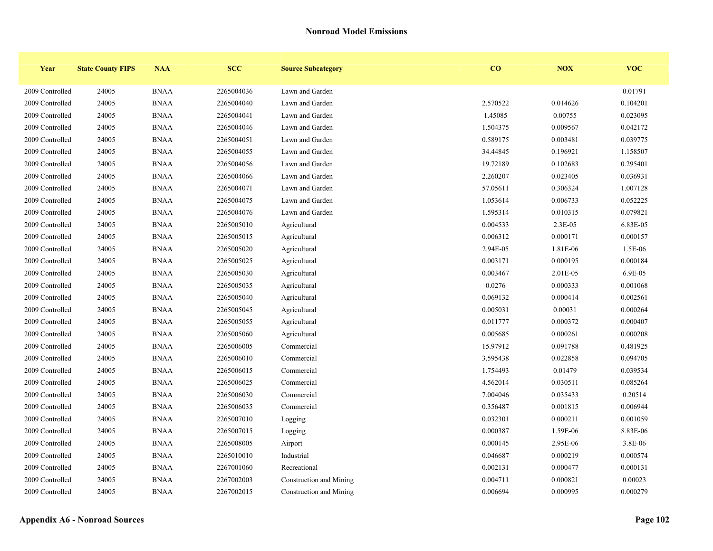| Year            | <b>State County FIPS</b> | <b>NAA</b>  | <b>SCC</b> | <b>Source Subcategory</b> | $\bf{CO}$ | <b>NOX</b> | <b>VOC</b> |
|-----------------|--------------------------|-------------|------------|---------------------------|-----------|------------|------------|
| 2009 Controlled | 24005                    | <b>BNAA</b> | 2265004036 | Lawn and Garden           |           |            | 0.01791    |
| 2009 Controlled | 24005                    | <b>BNAA</b> | 2265004040 | Lawn and Garden           | 2.570522  | 0.014626   | 0.104201   |
| 2009 Controlled | 24005                    | <b>BNAA</b> | 2265004041 | Lawn and Garden           | 1.45085   | 0.00755    | 0.023095   |
| 2009 Controlled | 24005                    | <b>BNAA</b> | 2265004046 | Lawn and Garden           | 1.504375  | 0.009567   | 0.042172   |
| 2009 Controlled | 24005                    | <b>BNAA</b> | 2265004051 | Lawn and Garden           | 0.589175  | 0.003481   | 0.039775   |
| 2009 Controlled | 24005                    | <b>BNAA</b> | 2265004055 | Lawn and Garden           | 34.44845  | 0.196921   | 1.158507   |
| 2009 Controlled | 24005                    | <b>BNAA</b> | 2265004056 | Lawn and Garden           | 19.72189  | 0.102683   | 0.295401   |
| 2009 Controlled | 24005                    | <b>BNAA</b> | 2265004066 | Lawn and Garden           | 2.260207  | 0.023405   | 0.036931   |
| 2009 Controlled | 24005                    | <b>BNAA</b> | 2265004071 | Lawn and Garden           | 57.05611  | 0.306324   | 1.007128   |
| 2009 Controlled | 24005                    | <b>BNAA</b> | 2265004075 | Lawn and Garden           | 1.053614  | 0.006733   | 0.052225   |
| 2009 Controlled | 24005                    | <b>BNAA</b> | 2265004076 | Lawn and Garden           | 1.595314  | 0.010315   | 0.079821   |
| 2009 Controlled | 24005                    | <b>BNAA</b> | 2265005010 | Agricultural              | 0.004533  | $2.3E-05$  | 6.83E-05   |
| 2009 Controlled | 24005                    | <b>BNAA</b> | 2265005015 | Agricultural              | 0.006312  | 0.000171   | 0.000157   |
| 2009 Controlled | 24005                    | <b>BNAA</b> | 2265005020 | Agricultural              | 2.94E-05  | 1.81E-06   | 1.5E-06    |
| 2009 Controlled | 24005                    | <b>BNAA</b> | 2265005025 | Agricultural              | 0.003171  | 0.000195   | 0.000184   |
| 2009 Controlled | 24005                    | <b>BNAA</b> | 2265005030 | Agricultural              | 0.003467  | 2.01E-05   | 6.9E-05    |
| 2009 Controlled | 24005                    | <b>BNAA</b> | 2265005035 | Agricultural              | 0.0276    | 0.000333   | 0.001068   |
| 2009 Controlled | 24005                    | <b>BNAA</b> | 2265005040 | Agricultural              | 0.069132  | 0.000414   | 0.002561   |
| 2009 Controlled | 24005                    | <b>BNAA</b> | 2265005045 | Agricultural              | 0.005031  | 0.00031    | 0.000264   |
| 2009 Controlled | 24005                    | <b>BNAA</b> | 2265005055 | Agricultural              | 0.011777  | 0.000372   | 0.000407   |
| 2009 Controlled | 24005                    | <b>BNAA</b> | 2265005060 | Agricultural              | 0.005685  | 0.000261   | 0.000208   |
| 2009 Controlled | 24005                    | <b>BNAA</b> | 2265006005 | Commercial                | 15.97912  | 0.091788   | 0.481925   |
| 2009 Controlled | 24005                    | <b>BNAA</b> | 2265006010 | Commercial                | 3.595438  | 0.022858   | 0.094705   |
| 2009 Controlled | 24005                    | <b>BNAA</b> | 2265006015 | Commercial                | 1.754493  | 0.01479    | 0.039534   |
| 2009 Controlled | 24005                    | <b>BNAA</b> | 2265006025 | Commercial                | 4.562014  | 0.030511   | 0.085264   |
| 2009 Controlled | 24005                    | <b>BNAA</b> | 2265006030 | Commercial                | 7.004046  | 0.035433   | 0.20514    |
| 2009 Controlled | 24005                    | <b>BNAA</b> | 2265006035 | Commercial                | 0.356487  | 0.001815   | 0.006944   |
| 2009 Controlled | 24005                    | <b>BNAA</b> | 2265007010 | Logging                   | 0.032301  | 0.000211   | 0.001059   |
| 2009 Controlled | 24005                    | <b>BNAA</b> | 2265007015 | Logging                   | 0.000387  | 1.59E-06   | 8.83E-06   |
| 2009 Controlled | 24005                    | <b>BNAA</b> | 2265008005 | Airport                   | 0.000145  | 2.95E-06   | 3.8E-06    |
| 2009 Controlled | 24005                    | <b>BNAA</b> | 2265010010 | Industrial                | 0.046687  | 0.000219   | 0.000574   |
| 2009 Controlled | 24005                    | <b>BNAA</b> | 2267001060 | Recreational              | 0.002131  | 0.000477   | 0.000131   |
| 2009 Controlled | 24005                    | <b>BNAA</b> | 2267002003 | Construction and Mining   | 0.004711  | 0.000821   | 0.00023    |
| 2009 Controlled | 24005                    | <b>BNAA</b> | 2267002015 | Construction and Mining   | 0.006694  | 0.000995   | 0.000279   |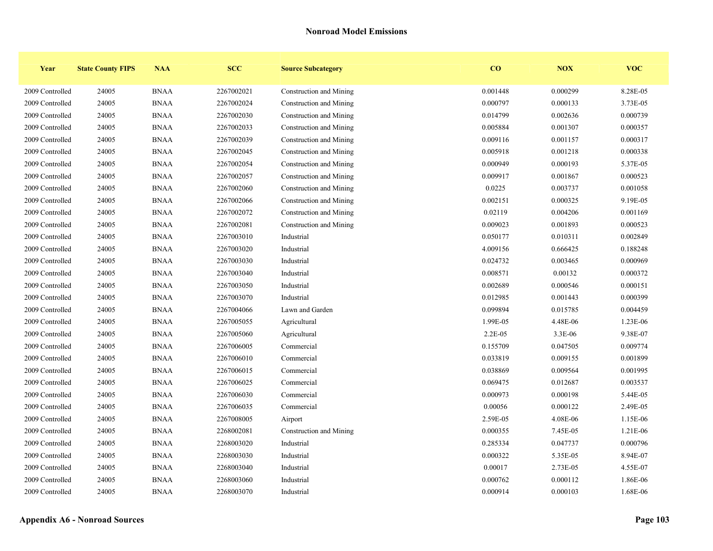| Year            | <b>State County FIPS</b> | <b>NAA</b>  | <b>SCC</b> | <b>Source Subcategory</b> | CO       | NOX      | <b>VOC</b> |
|-----------------|--------------------------|-------------|------------|---------------------------|----------|----------|------------|
| 2009 Controlled | 24005                    | <b>BNAA</b> | 2267002021 | Construction and Mining   | 0.001448 | 0.000299 | 8.28E-05   |
| 2009 Controlled | 24005                    | <b>BNAA</b> | 2267002024 | Construction and Mining   | 0.000797 | 0.000133 | 3.73E-05   |
| 2009 Controlled | 24005                    | <b>BNAA</b> | 2267002030 | Construction and Mining   | 0.014799 | 0.002636 | 0.000739   |
| 2009 Controlled | 24005                    | <b>BNAA</b> | 2267002033 | Construction and Mining   | 0.005884 | 0.001307 | 0.000357   |
| 2009 Controlled | 24005                    | <b>BNAA</b> | 2267002039 | Construction and Mining   | 0.009116 | 0.001157 | 0.000317   |
| 2009 Controlled | 24005                    | <b>BNAA</b> | 2267002045 | Construction and Mining   | 0.005918 | 0.001218 | 0.000338   |
| 2009 Controlled | 24005                    | <b>BNAA</b> | 2267002054 | Construction and Mining   | 0.000949 | 0.000193 | 5.37E-05   |
| 2009 Controlled | 24005                    | <b>BNAA</b> | 2267002057 | Construction and Mining   | 0.009917 | 0.001867 | 0.000523   |
| 2009 Controlled | 24005                    | <b>BNAA</b> | 2267002060 | Construction and Mining   | 0.0225   | 0.003737 | 0.001058   |
| 2009 Controlled | 24005                    | <b>BNAA</b> | 2267002066 | Construction and Mining   | 0.002151 | 0.000325 | 9.19E-05   |
| 2009 Controlled | 24005                    | <b>BNAA</b> | 2267002072 | Construction and Mining   | 0.02119  | 0.004206 | 0.001169   |
| 2009 Controlled | 24005                    | <b>BNAA</b> | 2267002081 | Construction and Mining   | 0.009023 | 0.001893 | 0.000523   |
| 2009 Controlled | 24005                    | <b>BNAA</b> | 2267003010 | Industrial                | 0.050177 | 0.010311 | 0.002849   |
| 2009 Controlled | 24005                    | <b>BNAA</b> | 2267003020 | Industrial                | 4.009156 | 0.666425 | 0.188248   |
| 2009 Controlled | 24005                    | <b>BNAA</b> | 2267003030 | Industrial                | 0.024732 | 0.003465 | 0.000969   |
| 2009 Controlled | 24005                    | <b>BNAA</b> | 2267003040 | Industrial                | 0.008571 | 0.00132  | 0.000372   |
| 2009 Controlled | 24005                    | <b>BNAA</b> | 2267003050 | Industrial                | 0.002689 | 0.000546 | 0.000151   |
| 2009 Controlled | 24005                    | <b>BNAA</b> | 2267003070 | Industrial                | 0.012985 | 0.001443 | 0.000399   |
| 2009 Controlled | 24005                    | <b>BNAA</b> | 2267004066 | Lawn and Garden           | 0.099894 | 0.015785 | 0.004459   |
| 2009 Controlled | 24005                    | <b>BNAA</b> | 2267005055 | Agricultural              | 1.99E-05 | 4.48E-06 | 1.23E-06   |
| 2009 Controlled | 24005                    | <b>BNAA</b> | 2267005060 | Agricultural              | 2.2E-05  | 3.3E-06  | 9.38E-07   |
| 2009 Controlled | 24005                    | <b>BNAA</b> | 2267006005 | Commercial                | 0.155709 | 0.047505 | 0.009774   |
| 2009 Controlled | 24005                    | <b>BNAA</b> | 2267006010 | Commercial                | 0.033819 | 0.009155 | 0.001899   |
| 2009 Controlled | 24005                    | <b>BNAA</b> | 2267006015 | Commercial                | 0.038869 | 0.009564 | 0.001995   |
| 2009 Controlled | 24005                    | <b>BNAA</b> | 2267006025 | Commercial                | 0.069475 | 0.012687 | 0.003537   |
| 2009 Controlled | 24005                    | <b>BNAA</b> | 2267006030 | Commercial                | 0.000973 | 0.000198 | 5.44E-05   |
| 2009 Controlled | 24005                    | <b>BNAA</b> | 2267006035 | Commercial                | 0.00056  | 0.000122 | 2.49E-05   |
| 2009 Controlled | 24005                    | <b>BNAA</b> | 2267008005 | Airport                   | 2.59E-05 | 4.08E-06 | 1.15E-06   |
| 2009 Controlled | 24005                    | <b>BNAA</b> | 2268002081 | Construction and Mining   | 0.000355 | 7.45E-05 | 1.21E-06   |
| 2009 Controlled | 24005                    | <b>BNAA</b> | 2268003020 | Industrial                | 0.285334 | 0.047737 | 0.000796   |
| 2009 Controlled | 24005                    | <b>BNAA</b> | 2268003030 | Industrial                | 0.000322 | 5.35E-05 | 8.94E-07   |
| 2009 Controlled | 24005                    | <b>BNAA</b> | 2268003040 | Industrial                | 0.00017  | 2.73E-05 | 4.55E-07   |
| 2009 Controlled | 24005                    | <b>BNAA</b> | 2268003060 | Industrial                | 0.000762 | 0.000112 | 1.86E-06   |
| 2009 Controlled | 24005                    | <b>BNAA</b> | 2268003070 | Industrial                | 0.000914 | 0.000103 | 1.68E-06   |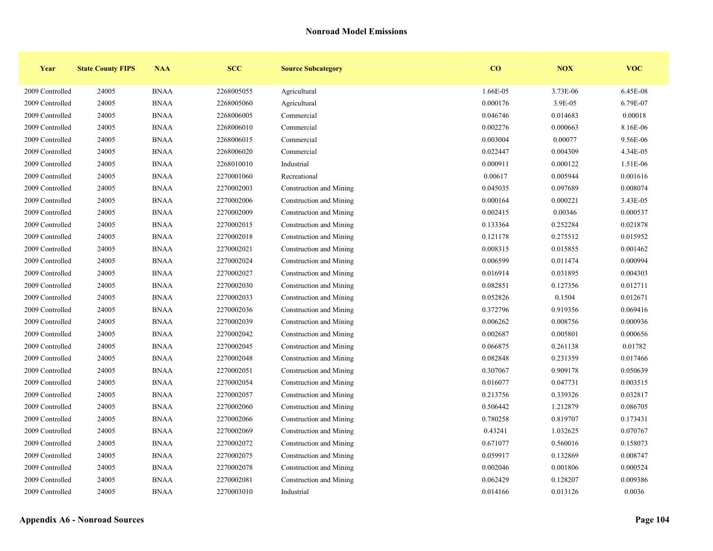| Year            | <b>State County FIPS</b> | <b>NAA</b>  | <b>SCC</b> | <b>Source Subcategory</b> | CO       | <b>NOX</b> | <b>VOC</b> |
|-----------------|--------------------------|-------------|------------|---------------------------|----------|------------|------------|
| 2009 Controlled | 24005                    | <b>BNAA</b> | 2268005055 | Agricultural              | 1.66E-05 | 3.73E-06   | 6.45E-08   |
| 2009 Controlled | 24005                    | <b>BNAA</b> | 2268005060 | Agricultural              | 0.000176 | 3.9E-05    | 6.79E-07   |
| 2009 Controlled | 24005                    | <b>BNAA</b> | 2268006005 | Commercial                | 0.046746 | 0.014683   | 0.00018    |
| 2009 Controlled | 24005                    | <b>BNAA</b> | 2268006010 | Commercial                | 0.002276 | 0.000663   | 8.16E-06   |
| 2009 Controlled | 24005                    | <b>BNAA</b> | 2268006015 | Commercial                | 0.003004 | 0.00077    | 9.56E-06   |
| 2009 Controlled | 24005                    | <b>BNAA</b> | 2268006020 | Commercial                | 0.022447 | 0.004309   | 4.34E-05   |
| 2009 Controlled | 24005                    | <b>BNAA</b> | 2268010010 | Industrial                | 0.000911 | 0.000122   | 1.51E-06   |
| 2009 Controlled | 24005                    | <b>BNAA</b> | 2270001060 | Recreational              | 0.00617  | 0.005944   | 0.001616   |
| 2009 Controlled | 24005                    | <b>BNAA</b> | 2270002003 | Construction and Mining   | 0.045035 | 0.097689   | 0.008074   |
| 2009 Controlled | 24005                    | <b>BNAA</b> | 2270002006 | Construction and Mining   | 0.000164 | 0.000221   | 3.43E-05   |
| 2009 Controlled | 24005                    | <b>BNAA</b> | 2270002009 | Construction and Mining   | 0.002415 | 0.00346    | 0.000537   |
| 2009 Controlled | 24005                    | <b>BNAA</b> | 2270002015 | Construction and Mining   | 0.133364 | 0.252284   | 0.021878   |
| 2009 Controlled | 24005                    | <b>BNAA</b> | 2270002018 | Construction and Mining   | 0.121178 | 0.275512   | 0.015952   |
| 2009 Controlled | 24005                    | <b>BNAA</b> | 2270002021 | Construction and Mining   | 0.008315 | 0.015855   | 0.001462   |
| 2009 Controlled | 24005                    | <b>BNAA</b> | 2270002024 | Construction and Mining   | 0.006599 | 0.011474   | 0.000994   |
| 2009 Controlled | 24005                    | <b>BNAA</b> | 2270002027 | Construction and Mining   | 0.016914 | 0.031895   | 0.004303   |
| 2009 Controlled | 24005                    | <b>BNAA</b> | 2270002030 | Construction and Mining   | 0.082851 | 0.127356   | 0.012711   |
| 2009 Controlled | 24005                    | <b>BNAA</b> | 2270002033 | Construction and Mining   | 0.052826 | 0.1504     | 0.012671   |
| 2009 Controlled | 24005                    | <b>BNAA</b> | 2270002036 | Construction and Mining   | 0.372796 | 0.919356   | 0.069416   |
| 2009 Controlled | 24005                    | <b>BNAA</b> | 2270002039 | Construction and Mining   | 0.006262 | 0.008756   | 0.000936   |
| 2009 Controlled | 24005                    | <b>BNAA</b> | 2270002042 | Construction and Mining   | 0.002687 | 0.005801   | 0.000656   |
| 2009 Controlled | 24005                    | <b>BNAA</b> | 2270002045 | Construction and Mining   | 0.066875 | 0.261138   | 0.01782    |
| 2009 Controlled | 24005                    | <b>BNAA</b> | 2270002048 | Construction and Mining   | 0.082848 | 0.231359   | 0.017466   |
| 2009 Controlled | 24005                    | <b>BNAA</b> | 2270002051 | Construction and Mining   | 0.307067 | 0.909178   | 0.050639   |
| 2009 Controlled | 24005                    | <b>BNAA</b> | 2270002054 | Construction and Mining   | 0.016077 | 0.047731   | 0.003515   |
| 2009 Controlled | 24005                    | <b>BNAA</b> | 2270002057 | Construction and Mining   | 0.213756 | 0.339326   | 0.032817   |
| 2009 Controlled | 24005                    | <b>BNAA</b> | 2270002060 | Construction and Mining   | 0.506442 | 1.212879   | 0.086705   |
| 2009 Controlled | 24005                    | <b>BNAA</b> | 2270002066 | Construction and Mining   | 0.780258 | 0.819707   | 0.173431   |
| 2009 Controlled | 24005                    | <b>BNAA</b> | 2270002069 | Construction and Mining   | 0.43241  | 1.032625   | 0.070767   |
| 2009 Controlled | 24005                    | <b>BNAA</b> | 2270002072 | Construction and Mining   | 0.671077 | 0.560016   | 0.158073   |
| 2009 Controlled | 24005                    | <b>BNAA</b> | 2270002075 | Construction and Mining   | 0.059917 | 0.132869   | 0.008747   |
| 2009 Controlled | 24005                    | <b>BNAA</b> | 2270002078 | Construction and Mining   | 0.002046 | 0.001806   | 0.000524   |
| 2009 Controlled | 24005                    | <b>BNAA</b> | 2270002081 | Construction and Mining   | 0.062429 | 0.128207   | 0.009386   |
| 2009 Controlled | 24005                    | <b>BNAA</b> | 2270003010 | Industrial                | 0.014166 | 0.013126   | 0.0036     |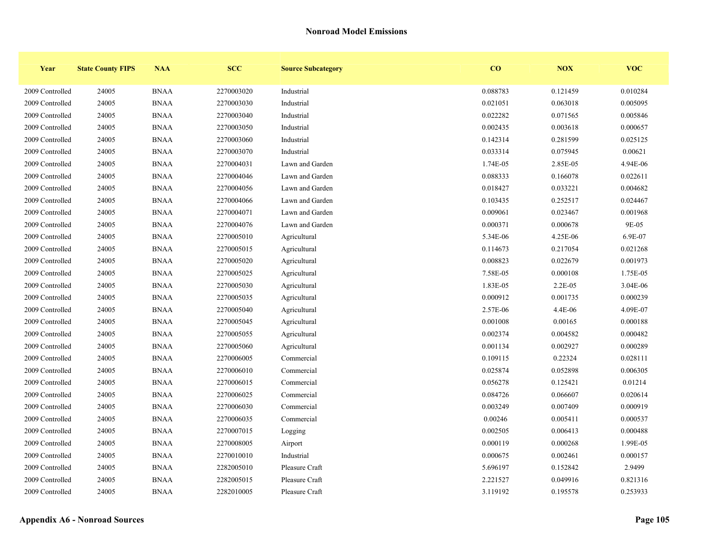| Year            | <b>State County FIPS</b> | <b>NAA</b>  | <b>SCC</b> | <b>Source Subcategory</b> | CO       | <b>NOX</b> | <b>VOC</b> |
|-----------------|--------------------------|-------------|------------|---------------------------|----------|------------|------------|
| 2009 Controlled | 24005                    | <b>BNAA</b> | 2270003020 | Industrial                | 0.088783 | 0.121459   | 0.010284   |
| 2009 Controlled | 24005                    | <b>BNAA</b> | 2270003030 | Industrial                | 0.021051 | 0.063018   | 0.005095   |
| 2009 Controlled | 24005                    | <b>BNAA</b> | 2270003040 | Industrial                | 0.022282 | 0.071565   | 0.005846   |
| 2009 Controlled | 24005                    | <b>BNAA</b> | 2270003050 | Industrial                | 0.002435 | 0.003618   | 0.000657   |
| 2009 Controlled | 24005                    | <b>BNAA</b> | 2270003060 | Industrial                | 0.142314 | 0.281599   | 0.025125   |
| 2009 Controlled | 24005                    | <b>BNAA</b> | 2270003070 | Industrial                | 0.033314 | 0.075945   | 0.00621    |
| 2009 Controlled | 24005                    | <b>BNAA</b> | 2270004031 | Lawn and Garden           | 1.74E-05 | 2.85E-05   | 4.94E-06   |
| 2009 Controlled | 24005                    | <b>BNAA</b> | 2270004046 | Lawn and Garden           | 0.088333 | 0.166078   | 0.022611   |
| 2009 Controlled | 24005                    | <b>BNAA</b> | 2270004056 | Lawn and Garden           | 0.018427 | 0.033221   | 0.004682   |
| 2009 Controlled | 24005                    | <b>BNAA</b> | 2270004066 | Lawn and Garden           | 0.103435 | 0.252517   | 0.024467   |
| 2009 Controlled | 24005                    | <b>BNAA</b> | 2270004071 | Lawn and Garden           | 0.009061 | 0.023467   | 0.001968   |
| 2009 Controlled | 24005                    | <b>BNAA</b> | 2270004076 | Lawn and Garden           | 0.000371 | 0.000678   | 9E-05      |
| 2009 Controlled | 24005                    | <b>BNAA</b> | 2270005010 | Agricultural              | 5.34E-06 | 4.25E-06   | 6.9E-07    |
| 2009 Controlled | 24005                    | <b>BNAA</b> | 2270005015 | Agricultural              | 0.114673 | 0.217054   | 0.021268   |
| 2009 Controlled | 24005                    | <b>BNAA</b> | 2270005020 | Agricultural              | 0.008823 | 0.022679   | 0.001973   |
| 2009 Controlled | 24005                    | <b>BNAA</b> | 2270005025 | Agricultural              | 7.58E-05 | 0.000108   | 1.75E-05   |
| 2009 Controlled | 24005                    | <b>BNAA</b> | 2270005030 | Agricultural              | 1.83E-05 | 2.2E-05    | 3.04E-06   |
| 2009 Controlled | 24005                    | <b>BNAA</b> | 2270005035 | Agricultural              | 0.000912 | 0.001735   | 0.000239   |
| 2009 Controlled | 24005                    | <b>BNAA</b> | 2270005040 | Agricultural              | 2.57E-06 | 4.4E-06    | 4.09E-07   |
| 2009 Controlled | 24005                    | <b>BNAA</b> | 2270005045 | Agricultural              | 0.001008 | 0.00165    | 0.000188   |
| 2009 Controlled | 24005                    | <b>BNAA</b> | 2270005055 | Agricultural              | 0.002374 | 0.004582   | 0.000482   |
| 2009 Controlled | 24005                    | <b>BNAA</b> | 2270005060 | Agricultural              | 0.001134 | 0.002927   | 0.000289   |
| 2009 Controlled | 24005                    | <b>BNAA</b> | 2270006005 | Commercial                | 0.109115 | 0.22324    | 0.028111   |
| 2009 Controlled | 24005                    | <b>BNAA</b> | 2270006010 | Commercial                | 0.025874 | 0.052898   | 0.006305   |
| 2009 Controlled | 24005                    | <b>BNAA</b> | 2270006015 | Commercial                | 0.056278 | 0.125421   | 0.01214    |
| 2009 Controlled | 24005                    | <b>BNAA</b> | 2270006025 | Commercial                | 0.084726 | 0.066607   | 0.020614   |
| 2009 Controlled | 24005                    | <b>BNAA</b> | 2270006030 | Commercial                | 0.003249 | 0.007409   | 0.000919   |
| 2009 Controlled | 24005                    | <b>BNAA</b> | 2270006035 | Commercial                | 0.00246  | 0.005411   | 0.000537   |
| 2009 Controlled | 24005                    | <b>BNAA</b> | 2270007015 | Logging                   | 0.002505 | 0.006413   | 0.000488   |
| 2009 Controlled | 24005                    | <b>BNAA</b> | 2270008005 | Airport                   | 0.000119 | 0.000268   | 1.99E-05   |
| 2009 Controlled | 24005                    | <b>BNAA</b> | 2270010010 | Industrial                | 0.000675 | 0.002461   | 0.000157   |
| 2009 Controlled | 24005                    | <b>BNAA</b> | 2282005010 | Pleasure Craft            | 5.696197 | 0.152842   | 2.9499     |
| 2009 Controlled | 24005                    | <b>BNAA</b> | 2282005015 | Pleasure Craft            | 2.221527 | 0.049916   | 0.821316   |
| 2009 Controlled | 24005                    | <b>BNAA</b> | 2282010005 | Pleasure Craft            | 3.119192 | 0.195578   | 0.253933   |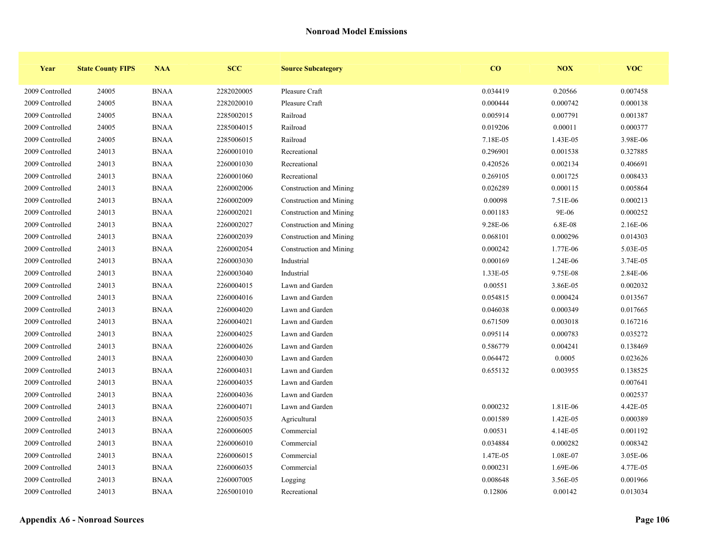| Year            | <b>State County FIPS</b> | <b>NAA</b>  | <b>SCC</b> | <b>Source Subcategory</b> | CO       | NOX      | <b>VOC</b> |
|-----------------|--------------------------|-------------|------------|---------------------------|----------|----------|------------|
| 2009 Controlled | 24005                    | <b>BNAA</b> | 2282020005 | Pleasure Craft            | 0.034419 | 0.20566  | 0.007458   |
| 2009 Controlled | 24005                    | <b>BNAA</b> | 2282020010 | Pleasure Craft            | 0.000444 | 0.000742 | 0.000138   |
| 2009 Controlled | 24005                    | <b>BNAA</b> | 2285002015 | Railroad                  | 0.005914 | 0.007791 | 0.001387   |
| 2009 Controlled | 24005                    | <b>BNAA</b> | 2285004015 | Railroad                  | 0.019206 | 0.00011  | 0.000377   |
| 2009 Controlled | 24005                    | <b>BNAA</b> | 2285006015 | Railroad                  | 7.18E-05 | 1.43E-05 | 3.98E-06   |
| 2009 Controlled | 24013                    | <b>BNAA</b> | 2260001010 | Recreational              | 0.296901 | 0.001538 | 0.327885   |
| 2009 Controlled | 24013                    | <b>BNAA</b> | 2260001030 | Recreational              | 0.420526 | 0.002134 | 0.406691   |
| 2009 Controlled | 24013                    | <b>BNAA</b> | 2260001060 | Recreational              | 0.269105 | 0.001725 | 0.008433   |
| 2009 Controlled | 24013                    | <b>BNAA</b> | 2260002006 | Construction and Mining   | 0.026289 | 0.000115 | 0.005864   |
| 2009 Controlled | 24013                    | <b>BNAA</b> | 2260002009 | Construction and Mining   | 0.00098  | 7.51E-06 | 0.000213   |
| 2009 Controlled | 24013                    | <b>BNAA</b> | 2260002021 | Construction and Mining   | 0.001183 | 9E-06    | 0.000252   |
| 2009 Controlled | 24013                    | <b>BNAA</b> | 2260002027 | Construction and Mining   | 9.28E-06 | 6.8E-08  | 2.16E-06   |
| 2009 Controlled | 24013                    | <b>BNAA</b> | 2260002039 | Construction and Mining   | 0.068101 | 0.000296 | 0.014303   |
| 2009 Controlled | 24013                    | <b>BNAA</b> | 2260002054 | Construction and Mining   | 0.000242 | 1.77E-06 | 5.03E-05   |
| 2009 Controlled | 24013                    | <b>BNAA</b> | 2260003030 | Industrial                | 0.000169 | 1.24E-06 | 3.74E-05   |
| 2009 Controlled | 24013                    | <b>BNAA</b> | 2260003040 | Industrial                | 1.33E-05 | 9.75E-08 | 2.84E-06   |
| 2009 Controlled | 24013                    | <b>BNAA</b> | 2260004015 | Lawn and Garden           | 0.00551  | 3.86E-05 | 0.002032   |
| 2009 Controlled | 24013                    | <b>BNAA</b> | 2260004016 | Lawn and Garden           | 0.054815 | 0.000424 | 0.013567   |
| 2009 Controlled | 24013                    | <b>BNAA</b> | 2260004020 | Lawn and Garden           | 0.046038 | 0.000349 | 0.017665   |
| 2009 Controlled | 24013                    | <b>BNAA</b> | 2260004021 | Lawn and Garden           | 0.671509 | 0.003018 | 0.167216   |
| 2009 Controlled | 24013                    | <b>BNAA</b> | 2260004025 | Lawn and Garden           | 0.095114 | 0.000783 | 0.035272   |
| 2009 Controlled | 24013                    | <b>BNAA</b> | 2260004026 | Lawn and Garden           | 0.586779 | 0.004241 | 0.138469   |
| 2009 Controlled | 24013                    | <b>BNAA</b> | 2260004030 | Lawn and Garden           | 0.064472 | 0.0005   | 0.023626   |
| 2009 Controlled | 24013                    | <b>BNAA</b> | 2260004031 | Lawn and Garden           | 0.655132 | 0.003955 | 0.138525   |
| 2009 Controlled | 24013                    | <b>BNAA</b> | 2260004035 | Lawn and Garden           |          |          | 0.007641   |
| 2009 Controlled | 24013                    | <b>BNAA</b> | 2260004036 | Lawn and Garden           |          |          | 0.002537   |
| 2009 Controlled | 24013                    | <b>BNAA</b> | 2260004071 | Lawn and Garden           | 0.000232 | 1.81E-06 | 4.42E-05   |
| 2009 Controlled | 24013                    | <b>BNAA</b> | 2260005035 | Agricultural              | 0.001589 | 1.42E-05 | 0.000389   |
| 2009 Controlled | 24013                    | <b>BNAA</b> | 2260006005 | Commercial                | 0.00531  | 4.14E-05 | 0.001192   |
| 2009 Controlled | 24013                    | <b>BNAA</b> | 2260006010 | Commercial                | 0.034884 | 0.000282 | 0.008342   |
| 2009 Controlled | 24013                    | <b>BNAA</b> | 2260006015 | Commercial                | 1.47E-05 | 1.08E-07 | 3.05E-06   |
| 2009 Controlled | 24013                    | <b>BNAA</b> | 2260006035 | Commercial                | 0.000231 | 1.69E-06 | 4.77E-05   |
| 2009 Controlled | 24013                    | <b>BNAA</b> | 2260007005 | Logging                   | 0.008648 | 3.56E-05 | 0.001966   |
| 2009 Controlled | 24013                    | <b>BNAA</b> | 2265001010 | Recreational              | 0.12806  | 0.00142  | 0.013034   |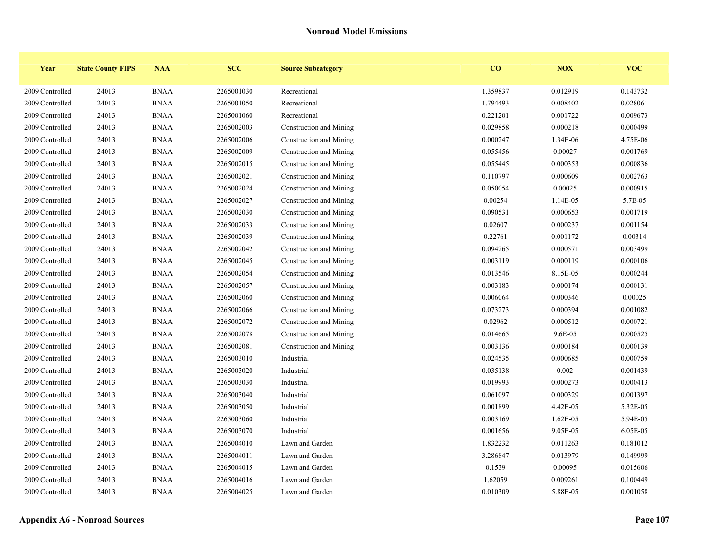| Year            | <b>State County FIPS</b> | <b>NAA</b>  | <b>SCC</b> | <b>Source Subcategory</b> | CO       | <b>NOX</b> | <b>VOC</b> |
|-----------------|--------------------------|-------------|------------|---------------------------|----------|------------|------------|
| 2009 Controlled | 24013                    | <b>BNAA</b> | 2265001030 | Recreational              | 1.359837 | 0.012919   | 0.143732   |
| 2009 Controlled | 24013                    | <b>BNAA</b> | 2265001050 | Recreational              | 1.794493 | 0.008402   | 0.028061   |
| 2009 Controlled | 24013                    | <b>BNAA</b> | 2265001060 | Recreational              | 0.221201 | 0.001722   | 0.009673   |
| 2009 Controlled | 24013                    | <b>BNAA</b> | 2265002003 | Construction and Mining   | 0.029858 | 0.000218   | 0.000499   |
| 2009 Controlled | 24013                    | <b>BNAA</b> | 2265002006 | Construction and Mining   | 0.000247 | 1.34E-06   | 4.75E-06   |
| 2009 Controlled | 24013                    | <b>BNAA</b> | 2265002009 | Construction and Mining   | 0.055456 | 0.00027    | 0.001769   |
| 2009 Controlled | 24013                    | <b>BNAA</b> | 2265002015 | Construction and Mining   | 0.055445 | 0.000353   | 0.000836   |
| 2009 Controlled | 24013                    | <b>BNAA</b> | 2265002021 | Construction and Mining   | 0.110797 | 0.000609   | 0.002763   |
| 2009 Controlled | 24013                    | <b>BNAA</b> | 2265002024 | Construction and Mining   | 0.050054 | 0.00025    | 0.000915   |
| 2009 Controlled | 24013                    | <b>BNAA</b> | 2265002027 | Construction and Mining   | 0.00254  | 1.14E-05   | 5.7E-05    |
| 2009 Controlled | 24013                    | <b>BNAA</b> | 2265002030 | Construction and Mining   | 0.090531 | 0.000653   | 0.001719   |
| 2009 Controlled | 24013                    | <b>BNAA</b> | 2265002033 | Construction and Mining   | 0.02607  | 0.000237   | 0.001154   |
| 2009 Controlled | 24013                    | <b>BNAA</b> | 2265002039 | Construction and Mining   | 0.22761  | 0.001172   | 0.00314    |
| 2009 Controlled | 24013                    | <b>BNAA</b> | 2265002042 | Construction and Mining   | 0.094265 | 0.000571   | 0.003499   |
| 2009 Controlled | 24013                    | <b>BNAA</b> | 2265002045 | Construction and Mining   | 0.003119 | 0.000119   | 0.000106   |
| 2009 Controlled | 24013                    | <b>BNAA</b> | 2265002054 | Construction and Mining   | 0.013546 | 8.15E-05   | 0.000244   |
| 2009 Controlled | 24013                    | <b>BNAA</b> | 2265002057 | Construction and Mining   | 0.003183 | 0.000174   | 0.000131   |
| 2009 Controlled | 24013                    | <b>BNAA</b> | 2265002060 | Construction and Mining   | 0.006064 | 0.000346   | 0.00025    |
| 2009 Controlled | 24013                    | <b>BNAA</b> | 2265002066 | Construction and Mining   | 0.073273 | 0.000394   | 0.001082   |
| 2009 Controlled | 24013                    | <b>BNAA</b> | 2265002072 | Construction and Mining   | 0.02962  | 0.000512   | 0.000721   |
| 2009 Controlled | 24013                    | <b>BNAA</b> | 2265002078 | Construction and Mining   | 0.014665 | 9.6E-05    | 0.000525   |
| 2009 Controlled | 24013                    | <b>BNAA</b> | 2265002081 | Construction and Mining   | 0.003136 | 0.000184   | 0.000139   |
| 2009 Controlled | 24013                    | <b>BNAA</b> | 2265003010 | Industrial                | 0.024535 | 0.000685   | 0.000759   |
| 2009 Controlled | 24013                    | <b>BNAA</b> | 2265003020 | Industrial                | 0.035138 | 0.002      | 0.001439   |
| 2009 Controlled | 24013                    | <b>BNAA</b> | 2265003030 | Industrial                | 0.019993 | 0.000273   | 0.000413   |
| 2009 Controlled | 24013                    | <b>BNAA</b> | 2265003040 | Industrial                | 0.061097 | 0.000329   | 0.001397   |
| 2009 Controlled | 24013                    | <b>BNAA</b> | 2265003050 | Industrial                | 0.001899 | 4.42E-05   | 5.32E-05   |
| 2009 Controlled | 24013                    | <b>BNAA</b> | 2265003060 | Industrial                | 0.003169 | 1.62E-05   | 5.94E-05   |
| 2009 Controlled | 24013                    | <b>BNAA</b> | 2265003070 | Industrial                | 0.001656 | 9.05E-05   | 6.05E-05   |
| 2009 Controlled | 24013                    | <b>BNAA</b> | 2265004010 | Lawn and Garden           | 1.832232 | 0.011263   | 0.181012   |
| 2009 Controlled | 24013                    | <b>BNAA</b> | 2265004011 | Lawn and Garden           | 3.286847 | 0.013979   | 0.149999   |
| 2009 Controlled | 24013                    | <b>BNAA</b> | 2265004015 | Lawn and Garden           | 0.1539   | 0.00095    | 0.015606   |
| 2009 Controlled | 24013                    | <b>BNAA</b> | 2265004016 | Lawn and Garden           | 1.62059  | 0.009261   | 0.100449   |
| 2009 Controlled | 24013                    | <b>BNAA</b> | 2265004025 | Lawn and Garden           | 0.010309 | 5.88E-05   | 0.001058   |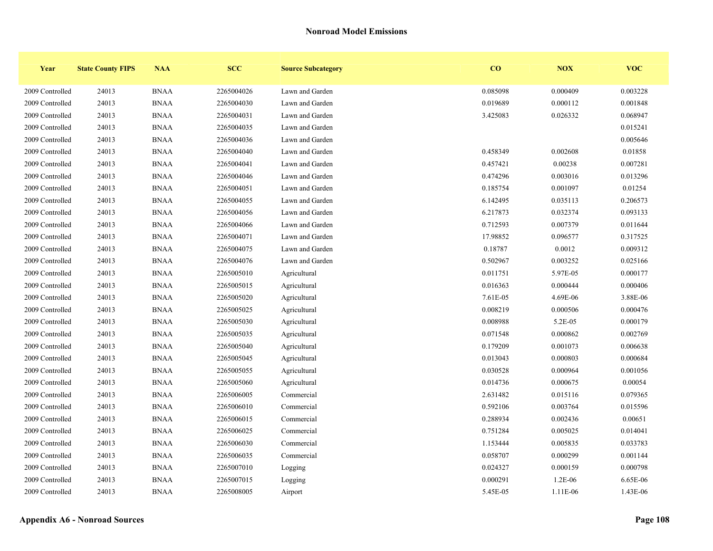| Year            | <b>State County FIPS</b> | <b>NAA</b>  | <b>SCC</b> | <b>Source Subcategory</b> | CO       | NOX       | <b>VOC</b> |
|-----------------|--------------------------|-------------|------------|---------------------------|----------|-----------|------------|
| 2009 Controlled | 24013                    | <b>BNAA</b> | 2265004026 | Lawn and Garden           | 0.085098 | 0.000409  | 0.003228   |
| 2009 Controlled | 24013                    | <b>BNAA</b> | 2265004030 | Lawn and Garden           | 0.019689 | 0.000112  | 0.001848   |
| 2009 Controlled | 24013                    | <b>BNAA</b> | 2265004031 | Lawn and Garden           | 3.425083 | 0.026332  | 0.068947   |
| 2009 Controlled | 24013                    | <b>BNAA</b> | 2265004035 | Lawn and Garden           |          |           | 0.015241   |
| 2009 Controlled | 24013                    | <b>BNAA</b> | 2265004036 | Lawn and Garden           |          |           | 0.005646   |
| 2009 Controlled | 24013                    | <b>BNAA</b> | 2265004040 | Lawn and Garden           | 0.458349 | 0.002608  | 0.01858    |
| 2009 Controlled | 24013                    | <b>BNAA</b> | 2265004041 | Lawn and Garden           | 0.457421 | 0.00238   | 0.007281   |
| 2009 Controlled | 24013                    | <b>BNAA</b> | 2265004046 | Lawn and Garden           | 0.474296 | 0.003016  | 0.013296   |
| 2009 Controlled | 24013                    | <b>BNAA</b> | 2265004051 | Lawn and Garden           | 0.185754 | 0.001097  | 0.01254    |
| 2009 Controlled | 24013                    | <b>BNAA</b> | 2265004055 | Lawn and Garden           | 6.142495 | 0.035113  | 0.206573   |
| 2009 Controlled | 24013                    | <b>BNAA</b> | 2265004056 | Lawn and Garden           | 6.217873 | 0.032374  | 0.093133   |
| 2009 Controlled | 24013                    | <b>BNAA</b> | 2265004066 | Lawn and Garden           | 0.712593 | 0.007379  | 0.011644   |
| 2009 Controlled | 24013                    | <b>BNAA</b> | 2265004071 | Lawn and Garden           | 17.98852 | 0.096577  | 0.317525   |
| 2009 Controlled | 24013                    | <b>BNAA</b> | 2265004075 | Lawn and Garden           | 0.18787  | 0.0012    | 0.009312   |
| 2009 Controlled | 24013                    | <b>BNAA</b> | 2265004076 | Lawn and Garden           | 0.502967 | 0.003252  | 0.025166   |
| 2009 Controlled | 24013                    | <b>BNAA</b> | 2265005010 | Agricultural              | 0.011751 | 5.97E-05  | 0.000177   |
| 2009 Controlled | 24013                    | <b>BNAA</b> | 2265005015 | Agricultural              | 0.016363 | 0.000444  | 0.000406   |
| 2009 Controlled | 24013                    | <b>BNAA</b> | 2265005020 | Agricultural              | 7.61E-05 | 4.69E-06  | 3.88E-06   |
| 2009 Controlled | 24013                    | <b>BNAA</b> | 2265005025 | Agricultural              | 0.008219 | 0.000506  | 0.000476   |
| 2009 Controlled | 24013                    | <b>BNAA</b> | 2265005030 | Agricultural              | 0.008988 | 5.2E-05   | 0.000179   |
| 2009 Controlled | 24013                    | <b>BNAA</b> | 2265005035 | Agricultural              | 0.071548 | 0.000862  | 0.002769   |
| 2009 Controlled | 24013                    | <b>BNAA</b> | 2265005040 | Agricultural              | 0.179209 | 0.001073  | 0.006638   |
| 2009 Controlled | 24013                    | <b>BNAA</b> | 2265005045 | Agricultural              | 0.013043 | 0.000803  | 0.000684   |
| 2009 Controlled | 24013                    | <b>BNAA</b> | 2265005055 | Agricultural              | 0.030528 | 0.000964  | 0.001056   |
| 2009 Controlled | 24013                    | <b>BNAA</b> | 2265005060 | Agricultural              | 0.014736 | 0.000675  | 0.00054    |
| 2009 Controlled | 24013                    | <b>BNAA</b> | 2265006005 | Commercial                | 2.631482 | 0.015116  | 0.079365   |
| 2009 Controlled | 24013                    | <b>BNAA</b> | 2265006010 | Commercial                | 0.592106 | 0.003764  | 0.015596   |
| 2009 Controlled | 24013                    | <b>BNAA</b> | 2265006015 | Commercial                | 0.288934 | 0.002436  | 0.00651    |
| 2009 Controlled | 24013                    | <b>BNAA</b> | 2265006025 | Commercial                | 0.751284 | 0.005025  | 0.014041   |
| 2009 Controlled | 24013                    | <b>BNAA</b> | 2265006030 | Commercial                | 1.153444 | 0.005835  | 0.033783   |
| 2009 Controlled | 24013                    | <b>BNAA</b> | 2265006035 | Commercial                | 0.058707 | 0.000299  | 0.001144   |
| 2009 Controlled | 24013                    | <b>BNAA</b> | 2265007010 | Logging                   | 0.024327 | 0.000159  | 0.000798   |
| 2009 Controlled | 24013                    | <b>BNAA</b> | 2265007015 | Logging                   | 0.000291 | $1.2E-06$ | 6.65E-06   |
| 2009 Controlled | 24013                    | <b>BNAA</b> | 2265008005 | Airport                   | 5.45E-05 | 1.11E-06  | 1.43E-06   |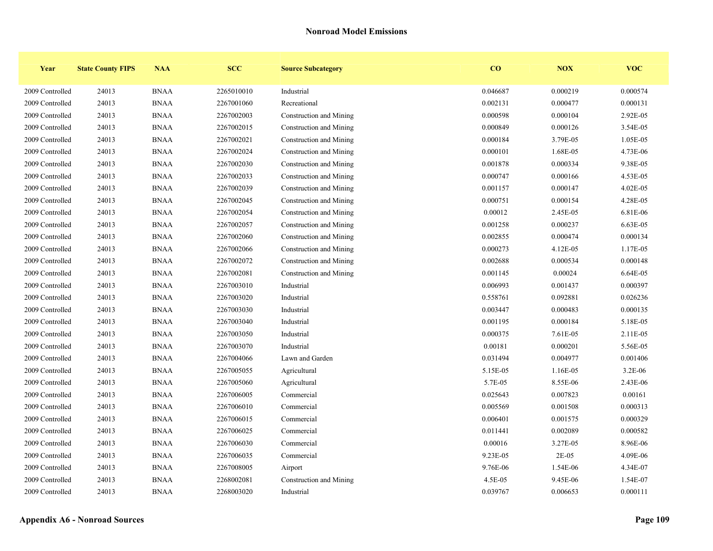| Year            | <b>State County FIPS</b> | <b>NAA</b>  | <b>SCC</b> | <b>Source Subcategory</b> | CO       | NOX      | <b>VOC</b> |
|-----------------|--------------------------|-------------|------------|---------------------------|----------|----------|------------|
| 2009 Controlled | 24013                    | <b>BNAA</b> | 2265010010 | Industrial                | 0.046687 | 0.000219 | 0.000574   |
| 2009 Controlled | 24013                    | <b>BNAA</b> | 2267001060 | Recreational              | 0.002131 | 0.000477 | 0.000131   |
| 2009 Controlled | 24013                    | <b>BNAA</b> | 2267002003 | Construction and Mining   | 0.000598 | 0.000104 | 2.92E-05   |
| 2009 Controlled | 24013                    | <b>BNAA</b> | 2267002015 | Construction and Mining   | 0.000849 | 0.000126 | 3.54E-05   |
| 2009 Controlled | 24013                    | <b>BNAA</b> | 2267002021 | Construction and Mining   | 0.000184 | 3.79E-05 | 1.05E-05   |
| 2009 Controlled | 24013                    | <b>BNAA</b> | 2267002024 | Construction and Mining   | 0.000101 | 1.68E-05 | 4.73E-06   |
| 2009 Controlled | 24013                    | <b>BNAA</b> | 2267002030 | Construction and Mining   | 0.001878 | 0.000334 | 9.38E-05   |
| 2009 Controlled | 24013                    | <b>BNAA</b> | 2267002033 | Construction and Mining   | 0.000747 | 0.000166 | 4.53E-05   |
| 2009 Controlled | 24013                    | <b>BNAA</b> | 2267002039 | Construction and Mining   | 0.001157 | 0.000147 | 4.02E-05   |
| 2009 Controlled | 24013                    | <b>BNAA</b> | 2267002045 | Construction and Mining   | 0.000751 | 0.000154 | 4.28E-05   |
| 2009 Controlled | 24013                    | <b>BNAA</b> | 2267002054 | Construction and Mining   | 0.00012  | 2.45E-05 | 6.81E-06   |
| 2009 Controlled | 24013                    | <b>BNAA</b> | 2267002057 | Construction and Mining   | 0.001258 | 0.000237 | 6.63E-05   |
| 2009 Controlled | 24013                    | <b>BNAA</b> | 2267002060 | Construction and Mining   | 0.002855 | 0.000474 | 0.000134   |
| 2009 Controlled | 24013                    | <b>BNAA</b> | 2267002066 | Construction and Mining   | 0.000273 | 4.12E-05 | 1.17E-05   |
| 2009 Controlled | 24013                    | <b>BNAA</b> | 2267002072 | Construction and Mining   | 0.002688 | 0.000534 | 0.000148   |
| 2009 Controlled | 24013                    | <b>BNAA</b> | 2267002081 | Construction and Mining   | 0.001145 | 0.00024  | 6.64E-05   |
| 2009 Controlled | 24013                    | <b>BNAA</b> | 2267003010 | Industrial                | 0.006993 | 0.001437 | 0.000397   |
| 2009 Controlled | 24013                    | <b>BNAA</b> | 2267003020 | Industrial                | 0.558761 | 0.092881 | 0.026236   |
| 2009 Controlled | 24013                    | <b>BNAA</b> | 2267003030 | Industrial                | 0.003447 | 0.000483 | 0.000135   |
| 2009 Controlled | 24013                    | <b>BNAA</b> | 2267003040 | Industrial                | 0.001195 | 0.000184 | 5.18E-05   |
| 2009 Controlled | 24013                    | <b>BNAA</b> | 2267003050 | Industrial                | 0.000375 | 7.61E-05 | 2.11E-05   |
| 2009 Controlled | 24013                    | <b>BNAA</b> | 2267003070 | Industrial                | 0.00181  | 0.000201 | 5.56E-05   |
| 2009 Controlled | 24013                    | <b>BNAA</b> | 2267004066 | Lawn and Garden           | 0.031494 | 0.004977 | 0.001406   |
| 2009 Controlled | 24013                    | <b>BNAA</b> | 2267005055 | Agricultural              | 5.15E-05 | 1.16E-05 | 3.2E-06    |
| 2009 Controlled | 24013                    | <b>BNAA</b> | 2267005060 | Agricultural              | 5.7E-05  | 8.55E-06 | 2.43E-06   |
| 2009 Controlled | 24013                    | <b>BNAA</b> | 2267006005 | Commercial                | 0.025643 | 0.007823 | 0.00161    |
| 2009 Controlled | 24013                    | <b>BNAA</b> | 2267006010 | Commercial                | 0.005569 | 0.001508 | 0.000313   |
| 2009 Controlled | 24013                    | <b>BNAA</b> | 2267006015 | Commercial                | 0.006401 | 0.001575 | 0.000329   |
| 2009 Controlled | 24013                    | <b>BNAA</b> | 2267006025 | Commercial                | 0.011441 | 0.002089 | 0.000582   |
| 2009 Controlled | 24013                    | <b>BNAA</b> | 2267006030 | Commercial                | 0.00016  | 3.27E-05 | 8.96E-06   |
| 2009 Controlled | 24013                    | <b>BNAA</b> | 2267006035 | Commercial                | 9.23E-05 | $2E-05$  | 4.09E-06   |
| 2009 Controlled | 24013                    | <b>BNAA</b> | 2267008005 | Airport                   | 9.76E-06 | 1.54E-06 | 4.34E-07   |
| 2009 Controlled | 24013                    | <b>BNAA</b> | 2268002081 | Construction and Mining   | 4.5E-05  | 9.45E-06 | 1.54E-07   |
| 2009 Controlled | 24013                    | <b>BNAA</b> | 2268003020 | Industrial                | 0.039767 | 0.006653 | 0.000111   |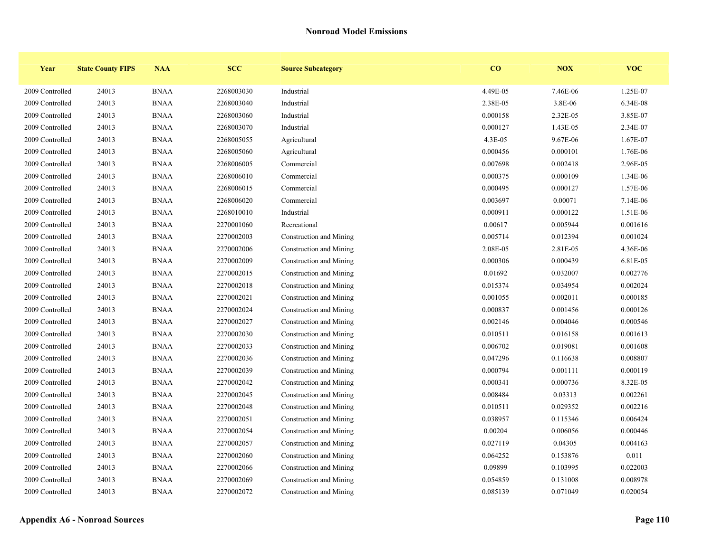| Year            | <b>State County FIPS</b> | <b>NAA</b>  | <b>SCC</b> | <b>Source Subcategory</b> | $\bf{CO}$ | NOX      | <b>VOC</b> |
|-----------------|--------------------------|-------------|------------|---------------------------|-----------|----------|------------|
| 2009 Controlled | 24013                    | <b>BNAA</b> | 2268003030 | Industrial                | 4.49E-05  | 7.46E-06 | 1.25E-07   |
| 2009 Controlled | 24013                    | <b>BNAA</b> | 2268003040 | Industrial                | 2.38E-05  | 3.8E-06  | 6.34E-08   |
| 2009 Controlled | 24013                    | <b>BNAA</b> | 2268003060 | Industrial                | 0.000158  | 2.32E-05 | 3.85E-07   |
| 2009 Controlled | 24013                    | <b>BNAA</b> | 2268003070 | Industrial                | 0.000127  | 1.43E-05 | 2.34E-07   |
| 2009 Controlled | 24013                    | <b>BNAA</b> | 2268005055 | Agricultural              | $4.3E-05$ | 9.67E-06 | 1.67E-07   |
| 2009 Controlled | 24013                    | <b>BNAA</b> | 2268005060 | Agricultural              | 0.000456  | 0.000101 | 1.76E-06   |
| 2009 Controlled | 24013                    | <b>BNAA</b> | 2268006005 | Commercial                | 0.007698  | 0.002418 | 2.96E-05   |
| 2009 Controlled | 24013                    | <b>BNAA</b> | 2268006010 | Commercial                | 0.000375  | 0.000109 | 1.34E-06   |
| 2009 Controlled | 24013                    | <b>BNAA</b> | 2268006015 | Commercial                | 0.000495  | 0.000127 | 1.57E-06   |
| 2009 Controlled | 24013                    | <b>BNAA</b> | 2268006020 | Commercial                | 0.003697  | 0.00071  | 7.14E-06   |
| 2009 Controlled | 24013                    | <b>BNAA</b> | 2268010010 | Industrial                | 0.000911  | 0.000122 | 1.51E-06   |
| 2009 Controlled | 24013                    | <b>BNAA</b> | 2270001060 | Recreational              | 0.00617   | 0.005944 | 0.001616   |
| 2009 Controlled | 24013                    | <b>BNAA</b> | 2270002003 | Construction and Mining   | 0.005714  | 0.012394 | 0.001024   |
| 2009 Controlled | 24013                    | <b>BNAA</b> | 2270002006 | Construction and Mining   | 2.08E-05  | 2.81E-05 | 4.36E-06   |
| 2009 Controlled | 24013                    | <b>BNAA</b> | 2270002009 | Construction and Mining   | 0.000306  | 0.000439 | 6.81E-05   |
| 2009 Controlled | 24013                    | <b>BNAA</b> | 2270002015 | Construction and Mining   | 0.01692   | 0.032007 | 0.002776   |
| 2009 Controlled | 24013                    | <b>BNAA</b> | 2270002018 | Construction and Mining   | 0.015374  | 0.034954 | 0.002024   |
| 2009 Controlled | 24013                    | <b>BNAA</b> | 2270002021 | Construction and Mining   | 0.001055  | 0.002011 | 0.000185   |
| 2009 Controlled | 24013                    | <b>BNAA</b> | 2270002024 | Construction and Mining   | 0.000837  | 0.001456 | 0.000126   |
| 2009 Controlled | 24013                    | <b>BNAA</b> | 2270002027 | Construction and Mining   | 0.002146  | 0.004046 | 0.000546   |
| 2009 Controlled | 24013                    | <b>BNAA</b> | 2270002030 | Construction and Mining   | 0.010511  | 0.016158 | 0.001613   |
| 2009 Controlled | 24013                    | <b>BNAA</b> | 2270002033 | Construction and Mining   | 0.006702  | 0.019081 | 0.001608   |
| 2009 Controlled | 24013                    | <b>BNAA</b> | 2270002036 | Construction and Mining   | 0.047296  | 0.116638 | 0.008807   |
| 2009 Controlled | 24013                    | <b>BNAA</b> | 2270002039 | Construction and Mining   | 0.000794  | 0.001111 | 0.000119   |
| 2009 Controlled | 24013                    | <b>BNAA</b> | 2270002042 | Construction and Mining   | 0.000341  | 0.000736 | 8.32E-05   |
| 2009 Controlled | 24013                    | <b>BNAA</b> | 2270002045 | Construction and Mining   | 0.008484  | 0.03313  | 0.002261   |
| 2009 Controlled | 24013                    | <b>BNAA</b> | 2270002048 | Construction and Mining   | 0.010511  | 0.029352 | 0.002216   |
| 2009 Controlled | 24013                    | <b>BNAA</b> | 2270002051 | Construction and Mining   | 0.038957  | 0.115346 | 0.006424   |
| 2009 Controlled | 24013                    | <b>BNAA</b> | 2270002054 | Construction and Mining   | 0.00204   | 0.006056 | 0.000446   |
| 2009 Controlled | 24013                    | <b>BNAA</b> | 2270002057 | Construction and Mining   | 0.027119  | 0.04305  | 0.004163   |
| 2009 Controlled | 24013                    | <b>BNAA</b> | 2270002060 | Construction and Mining   | 0.064252  | 0.153876 | 0.011      |
| 2009 Controlled | 24013                    | <b>BNAA</b> | 2270002066 | Construction and Mining   | 0.09899   | 0.103995 | 0.022003   |
| 2009 Controlled | 24013                    | <b>BNAA</b> | 2270002069 | Construction and Mining   | 0.054859  | 0.131008 | 0.008978   |
| 2009 Controlled | 24013                    | <b>BNAA</b> | 2270002072 | Construction and Mining   | 0.085139  | 0.071049 | 0.020054   |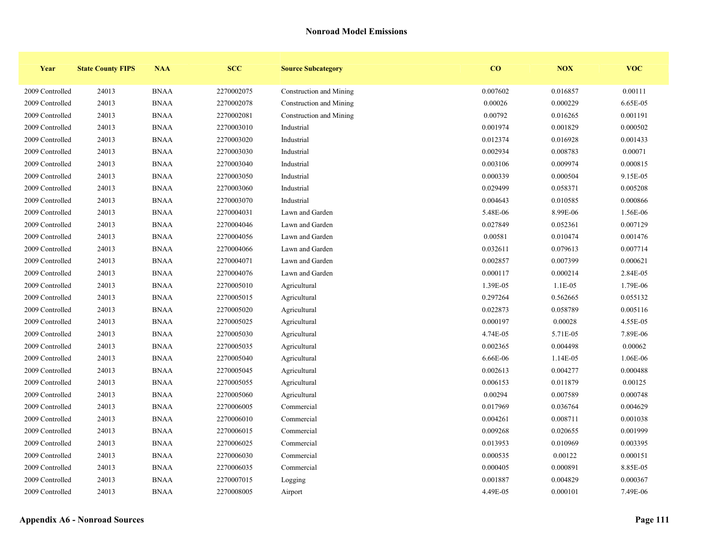| Year            | <b>State County FIPS</b> | <b>NAA</b>  | <b>SCC</b> | <b>Source Subcategory</b> | $\bf{CO}$ | <b>NOX</b> | <b>VOC</b> |
|-----------------|--------------------------|-------------|------------|---------------------------|-----------|------------|------------|
| 2009 Controlled | 24013                    | <b>BNAA</b> | 2270002075 | Construction and Mining   | 0.007602  | 0.016857   | 0.00111    |
| 2009 Controlled | 24013                    | <b>BNAA</b> | 2270002078 | Construction and Mining   | 0.00026   | 0.000229   | 6.65E-05   |
| 2009 Controlled | 24013                    | <b>BNAA</b> | 2270002081 | Construction and Mining   | 0.00792   | 0.016265   | 0.001191   |
| 2009 Controlled | 24013                    | <b>BNAA</b> | 2270003010 | Industrial                | 0.001974  | 0.001829   | 0.000502   |
| 2009 Controlled | 24013                    | <b>BNAA</b> | 2270003020 | Industrial                | 0.012374  | 0.016928   | 0.001433   |
| 2009 Controlled | 24013                    | <b>BNAA</b> | 2270003030 | Industrial                | 0.002934  | 0.008783   | 0.00071    |
| 2009 Controlled | 24013                    | <b>BNAA</b> | 2270003040 | Industrial                | 0.003106  | 0.009974   | 0.000815   |
| 2009 Controlled | 24013                    | <b>BNAA</b> | 2270003050 | Industrial                | 0.000339  | 0.000504   | 9.15E-05   |
| 2009 Controlled | 24013                    | <b>BNAA</b> | 2270003060 | Industrial                | 0.029499  | 0.058371   | 0.005208   |
| 2009 Controlled | 24013                    | <b>BNAA</b> | 2270003070 | Industrial                | 0.004643  | 0.010585   | 0.000866   |
| 2009 Controlled | 24013                    | <b>BNAA</b> | 2270004031 | Lawn and Garden           | 5.48E-06  | 8.99E-06   | 1.56E-06   |
| 2009 Controlled | 24013                    | <b>BNAA</b> | 2270004046 | Lawn and Garden           | 0.027849  | 0.052361   | 0.007129   |
| 2009 Controlled | 24013                    | <b>BNAA</b> | 2270004056 | Lawn and Garden           | 0.00581   | 0.010474   | 0.001476   |
| 2009 Controlled | 24013                    | <b>BNAA</b> | 2270004066 | Lawn and Garden           | 0.032611  | 0.079613   | 0.007714   |
| 2009 Controlled | 24013                    | <b>BNAA</b> | 2270004071 | Lawn and Garden           | 0.002857  | 0.007399   | 0.000621   |
| 2009 Controlled | 24013                    | <b>BNAA</b> | 2270004076 | Lawn and Garden           | 0.000117  | 0.000214   | 2.84E-05   |
| 2009 Controlled | 24013                    | <b>BNAA</b> | 2270005010 | Agricultural              | 1.39E-05  | $1.1E-05$  | 1.79E-06   |
| 2009 Controlled | 24013                    | <b>BNAA</b> | 2270005015 | Agricultural              | 0.297264  | 0.562665   | 0.055132   |
| 2009 Controlled | 24013                    | <b>BNAA</b> | 2270005020 | Agricultural              | 0.022873  | 0.058789   | 0.005116   |
| 2009 Controlled | 24013                    | <b>BNAA</b> | 2270005025 | Agricultural              | 0.000197  | 0.00028    | 4.55E-05   |
| 2009 Controlled | 24013                    | <b>BNAA</b> | 2270005030 | Agricultural              | 4.74E-05  | 5.71E-05   | 7.89E-06   |
| 2009 Controlled | 24013                    | <b>BNAA</b> | 2270005035 | Agricultural              | 0.002365  | 0.004498   | 0.00062    |
| 2009 Controlled | 24013                    | <b>BNAA</b> | 2270005040 | Agricultural              | 6.66E-06  | 1.14E-05   | 1.06E-06   |
| 2009 Controlled | 24013                    | <b>BNAA</b> | 2270005045 | Agricultural              | 0.002613  | 0.004277   | 0.000488   |
| 2009 Controlled | 24013                    | <b>BNAA</b> | 2270005055 | Agricultural              | 0.006153  | 0.011879   | 0.00125    |
| 2009 Controlled | 24013                    | <b>BNAA</b> | 2270005060 | Agricultural              | 0.00294   | 0.007589   | 0.000748   |
| 2009 Controlled | 24013                    | <b>BNAA</b> | 2270006005 | Commercial                | 0.017969  | 0.036764   | 0.004629   |
| 2009 Controlled | 24013                    | <b>BNAA</b> | 2270006010 | Commercial                | 0.004261  | 0.008711   | 0.001038   |
| 2009 Controlled | 24013                    | <b>BNAA</b> | 2270006015 | Commercial                | 0.009268  | 0.020655   | 0.001999   |
| 2009 Controlled | 24013                    | <b>BNAA</b> | 2270006025 | Commercial                | 0.013953  | 0.010969   | 0.003395   |
| 2009 Controlled | 24013                    | <b>BNAA</b> | 2270006030 | Commercial                | 0.000535  | 0.00122    | 0.000151   |
| 2009 Controlled | 24013                    | <b>BNAA</b> | 2270006035 | Commercial                | 0.000405  | 0.000891   | 8.85E-05   |
| 2009 Controlled | 24013                    | <b>BNAA</b> | 2270007015 | Logging                   | 0.001887  | 0.004829   | 0.000367   |
| 2009 Controlled | 24013                    | <b>BNAA</b> | 2270008005 | Airport                   | 4.49E-05  | 0.000101   | 7.49E-06   |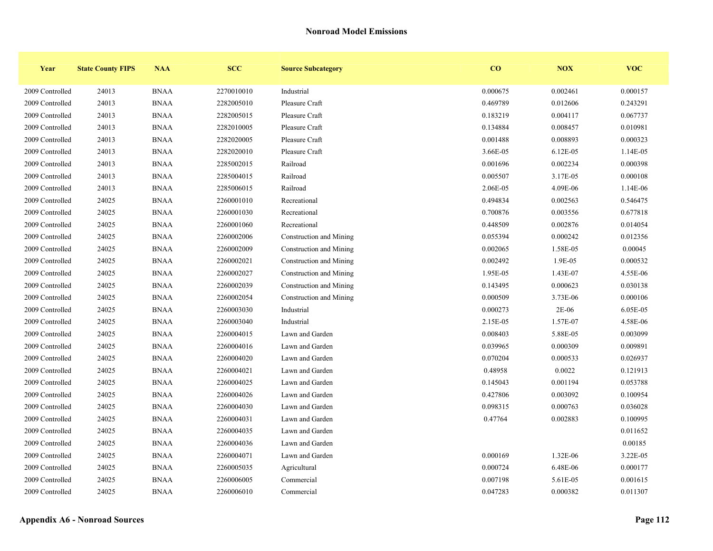| Year            | <b>State County FIPS</b> | <b>NAA</b>  | <b>SCC</b> | <b>Source Subcategory</b> | CO       | <b>NOX</b> | <b>VOC</b> |
|-----------------|--------------------------|-------------|------------|---------------------------|----------|------------|------------|
| 2009 Controlled | 24013                    | <b>BNAA</b> | 2270010010 | Industrial                | 0.000675 | 0.002461   | 0.000157   |
| 2009 Controlled | 24013                    | <b>BNAA</b> | 2282005010 | Pleasure Craft            | 0.469789 | 0.012606   | 0.243291   |
| 2009 Controlled | 24013                    | <b>BNAA</b> | 2282005015 | Pleasure Craft            | 0.183219 | 0.004117   | 0.067737   |
| 2009 Controlled | 24013                    | <b>BNAA</b> | 2282010005 | Pleasure Craft            | 0.134884 | 0.008457   | 0.010981   |
| 2009 Controlled | 24013                    | <b>BNAA</b> | 2282020005 | Pleasure Craft            | 0.001488 | 0.008893   | 0.000323   |
| 2009 Controlled | 24013                    | <b>BNAA</b> | 2282020010 | Pleasure Craft            | 3.66E-05 | 6.12E-05   | 1.14E-05   |
| 2009 Controlled | 24013                    | <b>BNAA</b> | 2285002015 | Railroad                  | 0.001696 | 0.002234   | 0.000398   |
| 2009 Controlled | 24013                    | <b>BNAA</b> | 2285004015 | Railroad                  | 0.005507 | 3.17E-05   | 0.000108   |
| 2009 Controlled | 24013                    | <b>BNAA</b> | 2285006015 | Railroad                  | 2.06E-05 | 4.09E-06   | 1.14E-06   |
| 2009 Controlled | 24025                    | <b>BNAA</b> | 2260001010 | Recreational              | 0.494834 | 0.002563   | 0.546475   |
| 2009 Controlled | 24025                    | <b>BNAA</b> | 2260001030 | Recreational              | 0.700876 | 0.003556   | 0.677818   |
| 2009 Controlled | 24025                    | <b>BNAA</b> | 2260001060 | Recreational              | 0.448509 | 0.002876   | 0.014054   |
| 2009 Controlled | 24025                    | <b>BNAA</b> | 2260002006 | Construction and Mining   | 0.055394 | 0.000242   | 0.012356   |
| 2009 Controlled | 24025                    | <b>BNAA</b> | 2260002009 | Construction and Mining   | 0.002065 | 1.58E-05   | 0.00045    |
| 2009 Controlled | 24025                    | <b>BNAA</b> | 2260002021 | Construction and Mining   | 0.002492 | 1.9E-05    | 0.000532   |
| 2009 Controlled | 24025                    | <b>BNAA</b> | 2260002027 | Construction and Mining   | 1.95E-05 | 1.43E-07   | 4.55E-06   |
| 2009 Controlled | 24025                    | <b>BNAA</b> | 2260002039 | Construction and Mining   | 0.143495 | 0.000623   | 0.030138   |
| 2009 Controlled | 24025                    | <b>BNAA</b> | 2260002054 | Construction and Mining   | 0.000509 | 3.73E-06   | 0.000106   |
| 2009 Controlled | 24025                    | <b>BNAA</b> | 2260003030 | Industrial                | 0.000273 | $2E-06$    | 6.05E-05   |
| 2009 Controlled | 24025                    | <b>BNAA</b> | 2260003040 | Industrial                | 2.15E-05 | 1.57E-07   | 4.58E-06   |
| 2009 Controlled | 24025                    | <b>BNAA</b> | 2260004015 | Lawn and Garden           | 0.008403 | 5.88E-05   | 0.003099   |
| 2009 Controlled | 24025                    | <b>BNAA</b> | 2260004016 | Lawn and Garden           | 0.039965 | 0.000309   | 0.009891   |
| 2009 Controlled | 24025                    | <b>BNAA</b> | 2260004020 | Lawn and Garden           | 0.070204 | 0.000533   | 0.026937   |
| 2009 Controlled | 24025                    | <b>BNAA</b> | 2260004021 | Lawn and Garden           | 0.48958  | 0.0022     | 0.121913   |
| 2009 Controlled | 24025                    | <b>BNAA</b> | 2260004025 | Lawn and Garden           | 0.145043 | 0.001194   | 0.053788   |
| 2009 Controlled | 24025                    | <b>BNAA</b> | 2260004026 | Lawn and Garden           | 0.427806 | 0.003092   | 0.100954   |
| 2009 Controlled | 24025                    | <b>BNAA</b> | 2260004030 | Lawn and Garden           | 0.098315 | 0.000763   | 0.036028   |
| 2009 Controlled | 24025                    | <b>BNAA</b> | 2260004031 | Lawn and Garden           | 0.47764  | 0.002883   | 0.100995   |
| 2009 Controlled | 24025                    | <b>BNAA</b> | 2260004035 | Lawn and Garden           |          |            | 0.011652   |
| 2009 Controlled | 24025                    | <b>BNAA</b> | 2260004036 | Lawn and Garden           |          |            | 0.00185    |
| 2009 Controlled | 24025                    | <b>BNAA</b> | 2260004071 | Lawn and Garden           | 0.000169 | 1.32E-06   | 3.22E-05   |
| 2009 Controlled | 24025                    | <b>BNAA</b> | 2260005035 | Agricultural              | 0.000724 | 6.48E-06   | 0.000177   |
| 2009 Controlled | 24025                    | <b>BNAA</b> | 2260006005 | Commercial                | 0.007198 | 5.61E-05   | 0.001615   |
| 2009 Controlled | 24025                    | <b>BNAA</b> | 2260006010 | Commercial                | 0.047283 | 0.000382   | 0.011307   |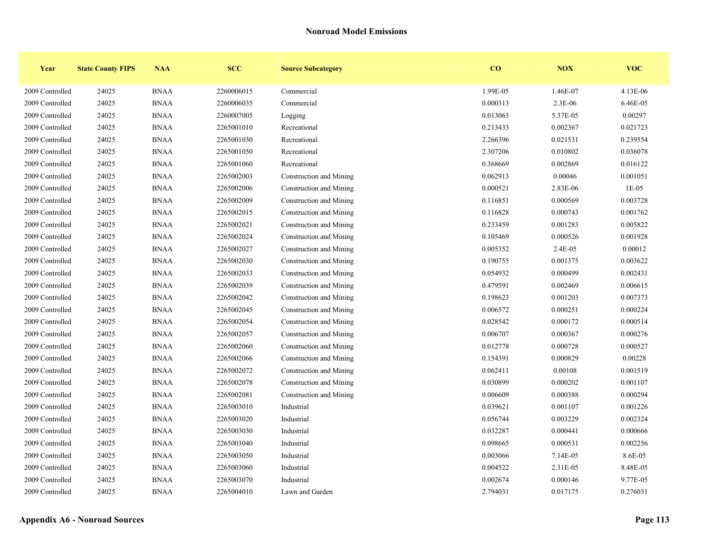| Year            | <b>State County FIPS</b> | <b>NAA</b>  | <b>SCC</b> | <b>Source Subcategory</b> | CO       | NOX      | <b>VOC</b> |
|-----------------|--------------------------|-------------|------------|---------------------------|----------|----------|------------|
| 2009 Controlled | 24025                    | <b>BNAA</b> | 2260006015 | Commercial                | 1.99E-05 | 1.46E-07 | 4.13E-06   |
| 2009 Controlled | 24025                    | <b>BNAA</b> | 2260006035 | Commercial                | 0.000313 | 2.3E-06  | 6.46E-05   |
| 2009 Controlled | 24025                    | <b>BNAA</b> | 2260007005 | Logging                   | 0.013063 | 5.37E-05 | 0.00297    |
| 2009 Controlled | 24025                    | <b>BNAA</b> | 2265001010 | Recreational              | 0.213433 | 0.002367 | 0.021723   |
| 2009 Controlled | 24025                    | <b>BNAA</b> | 2265001030 | Recreational              | 2.266396 | 0.021531 | 0.239554   |
| 2009 Controlled | 24025                    | <b>BNAA</b> | 2265001050 | Recreational              | 2.307206 | 0.010802 | 0.036078   |
| 2009 Controlled | 24025                    | <b>BNAA</b> | 2265001060 | Recreational              | 0.368669 | 0.002869 | 0.016122   |
| 2009 Controlled | 24025                    | <b>BNAA</b> | 2265002003 | Construction and Mining   | 0.062913 | 0.00046  | 0.001051   |
| 2009 Controlled | 24025                    | <b>BNAA</b> | 2265002006 | Construction and Mining   | 0.000521 | 2.83E-06 | $1E-05$    |
| 2009 Controlled | 24025                    | <b>BNAA</b> | 2265002009 | Construction and Mining   | 0.116851 | 0.000569 | 0.003728   |
| 2009 Controlled | 24025                    | <b>BNAA</b> | 2265002015 | Construction and Mining   | 0.116828 | 0.000743 | 0.001762   |
| 2009 Controlled | 24025                    | <b>BNAA</b> | 2265002021 | Construction and Mining   | 0.233459 | 0.001283 | 0.005822   |
| 2009 Controlled | 24025                    | <b>BNAA</b> | 2265002024 | Construction and Mining   | 0.105469 | 0.000526 | 0.001928   |
| 2009 Controlled | 24025                    | <b>BNAA</b> | 2265002027 | Construction and Mining   | 0.005352 | 2.4E-05  | 0.00012    |
| 2009 Controlled | 24025                    | <b>BNAA</b> | 2265002030 | Construction and Mining   | 0.190755 | 0.001375 | 0.003622   |
| 2009 Controlled | 24025                    | <b>BNAA</b> | 2265002033 | Construction and Mining   | 0.054932 | 0.000499 | 0.002431   |
| 2009 Controlled | 24025                    | <b>BNAA</b> | 2265002039 | Construction and Mining   | 0.479591 | 0.002469 | 0.006615   |
| 2009 Controlled | 24025                    | <b>BNAA</b> | 2265002042 | Construction and Mining   | 0.198623 | 0.001203 | 0.007373   |
| 2009 Controlled | 24025                    | <b>BNAA</b> | 2265002045 | Construction and Mining   | 0.006572 | 0.000251 | 0.000224   |
| 2009 Controlled | 24025                    | <b>BNAA</b> | 2265002054 | Construction and Mining   | 0.028542 | 0.000172 | 0.000514   |
| 2009 Controlled | 24025                    | <b>BNAA</b> | 2265002057 | Construction and Mining   | 0.006707 | 0.000367 | 0.000276   |
| 2009 Controlled | 24025                    | <b>BNAA</b> | 2265002060 | Construction and Mining   | 0.012778 | 0.000728 | 0.000527   |
| 2009 Controlled | 24025                    | <b>BNAA</b> | 2265002066 | Construction and Mining   | 0.154391 | 0.000829 | 0.00228    |
| 2009 Controlled | 24025                    | <b>BNAA</b> | 2265002072 | Construction and Mining   | 0.062411 | 0.00108  | 0.001519   |
| 2009 Controlled | 24025                    | <b>BNAA</b> | 2265002078 | Construction and Mining   | 0.030899 | 0.000202 | 0.001107   |
| 2009 Controlled | 24025                    | <b>BNAA</b> | 2265002081 | Construction and Mining   | 0.006609 | 0.000388 | 0.000294   |
| 2009 Controlled | 24025                    | <b>BNAA</b> | 2265003010 | Industrial                | 0.039621 | 0.001107 | 0.001226   |
| 2009 Controlled | 24025                    | <b>BNAA</b> | 2265003020 | Industrial                | 0.056744 | 0.003229 | 0.002324   |
| 2009 Controlled | 24025                    | <b>BNAA</b> | 2265003030 | Industrial                | 0.032287 | 0.000441 | 0.000666   |
| 2009 Controlled | 24025                    | <b>BNAA</b> | 2265003040 | Industrial                | 0.098665 | 0.000531 | 0.002256   |
| 2009 Controlled | 24025                    | <b>BNAA</b> | 2265003050 | Industrial                | 0.003066 | 7.14E-05 | 8.6E-05    |
| 2009 Controlled | 24025                    | <b>BNAA</b> | 2265003060 | Industrial                | 0.004522 | 2.31E-05 | 8.48E-05   |
| 2009 Controlled | 24025                    | <b>BNAA</b> | 2265003070 | Industrial                | 0.002674 | 0.000146 | 9.77E-05   |
| 2009 Controlled | 24025                    | <b>BNAA</b> | 2265004010 | Lawn and Garden           | 2.794031 | 0.017175 | 0.276031   |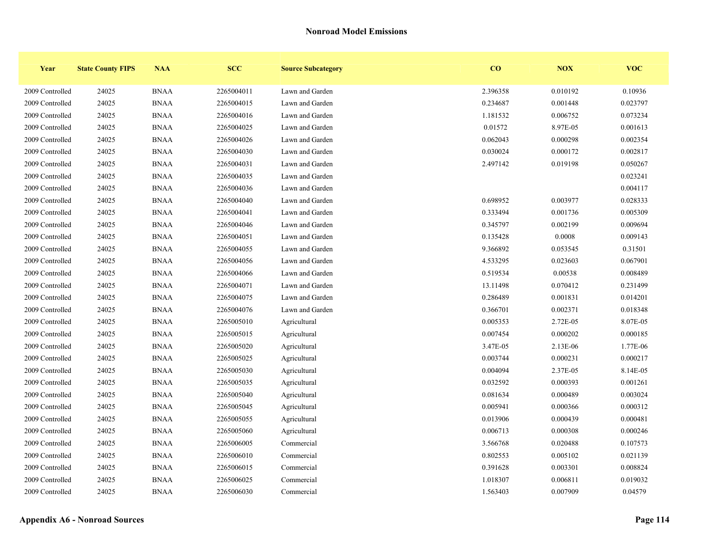| Year            | <b>State County FIPS</b> | <b>NAA</b>  | <b>SCC</b> | <b>Source Subcategory</b> | $\bf{CO}$ | <b>NOX</b> | <b>VOC</b> |
|-----------------|--------------------------|-------------|------------|---------------------------|-----------|------------|------------|
| 2009 Controlled | 24025                    | <b>BNAA</b> | 2265004011 | Lawn and Garden           | 2.396358  | 0.010192   | 0.10936    |
| 2009 Controlled | 24025                    | <b>BNAA</b> | 2265004015 | Lawn and Garden           | 0.234687  | 0.001448   | 0.023797   |
| 2009 Controlled | 24025                    | <b>BNAA</b> | 2265004016 | Lawn and Garden           | 1.181532  | 0.006752   | 0.073234   |
| 2009 Controlled | 24025                    | <b>BNAA</b> | 2265004025 | Lawn and Garden           | 0.01572   | 8.97E-05   | 0.001613   |
| 2009 Controlled | 24025                    | <b>BNAA</b> | 2265004026 | Lawn and Garden           | 0.062043  | 0.000298   | 0.002354   |
| 2009 Controlled | 24025                    | <b>BNAA</b> | 2265004030 | Lawn and Garden           | 0.030024  | 0.000172   | 0.002817   |
| 2009 Controlled | 24025                    | <b>BNAA</b> | 2265004031 | Lawn and Garden           | 2.497142  | 0.019198   | 0.050267   |
| 2009 Controlled | 24025                    | <b>BNAA</b> | 2265004035 | Lawn and Garden           |           |            | 0.023241   |
| 2009 Controlled | 24025                    | <b>BNAA</b> | 2265004036 | Lawn and Garden           |           |            | 0.004117   |
| 2009 Controlled | 24025                    | <b>BNAA</b> | 2265004040 | Lawn and Garden           | 0.698952  | 0.003977   | 0.028333   |
| 2009 Controlled | 24025                    | <b>BNAA</b> | 2265004041 | Lawn and Garden           | 0.333494  | 0.001736   | 0.005309   |
| 2009 Controlled | 24025                    | <b>BNAA</b> | 2265004046 | Lawn and Garden           | 0.345797  | 0.002199   | 0.009694   |
| 2009 Controlled | 24025                    | <b>BNAA</b> | 2265004051 | Lawn and Garden           | 0.135428  | 0.0008     | 0.009143   |
| 2009 Controlled | 24025                    | <b>BNAA</b> | 2265004055 | Lawn and Garden           | 9.366892  | 0.053545   | 0.31501    |
| 2009 Controlled | 24025                    | <b>BNAA</b> | 2265004056 | Lawn and Garden           | 4.533295  | 0.023603   | 0.067901   |
| 2009 Controlled | 24025                    | <b>BNAA</b> | 2265004066 | Lawn and Garden           | 0.519534  | 0.00538    | 0.008489   |
| 2009 Controlled | 24025                    | <b>BNAA</b> | 2265004071 | Lawn and Garden           | 13.11498  | 0.070412   | 0.231499   |
| 2009 Controlled | 24025                    | <b>BNAA</b> | 2265004075 | Lawn and Garden           | 0.286489  | 0.001831   | 0.014201   |
| 2009 Controlled | 24025                    | <b>BNAA</b> | 2265004076 | Lawn and Garden           | 0.366701  | 0.002371   | 0.018348   |
| 2009 Controlled | 24025                    | <b>BNAA</b> | 2265005010 | Agricultural              | 0.005353  | 2.72E-05   | 8.07E-05   |
| 2009 Controlled | 24025                    | <b>BNAA</b> | 2265005015 | Agricultural              | 0.007454  | 0.000202   | 0.000185   |
| 2009 Controlled | 24025                    | <b>BNAA</b> | 2265005020 | Agricultural              | 3.47E-05  | 2.13E-06   | 1.77E-06   |
| 2009 Controlled | 24025                    | <b>BNAA</b> | 2265005025 | Agricultural              | 0.003744  | 0.000231   | 0.000217   |
| 2009 Controlled | 24025                    | <b>BNAA</b> | 2265005030 | Agricultural              | 0.004094  | 2.37E-05   | 8.14E-05   |
| 2009 Controlled | 24025                    | <b>BNAA</b> | 2265005035 | Agricultural              | 0.032592  | 0.000393   | 0.001261   |
| 2009 Controlled | 24025                    | <b>BNAA</b> | 2265005040 | Agricultural              | 0.081634  | 0.000489   | 0.003024   |
| 2009 Controlled | 24025                    | <b>BNAA</b> | 2265005045 | Agricultural              | 0.005941  | 0.000366   | 0.000312   |
| 2009 Controlled | 24025                    | <b>BNAA</b> | 2265005055 | Agricultural              | 0.013906  | 0.000439   | 0.000481   |
| 2009 Controlled | 24025                    | <b>BNAA</b> | 2265005060 | Agricultural              | 0.006713  | 0.000308   | 0.000246   |
| 2009 Controlled | 24025                    | <b>BNAA</b> | 2265006005 | Commercial                | 3.566768  | 0.020488   | 0.107573   |
| 2009 Controlled | 24025                    | <b>BNAA</b> | 2265006010 | Commercial                | 0.802553  | 0.005102   | 0.021139   |
| 2009 Controlled | 24025                    | <b>BNAA</b> | 2265006015 | Commercial                | 0.391628  | 0.003301   | 0.008824   |
| 2009 Controlled | 24025                    | <b>BNAA</b> | 2265006025 | Commercial                | 1.018307  | 0.006811   | 0.019032   |
| 2009 Controlled | 24025                    | <b>BNAA</b> | 2265006030 | Commercial                | 1.563403  | 0.007909   | 0.04579    |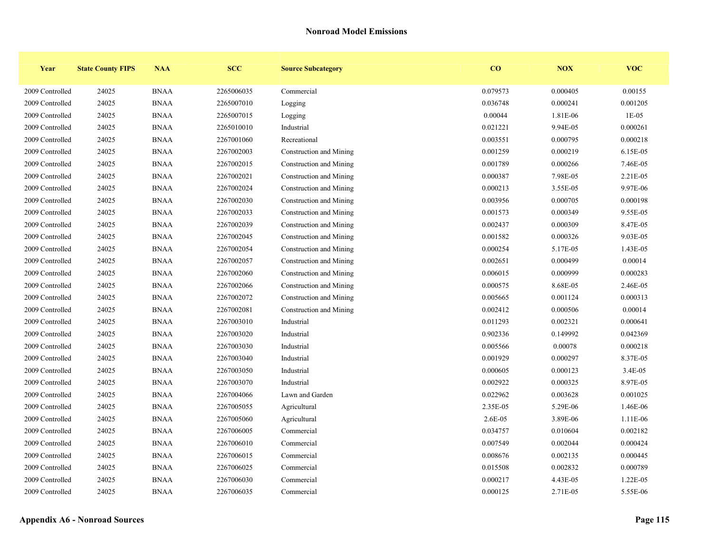| Year            | <b>State County FIPS</b> | <b>NAA</b>  | <b>SCC</b> | <b>Source Subcategory</b> | CO       | <b>NOX</b> | <b>VOC</b> |
|-----------------|--------------------------|-------------|------------|---------------------------|----------|------------|------------|
| 2009 Controlled | 24025                    | <b>BNAA</b> | 2265006035 | Commercial                | 0.079573 | 0.000405   | 0.00155    |
| 2009 Controlled | 24025                    | <b>BNAA</b> | 2265007010 | Logging                   | 0.036748 | 0.000241   | 0.001205   |
| 2009 Controlled | 24025                    | <b>BNAA</b> | 2265007015 | Logging                   | 0.00044  | 1.81E-06   | $1E-05$    |
| 2009 Controlled | 24025                    | <b>BNAA</b> | 2265010010 | Industrial                | 0.021221 | 9.94E-05   | 0.000261   |
| 2009 Controlled | 24025                    | <b>BNAA</b> | 2267001060 | Recreational              | 0.003551 | 0.000795   | 0.000218   |
| 2009 Controlled | 24025                    | <b>BNAA</b> | 2267002003 | Construction and Mining   | 0.001259 | 0.000219   | 6.15E-05   |
| 2009 Controlled | 24025                    | <b>BNAA</b> | 2267002015 | Construction and Mining   | 0.001789 | 0.000266   | 7.46E-05   |
| 2009 Controlled | 24025                    | <b>BNAA</b> | 2267002021 | Construction and Mining   | 0.000387 | 7.98E-05   | 2.21E-05   |
| 2009 Controlled | 24025                    | <b>BNAA</b> | 2267002024 | Construction and Mining   | 0.000213 | 3.55E-05   | 9.97E-06   |
| 2009 Controlled | 24025                    | <b>BNAA</b> | 2267002030 | Construction and Mining   | 0.003956 | 0.000705   | 0.000198   |
| 2009 Controlled | 24025                    | <b>BNAA</b> | 2267002033 | Construction and Mining   | 0.001573 | 0.000349   | 9.55E-05   |
| 2009 Controlled | 24025                    | <b>BNAA</b> | 2267002039 | Construction and Mining   | 0.002437 | 0.000309   | 8.47E-05   |
| 2009 Controlled | 24025                    | <b>BNAA</b> | 2267002045 | Construction and Mining   | 0.001582 | 0.000326   | 9.03E-05   |
| 2009 Controlled | 24025                    | <b>BNAA</b> | 2267002054 | Construction and Mining   | 0.000254 | 5.17E-05   | 1.43E-05   |
| 2009 Controlled | 24025                    | <b>BNAA</b> | 2267002057 | Construction and Mining   | 0.002651 | 0.000499   | 0.00014    |
| 2009 Controlled | 24025                    | <b>BNAA</b> | 2267002060 | Construction and Mining   | 0.006015 | 0.000999   | 0.000283   |
| 2009 Controlled | 24025                    | <b>BNAA</b> | 2267002066 | Construction and Mining   | 0.000575 | 8.68E-05   | 2.46E-05   |
| 2009 Controlled | 24025                    | <b>BNAA</b> | 2267002072 | Construction and Mining   | 0.005665 | 0.001124   | 0.000313   |
| 2009 Controlled | 24025                    | <b>BNAA</b> | 2267002081 | Construction and Mining   | 0.002412 | 0.000506   | 0.00014    |
| 2009 Controlled | 24025                    | <b>BNAA</b> | 2267003010 | Industrial                | 0.011293 | 0.002321   | 0.000641   |
| 2009 Controlled | 24025                    | <b>BNAA</b> | 2267003020 | Industrial                | 0.902336 | 0.149992   | 0.042369   |
| 2009 Controlled | 24025                    | <b>BNAA</b> | 2267003030 | Industrial                | 0.005566 | 0.00078    | 0.000218   |
| 2009 Controlled | 24025                    | <b>BNAA</b> | 2267003040 | Industrial                | 0.001929 | 0.000297   | 8.37E-05   |
| 2009 Controlled | 24025                    | <b>BNAA</b> | 2267003050 | Industrial                | 0.000605 | 0.000123   | 3.4E-05    |
| 2009 Controlled | 24025                    | <b>BNAA</b> | 2267003070 | Industrial                | 0.002922 | 0.000325   | 8.97E-05   |
| 2009 Controlled | 24025                    | <b>BNAA</b> | 2267004066 | Lawn and Garden           | 0.022962 | 0.003628   | 0.001025   |
| 2009 Controlled | 24025                    | <b>BNAA</b> | 2267005055 | Agricultural              | 2.35E-05 | 5.29E-06   | 1.46E-06   |
| 2009 Controlled | 24025                    | <b>BNAA</b> | 2267005060 | Agricultural              | 2.6E-05  | 3.89E-06   | 1.11E-06   |
| 2009 Controlled | 24025                    | <b>BNAA</b> | 2267006005 | Commercial                | 0.034757 | 0.010604   | 0.002182   |
| 2009 Controlled | 24025                    | <b>BNAA</b> | 2267006010 | Commercial                | 0.007549 | 0.002044   | 0.000424   |
| 2009 Controlled | 24025                    | <b>BNAA</b> | 2267006015 | Commercial                | 0.008676 | 0.002135   | 0.000445   |
| 2009 Controlled | 24025                    | <b>BNAA</b> | 2267006025 | Commercial                | 0.015508 | 0.002832   | 0.000789   |
| 2009 Controlled | 24025                    | <b>BNAA</b> | 2267006030 | Commercial                | 0.000217 | 4.43E-05   | 1.22E-05   |
| 2009 Controlled | 24025                    | <b>BNAA</b> | 2267006035 | Commercial                | 0.000125 | 2.71E-05   | 5.55E-06   |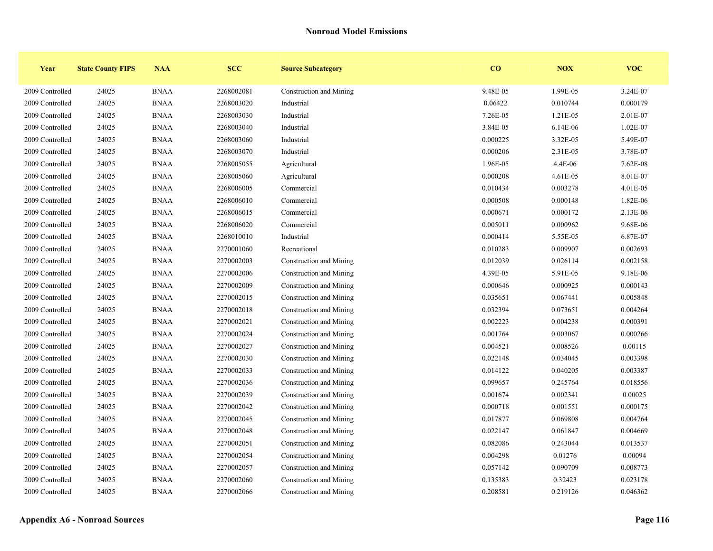| Year            | <b>State County FIPS</b> | <b>NAA</b>  | <b>SCC</b> | <b>Source Subcategory</b> | CO       | NOX      | <b>VOC</b> |
|-----------------|--------------------------|-------------|------------|---------------------------|----------|----------|------------|
| 2009 Controlled | 24025                    | <b>BNAA</b> | 2268002081 | Construction and Mining   | 9.48E-05 | 1.99E-05 | 3.24E-07   |
| 2009 Controlled | 24025                    | <b>BNAA</b> | 2268003020 | Industrial                | 0.06422  | 0.010744 | 0.000179   |
| 2009 Controlled | 24025                    | <b>BNAA</b> | 2268003030 | Industrial                | 7.26E-05 | 1.21E-05 | 2.01E-07   |
| 2009 Controlled | 24025                    | <b>BNAA</b> | 2268003040 | Industrial                | 3.84E-05 | 6.14E-06 | 1.02E-07   |
| 2009 Controlled | 24025                    | <b>BNAA</b> | 2268003060 | Industrial                | 0.000225 | 3.32E-05 | 5.49E-07   |
| 2009 Controlled | 24025                    | <b>BNAA</b> | 2268003070 | Industrial                | 0.000206 | 2.31E-05 | 3.78E-07   |
| 2009 Controlled | 24025                    | <b>BNAA</b> | 2268005055 | Agricultural              | 1.96E-05 | 4.4E-06  | 7.62E-08   |
| 2009 Controlled | 24025                    | <b>BNAA</b> | 2268005060 | Agricultural              | 0.000208 | 4.61E-05 | 8.01E-07   |
| 2009 Controlled | 24025                    | <b>BNAA</b> | 2268006005 | Commercial                | 0.010434 | 0.003278 | 4.01E-05   |
| 2009 Controlled | 24025                    | <b>BNAA</b> | 2268006010 | Commercial                | 0.000508 | 0.000148 | 1.82E-06   |
| 2009 Controlled | 24025                    | <b>BNAA</b> | 2268006015 | Commercial                | 0.000671 | 0.000172 | 2.13E-06   |
| 2009 Controlled | 24025                    | <b>BNAA</b> | 2268006020 | Commercial                | 0.005011 | 0.000962 | 9.68E-06   |
| 2009 Controlled | 24025                    | <b>BNAA</b> | 2268010010 | Industrial                | 0.000414 | 5.55E-05 | 6.87E-07   |
| 2009 Controlled | 24025                    | <b>BNAA</b> | 2270001060 | Recreational              | 0.010283 | 0.009907 | 0.002693   |
| 2009 Controlled | 24025                    | <b>BNAA</b> | 2270002003 | Construction and Mining   | 0.012039 | 0.026114 | 0.002158   |
| 2009 Controlled | 24025                    | <b>BNAA</b> | 2270002006 | Construction and Mining   | 4.39E-05 | 5.91E-05 | 9.18E-06   |
| 2009 Controlled | 24025                    | <b>BNAA</b> | 2270002009 | Construction and Mining   | 0.000646 | 0.000925 | 0.000143   |
| 2009 Controlled | 24025                    | <b>BNAA</b> | 2270002015 | Construction and Mining   | 0.035651 | 0.067441 | 0.005848   |
| 2009 Controlled | 24025                    | <b>BNAA</b> | 2270002018 | Construction and Mining   | 0.032394 | 0.073651 | 0.004264   |
| 2009 Controlled | 24025                    | <b>BNAA</b> | 2270002021 | Construction and Mining   | 0.002223 | 0.004238 | 0.000391   |
| 2009 Controlled | 24025                    | <b>BNAA</b> | 2270002024 | Construction and Mining   | 0.001764 | 0.003067 | 0.000266   |
| 2009 Controlled | 24025                    | <b>BNAA</b> | 2270002027 | Construction and Mining   | 0.004521 | 0.008526 | 0.00115    |
| 2009 Controlled | 24025                    | <b>BNAA</b> | 2270002030 | Construction and Mining   | 0.022148 | 0.034045 | 0.003398   |
| 2009 Controlled | 24025                    | <b>BNAA</b> | 2270002033 | Construction and Mining   | 0.014122 | 0.040205 | 0.003387   |
| 2009 Controlled | 24025                    | <b>BNAA</b> | 2270002036 | Construction and Mining   | 0.099657 | 0.245764 | 0.018556   |
| 2009 Controlled | 24025                    | <b>BNAA</b> | 2270002039 | Construction and Mining   | 0.001674 | 0.002341 | 0.00025    |
| 2009 Controlled | 24025                    | <b>BNAA</b> | 2270002042 | Construction and Mining   | 0.000718 | 0.001551 | 0.000175   |
| 2009 Controlled | 24025                    | <b>BNAA</b> | 2270002045 | Construction and Mining   | 0.017877 | 0.069808 | 0.004764   |
| 2009 Controlled | 24025                    | <b>BNAA</b> | 2270002048 | Construction and Mining   | 0.022147 | 0.061847 | 0.004669   |
| 2009 Controlled | 24025                    | <b>BNAA</b> | 2270002051 | Construction and Mining   | 0.082086 | 0.243044 | 0.013537   |
| 2009 Controlled | 24025                    | <b>BNAA</b> | 2270002054 | Construction and Mining   | 0.004298 | 0.01276  | 0.00094    |
| 2009 Controlled | 24025                    | <b>BNAA</b> | 2270002057 | Construction and Mining   | 0.057142 | 0.090709 | 0.008773   |
| 2009 Controlled | 24025                    | <b>BNAA</b> | 2270002060 | Construction and Mining   | 0.135383 | 0.32423  | 0.023178   |
| 2009 Controlled | 24025                    | <b>BNAA</b> | 2270002066 | Construction and Mining   | 0.208581 | 0.219126 | 0.046362   |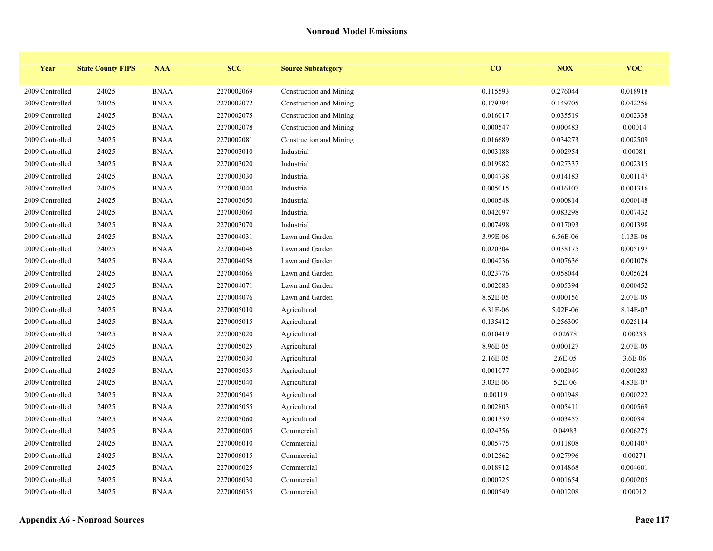| Year            | <b>State County FIPS</b> | <b>NAA</b>  | <b>SCC</b> | <b>Source Subcategory</b> | $\bf{CO}$ | <b>NOX</b> | <b>VOC</b> |
|-----------------|--------------------------|-------------|------------|---------------------------|-----------|------------|------------|
| 2009 Controlled | 24025                    | <b>BNAA</b> | 2270002069 | Construction and Mining   | 0.115593  | 0.276044   | 0.018918   |
| 2009 Controlled | 24025                    | <b>BNAA</b> | 2270002072 | Construction and Mining   | 0.179394  | 0.149705   | 0.042256   |
| 2009 Controlled | 24025                    | <b>BNAA</b> | 2270002075 | Construction and Mining   | 0.016017  | 0.035519   | 0.002338   |
| 2009 Controlled | 24025                    | <b>BNAA</b> | 2270002078 | Construction and Mining   | 0.000547  | 0.000483   | 0.00014    |
| 2009 Controlled | 24025                    | <b>BNAA</b> | 2270002081 | Construction and Mining   | 0.016689  | 0.034273   | 0.002509   |
| 2009 Controlled | 24025                    | <b>BNAA</b> | 2270003010 | Industrial                | 0.003188  | 0.002954   | 0.00081    |
| 2009 Controlled | 24025                    | <b>BNAA</b> | 2270003020 | Industrial                | 0.019982  | 0.027337   | 0.002315   |
| 2009 Controlled | 24025                    | <b>BNAA</b> | 2270003030 | Industrial                | 0.004738  | 0.014183   | 0.001147   |
| 2009 Controlled | 24025                    | <b>BNAA</b> | 2270003040 | Industrial                | 0.005015  | 0.016107   | 0.001316   |
| 2009 Controlled | 24025                    | <b>BNAA</b> | 2270003050 | Industrial                | 0.000548  | 0.000814   | 0.000148   |
| 2009 Controlled | 24025                    | <b>BNAA</b> | 2270003060 | Industrial                | 0.042097  | 0.083298   | 0.007432   |
| 2009 Controlled | 24025                    | <b>BNAA</b> | 2270003070 | Industrial                | 0.007498  | 0.017093   | 0.001398   |
| 2009 Controlled | 24025                    | <b>BNAA</b> | 2270004031 | Lawn and Garden           | 3.99E-06  | 6.56E-06   | 1.13E-06   |
| 2009 Controlled | 24025                    | <b>BNAA</b> | 2270004046 | Lawn and Garden           | 0.020304  | 0.038175   | 0.005197   |
| 2009 Controlled | 24025                    | <b>BNAA</b> | 2270004056 | Lawn and Garden           | 0.004236  | 0.007636   | 0.001076   |
| 2009 Controlled | 24025                    | <b>BNAA</b> | 2270004066 | Lawn and Garden           | 0.023776  | 0.058044   | 0.005624   |
| 2009 Controlled | 24025                    | <b>BNAA</b> | 2270004071 | Lawn and Garden           | 0.002083  | 0.005394   | 0.000452   |
| 2009 Controlled | 24025                    | <b>BNAA</b> | 2270004076 | Lawn and Garden           | 8.52E-05  | 0.000156   | 2.07E-05   |
| 2009 Controlled | 24025                    | <b>BNAA</b> | 2270005010 | Agricultural              | 6.31E-06  | 5.02E-06   | 8.14E-07   |
| 2009 Controlled | 24025                    | <b>BNAA</b> | 2270005015 | Agricultural              | 0.135412  | 0.256309   | 0.025114   |
| 2009 Controlled | 24025                    | <b>BNAA</b> | 2270005020 | Agricultural              | 0.010419  | 0.02678    | 0.00233    |
| 2009 Controlled | 24025                    | <b>BNAA</b> | 2270005025 | Agricultural              | 8.96E-05  | 0.000127   | 2.07E-05   |
| 2009 Controlled | 24025                    | <b>BNAA</b> | 2270005030 | Agricultural              | 2.16E-05  | 2.6E-05    | 3.6E-06    |
| 2009 Controlled | 24025                    | <b>BNAA</b> | 2270005035 | Agricultural              | 0.001077  | 0.002049   | 0.000283   |
| 2009 Controlled | 24025                    | <b>BNAA</b> | 2270005040 | Agricultural              | 3.03E-06  | 5.2E-06    | 4.83E-07   |
| 2009 Controlled | 24025                    | <b>BNAA</b> | 2270005045 | Agricultural              | 0.00119   | 0.001948   | 0.000222   |
| 2009 Controlled | 24025                    | <b>BNAA</b> | 2270005055 | Agricultural              | 0.002803  | 0.005411   | 0.000569   |
| 2009 Controlled | 24025                    | <b>BNAA</b> | 2270005060 | Agricultural              | 0.001339  | 0.003457   | 0.000341   |
| 2009 Controlled | 24025                    | <b>BNAA</b> | 2270006005 | Commercial                | 0.024356  | 0.04983    | 0.006275   |
| 2009 Controlled | 24025                    | <b>BNAA</b> | 2270006010 | Commercial                | 0.005775  | 0.011808   | 0.001407   |
| 2009 Controlled | 24025                    | <b>BNAA</b> | 2270006015 | Commercial                | 0.012562  | 0.027996   | 0.00271    |
| 2009 Controlled | 24025                    | <b>BNAA</b> | 2270006025 | Commercial                | 0.018912  | 0.014868   | 0.004601   |
| 2009 Controlled | 24025                    | <b>BNAA</b> | 2270006030 | Commercial                | 0.000725  | 0.001654   | 0.000205   |
| 2009 Controlled | 24025                    | <b>BNAA</b> | 2270006035 | Commercial                | 0.000549  | 0.001208   | 0.00012    |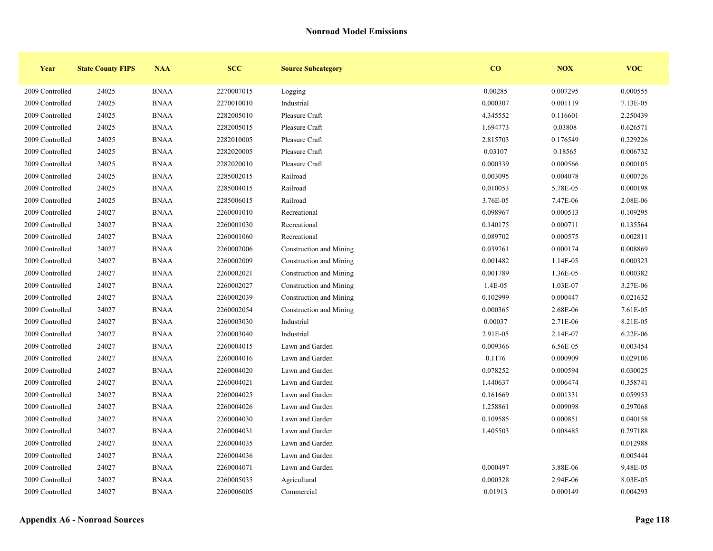| Year            | <b>State County FIPS</b> | <b>NAA</b>  | <b>SCC</b> | <b>Source Subcategory</b> | CO       | NOX      | <b>VOC</b> |
|-----------------|--------------------------|-------------|------------|---------------------------|----------|----------|------------|
| 2009 Controlled | 24025                    | <b>BNAA</b> | 2270007015 | Logging                   | 0.00285  | 0.007295 | 0.000555   |
| 2009 Controlled | 24025                    | <b>BNAA</b> | 2270010010 | Industrial                | 0.000307 | 0.001119 | 7.13E-05   |
| 2009 Controlled | 24025                    | <b>BNAA</b> | 2282005010 | Pleasure Craft            | 4.345552 | 0.116601 | 2.250439   |
| 2009 Controlled | 24025                    | <b>BNAA</b> | 2282005015 | Pleasure Craft            | 1.694773 | 0.03808  | 0.626571   |
| 2009 Controlled | 24025                    | <b>BNAA</b> | 2282010005 | Pleasure Craft            | 2.815703 | 0.176549 | 0.229226   |
| 2009 Controlled | 24025                    | <b>BNAA</b> | 2282020005 | Pleasure Craft            | 0.03107  | 0.18565  | 0.006732   |
| 2009 Controlled | 24025                    | <b>BNAA</b> | 2282020010 | Pleasure Craft            | 0.000339 | 0.000566 | 0.000105   |
| 2009 Controlled | 24025                    | <b>BNAA</b> | 2285002015 | Railroad                  | 0.003095 | 0.004078 | 0.000726   |
| 2009 Controlled | 24025                    | <b>BNAA</b> | 2285004015 | Railroad                  | 0.010053 | 5.78E-05 | 0.000198   |
| 2009 Controlled | 24025                    | <b>BNAA</b> | 2285006015 | Railroad                  | 3.76E-05 | 7.47E-06 | 2.08E-06   |
| 2009 Controlled | 24027                    | <b>BNAA</b> | 2260001010 | Recreational              | 0.098967 | 0.000513 | 0.109295   |
| 2009 Controlled | 24027                    | <b>BNAA</b> | 2260001030 | Recreational              | 0.140175 | 0.000711 | 0.135564   |
| 2009 Controlled | 24027                    | <b>BNAA</b> | 2260001060 | Recreational              | 0.089702 | 0.000575 | 0.002811   |
| 2009 Controlled | 24027                    | <b>BNAA</b> | 2260002006 | Construction and Mining   | 0.039761 | 0.000174 | 0.008869   |
| 2009 Controlled | 24027                    | <b>BNAA</b> | 2260002009 | Construction and Mining   | 0.001482 | 1.14E-05 | 0.000323   |
| 2009 Controlled | 24027                    | <b>BNAA</b> | 2260002021 | Construction and Mining   | 0.001789 | 1.36E-05 | 0.000382   |
| 2009 Controlled | 24027                    | <b>BNAA</b> | 2260002027 | Construction and Mining   | 1.4E-05  | 1.03E-07 | 3.27E-06   |
| 2009 Controlled | 24027                    | <b>BNAA</b> | 2260002039 | Construction and Mining   | 0.102999 | 0.000447 | 0.021632   |
| 2009 Controlled | 24027                    | <b>BNAA</b> | 2260002054 | Construction and Mining   | 0.000365 | 2.68E-06 | 7.61E-05   |
| 2009 Controlled | 24027                    | <b>BNAA</b> | 2260003030 | Industrial                | 0.00037  | 2.71E-06 | 8.21E-05   |
| 2009 Controlled | 24027                    | <b>BNAA</b> | 2260003040 | Industrial                | 2.91E-05 | 2.14E-07 | 6.22E-06   |
| 2009 Controlled | 24027                    | <b>BNAA</b> | 2260004015 | Lawn and Garden           | 0.009366 | 6.56E-05 | 0.003454   |
| 2009 Controlled | 24027                    | <b>BNAA</b> | 2260004016 | Lawn and Garden           | 0.1176   | 0.000909 | 0.029106   |
| 2009 Controlled | 24027                    | <b>BNAA</b> | 2260004020 | Lawn and Garden           | 0.078252 | 0.000594 | 0.030025   |
| 2009 Controlled | 24027                    | <b>BNAA</b> | 2260004021 | Lawn and Garden           | 1.440637 | 0.006474 | 0.358741   |
| 2009 Controlled | 24027                    | <b>BNAA</b> | 2260004025 | Lawn and Garden           | 0.161669 | 0.001331 | 0.059953   |
| 2009 Controlled | 24027                    | <b>BNAA</b> | 2260004026 | Lawn and Garden           | 1.258861 | 0.009098 | 0.297068   |
| 2009 Controlled | 24027                    | <b>BNAA</b> | 2260004030 | Lawn and Garden           | 0.109585 | 0.000851 | 0.040158   |
| 2009 Controlled | 24027                    | <b>BNAA</b> | 2260004031 | Lawn and Garden           | 1.405503 | 0.008485 | 0.297188   |
| 2009 Controlled | 24027                    | <b>BNAA</b> | 2260004035 | Lawn and Garden           |          |          | 0.012988   |
| 2009 Controlled | 24027                    | <b>BNAA</b> | 2260004036 | Lawn and Garden           |          |          | 0.005444   |
| 2009 Controlled | 24027                    | <b>BNAA</b> | 2260004071 | Lawn and Garden           | 0.000497 | 3.88E-06 | 9.48E-05   |
| 2009 Controlled | 24027                    | <b>BNAA</b> | 2260005035 | Agricultural              | 0.000328 | 2.94E-06 | 8.03E-05   |
| 2009 Controlled | 24027                    | <b>BNAA</b> | 2260006005 | Commercial                | 0.01913  | 0.000149 | 0.004293   |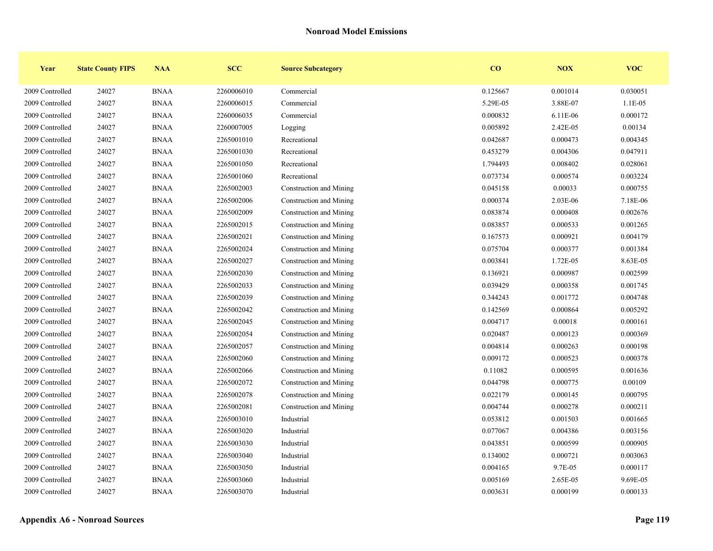| Year            | <b>State County FIPS</b> | <b>NAA</b>  | <b>SCC</b> | <b>Source Subcategory</b> | $\bf{CO}$ | <b>NOX</b> | <b>VOC</b> |
|-----------------|--------------------------|-------------|------------|---------------------------|-----------|------------|------------|
| 2009 Controlled | 24027                    | <b>BNAA</b> | 2260006010 | Commercial                | 0.125667  | 0.001014   | 0.030051   |
| 2009 Controlled | 24027                    | <b>BNAA</b> | 2260006015 | Commercial                | 5.29E-05  | 3.88E-07   | 1.1E-05    |
| 2009 Controlled | 24027                    | <b>BNAA</b> | 2260006035 | Commercial                | 0.000832  | 6.11E-06   | 0.000172   |
| 2009 Controlled | 24027                    | <b>BNAA</b> | 2260007005 | Logging                   | 0.005892  | 2.42E-05   | 0.00134    |
| 2009 Controlled | 24027                    | <b>BNAA</b> | 2265001010 | Recreational              | 0.042687  | 0.000473   | 0.004345   |
| 2009 Controlled | 24027                    | <b>BNAA</b> | 2265001030 | Recreational              | 0.453279  | 0.004306   | 0.047911   |
| 2009 Controlled | 24027                    | <b>BNAA</b> | 2265001050 | Recreational              | 1.794493  | 0.008402   | 0.028061   |
| 2009 Controlled | 24027                    | <b>BNAA</b> | 2265001060 | Recreational              | 0.073734  | 0.000574   | 0.003224   |
| 2009 Controlled | 24027                    | <b>BNAA</b> | 2265002003 | Construction and Mining   | 0.045158  | 0.00033    | 0.000755   |
| 2009 Controlled | 24027                    | <b>BNAA</b> | 2265002006 | Construction and Mining   | 0.000374  | 2.03E-06   | 7.18E-06   |
| 2009 Controlled | 24027                    | <b>BNAA</b> | 2265002009 | Construction and Mining   | 0.083874  | 0.000408   | 0.002676   |
| 2009 Controlled | 24027                    | <b>BNAA</b> | 2265002015 | Construction and Mining   | 0.083857  | 0.000533   | 0.001265   |
| 2009 Controlled | 24027                    | <b>BNAA</b> | 2265002021 | Construction and Mining   | 0.167573  | 0.000921   | 0.004179   |
| 2009 Controlled | 24027                    | <b>BNAA</b> | 2265002024 | Construction and Mining   | 0.075704  | 0.000377   | 0.001384   |
| 2009 Controlled | 24027                    | <b>BNAA</b> | 2265002027 | Construction and Mining   | 0.003841  | 1.72E-05   | 8.63E-05   |
| 2009 Controlled | 24027                    | <b>BNAA</b> | 2265002030 | Construction and Mining   | 0.136921  | 0.000987   | 0.002599   |
| 2009 Controlled | 24027                    | <b>BNAA</b> | 2265002033 | Construction and Mining   | 0.039429  | 0.000358   | 0.001745   |
| 2009 Controlled | 24027                    | <b>BNAA</b> | 2265002039 | Construction and Mining   | 0.344243  | 0.001772   | 0.004748   |
| 2009 Controlled | 24027                    | <b>BNAA</b> | 2265002042 | Construction and Mining   | 0.142569  | 0.000864   | 0.005292   |
| 2009 Controlled | 24027                    | <b>BNAA</b> | 2265002045 | Construction and Mining   | 0.004717  | 0.00018    | 0.000161   |
| 2009 Controlled | 24027                    | <b>BNAA</b> | 2265002054 | Construction and Mining   | 0.020487  | 0.000123   | 0.000369   |
| 2009 Controlled | 24027                    | <b>BNAA</b> | 2265002057 | Construction and Mining   | 0.004814  | 0.000263   | 0.000198   |
| 2009 Controlled | 24027                    | <b>BNAA</b> | 2265002060 | Construction and Mining   | 0.009172  | 0.000523   | 0.000378   |
| 2009 Controlled | 24027                    | <b>BNAA</b> | 2265002066 | Construction and Mining   | 0.11082   | 0.000595   | 0.001636   |
| 2009 Controlled | 24027                    | <b>BNAA</b> | 2265002072 | Construction and Mining   | 0.044798  | 0.000775   | 0.00109    |
| 2009 Controlled | 24027                    | <b>BNAA</b> | 2265002078 | Construction and Mining   | 0.022179  | 0.000145   | 0.000795   |
| 2009 Controlled | 24027                    | <b>BNAA</b> | 2265002081 | Construction and Mining   | 0.004744  | 0.000278   | 0.000211   |
| 2009 Controlled | 24027                    | <b>BNAA</b> | 2265003010 | Industrial                | 0.053812  | 0.001503   | 0.001665   |
| 2009 Controlled | 24027                    | <b>BNAA</b> | 2265003020 | Industrial                | 0.077067  | 0.004386   | 0.003156   |
| 2009 Controlled | 24027                    | <b>BNAA</b> | 2265003030 | Industrial                | 0.043851  | 0.000599   | 0.000905   |
| 2009 Controlled | 24027                    | <b>BNAA</b> | 2265003040 | Industrial                | 0.134002  | 0.000721   | 0.003063   |
| 2009 Controlled | 24027                    | <b>BNAA</b> | 2265003050 | Industrial                | 0.004165  | 9.7E-05    | 0.000117   |
| 2009 Controlled | 24027                    | <b>BNAA</b> | 2265003060 | Industrial                | 0.005169  | 2.65E-05   | 9.69E-05   |
| 2009 Controlled | 24027                    | <b>BNAA</b> | 2265003070 | Industrial                | 0.003631  | 0.000199   | 0.000133   |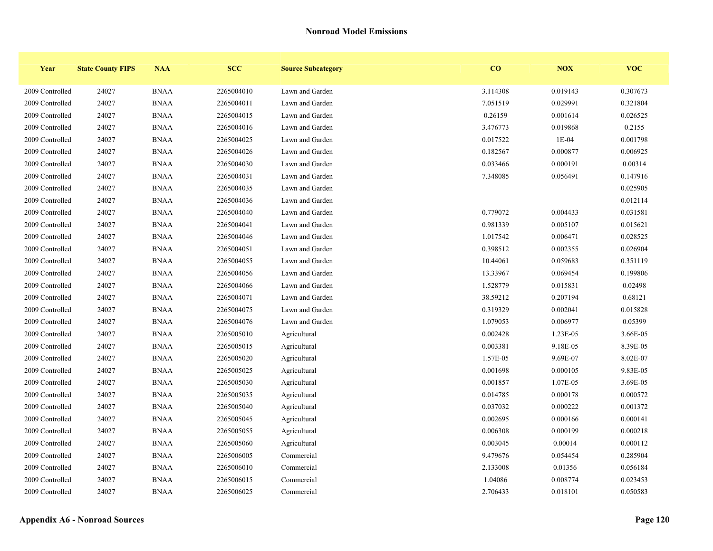| Year            | <b>State County FIPS</b> | <b>NAA</b>  | <b>SCC</b> | <b>Source Subcategory</b> | CO       | <b>NOX</b> | <b>VOC</b> |
|-----------------|--------------------------|-------------|------------|---------------------------|----------|------------|------------|
| 2009 Controlled | 24027                    | <b>BNAA</b> | 2265004010 | Lawn and Garden           | 3.114308 | 0.019143   | 0.307673   |
| 2009 Controlled | 24027                    | <b>BNAA</b> | 2265004011 | Lawn and Garden           | 7.051519 | 0.029991   | 0.321804   |
| 2009 Controlled | 24027                    | <b>BNAA</b> | 2265004015 | Lawn and Garden           | 0.26159  | 0.001614   | 0.026525   |
| 2009 Controlled | 24027                    | <b>BNAA</b> | 2265004016 | Lawn and Garden           | 3.476773 | 0.019868   | 0.2155     |
| 2009 Controlled | 24027                    | <b>BNAA</b> | 2265004025 | Lawn and Garden           | 0.017522 | $1E-04$    | 0.001798   |
| 2009 Controlled | 24027                    | <b>BNAA</b> | 2265004026 | Lawn and Garden           | 0.182567 | 0.000877   | 0.006925   |
| 2009 Controlled | 24027                    | <b>BNAA</b> | 2265004030 | Lawn and Garden           | 0.033466 | 0.000191   | 0.00314    |
| 2009 Controlled | 24027                    | <b>BNAA</b> | 2265004031 | Lawn and Garden           | 7.348085 | 0.056491   | 0.147916   |
| 2009 Controlled | 24027                    | <b>BNAA</b> | 2265004035 | Lawn and Garden           |          |            | 0.025905   |
| 2009 Controlled | 24027                    | <b>BNAA</b> | 2265004036 | Lawn and Garden           |          |            | 0.012114   |
| 2009 Controlled | 24027                    | <b>BNAA</b> | 2265004040 | Lawn and Garden           | 0.779072 | 0.004433   | 0.031581   |
| 2009 Controlled | 24027                    | <b>BNAA</b> | 2265004041 | Lawn and Garden           | 0.981339 | 0.005107   | 0.015621   |
| 2009 Controlled | 24027                    | <b>BNAA</b> | 2265004046 | Lawn and Garden           | 1.017542 | 0.006471   | 0.028525   |
| 2009 Controlled | 24027                    | <b>BNAA</b> | 2265004051 | Lawn and Garden           | 0.398512 | 0.002355   | 0.026904   |
| 2009 Controlled | 24027                    | <b>BNAA</b> | 2265004055 | Lawn and Garden           | 10.44061 | 0.059683   | 0.351119   |
| 2009 Controlled | 24027                    | <b>BNAA</b> | 2265004056 | Lawn and Garden           | 13.33967 | 0.069454   | 0.199806   |
| 2009 Controlled | 24027                    | <b>BNAA</b> | 2265004066 | Lawn and Garden           | 1.528779 | 0.015831   | 0.02498    |
| 2009 Controlled | 24027                    | <b>BNAA</b> | 2265004071 | Lawn and Garden           | 38.59212 | 0.207194   | 0.68121    |
| 2009 Controlled | 24027                    | <b>BNAA</b> | 2265004075 | Lawn and Garden           | 0.319329 | 0.002041   | 0.015828   |
| 2009 Controlled | 24027                    | <b>BNAA</b> | 2265004076 | Lawn and Garden           | 1.079053 | 0.006977   | 0.05399    |
| 2009 Controlled | 24027                    | <b>BNAA</b> | 2265005010 | Agricultural              | 0.002428 | 1.23E-05   | 3.66E-05   |
| 2009 Controlled | 24027                    | <b>BNAA</b> | 2265005015 | Agricultural              | 0.003381 | 9.18E-05   | 8.39E-05   |
| 2009 Controlled | 24027                    | <b>BNAA</b> | 2265005020 | Agricultural              | 1.57E-05 | 9.69E-07   | 8.02E-07   |
| 2009 Controlled | 24027                    | <b>BNAA</b> | 2265005025 | Agricultural              | 0.001698 | 0.000105   | 9.83E-05   |
| 2009 Controlled | 24027                    | <b>BNAA</b> | 2265005030 | Agricultural              | 0.001857 | 1.07E-05   | 3.69E-05   |
| 2009 Controlled | 24027                    | <b>BNAA</b> | 2265005035 | Agricultural              | 0.014785 | 0.000178   | 0.000572   |
| 2009 Controlled | 24027                    | <b>BNAA</b> | 2265005040 | Agricultural              | 0.037032 | 0.000222   | 0.001372   |
| 2009 Controlled | 24027                    | <b>BNAA</b> | 2265005045 | Agricultural              | 0.002695 | 0.000166   | 0.000141   |
| 2009 Controlled | 24027                    | <b>BNAA</b> | 2265005055 | Agricultural              | 0.006308 | 0.000199   | 0.000218   |
| 2009 Controlled | 24027                    | <b>BNAA</b> | 2265005060 | Agricultural              | 0.003045 | 0.00014    | 0.000112   |
| 2009 Controlled | 24027                    | <b>BNAA</b> | 2265006005 | Commercial                | 9.479676 | 0.054454   | 0.285904   |
| 2009 Controlled | 24027                    | <b>BNAA</b> | 2265006010 | Commercial                | 2.133008 | 0.01356    | 0.056184   |
| 2009 Controlled | 24027                    | <b>BNAA</b> | 2265006015 | Commercial                | 1.04086  | 0.008774   | 0.023453   |
| 2009 Controlled | 24027                    | <b>BNAA</b> | 2265006025 | Commercial                | 2.706433 | 0.018101   | 0.050583   |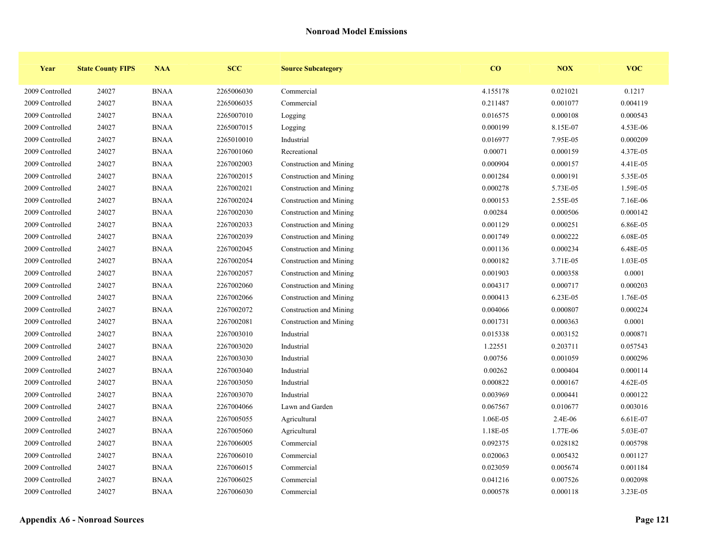| Year            | <b>State County FIPS</b> | <b>NAA</b>  | <b>SCC</b> | <b>Source Subcategory</b> | $\bf{CO}$ | <b>NOX</b> | <b>VOC</b> |
|-----------------|--------------------------|-------------|------------|---------------------------|-----------|------------|------------|
| 2009 Controlled | 24027                    | <b>BNAA</b> | 2265006030 | Commercial                | 4.155178  | 0.021021   | 0.1217     |
| 2009 Controlled | 24027                    | <b>BNAA</b> | 2265006035 | Commercial                | 0.211487  | 0.001077   | 0.004119   |
| 2009 Controlled | 24027                    | <b>BNAA</b> | 2265007010 | Logging                   | 0.016575  | 0.000108   | 0.000543   |
| 2009 Controlled | 24027                    | <b>BNAA</b> | 2265007015 | Logging                   | 0.000199  | 8.15E-07   | 4.53E-06   |
| 2009 Controlled | 24027                    | <b>BNAA</b> | 2265010010 | Industrial                | 0.016977  | 7.95E-05   | 0.000209   |
| 2009 Controlled | 24027                    | <b>BNAA</b> | 2267001060 | Recreational              | 0.00071   | 0.000159   | 4.37E-05   |
| 2009 Controlled | 24027                    | <b>BNAA</b> | 2267002003 | Construction and Mining   | 0.000904  | 0.000157   | 4.41E-05   |
| 2009 Controlled | 24027                    | <b>BNAA</b> | 2267002015 | Construction and Mining   | 0.001284  | 0.000191   | 5.35E-05   |
| 2009 Controlled | 24027                    | <b>BNAA</b> | 2267002021 | Construction and Mining   | 0.000278  | 5.73E-05   | 1.59E-05   |
| 2009 Controlled | 24027                    | <b>BNAA</b> | 2267002024 | Construction and Mining   | 0.000153  | 2.55E-05   | 7.16E-06   |
| 2009 Controlled | 24027                    | <b>BNAA</b> | 2267002030 | Construction and Mining   | 0.00284   | 0.000506   | 0.000142   |
| 2009 Controlled | 24027                    | <b>BNAA</b> | 2267002033 | Construction and Mining   | 0.001129  | 0.000251   | 6.86E-05   |
| 2009 Controlled | 24027                    | <b>BNAA</b> | 2267002039 | Construction and Mining   | 0.001749  | 0.000222   | 6.08E-05   |
| 2009 Controlled | 24027                    | <b>BNAA</b> | 2267002045 | Construction and Mining   | 0.001136  | 0.000234   | 6.48E-05   |
| 2009 Controlled | 24027                    | <b>BNAA</b> | 2267002054 | Construction and Mining   | 0.000182  | 3.71E-05   | 1.03E-05   |
| 2009 Controlled | 24027                    | <b>BNAA</b> | 2267002057 | Construction and Mining   | 0.001903  | 0.000358   | 0.0001     |
| 2009 Controlled | 24027                    | <b>BNAA</b> | 2267002060 | Construction and Mining   | 0.004317  | 0.000717   | 0.000203   |
| 2009 Controlled | 24027                    | <b>BNAA</b> | 2267002066 | Construction and Mining   | 0.000413  | 6.23E-05   | 1.76E-05   |
| 2009 Controlled | 24027                    | <b>BNAA</b> | 2267002072 | Construction and Mining   | 0.004066  | 0.000807   | 0.000224   |
| 2009 Controlled | 24027                    | <b>BNAA</b> | 2267002081 | Construction and Mining   | 0.001731  | 0.000363   | 0.0001     |
| 2009 Controlled | 24027                    | <b>BNAA</b> | 2267003010 | Industrial                | 0.015338  | 0.003152   | 0.000871   |
| 2009 Controlled | 24027                    | <b>BNAA</b> | 2267003020 | Industrial                | 1.22551   | 0.203711   | 0.057543   |
| 2009 Controlled | 24027                    | <b>BNAA</b> | 2267003030 | Industrial                | 0.00756   | 0.001059   | 0.000296   |
| 2009 Controlled | 24027                    | <b>BNAA</b> | 2267003040 | Industrial                | 0.00262   | 0.000404   | 0.000114   |
| 2009 Controlled | 24027                    | <b>BNAA</b> | 2267003050 | Industrial                | 0.000822  | 0.000167   | 4.62E-05   |
| 2009 Controlled | 24027                    | <b>BNAA</b> | 2267003070 | Industrial                | 0.003969  | 0.000441   | 0.000122   |
| 2009 Controlled | 24027                    | <b>BNAA</b> | 2267004066 | Lawn and Garden           | 0.067567  | 0.010677   | 0.003016   |
| 2009 Controlled | 24027                    | <b>BNAA</b> | 2267005055 | Agricultural              | 1.06E-05  | 2.4E-06    | 6.61E-07   |
| 2009 Controlled | 24027                    | <b>BNAA</b> | 2267005060 | Agricultural              | 1.18E-05  | 1.77E-06   | 5.03E-07   |
| 2009 Controlled | 24027                    | <b>BNAA</b> | 2267006005 | Commercial                | 0.092375  | 0.028182   | 0.005798   |
| 2009 Controlled | 24027                    | <b>BNAA</b> | 2267006010 | Commercial                | 0.020063  | 0.005432   | 0.001127   |
| 2009 Controlled | 24027                    | <b>BNAA</b> | 2267006015 | Commercial                | 0.023059  | 0.005674   | 0.001184   |
| 2009 Controlled | 24027                    | <b>BNAA</b> | 2267006025 | Commercial                | 0.041216  | 0.007526   | 0.002098   |
| 2009 Controlled | 24027                    | <b>BNAA</b> | 2267006030 | Commercial                | 0.000578  | 0.000118   | 3.23E-05   |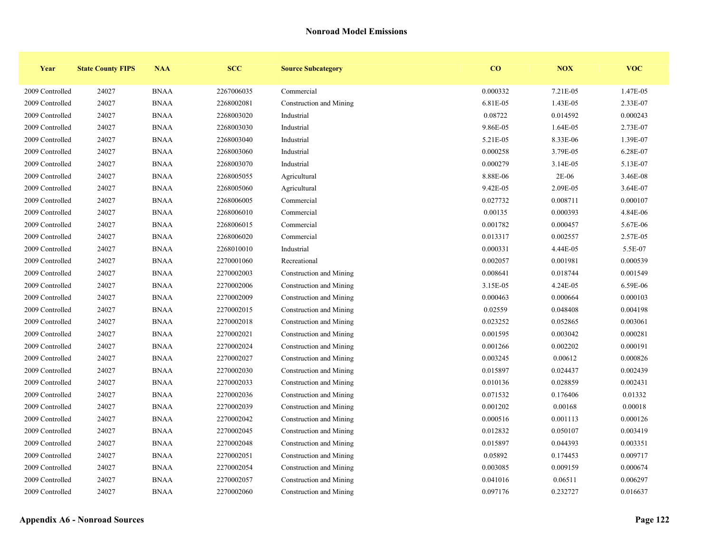| Year            | <b>State County FIPS</b> | <b>NAA</b>  | <b>SCC</b> | <b>Source Subcategory</b> | CO       | NOX      | <b>VOC</b> |
|-----------------|--------------------------|-------------|------------|---------------------------|----------|----------|------------|
| 2009 Controlled | 24027                    | <b>BNAA</b> | 2267006035 | Commercial                | 0.000332 | 7.21E-05 | 1.47E-05   |
| 2009 Controlled | 24027                    | <b>BNAA</b> | 2268002081 | Construction and Mining   | 6.81E-05 | 1.43E-05 | 2.33E-07   |
| 2009 Controlled | 24027                    | <b>BNAA</b> | 2268003020 | Industrial                | 0.08722  | 0.014592 | 0.000243   |
| 2009 Controlled | 24027                    | <b>BNAA</b> | 2268003030 | Industrial                | 9.86E-05 | 1.64E-05 | 2.73E-07   |
| 2009 Controlled | 24027                    | <b>BNAA</b> | 2268003040 | Industrial                | 5.21E-05 | 8.33E-06 | 1.39E-07   |
| 2009 Controlled | 24027                    | <b>BNAA</b> | 2268003060 | Industrial                | 0.000258 | 3.79E-05 | 6.28E-07   |
| 2009 Controlled | 24027                    | <b>BNAA</b> | 2268003070 | Industrial                | 0.000279 | 3.14E-05 | 5.13E-07   |
| 2009 Controlled | 24027                    | <b>BNAA</b> | 2268005055 | Agricultural              | 8.88E-06 | $2E-06$  | 3.46E-08   |
| 2009 Controlled | 24027                    | <b>BNAA</b> | 2268005060 | Agricultural              | 9.42E-05 | 2.09E-05 | 3.64E-07   |
| 2009 Controlled | 24027                    | <b>BNAA</b> | 2268006005 | Commercial                | 0.027732 | 0.008711 | 0.000107   |
| 2009 Controlled | 24027                    | <b>BNAA</b> | 2268006010 | Commercial                | 0.00135  | 0.000393 | 4.84E-06   |
| 2009 Controlled | 24027                    | <b>BNAA</b> | 2268006015 | Commercial                | 0.001782 | 0.000457 | 5.67E-06   |
| 2009 Controlled | 24027                    | <b>BNAA</b> | 2268006020 | Commercial                | 0.013317 | 0.002557 | 2.57E-05   |
| 2009 Controlled | 24027                    | <b>BNAA</b> | 2268010010 | Industrial                | 0.000331 | 4.44E-05 | 5.5E-07    |
| 2009 Controlled | 24027                    | <b>BNAA</b> | 2270001060 | Recreational              | 0.002057 | 0.001981 | 0.000539   |
| 2009 Controlled | 24027                    | <b>BNAA</b> | 2270002003 | Construction and Mining   | 0.008641 | 0.018744 | 0.001549   |
| 2009 Controlled | 24027                    | <b>BNAA</b> | 2270002006 | Construction and Mining   | 3.15E-05 | 4.24E-05 | 6.59E-06   |
| 2009 Controlled | 24027                    | <b>BNAA</b> | 2270002009 | Construction and Mining   | 0.000463 | 0.000664 | 0.000103   |
| 2009 Controlled | 24027                    | <b>BNAA</b> | 2270002015 | Construction and Mining   | 0.02559  | 0.048408 | 0.004198   |
| 2009 Controlled | 24027                    | <b>BNAA</b> | 2270002018 | Construction and Mining   | 0.023252 | 0.052865 | 0.003061   |
| 2009 Controlled | 24027                    | <b>BNAA</b> | 2270002021 | Construction and Mining   | 0.001595 | 0.003042 | 0.000281   |
| 2009 Controlled | 24027                    | <b>BNAA</b> | 2270002024 | Construction and Mining   | 0.001266 | 0.002202 | 0.000191   |
| 2009 Controlled | 24027                    | <b>BNAA</b> | 2270002027 | Construction and Mining   | 0.003245 | 0.00612  | 0.000826   |
| 2009 Controlled | 24027                    | <b>BNAA</b> | 2270002030 | Construction and Mining   | 0.015897 | 0.024437 | 0.002439   |
| 2009 Controlled | 24027                    | <b>BNAA</b> | 2270002033 | Construction and Mining   | 0.010136 | 0.028859 | 0.002431   |
| 2009 Controlled | 24027                    | <b>BNAA</b> | 2270002036 | Construction and Mining   | 0.071532 | 0.176406 | 0.01332    |
| 2009 Controlled | 24027                    | <b>BNAA</b> | 2270002039 | Construction and Mining   | 0.001202 | 0.00168  | 0.00018    |
| 2009 Controlled | 24027                    | <b>BNAA</b> | 2270002042 | Construction and Mining   | 0.000516 | 0.001113 | 0.000126   |
| 2009 Controlled | 24027                    | <b>BNAA</b> | 2270002045 | Construction and Mining   | 0.012832 | 0.050107 | 0.003419   |
| 2009 Controlled | 24027                    | <b>BNAA</b> | 2270002048 | Construction and Mining   | 0.015897 | 0.044393 | 0.003351   |
| 2009 Controlled | 24027                    | <b>BNAA</b> | 2270002051 | Construction and Mining   | 0.05892  | 0.174453 | 0.009717   |
| 2009 Controlled | 24027                    | <b>BNAA</b> | 2270002054 | Construction and Mining   | 0.003085 | 0.009159 | 0.000674   |
| 2009 Controlled | 24027                    | <b>BNAA</b> | 2270002057 | Construction and Mining   | 0.041016 | 0.06511  | 0.006297   |
| 2009 Controlled | 24027                    | <b>BNAA</b> | 2270002060 | Construction and Mining   | 0.097176 | 0.232727 | 0.016637   |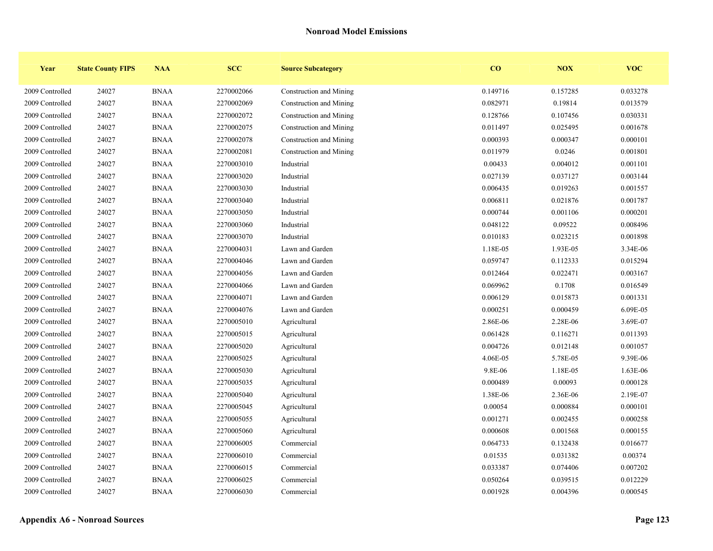| Year            | <b>State County FIPS</b> | <b>NAA</b>  | <b>SCC</b> | <b>Source Subcategory</b> | CO       | <b>NOX</b> | <b>VOC</b> |
|-----------------|--------------------------|-------------|------------|---------------------------|----------|------------|------------|
| 2009 Controlled | 24027                    | <b>BNAA</b> | 2270002066 | Construction and Mining   | 0.149716 | 0.157285   | 0.033278   |
| 2009 Controlled | 24027                    | <b>BNAA</b> | 2270002069 | Construction and Mining   | 0.082971 | 0.19814    | 0.013579   |
| 2009 Controlled | 24027                    | <b>BNAA</b> | 2270002072 | Construction and Mining   | 0.128766 | 0.107456   | 0.030331   |
| 2009 Controlled | 24027                    | <b>BNAA</b> | 2270002075 | Construction and Mining   | 0.011497 | 0.025495   | 0.001678   |
| 2009 Controlled | 24027                    | <b>BNAA</b> | 2270002078 | Construction and Mining   | 0.000393 | 0.000347   | 0.000101   |
| 2009 Controlled | 24027                    | <b>BNAA</b> | 2270002081 | Construction and Mining   | 0.011979 | 0.0246     | 0.001801   |
| 2009 Controlled | 24027                    | <b>BNAA</b> | 2270003010 | Industrial                | 0.00433  | 0.004012   | 0.001101   |
| 2009 Controlled | 24027                    | <b>BNAA</b> | 2270003020 | Industrial                | 0.027139 | 0.037127   | 0.003144   |
| 2009 Controlled | 24027                    | <b>BNAA</b> | 2270003030 | Industrial                | 0.006435 | 0.019263   | 0.001557   |
| 2009 Controlled | 24027                    | <b>BNAA</b> | 2270003040 | Industrial                | 0.006811 | 0.021876   | 0.001787   |
| 2009 Controlled | 24027                    | <b>BNAA</b> | 2270003050 | Industrial                | 0.000744 | 0.001106   | 0.000201   |
| 2009 Controlled | 24027                    | <b>BNAA</b> | 2270003060 | Industrial                | 0.048122 | 0.09522    | 0.008496   |
| 2009 Controlled | 24027                    | <b>BNAA</b> | 2270003070 | Industrial                | 0.010183 | 0.023215   | 0.001898   |
| 2009 Controlled | 24027                    | <b>BNAA</b> | 2270004031 | Lawn and Garden           | 1.18E-05 | 1.93E-05   | 3.34E-06   |
| 2009 Controlled | 24027                    | <b>BNAA</b> | 2270004046 | Lawn and Garden           | 0.059747 | 0.112333   | 0.015294   |
| 2009 Controlled | 24027                    | <b>BNAA</b> | 2270004056 | Lawn and Garden           | 0.012464 | 0.022471   | 0.003167   |
| 2009 Controlled | 24027                    | <b>BNAA</b> | 2270004066 | Lawn and Garden           | 0.069962 | 0.1708     | 0.016549   |
| 2009 Controlled | 24027                    | <b>BNAA</b> | 2270004071 | Lawn and Garden           | 0.006129 | 0.015873   | 0.001331   |
| 2009 Controlled | 24027                    | <b>BNAA</b> | 2270004076 | Lawn and Garden           | 0.000251 | 0.000459   | 6.09E-05   |
| 2009 Controlled | 24027                    | <b>BNAA</b> | 2270005010 | Agricultural              | 2.86E-06 | 2.28E-06   | 3.69E-07   |
| 2009 Controlled | 24027                    | <b>BNAA</b> | 2270005015 | Agricultural              | 0.061428 | 0.116271   | 0.011393   |
| 2009 Controlled | 24027                    | <b>BNAA</b> | 2270005020 | Agricultural              | 0.004726 | 0.012148   | 0.001057   |
| 2009 Controlled | 24027                    | <b>BNAA</b> | 2270005025 | Agricultural              | 4.06E-05 | 5.78E-05   | 9.39E-06   |
| 2009 Controlled | 24027                    | <b>BNAA</b> | 2270005030 | Agricultural              | 9.8E-06  | 1.18E-05   | 1.63E-06   |
| 2009 Controlled | 24027                    | <b>BNAA</b> | 2270005035 | Agricultural              | 0.000489 | 0.00093    | 0.000128   |
| 2009 Controlled | 24027                    | <b>BNAA</b> | 2270005040 | Agricultural              | 1.38E-06 | 2.36E-06   | 2.19E-07   |
| 2009 Controlled | 24027                    | <b>BNAA</b> | 2270005045 | Agricultural              | 0.00054  | 0.000884   | 0.000101   |
| 2009 Controlled | 24027                    | <b>BNAA</b> | 2270005055 | Agricultural              | 0.001271 | 0.002455   | 0.000258   |
| 2009 Controlled | 24027                    | <b>BNAA</b> | 2270005060 | Agricultural              | 0.000608 | 0.001568   | 0.000155   |
| 2009 Controlled | 24027                    | <b>BNAA</b> | 2270006005 | Commercial                | 0.064733 | 0.132438   | 0.016677   |
| 2009 Controlled | 24027                    | <b>BNAA</b> | 2270006010 | Commercial                | 0.01535  | 0.031382   | 0.00374    |
| 2009 Controlled | 24027                    | <b>BNAA</b> | 2270006015 | Commercial                | 0.033387 | 0.074406   | 0.007202   |
| 2009 Controlled | 24027                    | <b>BNAA</b> | 2270006025 | Commercial                | 0.050264 | 0.039515   | 0.012229   |
| 2009 Controlled | 24027                    | <b>BNAA</b> | 2270006030 | Commercial                | 0.001928 | 0.004396   | 0.000545   |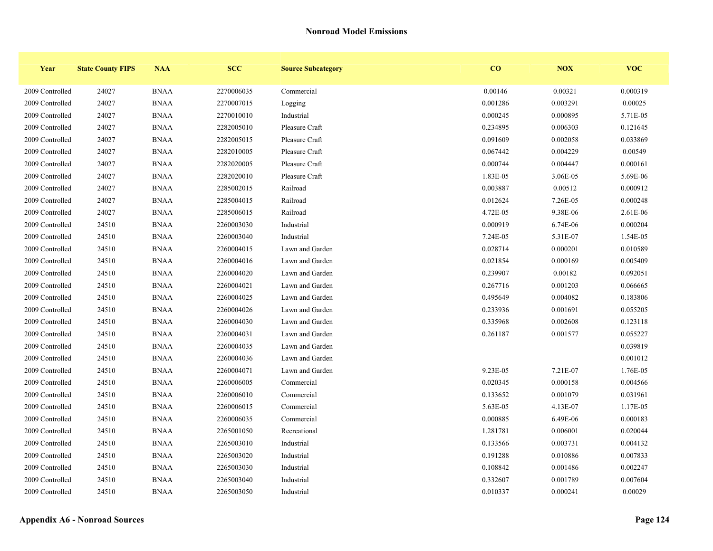| Year            | <b>State County FIPS</b> | <b>NAA</b>  | <b>SCC</b> | <b>Source Subcategory</b> | CO       | <b>NOX</b> | <b>VOC</b> |
|-----------------|--------------------------|-------------|------------|---------------------------|----------|------------|------------|
| 2009 Controlled | 24027                    | <b>BNAA</b> | 2270006035 | Commercial                | 0.00146  | 0.00321    | 0.000319   |
| 2009 Controlled | 24027                    | <b>BNAA</b> | 2270007015 | Logging                   | 0.001286 | 0.003291   | 0.00025    |
| 2009 Controlled | 24027                    | <b>BNAA</b> | 2270010010 | Industrial                | 0.000245 | 0.000895   | 5.71E-05   |
| 2009 Controlled | 24027                    | <b>BNAA</b> | 2282005010 | Pleasure Craft            | 0.234895 | 0.006303   | 0.121645   |
| 2009 Controlled | 24027                    | <b>BNAA</b> | 2282005015 | Pleasure Craft            | 0.091609 | 0.002058   | 0.033869   |
| 2009 Controlled | 24027                    | <b>BNAA</b> | 2282010005 | Pleasure Craft            | 0.067442 | 0.004229   | 0.00549    |
| 2009 Controlled | 24027                    | <b>BNAA</b> | 2282020005 | Pleasure Craft            | 0.000744 | 0.004447   | 0.000161   |
| 2009 Controlled | 24027                    | <b>BNAA</b> | 2282020010 | Pleasure Craft            | 1.83E-05 | 3.06E-05   | 5.69E-06   |
| 2009 Controlled | 24027                    | <b>BNAA</b> | 2285002015 | Railroad                  | 0.003887 | 0.00512    | 0.000912   |
| 2009 Controlled | 24027                    | <b>BNAA</b> | 2285004015 | Railroad                  | 0.012624 | 7.26E-05   | 0.000248   |
| 2009 Controlled | 24027                    | <b>BNAA</b> | 2285006015 | Railroad                  | 4.72E-05 | 9.38E-06   | 2.61E-06   |
| 2009 Controlled | 24510                    | <b>BNAA</b> | 2260003030 | Industrial                | 0.000919 | 6.74E-06   | 0.000204   |
| 2009 Controlled | 24510                    | <b>BNAA</b> | 2260003040 | Industrial                | 7.24E-05 | 5.31E-07   | 1.54E-05   |
| 2009 Controlled | 24510                    | <b>BNAA</b> | 2260004015 | Lawn and Garden           | 0.028714 | 0.000201   | 0.010589   |
| 2009 Controlled | 24510                    | <b>BNAA</b> | 2260004016 | Lawn and Garden           | 0.021854 | 0.000169   | 0.005409   |
| 2009 Controlled | 24510                    | <b>BNAA</b> | 2260004020 | Lawn and Garden           | 0.239907 | 0.00182    | 0.092051   |
| 2009 Controlled | 24510                    | <b>BNAA</b> | 2260004021 | Lawn and Garden           | 0.267716 | 0.001203   | 0.066665   |
| 2009 Controlled | 24510                    | <b>BNAA</b> | 2260004025 | Lawn and Garden           | 0.495649 | 0.004082   | 0.183806   |
| 2009 Controlled | 24510                    | <b>BNAA</b> | 2260004026 | Lawn and Garden           | 0.233936 | 0.001691   | 0.055205   |
| 2009 Controlled | 24510                    | <b>BNAA</b> | 2260004030 | Lawn and Garden           | 0.335968 | 0.002608   | 0.123118   |
| 2009 Controlled | 24510                    | <b>BNAA</b> | 2260004031 | Lawn and Garden           | 0.261187 | 0.001577   | 0.055227   |
| 2009 Controlled | 24510                    | <b>BNAA</b> | 2260004035 | Lawn and Garden           |          |            | 0.039819   |
| 2009 Controlled | 24510                    | <b>BNAA</b> | 2260004036 | Lawn and Garden           |          |            | 0.001012   |
| 2009 Controlled | 24510                    | <b>BNAA</b> | 2260004071 | Lawn and Garden           | 9.23E-05 | 7.21E-07   | 1.76E-05   |
| 2009 Controlled | 24510                    | <b>BNAA</b> | 2260006005 | Commercial                | 0.020345 | 0.000158   | 0.004566   |
| 2009 Controlled | 24510                    | <b>BNAA</b> | 2260006010 | Commercial                | 0.133652 | 0.001079   | 0.031961   |
| 2009 Controlled | 24510                    | <b>BNAA</b> | 2260006015 | Commercial                | 5.63E-05 | 4.13E-07   | 1.17E-05   |
| 2009 Controlled | 24510                    | <b>BNAA</b> | 2260006035 | Commercial                | 0.000885 | 6.49E-06   | 0.000183   |
| 2009 Controlled | 24510                    | <b>BNAA</b> | 2265001050 | Recreational              | 1.281781 | 0.006001   | 0.020044   |
| 2009 Controlled | 24510                    | <b>BNAA</b> | 2265003010 | Industrial                | 0.133566 | 0.003731   | 0.004132   |
| 2009 Controlled | 24510                    | <b>BNAA</b> | 2265003020 | Industrial                | 0.191288 | 0.010886   | 0.007833   |
| 2009 Controlled | 24510                    | <b>BNAA</b> | 2265003030 | Industrial                | 0.108842 | 0.001486   | 0.002247   |
| 2009 Controlled | 24510                    | <b>BNAA</b> | 2265003040 | Industrial                | 0.332607 | 0.001789   | 0.007604   |
| 2009 Controlled | 24510                    | <b>BNAA</b> | 2265003050 | Industrial                | 0.010337 | 0.000241   | 0.00029    |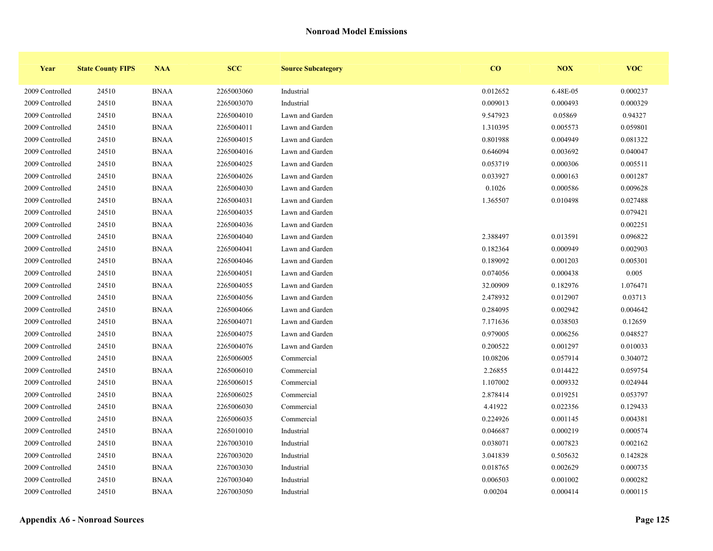| Year            | <b>State County FIPS</b> | <b>NAA</b>  | <b>SCC</b> | <b>Source Subcategory</b> | CO       | <b>NOX</b> | <b>VOC</b> |
|-----------------|--------------------------|-------------|------------|---------------------------|----------|------------|------------|
| 2009 Controlled | 24510                    | <b>BNAA</b> | 2265003060 | Industrial                | 0.012652 | 6.48E-05   | 0.000237   |
| 2009 Controlled | 24510                    | <b>BNAA</b> | 2265003070 | Industrial                | 0.009013 | 0.000493   | 0.000329   |
| 2009 Controlled | 24510                    | <b>BNAA</b> | 2265004010 | Lawn and Garden           | 9.547923 | 0.05869    | 0.94327    |
| 2009 Controlled | 24510                    | <b>BNAA</b> | 2265004011 | Lawn and Garden           | 1.310395 | 0.005573   | 0.059801   |
| 2009 Controlled | 24510                    | <b>BNAA</b> | 2265004015 | Lawn and Garden           | 0.801988 | 0.004949   | 0.081322   |
| 2009 Controlled | 24510                    | <b>BNAA</b> | 2265004016 | Lawn and Garden           | 0.646094 | 0.003692   | 0.040047   |
| 2009 Controlled | 24510                    | <b>BNAA</b> | 2265004025 | Lawn and Garden           | 0.053719 | 0.000306   | 0.005511   |
| 2009 Controlled | 24510                    | <b>BNAA</b> | 2265004026 | Lawn and Garden           | 0.033927 | 0.000163   | 0.001287   |
| 2009 Controlled | 24510                    | <b>BNAA</b> | 2265004030 | Lawn and Garden           | 0.1026   | 0.000586   | 0.009628   |
| 2009 Controlled | 24510                    | <b>BNAA</b> | 2265004031 | Lawn and Garden           | 1.365507 | 0.010498   | 0.027488   |
| 2009 Controlled | 24510                    | <b>BNAA</b> | 2265004035 | Lawn and Garden           |          |            | 0.079421   |
| 2009 Controlled | 24510                    | <b>BNAA</b> | 2265004036 | Lawn and Garden           |          |            | 0.002251   |
| 2009 Controlled | 24510                    | <b>BNAA</b> | 2265004040 | Lawn and Garden           | 2.388497 | 0.013591   | 0.096822   |
| 2009 Controlled | 24510                    | <b>BNAA</b> | 2265004041 | Lawn and Garden           | 0.182364 | 0.000949   | 0.002903   |
| 2009 Controlled | 24510                    | <b>BNAA</b> | 2265004046 | Lawn and Garden           | 0.189092 | 0.001203   | 0.005301   |
| 2009 Controlled | 24510                    | <b>BNAA</b> | 2265004051 | Lawn and Garden           | 0.074056 | 0.000438   | 0.005      |
| 2009 Controlled | 24510                    | <b>BNAA</b> | 2265004055 | Lawn and Garden           | 32.00909 | 0.182976   | 1.076471   |
| 2009 Controlled | 24510                    | <b>BNAA</b> | 2265004056 | Lawn and Garden           | 2.478932 | 0.012907   | 0.03713    |
| 2009 Controlled | 24510                    | <b>BNAA</b> | 2265004066 | Lawn and Garden           | 0.284095 | 0.002942   | 0.004642   |
| 2009 Controlled | 24510                    | <b>BNAA</b> | 2265004071 | Lawn and Garden           | 7.171636 | 0.038503   | 0.12659    |
| 2009 Controlled | 24510                    | <b>BNAA</b> | 2265004075 | Lawn and Garden           | 0.979005 | 0.006256   | 0.048527   |
| 2009 Controlled | 24510                    | <b>BNAA</b> | 2265004076 | Lawn and Garden           | 0.200522 | 0.001297   | 0.010033   |
| 2009 Controlled | 24510                    | <b>BNAA</b> | 2265006005 | Commercial                | 10.08206 | 0.057914   | 0.304072   |
| 2009 Controlled | 24510                    | <b>BNAA</b> | 2265006010 | Commercial                | 2.26855  | 0.014422   | 0.059754   |
| 2009 Controlled | 24510                    | <b>BNAA</b> | 2265006015 | Commercial                | 1.107002 | 0.009332   | 0.024944   |
| 2009 Controlled | 24510                    | <b>BNAA</b> | 2265006025 | Commercial                | 2.878414 | 0.019251   | 0.053797   |
| 2009 Controlled | 24510                    | <b>BNAA</b> | 2265006030 | Commercial                | 4.41922  | 0.022356   | 0.129433   |
| 2009 Controlled | 24510                    | <b>BNAA</b> | 2265006035 | Commercial                | 0.224926 | 0.001145   | 0.004381   |
| 2009 Controlled | 24510                    | <b>BNAA</b> | 2265010010 | Industrial                | 0.046687 | 0.000219   | 0.000574   |
| 2009 Controlled | 24510                    | <b>BNAA</b> | 2267003010 | Industrial                | 0.038071 | 0.007823   | 0.002162   |
| 2009 Controlled | 24510                    | <b>BNAA</b> | 2267003020 | Industrial                | 3.041839 | 0.505632   | 0.142828   |
| 2009 Controlled | 24510                    | <b>BNAA</b> | 2267003030 | Industrial                | 0.018765 | 0.002629   | 0.000735   |
| 2009 Controlled | 24510                    | <b>BNAA</b> | 2267003040 | Industrial                | 0.006503 | 0.001002   | 0.000282   |
| 2009 Controlled | 24510                    | <b>BNAA</b> | 2267003050 | Industrial                | 0.00204  | 0.000414   | 0.000115   |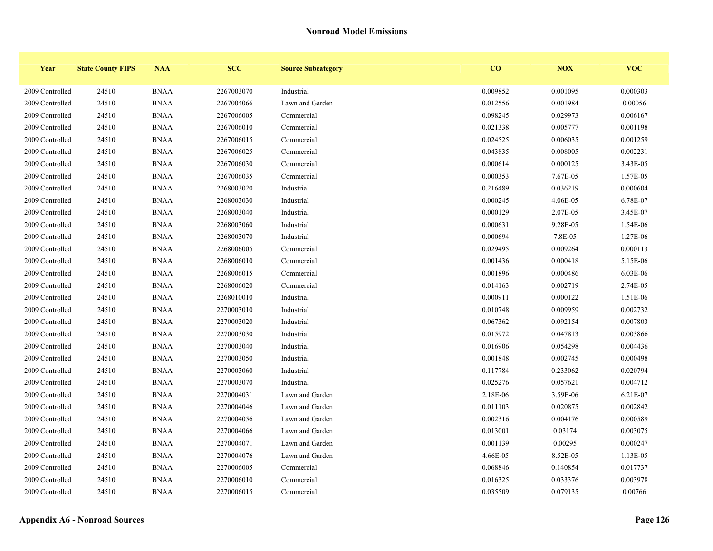| Year            | <b>State County FIPS</b> | <b>NAA</b>  | <b>SCC</b> | <b>Source Subcategory</b> | $\bf{CO}$ | <b>NOX</b> | <b>VOC</b> |
|-----------------|--------------------------|-------------|------------|---------------------------|-----------|------------|------------|
| 2009 Controlled | 24510                    | <b>BNAA</b> | 2267003070 | Industrial                | 0.009852  | 0.001095   | 0.000303   |
| 2009 Controlled | 24510                    | <b>BNAA</b> | 2267004066 | Lawn and Garden           | 0.012556  | 0.001984   | 0.00056    |
| 2009 Controlled | 24510                    | <b>BNAA</b> | 2267006005 | Commercial                | 0.098245  | 0.029973   | 0.006167   |
| 2009 Controlled | 24510                    | <b>BNAA</b> | 2267006010 | Commercial                | 0.021338  | 0.005777   | 0.001198   |
| 2009 Controlled | 24510                    | <b>BNAA</b> | 2267006015 | Commercial                | 0.024525  | 0.006035   | 0.001259   |
| 2009 Controlled | 24510                    | <b>BNAA</b> | 2267006025 | Commercial                | 0.043835  | 0.008005   | 0.002231   |
| 2009 Controlled | 24510                    | <b>BNAA</b> | 2267006030 | Commercial                | 0.000614  | 0.000125   | 3.43E-05   |
| 2009 Controlled | 24510                    | <b>BNAA</b> | 2267006035 | Commercial                | 0.000353  | 7.67E-05   | 1.57E-05   |
| 2009 Controlled | 24510                    | <b>BNAA</b> | 2268003020 | Industrial                | 0.216489  | 0.036219   | 0.000604   |
| 2009 Controlled | 24510                    | <b>BNAA</b> | 2268003030 | Industrial                | 0.000245  | 4.06E-05   | 6.78E-07   |
| 2009 Controlled | 24510                    | <b>BNAA</b> | 2268003040 | Industrial                | 0.000129  | 2.07E-05   | 3.45E-07   |
| 2009 Controlled | 24510                    | <b>BNAA</b> | 2268003060 | Industrial                | 0.000631  | 9.28E-05   | 1.54E-06   |
| 2009 Controlled | 24510                    | <b>BNAA</b> | 2268003070 | Industrial                | 0.000694  | 7.8E-05    | 1.27E-06   |
| 2009 Controlled | 24510                    | <b>BNAA</b> | 2268006005 | Commercial                | 0.029495  | 0.009264   | 0.000113   |
| 2009 Controlled | 24510                    | <b>BNAA</b> | 2268006010 | Commercial                | 0.001436  | 0.000418   | 5.15E-06   |
| 2009 Controlled | 24510                    | <b>BNAA</b> | 2268006015 | Commercial                | 0.001896  | 0.000486   | 6.03E-06   |
| 2009 Controlled | 24510                    | <b>BNAA</b> | 2268006020 | Commercial                | 0.014163  | 0.002719   | 2.74E-05   |
| 2009 Controlled | 24510                    | <b>BNAA</b> | 2268010010 | Industrial                | 0.000911  | 0.000122   | 1.51E-06   |
| 2009 Controlled | 24510                    | <b>BNAA</b> | 2270003010 | Industrial                | 0.010748  | 0.009959   | 0.002732   |
| 2009 Controlled | 24510                    | <b>BNAA</b> | 2270003020 | Industrial                | 0.067362  | 0.092154   | 0.007803   |
| 2009 Controlled | 24510                    | <b>BNAA</b> | 2270003030 | Industrial                | 0.015972  | 0.047813   | 0.003866   |
| 2009 Controlled | 24510                    | <b>BNAA</b> | 2270003040 | Industrial                | 0.016906  | 0.054298   | 0.004436   |
| 2009 Controlled | 24510                    | <b>BNAA</b> | 2270003050 | Industrial                | 0.001848  | 0.002745   | 0.000498   |
| 2009 Controlled | 24510                    | <b>BNAA</b> | 2270003060 | Industrial                | 0.117784  | 0.233062   | 0.020794   |
| 2009 Controlled | 24510                    | <b>BNAA</b> | 2270003070 | Industrial                | 0.025276  | 0.057621   | 0.004712   |
| 2009 Controlled | 24510                    | <b>BNAA</b> | 2270004031 | Lawn and Garden           | 2.18E-06  | 3.59E-06   | 6.21E-07   |
| 2009 Controlled | 24510                    | <b>BNAA</b> | 2270004046 | Lawn and Garden           | 0.011103  | 0.020875   | 0.002842   |
| 2009 Controlled | 24510                    | <b>BNAA</b> | 2270004056 | Lawn and Garden           | 0.002316  | 0.004176   | 0.000589   |
| 2009 Controlled | 24510                    | <b>BNAA</b> | 2270004066 | Lawn and Garden           | 0.013001  | 0.03174    | 0.003075   |
| 2009 Controlled | 24510                    | <b>BNAA</b> | 2270004071 | Lawn and Garden           | 0.001139  | 0.00295    | 0.000247   |
| 2009 Controlled | 24510                    | <b>BNAA</b> | 2270004076 | Lawn and Garden           | 4.66E-05  | 8.52E-05   | 1.13E-05   |
| 2009 Controlled | 24510                    | <b>BNAA</b> | 2270006005 | Commercial                | 0.068846  | 0.140854   | 0.017737   |
| 2009 Controlled | 24510                    | <b>BNAA</b> | 2270006010 | Commercial                | 0.016325  | 0.033376   | 0.003978   |
| 2009 Controlled | 24510                    | <b>BNAA</b> | 2270006015 | Commercial                | 0.035509  | 0.079135   | 0.00766    |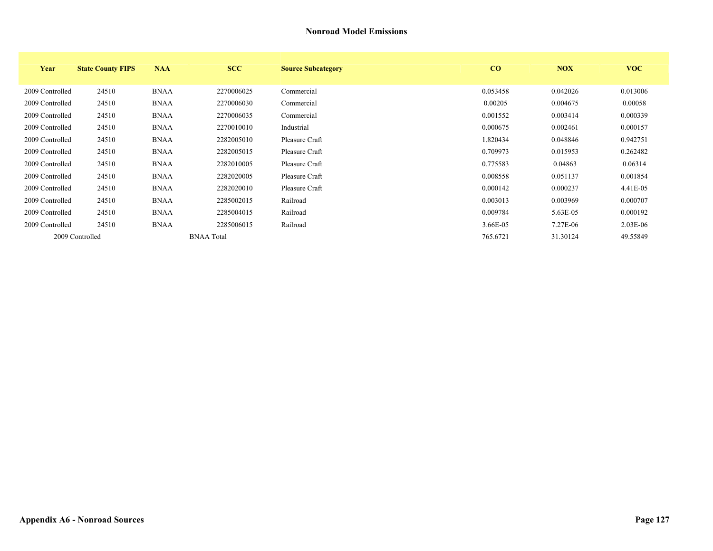| Year            | <b>State County FIPS</b> | <b>NAA</b>  | <b>SCC</b>        | <b>Source Subcategory</b> | CO       | <b>NOX</b> | <b>VOC</b> |
|-----------------|--------------------------|-------------|-------------------|---------------------------|----------|------------|------------|
| 2009 Controlled | 24510                    | <b>BNAA</b> | 2270006025        | Commercial                | 0.053458 | 0.042026   | 0.013006   |
| 2009 Controlled | 24510                    | <b>BNAA</b> | 2270006030        | Commercial                | 0.00205  | 0.004675   | 0.00058    |
| 2009 Controlled | 24510                    | <b>BNAA</b> | 2270006035        | Commercial                | 0.001552 | 0.003414   | 0.000339   |
| 2009 Controlled | 24510                    | <b>BNAA</b> | 2270010010        | Industrial                | 0.000675 | 0.002461   | 0.000157   |
| 2009 Controlled | 24510                    | <b>BNAA</b> | 2282005010        | Pleasure Craft            | 1.820434 | 0.048846   | 0.942751   |
| 2009 Controlled | 24510                    | <b>BNAA</b> | 2282005015        | Pleasure Craft            | 0.709973 | 0.015953   | 0.262482   |
| 2009 Controlled | 24510                    | <b>BNAA</b> | 2282010005        | Pleasure Craft            | 0.775583 | 0.04863    | 0.06314    |
| 2009 Controlled | 24510                    | <b>BNAA</b> | 2282020005        | Pleasure Craft            | 0.008558 | 0.051137   | 0.001854   |
| 2009 Controlled | 24510                    | <b>BNAA</b> | 2282020010        | Pleasure Craft            | 0.000142 | 0.000237   | 4.41E-05   |
| 2009 Controlled | 24510                    | <b>BNAA</b> | 2285002015        | Railroad                  | 0.003013 | 0.003969   | 0.000707   |
| 2009 Controlled | 24510                    | <b>BNAA</b> | 2285004015        | Railroad                  | 0.009784 | 5.63E-05   | 0.000192   |
| 2009 Controlled | 24510                    | <b>BNAA</b> | 2285006015        | Railroad                  | 3.66E-05 | 7.27E-06   | 2.03E-06   |
|                 | 2009 Controlled          |             | <b>BNAA</b> Total |                           | 765.6721 | 31.30124   | 49.55849   |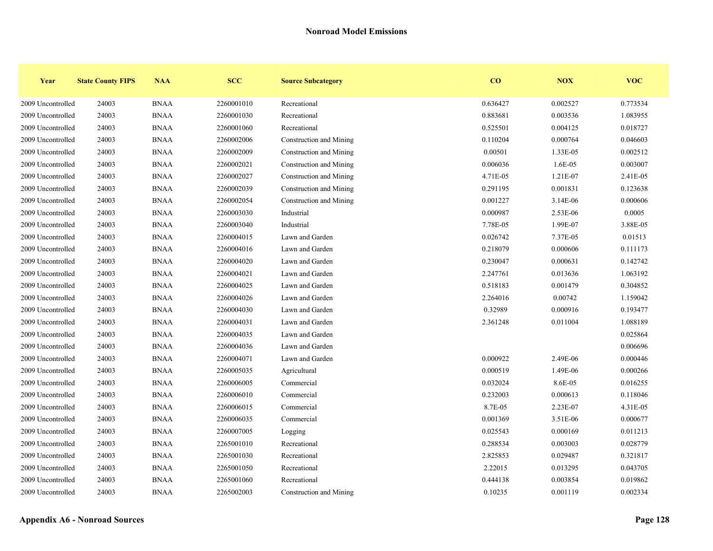| Year              | <b>State County FIPS</b> | <b>NAA</b>  | <b>SCC</b> | <b>Source Subcategory</b> | CO       | <b>NOX</b> | <b>VOC</b> |
|-------------------|--------------------------|-------------|------------|---------------------------|----------|------------|------------|
| 2009 Uncontrolled | 24003                    | <b>BNAA</b> | 2260001010 | Recreational              | 0.636427 | 0.002527   | 0.773534   |
| 2009 Uncontrolled | 24003                    | <b>BNAA</b> | 2260001030 | Recreational              | 0.883681 | 0.003536   | 1.083955   |
| 2009 Uncontrolled | 24003                    | <b>BNAA</b> | 2260001060 | Recreational              | 0.525501 | 0.004125   | 0.018727   |
| 2009 Uncontrolled | 24003                    | <b>BNAA</b> | 2260002006 | Construction and Mining   | 0.110204 | 0.000764   | 0.046603   |
| 2009 Uncontrolled | 24003                    | <b>BNAA</b> | 2260002009 | Construction and Mining   | 0.00501  | 1.33E-05   | 0.002512   |
| 2009 Uncontrolled | 24003                    | <b>BNAA</b> | 2260002021 | Construction and Mining   | 0.006036 | 1.6E-05    | 0.003007   |
| 2009 Uncontrolled | 24003                    | <b>BNAA</b> | 2260002027 | Construction and Mining   | 4.71E-05 | 1.21E-07   | 2.41E-05   |
| 2009 Uncontrolled | 24003                    | <b>BNAA</b> | 2260002039 | Construction and Mining   | 0.291195 | 0.001831   | 0.123638   |
| 2009 Uncontrolled | 24003                    | <b>BNAA</b> | 2260002054 | Construction and Mining   | 0.001227 | 3.14E-06   | 0.000606   |
| 2009 Uncontrolled | 24003                    | <b>BNAA</b> | 2260003030 | Industrial                | 0.000987 | 2.53E-06   | 0.0005     |
| 2009 Uncontrolled | 24003                    | <b>BNAA</b> | 2260003040 | Industrial                | 7.78E-05 | 1.99E-07   | 3.88E-05   |
| 2009 Uncontrolled | 24003                    | <b>BNAA</b> | 2260004015 | Lawn and Garden           | 0.026742 | 7.37E-05   | 0.01513    |
| 2009 Uncontrolled | 24003                    | <b>BNAA</b> | 2260004016 | Lawn and Garden           | 0.218079 | 0.000606   | 0.111173   |
| 2009 Uncontrolled | 24003                    | <b>BNAA</b> | 2260004020 | Lawn and Garden           | 0.230047 | 0.000631   | 0.142742   |
| 2009 Uncontrolled | 24003                    | <b>BNAA</b> | 2260004021 | Lawn and Garden           | 2.247761 | 0.013636   | 1.063192   |
| 2009 Uncontrolled | 24003                    | <b>BNAA</b> | 2260004025 | Lawn and Garden           | 0.518183 | 0.001479   | 0.304852   |
| 2009 Uncontrolled | 24003                    | <b>BNAA</b> | 2260004026 | Lawn and Garden           | 2.264016 | 0.00742    | 1.159042   |
| 2009 Uncontrolled | 24003                    | <b>BNAA</b> | 2260004030 | Lawn and Garden           | 0.32989  | 0.000916   | 0.193477   |
| 2009 Uncontrolled | 24003                    | <b>BNAA</b> | 2260004031 | Lawn and Garden           | 2.361248 | 0.011004   | 1.088189   |
| 2009 Uncontrolled | 24003                    | <b>BNAA</b> | 2260004035 | Lawn and Garden           |          |            | 0.025864   |
| 2009 Uncontrolled | 24003                    | <b>BNAA</b> | 2260004036 | Lawn and Garden           |          |            | 0.006696   |
| 2009 Uncontrolled | 24003                    | <b>BNAA</b> | 2260004071 | Lawn and Garden           | 0.000922 | 2.49E-06   | 0.000446   |
| 2009 Uncontrolled | 24003                    | <b>BNAA</b> | 2260005035 | Agricultural              | 0.000519 | 1.49E-06   | 0.000266   |
| 2009 Uncontrolled | 24003                    | <b>BNAA</b> | 2260006005 | Commercial                | 0.032024 | 8.6E-05    | 0.016255   |
| 2009 Uncontrolled | 24003                    | <b>BNAA</b> | 2260006010 | Commercial                | 0.232003 | 0.000613   | 0.118046   |
| 2009 Uncontrolled | 24003                    | <b>BNAA</b> | 2260006015 | Commercial                | 8.7E-05  | 2.23E-07   | 4.31E-05   |
| 2009 Uncontrolled | 24003                    | <b>BNAA</b> | 2260006035 | Commercial                | 0.001369 | 3.51E-06   | 0.000677   |
| 2009 Uncontrolled | 24003                    | <b>BNAA</b> | 2260007005 | Logging                   | 0.025543 | 0.000169   | 0.011213   |
| 2009 Uncontrolled | 24003                    | <b>BNAA</b> | 2265001010 | Recreational              | 0.288534 | 0.003003   | 0.028779   |
| 2009 Uncontrolled | 24003                    | <b>BNAA</b> | 2265001030 | Recreational              | 2.825853 | 0.029487   | 0.321817   |
| 2009 Uncontrolled | 24003                    | <b>BNAA</b> | 2265001050 | Recreational              | 2.22015  | 0.013295   | 0.043705   |
| 2009 Uncontrolled | 24003                    | <b>BNAA</b> | 2265001060 | Recreational              | 0.444138 | 0.003854   | 0.019862   |
| 2009 Uncontrolled | 24003                    | <b>BNAA</b> | 2265002003 | Construction and Mining   | 0.10235  | 0.001119   | 0.002334   |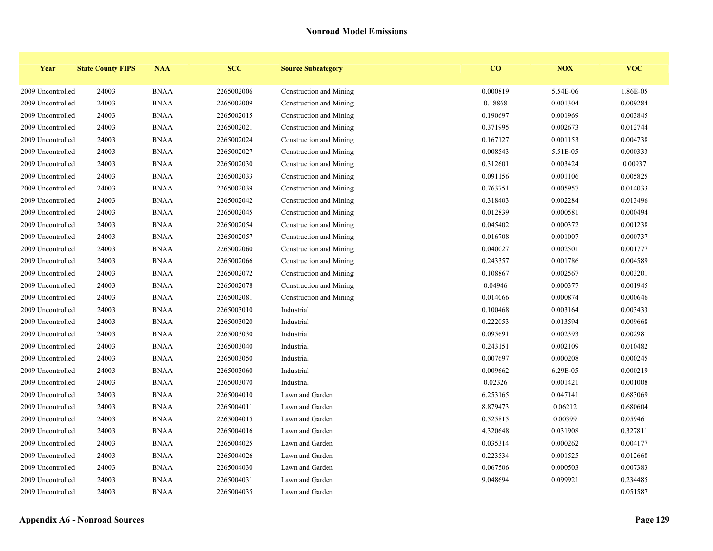| Year              | <b>State County FIPS</b> | <b>NAA</b>  | <b>SCC</b> | <b>Source Subcategory</b> | $\bf{CO}$ | NOX      | <b>VOC</b> |
|-------------------|--------------------------|-------------|------------|---------------------------|-----------|----------|------------|
| 2009 Uncontrolled | 24003                    | <b>BNAA</b> | 2265002006 | Construction and Mining   | 0.000819  | 5.54E-06 | 1.86E-05   |
| 2009 Uncontrolled | 24003                    | <b>BNAA</b> | 2265002009 | Construction and Mining   | 0.18868   | 0.001304 | 0.009284   |
| 2009 Uncontrolled | 24003                    | <b>BNAA</b> | 2265002015 | Construction and Mining   | 0.190697  | 0.001969 | 0.003845   |
| 2009 Uncontrolled | 24003                    | <b>BNAA</b> | 2265002021 | Construction and Mining   | 0.371995  | 0.002673 | 0.012744   |
| 2009 Uncontrolled | 24003                    | <b>BNAA</b> | 2265002024 | Construction and Mining   | 0.167127  | 0.001153 | 0.004738   |
| 2009 Uncontrolled | 24003                    | <b>BNAA</b> | 2265002027 | Construction and Mining   | 0.008543  | 5.51E-05 | 0.000333   |
| 2009 Uncontrolled | 24003                    | <b>BNAA</b> | 2265002030 | Construction and Mining   | 0.312601  | 0.003424 | 0.00937    |
| 2009 Uncontrolled | 24003                    | <b>BNAA</b> | 2265002033 | Construction and Mining   | 0.091156  | 0.001106 | 0.005825   |
| 2009 Uncontrolled | 24003                    | <b>BNAA</b> | 2265002039 | Construction and Mining   | 0.763751  | 0.005957 | 0.014033   |
| 2009 Uncontrolled | 24003                    | <b>BNAA</b> | 2265002042 | Construction and Mining   | 0.318403  | 0.002284 | 0.013496   |
| 2009 Uncontrolled | 24003                    | <b>BNAA</b> | 2265002045 | Construction and Mining   | 0.012839  | 0.000581 | 0.000494   |
| 2009 Uncontrolled | 24003                    | <b>BNAA</b> | 2265002054 | Construction and Mining   | 0.045402  | 0.000372 | 0.001238   |
| 2009 Uncontrolled | 24003                    | <b>BNAA</b> | 2265002057 | Construction and Mining   | 0.016708  | 0.001007 | 0.000737   |
| 2009 Uncontrolled | 24003                    | <b>BNAA</b> | 2265002060 | Construction and Mining   | 0.040027  | 0.002501 | 0.001777   |
| 2009 Uncontrolled | 24003                    | <b>BNAA</b> | 2265002066 | Construction and Mining   | 0.243357  | 0.001786 | 0.004589   |
| 2009 Uncontrolled | 24003                    | <b>BNAA</b> | 2265002072 | Construction and Mining   | 0.108867  | 0.002567 | 0.003201   |
| 2009 Uncontrolled | 24003                    | <b>BNAA</b> | 2265002078 | Construction and Mining   | 0.04946   | 0.000377 | 0.001945   |
| 2009 Uncontrolled | 24003                    | <b>BNAA</b> | 2265002081 | Construction and Mining   | 0.014066  | 0.000874 | 0.000646   |
| 2009 Uncontrolled | 24003                    | <b>BNAA</b> | 2265003010 | Industrial                | 0.100468  | 0.003164 | 0.003433   |
| 2009 Uncontrolled | 24003                    | <b>BNAA</b> | 2265003020 | Industrial                | 0.222053  | 0.013594 | 0.009668   |
| 2009 Uncontrolled | 24003                    | <b>BNAA</b> | 2265003030 | Industrial                | 0.095691  | 0.002393 | 0.002981   |
| 2009 Uncontrolled | 24003                    | <b>BNAA</b> | 2265003040 | Industrial                | 0.243151  | 0.002109 | 0.010482   |
| 2009 Uncontrolled | 24003                    | <b>BNAA</b> | 2265003050 | Industrial                | 0.007697  | 0.000208 | 0.000245   |
| 2009 Uncontrolled | 24003                    | <b>BNAA</b> | 2265003060 | Industrial                | 0.009662  | 6.29E-05 | 0.000219   |
| 2009 Uncontrolled | 24003                    | <b>BNAA</b> | 2265003070 | Industrial                | 0.02326   | 0.001421 | 0.001008   |
| 2009 Uncontrolled | 24003                    | <b>BNAA</b> | 2265004010 | Lawn and Garden           | 6.253165  | 0.047141 | 0.683069   |
| 2009 Uncontrolled | 24003                    | <b>BNAA</b> | 2265004011 | Lawn and Garden           | 8.879473  | 0.06212  | 0.680604   |
| 2009 Uncontrolled | 24003                    | <b>BNAA</b> | 2265004015 | Lawn and Garden           | 0.525815  | 0.00399  | 0.059461   |
| 2009 Uncontrolled | 24003                    | <b>BNAA</b> | 2265004016 | Lawn and Garden           | 4.320648  | 0.031908 | 0.327811   |
| 2009 Uncontrolled | 24003                    | <b>BNAA</b> | 2265004025 | Lawn and Garden           | 0.035314  | 0.000262 | 0.004177   |
| 2009 Uncontrolled | 24003                    | <b>BNAA</b> | 2265004026 | Lawn and Garden           | 0.223534  | 0.001525 | 0.012668   |
| 2009 Uncontrolled | 24003                    | <b>BNAA</b> | 2265004030 | Lawn and Garden           | 0.067506  | 0.000503 | 0.007383   |
| 2009 Uncontrolled | 24003                    | <b>BNAA</b> | 2265004031 | Lawn and Garden           | 9.048694  | 0.099921 | 0.234485   |
| 2009 Uncontrolled | 24003                    | <b>BNAA</b> | 2265004035 | Lawn and Garden           |           |          | 0.051587   |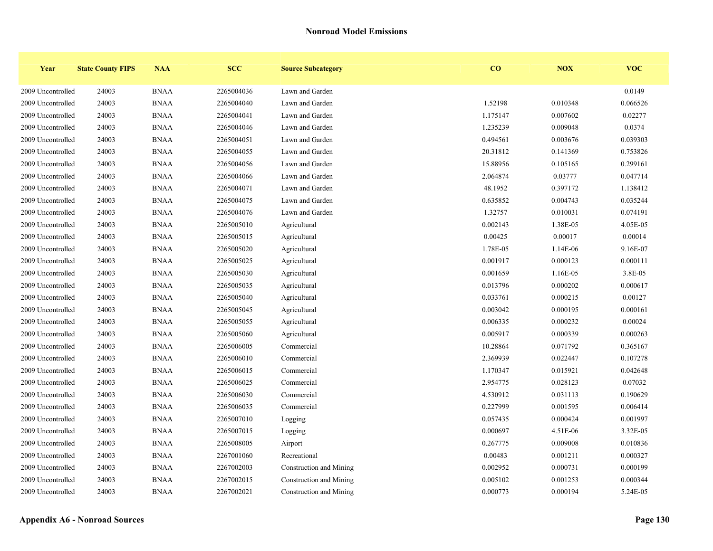| Year              | <b>State County FIPS</b> | <b>NAA</b>  | <b>SCC</b> | <b>Source Subcategory</b> | $\bf{CO}$ | NOX      | <b>VOC</b> |
|-------------------|--------------------------|-------------|------------|---------------------------|-----------|----------|------------|
| 2009 Uncontrolled | 24003                    | <b>BNAA</b> | 2265004036 | Lawn and Garden           |           |          | 0.0149     |
| 2009 Uncontrolled | 24003                    | <b>BNAA</b> | 2265004040 | Lawn and Garden           | 1.52198   | 0.010348 | 0.066526   |
| 2009 Uncontrolled | 24003                    | <b>BNAA</b> | 2265004041 | Lawn and Garden           | 1.175147  | 0.007602 | 0.02277    |
| 2009 Uncontrolled | 24003                    | <b>BNAA</b> | 2265004046 | Lawn and Garden           | 1.235239  | 0.009048 | 0.0374     |
| 2009 Uncontrolled | 24003                    | <b>BNAA</b> | 2265004051 | Lawn and Garden           | 0.494561  | 0.003676 | 0.039303   |
| 2009 Uncontrolled | 24003                    | <b>BNAA</b> | 2265004055 | Lawn and Garden           | 20.31812  | 0.141369 | 0.753826   |
| 2009 Uncontrolled | 24003                    | <b>BNAA</b> | 2265004056 | Lawn and Garden           | 15.88956  | 0.105165 | 0.299161   |
| 2009 Uncontrolled | 24003                    | <b>BNAA</b> | 2265004066 | Lawn and Garden           | 2.064874  | 0.03777  | 0.047714   |
| 2009 Uncontrolled | 24003                    | <b>BNAA</b> | 2265004071 | Lawn and Garden           | 48.1952   | 0.397172 | 1.138412   |
| 2009 Uncontrolled | 24003                    | <b>BNAA</b> | 2265004075 | Lawn and Garden           | 0.635852  | 0.004743 | 0.035244   |
| 2009 Uncontrolled | 24003                    | <b>BNAA</b> | 2265004076 | Lawn and Garden           | 1.32757   | 0.010031 | 0.074191   |
| 2009 Uncontrolled | 24003                    | <b>BNAA</b> | 2265005010 | Agricultural              | 0.002143  | 1.38E-05 | 4.05E-05   |
| 2009 Uncontrolled | 24003                    | <b>BNAA</b> | 2265005015 | Agricultural              | 0.00425   | 0.00017  | 0.00014    |
| 2009 Uncontrolled | 24003                    | <b>BNAA</b> | 2265005020 | Agricultural              | 1.78E-05  | 1.14E-06 | 9.16E-07   |
| 2009 Uncontrolled | 24003                    | <b>BNAA</b> | 2265005025 | Agricultural              | 0.001917  | 0.000123 | 0.000111   |
| 2009 Uncontrolled | 24003                    | <b>BNAA</b> | 2265005030 | Agricultural              | 0.001659  | 1.16E-05 | 3.8E-05    |
| 2009 Uncontrolled | 24003                    | <b>BNAA</b> | 2265005035 | Agricultural              | 0.013796  | 0.000202 | 0.000617   |
| 2009 Uncontrolled | 24003                    | <b>BNAA</b> | 2265005040 | Agricultural              | 0.033761  | 0.000215 | 0.00127    |
| 2009 Uncontrolled | 24003                    | <b>BNAA</b> | 2265005045 | Agricultural              | 0.003042  | 0.000195 | 0.000161   |
| 2009 Uncontrolled | 24003                    | <b>BNAA</b> | 2265005055 | Agricultural              | 0.006335  | 0.000232 | 0.00024    |
| 2009 Uncontrolled | 24003                    | <b>BNAA</b> | 2265005060 | Agricultural              | 0.005917  | 0.000339 | 0.000263   |
| 2009 Uncontrolled | 24003                    | <b>BNAA</b> | 2265006005 | Commercial                | 10.28864  | 0.071792 | 0.365167   |
| 2009 Uncontrolled | 24003                    | <b>BNAA</b> | 2265006010 | Commercial                | 2.369939  | 0.022447 | 0.107278   |
| 2009 Uncontrolled | 24003                    | <b>BNAA</b> | 2265006015 | Commercial                | 1.170347  | 0.015921 | 0.042648   |
| 2009 Uncontrolled | 24003                    | <b>BNAA</b> | 2265006025 | Commercial                | 2.954775  | 0.028123 | 0.07032    |
| 2009 Uncontrolled | 24003                    | <b>BNAA</b> | 2265006030 | Commercial                | 4.530912  | 0.031113 | 0.190629   |
| 2009 Uncontrolled | 24003                    | <b>BNAA</b> | 2265006035 | Commercial                | 0.227999  | 0.001595 | 0.006414   |
| 2009 Uncontrolled | 24003                    | <b>BNAA</b> | 2265007010 | Logging                   | 0.057435  | 0.000424 | 0.001997   |
| 2009 Uncontrolled | 24003                    | <b>BNAA</b> | 2265007015 | Logging                   | 0.000697  | 4.51E-06 | 3.32E-05   |
| 2009 Uncontrolled | 24003                    | <b>BNAA</b> | 2265008005 | Airport                   | 0.267775  | 0.009008 | 0.010836   |
| 2009 Uncontrolled | 24003                    | <b>BNAA</b> | 2267001060 | Recreational              | 0.00483   | 0.001211 | 0.000327   |
| 2009 Uncontrolled | 24003                    | <b>BNAA</b> | 2267002003 | Construction and Mining   | 0.002952  | 0.000731 | 0.000199   |
| 2009 Uncontrolled | 24003                    | <b>BNAA</b> | 2267002015 | Construction and Mining   | 0.005102  | 0.001253 | 0.000344   |
| 2009 Uncontrolled | 24003                    | <b>BNAA</b> | 2267002021 | Construction and Mining   | 0.000773  | 0.000194 | 5.24E-05   |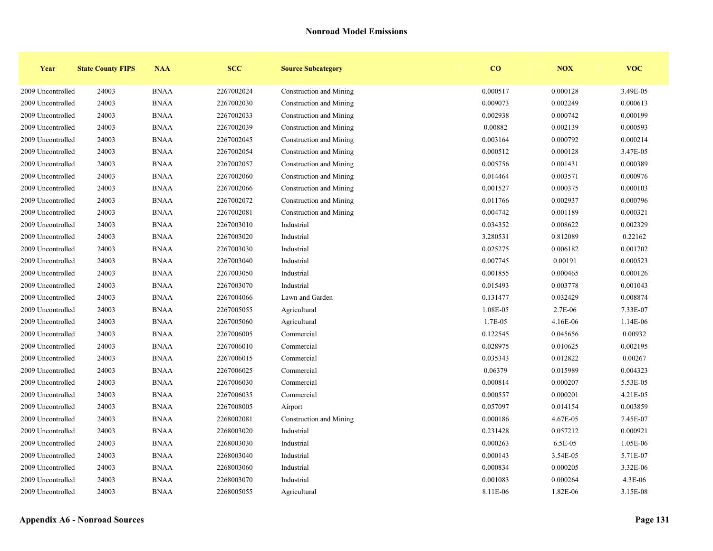| Year              | <b>State County FIPS</b> | <b>NAA</b>  | <b>SCC</b> | <b>Source Subcategory</b> | $\bf{CO}$ | NOX      | <b>VOC</b> |
|-------------------|--------------------------|-------------|------------|---------------------------|-----------|----------|------------|
| 2009 Uncontrolled | 24003                    | <b>BNAA</b> | 2267002024 | Construction and Mining   | 0.000517  | 0.000128 | 3.49E-05   |
| 2009 Uncontrolled | 24003                    | <b>BNAA</b> | 2267002030 | Construction and Mining   | 0.009073  | 0.002249 | 0.000613   |
| 2009 Uncontrolled | 24003                    | <b>BNAA</b> | 2267002033 | Construction and Mining   | 0.002938  | 0.000742 | 0.000199   |
| 2009 Uncontrolled | 24003                    | <b>BNAA</b> | 2267002039 | Construction and Mining   | 0.00882   | 0.002139 | 0.000593   |
| 2009 Uncontrolled | 24003                    | <b>BNAA</b> | 2267002045 | Construction and Mining   | 0.003164  | 0.000792 | 0.000214   |
| 2009 Uncontrolled | 24003                    | <b>BNAA</b> | 2267002054 | Construction and Mining   | 0.000512  | 0.000128 | 3.47E-05   |
| 2009 Uncontrolled | 24003                    | <b>BNAA</b> | 2267002057 | Construction and Mining   | 0.005756  | 0.001431 | 0.000389   |
| 2009 Uncontrolled | 24003                    | <b>BNAA</b> | 2267002060 | Construction and Mining   | 0.014464  | 0.003571 | 0.000976   |
| 2009 Uncontrolled | 24003                    | <b>BNAA</b> | 2267002066 | Construction and Mining   | 0.001527  | 0.000375 | 0.000103   |
| 2009 Uncontrolled | 24003                    | <b>BNAA</b> | 2267002072 | Construction and Mining   | 0.011766  | 0.002937 | 0.000796   |
| 2009 Uncontrolled | 24003                    | <b>BNAA</b> | 2267002081 | Construction and Mining   | 0.004742  | 0.001189 | 0.000321   |
| 2009 Uncontrolled | 24003                    | <b>BNAA</b> | 2267003010 | Industrial                | 0.034352  | 0.008622 | 0.002329   |
| 2009 Uncontrolled | 24003                    | <b>BNAA</b> | 2267003020 | Industrial                | 3.280531  | 0.812089 | 0.22162    |
| 2009 Uncontrolled | 24003                    | <b>BNAA</b> | 2267003030 | Industrial                | 0.025275  | 0.006182 | 0.001702   |
| 2009 Uncontrolled | 24003                    | <b>BNAA</b> | 2267003040 | Industrial                | 0.007745  | 0.00191  | 0.000523   |
| 2009 Uncontrolled | 24003                    | <b>BNAA</b> | 2267003050 | Industrial                | 0.001855  | 0.000465 | 0.000126   |
| 2009 Uncontrolled | 24003                    | <b>BNAA</b> | 2267003070 | Industrial                | 0.015493  | 0.003778 | 0.001043   |
| 2009 Uncontrolled | 24003                    | <b>BNAA</b> | 2267004066 | Lawn and Garden           | 0.131477  | 0.032429 | 0.008874   |
| 2009 Uncontrolled | 24003                    | <b>BNAA</b> | 2267005055 | Agricultural              | 1.08E-05  | 2.7E-06  | 7.33E-07   |
| 2009 Uncontrolled | 24003                    | <b>BNAA</b> | 2267005060 | Agricultural              | 1.7E-05   | 4.16E-06 | 1.14E-06   |
| 2009 Uncontrolled | 24003                    | <b>BNAA</b> | 2267006005 | Commercial                | 0.122545  | 0.045656 | 0.00932    |
| 2009 Uncontrolled | 24003                    | <b>BNAA</b> | 2267006010 | Commercial                | 0.028975  | 0.010625 | 0.002195   |
| 2009 Uncontrolled | 24003                    | <b>BNAA</b> | 2267006015 | Commercial                | 0.035343  | 0.012822 | 0.00267    |
| 2009 Uncontrolled | 24003                    | <b>BNAA</b> | 2267006025 | Commercial                | 0.06379   | 0.015989 | 0.004323   |
| 2009 Uncontrolled | 24003                    | <b>BNAA</b> | 2267006030 | Commercial                | 0.000814  | 0.000207 | 5.53E-05   |
| 2009 Uncontrolled | 24003                    | <b>BNAA</b> | 2267006035 | Commercial                | 0.000557  | 0.000201 | 4.21E-05   |
| 2009 Uncontrolled | 24003                    | <b>BNAA</b> | 2267008005 | Airport                   | 0.057097  | 0.014154 | 0.003859   |
| 2009 Uncontrolled | 24003                    | <b>BNAA</b> | 2268002081 | Construction and Mining   | 0.000186  | 4.67E-05 | 7.45E-07   |
| 2009 Uncontrolled | 24003                    | <b>BNAA</b> | 2268003020 | Industrial                | 0.231428  | 0.057212 | 0.000921   |
| 2009 Uncontrolled | 24003                    | <b>BNAA</b> | 2268003030 | Industrial                | 0.000263  | 6.5E-05  | 1.05E-06   |
| 2009 Uncontrolled | 24003                    | <b>BNAA</b> | 2268003040 | Industrial                | 0.000143  | 3.54E-05 | 5.71E-07   |
| 2009 Uncontrolled | 24003                    | <b>BNAA</b> | 2268003060 | Industrial                | 0.000834  | 0.000205 | 3.32E-06   |
| 2009 Uncontrolled | 24003                    | <b>BNAA</b> | 2268003070 | Industrial                | 0.001083  | 0.000264 | 4.3E-06    |
| 2009 Uncontrolled | 24003                    | <b>BNAA</b> | 2268005055 | Agricultural              | 8.11E-06  | 1.82E-06 | 3.15E-08   |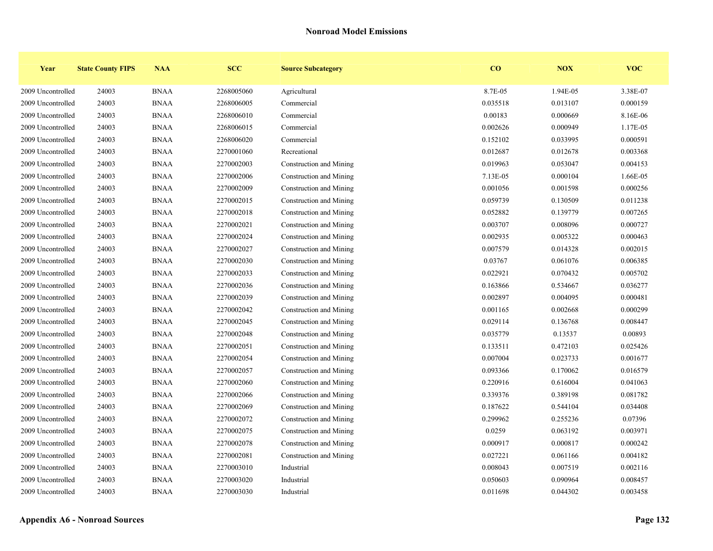| Year              | <b>State County FIPS</b> | <b>NAA</b>  | <b>SCC</b> | <b>Source Subcategory</b> | $\bf{CO}$ | <b>NOX</b> | <b>VOC</b> |
|-------------------|--------------------------|-------------|------------|---------------------------|-----------|------------|------------|
| 2009 Uncontrolled | 24003                    | <b>BNAA</b> | 2268005060 | Agricultural              | 8.7E-05   | 1.94E-05   | 3.38E-07   |
| 2009 Uncontrolled | 24003                    | <b>BNAA</b> | 2268006005 | Commercial                | 0.035518  | 0.013107   | 0.000159   |
| 2009 Uncontrolled | 24003                    | <b>BNAA</b> | 2268006010 | Commercial                | 0.00183   | 0.000669   | 8.16E-06   |
| 2009 Uncontrolled | 24003                    | <b>BNAA</b> | 2268006015 | Commercial                | 0.002626  | 0.000949   | 1.17E-05   |
| 2009 Uncontrolled | 24003                    | <b>BNAA</b> | 2268006020 | Commercial                | 0.152102  | 0.033995   | 0.000591   |
| 2009 Uncontrolled | 24003                    | <b>BNAA</b> | 2270001060 | Recreational              | 0.012687  | 0.012678   | 0.003368   |
| 2009 Uncontrolled | 24003                    | <b>BNAA</b> | 2270002003 | Construction and Mining   | 0.019963  | 0.053047   | 0.004153   |
| 2009 Uncontrolled | 24003                    | <b>BNAA</b> | 2270002006 | Construction and Mining   | 7.13E-05  | 0.000104   | 1.66E-05   |
| 2009 Uncontrolled | 24003                    | <b>BNAA</b> | 2270002009 | Construction and Mining   | 0.001056  | 0.001598   | 0.000256   |
| 2009 Uncontrolled | 24003                    | <b>BNAA</b> | 2270002015 | Construction and Mining   | 0.059739  | 0.130509   | 0.011238   |
| 2009 Uncontrolled | 24003                    | <b>BNAA</b> | 2270002018 | Construction and Mining   | 0.052882  | 0.139779   | 0.007265   |
| 2009 Uncontrolled | 24003                    | <b>BNAA</b> | 2270002021 | Construction and Mining   | 0.003707  | 0.008096   | 0.000727   |
| 2009 Uncontrolled | 24003                    | <b>BNAA</b> | 2270002024 | Construction and Mining   | 0.002935  | 0.005322   | 0.000463   |
| 2009 Uncontrolled | 24003                    | <b>BNAA</b> | 2270002027 | Construction and Mining   | 0.007579  | 0.014328   | 0.002015   |
| 2009 Uncontrolled | 24003                    | <b>BNAA</b> | 2270002030 | Construction and Mining   | 0.03767   | 0.061076   | 0.006385   |
| 2009 Uncontrolled | 24003                    | <b>BNAA</b> | 2270002033 | Construction and Mining   | 0.022921  | 0.070432   | 0.005702   |
| 2009 Uncontrolled | 24003                    | <b>BNAA</b> | 2270002036 | Construction and Mining   | 0.163866  | 0.534667   | 0.036277   |
| 2009 Uncontrolled | 24003                    | <b>BNAA</b> | 2270002039 | Construction and Mining   | 0.002897  | 0.004095   | 0.000481   |
| 2009 Uncontrolled | 24003                    | <b>BNAA</b> | 2270002042 | Construction and Mining   | 0.001165  | 0.002668   | 0.000299   |
| 2009 Uncontrolled | 24003                    | <b>BNAA</b> | 2270002045 | Construction and Mining   | 0.029114  | 0.136768   | 0.008447   |
| 2009 Uncontrolled | 24003                    | <b>BNAA</b> | 2270002048 | Construction and Mining   | 0.035779  | 0.13537    | 0.00893    |
| 2009 Uncontrolled | 24003                    | <b>BNAA</b> | 2270002051 | Construction and Mining   | 0.133511  | 0.472103   | 0.025426   |
| 2009 Uncontrolled | 24003                    | <b>BNAA</b> | 2270002054 | Construction and Mining   | 0.007004  | 0.023733   | 0.001677   |
| 2009 Uncontrolled | 24003                    | <b>BNAA</b> | 2270002057 | Construction and Mining   | 0.093366  | 0.170062   | 0.016579   |
| 2009 Uncontrolled | 24003                    | <b>BNAA</b> | 2270002060 | Construction and Mining   | 0.220916  | 0.616004   | 0.041063   |
| 2009 Uncontrolled | 24003                    | <b>BNAA</b> | 2270002066 | Construction and Mining   | 0.339376  | 0.389198   | 0.081782   |
| 2009 Uncontrolled | 24003                    | <b>BNAA</b> | 2270002069 | Construction and Mining   | 0.187622  | 0.544104   | 0.034408   |
| 2009 Uncontrolled | 24003                    | <b>BNAA</b> | 2270002072 | Construction and Mining   | 0.299962  | 0.255236   | 0.07396    |
| 2009 Uncontrolled | 24003                    | <b>BNAA</b> | 2270002075 | Construction and Mining   | 0.0259    | 0.063192   | 0.003971   |
| 2009 Uncontrolled | 24003                    | <b>BNAA</b> | 2270002078 | Construction and Mining   | 0.000917  | 0.000817   | 0.000242   |
| 2009 Uncontrolled | 24003                    | <b>BNAA</b> | 2270002081 | Construction and Mining   | 0.027221  | 0.061166   | 0.004182   |
| 2009 Uncontrolled | 24003                    | <b>BNAA</b> | 2270003010 | Industrial                | 0.008043  | 0.007519   | 0.002116   |
| 2009 Uncontrolled | 24003                    | <b>BNAA</b> | 2270003020 | Industrial                | 0.050603  | 0.090964   | 0.008457   |
| 2009 Uncontrolled | 24003                    | <b>BNAA</b> | 2270003030 | Industrial                | 0.011698  | 0.044302   | 0.003458   |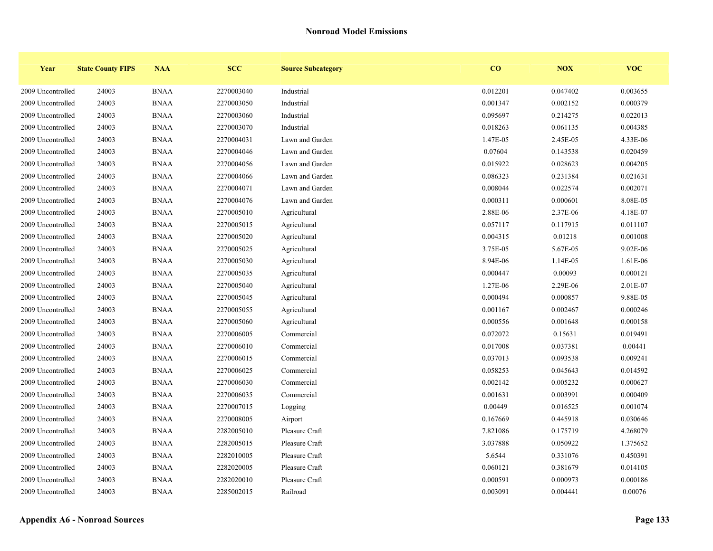| Year              | <b>State County FIPS</b> | <b>NAA</b>  | <b>SCC</b> | <b>Source Subcategory</b> | $\bf{CO}$ | <b>NOX</b> | <b>VOC</b> |
|-------------------|--------------------------|-------------|------------|---------------------------|-----------|------------|------------|
| 2009 Uncontrolled | 24003                    | <b>BNAA</b> | 2270003040 | Industrial                | 0.012201  | 0.047402   | 0.003655   |
| 2009 Uncontrolled | 24003                    | <b>BNAA</b> | 2270003050 | Industrial                | 0.001347  | 0.002152   | 0.000379   |
| 2009 Uncontrolled | 24003                    | <b>BNAA</b> | 2270003060 | Industrial                | 0.095697  | 0.214275   | 0.022013   |
| 2009 Uncontrolled | 24003                    | <b>BNAA</b> | 2270003070 | Industrial                | 0.018263  | 0.061135   | 0.004385   |
| 2009 Uncontrolled | 24003                    | <b>BNAA</b> | 2270004031 | Lawn and Garden           | 1.47E-05  | 2.45E-05   | 4.33E-06   |
| 2009 Uncontrolled | 24003                    | <b>BNAA</b> | 2270004046 | Lawn and Garden           | 0.07604   | 0.143538   | 0.020459   |
| 2009 Uncontrolled | 24003                    | <b>BNAA</b> | 2270004056 | Lawn and Garden           | 0.015922  | 0.028623   | 0.004205   |
| 2009 Uncontrolled | 24003                    | <b>BNAA</b> | 2270004066 | Lawn and Garden           | 0.086323  | 0.231384   | 0.021631   |
| 2009 Uncontrolled | 24003                    | <b>BNAA</b> | 2270004071 | Lawn and Garden           | 0.008044  | 0.022574   | 0.002071   |
| 2009 Uncontrolled | 24003                    | <b>BNAA</b> | 2270004076 | Lawn and Garden           | 0.000311  | 0.000601   | 8.08E-05   |
| 2009 Uncontrolled | 24003                    | <b>BNAA</b> | 2270005010 | Agricultural              | 2.88E-06  | 2.37E-06   | 4.18E-07   |
| 2009 Uncontrolled | 24003                    | <b>BNAA</b> | 2270005015 | Agricultural              | 0.057117  | 0.117915   | 0.011107   |
| 2009 Uncontrolled | 24003                    | <b>BNAA</b> | 2270005020 | Agricultural              | 0.004315  | 0.01218    | 0.001008   |
| 2009 Uncontrolled | 24003                    | <b>BNAA</b> | 2270005025 | Agricultural              | 3.75E-05  | 5.67E-05   | 9.02E-06   |
| 2009 Uncontrolled | 24003                    | <b>BNAA</b> | 2270005030 | Agricultural              | 8.94E-06  | 1.14E-05   | 1.61E-06   |
| 2009 Uncontrolled | 24003                    | <b>BNAA</b> | 2270005035 | Agricultural              | 0.000447  | 0.00093    | 0.000121   |
| 2009 Uncontrolled | 24003                    | <b>BNAA</b> | 2270005040 | Agricultural              | 1.27E-06  | 2.29E-06   | 2.01E-07   |
| 2009 Uncontrolled | 24003                    | <b>BNAA</b> | 2270005045 | Agricultural              | 0.000494  | 0.000857   | 9.88E-05   |
| 2009 Uncontrolled | 24003                    | <b>BNAA</b> | 2270005055 | Agricultural              | 0.001167  | 0.002467   | 0.000246   |
| 2009 Uncontrolled | 24003                    | <b>BNAA</b> | 2270005060 | Agricultural              | 0.000556  | 0.001648   | 0.000158   |
| 2009 Uncontrolled | 24003                    | <b>BNAA</b> | 2270006005 | Commercial                | 0.072072  | 0.15631    | 0.019491   |
| 2009 Uncontrolled | 24003                    | <b>BNAA</b> | 2270006010 | Commercial                | 0.017008  | 0.037381   | 0.00441    |
| 2009 Uncontrolled | 24003                    | <b>BNAA</b> | 2270006015 | Commercial                | 0.037013  | 0.093538   | 0.009241   |
| 2009 Uncontrolled | 24003                    | <b>BNAA</b> | 2270006025 | Commercial                | 0.058253  | 0.045643   | 0.014592   |
| 2009 Uncontrolled | 24003                    | <b>BNAA</b> | 2270006030 | Commercial                | 0.002142  | 0.005232   | 0.000627   |
| 2009 Uncontrolled | 24003                    | <b>BNAA</b> | 2270006035 | Commercial                | 0.001631  | 0.003991   | 0.000409   |
| 2009 Uncontrolled | 24003                    | <b>BNAA</b> | 2270007015 | Logging                   | 0.00449   | 0.016525   | 0.001074   |
| 2009 Uncontrolled | 24003                    | <b>BNAA</b> | 2270008005 | Airport                   | 0.167669  | 0.445918   | 0.030646   |
| 2009 Uncontrolled | 24003                    | <b>BNAA</b> | 2282005010 | Pleasure Craft            | 7.821086  | 0.175719   | 4.268079   |
| 2009 Uncontrolled | 24003                    | <b>BNAA</b> | 2282005015 | Pleasure Craft            | 3.037888  | 0.050922   | 1.375652   |
| 2009 Uncontrolled | 24003                    | <b>BNAA</b> | 2282010005 | Pleasure Craft            | 5.6544    | 0.331076   | 0.450391   |
| 2009 Uncontrolled | 24003                    | <b>BNAA</b> | 2282020005 | Pleasure Craft            | 0.060121  | 0.381679   | 0.014105   |
| 2009 Uncontrolled | 24003                    | <b>BNAA</b> | 2282020010 | Pleasure Craft            | 0.000591  | 0.000973   | 0.000186   |
| 2009 Uncontrolled | 24003                    | <b>BNAA</b> | 2285002015 | Railroad                  | 0.003091  | 0.004441   | 0.00076    |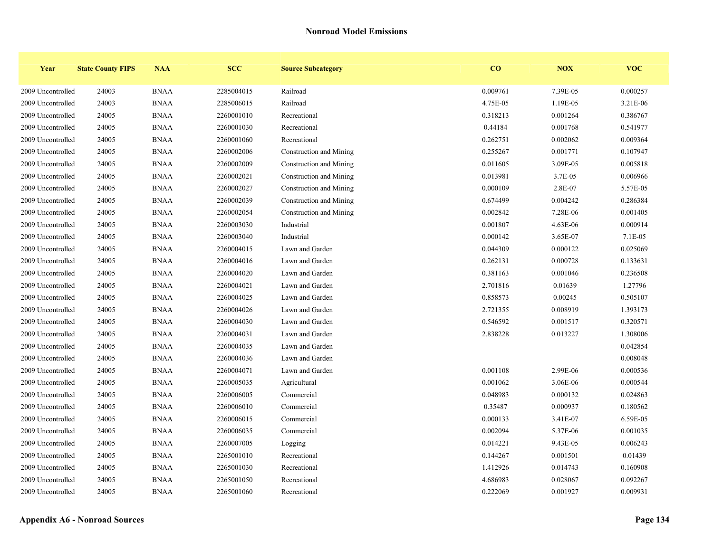| Year              | <b>State County FIPS</b> | <b>NAA</b>  | <b>SCC</b> | <b>Source Subcategory</b> | $\bf{CO}$ | <b>NOX</b> | <b>VOC</b> |
|-------------------|--------------------------|-------------|------------|---------------------------|-----------|------------|------------|
| 2009 Uncontrolled | 24003                    | <b>BNAA</b> | 2285004015 | Railroad                  | 0.009761  | 7.39E-05   | 0.000257   |
| 2009 Uncontrolled | 24003                    | <b>BNAA</b> | 2285006015 | Railroad                  | 4.75E-05  | 1.19E-05   | 3.21E-06   |
| 2009 Uncontrolled | 24005                    | <b>BNAA</b> | 2260001010 | Recreational              | 0.318213  | 0.001264   | 0.386767   |
| 2009 Uncontrolled | 24005                    | <b>BNAA</b> | 2260001030 | Recreational              | 0.44184   | 0.001768   | 0.541977   |
| 2009 Uncontrolled | 24005                    | <b>BNAA</b> | 2260001060 | Recreational              | 0.262751  | 0.002062   | 0.009364   |
| 2009 Uncontrolled | 24005                    | <b>BNAA</b> | 2260002006 | Construction and Mining   | 0.255267  | 0.001771   | 0.107947   |
| 2009 Uncontrolled | 24005                    | <b>BNAA</b> | 2260002009 | Construction and Mining   | 0.011605  | 3.09E-05   | 0.005818   |
| 2009 Uncontrolled | 24005                    | <b>BNAA</b> | 2260002021 | Construction and Mining   | 0.013981  | 3.7E-05    | 0.006966   |
| 2009 Uncontrolled | 24005                    | <b>BNAA</b> | 2260002027 | Construction and Mining   | 0.000109  | 2.8E-07    | 5.57E-05   |
| 2009 Uncontrolled | 24005                    | <b>BNAA</b> | 2260002039 | Construction and Mining   | 0.674499  | 0.004242   | 0.286384   |
| 2009 Uncontrolled | 24005                    | <b>BNAA</b> | 2260002054 | Construction and Mining   | 0.002842  | 7.28E-06   | 0.001405   |
| 2009 Uncontrolled | 24005                    | <b>BNAA</b> | 2260003030 | Industrial                | 0.001807  | 4.63E-06   | 0.000914   |
| 2009 Uncontrolled | 24005                    | <b>BNAA</b> | 2260003040 | Industrial                | 0.000142  | 3.65E-07   | 7.1E-05    |
| 2009 Uncontrolled | 24005                    | <b>BNAA</b> | 2260004015 | Lawn and Garden           | 0.044309  | 0.000122   | 0.025069   |
| 2009 Uncontrolled | 24005                    | <b>BNAA</b> | 2260004016 | Lawn and Garden           | 0.262131  | 0.000728   | 0.133631   |
| 2009 Uncontrolled | 24005                    | <b>BNAA</b> | 2260004020 | Lawn and Garden           | 0.381163  | 0.001046   | 0.236508   |
| 2009 Uncontrolled | 24005                    | <b>BNAA</b> | 2260004021 | Lawn and Garden           | 2.701816  | 0.01639    | 1.27796    |
| 2009 Uncontrolled | 24005                    | <b>BNAA</b> | 2260004025 | Lawn and Garden           | 0.858573  | 0.00245    | 0.505107   |
| 2009 Uncontrolled | 24005                    | <b>BNAA</b> | 2260004026 | Lawn and Garden           | 2.721355  | 0.008919   | 1.393173   |
| 2009 Uncontrolled | 24005                    | <b>BNAA</b> | 2260004030 | Lawn and Garden           | 0.546592  | 0.001517   | 0.320571   |
| 2009 Uncontrolled | 24005                    | <b>BNAA</b> | 2260004031 | Lawn and Garden           | 2.838228  | 0.013227   | 1.308006   |
| 2009 Uncontrolled | 24005                    | <b>BNAA</b> | 2260004035 | Lawn and Garden           |           |            | 0.042854   |
| 2009 Uncontrolled | 24005                    | <b>BNAA</b> | 2260004036 | Lawn and Garden           |           |            | 0.008048   |
| 2009 Uncontrolled | 24005                    | <b>BNAA</b> | 2260004071 | Lawn and Garden           | 0.001108  | 2.99E-06   | 0.000536   |
| 2009 Uncontrolled | 24005                    | <b>BNAA</b> | 2260005035 | Agricultural              | 0.001062  | 3.06E-06   | 0.000544   |
| 2009 Uncontrolled | 24005                    | <b>BNAA</b> | 2260006005 | Commercial                | 0.048983  | 0.000132   | 0.024863   |
| 2009 Uncontrolled | 24005                    | <b>BNAA</b> | 2260006010 | Commercial                | 0.35487   | 0.000937   | 0.180562   |
| 2009 Uncontrolled | 24005                    | <b>BNAA</b> | 2260006015 | Commercial                | 0.000133  | 3.41E-07   | 6.59E-05   |
| 2009 Uncontrolled | 24005                    | <b>BNAA</b> | 2260006035 | Commercial                | 0.002094  | 5.37E-06   | 0.001035   |
| 2009 Uncontrolled | 24005                    | <b>BNAA</b> | 2260007005 | Logging                   | 0.014221  | 9.43E-05   | 0.006243   |
| 2009 Uncontrolled | 24005                    | <b>BNAA</b> | 2265001010 | Recreational              | 0.144267  | 0.001501   | 0.01439    |
| 2009 Uncontrolled | 24005                    | <b>BNAA</b> | 2265001030 | Recreational              | 1.412926  | 0.014743   | 0.160908   |
| 2009 Uncontrolled | 24005                    | <b>BNAA</b> | 2265001050 | Recreational              | 4.686983  | 0.028067   | 0.092267   |
| 2009 Uncontrolled | 24005                    | <b>BNAA</b> | 2265001060 | Recreational              | 0.222069  | 0.001927   | 0.009931   |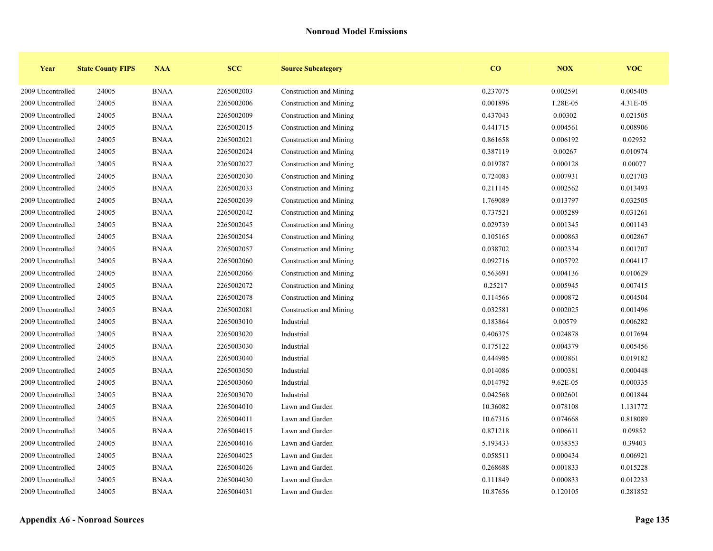| Year              | <b>State County FIPS</b> | <b>NAA</b>  | <b>SCC</b> | <b>Source Subcategory</b> | $\bf{CO}$ | <b>NOX</b> | <b>VOC</b> |
|-------------------|--------------------------|-------------|------------|---------------------------|-----------|------------|------------|
| 2009 Uncontrolled | 24005                    | <b>BNAA</b> | 2265002003 | Construction and Mining   | 0.237075  | 0.002591   | 0.005405   |
| 2009 Uncontrolled | 24005                    | <b>BNAA</b> | 2265002006 | Construction and Mining   | 0.001896  | 1.28E-05   | 4.31E-05   |
| 2009 Uncontrolled | 24005                    | <b>BNAA</b> | 2265002009 | Construction and Mining   | 0.437043  | 0.00302    | 0.021505   |
| 2009 Uncontrolled | 24005                    | <b>BNAA</b> | 2265002015 | Construction and Mining   | 0.441715  | 0.004561   | 0.008906   |
| 2009 Uncontrolled | 24005                    | <b>BNAA</b> | 2265002021 | Construction and Mining   | 0.861658  | 0.006192   | 0.02952    |
| 2009 Uncontrolled | 24005                    | <b>BNAA</b> | 2265002024 | Construction and Mining   | 0.387119  | 0.00267    | 0.010974   |
| 2009 Uncontrolled | 24005                    | <b>BNAA</b> | 2265002027 | Construction and Mining   | 0.019787  | 0.000128   | 0.00077    |
| 2009 Uncontrolled | 24005                    | <b>BNAA</b> | 2265002030 | Construction and Mining   | 0.724083  | 0.007931   | 0.021703   |
| 2009 Uncontrolled | 24005                    | <b>BNAA</b> | 2265002033 | Construction and Mining   | 0.211145  | 0.002562   | 0.013493   |
| 2009 Uncontrolled | 24005                    | <b>BNAA</b> | 2265002039 | Construction and Mining   | 1.769089  | 0.013797   | 0.032505   |
| 2009 Uncontrolled | 24005                    | <b>BNAA</b> | 2265002042 | Construction and Mining   | 0.737521  | 0.005289   | 0.031261   |
| 2009 Uncontrolled | 24005                    | <b>BNAA</b> | 2265002045 | Construction and Mining   | 0.029739  | 0.001345   | 0.001143   |
| 2009 Uncontrolled | 24005                    | <b>BNAA</b> | 2265002054 | Construction and Mining   | 0.105165  | 0.000863   | 0.002867   |
| 2009 Uncontrolled | 24005                    | <b>BNAA</b> | 2265002057 | Construction and Mining   | 0.038702  | 0.002334   | 0.001707   |
| 2009 Uncontrolled | 24005                    | <b>BNAA</b> | 2265002060 | Construction and Mining   | 0.092716  | 0.005792   | 0.004117   |
| 2009 Uncontrolled | 24005                    | <b>BNAA</b> | 2265002066 | Construction and Mining   | 0.563691  | 0.004136   | 0.010629   |
| 2009 Uncontrolled | 24005                    | <b>BNAA</b> | 2265002072 | Construction and Mining   | 0.25217   | 0.005945   | 0.007415   |
| 2009 Uncontrolled | 24005                    | <b>BNAA</b> | 2265002078 | Construction and Mining   | 0.114566  | 0.000872   | 0.004504   |
| 2009 Uncontrolled | 24005                    | <b>BNAA</b> | 2265002081 | Construction and Mining   | 0.032581  | 0.002025   | 0.001496   |
| 2009 Uncontrolled | 24005                    | <b>BNAA</b> | 2265003010 | Industrial                | 0.183864  | 0.00579    | 0.006282   |
| 2009 Uncontrolled | 24005                    | <b>BNAA</b> | 2265003020 | Industrial                | 0.406375  | 0.024878   | 0.017694   |
| 2009 Uncontrolled | 24005                    | <b>BNAA</b> | 2265003030 | Industrial                | 0.175122  | 0.004379   | 0.005456   |
| 2009 Uncontrolled | 24005                    | <b>BNAA</b> | 2265003040 | Industrial                | 0.444985  | 0.003861   | 0.019182   |
| 2009 Uncontrolled | 24005                    | <b>BNAA</b> | 2265003050 | Industrial                | 0.014086  | 0.000381   | 0.000448   |
| 2009 Uncontrolled | 24005                    | <b>BNAA</b> | 2265003060 | Industrial                | 0.014792  | 9.62E-05   | 0.000335   |
| 2009 Uncontrolled | 24005                    | <b>BNAA</b> | 2265003070 | Industrial                | 0.042568  | 0.002601   | 0.001844   |
| 2009 Uncontrolled | 24005                    | <b>BNAA</b> | 2265004010 | Lawn and Garden           | 10.36082  | 0.078108   | 1.131772   |
| 2009 Uncontrolled | 24005                    | <b>BNAA</b> | 2265004011 | Lawn and Garden           | 10.67316  | 0.074668   | 0.818089   |
| 2009 Uncontrolled | 24005                    | <b>BNAA</b> | 2265004015 | Lawn and Garden           | 0.871218  | 0.006611   | 0.09852    |
| 2009 Uncontrolled | 24005                    | <b>BNAA</b> | 2265004016 | Lawn and Garden           | 5.193433  | 0.038353   | 0.39403    |
| 2009 Uncontrolled | 24005                    | <b>BNAA</b> | 2265004025 | Lawn and Garden           | 0.058511  | 0.000434   | 0.006921   |
| 2009 Uncontrolled | 24005                    | <b>BNAA</b> | 2265004026 | Lawn and Garden           | 0.268688  | 0.001833   | 0.015228   |
| 2009 Uncontrolled | 24005                    | <b>BNAA</b> | 2265004030 | Lawn and Garden           | 0.111849  | 0.000833   | 0.012233   |
| 2009 Uncontrolled | 24005                    | <b>BNAA</b> | 2265004031 | Lawn and Garden           | 10.87656  | 0.120105   | 0.281852   |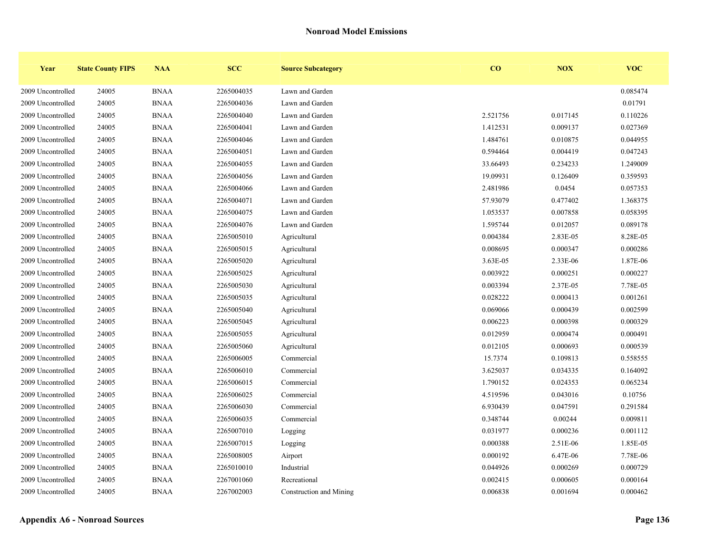| Year              | <b>State County FIPS</b> | <b>NAA</b>  | <b>SCC</b> | <b>Source Subcategory</b> | $\bf{CO}$ | NOX      | <b>VOC</b> |
|-------------------|--------------------------|-------------|------------|---------------------------|-----------|----------|------------|
| 2009 Uncontrolled | 24005                    | <b>BNAA</b> | 2265004035 | Lawn and Garden           |           |          | 0.085474   |
| 2009 Uncontrolled | 24005                    | <b>BNAA</b> | 2265004036 | Lawn and Garden           |           |          | 0.01791    |
| 2009 Uncontrolled | 24005                    | <b>BNAA</b> | 2265004040 | Lawn and Garden           | 2.521756  | 0.017145 | 0.110226   |
| 2009 Uncontrolled | 24005                    | <b>BNAA</b> | 2265004041 | Lawn and Garden           | 1.412531  | 0.009137 | 0.027369   |
| 2009 Uncontrolled | 24005                    | <b>BNAA</b> | 2265004046 | Lawn and Garden           | 1.484761  | 0.010875 | 0.044955   |
| 2009 Uncontrolled | 24005                    | <b>BNAA</b> | 2265004051 | Lawn and Garden           | 0.594464  | 0.004419 | 0.047243   |
| 2009 Uncontrolled | 24005                    | <b>BNAA</b> | 2265004055 | Lawn and Garden           | 33.66493  | 0.234233 | 1.249009   |
| 2009 Uncontrolled | 24005                    | <b>BNAA</b> | 2265004056 | Lawn and Garden           | 19.09931  | 0.126409 | 0.359593   |
| 2009 Uncontrolled | 24005                    | <b>BNAA</b> | 2265004066 | Lawn and Garden           | 2.481986  | 0.0454   | 0.057353   |
| 2009 Uncontrolled | 24005                    | <b>BNAA</b> | 2265004071 | Lawn and Garden           | 57.93079  | 0.477402 | 1.368375   |
| 2009 Uncontrolled | 24005                    | <b>BNAA</b> | 2265004075 | Lawn and Garden           | 1.053537  | 0.007858 | 0.058395   |
| 2009 Uncontrolled | 24005                    | <b>BNAA</b> | 2265004076 | Lawn and Garden           | 1.595744  | 0.012057 | 0.089178   |
| 2009 Uncontrolled | 24005                    | <b>BNAA</b> | 2265005010 | Agricultural              | 0.004384  | 2.83E-05 | 8.28E-05   |
| 2009 Uncontrolled | 24005                    | <b>BNAA</b> | 2265005015 | Agricultural              | 0.008695  | 0.000347 | 0.000286   |
| 2009 Uncontrolled | 24005                    | <b>BNAA</b> | 2265005020 | Agricultural              | 3.63E-05  | 2.33E-06 | 1.87E-06   |
| 2009 Uncontrolled | 24005                    | <b>BNAA</b> | 2265005025 | Agricultural              | 0.003922  | 0.000251 | 0.000227   |
| 2009 Uncontrolled | 24005                    | <b>BNAA</b> | 2265005030 | Agricultural              | 0.003394  | 2.37E-05 | 7.78E-05   |
| 2009 Uncontrolled | 24005                    | <b>BNAA</b> | 2265005035 | Agricultural              | 0.028222  | 0.000413 | 0.001261   |
| 2009 Uncontrolled | 24005                    | <b>BNAA</b> | 2265005040 | Agricultural              | 0.069066  | 0.000439 | 0.002599   |
| 2009 Uncontrolled | 24005                    | <b>BNAA</b> | 2265005045 | Agricultural              | 0.006223  | 0.000398 | 0.000329   |
| 2009 Uncontrolled | 24005                    | <b>BNAA</b> | 2265005055 | Agricultural              | 0.012959  | 0.000474 | 0.000491   |
| 2009 Uncontrolled | 24005                    | <b>BNAA</b> | 2265005060 | Agricultural              | 0.012105  | 0.000693 | 0.000539   |
| 2009 Uncontrolled | 24005                    | <b>BNAA</b> | 2265006005 | Commercial                | 15.7374   | 0.109813 | 0.558555   |
| 2009 Uncontrolled | 24005                    | <b>BNAA</b> | 2265006010 | Commercial                | 3.625037  | 0.034335 | 0.164092   |
| 2009 Uncontrolled | 24005                    | <b>BNAA</b> | 2265006015 | Commercial                | 1.790152  | 0.024353 | 0.065234   |
| 2009 Uncontrolled | 24005                    | <b>BNAA</b> | 2265006025 | Commercial                | 4.519596  | 0.043016 | 0.10756    |
| 2009 Uncontrolled | 24005                    | <b>BNAA</b> | 2265006030 | Commercial                | 6.930439  | 0.047591 | 0.291584   |
| 2009 Uncontrolled | 24005                    | <b>BNAA</b> | 2265006035 | Commercial                | 0.348744  | 0.00244  | 0.009811   |
| 2009 Uncontrolled | 24005                    | <b>BNAA</b> | 2265007010 | Logging                   | 0.031977  | 0.000236 | 0.001112   |
| 2009 Uncontrolled | 24005                    | <b>BNAA</b> | 2265007015 | Logging                   | 0.000388  | 2.51E-06 | 1.85E-05   |
| 2009 Uncontrolled | 24005                    | <b>BNAA</b> | 2265008005 | Airport                   | 0.000192  | 6.47E-06 | 7.78E-06   |
| 2009 Uncontrolled | 24005                    | <b>BNAA</b> | 2265010010 | Industrial                | 0.044926  | 0.000269 | 0.000729   |
| 2009 Uncontrolled | 24005                    | <b>BNAA</b> | 2267001060 | Recreational              | 0.002415  | 0.000605 | 0.000164   |
| 2009 Uncontrolled | 24005                    | <b>BNAA</b> | 2267002003 | Construction and Mining   | 0.006838  | 0.001694 | 0.000462   |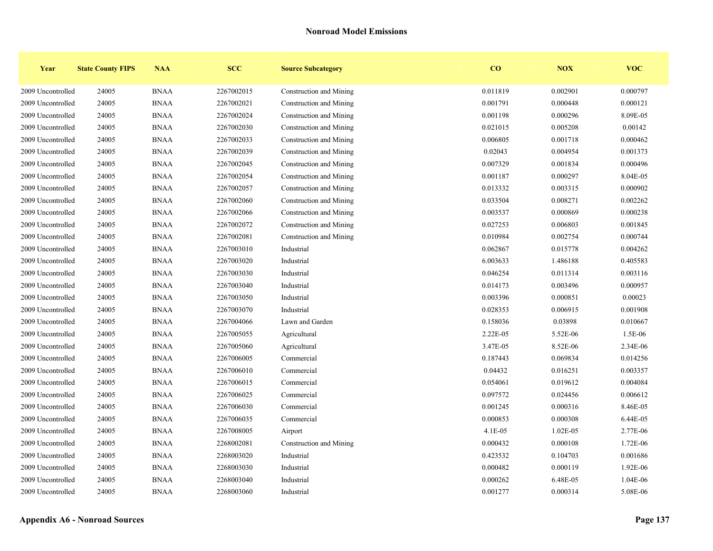| Year              | <b>State County FIPS</b> | <b>NAA</b>  | <b>SCC</b> | <b>Source Subcategory</b> | $\bf{CO}$ | NOX        | <b>VOC</b> |
|-------------------|--------------------------|-------------|------------|---------------------------|-----------|------------|------------|
| 2009 Uncontrolled | 24005                    | <b>BNAA</b> | 2267002015 | Construction and Mining   | 0.011819  | 0.002901   | 0.000797   |
| 2009 Uncontrolled | 24005                    | <b>BNAA</b> | 2267002021 | Construction and Mining   | 0.001791  | 0.000448   | 0.000121   |
| 2009 Uncontrolled | 24005                    | <b>BNAA</b> | 2267002024 | Construction and Mining   | 0.001198  | 0.000296   | 8.09E-05   |
| 2009 Uncontrolled | 24005                    | <b>BNAA</b> | 2267002030 | Construction and Mining   | 0.021015  | 0.005208   | 0.00142    |
| 2009 Uncontrolled | 24005                    | <b>BNAA</b> | 2267002033 | Construction and Mining   | 0.006805  | 0.001718   | 0.000462   |
| 2009 Uncontrolled | 24005                    | <b>BNAA</b> | 2267002039 | Construction and Mining   | 0.02043   | 0.004954   | 0.001373   |
| 2009 Uncontrolled | 24005                    | <b>BNAA</b> | 2267002045 | Construction and Mining   | 0.007329  | 0.001834   | 0.000496   |
| 2009 Uncontrolled | 24005                    | <b>BNAA</b> | 2267002054 | Construction and Mining   | 0.001187  | 0.000297   | 8.04E-05   |
| 2009 Uncontrolled | 24005                    | <b>BNAA</b> | 2267002057 | Construction and Mining   | 0.013332  | 0.003315   | 0.000902   |
| 2009 Uncontrolled | 24005                    | <b>BNAA</b> | 2267002060 | Construction and Mining   | 0.033504  | 0.008271   | 0.002262   |
| 2009 Uncontrolled | 24005                    | <b>BNAA</b> | 2267002066 | Construction and Mining   | 0.003537  | 0.000869   | 0.000238   |
| 2009 Uncontrolled | 24005                    | <b>BNAA</b> | 2267002072 | Construction and Mining   | 0.027253  | 0.006803   | 0.001845   |
| 2009 Uncontrolled | 24005                    | <b>BNAA</b> | 2267002081 | Construction and Mining   | 0.010984  | 0.002754   | 0.000744   |
| 2009 Uncontrolled | 24005                    | <b>BNAA</b> | 2267003010 | Industrial                | 0.062867  | 0.015778   | 0.004262   |
| 2009 Uncontrolled | 24005                    | <b>BNAA</b> | 2267003020 | Industrial                | 6.003633  | 1.486188   | 0.405583   |
| 2009 Uncontrolled | 24005                    | <b>BNAA</b> | 2267003030 | Industrial                | 0.046254  | 0.011314   | 0.003116   |
| 2009 Uncontrolled | 24005                    | <b>BNAA</b> | 2267003040 | Industrial                | 0.014173  | 0.003496   | 0.000957   |
| 2009 Uncontrolled | 24005                    | <b>BNAA</b> | 2267003050 | Industrial                | 0.003396  | 0.000851   | 0.00023    |
| 2009 Uncontrolled | 24005                    | <b>BNAA</b> | 2267003070 | Industrial                | 0.028353  | 0.006915   | 0.001908   |
| 2009 Uncontrolled | 24005                    | <b>BNAA</b> | 2267004066 | Lawn and Garden           | 0.158036  | 0.03898    | 0.010667   |
| 2009 Uncontrolled | 24005                    | <b>BNAA</b> | 2267005055 | Agricultural              | 2.22E-05  | 5.52E-06   | 1.5E-06    |
| 2009 Uncontrolled | 24005                    | <b>BNAA</b> | 2267005060 | Agricultural              | 3.47E-05  | 8.52E-06   | 2.34E-06   |
| 2009 Uncontrolled | 24005                    | <b>BNAA</b> | 2267006005 | Commercial                | 0.187443  | 0.069834   | 0.014256   |
| 2009 Uncontrolled | 24005                    | <b>BNAA</b> | 2267006010 | Commercial                | 0.04432   | 0.016251   | 0.003357   |
| 2009 Uncontrolled | 24005                    | <b>BNAA</b> | 2267006015 | Commercial                | 0.054061  | 0.019612   | 0.004084   |
| 2009 Uncontrolled | 24005                    | <b>BNAA</b> | 2267006025 | Commercial                | 0.097572  | 0.024456   | 0.006612   |
| 2009 Uncontrolled | 24005                    | <b>BNAA</b> | 2267006030 | Commercial                | 0.001245  | 0.000316   | 8.46E-05   |
| 2009 Uncontrolled | 24005                    | <b>BNAA</b> | 2267006035 | Commercial                | 0.000853  | 0.000308   | 6.44E-05   |
| 2009 Uncontrolled | 24005                    | <b>BNAA</b> | 2267008005 | Airport                   | $4.1E-05$ | $1.02E-05$ | 2.77E-06   |
| 2009 Uncontrolled | 24005                    | <b>BNAA</b> | 2268002081 | Construction and Mining   | 0.000432  | 0.000108   | 1.72E-06   |
| 2009 Uncontrolled | 24005                    | <b>BNAA</b> | 2268003020 | Industrial                | 0.423532  | 0.104703   | 0.001686   |
| 2009 Uncontrolled | 24005                    | <b>BNAA</b> | 2268003030 | Industrial                | 0.000482  | 0.000119   | 1.92E-06   |
| 2009 Uncontrolled | 24005                    | <b>BNAA</b> | 2268003040 | Industrial                | 0.000262  | 6.48E-05   | 1.04E-06   |
| 2009 Uncontrolled | 24005                    | <b>BNAA</b> | 2268003060 | Industrial                | 0.001277  | 0.000314   | 5.08E-06   |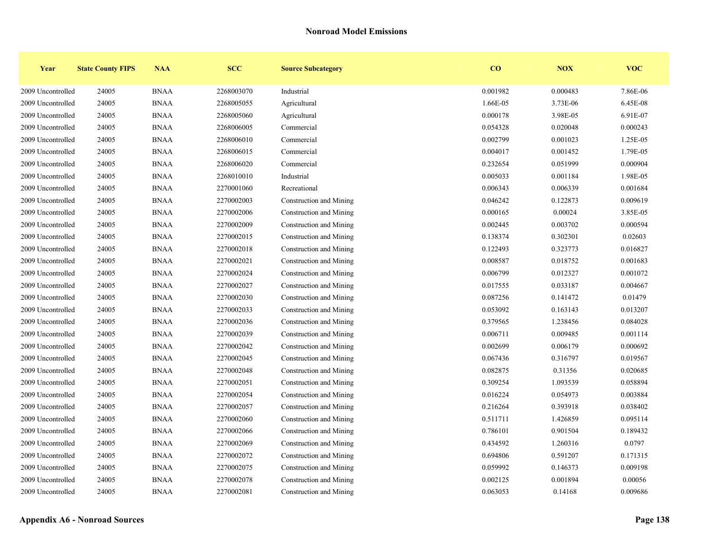| Year              | <b>State County FIPS</b> | <b>NAA</b>  | <b>SCC</b> | <b>Source Subcategory</b> | $\bf{CO}$ | NOX      | <b>VOC</b> |
|-------------------|--------------------------|-------------|------------|---------------------------|-----------|----------|------------|
| 2009 Uncontrolled | 24005                    | <b>BNAA</b> | 2268003070 | Industrial                | 0.001982  | 0.000483 | 7.86E-06   |
| 2009 Uncontrolled | 24005                    | <b>BNAA</b> | 2268005055 | Agricultural              | 1.66E-05  | 3.73E-06 | 6.45E-08   |
| 2009 Uncontrolled | 24005                    | <b>BNAA</b> | 2268005060 | Agricultural              | 0.000178  | 3.98E-05 | 6.91E-07   |
| 2009 Uncontrolled | 24005                    | <b>BNAA</b> | 2268006005 | Commercial                | 0.054328  | 0.020048 | 0.000243   |
| 2009 Uncontrolled | 24005                    | <b>BNAA</b> | 2268006010 | Commercial                | 0.002799  | 0.001023 | 1.25E-05   |
| 2009 Uncontrolled | 24005                    | <b>BNAA</b> | 2268006015 | Commercial                | 0.004017  | 0.001452 | 1.79E-05   |
| 2009 Uncontrolled | 24005                    | <b>BNAA</b> | 2268006020 | Commercial                | 0.232654  | 0.051999 | 0.000904   |
| 2009 Uncontrolled | 24005                    | <b>BNAA</b> | 2268010010 | Industrial                | 0.005033  | 0.001184 | 1.98E-05   |
| 2009 Uncontrolled | 24005                    | <b>BNAA</b> | 2270001060 | Recreational              | 0.006343  | 0.006339 | 0.001684   |
| 2009 Uncontrolled | 24005                    | <b>BNAA</b> | 2270002003 | Construction and Mining   | 0.046242  | 0.122873 | 0.009619   |
| 2009 Uncontrolled | 24005                    | <b>BNAA</b> | 2270002006 | Construction and Mining   | 0.000165  | 0.00024  | 3.85E-05   |
| 2009 Uncontrolled | 24005                    | <b>BNAA</b> | 2270002009 | Construction and Mining   | 0.002445  | 0.003702 | 0.000594   |
| 2009 Uncontrolled | 24005                    | <b>BNAA</b> | 2270002015 | Construction and Mining   | 0.138374  | 0.302301 | 0.02603    |
| 2009 Uncontrolled | 24005                    | <b>BNAA</b> | 2270002018 | Construction and Mining   | 0.122493  | 0.323773 | 0.016827   |
| 2009 Uncontrolled | 24005                    | <b>BNAA</b> | 2270002021 | Construction and Mining   | 0.008587  | 0.018752 | 0.001683   |
| 2009 Uncontrolled | 24005                    | <b>BNAA</b> | 2270002024 | Construction and Mining   | 0.006799  | 0.012327 | 0.001072   |
| 2009 Uncontrolled | 24005                    | <b>BNAA</b> | 2270002027 | Construction and Mining   | 0.017555  | 0.033187 | 0.004667   |
| 2009 Uncontrolled | 24005                    | <b>BNAA</b> | 2270002030 | Construction and Mining   | 0.087256  | 0.141472 | 0.01479    |
| 2009 Uncontrolled | 24005                    | <b>BNAA</b> | 2270002033 | Construction and Mining   | 0.053092  | 0.163143 | 0.013207   |
| 2009 Uncontrolled | 24005                    | <b>BNAA</b> | 2270002036 | Construction and Mining   | 0.379565  | 1.238456 | 0.084028   |
| 2009 Uncontrolled | 24005                    | <b>BNAA</b> | 2270002039 | Construction and Mining   | 0.006711  | 0.009485 | 0.001114   |
| 2009 Uncontrolled | 24005                    | <b>BNAA</b> | 2270002042 | Construction and Mining   | 0.002699  | 0.006179 | 0.000692   |
| 2009 Uncontrolled | 24005                    | <b>BNAA</b> | 2270002045 | Construction and Mining   | 0.067436  | 0.316797 | 0.019567   |
| 2009 Uncontrolled | 24005                    | <b>BNAA</b> | 2270002048 | Construction and Mining   | 0.082875  | 0.31356  | 0.020685   |
| 2009 Uncontrolled | 24005                    | <b>BNAA</b> | 2270002051 | Construction and Mining   | 0.309254  | 1.093539 | 0.058894   |
| 2009 Uncontrolled | 24005                    | <b>BNAA</b> | 2270002054 | Construction and Mining   | 0.016224  | 0.054973 | 0.003884   |
| 2009 Uncontrolled | 24005                    | <b>BNAA</b> | 2270002057 | Construction and Mining   | 0.216264  | 0.393918 | 0.038402   |
| 2009 Uncontrolled | 24005                    | <b>BNAA</b> | 2270002060 | Construction and Mining   | 0.511711  | 1.426859 | 0.095114   |
| 2009 Uncontrolled | 24005                    | <b>BNAA</b> | 2270002066 | Construction and Mining   | 0.786101  | 0.901504 | 0.189432   |
| 2009 Uncontrolled | 24005                    | <b>BNAA</b> | 2270002069 | Construction and Mining   | 0.434592  | 1.260316 | 0.0797     |
| 2009 Uncontrolled | 24005                    | <b>BNAA</b> | 2270002072 | Construction and Mining   | 0.694806  | 0.591207 | 0.171315   |
| 2009 Uncontrolled | 24005                    | <b>BNAA</b> | 2270002075 | Construction and Mining   | 0.059992  | 0.146373 | 0.009198   |
| 2009 Uncontrolled | 24005                    | <b>BNAA</b> | 2270002078 | Construction and Mining   | 0.002125  | 0.001894 | 0.00056    |
| 2009 Uncontrolled | 24005                    | <b>BNAA</b> | 2270002081 | Construction and Mining   | 0.063053  | 0.14168  | 0.009686   |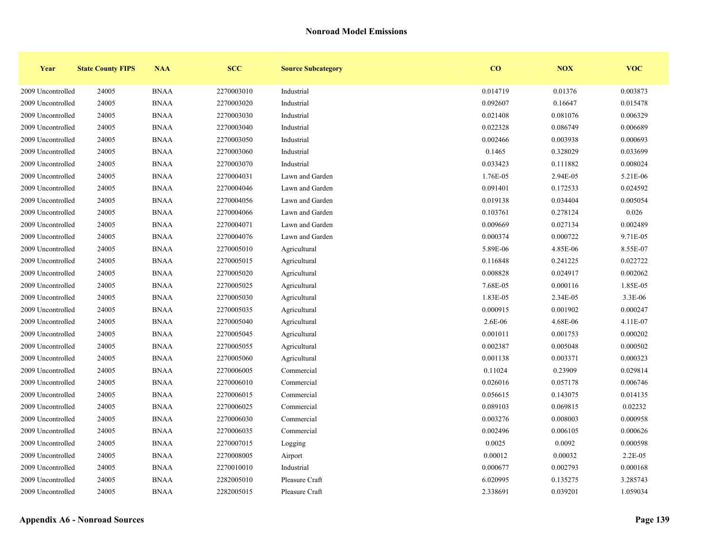| Year              | <b>State County FIPS</b> | <b>NAA</b>  | <b>SCC</b> | <b>Source Subcategory</b> | $\bf{CO}$ | <b>NOX</b> | <b>VOC</b> |
|-------------------|--------------------------|-------------|------------|---------------------------|-----------|------------|------------|
| 2009 Uncontrolled | 24005                    | <b>BNAA</b> | 2270003010 | Industrial                | 0.014719  | 0.01376    | 0.003873   |
| 2009 Uncontrolled | 24005                    | <b>BNAA</b> | 2270003020 | Industrial                | 0.092607  | 0.16647    | 0.015478   |
| 2009 Uncontrolled | 24005                    | <b>BNAA</b> | 2270003030 | Industrial                | 0.021408  | 0.081076   | 0.006329   |
| 2009 Uncontrolled | 24005                    | <b>BNAA</b> | 2270003040 | Industrial                | 0.022328  | 0.086749   | 0.006689   |
| 2009 Uncontrolled | 24005                    | <b>BNAA</b> | 2270003050 | Industrial                | 0.002466  | 0.003938   | 0.000693   |
| 2009 Uncontrolled | 24005                    | <b>BNAA</b> | 2270003060 | Industrial                | 0.1465    | 0.328029   | 0.033699   |
| 2009 Uncontrolled | 24005                    | <b>BNAA</b> | 2270003070 | Industrial                | 0.033423  | 0.111882   | 0.008024   |
| 2009 Uncontrolled | 24005                    | <b>BNAA</b> | 2270004031 | Lawn and Garden           | 1.76E-05  | 2.94E-05   | 5.21E-06   |
| 2009 Uncontrolled | 24005                    | <b>BNAA</b> | 2270004046 | Lawn and Garden           | 0.091401  | 0.172533   | 0.024592   |
| 2009 Uncontrolled | 24005                    | <b>BNAA</b> | 2270004056 | Lawn and Garden           | 0.019138  | 0.034404   | 0.005054   |
| 2009 Uncontrolled | 24005                    | <b>BNAA</b> | 2270004066 | Lawn and Garden           | 0.103761  | 0.278124   | 0.026      |
| 2009 Uncontrolled | 24005                    | <b>BNAA</b> | 2270004071 | Lawn and Garden           | 0.009669  | 0.027134   | 0.002489   |
| 2009 Uncontrolled | 24005                    | <b>BNAA</b> | 2270004076 | Lawn and Garden           | 0.000374  | 0.000722   | 9.71E-05   |
| 2009 Uncontrolled | 24005                    | <b>BNAA</b> | 2270005010 | Agricultural              | 5.89E-06  | 4.85E-06   | 8.55E-07   |
| 2009 Uncontrolled | 24005                    | <b>BNAA</b> | 2270005015 | Agricultural              | 0.116848  | 0.241225   | 0.022722   |
| 2009 Uncontrolled | 24005                    | <b>BNAA</b> | 2270005020 | Agricultural              | 0.008828  | 0.024917   | 0.002062   |
| 2009 Uncontrolled | 24005                    | <b>BNAA</b> | 2270005025 | Agricultural              | 7.68E-05  | 0.000116   | 1.85E-05   |
| 2009 Uncontrolled | 24005                    | <b>BNAA</b> | 2270005030 | Agricultural              | 1.83E-05  | 2.34E-05   | 3.3E-06    |
| 2009 Uncontrolled | 24005                    | <b>BNAA</b> | 2270005035 | Agricultural              | 0.000915  | 0.001902   | 0.000247   |
| 2009 Uncontrolled | 24005                    | <b>BNAA</b> | 2270005040 | Agricultural              | 2.6E-06   | 4.68E-06   | 4.11E-07   |
| 2009 Uncontrolled | 24005                    | <b>BNAA</b> | 2270005045 | Agricultural              | 0.001011  | 0.001753   | 0.000202   |
| 2009 Uncontrolled | 24005                    | <b>BNAA</b> | 2270005055 | Agricultural              | 0.002387  | 0.005048   | 0.000502   |
| 2009 Uncontrolled | 24005                    | <b>BNAA</b> | 2270005060 | Agricultural              | 0.001138  | 0.003371   | 0.000323   |
| 2009 Uncontrolled | 24005                    | <b>BNAA</b> | 2270006005 | Commercial                | 0.11024   | 0.23909    | 0.029814   |
| 2009 Uncontrolled | 24005                    | <b>BNAA</b> | 2270006010 | Commercial                | 0.026016  | 0.057178   | 0.006746   |
| 2009 Uncontrolled | 24005                    | <b>BNAA</b> | 2270006015 | Commercial                | 0.056615  | 0.143075   | 0.014135   |
| 2009 Uncontrolled | 24005                    | <b>BNAA</b> | 2270006025 | Commercial                | 0.089103  | 0.069815   | 0.02232    |
| 2009 Uncontrolled | 24005                    | <b>BNAA</b> | 2270006030 | Commercial                | 0.003276  | 0.008003   | 0.000958   |
| 2009 Uncontrolled | 24005                    | <b>BNAA</b> | 2270006035 | Commercial                | 0.002496  | 0.006105   | 0.000626   |
| 2009 Uncontrolled | 24005                    | <b>BNAA</b> | 2270007015 | Logging                   | 0.0025    | 0.0092     | 0.000598   |
| 2009 Uncontrolled | 24005                    | <b>BNAA</b> | 2270008005 | Airport                   | 0.00012   | 0.00032    | 2.2E-05    |
| 2009 Uncontrolled | 24005                    | <b>BNAA</b> | 2270010010 | Industrial                | 0.000677  | 0.002793   | 0.000168   |
| 2009 Uncontrolled | 24005                    | <b>BNAA</b> | 2282005010 | Pleasure Craft            | 6.020995  | 0.135275   | 3.285743   |
| 2009 Uncontrolled | 24005                    | <b>BNAA</b> | 2282005015 | Pleasure Craft            | 2.338691  | 0.039201   | 1.059034   |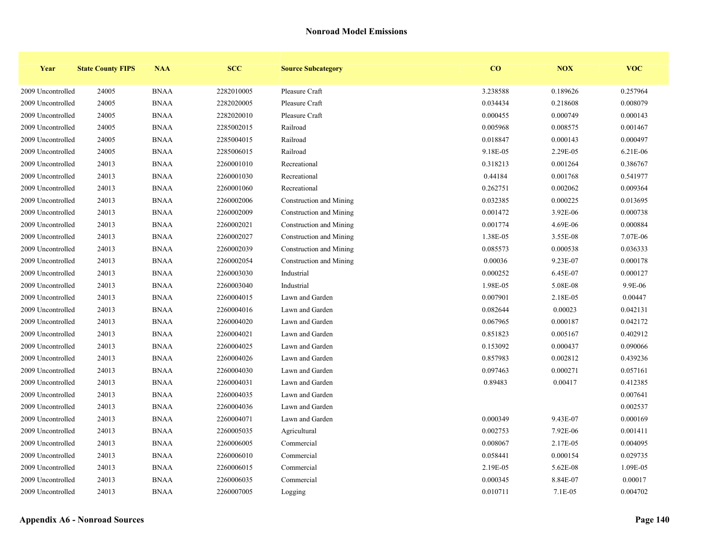| Year              | <b>State County FIPS</b> | <b>NAA</b>  | <b>SCC</b> | <b>Source Subcategory</b> | $\bf{CO}$ | NOX      | <b>VOC</b> |
|-------------------|--------------------------|-------------|------------|---------------------------|-----------|----------|------------|
| 2009 Uncontrolled | 24005                    | <b>BNAA</b> | 2282010005 | Pleasure Craft            | 3.238588  | 0.189626 | 0.257964   |
| 2009 Uncontrolled | 24005                    | <b>BNAA</b> | 2282020005 | Pleasure Craft            | 0.034434  | 0.218608 | 0.008079   |
| 2009 Uncontrolled | 24005                    | <b>BNAA</b> | 2282020010 | Pleasure Craft            | 0.000455  | 0.000749 | 0.000143   |
| 2009 Uncontrolled | 24005                    | <b>BNAA</b> | 2285002015 | Railroad                  | 0.005968  | 0.008575 | 0.001467   |
| 2009 Uncontrolled | 24005                    | <b>BNAA</b> | 2285004015 | Railroad                  | 0.018847  | 0.000143 | 0.000497   |
| 2009 Uncontrolled | 24005                    | <b>BNAA</b> | 2285006015 | Railroad                  | 9.18E-05  | 2.29E-05 | 6.21E-06   |
| 2009 Uncontrolled | 24013                    | <b>BNAA</b> | 2260001010 | Recreational              | 0.318213  | 0.001264 | 0.386767   |
| 2009 Uncontrolled | 24013                    | <b>BNAA</b> | 2260001030 | Recreational              | 0.44184   | 0.001768 | 0.541977   |
| 2009 Uncontrolled | 24013                    | <b>BNAA</b> | 2260001060 | Recreational              | 0.262751  | 0.002062 | 0.009364   |
| 2009 Uncontrolled | 24013                    | <b>BNAA</b> | 2260002006 | Construction and Mining   | 0.032385  | 0.000225 | 0.013695   |
| 2009 Uncontrolled | 24013                    | <b>BNAA</b> | 2260002009 | Construction and Mining   | 0.001472  | 3.92E-06 | 0.000738   |
| 2009 Uncontrolled | 24013                    | <b>BNAA</b> | 2260002021 | Construction and Mining   | 0.001774  | 4.69E-06 | 0.000884   |
| 2009 Uncontrolled | 24013                    | <b>BNAA</b> | 2260002027 | Construction and Mining   | 1.38E-05  | 3.55E-08 | 7.07E-06   |
| 2009 Uncontrolled | 24013                    | <b>BNAA</b> | 2260002039 | Construction and Mining   | 0.085573  | 0.000538 | 0.036333   |
| 2009 Uncontrolled | 24013                    | <b>BNAA</b> | 2260002054 | Construction and Mining   | 0.00036   | 9.23E-07 | 0.000178   |
| 2009 Uncontrolled | 24013                    | <b>BNAA</b> | 2260003030 | Industrial                | 0.000252  | 6.45E-07 | 0.000127   |
| 2009 Uncontrolled | 24013                    | <b>BNAA</b> | 2260003040 | Industrial                | 1.98E-05  | 5.08E-08 | 9.9E-06    |
| 2009 Uncontrolled | 24013                    | <b>BNAA</b> | 2260004015 | Lawn and Garden           | 0.007901  | 2.18E-05 | 0.00447    |
| 2009 Uncontrolled | 24013                    | <b>BNAA</b> | 2260004016 | Lawn and Garden           | 0.082644  | 0.00023  | 0.042131   |
| 2009 Uncontrolled | 24013                    | <b>BNAA</b> | 2260004020 | Lawn and Garden           | 0.067965  | 0.000187 | 0.042172   |
| 2009 Uncontrolled | 24013                    | <b>BNAA</b> | 2260004021 | Lawn and Garden           | 0.851823  | 0.005167 | 0.402912   |
| 2009 Uncontrolled | 24013                    | <b>BNAA</b> | 2260004025 | Lawn and Garden           | 0.153092  | 0.000437 | 0.090066   |
| 2009 Uncontrolled | 24013                    | <b>BNAA</b> | 2260004026 | Lawn and Garden           | 0.857983  | 0.002812 | 0.439236   |
| 2009 Uncontrolled | 24013                    | <b>BNAA</b> | 2260004030 | Lawn and Garden           | 0.097463  | 0.000271 | 0.057161   |
| 2009 Uncontrolled | 24013                    | <b>BNAA</b> | 2260004031 | Lawn and Garden           | 0.89483   | 0.00417  | 0.412385   |
| 2009 Uncontrolled | 24013                    | <b>BNAA</b> | 2260004035 | Lawn and Garden           |           |          | 0.007641   |
| 2009 Uncontrolled | 24013                    | <b>BNAA</b> | 2260004036 | Lawn and Garden           |           |          | 0.002537   |
| 2009 Uncontrolled | 24013                    | <b>BNAA</b> | 2260004071 | Lawn and Garden           | 0.000349  | 9.43E-07 | 0.000169   |
| 2009 Uncontrolled | 24013                    | <b>BNAA</b> | 2260005035 | Agricultural              | 0.002753  | 7.92E-06 | 0.001411   |
| 2009 Uncontrolled | 24013                    | <b>BNAA</b> | 2260006005 | Commercial                | 0.008067  | 2.17E-05 | 0.004095   |
| 2009 Uncontrolled | 24013                    | <b>BNAA</b> | 2260006010 | Commercial                | 0.058441  | 0.000154 | 0.029735   |
| 2009 Uncontrolled | 24013                    | <b>BNAA</b> | 2260006015 | Commercial                | 2.19E-05  | 5.62E-08 | 1.09E-05   |
| 2009 Uncontrolled | 24013                    | <b>BNAA</b> | 2260006035 | Commercial                | 0.000345  | 8.84E-07 | 0.00017    |
| 2009 Uncontrolled | 24013                    | <b>BNAA</b> | 2260007005 | Logging                   | 0.010711  | 7.1E-05  | 0.004702   |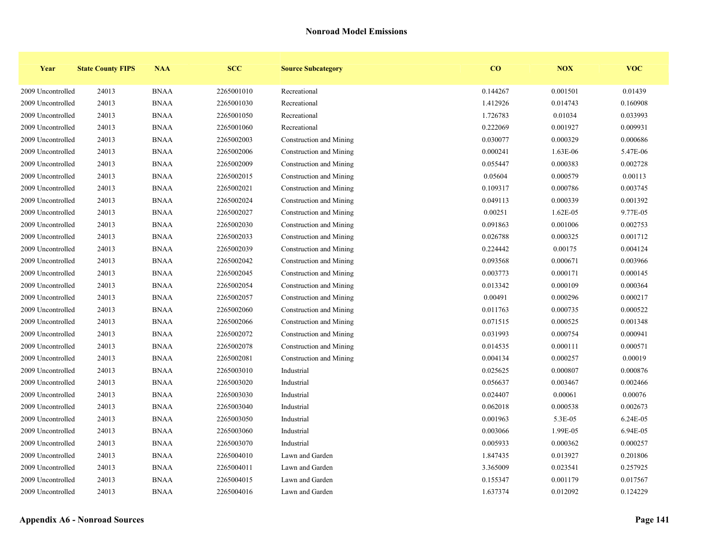| Year              | <b>State County FIPS</b> | <b>NAA</b>  | <b>SCC</b> | <b>Source Subcategory</b> | $\bf{CO}$ | <b>NOX</b> | <b>VOC</b> |
|-------------------|--------------------------|-------------|------------|---------------------------|-----------|------------|------------|
| 2009 Uncontrolled | 24013                    | <b>BNAA</b> | 2265001010 | Recreational              | 0.144267  | 0.001501   | 0.01439    |
| 2009 Uncontrolled | 24013                    | <b>BNAA</b> | 2265001030 | Recreational              | 1.412926  | 0.014743   | 0.160908   |
| 2009 Uncontrolled | 24013                    | <b>BNAA</b> | 2265001050 | Recreational              | 1.726783  | 0.01034    | 0.033993   |
| 2009 Uncontrolled | 24013                    | <b>BNAA</b> | 2265001060 | Recreational              | 0.222069  | 0.001927   | 0.009931   |
| 2009 Uncontrolled | 24013                    | <b>BNAA</b> | 2265002003 | Construction and Mining   | 0.030077  | 0.000329   | 0.000686   |
| 2009 Uncontrolled | 24013                    | <b>BNAA</b> | 2265002006 | Construction and Mining   | 0.000241  | 1.63E-06   | 5.47E-06   |
| 2009 Uncontrolled | 24013                    | <b>BNAA</b> | 2265002009 | Construction and Mining   | 0.055447  | 0.000383   | 0.002728   |
| 2009 Uncontrolled | 24013                    | <b>BNAA</b> | 2265002015 | Construction and Mining   | 0.05604   | 0.000579   | 0.00113    |
| 2009 Uncontrolled | 24013                    | <b>BNAA</b> | 2265002021 | Construction and Mining   | 0.109317  | 0.000786   | 0.003745   |
| 2009 Uncontrolled | 24013                    | <b>BNAA</b> | 2265002024 | Construction and Mining   | 0.049113  | 0.000339   | 0.001392   |
| 2009 Uncontrolled | 24013                    | <b>BNAA</b> | 2265002027 | Construction and Mining   | 0.00251   | $1.62E-05$ | 9.77E-05   |
| 2009 Uncontrolled | 24013                    | <b>BNAA</b> | 2265002030 | Construction and Mining   | 0.091863  | 0.001006   | 0.002753   |
| 2009 Uncontrolled | 24013                    | <b>BNAA</b> | 2265002033 | Construction and Mining   | 0.026788  | 0.000325   | 0.001712   |
| 2009 Uncontrolled | 24013                    | <b>BNAA</b> | 2265002039 | Construction and Mining   | 0.224442  | 0.00175    | 0.004124   |
| 2009 Uncontrolled | 24013                    | <b>BNAA</b> | 2265002042 | Construction and Mining   | 0.093568  | 0.000671   | 0.003966   |
| 2009 Uncontrolled | 24013                    | <b>BNAA</b> | 2265002045 | Construction and Mining   | 0.003773  | 0.000171   | 0.000145   |
| 2009 Uncontrolled | 24013                    | <b>BNAA</b> | 2265002054 | Construction and Mining   | 0.013342  | 0.000109   | 0.000364   |
| 2009 Uncontrolled | 24013                    | <b>BNAA</b> | 2265002057 | Construction and Mining   | 0.00491   | 0.000296   | 0.000217   |
| 2009 Uncontrolled | 24013                    | <b>BNAA</b> | 2265002060 | Construction and Mining   | 0.011763  | 0.000735   | 0.000522   |
| 2009 Uncontrolled | 24013                    | <b>BNAA</b> | 2265002066 | Construction and Mining   | 0.071515  | 0.000525   | 0.001348   |
| 2009 Uncontrolled | 24013                    | <b>BNAA</b> | 2265002072 | Construction and Mining   | 0.031993  | 0.000754   | 0.000941   |
| 2009 Uncontrolled | 24013                    | <b>BNAA</b> | 2265002078 | Construction and Mining   | 0.014535  | 0.000111   | 0.000571   |
| 2009 Uncontrolled | 24013                    | <b>BNAA</b> | 2265002081 | Construction and Mining   | 0.004134  | 0.000257   | 0.00019    |
| 2009 Uncontrolled | 24013                    | <b>BNAA</b> | 2265003010 | Industrial                | 0.025625  | 0.000807   | 0.000876   |
| 2009 Uncontrolled | 24013                    | <b>BNAA</b> | 2265003020 | Industrial                | 0.056637  | 0.003467   | 0.002466   |
| 2009 Uncontrolled | 24013                    | <b>BNAA</b> | 2265003030 | Industrial                | 0.024407  | 0.00061    | 0.00076    |
| 2009 Uncontrolled | 24013                    | <b>BNAA</b> | 2265003040 | Industrial                | 0.062018  | 0.000538   | 0.002673   |
| 2009 Uncontrolled | 24013                    | <b>BNAA</b> | 2265003050 | Industrial                | 0.001963  | 5.3E-05    | 6.24E-05   |
| 2009 Uncontrolled | 24013                    | <b>BNAA</b> | 2265003060 | Industrial                | 0.003066  | 1.99E-05   | 6.94E-05   |
| 2009 Uncontrolled | 24013                    | <b>BNAA</b> | 2265003070 | Industrial                | 0.005933  | 0.000362   | 0.000257   |
| 2009 Uncontrolled | 24013                    | <b>BNAA</b> | 2265004010 | Lawn and Garden           | 1.847435  | 0.013927   | 0.201806   |
| 2009 Uncontrolled | 24013                    | <b>BNAA</b> | 2265004011 | Lawn and Garden           | 3.365009  | 0.023541   | 0.257925   |
| 2009 Uncontrolled | 24013                    | <b>BNAA</b> | 2265004015 | Lawn and Garden           | 0.155347  | 0.001179   | 0.017567   |
| 2009 Uncontrolled | 24013                    | <b>BNAA</b> | 2265004016 | Lawn and Garden           | 1.637374  | 0.012092   | 0.124229   |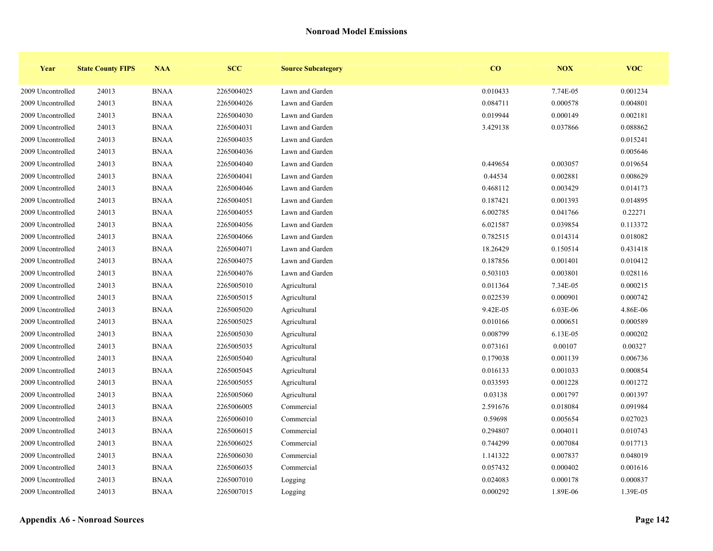| Year              | <b>State County FIPS</b> | <b>NAA</b>  | <b>SCC</b> | <b>Source Subcategory</b> | $\bf{CO}$ | NOX      | <b>VOC</b> |
|-------------------|--------------------------|-------------|------------|---------------------------|-----------|----------|------------|
| 2009 Uncontrolled | 24013                    | <b>BNAA</b> | 2265004025 | Lawn and Garden           | 0.010433  | 7.74E-05 | 0.001234   |
| 2009 Uncontrolled | 24013                    | <b>BNAA</b> | 2265004026 | Lawn and Garden           | 0.084711  | 0.000578 | 0.004801   |
| 2009 Uncontrolled | 24013                    | <b>BNAA</b> | 2265004030 | Lawn and Garden           | 0.019944  | 0.000149 | 0.002181   |
| 2009 Uncontrolled | 24013                    | <b>BNAA</b> | 2265004031 | Lawn and Garden           | 3.429138  | 0.037866 | 0.088862   |
| 2009 Uncontrolled | 24013                    | <b>BNAA</b> | 2265004035 | Lawn and Garden           |           |          | 0.015241   |
| 2009 Uncontrolled | 24013                    | <b>BNAA</b> | 2265004036 | Lawn and Garden           |           |          | 0.005646   |
| 2009 Uncontrolled | 24013                    | <b>BNAA</b> | 2265004040 | Lawn and Garden           | 0.449654  | 0.003057 | 0.019654   |
| 2009 Uncontrolled | 24013                    | <b>BNAA</b> | 2265004041 | Lawn and Garden           | 0.44534   | 0.002881 | 0.008629   |
| 2009 Uncontrolled | 24013                    | <b>BNAA</b> | 2265004046 | Lawn and Garden           | 0.468112  | 0.003429 | 0.014173   |
| 2009 Uncontrolled | 24013                    | <b>BNAA</b> | 2265004051 | Lawn and Garden           | 0.187421  | 0.001393 | 0.014895   |
| 2009 Uncontrolled | 24013                    | <b>BNAA</b> | 2265004055 | Lawn and Garden           | 6.002785  | 0.041766 | 0.22271    |
| 2009 Uncontrolled | 24013                    | <b>BNAA</b> | 2265004056 | Lawn and Garden           | 6.021587  | 0.039854 | 0.113372   |
| 2009 Uncontrolled | 24013                    | <b>BNAA</b> | 2265004066 | Lawn and Garden           | 0.782515  | 0.014314 | 0.018082   |
| 2009 Uncontrolled | 24013                    | <b>BNAA</b> | 2265004071 | Lawn and Garden           | 18.26429  | 0.150514 | 0.431418   |
| 2009 Uncontrolled | 24013                    | <b>BNAA</b> | 2265004075 | Lawn and Garden           | 0.187856  | 0.001401 | 0.010412   |
| 2009 Uncontrolled | 24013                    | <b>BNAA</b> | 2265004076 | Lawn and Garden           | 0.503103  | 0.003801 | 0.028116   |
| 2009 Uncontrolled | 24013                    | <b>BNAA</b> | 2265005010 | Agricultural              | 0.011364  | 7.34E-05 | 0.000215   |
| 2009 Uncontrolled | 24013                    | <b>BNAA</b> | 2265005015 | Agricultural              | 0.022539  | 0.000901 | 0.000742   |
| 2009 Uncontrolled | 24013                    | <b>BNAA</b> | 2265005020 | Agricultural              | 9.42E-05  | 6.03E-06 | 4.86E-06   |
| 2009 Uncontrolled | 24013                    | <b>BNAA</b> | 2265005025 | Agricultural              | 0.010166  | 0.000651 | 0.000589   |
| 2009 Uncontrolled | 24013                    | <b>BNAA</b> | 2265005030 | Agricultural              | 0.008799  | 6.13E-05 | 0.000202   |
| 2009 Uncontrolled | 24013                    | <b>BNAA</b> | 2265005035 | Agricultural              | 0.073161  | 0.00107  | 0.00327    |
| 2009 Uncontrolled | 24013                    | <b>BNAA</b> | 2265005040 | Agricultural              | 0.179038  | 0.001139 | 0.006736   |
| 2009 Uncontrolled | 24013                    | <b>BNAA</b> | 2265005045 | Agricultural              | 0.016133  | 0.001033 | 0.000854   |
| 2009 Uncontrolled | 24013                    | <b>BNAA</b> | 2265005055 | Agricultural              | 0.033593  | 0.001228 | 0.001272   |
| 2009 Uncontrolled | 24013                    | <b>BNAA</b> | 2265005060 | Agricultural              | 0.03138   | 0.001797 | 0.001397   |
| 2009 Uncontrolled | 24013                    | <b>BNAA</b> | 2265006005 | Commercial                | 2.591676  | 0.018084 | 0.091984   |
| 2009 Uncontrolled | 24013                    | <b>BNAA</b> | 2265006010 | Commercial                | 0.59698   | 0.005654 | 0.027023   |
| 2009 Uncontrolled | 24013                    | <b>BNAA</b> | 2265006015 | Commercial                | 0.294807  | 0.004011 | 0.010743   |
| 2009 Uncontrolled | 24013                    | <b>BNAA</b> | 2265006025 | Commercial                | 0.744299  | 0.007084 | 0.017713   |
| 2009 Uncontrolled | 24013                    | <b>BNAA</b> | 2265006030 | Commercial                | 1.141322  | 0.007837 | 0.048019   |
| 2009 Uncontrolled | 24013                    | <b>BNAA</b> | 2265006035 | Commercial                | 0.057432  | 0.000402 | 0.001616   |
| 2009 Uncontrolled | 24013                    | <b>BNAA</b> | 2265007010 | Logging                   | 0.024083  | 0.000178 | 0.000837   |
| 2009 Uncontrolled | 24013                    | <b>BNAA</b> | 2265007015 | Logging                   | 0.000292  | 1.89E-06 | 1.39E-05   |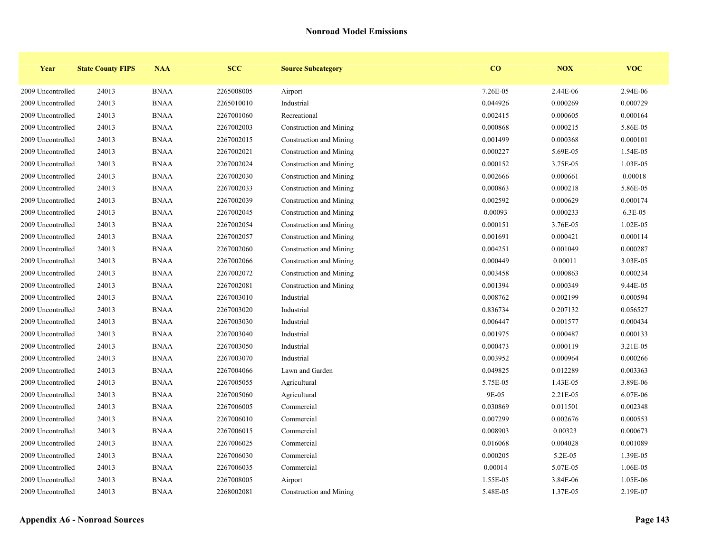| Year              | <b>State County FIPS</b> | <b>NAA</b>  | <b>SCC</b> | <b>Source Subcategory</b> | $\bf{CO}$ | <b>NOX</b> | <b>VOC</b> |
|-------------------|--------------------------|-------------|------------|---------------------------|-----------|------------|------------|
| 2009 Uncontrolled | 24013                    | <b>BNAA</b> | 2265008005 | Airport                   | 7.26E-05  | 2.44E-06   | 2.94E-06   |
| 2009 Uncontrolled | 24013                    | <b>BNAA</b> | 2265010010 | Industrial                | 0.044926  | 0.000269   | 0.000729   |
| 2009 Uncontrolled | 24013                    | <b>BNAA</b> | 2267001060 | Recreational              | 0.002415  | 0.000605   | 0.000164   |
| 2009 Uncontrolled | 24013                    | <b>BNAA</b> | 2267002003 | Construction and Mining   | 0.000868  | 0.000215   | 5.86E-05   |
| 2009 Uncontrolled | 24013                    | <b>BNAA</b> | 2267002015 | Construction and Mining   | 0.001499  | 0.000368   | 0.000101   |
| 2009 Uncontrolled | 24013                    | <b>BNAA</b> | 2267002021 | Construction and Mining   | 0.000227  | 5.69E-05   | 1.54E-05   |
| 2009 Uncontrolled | 24013                    | <b>BNAA</b> | 2267002024 | Construction and Mining   | 0.000152  | 3.75E-05   | 1.03E-05   |
| 2009 Uncontrolled | 24013                    | <b>BNAA</b> | 2267002030 | Construction and Mining   | 0.002666  | 0.000661   | 0.00018    |
| 2009 Uncontrolled | 24013                    | <b>BNAA</b> | 2267002033 | Construction and Mining   | 0.000863  | 0.000218   | 5.86E-05   |
| 2009 Uncontrolled | 24013                    | <b>BNAA</b> | 2267002039 | Construction and Mining   | 0.002592  | 0.000629   | 0.000174   |
| 2009 Uncontrolled | 24013                    | <b>BNAA</b> | 2267002045 | Construction and Mining   | 0.00093   | 0.000233   | 6.3E-05    |
| 2009 Uncontrolled | 24013                    | <b>BNAA</b> | 2267002054 | Construction and Mining   | 0.000151  | 3.76E-05   | 1.02E-05   |
| 2009 Uncontrolled | 24013                    | <b>BNAA</b> | 2267002057 | Construction and Mining   | 0.001691  | 0.000421   | 0.000114   |
| 2009 Uncontrolled | 24013                    | <b>BNAA</b> | 2267002060 | Construction and Mining   | 0.004251  | 0.001049   | 0.000287   |
| 2009 Uncontrolled | 24013                    | <b>BNAA</b> | 2267002066 | Construction and Mining   | 0.000449  | 0.00011    | 3.03E-05   |
| 2009 Uncontrolled | 24013                    | <b>BNAA</b> | 2267002072 | Construction and Mining   | 0.003458  | 0.000863   | 0.000234   |
| 2009 Uncontrolled | 24013                    | <b>BNAA</b> | 2267002081 | Construction and Mining   | 0.001394  | 0.000349   | 9.44E-05   |
| 2009 Uncontrolled | 24013                    | <b>BNAA</b> | 2267003010 | Industrial                | 0.008762  | 0.002199   | 0.000594   |
| 2009 Uncontrolled | 24013                    | <b>BNAA</b> | 2267003020 | Industrial                | 0.836734  | 0.207132   | 0.056527   |
| 2009 Uncontrolled | 24013                    | <b>BNAA</b> | 2267003030 | Industrial                | 0.006447  | 0.001577   | 0.000434   |
| 2009 Uncontrolled | 24013                    | <b>BNAA</b> | 2267003040 | Industrial                | 0.001975  | 0.000487   | 0.000133   |
| 2009 Uncontrolled | 24013                    | <b>BNAA</b> | 2267003050 | Industrial                | 0.000473  | 0.000119   | 3.21E-05   |
| 2009 Uncontrolled | 24013                    | <b>BNAA</b> | 2267003070 | Industrial                | 0.003952  | 0.000964   | 0.000266   |
| 2009 Uncontrolled | 24013                    | <b>BNAA</b> | 2267004066 | Lawn and Garden           | 0.049825  | 0.012289   | 0.003363   |
| 2009 Uncontrolled | 24013                    | <b>BNAA</b> | 2267005055 | Agricultural              | 5.75E-05  | 1.43E-05   | 3.89E-06   |
| 2009 Uncontrolled | 24013                    | <b>BNAA</b> | 2267005060 | Agricultural              | 9E-05     | 2.21E-05   | 6.07E-06   |
| 2009 Uncontrolled | 24013                    | <b>BNAA</b> | 2267006005 | Commercial                | 0.030869  | 0.011501   | 0.002348   |
| 2009 Uncontrolled | 24013                    | <b>BNAA</b> | 2267006010 | Commercial                | 0.007299  | 0.002676   | 0.000553   |
| 2009 Uncontrolled | 24013                    | <b>BNAA</b> | 2267006015 | Commercial                | 0.008903  | 0.00323    | 0.000673   |
| 2009 Uncontrolled | 24013                    | <b>BNAA</b> | 2267006025 | Commercial                | 0.016068  | 0.004028   | 0.001089   |
| 2009 Uncontrolled | 24013                    | <b>BNAA</b> | 2267006030 | Commercial                | 0.000205  | $5.2E-05$  | 1.39E-05   |
| 2009 Uncontrolled | 24013                    | <b>BNAA</b> | 2267006035 | Commercial                | 0.00014   | 5.07E-05   | 1.06E-05   |
| 2009 Uncontrolled | 24013                    | <b>BNAA</b> | 2267008005 | Airport                   | 1.55E-05  | 3.84E-06   | 1.05E-06   |
| 2009 Uncontrolled | 24013                    | <b>BNAA</b> | 2268002081 | Construction and Mining   | 5.48E-05  | 1.37E-05   | 2.19E-07   |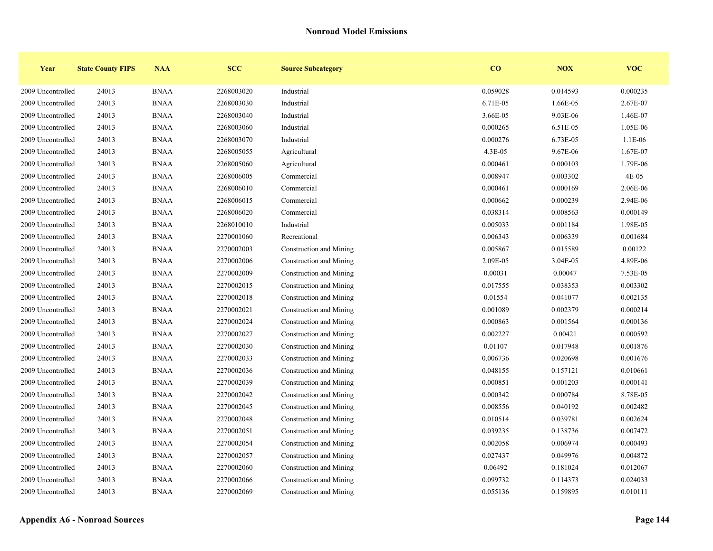| Year              | <b>State County FIPS</b> | <b>NAA</b>  | <b>SCC</b> | <b>Source Subcategory</b> | $\bf{CO}$ | NOX      | <b>VOC</b> |
|-------------------|--------------------------|-------------|------------|---------------------------|-----------|----------|------------|
| 2009 Uncontrolled | 24013                    | <b>BNAA</b> | 2268003020 | Industrial                | 0.059028  | 0.014593 | 0.000235   |
| 2009 Uncontrolled | 24013                    | <b>BNAA</b> | 2268003030 | Industrial                | 6.71E-05  | 1.66E-05 | 2.67E-07   |
| 2009 Uncontrolled | 24013                    | <b>BNAA</b> | 2268003040 | Industrial                | 3.66E-05  | 9.03E-06 | 1.46E-07   |
| 2009 Uncontrolled | 24013                    | <b>BNAA</b> | 2268003060 | Industrial                | 0.000265  | 6.51E-05 | 1.05E-06   |
| 2009 Uncontrolled | 24013                    | <b>BNAA</b> | 2268003070 | Industrial                | 0.000276  | 6.73E-05 | 1.1E-06    |
| 2009 Uncontrolled | 24013                    | <b>BNAA</b> | 2268005055 | Agricultural              | 4.3E-05   | 9.67E-06 | 1.67E-07   |
| 2009 Uncontrolled | 24013                    | <b>BNAA</b> | 2268005060 | Agricultural              | 0.000461  | 0.000103 | 1.79E-06   |
| 2009 Uncontrolled | 24013                    | <b>BNAA</b> | 2268006005 | Commercial                | 0.008947  | 0.003302 | 4E-05      |
| 2009 Uncontrolled | 24013                    | <b>BNAA</b> | 2268006010 | Commercial                | 0.000461  | 0.000169 | 2.06E-06   |
| 2009 Uncontrolled | 24013                    | <b>BNAA</b> | 2268006015 | Commercial                | 0.000662  | 0.000239 | 2.94E-06   |
| 2009 Uncontrolled | 24013                    | <b>BNAA</b> | 2268006020 | Commercial                | 0.038314  | 0.008563 | 0.000149   |
| 2009 Uncontrolled | 24013                    | <b>BNAA</b> | 2268010010 | Industrial                | 0.005033  | 0.001184 | 1.98E-05   |
| 2009 Uncontrolled | 24013                    | <b>BNAA</b> | 2270001060 | Recreational              | 0.006343  | 0.006339 | 0.001684   |
| 2009 Uncontrolled | 24013                    | <b>BNAA</b> | 2270002003 | Construction and Mining   | 0.005867  | 0.015589 | 0.00122    |
| 2009 Uncontrolled | 24013                    | <b>BNAA</b> | 2270002006 | Construction and Mining   | 2.09E-05  | 3.04E-05 | 4.89E-06   |
| 2009 Uncontrolled | 24013                    | <b>BNAA</b> | 2270002009 | Construction and Mining   | 0.00031   | 0.00047  | 7.53E-05   |
| 2009 Uncontrolled | 24013                    | <b>BNAA</b> | 2270002015 | Construction and Mining   | 0.017555  | 0.038353 | 0.003302   |
| 2009 Uncontrolled | 24013                    | <b>BNAA</b> | 2270002018 | Construction and Mining   | 0.01554   | 0.041077 | 0.002135   |
| 2009 Uncontrolled | 24013                    | <b>BNAA</b> | 2270002021 | Construction and Mining   | 0.001089  | 0.002379 | 0.000214   |
| 2009 Uncontrolled | 24013                    | <b>BNAA</b> | 2270002024 | Construction and Mining   | 0.000863  | 0.001564 | 0.000136   |
| 2009 Uncontrolled | 24013                    | <b>BNAA</b> | 2270002027 | Construction and Mining   | 0.002227  | 0.00421  | 0.000592   |
| 2009 Uncontrolled | 24013                    | <b>BNAA</b> | 2270002030 | Construction and Mining   | 0.01107   | 0.017948 | 0.001876   |
| 2009 Uncontrolled | 24013                    | <b>BNAA</b> | 2270002033 | Construction and Mining   | 0.006736  | 0.020698 | 0.001676   |
| 2009 Uncontrolled | 24013                    | <b>BNAA</b> | 2270002036 | Construction and Mining   | 0.048155  | 0.157121 | 0.010661   |
| 2009 Uncontrolled | 24013                    | <b>BNAA</b> | 2270002039 | Construction and Mining   | 0.000851  | 0.001203 | 0.000141   |
| 2009 Uncontrolled | 24013                    | <b>BNAA</b> | 2270002042 | Construction and Mining   | 0.000342  | 0.000784 | 8.78E-05   |
| 2009 Uncontrolled | 24013                    | <b>BNAA</b> | 2270002045 | Construction and Mining   | 0.008556  | 0.040192 | 0.002482   |
| 2009 Uncontrolled | 24013                    | <b>BNAA</b> | 2270002048 | Construction and Mining   | 0.010514  | 0.039781 | 0.002624   |
| 2009 Uncontrolled | 24013                    | <b>BNAA</b> | 2270002051 | Construction and Mining   | 0.039235  | 0.138736 | 0.007472   |
| 2009 Uncontrolled | 24013                    | <b>BNAA</b> | 2270002054 | Construction and Mining   | 0.002058  | 0.006974 | 0.000493   |
| 2009 Uncontrolled | 24013                    | <b>BNAA</b> | 2270002057 | Construction and Mining   | 0.027437  | 0.049976 | 0.004872   |
| 2009 Uncontrolled | 24013                    | <b>BNAA</b> | 2270002060 | Construction and Mining   | 0.06492   | 0.181024 | 0.012067   |
| 2009 Uncontrolled | 24013                    | <b>BNAA</b> | 2270002066 | Construction and Mining   | 0.099732  | 0.114373 | 0.024033   |
| 2009 Uncontrolled | 24013                    | <b>BNAA</b> | 2270002069 | Construction and Mining   | 0.055136  | 0.159895 | 0.010111   |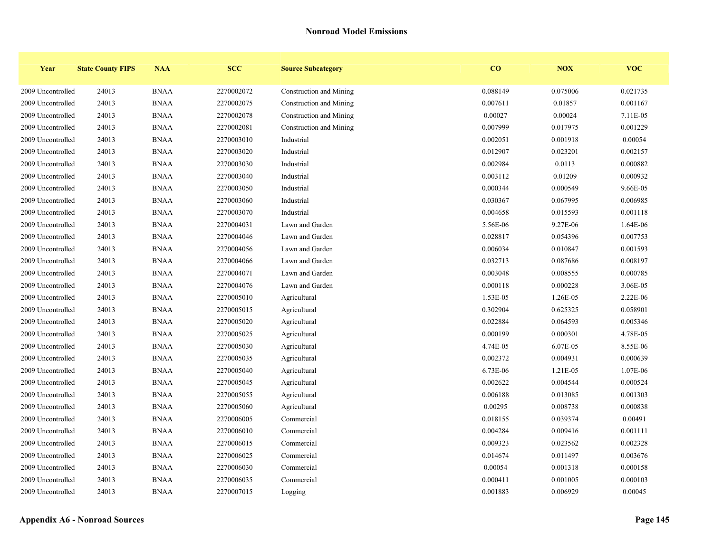| Year              | <b>State County FIPS</b> | <b>NAA</b>  | <b>SCC</b> | <b>Source Subcategory</b> | $\bf{CO}$ | <b>NOX</b> | <b>VOC</b> |
|-------------------|--------------------------|-------------|------------|---------------------------|-----------|------------|------------|
| 2009 Uncontrolled | 24013                    | <b>BNAA</b> | 2270002072 | Construction and Mining   | 0.088149  | 0.075006   | 0.021735   |
| 2009 Uncontrolled | 24013                    | <b>BNAA</b> | 2270002075 | Construction and Mining   | 0.007611  | 0.01857    | 0.001167   |
| 2009 Uncontrolled | 24013                    | <b>BNAA</b> | 2270002078 | Construction and Mining   | 0.00027   | 0.00024    | 7.11E-05   |
| 2009 Uncontrolled | 24013                    | <b>BNAA</b> | 2270002081 | Construction and Mining   | 0.007999  | 0.017975   | 0.001229   |
| 2009 Uncontrolled | 24013                    | <b>BNAA</b> | 2270003010 | Industrial                | 0.002051  | 0.001918   | 0.00054    |
| 2009 Uncontrolled | 24013                    | <b>BNAA</b> | 2270003020 | Industrial                | 0.012907  | 0.023201   | 0.002157   |
| 2009 Uncontrolled | 24013                    | <b>BNAA</b> | 2270003030 | Industrial                | 0.002984  | 0.0113     | 0.000882   |
| 2009 Uncontrolled | 24013                    | <b>BNAA</b> | 2270003040 | Industrial                | 0.003112  | 0.01209    | 0.000932   |
| 2009 Uncontrolled | 24013                    | <b>BNAA</b> | 2270003050 | Industrial                | 0.000344  | 0.000549   | 9.66E-05   |
| 2009 Uncontrolled | 24013                    | <b>BNAA</b> | 2270003060 | Industrial                | 0.030367  | 0.067995   | 0.006985   |
| 2009 Uncontrolled | 24013                    | <b>BNAA</b> | 2270003070 | Industrial                | 0.004658  | 0.015593   | 0.001118   |
| 2009 Uncontrolled | 24013                    | <b>BNAA</b> | 2270004031 | Lawn and Garden           | 5.56E-06  | 9.27E-06   | 1.64E-06   |
| 2009 Uncontrolled | 24013                    | <b>BNAA</b> | 2270004046 | Lawn and Garden           | 0.028817  | 0.054396   | 0.007753   |
| 2009 Uncontrolled | 24013                    | <b>BNAA</b> | 2270004056 | Lawn and Garden           | 0.006034  | 0.010847   | 0.001593   |
| 2009 Uncontrolled | 24013                    | <b>BNAA</b> | 2270004066 | Lawn and Garden           | 0.032713  | 0.087686   | 0.008197   |
| 2009 Uncontrolled | 24013                    | <b>BNAA</b> | 2270004071 | Lawn and Garden           | 0.003048  | 0.008555   | 0.000785   |
| 2009 Uncontrolled | 24013                    | <b>BNAA</b> | 2270004076 | Lawn and Garden           | 0.000118  | 0.000228   | 3.06E-05   |
| 2009 Uncontrolled | 24013                    | <b>BNAA</b> | 2270005010 | Agricultural              | 1.53E-05  | 1.26E-05   | 2.22E-06   |
| 2009 Uncontrolled | 24013                    | <b>BNAA</b> | 2270005015 | Agricultural              | 0.302904  | 0.625325   | 0.058901   |
| 2009 Uncontrolled | 24013                    | <b>BNAA</b> | 2270005020 | Agricultural              | 0.022884  | 0.064593   | 0.005346   |
| 2009 Uncontrolled | 24013                    | <b>BNAA</b> | 2270005025 | Agricultural              | 0.000199  | 0.000301   | 4.78E-05   |
| 2009 Uncontrolled | 24013                    | <b>BNAA</b> | 2270005030 | Agricultural              | 4.74E-05  | 6.07E-05   | 8.55E-06   |
| 2009 Uncontrolled | 24013                    | <b>BNAA</b> | 2270005035 | Agricultural              | 0.002372  | 0.004931   | 0.000639   |
| 2009 Uncontrolled | 24013                    | <b>BNAA</b> | 2270005040 | Agricultural              | 6.73E-06  | 1.21E-05   | 1.07E-06   |
| 2009 Uncontrolled | 24013                    | <b>BNAA</b> | 2270005045 | Agricultural              | 0.002622  | 0.004544   | 0.000524   |
| 2009 Uncontrolled | 24013                    | <b>BNAA</b> | 2270005055 | Agricultural              | 0.006188  | 0.013085   | 0.001303   |
| 2009 Uncontrolled | 24013                    | <b>BNAA</b> | 2270005060 | Agricultural              | 0.00295   | 0.008738   | 0.000838   |
| 2009 Uncontrolled | 24013                    | <b>BNAA</b> | 2270006005 | Commercial                | 0.018155  | 0.039374   | 0.00491    |
| 2009 Uncontrolled | 24013                    | <b>BNAA</b> | 2270006010 | Commercial                | 0.004284  | 0.009416   | 0.001111   |
| 2009 Uncontrolled | 24013                    | <b>BNAA</b> | 2270006015 | Commercial                | 0.009323  | 0.023562   | 0.002328   |
| 2009 Uncontrolled | 24013                    | <b>BNAA</b> | 2270006025 | Commercial                | 0.014674  | 0.011497   | 0.003676   |
| 2009 Uncontrolled | 24013                    | <b>BNAA</b> | 2270006030 | Commercial                | 0.00054   | 0.001318   | 0.000158   |
| 2009 Uncontrolled | 24013                    | <b>BNAA</b> | 2270006035 | Commercial                | 0.000411  | 0.001005   | 0.000103   |
| 2009 Uncontrolled | 24013                    | <b>BNAA</b> | 2270007015 | Logging                   | 0.001883  | 0.006929   | 0.00045    |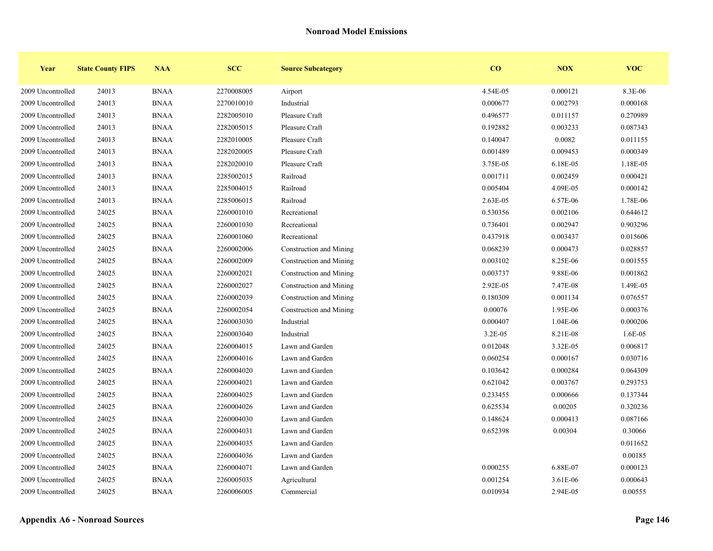| Year              | <b>State County FIPS</b> | <b>NAA</b>  | <b>SCC</b> | <b>Source Subcategory</b> | $\bf{CO}$ | NOX      | <b>VOC</b> |
|-------------------|--------------------------|-------------|------------|---------------------------|-----------|----------|------------|
| 2009 Uncontrolled | 24013                    | <b>BNAA</b> | 2270008005 | Airport                   | 4.54E-05  | 0.000121 | 8.3E-06    |
| 2009 Uncontrolled | 24013                    | <b>BNAA</b> | 2270010010 | Industrial                | 0.000677  | 0.002793 | 0.000168   |
| 2009 Uncontrolled | 24013                    | <b>BNAA</b> | 2282005010 | Pleasure Craft            | 0.496577  | 0.011157 | 0.270989   |
| 2009 Uncontrolled | 24013                    | <b>BNAA</b> | 2282005015 | Pleasure Craft            | 0.192882  | 0.003233 | 0.087343   |
| 2009 Uncontrolled | 24013                    | <b>BNAA</b> | 2282010005 | Pleasure Craft            | 0.140047  | 0.0082   | 0.011155   |
| 2009 Uncontrolled | 24013                    | <b>BNAA</b> | 2282020005 | Pleasure Craft            | 0.001489  | 0.009453 | 0.000349   |
| 2009 Uncontrolled | 24013                    | <b>BNAA</b> | 2282020010 | Pleasure Craft            | 3.75E-05  | 6.18E-05 | 1.18E-05   |
| 2009 Uncontrolled | 24013                    | <b>BNAA</b> | 2285002015 | Railroad                  | 0.001711  | 0.002459 | 0.000421   |
| 2009 Uncontrolled | 24013                    | <b>BNAA</b> | 2285004015 | Railroad                  | 0.005404  | 4.09E-05 | 0.000142   |
| 2009 Uncontrolled | 24013                    | <b>BNAA</b> | 2285006015 | Railroad                  | 2.63E-05  | 6.57E-06 | 1.78E-06   |
| 2009 Uncontrolled | 24025                    | <b>BNAA</b> | 2260001010 | Recreational              | 0.530356  | 0.002106 | 0.644612   |
| 2009 Uncontrolled | 24025                    | <b>BNAA</b> | 2260001030 | Recreational              | 0.736401  | 0.002947 | 0.903296   |
| 2009 Uncontrolled | 24025                    | <b>BNAA</b> | 2260001060 | Recreational              | 0.437918  | 0.003437 | 0.015606   |
| 2009 Uncontrolled | 24025                    | <b>BNAA</b> | 2260002006 | Construction and Mining   | 0.068239  | 0.000473 | 0.028857   |
| 2009 Uncontrolled | 24025                    | <b>BNAA</b> | 2260002009 | Construction and Mining   | 0.003102  | 8.25E-06 | 0.001555   |
| 2009 Uncontrolled | 24025                    | <b>BNAA</b> | 2260002021 | Construction and Mining   | 0.003737  | 9.88E-06 | 0.001862   |
| 2009 Uncontrolled | 24025                    | <b>BNAA</b> | 2260002027 | Construction and Mining   | 2.92E-05  | 7.47E-08 | 1.49E-05   |
| 2009 Uncontrolled | 24025                    | <b>BNAA</b> | 2260002039 | Construction and Mining   | 0.180309  | 0.001134 | 0.076557   |
| 2009 Uncontrolled | 24025                    | <b>BNAA</b> | 2260002054 | Construction and Mining   | 0.00076   | 1.95E-06 | 0.000376   |
| 2009 Uncontrolled | 24025                    | <b>BNAA</b> | 2260003030 | Industrial                | 0.000407  | 1.04E-06 | 0.000206   |
| 2009 Uncontrolled | 24025                    | <b>BNAA</b> | 2260003040 | Industrial                | 3.2E-05   | 8.21E-08 | 1.6E-05    |
| 2009 Uncontrolled | 24025                    | <b>BNAA</b> | 2260004015 | Lawn and Garden           | 0.012048  | 3.32E-05 | 0.006817   |
| 2009 Uncontrolled | 24025                    | <b>BNAA</b> | 2260004016 | Lawn and Garden           | 0.060254  | 0.000167 | 0.030716   |
| 2009 Uncontrolled | 24025                    | <b>BNAA</b> | 2260004020 | Lawn and Garden           | 0.103642  | 0.000284 | 0.064309   |
| 2009 Uncontrolled | 24025                    | <b>BNAA</b> | 2260004021 | Lawn and Garden           | 0.621042  | 0.003767 | 0.293753   |
| 2009 Uncontrolled | 24025                    | <b>BNAA</b> | 2260004025 | Lawn and Garden           | 0.233455  | 0.000666 | 0.137344   |
| 2009 Uncontrolled | 24025                    | <b>BNAA</b> | 2260004026 | Lawn and Garden           | 0.625534  | 0.00205  | 0.320236   |
| 2009 Uncontrolled | 24025                    | <b>BNAA</b> | 2260004030 | Lawn and Garden           | 0.148624  | 0.000413 | 0.087166   |
| 2009 Uncontrolled | 24025                    | <b>BNAA</b> | 2260004031 | Lawn and Garden           | 0.652398  | 0.00304  | 0.30066    |
| 2009 Uncontrolled | 24025                    | <b>BNAA</b> | 2260004035 | Lawn and Garden           |           |          | 0.011652   |
| 2009 Uncontrolled | 24025                    | <b>BNAA</b> | 2260004036 | Lawn and Garden           |           |          | 0.00185    |
| 2009 Uncontrolled | 24025                    | <b>BNAA</b> | 2260004071 | Lawn and Garden           | 0.000255  | 6.88E-07 | 0.000123   |
| 2009 Uncontrolled | 24025                    | <b>BNAA</b> | 2260005035 | Agricultural              | 0.001254  | 3.61E-06 | 0.000643   |
| 2009 Uncontrolled | 24025                    | <b>BNAA</b> | 2260006005 | Commercial                | 0.010934  | 2.94E-05 | 0.00555    |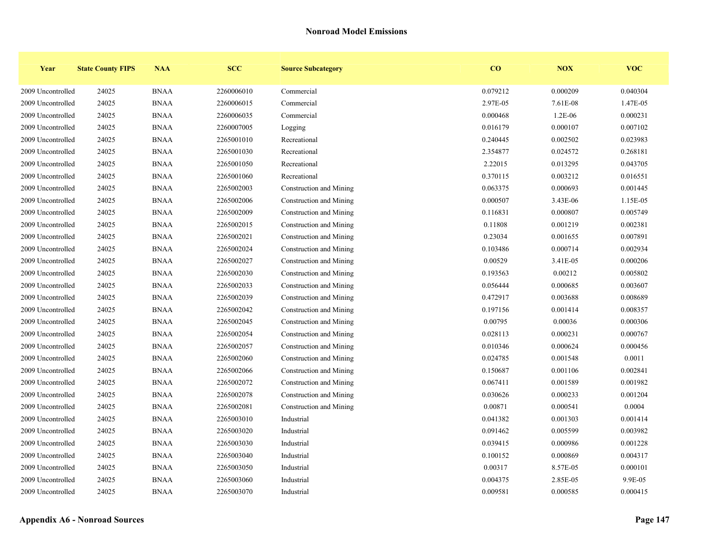| Year              | <b>State County FIPS</b> | <b>NAA</b>  | <b>SCC</b> | <b>Source Subcategory</b> | $\bf{CO}$ | <b>NOX</b> | <b>VOC</b> |
|-------------------|--------------------------|-------------|------------|---------------------------|-----------|------------|------------|
| 2009 Uncontrolled | 24025                    | <b>BNAA</b> | 2260006010 | Commercial                | 0.079212  | 0.000209   | 0.040304   |
| 2009 Uncontrolled | 24025                    | <b>BNAA</b> | 2260006015 | Commercial                | 2.97E-05  | 7.61E-08   | 1.47E-05   |
| 2009 Uncontrolled | 24025                    | <b>BNAA</b> | 2260006035 | Commercial                | 0.000468  | $1.2E-06$  | 0.000231   |
| 2009 Uncontrolled | 24025                    | <b>BNAA</b> | 2260007005 | Logging                   | 0.016179  | 0.000107   | 0.007102   |
| 2009 Uncontrolled | 24025                    | <b>BNAA</b> | 2265001010 | Recreational              | 0.240445  | 0.002502   | 0.023983   |
| 2009 Uncontrolled | 24025                    | <b>BNAA</b> | 2265001030 | Recreational              | 2.354877  | 0.024572   | 0.268181   |
| 2009 Uncontrolled | 24025                    | <b>BNAA</b> | 2265001050 | Recreational              | 2.22015   | 0.013295   | 0.043705   |
| 2009 Uncontrolled | 24025                    | <b>BNAA</b> | 2265001060 | Recreational              | 0.370115  | 0.003212   | 0.016551   |
| 2009 Uncontrolled | 24025                    | <b>BNAA</b> | 2265002003 | Construction and Mining   | 0.063375  | 0.000693   | 0.001445   |
| 2009 Uncontrolled | 24025                    | <b>BNAA</b> | 2265002006 | Construction and Mining   | 0.000507  | 3.43E-06   | 1.15E-05   |
| 2009 Uncontrolled | 24025                    | <b>BNAA</b> | 2265002009 | Construction and Mining   | 0.116831  | 0.000807   | 0.005749   |
| 2009 Uncontrolled | 24025                    | <b>BNAA</b> | 2265002015 | Construction and Mining   | 0.11808   | 0.001219   | 0.002381   |
| 2009 Uncontrolled | 24025                    | <b>BNAA</b> | 2265002021 | Construction and Mining   | 0.23034   | 0.001655   | 0.007891   |
| 2009 Uncontrolled | 24025                    | <b>BNAA</b> | 2265002024 | Construction and Mining   | 0.103486  | 0.000714   | 0.002934   |
| 2009 Uncontrolled | 24025                    | <b>BNAA</b> | 2265002027 | Construction and Mining   | 0.00529   | 3.41E-05   | 0.000206   |
| 2009 Uncontrolled | 24025                    | <b>BNAA</b> | 2265002030 | Construction and Mining   | 0.193563  | 0.00212    | 0.005802   |
| 2009 Uncontrolled | 24025                    | <b>BNAA</b> | 2265002033 | Construction and Mining   | 0.056444  | 0.000685   | 0.003607   |
| 2009 Uncontrolled | 24025                    | <b>BNAA</b> | 2265002039 | Construction and Mining   | 0.472917  | 0.003688   | 0.008689   |
| 2009 Uncontrolled | 24025                    | <b>BNAA</b> | 2265002042 | Construction and Mining   | 0.197156  | 0.001414   | 0.008357   |
| 2009 Uncontrolled | 24025                    | <b>BNAA</b> | 2265002045 | Construction and Mining   | 0.00795   | 0.00036    | 0.000306   |
| 2009 Uncontrolled | 24025                    | <b>BNAA</b> | 2265002054 | Construction and Mining   | 0.028113  | 0.000231   | 0.000767   |
| 2009 Uncontrolled | 24025                    | <b>BNAA</b> | 2265002057 | Construction and Mining   | 0.010346  | 0.000624   | 0.000456   |
| 2009 Uncontrolled | 24025                    | <b>BNAA</b> | 2265002060 | Construction and Mining   | 0.024785  | 0.001548   | 0.0011     |
| 2009 Uncontrolled | 24025                    | <b>BNAA</b> | 2265002066 | Construction and Mining   | 0.150687  | 0.001106   | 0.002841   |
| 2009 Uncontrolled | 24025                    | <b>BNAA</b> | 2265002072 | Construction and Mining   | 0.067411  | 0.001589   | 0.001982   |
| 2009 Uncontrolled | 24025                    | <b>BNAA</b> | 2265002078 | Construction and Mining   | 0.030626  | 0.000233   | 0.001204   |
| 2009 Uncontrolled | 24025                    | <b>BNAA</b> | 2265002081 | Construction and Mining   | 0.00871   | 0.000541   | 0.0004     |
| 2009 Uncontrolled | 24025                    | <b>BNAA</b> | 2265003010 | Industrial                | 0.041382  | 0.001303   | 0.001414   |
| 2009 Uncontrolled | 24025                    | <b>BNAA</b> | 2265003020 | Industrial                | 0.091462  | 0.005599   | 0.003982   |
| 2009 Uncontrolled | 24025                    | <b>BNAA</b> | 2265003030 | Industrial                | 0.039415  | 0.000986   | 0.001228   |
| 2009 Uncontrolled | 24025                    | <b>BNAA</b> | 2265003040 | Industrial                | 0.100152  | 0.000869   | 0.004317   |
| 2009 Uncontrolled | 24025                    | <b>BNAA</b> | 2265003050 | Industrial                | 0.00317   | 8.57E-05   | 0.000101   |
| 2009 Uncontrolled | 24025                    | <b>BNAA</b> | 2265003060 | Industrial                | 0.004375  | 2.85E-05   | 9.9E-05    |
| 2009 Uncontrolled | 24025                    | <b>BNAA</b> | 2265003070 | Industrial                | 0.009581  | 0.000585   | 0.000415   |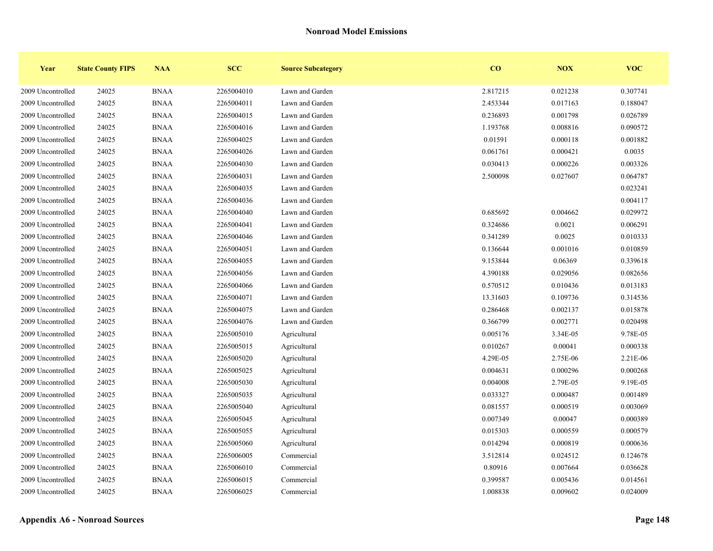| Year              | <b>State County FIPS</b> | <b>NAA</b>  | <b>SCC</b> | <b>Source Subcategory</b> | $\bf{CO}$ | <b>NOX</b> | <b>VOC</b> |
|-------------------|--------------------------|-------------|------------|---------------------------|-----------|------------|------------|
| 2009 Uncontrolled | 24025                    | <b>BNAA</b> | 2265004010 | Lawn and Garden           | 2.817215  | 0.021238   | 0.307741   |
| 2009 Uncontrolled | 24025                    | <b>BNAA</b> | 2265004011 | Lawn and Garden           | 2.453344  | 0.017163   | 0.188047   |
| 2009 Uncontrolled | 24025                    | <b>BNAA</b> | 2265004015 | Lawn and Garden           | 0.236893  | 0.001798   | 0.026789   |
| 2009 Uncontrolled | 24025                    | <b>BNAA</b> | 2265004016 | Lawn and Garden           | 1.193768  | 0.008816   | 0.090572   |
| 2009 Uncontrolled | 24025                    | <b>BNAA</b> | 2265004025 | Lawn and Garden           | 0.01591   | 0.000118   | 0.001882   |
| 2009 Uncontrolled | 24025                    | <b>BNAA</b> | 2265004026 | Lawn and Garden           | 0.061761  | 0.000421   | 0.0035     |
| 2009 Uncontrolled | 24025                    | <b>BNAA</b> | 2265004030 | Lawn and Garden           | 0.030413  | 0.000226   | 0.003326   |
| 2009 Uncontrolled | 24025                    | <b>BNAA</b> | 2265004031 | Lawn and Garden           | 2.500098  | 0.027607   | 0.064787   |
| 2009 Uncontrolled | 24025                    | <b>BNAA</b> | 2265004035 | Lawn and Garden           |           |            | 0.023241   |
| 2009 Uncontrolled | 24025                    | <b>BNAA</b> | 2265004036 | Lawn and Garden           |           |            | 0.004117   |
| 2009 Uncontrolled | 24025                    | <b>BNAA</b> | 2265004040 | Lawn and Garden           | 0.685692  | 0.004662   | 0.029972   |
| 2009 Uncontrolled | 24025                    | <b>BNAA</b> | 2265004041 | Lawn and Garden           | 0.324686  | 0.0021     | 0.006291   |
| 2009 Uncontrolled | 24025                    | <b>BNAA</b> | 2265004046 | Lawn and Garden           | 0.341289  | 0.0025     | 0.010333   |
| 2009 Uncontrolled | 24025                    | <b>BNAA</b> | 2265004051 | Lawn and Garden           | 0.136644  | 0.001016   | 0.010859   |
| 2009 Uncontrolled | 24025                    | <b>BNAA</b> | 2265004055 | Lawn and Garden           | 9.153844  | 0.06369    | 0.339618   |
| 2009 Uncontrolled | 24025                    | <b>BNAA</b> | 2265004056 | Lawn and Garden           | 4.390188  | 0.029056   | 0.082656   |
| 2009 Uncontrolled | 24025                    | <b>BNAA</b> | 2265004066 | Lawn and Garden           | 0.570512  | 0.010436   | 0.013183   |
| 2009 Uncontrolled | 24025                    | <b>BNAA</b> | 2265004071 | Lawn and Garden           | 13.31603  | 0.109736   | 0.314536   |
| 2009 Uncontrolled | 24025                    | <b>BNAA</b> | 2265004075 | Lawn and Garden           | 0.286468  | 0.002137   | 0.015878   |
| 2009 Uncontrolled | 24025                    | <b>BNAA</b> | 2265004076 | Lawn and Garden           | 0.366799  | 0.002771   | 0.020498   |
| 2009 Uncontrolled | 24025                    | <b>BNAA</b> | 2265005010 | Agricultural              | 0.005176  | 3.34E-05   | 9.78E-05   |
| 2009 Uncontrolled | 24025                    | <b>BNAA</b> | 2265005015 | Agricultural              | 0.010267  | 0.00041    | 0.000338   |
| 2009 Uncontrolled | 24025                    | <b>BNAA</b> | 2265005020 | Agricultural              | 4.29E-05  | 2.75E-06   | 2.21E-06   |
| 2009 Uncontrolled | 24025                    | <b>BNAA</b> | 2265005025 | Agricultural              | 0.004631  | 0.000296   | 0.000268   |
| 2009 Uncontrolled | 24025                    | <b>BNAA</b> | 2265005030 | Agricultural              | 0.004008  | 2.79E-05   | 9.19E-05   |
| 2009 Uncontrolled | 24025                    | <b>BNAA</b> | 2265005035 | Agricultural              | 0.033327  | 0.000487   | 0.001489   |
| 2009 Uncontrolled | 24025                    | <b>BNAA</b> | 2265005040 | Agricultural              | 0.081557  | 0.000519   | 0.003069   |
| 2009 Uncontrolled | 24025                    | <b>BNAA</b> | 2265005045 | Agricultural              | 0.007349  | 0.00047    | 0.000389   |
| 2009 Uncontrolled | 24025                    | <b>BNAA</b> | 2265005055 | Agricultural              | 0.015303  | 0.000559   | 0.000579   |
| 2009 Uncontrolled | 24025                    | <b>BNAA</b> | 2265005060 | Agricultural              | 0.014294  | 0.000819   | 0.000636   |
| 2009 Uncontrolled | 24025                    | <b>BNAA</b> | 2265006005 | Commercial                | 3.512814  | 0.024512   | 0.124678   |
| 2009 Uncontrolled | 24025                    | <b>BNAA</b> | 2265006010 | Commercial                | 0.80916   | 0.007664   | 0.036628   |
| 2009 Uncontrolled | 24025                    | <b>BNAA</b> | 2265006015 | Commercial                | 0.399587  | 0.005436   | 0.014561   |
| 2009 Uncontrolled | 24025                    | <b>BNAA</b> | 2265006025 | Commercial                | 1.008838  | 0.009602   | 0.024009   |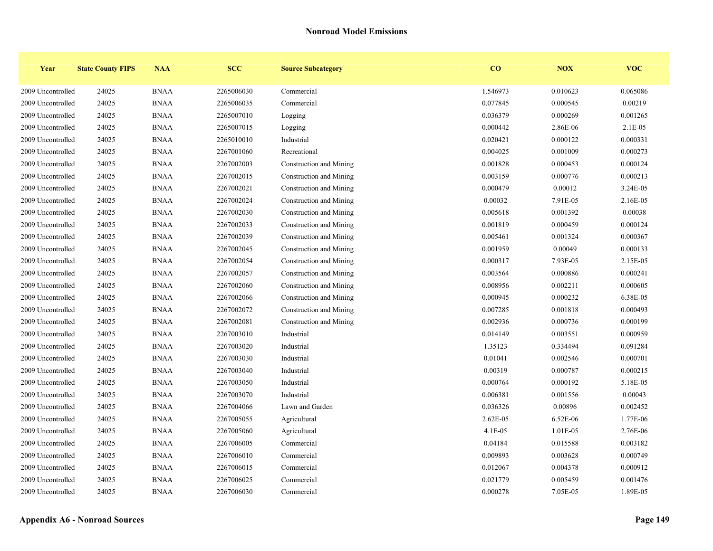| Year              | <b>State County FIPS</b> | <b>NAA</b>  | <b>SCC</b> | <b>Source Subcategory</b> | $\overline{\mathbf{C}}$ | <b>NOX</b> | <b>VOC</b> |
|-------------------|--------------------------|-------------|------------|---------------------------|-------------------------|------------|------------|
| 2009 Uncontrolled | 24025                    | <b>BNAA</b> | 2265006030 | Commercial                | 1.546973                | 0.010623   | 0.065086   |
| 2009 Uncontrolled | 24025                    | <b>BNAA</b> | 2265006035 | Commercial                | 0.077845                | 0.000545   | 0.00219    |
| 2009 Uncontrolled | 24025                    | <b>BNAA</b> | 2265007010 | Logging                   | 0.036379                | 0.000269   | 0.001265   |
| 2009 Uncontrolled | 24025                    | <b>BNAA</b> | 2265007015 | Logging                   | 0.000442                | 2.86E-06   | 2.1E-05    |
| 2009 Uncontrolled | 24025                    | <b>BNAA</b> | 2265010010 | Industrial                | 0.020421                | 0.000122   | 0.000331   |
| 2009 Uncontrolled | 24025                    | <b>BNAA</b> | 2267001060 | Recreational              | 0.004025                | 0.001009   | 0.000273   |
| 2009 Uncontrolled | 24025                    | <b>BNAA</b> | 2267002003 | Construction and Mining   | 0.001828                | 0.000453   | 0.000124   |
| 2009 Uncontrolled | 24025                    | <b>BNAA</b> | 2267002015 | Construction and Mining   | 0.003159                | 0.000776   | 0.000213   |
| 2009 Uncontrolled | 24025                    | <b>BNAA</b> | 2267002021 | Construction and Mining   | 0.000479                | 0.00012    | 3.24E-05   |
| 2009 Uncontrolled | 24025                    | <b>BNAA</b> | 2267002024 | Construction and Mining   | 0.00032                 | 7.91E-05   | 2.16E-05   |
| 2009 Uncontrolled | 24025                    | <b>BNAA</b> | 2267002030 | Construction and Mining   | 0.005618                | 0.001392   | 0.00038    |
| 2009 Uncontrolled | 24025                    | <b>BNAA</b> | 2267002033 | Construction and Mining   | 0.001819                | 0.000459   | 0.000124   |
| 2009 Uncontrolled | 24025                    | <b>BNAA</b> | 2267002039 | Construction and Mining   | 0.005461                | 0.001324   | 0.000367   |
| 2009 Uncontrolled | 24025                    | <b>BNAA</b> | 2267002045 | Construction and Mining   | 0.001959                | 0.00049    | 0.000133   |
| 2009 Uncontrolled | 24025                    | <b>BNAA</b> | 2267002054 | Construction and Mining   | 0.000317                | 7.93E-05   | 2.15E-05   |
| 2009 Uncontrolled | 24025                    | <b>BNAA</b> | 2267002057 | Construction and Mining   | 0.003564                | 0.000886   | 0.000241   |
| 2009 Uncontrolled | 24025                    | <b>BNAA</b> | 2267002060 | Construction and Mining   | 0.008956                | 0.002211   | 0.000605   |
| 2009 Uncontrolled | 24025                    | <b>BNAA</b> | 2267002066 | Construction and Mining   | 0.000945                | 0.000232   | 6.38E-05   |
| 2009 Uncontrolled | 24025                    | <b>BNAA</b> | 2267002072 | Construction and Mining   | 0.007285                | 0.001818   | 0.000493   |
| 2009 Uncontrolled | 24025                    | <b>BNAA</b> | 2267002081 | Construction and Mining   | 0.002936                | 0.000736   | 0.000199   |
| 2009 Uncontrolled | 24025                    | <b>BNAA</b> | 2267003010 | Industrial                | 0.014149                | 0.003551   | 0.000959   |
| 2009 Uncontrolled | 24025                    | <b>BNAA</b> | 2267003020 | Industrial                | 1.35123                 | 0.334494   | 0.091284   |
| 2009 Uncontrolled | 24025                    | <b>BNAA</b> | 2267003030 | Industrial                | 0.01041                 | 0.002546   | 0.000701   |
| 2009 Uncontrolled | 24025                    | <b>BNAA</b> | 2267003040 | Industrial                | 0.00319                 | 0.000787   | 0.000215   |
| 2009 Uncontrolled | 24025                    | <b>BNAA</b> | 2267003050 | Industrial                | 0.000764                | 0.000192   | 5.18E-05   |
| 2009 Uncontrolled | 24025                    | <b>BNAA</b> | 2267003070 | Industrial                | 0.006381                | 0.001556   | 0.00043    |
| 2009 Uncontrolled | 24025                    | <b>BNAA</b> | 2267004066 | Lawn and Garden           | 0.036326                | 0.00896    | 0.002452   |
| 2009 Uncontrolled | 24025                    | <b>BNAA</b> | 2267005055 | Agricultural              | 2.62E-05                | 6.52E-06   | 1.77E-06   |
| 2009 Uncontrolled | 24025                    | <b>BNAA</b> | 2267005060 | Agricultural              | $4.1E-05$               | 1.01E-05   | 2.76E-06   |
| 2009 Uncontrolled | 24025                    | <b>BNAA</b> | 2267006005 | Commercial                | 0.04184                 | 0.015588   | 0.003182   |
| 2009 Uncontrolled | 24025                    | <b>BNAA</b> | 2267006010 | Commercial                | 0.009893                | 0.003628   | 0.000749   |
| 2009 Uncontrolled | 24025                    | <b>BNAA</b> | 2267006015 | Commercial                | 0.012067                | 0.004378   | 0.000912   |
| 2009 Uncontrolled | 24025                    | <b>BNAA</b> | 2267006025 | Commercial                | 0.021779                | 0.005459   | 0.001476   |
| 2009 Uncontrolled | 24025                    | <b>BNAA</b> | 2267006030 | Commercial                | 0.000278                | 7.05E-05   | 1.89E-05   |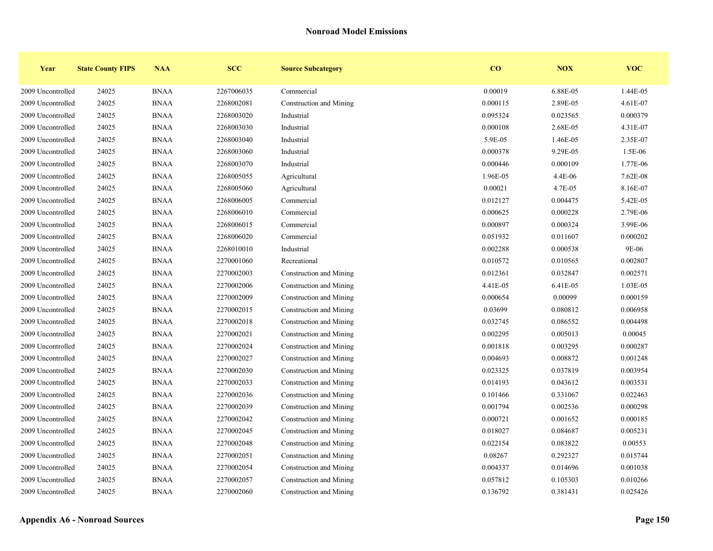| Year              | <b>State County FIPS</b> | <b>NAA</b>  | <b>SCC</b> | <b>Source Subcategory</b> | $\bf{CO}$ | NOX      | <b>VOC</b> |
|-------------------|--------------------------|-------------|------------|---------------------------|-----------|----------|------------|
| 2009 Uncontrolled | 24025                    | <b>BNAA</b> | 2267006035 | Commercial                | 0.00019   | 6.88E-05 | 1.44E-05   |
| 2009 Uncontrolled | 24025                    | <b>BNAA</b> | 2268002081 | Construction and Mining   | 0.000115  | 2.89E-05 | 4.61E-07   |
| 2009 Uncontrolled | 24025                    | <b>BNAA</b> | 2268003020 | Industrial                | 0.095324  | 0.023565 | 0.000379   |
| 2009 Uncontrolled | 24025                    | <b>BNAA</b> | 2268003030 | Industrial                | 0.000108  | 2.68E-05 | 4.31E-07   |
| 2009 Uncontrolled | 24025                    | <b>BNAA</b> | 2268003040 | Industrial                | 5.9E-05   | 1.46E-05 | 2.35E-07   |
| 2009 Uncontrolled | 24025                    | <b>BNAA</b> | 2268003060 | Industrial                | 0.000378  | 9.29E-05 | 1.5E-06    |
| 2009 Uncontrolled | 24025                    | <b>BNAA</b> | 2268003070 | Industrial                | 0.000446  | 0.000109 | 1.77E-06   |
| 2009 Uncontrolled | 24025                    | <b>BNAA</b> | 2268005055 | Agricultural              | 1.96E-05  | 4.4E-06  | 7.62E-08   |
| 2009 Uncontrolled | 24025                    | <b>BNAA</b> | 2268005060 | Agricultural              | 0.00021   | 4.7E-05  | 8.16E-07   |
| 2009 Uncontrolled | 24025                    | <b>BNAA</b> | 2268006005 | Commercial                | 0.012127  | 0.004475 | 5.42E-05   |
| 2009 Uncontrolled | 24025                    | <b>BNAA</b> | 2268006010 | Commercial                | 0.000625  | 0.000228 | 2.79E-06   |
| 2009 Uncontrolled | 24025                    | <b>BNAA</b> | 2268006015 | Commercial                | 0.000897  | 0.000324 | 3.99E-06   |
| 2009 Uncontrolled | 24025                    | <b>BNAA</b> | 2268006020 | Commercial                | 0.051932  | 0.011607 | 0.000202   |
| 2009 Uncontrolled | 24025                    | <b>BNAA</b> | 2268010010 | Industrial                | 0.002288  | 0.000538 | 9E-06      |
| 2009 Uncontrolled | 24025                    | <b>BNAA</b> | 2270001060 | Recreational              | 0.010572  | 0.010565 | 0.002807   |
| 2009 Uncontrolled | 24025                    | <b>BNAA</b> | 2270002003 | Construction and Mining   | 0.012361  | 0.032847 | 0.002571   |
| 2009 Uncontrolled | 24025                    | <b>BNAA</b> | 2270002006 | Construction and Mining   | 4.41E-05  | 6.41E-05 | 1.03E-05   |
| 2009 Uncontrolled | 24025                    | <b>BNAA</b> | 2270002009 | Construction and Mining   | 0.000654  | 0.00099  | 0.000159   |
| 2009 Uncontrolled | 24025                    | <b>BNAA</b> | 2270002015 | Construction and Mining   | 0.03699   | 0.080812 | 0.006958   |
| 2009 Uncontrolled | 24025                    | <b>BNAA</b> | 2270002018 | Construction and Mining   | 0.032745  | 0.086552 | 0.004498   |
| 2009 Uncontrolled | 24025                    | <b>BNAA</b> | 2270002021 | Construction and Mining   | 0.002295  | 0.005013 | 0.00045    |
| 2009 Uncontrolled | 24025                    | <b>BNAA</b> | 2270002024 | Construction and Mining   | 0.001818  | 0.003295 | 0.000287   |
| 2009 Uncontrolled | 24025                    | <b>BNAA</b> | 2270002027 | Construction and Mining   | 0.004693  | 0.008872 | 0.001248   |
| 2009 Uncontrolled | 24025                    | <b>BNAA</b> | 2270002030 | Construction and Mining   | 0.023325  | 0.037819 | 0.003954   |
| 2009 Uncontrolled | 24025                    | <b>BNAA</b> | 2270002033 | Construction and Mining   | 0.014193  | 0.043612 | 0.003531   |
| 2009 Uncontrolled | 24025                    | <b>BNAA</b> | 2270002036 | Construction and Mining   | 0.101466  | 0.331067 | 0.022463   |
| 2009 Uncontrolled | 24025                    | <b>BNAA</b> | 2270002039 | Construction and Mining   | 0.001794  | 0.002536 | 0.000298   |
| 2009 Uncontrolled | 24025                    | <b>BNAA</b> | 2270002042 | Construction and Mining   | 0.000721  | 0.001652 | 0.000185   |
| 2009 Uncontrolled | 24025                    | <b>BNAA</b> | 2270002045 | Construction and Mining   | 0.018027  | 0.084687 | 0.005231   |
| 2009 Uncontrolled | 24025                    | <b>BNAA</b> | 2270002048 | Construction and Mining   | 0.022154  | 0.083822 | 0.00553    |
| 2009 Uncontrolled | 24025                    | <b>BNAA</b> | 2270002051 | Construction and Mining   | 0.08267   | 0.292327 | 0.015744   |
| 2009 Uncontrolled | 24025                    | <b>BNAA</b> | 2270002054 | Construction and Mining   | 0.004337  | 0.014696 | 0.001038   |
| 2009 Uncontrolled | 24025                    | <b>BNAA</b> | 2270002057 | Construction and Mining   | 0.057812  | 0.105303 | 0.010266   |
| 2009 Uncontrolled | 24025                    | <b>BNAA</b> | 2270002060 | Construction and Mining   | 0.136792  | 0.381431 | 0.025426   |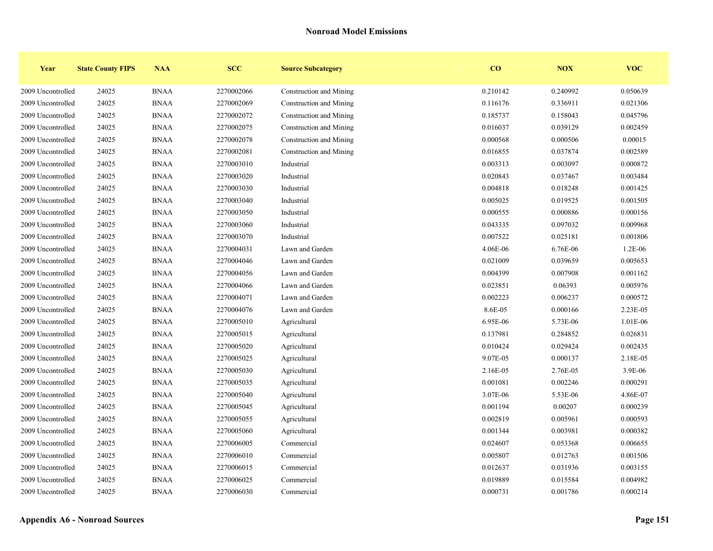| Year              | <b>State County FIPS</b> | <b>NAA</b>  | <b>SCC</b> | <b>Source Subcategory</b> | $\bf{CO}$ | <b>NOX</b> | <b>VOC</b> |
|-------------------|--------------------------|-------------|------------|---------------------------|-----------|------------|------------|
| 2009 Uncontrolled | 24025                    | <b>BNAA</b> | 2270002066 | Construction and Mining   | 0.210142  | 0.240992   | 0.050639   |
| 2009 Uncontrolled | 24025                    | <b>BNAA</b> | 2270002069 | Construction and Mining   | 0.116176  | 0.336911   | 0.021306   |
| 2009 Uncontrolled | 24025                    | <b>BNAA</b> | 2270002072 | Construction and Mining   | 0.185737  | 0.158043   | 0.045796   |
| 2009 Uncontrolled | 24025                    | <b>BNAA</b> | 2270002075 | Construction and Mining   | 0.016037  | 0.039129   | 0.002459   |
| 2009 Uncontrolled | 24025                    | <b>BNAA</b> | 2270002078 | Construction and Mining   | 0.000568  | 0.000506   | 0.00015    |
| 2009 Uncontrolled | 24025                    | <b>BNAA</b> | 2270002081 | Construction and Mining   | 0.016855  | 0.037874   | 0.002589   |
| 2009 Uncontrolled | 24025                    | <b>BNAA</b> | 2270003010 | Industrial                | 0.003313  | 0.003097   | 0.000872   |
| 2009 Uncontrolled | 24025                    | <b>BNAA</b> | 2270003020 | Industrial                | 0.020843  | 0.037467   | 0.003484   |
| 2009 Uncontrolled | 24025                    | <b>BNAA</b> | 2270003030 | Industrial                | 0.004818  | 0.018248   | 0.001425   |
| 2009 Uncontrolled | 24025                    | <b>BNAA</b> | 2270003040 | Industrial                | 0.005025  | 0.019525   | 0.001505   |
| 2009 Uncontrolled | 24025                    | <b>BNAA</b> | 2270003050 | Industrial                | 0.000555  | 0.000886   | 0.000156   |
| 2009 Uncontrolled | 24025                    | <b>BNAA</b> | 2270003060 | Industrial                | 0.043335  | 0.097032   | 0.009968   |
| 2009 Uncontrolled | 24025                    | <b>BNAA</b> | 2270003070 | Industrial                | 0.007522  | 0.025181   | 0.001806   |
| 2009 Uncontrolled | 24025                    | <b>BNAA</b> | 2270004031 | Lawn and Garden           | 4.06E-06  | 6.76E-06   | 1.2E-06    |
| 2009 Uncontrolled | 24025                    | <b>BNAA</b> | 2270004046 | Lawn and Garden           | 0.021009  | 0.039659   | 0.005653   |
| 2009 Uncontrolled | 24025                    | <b>BNAA</b> | 2270004056 | Lawn and Garden           | 0.004399  | 0.007908   | 0.001162   |
| 2009 Uncontrolled | 24025                    | <b>BNAA</b> | 2270004066 | Lawn and Garden           | 0.023851  | 0.06393    | 0.005976   |
| 2009 Uncontrolled | 24025                    | <b>BNAA</b> | 2270004071 | Lawn and Garden           | 0.002223  | 0.006237   | 0.000572   |
| 2009 Uncontrolled | 24025                    | <b>BNAA</b> | 2270004076 | Lawn and Garden           | 8.6E-05   | 0.000166   | 2.23E-05   |
| 2009 Uncontrolled | 24025                    | <b>BNAA</b> | 2270005010 | Agricultural              | 6.95E-06  | 5.73E-06   | 1.01E-06   |
| 2009 Uncontrolled | 24025                    | <b>BNAA</b> | 2270005015 | Agricultural              | 0.137981  | 0.284852   | 0.026831   |
| 2009 Uncontrolled | 24025                    | <b>BNAA</b> | 2270005020 | Agricultural              | 0.010424  | 0.029424   | 0.002435   |
| 2009 Uncontrolled | 24025                    | <b>BNAA</b> | 2270005025 | Agricultural              | 9.07E-05  | 0.000137   | 2.18E-05   |
| 2009 Uncontrolled | 24025                    | <b>BNAA</b> | 2270005030 | Agricultural              | 2.16E-05  | 2.76E-05   | 3.9E-06    |
| 2009 Uncontrolled | 24025                    | <b>BNAA</b> | 2270005035 | Agricultural              | 0.001081  | 0.002246   | 0.000291   |
| 2009 Uncontrolled | 24025                    | <b>BNAA</b> | 2270005040 | Agricultural              | 3.07E-06  | 5.53E-06   | 4.86E-07   |
| 2009 Uncontrolled | 24025                    | <b>BNAA</b> | 2270005045 | Agricultural              | 0.001194  | 0.00207    | 0.000239   |
| 2009 Uncontrolled | 24025                    | <b>BNAA</b> | 2270005055 | Agricultural              | 0.002819  | 0.005961   | 0.000593   |
| 2009 Uncontrolled | 24025                    | <b>BNAA</b> | 2270005060 | Agricultural              | 0.001344  | 0.003981   | 0.000382   |
| 2009 Uncontrolled | 24025                    | <b>BNAA</b> | 2270006005 | Commercial                | 0.024607  | 0.053368   | 0.006655   |
| 2009 Uncontrolled | 24025                    | <b>BNAA</b> | 2270006010 | Commercial                | 0.005807  | 0.012763   | 0.001506   |
| 2009 Uncontrolled | 24025                    | <b>BNAA</b> | 2270006015 | Commercial                | 0.012637  | 0.031936   | 0.003155   |
| 2009 Uncontrolled | 24025                    | <b>BNAA</b> | 2270006025 | Commercial                | 0.019889  | 0.015584   | 0.004982   |
| 2009 Uncontrolled | 24025                    | <b>BNAA</b> | 2270006030 | Commercial                | 0.000731  | 0.001786   | 0.000214   |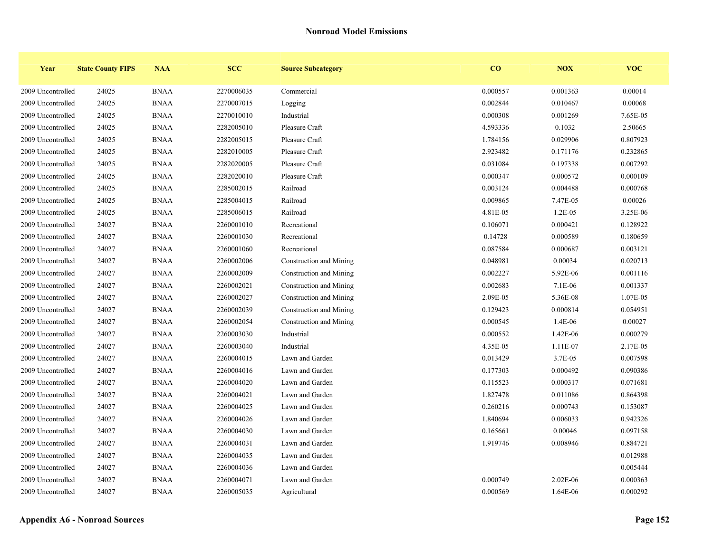| Year              | <b>State County FIPS</b> | <b>NAA</b>  | <b>SCC</b> | <b>Source Subcategory</b> | CO       | <b>NOX</b>   | <b>VOC</b> |
|-------------------|--------------------------|-------------|------------|---------------------------|----------|--------------|------------|
| 2009 Uncontrolled | 24025                    | <b>BNAA</b> | 2270006035 | Commercial                | 0.000557 | 0.001363     | 0.00014    |
| 2009 Uncontrolled | 24025                    | <b>BNAA</b> | 2270007015 | Logging                   | 0.002844 | 0.010467     | 0.00068    |
| 2009 Uncontrolled | 24025                    | <b>BNAA</b> | 2270010010 | Industrial                | 0.000308 | 0.001269     | 7.65E-05   |
| 2009 Uncontrolled | 24025                    | <b>BNAA</b> | 2282005010 | Pleasure Craft            | 4.593336 | 0.1032       | 2.50665    |
| 2009 Uncontrolled | 24025                    | <b>BNAA</b> | 2282005015 | Pleasure Craft            | 1.784156 | 0.029906     | 0.807923   |
| 2009 Uncontrolled | 24025                    | <b>BNAA</b> | 2282010005 | Pleasure Craft            | 2.923482 | 0.171176     | 0.232865   |
| 2009 Uncontrolled | 24025                    | <b>BNAA</b> | 2282020005 | Pleasure Craft            | 0.031084 | 0.197338     | 0.007292   |
| 2009 Uncontrolled | 24025                    | <b>BNAA</b> | 2282020010 | Pleasure Craft            | 0.000347 | 0.000572     | 0.000109   |
| 2009 Uncontrolled | 24025                    | <b>BNAA</b> | 2285002015 | Railroad                  | 0.003124 | 0.004488     | 0.000768   |
| 2009 Uncontrolled | 24025                    | <b>BNAA</b> | 2285004015 | Railroad                  | 0.009865 | 7.47E-05     | 0.00026    |
| 2009 Uncontrolled | 24025                    | <b>BNAA</b> | 2285006015 | Railroad                  | 4.81E-05 | $1.2E - 0.5$ | 3.25E-06   |
| 2009 Uncontrolled | 24027                    | <b>BNAA</b> | 2260001010 | Recreational              | 0.106071 | 0.000421     | 0.128922   |
| 2009 Uncontrolled | 24027                    | <b>BNAA</b> | 2260001030 | Recreational              | 0.14728  | 0.000589     | 0.180659   |
| 2009 Uncontrolled | 24027                    | <b>BNAA</b> | 2260001060 | Recreational              | 0.087584 | 0.000687     | 0.003121   |
| 2009 Uncontrolled | 24027                    | <b>BNAA</b> | 2260002006 | Construction and Mining   | 0.048981 | 0.00034      | 0.020713   |
| 2009 Uncontrolled | 24027                    | <b>BNAA</b> | 2260002009 | Construction and Mining   | 0.002227 | 5.92E-06     | 0.001116   |
| 2009 Uncontrolled | 24027                    | <b>BNAA</b> | 2260002021 | Construction and Mining   | 0.002683 | 7.1E-06      | 0.001337   |
| 2009 Uncontrolled | 24027                    | <b>BNAA</b> | 2260002027 | Construction and Mining   | 2.09E-05 | 5.36E-08     | 1.07E-05   |
| 2009 Uncontrolled | 24027                    | <b>BNAA</b> | 2260002039 | Construction and Mining   | 0.129423 | 0.000814     | 0.054951   |
| 2009 Uncontrolled | 24027                    | <b>BNAA</b> | 2260002054 | Construction and Mining   | 0.000545 | $1.4E-06$    | 0.00027    |
| 2009 Uncontrolled | 24027                    | <b>BNAA</b> | 2260003030 | Industrial                | 0.000552 | 1.42E-06     | 0.000279   |
| 2009 Uncontrolled | 24027                    | <b>BNAA</b> | 2260003040 | Industrial                | 4.35E-05 | 1.11E-07     | 2.17E-05   |
| 2009 Uncontrolled | 24027                    | <b>BNAA</b> | 2260004015 | Lawn and Garden           | 0.013429 | 3.7E-05      | 0.007598   |
| 2009 Uncontrolled | 24027                    | <b>BNAA</b> | 2260004016 | Lawn and Garden           | 0.177303 | 0.000492     | 0.090386   |
| 2009 Uncontrolled | 24027                    | <b>BNAA</b> | 2260004020 | Lawn and Garden           | 0.115523 | 0.000317     | 0.071681   |
| 2009 Uncontrolled | 24027                    | <b>BNAA</b> | 2260004021 | Lawn and Garden           | 1.827478 | 0.011086     | 0.864398   |
| 2009 Uncontrolled | 24027                    | <b>BNAA</b> | 2260004025 | Lawn and Garden           | 0.260216 | 0.000743     | 0.153087   |
| 2009 Uncontrolled | 24027                    | <b>BNAA</b> | 2260004026 | Lawn and Garden           | 1.840694 | 0.006033     | 0.942326   |
| 2009 Uncontrolled | 24027                    | <b>BNAA</b> | 2260004030 | Lawn and Garden           | 0.165661 | 0.00046      | 0.097158   |
| 2009 Uncontrolled | 24027                    | <b>BNAA</b> | 2260004031 | Lawn and Garden           | 1.919746 | 0.008946     | 0.884721   |
| 2009 Uncontrolled | 24027                    | <b>BNAA</b> | 2260004035 | Lawn and Garden           |          |              | 0.012988   |
| 2009 Uncontrolled | 24027                    | <b>BNAA</b> | 2260004036 | Lawn and Garden           |          |              | 0.005444   |
| 2009 Uncontrolled | 24027                    | <b>BNAA</b> | 2260004071 | Lawn and Garden           | 0.000749 | 2.02E-06     | 0.000363   |
| 2009 Uncontrolled | 24027                    | <b>BNAA</b> | 2260005035 | Agricultural              | 0.000569 | 1.64E-06     | 0.000292   |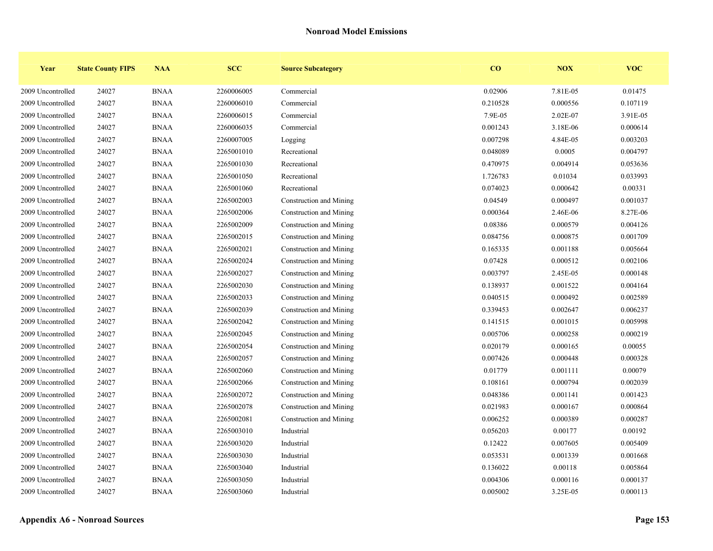| Year              | <b>State County FIPS</b> | <b>NAA</b>  | <b>SCC</b> | <b>Source Subcategory</b> | $\bf{CO}$ | <b>NOX</b> | <b>VOC</b> |
|-------------------|--------------------------|-------------|------------|---------------------------|-----------|------------|------------|
| 2009 Uncontrolled | 24027                    | <b>BNAA</b> | 2260006005 | Commercial                | 0.02906   | 7.81E-05   | 0.01475    |
| 2009 Uncontrolled | 24027                    | <b>BNAA</b> | 2260006010 | Commercial                | 0.210528  | 0.000556   | 0.107119   |
| 2009 Uncontrolled | 24027                    | <b>BNAA</b> | 2260006015 | Commercial                | 7.9E-05   | 2.02E-07   | 3.91E-05   |
| 2009 Uncontrolled | 24027                    | <b>BNAA</b> | 2260006035 | Commercial                | 0.001243  | 3.18E-06   | 0.000614   |
| 2009 Uncontrolled | 24027                    | <b>BNAA</b> | 2260007005 | Logging                   | 0.007298  | 4.84E-05   | 0.003203   |
| 2009 Uncontrolled | 24027                    | <b>BNAA</b> | 2265001010 | Recreational              | 0.048089  | 0.0005     | 0.004797   |
| 2009 Uncontrolled | 24027                    | <b>BNAA</b> | 2265001030 | Recreational              | 0.470975  | 0.004914   | 0.053636   |
| 2009 Uncontrolled | 24027                    | <b>BNAA</b> | 2265001050 | Recreational              | 1.726783  | 0.01034    | 0.033993   |
| 2009 Uncontrolled | 24027                    | <b>BNAA</b> | 2265001060 | Recreational              | 0.074023  | 0.000642   | 0.00331    |
| 2009 Uncontrolled | 24027                    | <b>BNAA</b> | 2265002003 | Construction and Mining   | 0.04549   | 0.000497   | 0.001037   |
| 2009 Uncontrolled | 24027                    | <b>BNAA</b> | 2265002006 | Construction and Mining   | 0.000364  | 2.46E-06   | 8.27E-06   |
| 2009 Uncontrolled | 24027                    | <b>BNAA</b> | 2265002009 | Construction and Mining   | 0.08386   | 0.000579   | 0.004126   |
| 2009 Uncontrolled | 24027                    | <b>BNAA</b> | 2265002015 | Construction and Mining   | 0.084756  | 0.000875   | 0.001709   |
| 2009 Uncontrolled | 24027                    | <b>BNAA</b> | 2265002021 | Construction and Mining   | 0.165335  | 0.001188   | 0.005664   |
| 2009 Uncontrolled | 24027                    | <b>BNAA</b> | 2265002024 | Construction and Mining   | 0.07428   | 0.000512   | 0.002106   |
| 2009 Uncontrolled | 24027                    | <b>BNAA</b> | 2265002027 | Construction and Mining   | 0.003797  | 2.45E-05   | 0.000148   |
| 2009 Uncontrolled | 24027                    | <b>BNAA</b> | 2265002030 | Construction and Mining   | 0.138937  | 0.001522   | 0.004164   |
| 2009 Uncontrolled | 24027                    | <b>BNAA</b> | 2265002033 | Construction and Mining   | 0.040515  | 0.000492   | 0.002589   |
| 2009 Uncontrolled | 24027                    | <b>BNAA</b> | 2265002039 | Construction and Mining   | 0.339453  | 0.002647   | 0.006237   |
| 2009 Uncontrolled | 24027                    | <b>BNAA</b> | 2265002042 | Construction and Mining   | 0.141515  | 0.001015   | 0.005998   |
| 2009 Uncontrolled | 24027                    | <b>BNAA</b> | 2265002045 | Construction and Mining   | 0.005706  | 0.000258   | 0.000219   |
| 2009 Uncontrolled | 24027                    | <b>BNAA</b> | 2265002054 | Construction and Mining   | 0.020179  | 0.000165   | 0.00055    |
| 2009 Uncontrolled | 24027                    | <b>BNAA</b> | 2265002057 | Construction and Mining   | 0.007426  | 0.000448   | 0.000328   |
| 2009 Uncontrolled | 24027                    | <b>BNAA</b> | 2265002060 | Construction and Mining   | 0.01779   | 0.001111   | 0.00079    |
| 2009 Uncontrolled | 24027                    | <b>BNAA</b> | 2265002066 | Construction and Mining   | 0.108161  | 0.000794   | 0.002039   |
| 2009 Uncontrolled | 24027                    | <b>BNAA</b> | 2265002072 | Construction and Mining   | 0.048386  | 0.001141   | 0.001423   |
| 2009 Uncontrolled | 24027                    | <b>BNAA</b> | 2265002078 | Construction and Mining   | 0.021983  | 0.000167   | 0.000864   |
| 2009 Uncontrolled | 24027                    | <b>BNAA</b> | 2265002081 | Construction and Mining   | 0.006252  | 0.000389   | 0.000287   |
| 2009 Uncontrolled | 24027                    | <b>BNAA</b> | 2265003010 | Industrial                | 0.056203  | 0.00177    | 0.00192    |
| 2009 Uncontrolled | 24027                    | <b>BNAA</b> | 2265003020 | Industrial                | 0.12422   | 0.007605   | 0.005409   |
| 2009 Uncontrolled | 24027                    | <b>BNAA</b> | 2265003030 | Industrial                | 0.053531  | 0.001339   | 0.001668   |
| 2009 Uncontrolled | 24027                    | <b>BNAA</b> | 2265003040 | Industrial                | 0.136022  | 0.00118    | 0.005864   |
| 2009 Uncontrolled | 24027                    | <b>BNAA</b> | 2265003050 | Industrial                | 0.004306  | 0.000116   | 0.000137   |
| 2009 Uncontrolled | 24027                    | <b>BNAA</b> | 2265003060 | Industrial                | 0.005002  | 3.25E-05   | 0.000113   |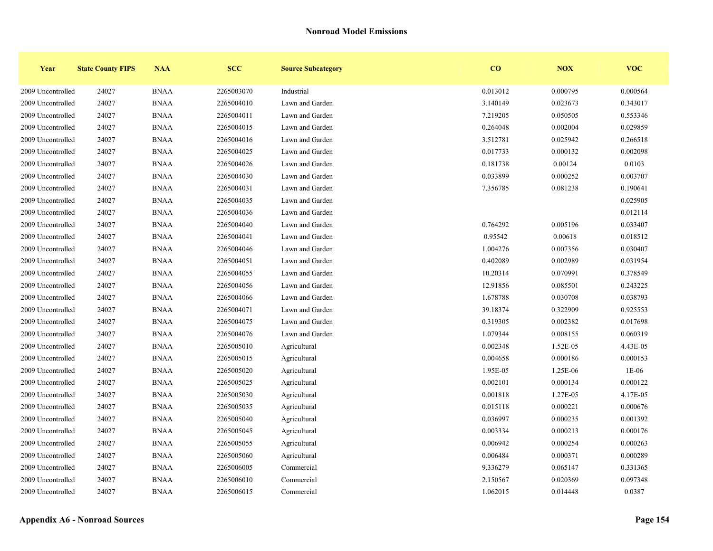| Year              | <b>State County FIPS</b> | <b>NAA</b>  | <b>SCC</b> | <b>Source Subcategory</b> | $\bf{CO}$ | <b>NOX</b> | <b>VOC</b> |
|-------------------|--------------------------|-------------|------------|---------------------------|-----------|------------|------------|
| 2009 Uncontrolled | 24027                    | <b>BNAA</b> | 2265003070 | Industrial                | 0.013012  | 0.000795   | 0.000564   |
| 2009 Uncontrolled | 24027                    | <b>BNAA</b> | 2265004010 | Lawn and Garden           | 3.140149  | 0.023673   | 0.343017   |
| 2009 Uncontrolled | 24027                    | <b>BNAA</b> | 2265004011 | Lawn and Garden           | 7.219205  | 0.050505   | 0.553346   |
| 2009 Uncontrolled | 24027                    | <b>BNAA</b> | 2265004015 | Lawn and Garden           | 0.264048  | 0.002004   | 0.029859   |
| 2009 Uncontrolled | 24027                    | <b>BNAA</b> | 2265004016 | Lawn and Garden           | 3.512781  | 0.025942   | 0.266518   |
| 2009 Uncontrolled | 24027                    | <b>BNAA</b> | 2265004025 | Lawn and Garden           | 0.017733  | 0.000132   | 0.002098   |
| 2009 Uncontrolled | 24027                    | <b>BNAA</b> | 2265004026 | Lawn and Garden           | 0.181738  | 0.00124    | 0.0103     |
| 2009 Uncontrolled | 24027                    | <b>BNAA</b> | 2265004030 | Lawn and Garden           | 0.033899  | 0.000252   | 0.003707   |
| 2009 Uncontrolled | 24027                    | <b>BNAA</b> | 2265004031 | Lawn and Garden           | 7.356785  | 0.081238   | 0.190641   |
| 2009 Uncontrolled | 24027                    | <b>BNAA</b> | 2265004035 | Lawn and Garden           |           |            | 0.025905   |
| 2009 Uncontrolled | 24027                    | <b>BNAA</b> | 2265004036 | Lawn and Garden           |           |            | 0.012114   |
| 2009 Uncontrolled | 24027                    | <b>BNAA</b> | 2265004040 | Lawn and Garden           | 0.764292  | 0.005196   | 0.033407   |
| 2009 Uncontrolled | 24027                    | <b>BNAA</b> | 2265004041 | Lawn and Garden           | 0.95542   | 0.00618    | 0.018512   |
| 2009 Uncontrolled | 24027                    | <b>BNAA</b> | 2265004046 | Lawn and Garden           | 1.004276  | 0.007356   | 0.030407   |
| 2009 Uncontrolled | 24027                    | <b>BNAA</b> | 2265004051 | Lawn and Garden           | 0.402089  | 0.002989   | 0.031954   |
| 2009 Uncontrolled | 24027                    | <b>BNAA</b> | 2265004055 | Lawn and Garden           | 10.20314  | 0.070991   | 0.378549   |
| 2009 Uncontrolled | 24027                    | <b>BNAA</b> | 2265004056 | Lawn and Garden           | 12.91856  | 0.085501   | 0.243225   |
| 2009 Uncontrolled | 24027                    | <b>BNAA</b> | 2265004066 | Lawn and Garden           | 1.678788  | 0.030708   | 0.038793   |
| 2009 Uncontrolled | 24027                    | <b>BNAA</b> | 2265004071 | Lawn and Garden           | 39.18374  | 0.322909   | 0.925553   |
| 2009 Uncontrolled | 24027                    | <b>BNAA</b> | 2265004075 | Lawn and Garden           | 0.319305  | 0.002382   | 0.017698   |
| 2009 Uncontrolled | 24027                    | <b>BNAA</b> | 2265004076 | Lawn and Garden           | 1.079344  | 0.008155   | 0.060319   |
| 2009 Uncontrolled | 24027                    | <b>BNAA</b> | 2265005010 | Agricultural              | 0.002348  | 1.52E-05   | 4.43E-05   |
| 2009 Uncontrolled | 24027                    | <b>BNAA</b> | 2265005015 | Agricultural              | 0.004658  | 0.000186   | 0.000153   |
| 2009 Uncontrolled | 24027                    | <b>BNAA</b> | 2265005020 | Agricultural              | 1.95E-05  | 1.25E-06   | 1E-06      |
| 2009 Uncontrolled | 24027                    | <b>BNAA</b> | 2265005025 | Agricultural              | 0.002101  | 0.000134   | 0.000122   |
| 2009 Uncontrolled | 24027                    | <b>BNAA</b> | 2265005030 | Agricultural              | 0.001818  | 1.27E-05   | 4.17E-05   |
| 2009 Uncontrolled | 24027                    | <b>BNAA</b> | 2265005035 | Agricultural              | 0.015118  | 0.000221   | 0.000676   |
| 2009 Uncontrolled | 24027                    | <b>BNAA</b> | 2265005040 | Agricultural              | 0.036997  | 0.000235   | 0.001392   |
| 2009 Uncontrolled | 24027                    | <b>BNAA</b> | 2265005045 | Agricultural              | 0.003334  | 0.000213   | 0.000176   |
| 2009 Uncontrolled | 24027                    | <b>BNAA</b> | 2265005055 | Agricultural              | 0.006942  | 0.000254   | 0.000263   |
| 2009 Uncontrolled | 24027                    | <b>BNAA</b> | 2265005060 | Agricultural              | 0.006484  | 0.000371   | 0.000289   |
| 2009 Uncontrolled | 24027                    | <b>BNAA</b> | 2265006005 | Commercial                | 9.336279  | 0.065147   | 0.331365   |
| 2009 Uncontrolled | 24027                    | <b>BNAA</b> | 2265006010 | Commercial                | 2.150567  | 0.020369   | 0.097348   |
| 2009 Uncontrolled | 24027                    | <b>BNAA</b> | 2265006015 | Commercial                | 1.062015  | 0.014448   | 0.0387     |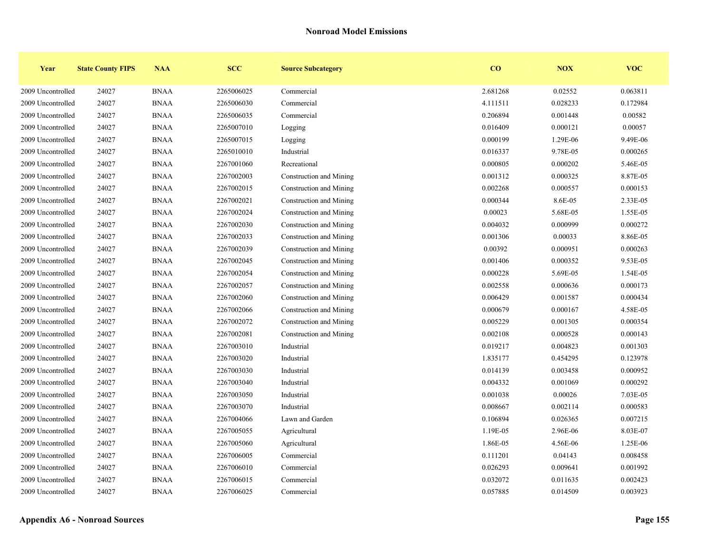| Year              | <b>State County FIPS</b> | <b>NAA</b>  | <b>SCC</b> | <b>Source Subcategory</b> | $\bf{CO}$ | NOX      | <b>VOC</b> |
|-------------------|--------------------------|-------------|------------|---------------------------|-----------|----------|------------|
| 2009 Uncontrolled | 24027                    | <b>BNAA</b> | 2265006025 | Commercial                | 2.681268  | 0.02552  | 0.063811   |
| 2009 Uncontrolled | 24027                    | <b>BNAA</b> | 2265006030 | Commercial                | 4.111511  | 0.028233 | 0.172984   |
| 2009 Uncontrolled | 24027                    | <b>BNAA</b> | 2265006035 | Commercial                | 0.206894  | 0.001448 | 0.00582    |
| 2009 Uncontrolled | 24027                    | <b>BNAA</b> | 2265007010 | Logging                   | 0.016409  | 0.000121 | 0.00057    |
| 2009 Uncontrolled | 24027                    | <b>BNAA</b> | 2265007015 | Logging                   | 0.000199  | 1.29E-06 | 9.49E-06   |
| 2009 Uncontrolled | 24027                    | <b>BNAA</b> | 2265010010 | Industrial                | 0.016337  | 9.78E-05 | 0.000265   |
| 2009 Uncontrolled | 24027                    | <b>BNAA</b> | 2267001060 | Recreational              | 0.000805  | 0.000202 | 5.46E-05   |
| 2009 Uncontrolled | 24027                    | <b>BNAA</b> | 2267002003 | Construction and Mining   | 0.001312  | 0.000325 | 8.87E-05   |
| 2009 Uncontrolled | 24027                    | <b>BNAA</b> | 2267002015 | Construction and Mining   | 0.002268  | 0.000557 | 0.000153   |
| 2009 Uncontrolled | 24027                    | <b>BNAA</b> | 2267002021 | Construction and Mining   | 0.000344  | 8.6E-05  | 2.33E-05   |
| 2009 Uncontrolled | 24027                    | <b>BNAA</b> | 2267002024 | Construction and Mining   | 0.00023   | 5.68E-05 | 1.55E-05   |
| 2009 Uncontrolled | 24027                    | <b>BNAA</b> | 2267002030 | Construction and Mining   | 0.004032  | 0.000999 | 0.000272   |
| 2009 Uncontrolled | 24027                    | <b>BNAA</b> | 2267002033 | Construction and Mining   | 0.001306  | 0.00033  | 8.86E-05   |
| 2009 Uncontrolled | 24027                    | <b>BNAA</b> | 2267002039 | Construction and Mining   | 0.00392   | 0.000951 | 0.000263   |
| 2009 Uncontrolled | 24027                    | <b>BNAA</b> | 2267002045 | Construction and Mining   | 0.001406  | 0.000352 | 9.53E-05   |
| 2009 Uncontrolled | 24027                    | <b>BNAA</b> | 2267002054 | Construction and Mining   | 0.000228  | 5.69E-05 | 1.54E-05   |
| 2009 Uncontrolled | 24027                    | <b>BNAA</b> | 2267002057 | Construction and Mining   | 0.002558  | 0.000636 | 0.000173   |
| 2009 Uncontrolled | 24027                    | <b>BNAA</b> | 2267002060 | Construction and Mining   | 0.006429  | 0.001587 | 0.000434   |
| 2009 Uncontrolled | 24027                    | <b>BNAA</b> | 2267002066 | Construction and Mining   | 0.000679  | 0.000167 | 4.58E-05   |
| 2009 Uncontrolled | 24027                    | <b>BNAA</b> | 2267002072 | Construction and Mining   | 0.005229  | 0.001305 | 0.000354   |
| 2009 Uncontrolled | 24027                    | <b>BNAA</b> | 2267002081 | Construction and Mining   | 0.002108  | 0.000528 | 0.000143   |
| 2009 Uncontrolled | 24027                    | <b>BNAA</b> | 2267003010 | Industrial                | 0.019217  | 0.004823 | 0.001303   |
| 2009 Uncontrolled | 24027                    | <b>BNAA</b> | 2267003020 | Industrial                | 1.835177  | 0.454295 | 0.123978   |
| 2009 Uncontrolled | 24027                    | <b>BNAA</b> | 2267003030 | Industrial                | 0.014139  | 0.003458 | 0.000952   |
| 2009 Uncontrolled | 24027                    | <b>BNAA</b> | 2267003040 | Industrial                | 0.004332  | 0.001069 | 0.000292   |
| 2009 Uncontrolled | 24027                    | <b>BNAA</b> | 2267003050 | Industrial                | 0.001038  | 0.00026  | 7.03E-05   |
| 2009 Uncontrolled | 24027                    | <b>BNAA</b> | 2267003070 | Industrial                | 0.008667  | 0.002114 | 0.000583   |
| 2009 Uncontrolled | 24027                    | <b>BNAA</b> | 2267004066 | Lawn and Garden           | 0.106894  | 0.026365 | 0.007215   |
| 2009 Uncontrolled | 24027                    | <b>BNAA</b> | 2267005055 | Agricultural              | 1.19E-05  | 2.96E-06 | 8.03E-07   |
| 2009 Uncontrolled | 24027                    | <b>BNAA</b> | 2267005060 | Agricultural              | 1.86E-05  | 4.56E-06 | 1.25E-06   |
| 2009 Uncontrolled | 24027                    | <b>BNAA</b> | 2267006005 | Commercial                | 0.111201  | 0.04143  | 0.008458   |
| 2009 Uncontrolled | 24027                    | <b>BNAA</b> | 2267006010 | Commercial                | 0.026293  | 0.009641 | 0.001992   |
| 2009 Uncontrolled | 24027                    | <b>BNAA</b> | 2267006015 | Commercial                | 0.032072  | 0.011635 | 0.002423   |
| 2009 Uncontrolled | 24027                    | <b>BNAA</b> | 2267006025 | Commercial                | 0.057885  | 0.014509 | 0.003923   |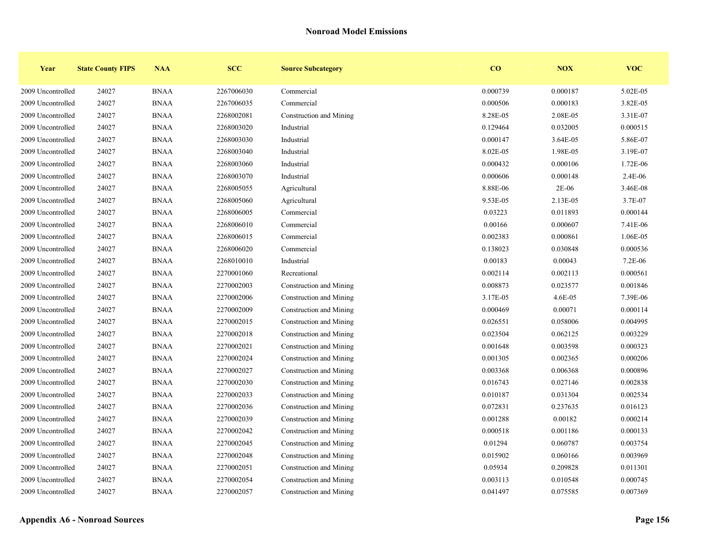| Year              | <b>State County FIPS</b> | <b>NAA</b>  | <b>SCC</b> | <b>Source Subcategory</b> | $\bf{CO}$ | NOX      | <b>VOC</b> |
|-------------------|--------------------------|-------------|------------|---------------------------|-----------|----------|------------|
| 2009 Uncontrolled | 24027                    | <b>BNAA</b> | 2267006030 | Commercial                | 0.000739  | 0.000187 | 5.02E-05   |
| 2009 Uncontrolled | 24027                    | <b>BNAA</b> | 2267006035 | Commercial                | 0.000506  | 0.000183 | 3.82E-05   |
| 2009 Uncontrolled | 24027                    | <b>BNAA</b> | 2268002081 | Construction and Mining   | 8.28E-05  | 2.08E-05 | 3.31E-07   |
| 2009 Uncontrolled | 24027                    | <b>BNAA</b> | 2268003020 | Industrial                | 0.129464  | 0.032005 | 0.000515   |
| 2009 Uncontrolled | 24027                    | <b>BNAA</b> | 2268003030 | Industrial                | 0.000147  | 3.64E-05 | 5.86E-07   |
| 2009 Uncontrolled | 24027                    | <b>BNAA</b> | 2268003040 | Industrial                | 8.02E-05  | 1.98E-05 | 3.19E-07   |
| 2009 Uncontrolled | 24027                    | <b>BNAA</b> | 2268003060 | Industrial                | 0.000432  | 0.000106 | 1.72E-06   |
| 2009 Uncontrolled | 24027                    | <b>BNAA</b> | 2268003070 | Industrial                | 0.000606  | 0.000148 | 2.4E-06    |
| 2009 Uncontrolled | 24027                    | <b>BNAA</b> | 2268005055 | Agricultural              | 8.88E-06  | $2E-06$  | 3.46E-08   |
| 2009 Uncontrolled | 24027                    | <b>BNAA</b> | 2268005060 | Agricultural              | 9.53E-05  | 2.13E-05 | 3.7E-07    |
| 2009 Uncontrolled | 24027                    | <b>BNAA</b> | 2268006005 | Commercial                | 0.03223   | 0.011893 | 0.000144   |
| 2009 Uncontrolled | 24027                    | <b>BNAA</b> | 2268006010 | Commercial                | 0.00166   | 0.000607 | 7.41E-06   |
| 2009 Uncontrolled | 24027                    | <b>BNAA</b> | 2268006015 | Commercial                | 0.002383  | 0.000861 | 1.06E-05   |
| 2009 Uncontrolled | 24027                    | <b>BNAA</b> | 2268006020 | Commercial                | 0.138023  | 0.030848 | 0.000536   |
| 2009 Uncontrolled | 24027                    | <b>BNAA</b> | 2268010010 | Industrial                | 0.00183   | 0.00043  | 7.2E-06    |
| 2009 Uncontrolled | 24027                    | <b>BNAA</b> | 2270001060 | Recreational              | 0.002114  | 0.002113 | 0.000561   |
| 2009 Uncontrolled | 24027                    | <b>BNAA</b> | 2270002003 | Construction and Mining   | 0.008873  | 0.023577 | 0.001846   |
| 2009 Uncontrolled | 24027                    | <b>BNAA</b> | 2270002006 | Construction and Mining   | 3.17E-05  | 4.6E-05  | 7.39E-06   |
| 2009 Uncontrolled | 24027                    | <b>BNAA</b> | 2270002009 | Construction and Mining   | 0.000469  | 0.00071  | 0.000114   |
| 2009 Uncontrolled | 24027                    | <b>BNAA</b> | 2270002015 | Construction and Mining   | 0.026551  | 0.058006 | 0.004995   |
| 2009 Uncontrolled | 24027                    | <b>BNAA</b> | 2270002018 | Construction and Mining   | 0.023504  | 0.062125 | 0.003229   |
| 2009 Uncontrolled | 24027                    | <b>BNAA</b> | 2270002021 | Construction and Mining   | 0.001648  | 0.003598 | 0.000323   |
| 2009 Uncontrolled | 24027                    | <b>BNAA</b> | 2270002024 | Construction and Mining   | 0.001305  | 0.002365 | 0.000206   |
| 2009 Uncontrolled | 24027                    | <b>BNAA</b> | 2270002027 | Construction and Mining   | 0.003368  | 0.006368 | 0.000896   |
| 2009 Uncontrolled | 24027                    | <b>BNAA</b> | 2270002030 | Construction and Mining   | 0.016743  | 0.027146 | 0.002838   |
| 2009 Uncontrolled | 24027                    | <b>BNAA</b> | 2270002033 | Construction and Mining   | 0.010187  | 0.031304 | 0.002534   |
| 2009 Uncontrolled | 24027                    | <b>BNAA</b> | 2270002036 | Construction and Mining   | 0.072831  | 0.237635 | 0.016123   |
| 2009 Uncontrolled | 24027                    | <b>BNAA</b> | 2270002039 | Construction and Mining   | 0.001288  | 0.00182  | 0.000214   |
| 2009 Uncontrolled | 24027                    | <b>BNAA</b> | 2270002042 | Construction and Mining   | 0.000518  | 0.001186 | 0.000133   |
| 2009 Uncontrolled | 24027                    | <b>BNAA</b> | 2270002045 | Construction and Mining   | 0.01294   | 0.060787 | 0.003754   |
| 2009 Uncontrolled | 24027                    | <b>BNAA</b> | 2270002048 | Construction and Mining   | 0.015902  | 0.060166 | 0.003969   |
| 2009 Uncontrolled | 24027                    | <b>BNAA</b> | 2270002051 | Construction and Mining   | 0.05934   | 0.209828 | 0.011301   |
| 2009 Uncontrolled | 24027                    | <b>BNAA</b> | 2270002054 | Construction and Mining   | 0.003113  | 0.010548 | 0.000745   |
| 2009 Uncontrolled | 24027                    | <b>BNAA</b> | 2270002057 | Construction and Mining   | 0.041497  | 0.075585 | 0.007369   |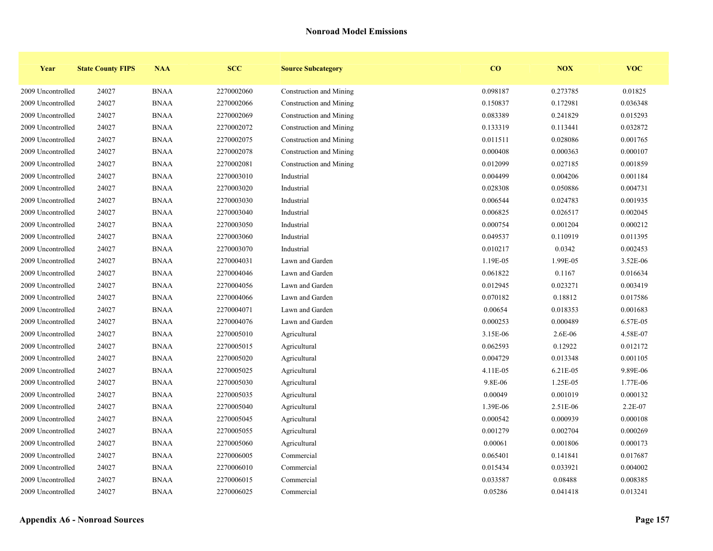| Year              | <b>State County FIPS</b> | <b>NAA</b>  | <b>SCC</b> | <b>Source Subcategory</b> | $\bf{CO}$ | NOX      | <b>VOC</b> |
|-------------------|--------------------------|-------------|------------|---------------------------|-----------|----------|------------|
| 2009 Uncontrolled | 24027                    | <b>BNAA</b> | 2270002060 | Construction and Mining   | 0.098187  | 0.273785 | 0.01825    |
| 2009 Uncontrolled | 24027                    | <b>BNAA</b> | 2270002066 | Construction and Mining   | 0.150837  | 0.172981 | 0.036348   |
| 2009 Uncontrolled | 24027                    | <b>BNAA</b> | 2270002069 | Construction and Mining   | 0.083389  | 0.241829 | 0.015293   |
| 2009 Uncontrolled | 24027                    | <b>BNAA</b> | 2270002072 | Construction and Mining   | 0.133319  | 0.113441 | 0.032872   |
| 2009 Uncontrolled | 24027                    | <b>BNAA</b> | 2270002075 | Construction and Mining   | 0.011511  | 0.028086 | 0.001765   |
| 2009 Uncontrolled | 24027                    | <b>BNAA</b> | 2270002078 | Construction and Mining   | 0.000408  | 0.000363 | 0.000107   |
| 2009 Uncontrolled | 24027                    | <b>BNAA</b> | 2270002081 | Construction and Mining   | 0.012099  | 0.027185 | 0.001859   |
| 2009 Uncontrolled | 24027                    | <b>BNAA</b> | 2270003010 | Industrial                | 0.004499  | 0.004206 | 0.001184   |
| 2009 Uncontrolled | 24027                    | <b>BNAA</b> | 2270003020 | Industrial                | 0.028308  | 0.050886 | 0.004731   |
| 2009 Uncontrolled | 24027                    | <b>BNAA</b> | 2270003030 | Industrial                | 0.006544  | 0.024783 | 0.001935   |
| 2009 Uncontrolled | 24027                    | <b>BNAA</b> | 2270003040 | Industrial                | 0.006825  | 0.026517 | 0.002045   |
| 2009 Uncontrolled | 24027                    | <b>BNAA</b> | 2270003050 | Industrial                | 0.000754  | 0.001204 | 0.000212   |
| 2009 Uncontrolled | 24027                    | <b>BNAA</b> | 2270003060 | Industrial                | 0.049537  | 0.110919 | 0.011395   |
| 2009 Uncontrolled | 24027                    | <b>BNAA</b> | 2270003070 | Industrial                | 0.010217  | 0.0342   | 0.002453   |
| 2009 Uncontrolled | 24027                    | <b>BNAA</b> | 2270004031 | Lawn and Garden           | 1.19E-05  | 1.99E-05 | 3.52E-06   |
| 2009 Uncontrolled | 24027                    | <b>BNAA</b> | 2270004046 | Lawn and Garden           | 0.061822  | 0.1167   | 0.016634   |
| 2009 Uncontrolled | 24027                    | <b>BNAA</b> | 2270004056 | Lawn and Garden           | 0.012945  | 0.023271 | 0.003419   |
| 2009 Uncontrolled | 24027                    | <b>BNAA</b> | 2270004066 | Lawn and Garden           | 0.070182  | 0.18812  | 0.017586   |
| 2009 Uncontrolled | 24027                    | <b>BNAA</b> | 2270004071 | Lawn and Garden           | 0.00654   | 0.018353 | 0.001683   |
| 2009 Uncontrolled | 24027                    | <b>BNAA</b> | 2270004076 | Lawn and Garden           | 0.000253  | 0.000489 | 6.57E-05   |
| 2009 Uncontrolled | 24027                    | <b>BNAA</b> | 2270005010 | Agricultural              | 3.15E-06  | 2.6E-06  | 4.58E-07   |
| 2009 Uncontrolled | 24027                    | <b>BNAA</b> | 2270005015 | Agricultural              | 0.062593  | 0.12922  | 0.012172   |
| 2009 Uncontrolled | 24027                    | <b>BNAA</b> | 2270005020 | Agricultural              | 0.004729  | 0.013348 | 0.001105   |
| 2009 Uncontrolled | 24027                    | <b>BNAA</b> | 2270005025 | Agricultural              | 4.11E-05  | 6.21E-05 | 9.89E-06   |
| 2009 Uncontrolled | 24027                    | <b>BNAA</b> | 2270005030 | Agricultural              | 9.8E-06   | 1.25E-05 | 1.77E-06   |
| 2009 Uncontrolled | 24027                    | <b>BNAA</b> | 2270005035 | Agricultural              | 0.00049   | 0.001019 | 0.000132   |
| 2009 Uncontrolled | 24027                    | <b>BNAA</b> | 2270005040 | Agricultural              | 1.39E-06  | 2.51E-06 | 2.2E-07    |
| 2009 Uncontrolled | 24027                    | <b>BNAA</b> | 2270005045 | Agricultural              | 0.000542  | 0.000939 | 0.000108   |
| 2009 Uncontrolled | 24027                    | <b>BNAA</b> | 2270005055 | Agricultural              | 0.001279  | 0.002704 | 0.000269   |
| 2009 Uncontrolled | 24027                    | <b>BNAA</b> | 2270005060 | Agricultural              | 0.00061   | 0.001806 | 0.000173   |
| 2009 Uncontrolled | 24027                    | <b>BNAA</b> | 2270006005 | Commercial                | 0.065401  | 0.141841 | 0.017687   |
| 2009 Uncontrolled | 24027                    | <b>BNAA</b> | 2270006010 | Commercial                | 0.015434  | 0.033921 | 0.004002   |
| 2009 Uncontrolled | 24027                    | <b>BNAA</b> | 2270006015 | Commercial                | 0.033587  | 0.08488  | 0.008385   |
| 2009 Uncontrolled | 24027                    | <b>BNAA</b> | 2270006025 | Commercial                | 0.05286   | 0.041418 | 0.013241   |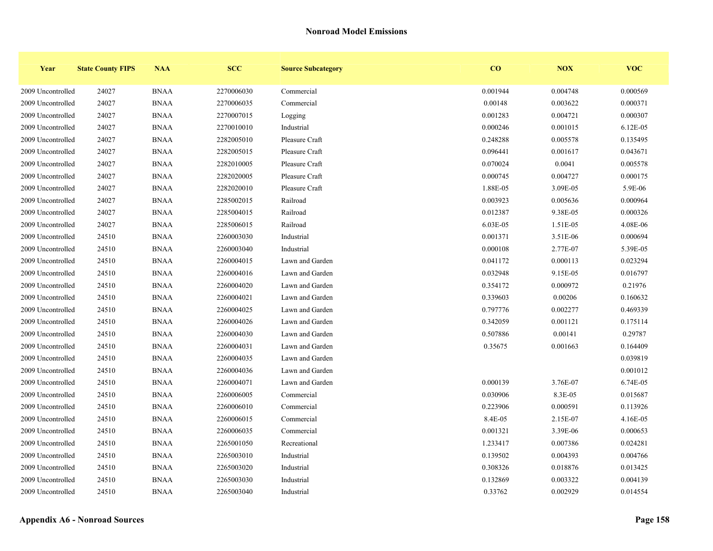| Year              | <b>State County FIPS</b> | <b>NAA</b>  | <b>SCC</b> | <b>Source Subcategory</b> | CO       | NOX      | <b>VOC</b> |
|-------------------|--------------------------|-------------|------------|---------------------------|----------|----------|------------|
| 2009 Uncontrolled | 24027                    | <b>BNAA</b> | 2270006030 | Commercial                | 0.001944 | 0.004748 | 0.000569   |
| 2009 Uncontrolled | 24027                    | <b>BNAA</b> | 2270006035 | Commercial                | 0.00148  | 0.003622 | 0.000371   |
| 2009 Uncontrolled | 24027                    | <b>BNAA</b> | 2270007015 | Logging                   | 0.001283 | 0.004721 | 0.000307   |
| 2009 Uncontrolled | 24027                    | <b>BNAA</b> | 2270010010 | Industrial                | 0.000246 | 0.001015 | 6.12E-05   |
| 2009 Uncontrolled | 24027                    | <b>BNAA</b> | 2282005010 | Pleasure Craft            | 0.248288 | 0.005578 | 0.135495   |
| 2009 Uncontrolled | 24027                    | <b>BNAA</b> | 2282005015 | Pleasure Craft            | 0.096441 | 0.001617 | 0.043671   |
| 2009 Uncontrolled | 24027                    | <b>BNAA</b> | 2282010005 | Pleasure Craft            | 0.070024 | 0.0041   | 0.005578   |
| 2009 Uncontrolled | 24027                    | <b>BNAA</b> | 2282020005 | Pleasure Craft            | 0.000745 | 0.004727 | 0.000175   |
| 2009 Uncontrolled | 24027                    | <b>BNAA</b> | 2282020010 | Pleasure Craft            | 1.88E-05 | 3.09E-05 | 5.9E-06    |
| 2009 Uncontrolled | 24027                    | <b>BNAA</b> | 2285002015 | Railroad                  | 0.003923 | 0.005636 | 0.000964   |
| 2009 Uncontrolled | 24027                    | <b>BNAA</b> | 2285004015 | Railroad                  | 0.012387 | 9.38E-05 | 0.000326   |
| 2009 Uncontrolled | 24027                    | <b>BNAA</b> | 2285006015 | Railroad                  | 6.03E-05 | 1.51E-05 | 4.08E-06   |
| 2009 Uncontrolled | 24510                    | <b>BNAA</b> | 2260003030 | Industrial                | 0.001371 | 3.51E-06 | 0.000694   |
| 2009 Uncontrolled | 24510                    | <b>BNAA</b> | 2260003040 | Industrial                | 0.000108 | 2.77E-07 | 5.39E-05   |
| 2009 Uncontrolled | 24510                    | <b>BNAA</b> | 2260004015 | Lawn and Garden           | 0.041172 | 0.000113 | 0.023294   |
| 2009 Uncontrolled | 24510                    | <b>BNAA</b> | 2260004016 | Lawn and Garden           | 0.032948 | 9.15E-05 | 0.016797   |
| 2009 Uncontrolled | 24510                    | <b>BNAA</b> | 2260004020 | Lawn and Garden           | 0.354172 | 0.000972 | 0.21976    |
| 2009 Uncontrolled | 24510                    | <b>BNAA</b> | 2260004021 | Lawn and Garden           | 0.339603 | 0.00206  | 0.160632   |
| 2009 Uncontrolled | 24510                    | <b>BNAA</b> | 2260004025 | Lawn and Garden           | 0.797776 | 0.002277 | 0.469339   |
| 2009 Uncontrolled | 24510                    | <b>BNAA</b> | 2260004026 | Lawn and Garden           | 0.342059 | 0.001121 | 0.175114   |
| 2009 Uncontrolled | 24510                    | <b>BNAA</b> | 2260004030 | Lawn and Garden           | 0.507886 | 0.00141  | 0.29787    |
| 2009 Uncontrolled | 24510                    | <b>BNAA</b> | 2260004031 | Lawn and Garden           | 0.35675  | 0.001663 | 0.164409   |
| 2009 Uncontrolled | 24510                    | <b>BNAA</b> | 2260004035 | Lawn and Garden           |          |          | 0.039819   |
| 2009 Uncontrolled | 24510                    | <b>BNAA</b> | 2260004036 | Lawn and Garden           |          |          | 0.001012   |
| 2009 Uncontrolled | 24510                    | <b>BNAA</b> | 2260004071 | Lawn and Garden           | 0.000139 | 3.76E-07 | 6.74E-05   |
| 2009 Uncontrolled | 24510                    | <b>BNAA</b> | 2260006005 | Commercial                | 0.030906 | 8.3E-05  | 0.015687   |
| 2009 Uncontrolled | 24510                    | <b>BNAA</b> | 2260006010 | Commercial                | 0.223906 | 0.000591 | 0.113926   |
| 2009 Uncontrolled | 24510                    | <b>BNAA</b> | 2260006015 | Commercial                | 8.4E-05  | 2.15E-07 | 4.16E-05   |
| 2009 Uncontrolled | 24510                    | <b>BNAA</b> | 2260006035 | Commercial                | 0.001321 | 3.39E-06 | 0.000653   |
| 2009 Uncontrolled | 24510                    | <b>BNAA</b> | 2265001050 | Recreational              | 1.233417 | 0.007386 | 0.024281   |
| 2009 Uncontrolled | 24510                    | <b>BNAA</b> | 2265003010 | Industrial                | 0.139502 | 0.004393 | 0.004766   |
| 2009 Uncontrolled | 24510                    | <b>BNAA</b> | 2265003020 | Industrial                | 0.308326 | 0.018876 | 0.013425   |
| 2009 Uncontrolled | 24510                    | <b>BNAA</b> | 2265003030 | Industrial                | 0.132869 | 0.003322 | 0.004139   |
| 2009 Uncontrolled | 24510                    | <b>BNAA</b> | 2265003040 | Industrial                | 0.33762  | 0.002929 | 0.014554   |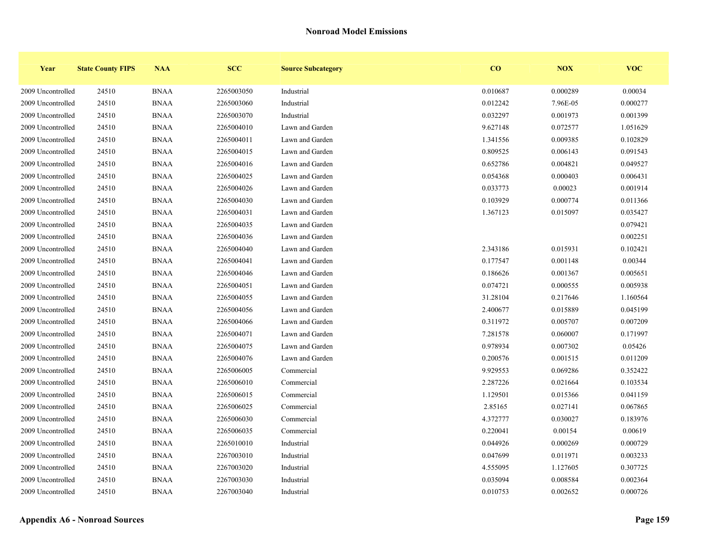| Year              | <b>State County FIPS</b> | <b>NAA</b>  | <b>SCC</b> | <b>Source Subcategory</b> | CO       | NOX      | <b>VOC</b> |
|-------------------|--------------------------|-------------|------------|---------------------------|----------|----------|------------|
| 2009 Uncontrolled | 24510                    | <b>BNAA</b> | 2265003050 | Industrial                | 0.010687 | 0.000289 | 0.00034    |
| 2009 Uncontrolled | 24510                    | <b>BNAA</b> | 2265003060 | Industrial                | 0.012242 | 7.96E-05 | 0.000277   |
| 2009 Uncontrolled | 24510                    | <b>BNAA</b> | 2265003070 | Industrial                | 0.032297 | 0.001973 | 0.001399   |
| 2009 Uncontrolled | 24510                    | <b>BNAA</b> | 2265004010 | Lawn and Garden           | 9.627148 | 0.072577 | 1.051629   |
| 2009 Uncontrolled | 24510                    | <b>BNAA</b> | 2265004011 | Lawn and Garden           | 1.341556 | 0.009385 | 0.102829   |
| 2009 Uncontrolled | 24510                    | <b>BNAA</b> | 2265004015 | Lawn and Garden           | 0.809525 | 0.006143 | 0.091543   |
| 2009 Uncontrolled | 24510                    | <b>BNAA</b> | 2265004016 | Lawn and Garden           | 0.652786 | 0.004821 | 0.049527   |
| 2009 Uncontrolled | 24510                    | <b>BNAA</b> | 2265004025 | Lawn and Garden           | 0.054368 | 0.000403 | 0.006431   |
| 2009 Uncontrolled | 24510                    | <b>BNAA</b> | 2265004026 | Lawn and Garden           | 0.033773 | 0.00023  | 0.001914   |
| 2009 Uncontrolled | 24510                    | <b>BNAA</b> | 2265004030 | Lawn and Garden           | 0.103929 | 0.000774 | 0.011366   |
| 2009 Uncontrolled | 24510                    | <b>BNAA</b> | 2265004031 | Lawn and Garden           | 1.367123 | 0.015097 | 0.035427   |
| 2009 Uncontrolled | 24510                    | <b>BNAA</b> | 2265004035 | Lawn and Garden           |          |          | 0.079421   |
| 2009 Uncontrolled | 24510                    | <b>BNAA</b> | 2265004036 | Lawn and Garden           |          |          | 0.002251   |
| 2009 Uncontrolled | 24510                    | <b>BNAA</b> | 2265004040 | Lawn and Garden           | 2.343186 | 0.015931 | 0.102421   |
| 2009 Uncontrolled | 24510                    | <b>BNAA</b> | 2265004041 | Lawn and Garden           | 0.177547 | 0.001148 | 0.00344    |
| 2009 Uncontrolled | 24510                    | <b>BNAA</b> | 2265004046 | Lawn and Garden           | 0.186626 | 0.001367 | 0.005651   |
| 2009 Uncontrolled | 24510                    | <b>BNAA</b> | 2265004051 | Lawn and Garden           | 0.074721 | 0.000555 | 0.005938   |
| 2009 Uncontrolled | 24510                    | <b>BNAA</b> | 2265004055 | Lawn and Garden           | 31.28104 | 0.217646 | 1.160564   |
| 2009 Uncontrolled | 24510                    | <b>BNAA</b> | 2265004056 | Lawn and Garden           | 2.400677 | 0.015889 | 0.045199   |
| 2009 Uncontrolled | 24510                    | <b>BNAA</b> | 2265004066 | Lawn and Garden           | 0.311972 | 0.005707 | 0.007209   |
| 2009 Uncontrolled | 24510                    | <b>BNAA</b> | 2265004071 | Lawn and Garden           | 7.281578 | 0.060007 | 0.171997   |
| 2009 Uncontrolled | 24510                    | <b>BNAA</b> | 2265004075 | Lawn and Garden           | 0.978934 | 0.007302 | 0.05426    |
| 2009 Uncontrolled | 24510                    | <b>BNAA</b> | 2265004076 | Lawn and Garden           | 0.200576 | 0.001515 | 0.011209   |
| 2009 Uncontrolled | 24510                    | <b>BNAA</b> | 2265006005 | Commercial                | 9.929553 | 0.069286 | 0.352422   |
| 2009 Uncontrolled | 24510                    | <b>BNAA</b> | 2265006010 | Commercial                | 2.287226 | 0.021664 | 0.103534   |
| 2009 Uncontrolled | 24510                    | <b>BNAA</b> | 2265006015 | Commercial                | 1.129501 | 0.015366 | 0.041159   |
| 2009 Uncontrolled | 24510                    | <b>BNAA</b> | 2265006025 | Commercial                | 2.85165  | 0.027141 | 0.067865   |
| 2009 Uncontrolled | 24510                    | <b>BNAA</b> | 2265006030 | Commercial                | 4.372777 | 0.030027 | 0.183976   |
| 2009 Uncontrolled | 24510                    | <b>BNAA</b> | 2265006035 | Commercial                | 0.220041 | 0.00154  | 0.00619    |
| 2009 Uncontrolled | 24510                    | <b>BNAA</b> | 2265010010 | Industrial                | 0.044926 | 0.000269 | 0.000729   |
| 2009 Uncontrolled | 24510                    | <b>BNAA</b> | 2267003010 | Industrial                | 0.047699 | 0.011971 | 0.003233   |
| 2009 Uncontrolled | 24510                    | <b>BNAA</b> | 2267003020 | Industrial                | 4.555095 | 1.127605 | 0.307725   |
| 2009 Uncontrolled | 24510                    | <b>BNAA</b> | 2267003030 | Industrial                | 0.035094 | 0.008584 | 0.002364   |
| 2009 Uncontrolled | 24510                    | <b>BNAA</b> | 2267003040 | Industrial                | 0.010753 | 0.002652 | 0.000726   |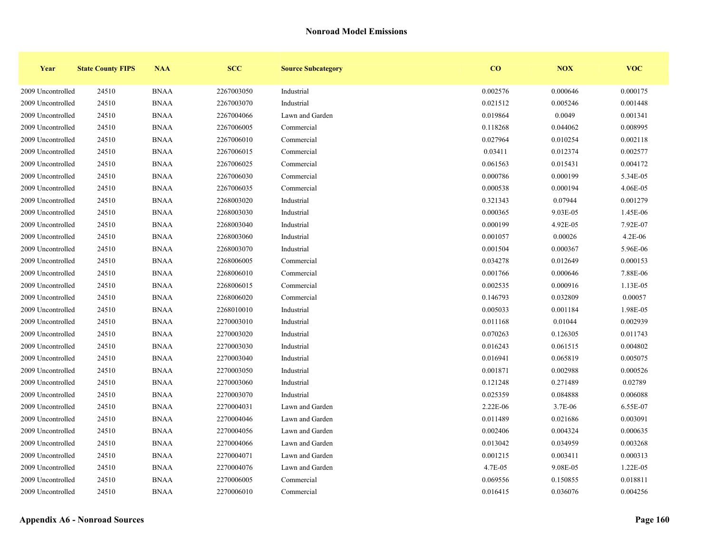| Year              | <b>State County FIPS</b> | <b>NAA</b>  | <b>SCC</b> | <b>Source Subcategory</b> | CO       | NOX      | <b>VOC</b> |
|-------------------|--------------------------|-------------|------------|---------------------------|----------|----------|------------|
| 2009 Uncontrolled | 24510                    | <b>BNAA</b> | 2267003050 | Industrial                | 0.002576 | 0.000646 | 0.000175   |
| 2009 Uncontrolled | 24510                    | <b>BNAA</b> | 2267003070 | Industrial                | 0.021512 | 0.005246 | 0.001448   |
| 2009 Uncontrolled | 24510                    | <b>BNAA</b> | 2267004066 | Lawn and Garden           | 0.019864 | 0.0049   | 0.001341   |
| 2009 Uncontrolled | 24510                    | <b>BNAA</b> | 2267006005 | Commercial                | 0.118268 | 0.044062 | 0.008995   |
| 2009 Uncontrolled | 24510                    | <b>BNAA</b> | 2267006010 | Commercial                | 0.027964 | 0.010254 | 0.002118   |
| 2009 Uncontrolled | 24510                    | <b>BNAA</b> | 2267006015 | Commercial                | 0.03411  | 0.012374 | 0.002577   |
| 2009 Uncontrolled | 24510                    | <b>BNAA</b> | 2267006025 | Commercial                | 0.061563 | 0.015431 | 0.004172   |
| 2009 Uncontrolled | 24510                    | <b>BNAA</b> | 2267006030 | Commercial                | 0.000786 | 0.000199 | 5.34E-05   |
| 2009 Uncontrolled | 24510                    | <b>BNAA</b> | 2267006035 | Commercial                | 0.000538 | 0.000194 | 4.06E-05   |
| 2009 Uncontrolled | 24510                    | <b>BNAA</b> | 2268003020 | Industrial                | 0.321343 | 0.07944  | 0.001279   |
| 2009 Uncontrolled | 24510                    | <b>BNAA</b> | 2268003030 | Industrial                | 0.000365 | 9.03E-05 | 1.45E-06   |
| 2009 Uncontrolled | 24510                    | <b>BNAA</b> | 2268003040 | Industrial                | 0.000199 | 4.92E-05 | 7.92E-07   |
| 2009 Uncontrolled | 24510                    | <b>BNAA</b> | 2268003060 | Industrial                | 0.001057 | 0.00026  | 4.2E-06    |
| 2009 Uncontrolled | 24510                    | <b>BNAA</b> | 2268003070 | Industrial                | 0.001504 | 0.000367 | 5.96E-06   |
| 2009 Uncontrolled | 24510                    | <b>BNAA</b> | 2268006005 | Commercial                | 0.034278 | 0.012649 | 0.000153   |
| 2009 Uncontrolled | 24510                    | <b>BNAA</b> | 2268006010 | Commercial                | 0.001766 | 0.000646 | 7.88E-06   |
| 2009 Uncontrolled | 24510                    | <b>BNAA</b> | 2268006015 | Commercial                | 0.002535 | 0.000916 | 1.13E-05   |
| 2009 Uncontrolled | 24510                    | <b>BNAA</b> | 2268006020 | Commercial                | 0.146793 | 0.032809 | 0.00057    |
| 2009 Uncontrolled | 24510                    | <b>BNAA</b> | 2268010010 | Industrial                | 0.005033 | 0.001184 | 1.98E-05   |
| 2009 Uncontrolled | 24510                    | <b>BNAA</b> | 2270003010 | Industrial                | 0.011168 | 0.01044  | 0.002939   |
| 2009 Uncontrolled | 24510                    | <b>BNAA</b> | 2270003020 | Industrial                | 0.070263 | 0.126305 | 0.011743   |
| 2009 Uncontrolled | 24510                    | <b>BNAA</b> | 2270003030 | Industrial                | 0.016243 | 0.061515 | 0.004802   |
| 2009 Uncontrolled | 24510                    | <b>BNAA</b> | 2270003040 | Industrial                | 0.016941 | 0.065819 | 0.005075   |
| 2009 Uncontrolled | 24510                    | <b>BNAA</b> | 2270003050 | Industrial                | 0.001871 | 0.002988 | 0.000526   |
| 2009 Uncontrolled | 24510                    | <b>BNAA</b> | 2270003060 | Industrial                | 0.121248 | 0.271489 | 0.02789    |
| 2009 Uncontrolled | 24510                    | <b>BNAA</b> | 2270003070 | Industrial                | 0.025359 | 0.084888 | 0.006088   |
| 2009 Uncontrolled | 24510                    | <b>BNAA</b> | 2270004031 | Lawn and Garden           | 2.22E-06 | 3.7E-06  | 6.55E-07   |
| 2009 Uncontrolled | 24510                    | <b>BNAA</b> | 2270004046 | Lawn and Garden           | 0.011489 | 0.021686 | 0.003091   |
| 2009 Uncontrolled | 24510                    | <b>BNAA</b> | 2270004056 | Lawn and Garden           | 0.002406 | 0.004324 | 0.000635   |
| 2009 Uncontrolled | 24510                    | <b>BNAA</b> | 2270004066 | Lawn and Garden           | 0.013042 | 0.034959 | 0.003268   |
| 2009 Uncontrolled | 24510                    | <b>BNAA</b> | 2270004071 | Lawn and Garden           | 0.001215 | 0.003411 | 0.000313   |
| 2009 Uncontrolled | 24510                    | <b>BNAA</b> | 2270004076 | Lawn and Garden           | 4.7E-05  | 9.08E-05 | 1.22E-05   |
| 2009 Uncontrolled | 24510                    | <b>BNAA</b> | 2270006005 | Commercial                | 0.069556 | 0.150855 | 0.018811   |
| 2009 Uncontrolled | 24510                    | <b>BNAA</b> | 2270006010 | Commercial                | 0.016415 | 0.036076 | 0.004256   |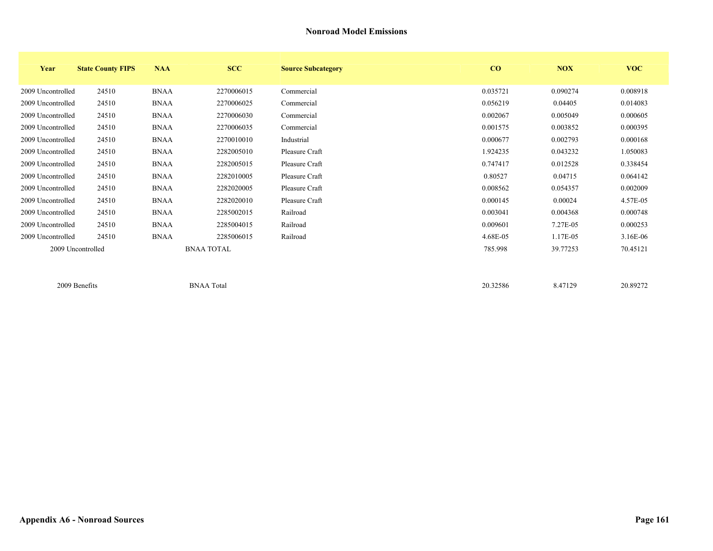| Year              | <b>State County FIPS</b> | <b>NAA</b>  | <b>SCC</b>        | <b>Source Subcategory</b> | CO       | <b>NOX</b> | <b>VOC</b> |
|-------------------|--------------------------|-------------|-------------------|---------------------------|----------|------------|------------|
| 2009 Uncontrolled | 24510                    | <b>BNAA</b> | 2270006015        | Commercial                | 0.035721 | 0.090274   | 0.008918   |
| 2009 Uncontrolled | 24510                    | <b>BNAA</b> | 2270006025        | Commercial                | 0.056219 | 0.04405    | 0.014083   |
| 2009 Uncontrolled | 24510                    | <b>BNAA</b> | 2270006030        | Commercial                | 0.002067 | 0.005049   | 0.000605   |
| 2009 Uncontrolled | 24510                    | <b>BNAA</b> | 2270006035        | Commercial                | 0.001575 | 0.003852   | 0.000395   |
| 2009 Uncontrolled | 24510                    | <b>BNAA</b> | 2270010010        | Industrial                | 0.000677 | 0.002793   | 0.000168   |
| 2009 Uncontrolled | 24510                    | <b>BNAA</b> | 2282005010        | Pleasure Craft            | 1.924235 | 0.043232   | 1.050083   |
| 2009 Uncontrolled | 24510                    | <b>BNAA</b> | 2282005015        | Pleasure Craft            | 0.747417 | 0.012528   | 0.338454   |
| 2009 Uncontrolled | 24510                    | <b>BNAA</b> | 2282010005        | Pleasure Craft            | 0.80527  | 0.04715    | 0.064142   |
| 2009 Uncontrolled | 24510                    | <b>BNAA</b> | 2282020005        | Pleasure Craft            | 0.008562 | 0.054357   | 0.002009   |
| 2009 Uncontrolled | 24510                    | <b>BNAA</b> | 2282020010        | Pleasure Craft            | 0.000145 | 0.00024    | 4.57E-05   |
| 2009 Uncontrolled | 24510                    | <b>BNAA</b> | 2285002015        | Railroad                  | 0.003041 | 0.004368   | 0.000748   |
| 2009 Uncontrolled | 24510                    | <b>BNAA</b> | 2285004015        | Railroad                  | 0.009601 | 7.27E-05   | 0.000253   |
| 2009 Uncontrolled | 24510                    | <b>BNAA</b> | 2285006015        | Railroad                  | 4.68E-05 | 1.17E-05   | $3.16E-06$ |
|                   | 2009 Uncontrolled        |             | <b>BNAA TOTAL</b> |                           | 785.998  | 39.77253   | 70.45121   |
|                   | 2009 Benefits            |             | <b>BNAA Total</b> |                           | 20.32586 | 8.47129    | 20.89272   |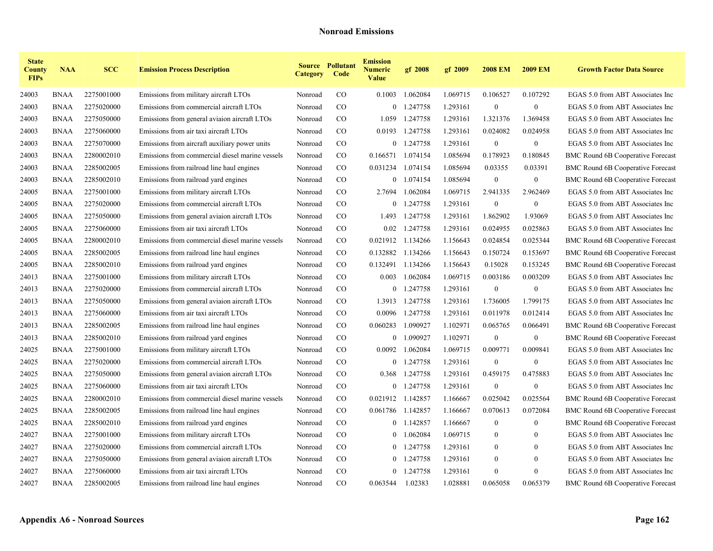| <b>State</b><br><b>County</b><br><b>FIPs</b> | <b>NAA</b>  | <b>SCC</b> | <b>Emission Process Description</b>             | <b>Category</b> | <b>Source Pollutant</b><br>Code | <b>Emission</b><br><b>Numeric</b><br><b>Value</b> | gf 2008    | gf 2009  | <b>2008 EM</b>   | <b>2009 EM</b>   | <b>Growth Factor Data Source</b>         |
|----------------------------------------------|-------------|------------|-------------------------------------------------|-----------------|---------------------------------|---------------------------------------------------|------------|----------|------------------|------------------|------------------------------------------|
| 24003                                        | <b>BNAA</b> | 2275001000 | Emissions from military aircraft LTOs           | Nonroad         | CO                              | 0.1003                                            | 1.062084   | 1.069715 | 0.106527         | 0.107292         | EGAS 5.0 from ABT Associates Inc         |
| 24003                                        | <b>BNAA</b> | 2275020000 | Emissions from commercial aircraft LTOs         | Nonroad         | $\rm CO$                        | $\bf{0}$                                          | 1.247758   | 1.293161 | $\boldsymbol{0}$ | $\mathbf{0}$     | EGAS 5.0 from ABT Associates Inc         |
| 24003                                        | <b>BNAA</b> | 2275050000 | Emissions from general aviaion aircraft LTOs    | Nonroad         | $\rm CO$                        | 1.059                                             | 1.247758   | 1.293161 | 1.321376         | 1.369458         | EGAS 5.0 from ABT Associates Inc         |
| 24003                                        | <b>BNAA</b> | 2275060000 | Emissions from air taxi aircraft LTOs           | Nonroad         | $\rm CO$                        | 0.0193                                            | 1.247758   | 1.293161 | 0.024082         | 0.024958         | EGAS 5.0 from ABT Associates Inc         |
| 24003                                        | <b>BNAA</b> | 2275070000 | Emissions from aircraft auxiliary power units   | Nonroad         | $\rm CO$                        | $\overline{0}$                                    | 1.247758   | 1.293161 | $\mathbf{0}$     | $\boldsymbol{0}$ | EGAS 5.0 from ABT Associates Inc         |
| 24003                                        | <b>BNAA</b> | 2280002010 | Emissions from commercial diesel marine vessels | Nonroad         | $\rm CO$                        | 0.166571 1.074154                                 |            | 1.085694 | 0.178923         | 0.180845         | <b>BMC Round 6B Cooperative Forecast</b> |
| 24003                                        | <b>BNAA</b> | 2285002005 | Emissions from railroad line haul engines       | Nonroad         | CO                              | 0.031234                                          | 1.074154   | 1.085694 | 0.03355          | 0.03391          | BMC Round 6B Cooperative Forecast        |
| 24003                                        | BNAA        | 2285002010 | Emissions from railroad yard engines            | Nonroad         | $\rm CO$                        |                                                   | 0 1.074154 | 1.085694 | $\boldsymbol{0}$ | $\boldsymbol{0}$ | <b>BMC Round 6B Cooperative Forecast</b> |
| 24005                                        | <b>BNAA</b> | 2275001000 | Emissions from military aircraft LTOs           | Nonroad         | $\rm CO$                        | 2.7694                                            | 1.062084   | 1.069715 | 2.941335         | 2.962469         | EGAS 5.0 from ABT Associates Inc         |
| 24005                                        | <b>BNAA</b> | 2275020000 | Emissions from commercial aircraft LTOs         | Nonroad         | $\rm CO$                        | $\overline{0}$                                    | 1.247758   | 1.293161 | $\boldsymbol{0}$ | $\boldsymbol{0}$ | EGAS 5.0 from ABT Associates Inc         |
| 24005                                        | <b>BNAA</b> | 2275050000 | Emissions from general aviaion aircraft LTOs    | Nonroad         | CO.                             | 1.493                                             | 1.247758   | 1.293161 | 1.862902         | 1.93069          | EGAS 5.0 from ABT Associates Inc         |
| 24005                                        | <b>BNAA</b> | 2275060000 | Emissions from air taxi aircraft LTOs           | Nonroad         | $\rm CO$                        | 0.02                                              | 1.247758   | 1.293161 | 0.024955         | 0.025863         | EGAS 5.0 from ABT Associates Inc         |
| 24005                                        | <b>BNAA</b> | 2280002010 | Emissions from commercial diesel marine vessels | Nonroad         | $\rm CO$                        | 0.021912                                          | 1.134266   | 1.156643 | 0.024854         | 0.025344         | BMC Round 6B Cooperative Forecast        |
| 24005                                        | <b>BNAA</b> | 2285002005 | Emissions from railroad line haul engines       | Nonroad         | $\rm CO$                        | 0.132882                                          | 1.134266   | 1.156643 | 0.150724         | 0.153697         | <b>BMC Round 6B Cooperative Forecast</b> |
| 24005                                        | <b>BNAA</b> | 2285002010 | Emissions from railroad yard engines            | Nonroad         | $\rm CO$                        | 0.132491                                          | 1.134266   | 1.156643 | 0.15028          | 0.153245         | BMC Round 6B Cooperative Forecast        |
| 24013                                        | BNAA        | 2275001000 | Emissions from military aircraft LTOs           | Nonroad         | $\rm CO$                        | 0.003                                             | 1.062084   | 1.069715 | 0.003186         | 0.003209         | EGAS 5.0 from ABT Associates Inc         |
| 24013                                        | <b>BNAA</b> | 2275020000 | Emissions from commercial aircraft LTOs         | Nonroad         | $\rm CO$                        |                                                   | 0 1.247758 | 1.293161 | $\boldsymbol{0}$ | $\bf{0}$         | EGAS 5.0 from ABT Associates Inc         |
| 24013                                        | <b>BNAA</b> | 2275050000 | Emissions from general aviaion aircraft LTOs    | Nonroad         | $\rm CO$                        | 1.3913                                            | 1.247758   | 1.293161 | 1.736005         | 1.799175         | EGAS 5.0 from ABT Associates Inc         |
| 24013                                        | <b>BNAA</b> | 2275060000 | Emissions from air taxi aircraft LTOs           | Nonroad         | CO.                             | 0.0096                                            | 1.247758   | 1.293161 | 0.011978         | 0.012414         | EGAS 5.0 from ABT Associates Inc         |
| 24013                                        | <b>BNAA</b> | 2285002005 | Emissions from railroad line haul engines       | Nonroad         | $\rm CO$                        | 0.060283                                          | 1.090927   | 1.102971 | 0.065765         | 0.066491         | <b>BMC Round 6B Cooperative Forecast</b> |
| 24013                                        | <b>BNAA</b> | 2285002010 | Emissions from railroad yard engines            | Nonroad         | $\rm CO$                        | $\overline{0}$                                    | 1.090927   | 1.102971 | $\boldsymbol{0}$ | $\boldsymbol{0}$ | BMC Round 6B Cooperative Forecast        |
| 24025                                        | <b>BNAA</b> | 2275001000 | Emissions from military aircraft LTOs           | Nonroad         | $\rm CO$                        | 0.0092                                            | 1.062084   | 1.069715 | 0.009771         | 0.009841         | EGAS 5.0 from ABT Associates Inc         |
| 24025                                        | BNAA        | 2275020000 | Emissions from commercial aircraft LTOs         | Nonroad         | $\rm CO$                        | $\overline{0}$                                    | 1.247758   | 1.293161 | $\boldsymbol{0}$ | $\bf{0}$         | EGAS 5.0 from ABT Associates Inc         |
| 24025                                        | <b>BNAA</b> | 2275050000 | Emissions from general aviaion aircraft LTOs    | Nonroad         | $\rm CO$                        | 0.368                                             | 1.247758   | 1.293161 | 0.459175         | 0.475883         | EGAS 5.0 from ABT Associates Inc         |
| 24025                                        | BNAA        | 2275060000 | Emissions from air taxi aircraft LTOs           | Nonroad         | CO.                             | $\overline{0}$                                    | 1.247758   | 1.293161 | $\boldsymbol{0}$ | $\boldsymbol{0}$ | EGAS 5.0 from ABT Associates Inc         |
| 24025                                        | <b>BNAA</b> | 2280002010 | Emissions from commercial diesel marine vessels | Nonroad         | $\rm CO$                        | 0.021912 1.142857                                 |            | 1.166667 | 0.025042         | 0.025564         | <b>BMC Round 6B Cooperative Forecast</b> |
| 24025                                        | BNAA        | 2285002005 | Emissions from railroad line haul engines       | Nonroad         | CO.                             | 0.061786 1.142857                                 |            | 1.166667 | 0.070613         | 0.072084         | BMC Round 6B Cooperative Forecast        |
| 24025                                        | <b>BNAA</b> | 2285002010 | Emissions from railroad yard engines            | Nonroad         | $\rm CO$                        |                                                   | 0 1.142857 | 1.166667 | $\mathbf{0}$     | $\theta$         | <b>BMC Round 6B Cooperative Forecast</b> |
| 24027                                        | BNAA        | 2275001000 | Emissions from military aircraft LTOs           | Nonroad         | CO.                             | $\overline{0}$                                    | 1.062084   | 1.069715 | $\mathbf{0}$     | $\Omega$         | EGAS 5.0 from ABT Associates Inc         |
| 24027                                        | <b>BNAA</b> | 2275020000 | Emissions from commercial aircraft LTOs         | Nonroad         | $\rm CO$                        | $\overline{0}$                                    | 1.247758   | 1.293161 | $\mathbf{0}$     | $\theta$         | EGAS 5.0 from ABT Associates Inc         |
| 24027                                        | BNAA        | 2275050000 | Emissions from general aviaion aircraft LTOs    | Nonroad         | $\rm CO$                        | $\overline{0}$                                    | 1.247758   | 1.293161 | $\mathbf{0}$     | $\mathbf{0}$     | EGAS 5.0 from ABT Associates Inc         |
| 24027                                        | <b>BNAA</b> | 2275060000 | Emissions from air taxi aircraft LTOs           | Nonroad         | $\rm CO$                        | $\overline{0}$                                    | 1.247758   | 1.293161 | $\mathbf{0}$     | $\theta$         | EGAS 5.0 from ABT Associates Inc         |
| 24027                                        | BNAA        | 2285002005 | Emissions from railroad line haul engines       | Nonroad         | $\rm CO$                        | 0.063544                                          | 1.02383    | 1.028881 | 0.065058         | 0.065379         | BMC Round 6B Cooperative Forecast        |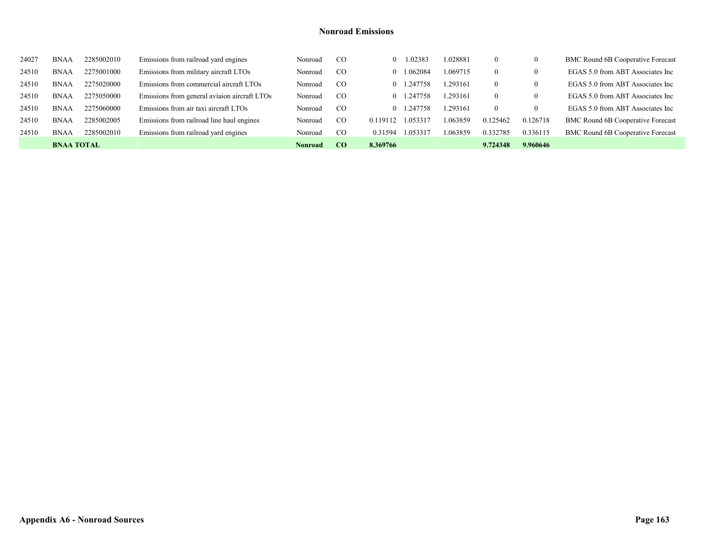| 24027 | <b>BNAA</b>       | 2285002010 | Emissions from railroad yard engines         | Nonroad | <sub>c</sub> o | 1.02383<br>$\theta$  | 1.028881 | $\Omega$ | 0        | <b>BMC Round 6B Cooperative Forecast</b> |
|-------|-------------------|------------|----------------------------------------------|---------|----------------|----------------------|----------|----------|----------|------------------------------------------|
| 24510 | <b>BNAA</b>       | 2275001000 | Emissions from military aircraft LTOs        | Nonroad | <sub>CO</sub>  | 1.062084<br>$\Omega$ | 1.069715 | $\theta$ | 0        | EGAS 5.0 from ABT Associates Inc         |
| 24510 | <b>BNAA</b>       | 2275020000 | Emissions from commercial aircraft LTOs      | Nonroad | <sub>CO</sub>  | 247758<br>$\Omega$   | .293161  | $\Omega$ | $\bf{0}$ | EGAS 5.0 from ABT Associates Inc         |
| 24510 | <b>BNAA</b>       | 2275050000 | Emissions from general aviaion aircraft LTOs | Nonroad | <sub>CO</sub>  | 247758<br>$\Omega$   | 293161   | $\left($ | $\theta$ | EGAS 5.0 from ABT Associates Inc         |
| 24510 | <b>BNAA</b>       | 2275060000 | Emissions from air taxi aircraft LTOs        | Nonroad | <sub>CO</sub>  | 247758<br>$\Omega$   | .293161  | $\theta$ | $\theta$ | EGAS 5.0 from ABT Associates Inc         |
| 24510 | <b>BNAA</b>       | 2285002005 | Emissions from railroad line haul engines    | Nonroad | <sub>CO</sub>  | 1.053317<br>0.119112 | 1.063859 | 0.125462 | 0.126718 | <b>BMC Round 6B Cooperative Forecast</b> |
| 24510 | <b>BNAA</b>       | 2285002010 | Emissions from railroad yard engines         | Nonroad | <sub>CO</sub>  | 1.053317<br>0.31594  | 1.063859 | 0.332785 | 0.336115 | <b>BMC Round 6B Cooperative Forecast</b> |
|       | <b>BNAA TOTAL</b> |            |                                              | Nonroad | -CO            | 8.369766             |          | 9.724348 | 9.960646 |                                          |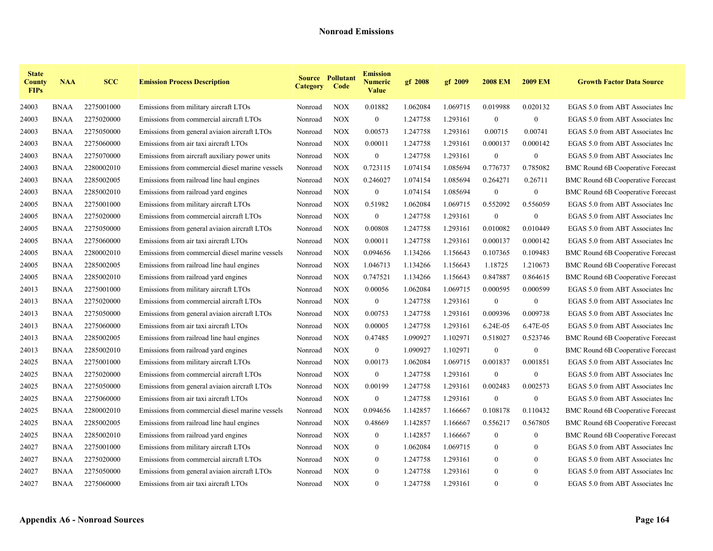| <b>State</b><br><b>County</b><br><b>FIPs</b> | <b>NAA</b>  | <b>SCC</b> | <b>Emission Process Description</b>             | <b>Category</b> | <b>Source Pollutant</b><br>Code | <b>Emission</b><br>Numeric<br><b>Value</b> | gf 2008  | gf 2009  | <b>2008 EM</b>   | <b>2009 EM</b>   | <b>Growth Factor Data Source</b>         |
|----------------------------------------------|-------------|------------|-------------------------------------------------|-----------------|---------------------------------|--------------------------------------------|----------|----------|------------------|------------------|------------------------------------------|
| 24003                                        | <b>BNAA</b> | 2275001000 | Emissions from military aircraft LTOs           | Nonroad         | <b>NOX</b>                      | 0.01882                                    | 1.062084 | 1.069715 | 0.019988         | 0.020132         | EGAS 5.0 from ABT Associates Inc         |
| 24003                                        | <b>BNAA</b> | 2275020000 | Emissions from commercial aircraft LTOs         | Nonroad         | <b>NOX</b>                      | $\boldsymbol{0}$                           | 1.247758 | 1.293161 | $\boldsymbol{0}$ | $\boldsymbol{0}$ | EGAS 5.0 from ABT Associates Inc         |
| 24003                                        | <b>BNAA</b> | 2275050000 | Emissions from general aviaion aircraft LTOs    | Nonroad         | <b>NOX</b>                      | 0.00573                                    | 1.247758 | 1.293161 | 0.00715          | 0.00741          | EGAS 5.0 from ABT Associates Inc         |
| 24003                                        | BNAA        | 2275060000 | Emissions from air taxi aircraft LTOs           | Nonroad         | <b>NOX</b>                      | 0.00011                                    | 1.247758 | 1.293161 | 0.000137         | 0.000142         | EGAS 5.0 from ABT Associates Inc         |
| 24003                                        | <b>BNAA</b> | 2275070000 | Emissions from aircraft auxiliary power units   | Nonroad         | <b>NOX</b>                      | $\mathbf{0}$                               | 1.247758 | 1.293161 | $\mathbf{0}$     | $\mathbf{0}$     | EGAS 5.0 from ABT Associates Inc         |
| 24003                                        | BNAA        | 2280002010 | Emissions from commercial diesel marine vessels | Nonroad         | <b>NOX</b>                      | 0.723115                                   | 1.074154 | 1.085694 | 0.776737         | 0.785082         | BMC Round 6B Cooperative Forecast        |
| 24003                                        | BNAA        | 2285002005 | Emissions from railroad line haul engines       | Nonroad         | <b>NOX</b>                      | 0.246027                                   | 1.074154 | 1.085694 | 0.264271         | 0.26711          | BMC Round 6B Cooperative Forecast        |
| 24003                                        | <b>BNAA</b> | 2285002010 | Emissions from railroad yard engines            | Nonroad         | <b>NOX</b>                      | $\boldsymbol{0}$                           | 1.074154 | 1.085694 | $\boldsymbol{0}$ | $\bf{0}$         | <b>BMC Round 6B Cooperative Forecast</b> |
| 24005                                        | BNAA        | 2275001000 | Emissions from military aircraft LTOs           | Nonroad         | <b>NOX</b>                      | 0.51982                                    | 1.062084 | 1.069715 | 0.552092         | 0.556059         | EGAS 5.0 from ABT Associates Inc         |
| 24005                                        | <b>BNAA</b> | 2275020000 | Emissions from commercial aircraft LTOs         | Nonroad         | <b>NOX</b>                      | $\mathbf{0}$                               | 1.247758 | 1.293161 | $\boldsymbol{0}$ | $\bf{0}$         | EGAS 5.0 from ABT Associates Inc         |
| 24005                                        | BNAA        | 2275050000 | Emissions from general aviaion aircraft LTOs    | Nonroad         | <b>NOX</b>                      | 0.00808                                    | 1.247758 | 1.293161 | 0.010082         | 0.010449         | EGAS 5.0 from ABT Associates Inc         |
| 24005                                        | BNAA        | 2275060000 | Emissions from air taxi aircraft LTOs           | Nonroad         | <b>NOX</b>                      | 0.00011                                    | 1.247758 | 1.293161 | 0.000137         | 0.000142         | EGAS 5.0 from ABT Associates Inc         |
| 24005                                        | BNAA        | 2280002010 | Emissions from commercial diesel marine vessels | Nonroad         | <b>NOX</b>                      | 0.094656                                   | 1.134266 | 1.156643 | 0.107365         | 0.109483         | <b>BMC Round 6B Cooperative Forecast</b> |
| 24005                                        | <b>BNAA</b> | 2285002005 | Emissions from railroad line haul engines       | Nonroad         | <b>NOX</b>                      | 1.046713                                   | 1.134266 | 1.156643 | 1.18725          | 1.210673         | <b>BMC Round 6B Cooperative Forecast</b> |
| 24005                                        | BNAA        | 2285002010 | Emissions from railroad yard engines            | Nonroad         | <b>NOX</b>                      | 0.747521                                   | 1.134266 | 1.156643 | 0.847887         | 0.864615         | <b>BMC Round 6B Cooperative Forecast</b> |
| 24013                                        | <b>BNAA</b> | 2275001000 | Emissions from military aircraft LTOs           | Nonroad         | <b>NOX</b>                      | 0.00056                                    | 1.062084 | 1.069715 | 0.000595         | 0.000599         | EGAS 5.0 from ABT Associates Inc         |
| 24013                                        | BNAA        | 2275020000 | Emissions from commercial aircraft LTOs         | Nonroad         | <b>NOX</b>                      | $\overline{0}$                             | 1.247758 | 1.293161 | $\overline{0}$   | $\mathbf{0}$     | EGAS 5.0 from ABT Associates Inc         |
| 24013                                        | <b>BNAA</b> | 2275050000 | Emissions from general aviaion aircraft LTOs    | Nonroad         | <b>NOX</b>                      | 0.00753                                    | 1.247758 | 1.293161 | 0.009396         | 0.009738         | EGAS 5.0 from ABT Associates Inc         |
| 24013                                        | <b>BNAA</b> | 2275060000 | Emissions from air taxi aircraft LTOs           | Nonroad         | <b>NOX</b>                      | 0.00005                                    | 1.247758 | 1.293161 | 6.24E-05         | 6.47E-05         | EGAS 5.0 from ABT Associates Inc         |
| 24013                                        | <b>BNAA</b> | 2285002005 | Emissions from railroad line haul engines       | Nonroad         | <b>NOX</b>                      | 0.47485                                    | 1.090927 | 1.102971 | 0.518027         | 0.523746         | <b>BMC Round 6B Cooperative Forecast</b> |
| 24013                                        | BNAA        | 2285002010 | Emissions from railroad yard engines            | Nonroad         | <b>NOX</b>                      | $\mathbf{0}$                               | 1.090927 | 1.102971 | $\overline{0}$   | $\mathbf{0}$     | <b>BMC Round 6B Cooperative Forecast</b> |
| 24025                                        | <b>BNAA</b> | 2275001000 | Emissions from military aircraft LTOs           | Nonroad         | <b>NOX</b>                      | 0.00173                                    | 1.062084 | 1.069715 | 0.001837         | 0.001851         | EGAS 5.0 from ABT Associates Inc         |
| 24025                                        | <b>BNAA</b> | 2275020000 | Emissions from commercial aircraft LTOs         | Nonroad         | <b>NOX</b>                      | $\mathbf{0}$                               | 1.247758 | 1.293161 | $\boldsymbol{0}$ | $\bf{0}$         | EGAS 5.0 from ABT Associates Inc         |
| 24025                                        | <b>BNAA</b> | 2275050000 | Emissions from general aviaion aircraft LTOs    | Nonroad         | <b>NOX</b>                      | 0.00199                                    | 1.247758 | 1.293161 | 0.002483         | 0.002573         | EGAS 5.0 from ABT Associates Inc         |
| 24025                                        | <b>BNAA</b> | 2275060000 | Emissions from air taxi aircraft LTOs           | Nonroad         | <b>NOX</b>                      | $\mathbf{0}$                               | 1.247758 | 1.293161 | $\mathbf{0}$     | $\bf{0}$         | EGAS 5.0 from ABT Associates Inc         |
| 24025                                        | <b>BNAA</b> | 2280002010 | Emissions from commercial diesel marine vessels | Nonroad         | <b>NOX</b>                      | 0.094656                                   | 1.142857 | 1.166667 | 0.108178         | 0.110432         | BMC Round 6B Cooperative Forecast        |
| 24025                                        | <b>BNAA</b> | 2285002005 | Emissions from railroad line haul engines       | Nonroad         | <b>NOX</b>                      | 0.48669                                    | 1.142857 | 1.166667 | 0.556217         | 0.567805         | <b>BMC Round 6B Cooperative Forecast</b> |
| 24025                                        | <b>BNAA</b> | 2285002010 | Emissions from railroad yard engines            | Nonroad         | <b>NOX</b>                      | $\overline{0}$                             | 1.142857 | 1.166667 | $\mathbf{0}$     | $\overline{0}$   | <b>BMC Round 6B Cooperative Forecast</b> |
| 24027                                        | <b>BNAA</b> | 2275001000 | Emissions from military aircraft LTOs           | Nonroad         | <b>NOX</b>                      | $\bf{0}$                                   | 1.062084 | 1.069715 | $\bf{0}$         | $\mathbf{0}$     | EGAS 5.0 from ABT Associates Inc         |
| 24027                                        | <b>BNAA</b> | 2275020000 | Emissions from commercial aircraft LTOs         | Nonroad         | <b>NOX</b>                      | $\overline{0}$                             | 1.247758 | 1.293161 | $\bf{0}$         | $\bf{0}$         | EGAS 5.0 from ABT Associates Inc         |
| 24027                                        | <b>BNAA</b> | 2275050000 | Emissions from general aviaion aircraft LTOs    | Nonroad         | <b>NOX</b>                      | $\overline{0}$                             | 1.247758 | 1.293161 | $\mathbf{0}$     | $\mathbf{0}$     | EGAS 5.0 from ABT Associates Inc         |
| 24027                                        | <b>BNAA</b> | 2275060000 | Emissions from air taxi aircraft LTOs           | Nonroad         | <b>NOX</b>                      | $\theta$                                   | 1.247758 | 1.293161 | $\Omega$         | $\theta$         | EGAS 5.0 from ABT Associates Inc         |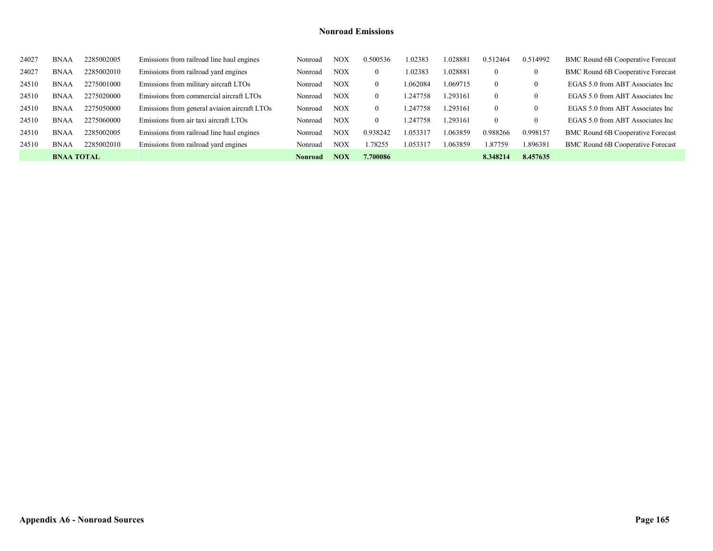| 24027 | <b>BNAA</b>       | 2285002005 | Emissions from railroad line haul engines    | Nonroad | $_{\rm NOX}$ | 0.500536 | 1.02383  | 028881   | 0.512464       | 0.514992         | <b>BMC Round 6B Cooperative Forecast</b> |
|-------|-------------------|------------|----------------------------------------------|---------|--------------|----------|----------|----------|----------------|------------------|------------------------------------------|
| 24027 | <b>BNAA</b>       | 2285002010 | Emissions from railroad yard engines         | Nonroad | <b>NOX</b>   | $\Omega$ | 1.02383  | 1.028881 | $\overline{0}$ | $\bf{0}$         | <b>BMC Round 6B Cooperative Forecast</b> |
| 24510 | <b>BNAA</b>       | 2275001000 | Emissions from military aircraft LTOs        | Nonroad | <b>NOX</b>   | $\theta$ | 1.062084 | 1.069715 | $\theta$       | 0                | EGAS 5.0 from ABT Associates Inc         |
| 24510 | <b>BNAA</b>       | 2275020000 | Emissions from commercial aircraft LTOs      | Nonroad | <b>NOX</b>   | $\theta$ | .247758  | .293161  | $\theta$       | 0                | EGAS 5.0 from ABT Associates Inc         |
| 24510 | <b>BNAA</b>       | 2275050000 | Emissions from general aviaion aircraft LTOs | Nonroad | <b>NOX</b>   | $\theta$ | 1.247758 | .293161  | $\theta$       | $\theta$         | EGAS 5.0 from ABT Associates Inc         |
| 24510 | <b>BNAA</b>       | 2275060000 | Emissions from air taxi aircraft LTOs        | Nonroad | <b>NOX</b>   | $\theta$ | 247758   | .293161  | $\theta$       | $\boldsymbol{0}$ | EGAS 5.0 from ABT Associates Inc         |
| 24510 | <b>BNAA</b>       | 2285002005 | Emissions from railroad line haul engines    | Nonroad | NOX          | 0.938242 | 1.053317 | 1.063859 | 0.988266       | 0.998157         | <b>BMC Round 6B Cooperative Forecast</b> |
| 24510 | <b>BNAA</b>       | 2285002010 | Emissions from railroad yard engines         | Nonroad | NOX          | .78255   | 1.053317 | .063859  | 1.87759        | 1.896381         | <b>BMC Round 6B Cooperative Forecast</b> |
|       | <b>BNAA TOTAL</b> |            |                                              | Nonroad | NOX          | 7.700086 |          |          | 8.348214       | 8.457635         |                                          |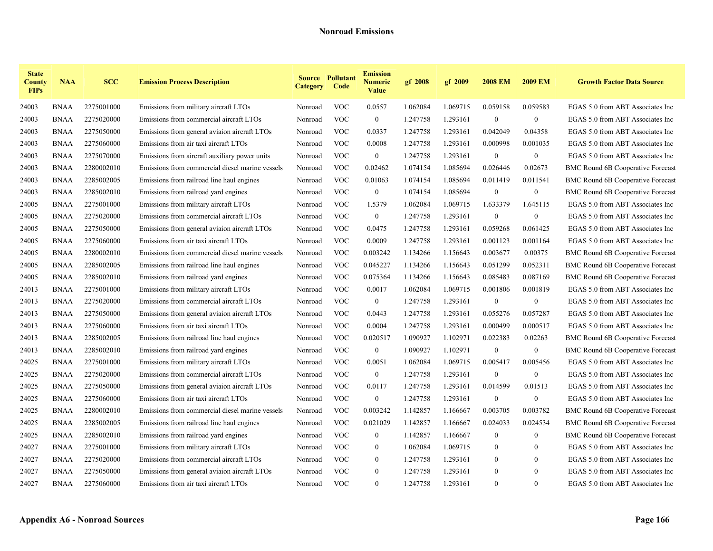| <b>State</b><br><b>County</b><br><b>FIPs</b> | <b>NAA</b>  | <b>SCC</b> | <b>Emission Process Description</b>             | <b>Category</b> | <b>Source Pollutant</b><br>Code | <b>Emission</b><br><b>Numeric</b><br>Value | gf 2008  | gf 2009  | <b>2008 EM</b>   | <b>2009 EM</b>   | <b>Growth Factor Data Source</b>         |
|----------------------------------------------|-------------|------------|-------------------------------------------------|-----------------|---------------------------------|--------------------------------------------|----------|----------|------------------|------------------|------------------------------------------|
| 24003                                        | <b>BNAA</b> | 2275001000 | Emissions from military aircraft LTOs           | Nonroad         | <b>VOC</b>                      | 0.0557                                     | 1.062084 | 1.069715 | 0.059158         | 0.059583         | EGAS 5.0 from ABT Associates Inc         |
| 24003                                        | <b>BNAA</b> | 2275020000 | Emissions from commercial aircraft LTOs         | Nonroad         | <b>VOC</b>                      | $\mathbf{0}$                               | 1.247758 | 1.293161 | $\boldsymbol{0}$ | $\boldsymbol{0}$ | EGAS 5.0 from ABT Associates Inc         |
| 24003                                        | <b>BNAA</b> | 2275050000 | Emissions from general aviaion aircraft LTOs    | Nonroad         | <b>VOC</b>                      | 0.0337                                     | 1.247758 | 1.293161 | 0.042049         | 0.04358          | EGAS 5.0 from ABT Associates Inc         |
| 24003                                        | <b>BNAA</b> | 2275060000 | Emissions from air taxi aircraft LTOs           | Nonroad         | <b>VOC</b>                      | 0.0008                                     | 1.247758 | 1.293161 | 0.000998         | 0.001035         | EGAS 5.0 from ABT Associates Inc         |
| 24003                                        | <b>BNAA</b> | 2275070000 | Emissions from aircraft auxiliary power units   | Nonroad         | <b>VOC</b>                      | $\mathbf{0}$                               | 1.247758 | 1.293161 | $\mathbf{0}$     | $\mathbf{0}$     | EGAS 5.0 from ABT Associates Inc         |
| 24003                                        | <b>BNAA</b> | 2280002010 | Emissions from commercial diesel marine vessels | Nonroad         | <b>VOC</b>                      | 0.02462                                    | 1.074154 | 1.085694 | 0.026446         | 0.02673          | BMC Round 6B Cooperative Forecast        |
| 24003                                        | <b>BNAA</b> | 2285002005 | Emissions from railroad line haul engines       | Nonroad         | <b>VOC</b>                      | 0.01063                                    | 1.074154 | 1.085694 | 0.011419         | 0.011541         | BMC Round 6B Cooperative Forecast        |
| 24003                                        | <b>BNAA</b> | 2285002010 | Emissions from railroad yard engines            | Nonroad         | <b>VOC</b>                      | $\bf{0}$                                   | 1.074154 | 1.085694 | $\boldsymbol{0}$ | $\boldsymbol{0}$ | BMC Round 6B Cooperative Forecast        |
| 24005                                        | <b>BNAA</b> | 2275001000 | Emissions from military aircraft LTOs           | Nonroad         | <b>VOC</b>                      | 1.5379                                     | 1.062084 | 1.069715 | 1.633379         | 1.645115         | EGAS 5.0 from ABT Associates Inc         |
| 24005                                        | <b>BNAA</b> | 2275020000 | Emissions from commercial aircraft LTOs         | Nonroad         | <b>VOC</b>                      | $\mathbf{0}$                               | 1.247758 | 1.293161 | $\boldsymbol{0}$ | $\boldsymbol{0}$ | EGAS 5.0 from ABT Associates Inc         |
| 24005                                        | <b>BNAA</b> | 2275050000 | Emissions from general aviaion aircraft LTOs    | Nonroad         | <b>VOC</b>                      | 0.0475                                     | 1.247758 | 1.293161 | 0.059268         | 0.061425         | EGAS 5.0 from ABT Associates Inc         |
| 24005                                        | <b>BNAA</b> | 2275060000 | Emissions from air taxi aircraft LTOs           | Nonroad         | <b>VOC</b>                      | 0.0009                                     | 1.247758 | 1.293161 | 0.001123         | 0.001164         | EGAS 5.0 from ABT Associates Inc         |
| 24005                                        | <b>BNAA</b> | 2280002010 | Emissions from commercial diesel marine vessels | Nonroad         | <b>VOC</b>                      | 0.003242                                   | 1.134266 | 1.156643 | 0.003677         | 0.00375          | BMC Round 6B Cooperative Forecast        |
| 24005                                        | <b>BNAA</b> | 2285002005 | Emissions from railroad line haul engines       | Nonroad         | <b>VOC</b>                      | 0.045227                                   | 1.134266 | 1.156643 | 0.051299         | 0.052311         | <b>BMC Round 6B Cooperative Forecast</b> |
| 24005                                        | <b>BNAA</b> | 2285002010 | Emissions from railroad yard engines            | Nonroad         | <b>VOC</b>                      | 0.075364                                   | 1.134266 | 1.156643 | 0.085483         | 0.087169         | BMC Round 6B Cooperative Forecast        |
| 24013                                        | <b>BNAA</b> | 2275001000 | Emissions from military aircraft LTOs           | Nonroad         | <b>VOC</b>                      | 0.0017                                     | 1.062084 | 1.069715 | 0.001806         | 0.001819         | EGAS 5.0 from ABT Associates Inc         |
| 24013                                        | <b>BNAA</b> | 2275020000 | Emissions from commercial aircraft LTOs         | Nonroad         | <b>VOC</b>                      | $\mathbf{0}$                               | 1.247758 | 1.293161 | $\boldsymbol{0}$ | $\boldsymbol{0}$ | EGAS 5.0 from ABT Associates Inc         |
| 24013                                        | <b>BNAA</b> | 2275050000 | Emissions from general aviaion aircraft LTOs    | Nonroad         | <b>VOC</b>                      | 0.0443                                     | 1.247758 | 1.293161 | 0.055276         | 0.057287         | EGAS 5.0 from ABT Associates Inc         |
| 24013                                        | <b>BNAA</b> | 2275060000 | Emissions from air taxi aircraft LTOs           | Nonroad         | <b>VOC</b>                      | 0.0004                                     | 1.247758 | 1.293161 | 0.000499         | 0.000517         | EGAS 5.0 from ABT Associates Inc         |
| 24013                                        | <b>BNAA</b> | 2285002005 | Emissions from railroad line haul engines       | Nonroad         | <b>VOC</b>                      | 0.020517                                   | 1.090927 | 1.102971 | 0.022383         | 0.02263          | BMC Round 6B Cooperative Forecast        |
| 24013                                        | <b>BNAA</b> | 2285002010 | Emissions from railroad yard engines            | Nonroad         | <b>VOC</b>                      | $\bf{0}$                                   | 1.090927 | 1.102971 | $\boldsymbol{0}$ | $\boldsymbol{0}$ | BMC Round 6B Cooperative Forecast        |
| 24025                                        | <b>BNAA</b> | 2275001000 | Emissions from military aircraft LTOs           | Nonroad         | <b>VOC</b>                      | 0.0051                                     | 1.062084 | 1.069715 | 0.005417         | 0.005456         | EGAS 5.0 from ABT Associates Inc         |
| 24025                                        | <b>BNAA</b> | 2275020000 | Emissions from commercial aircraft LTOs         | Nonroad         | <b>VOC</b>                      | $\overline{0}$                             | 1.247758 | 1.293161 | $\boldsymbol{0}$ | $\boldsymbol{0}$ | EGAS 5.0 from ABT Associates Inc         |
| 24025                                        | <b>BNAA</b> | 2275050000 | Emissions from general aviaion aircraft LTOs    | Nonroad         | <b>VOC</b>                      | 0.0117                                     | 1.247758 | 1.293161 | 0.014599         | 0.01513          | EGAS 5.0 from ABT Associates Inc         |
| 24025                                        | <b>BNAA</b> | 2275060000 | Emissions from air taxi aircraft LTOs           | Nonroad         | <b>VOC</b>                      | $\overline{0}$                             | 1.247758 | 1.293161 | $\mathbf{0}$     | $\boldsymbol{0}$ | EGAS 5.0 from ABT Associates Inc         |
| 24025                                        | <b>BNAA</b> | 2280002010 | Emissions from commercial diesel marine vessels | Nonroad         | <b>VOC</b>                      | 0.003242                                   | 1.142857 | 1.166667 | 0.003705         | 0.003782         | BMC Round 6B Cooperative Forecast        |
| 24025                                        | <b>BNAA</b> | 2285002005 | Emissions from railroad line haul engines       | Nonroad         | <b>VOC</b>                      | 0.021029                                   | 1.142857 | 1.166667 | 0.024033         | 0.024534         | BMC Round 6B Cooperative Forecast        |
| 24025                                        | <b>BNAA</b> | 2285002010 | Emissions from railroad yard engines            | Nonroad         | <b>VOC</b>                      | $\overline{0}$                             | 1.142857 | 1.166667 | $\boldsymbol{0}$ | $\boldsymbol{0}$ | BMC Round 6B Cooperative Forecast        |
| 24027                                        | <b>BNAA</b> | 2275001000 | Emissions from military aircraft LTOs           | Nonroad         | <b>VOC</b>                      | $\bf{0}$                                   | 1.062084 | 1.069715 | $\bf{0}$         | $\bf{0}$         | EGAS 5.0 from ABT Associates Inc         |
| 24027                                        | <b>BNAA</b> | 2275020000 | Emissions from commercial aircraft LTOs         | Nonroad         | <b>VOC</b>                      | $\overline{0}$                             | 1.247758 | 1.293161 | $\bf{0}$         | $\mathbf{0}$     | EGAS 5.0 from ABT Associates Inc         |
| 24027                                        | <b>BNAA</b> | 2275050000 | Emissions from general aviaion aircraft LTOs    | Nonroad         | <b>VOC</b>                      | $\overline{0}$                             | 1.247758 | 1.293161 | $\mathbf{0}$     | $\overline{0}$   | EGAS 5.0 from ABT Associates Inc         |
| 24027                                        | <b>BNAA</b> | 2275060000 | Emissions from air taxi aircraft LTOs           | Nonroad         | <b>VOC</b>                      | $\overline{0}$                             | 1.247758 | 1.293161 | $\theta$         | $\theta$         | EGAS 5.0 from ABT Associates Inc         |